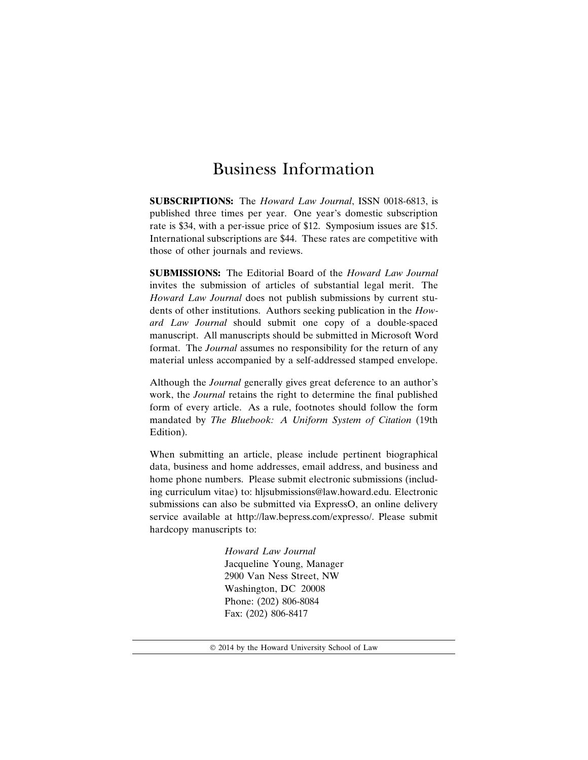# Business Information

**SUBSCRIPTIONS:** The *Howard Law Journal*, ISSN 0018-6813, is published three times per year. One year's domestic subscription rate is \$34, with a per-issue price of \$12. Symposium issues are \$15. International subscriptions are \$44. These rates are competitive with those of other journals and reviews.

**SUBMISSIONS:** The Editorial Board of the *Howard Law Journal* invites the submission of articles of substantial legal merit. The *Howard Law Journal* does not publish submissions by current students of other institutions. Authors seeking publication in the *Howard Law Journal* should submit one copy of a double-spaced manuscript. All manuscripts should be submitted in Microsoft Word format. The *Journal* assumes no responsibility for the return of any material unless accompanied by a self-addressed stamped envelope.

Although the *Journal* generally gives great deference to an author's work, the *Journal* retains the right to determine the final published form of every article. As a rule, footnotes should follow the form mandated by *The Bluebook: A Uniform System of Citation* (19th Edition).

When submitting an article, please include pertinent biographical data, business and home addresses, email address, and business and home phone numbers. Please submit electronic submissions (including curriculum vitae) to: hljsubmissions@law.howard.edu. Electronic submissions can also be submitted via ExpressO, an online delivery service available at http://law.bepress.com/expresso/. Please submit hardcopy manuscripts to:

> *Howard Law Journal* Jacqueline Young, Manager 2900 Van Ness Street, NW Washington, DC 20008 Phone: (202) 806-8084 Fax: (202) 806-8417

© 2014 by the Howard University School of Law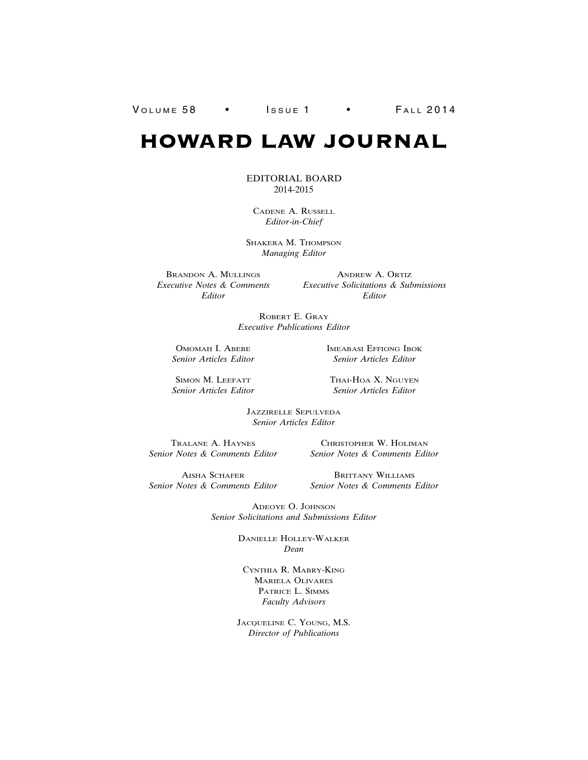# **HOWARD LAW JOURNAL**

EDITORIAL BOARD 2014-2015

CADENE A. RUSSELL *Editor-in-Chief*

SHAKERA M. THOMPSON *Managing Editor*

BRANDON A. MULLINGS ANDREW A. ORTIZ<br>Executive Notes & Comments Executive Solicitations & Sub *Executive Notes & Comments Executive Solicitations & Submissions Editor Editor*

> ROBERT E. GRAY *Executive Publications Editor*

*Senior Articles Editor Senior Articles Editor*

**OMOMAH I. ABEBE IMEABASI EFFIONG IBOK**<br>**Senior Articles Editor Senior Articles Editor** 

*Senior Articles Editor Senior Articles Editor*

SIMON M. LEEFATT THAI-HOA X. NGUYEN<br>Senior Articles Editor Senior Articles Editor

JAZZIRELLE SEPULVEDA *Senior Articles Editor*

TRALANE A. HAYNES CHRISTOPHER W. HOLIMAN<br>
Senior Notes & Comments Editor Senior Notes & Comments Edit

**Senior Notes & Comments Editor** 

*Senior Notes & Comments Editor* 

AISHA SCHAFER<br>
Votes & Comments Editor<br>
Votes & Comments Editor<br>
Senior Notes & Comments Editor

ADEOYE O. JOHNSON *Senior Solicitations and Submissions Editor*

> DANIELLE HOLLEY-WALKER *Dean*

CYNTHIA R. MABRY-KING MARIELA OLIVARES PATRICE L. SIMMS *Faculty Advisors*

JACQUELINE C. YOUNG, M.S. *Director of Publications*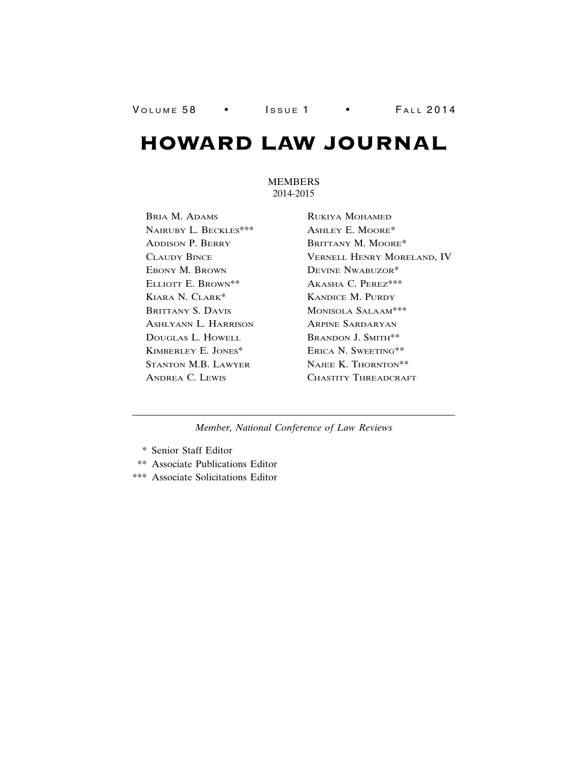# **HOWARD LAW JOURNAL**

## MEMBERS 2014-2015

Bria M. Adams Rukiya Mohamed NAIRUBY L. BECKLES\*\*\* ASHLEY E. MOORE\* ADDISON P. BERRY BRITTANY M. MOORE\* EBONY M. BROWN DEVINE NWABUZOR\* ELLIOTT E. BROWN<sup>\*\*</sup> AKASHA C. PEREZ<sup>\*\*\*</sup> KIARA N. CLARK<sup>\*</sup> KANDICE M. PURDY BRITTANY S. DAVIS MONISOLA SALAAM\*\*\* ASHLYANN L. HARRISON ARPINE SARDARYAN DOUGLAS L. HOWELL BRANDON J. SMITH<sup>\*\*</sup> KIMBERLEY E. JONES\* ERICA N. SWEETING\*\* STANTON M.B. LAWYER NAJEE K. THORNTON\*\* ANDREA C. LEWIS CHASTITY THREADCRAFT

CLAUDY BINCE VERNELL HENRY MORELAND, IV

*Member, National Conference of Law Reviews*

\* Senior Staff Editor

\*\* Associate Publications Editor

\*\*\* Associate Solicitations Editor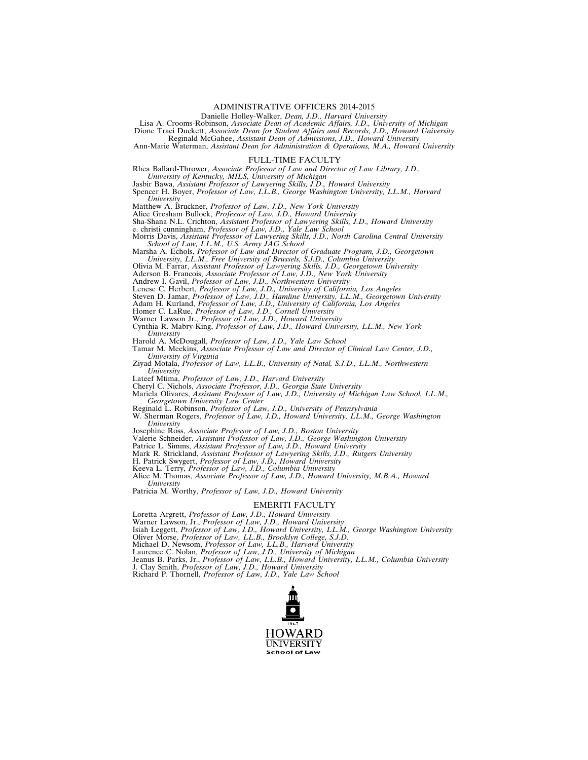#### ADMINISTRATIVE OFFICERS 2014-2015

Danielle Holley-Walker, *Dean, J.D., Harvard University*

Lisa A. Crooms-Robinson, *Associate Dean of Academic Affairs, J.D., University of Michigan*

Dione Traci Duckett, *Associate Dean for Student Affairs and Records, J.D., Howard University* Reginald McGahee, *Assistant Dean of Admissions, J.D., Howard University*

Ann-Marie Waterman, *Assistant Dean for Administration & Operations, M.A., Howard University*

#### FULL-TIME FACULTY

Rhea Ballard-Thrower, *Associate Professor of Law and Director of Law Library, J.D.,*<br>University of Kentucky, MILS, University of Michigan<br>Jasbir Bawa, Assistant Professor of Lawyering Skills, J.D., Howard University

Spencer H. Boyer, *Professor of Law, LL.B., George Washington University, LL.M., Harvard University*

Matthew A. Bruckner, *Professor of Law, J.D., New York University*

Alice Gresham Bullock, *Professor of Law, J.D., Howard University*<br>Sha-Shana N.L. Crichton, *Assistant Professor of Lawyering Skills, J.D., Howard University*<br>e. christi cunningham, *Professor of Law, J.D., Yale Law School* 

Morris Davis, *Assistant Professor of Lawyering Skills, J.D., North Carolina Central University*

- School of Law, LL.M., U.S. Army JAG School<br>Marsha A. Echols, Professor of Law and Director of Graduate Program, J.D., Georgetown<br>University, LL.M., Free University of Brussels, S.J.D., Columbia University<br>Olivia M. Farrar,
- 
- 
- 

Andrew I. Gavil, *Professor of Law, J.D., Northwestern University*<br>Lenese C. Herbert, *Professor of Law, J.D., University of California, Los Angeles*<br>Steven D. Jamar, *Professor of Law, J.D., Hamline University, LL.M., Geo* 

- Adam H. Kurland, *Professor of Law, J.D., University of California, Los Angeles* Homer C. LaRue, *Professor of Law, J.D., Cornell University*
- 

Warner Lawson Jr., *Professor of Law, J.D., Howard University*

Cynthia R. Mabry-King, *Professor of Law, J.D., Howard University, LL.M., New York University*

Harold A. McDougall, *Professor of Law, J.D., Yale Law School*

Tamar M. Meekins, *Associate Professor of Law and Director of Clinical Law Center, J.D., University of Virginia*

Ziyad Motala, *Professor of Law, LL.B., University of Natal, S.J.D., LL.M., Northwestern University*

Lateef Mtima, *Professor of Law, J.D., Harvard University*

Cheryl C. Nichols, *Associate Professor, J.D., Georgia State University*

Mariela Olivares, *Assistant Professor of Law, J.D., University of Michigan Law School, LL.M., Georgetown University Law Center* Reginald L. Robinson, *Professor of Law, J.D., University of Pennsylvania*

W. Sherman Rogers, *Professor of Law, J.D., Howard University, LL.M., George Washington University*

Josephine Ross, *Associate Professor of Law, J.D., Boston University*<br>Valerie Schneider, *Assistant Professor of Law, J.D., George Washington University*<br>Patrice L. Simms, *Assistant Professor of Law, J.D., Howard Universi* 

Mark R. Strickland, *Assistant Professor of Lawyering Skills, J.D., Rutgers University* H. Patrick Swygert, *Professor of Law, J.D., Howard University*

Keeva L. Terry, *Professor of Law, J.D., Columbia University*

Alice M. Thomas, *Associate Professor of Law, J.D., Howard University, M.B.A., Howard University*

Patricia M. Worthy, *Professor of Law, J.D., Howard University*

#### EMERITI FACULTY

Loretta Argrett, *Professor of Law, J.D., Howard University*<br>Warner Lawson, Jr., *Professor of Law, J.D., Howard University*<br>Isiah Leggett, *Professor of Law, J.D., Howard University, LL.M., George Washington University* 

Oliver Morse, *Professor of Law, LL.B., Brooklyn College, S.J.D.* Michael D. Newsom, *Professor of Law, LL.B., Harvard University*

Laurence C. Nolan, *Professor of Law, J.D., University of Michigan*

Jeanus B. Parks, Jr., *Professor of Law, LL.B., Howard University, LL.M., Columbia University* J. Clay Smith, *Professor of Law, J.D., Howard University*

Richard P. Thornell, *Professor of Law, J.D., Yale Law School*

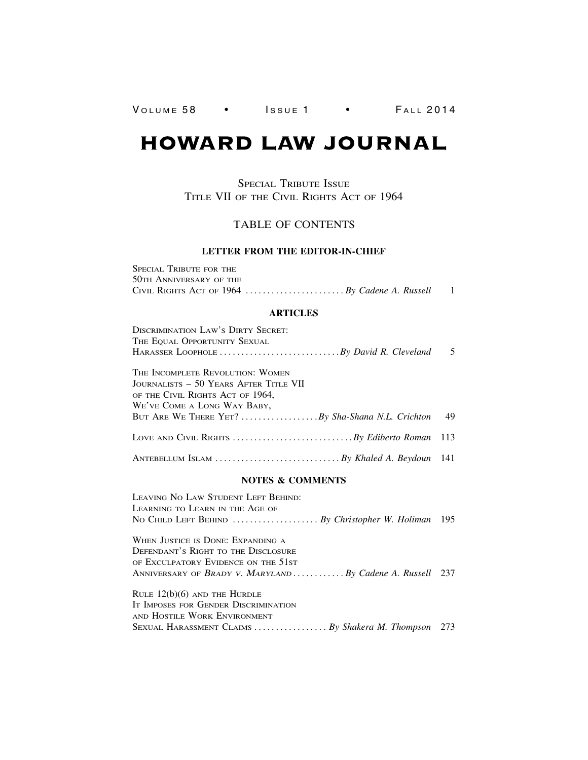# **HOWARD LAW JOURNAL**

SPECIAL TRIBUTE ISSUE TITLE VII OF THE CIVIL RIGHTS ACT OF 1964

# TABLE OF CONTENTS

#### **LETTER FROM THE EDITOR-IN-CHIEF**

| SPECIAL TRIBUTE FOR THE |                                                |  |
|-------------------------|------------------------------------------------|--|
| 50TH ANNIVERSARY OF THE |                                                |  |
|                         | CIVIL RIGHTS ACT OF 1964  By Cadene A. Russell |  |

### **ARTICLES**

| <b>DISCRIMINATION LAW'S DIRTY SECRET:</b><br>THE EQUAL OPPORTUNITY SEXUAL |     |
|---------------------------------------------------------------------------|-----|
|                                                                           | 5   |
| THE INCOMPLETE REVOLUTION: WOMEN                                          |     |
| JOURNALISTS - 50 YEARS AFTER TITLE VII                                    |     |
| OF THE CIVIL RIGHTS ACT OF 1964,                                          |     |
| WE'VE COME A LONG WAY BABY,                                               |     |
| BUT ARE WE THERE YET?  By Sha-Shana N.L. Crichton                         | -49 |
|                                                                           | 113 |
|                                                                           |     |

### **NOTES & COMMENTS**

LEAVING NO LAW STUDENT LEFT BEHIND: LEARNING TO LEARN IN THE AGE OF NO CHILD LEFT BEHIND .................... *By Christopher W. Holiman* 195 WHEN JUSTICE IS DONE: EXPANDING A DEFENDANT'S RIGHT TO THE DISCLOSURE OF EXCULPATORY EVIDENCE ON THE 51ST ANNIVERSARY OF <sup>B</sup>RADY <sup>V</sup>. MARYLAND ............ *By Cadene A. Russell* 237 RULE 12(b)(6) AND THE HURDLE IT IMPOSES FOR GENDER DISCRIMINATION

AND HOSTILE WORK ENVIRONMENT SEXUAL HARASSMENT CLAIMS ................. *By Shakera M. Thompson* 273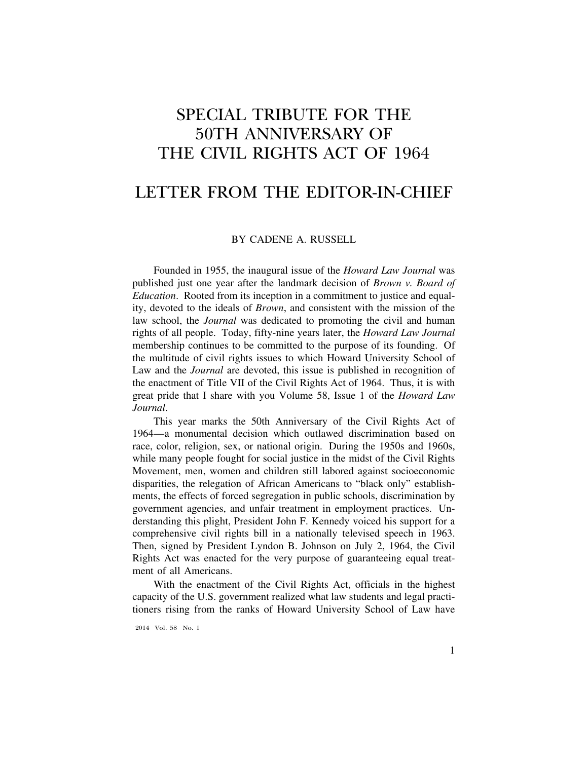# SPECIAL TRIBUTE FOR THE 50TH ANNIVERSARY OF THE CIVIL RIGHTS ACT OF 1964

# LETTER FROM THE EDITOR-IN-CHIEF

## BY CADENE A. RUSSELL

Founded in 1955, the inaugural issue of the *Howard Law Journal* was published just one year after the landmark decision of *Brown v. Board of Education*. Rooted from its inception in a commitment to justice and equality, devoted to the ideals of *Brown*, and consistent with the mission of the law school, the *Journal* was dedicated to promoting the civil and human rights of all people. Today, fifty-nine years later, the *Howard Law Journal* membership continues to be committed to the purpose of its founding. Of the multitude of civil rights issues to which Howard University School of Law and the *Journal* are devoted, this issue is published in recognition of the enactment of Title VII of the Civil Rights Act of 1964. Thus, it is with great pride that I share with you Volume 58, Issue 1 of the *Howard Law Journal*.

This year marks the 50th Anniversary of the Civil Rights Act of 1964—a monumental decision which outlawed discrimination based on race, color, religion, sex, or national origin. During the 1950s and 1960s, while many people fought for social justice in the midst of the Civil Rights Movement, men, women and children still labored against socioeconomic disparities, the relegation of African Americans to "black only" establishments, the effects of forced segregation in public schools, discrimination by government agencies, and unfair treatment in employment practices. Understanding this plight, President John F. Kennedy voiced his support for a comprehensive civil rights bill in a nationally televised speech in 1963. Then, signed by President Lyndon B. Johnson on July 2, 1964, the Civil Rights Act was enacted for the very purpose of guaranteeing equal treatment of all Americans.

With the enactment of the Civil Rights Act, officials in the highest capacity of the U.S. government realized what law students and legal practitioners rising from the ranks of Howard University School of Law have

2014 Vol. 58 No. 1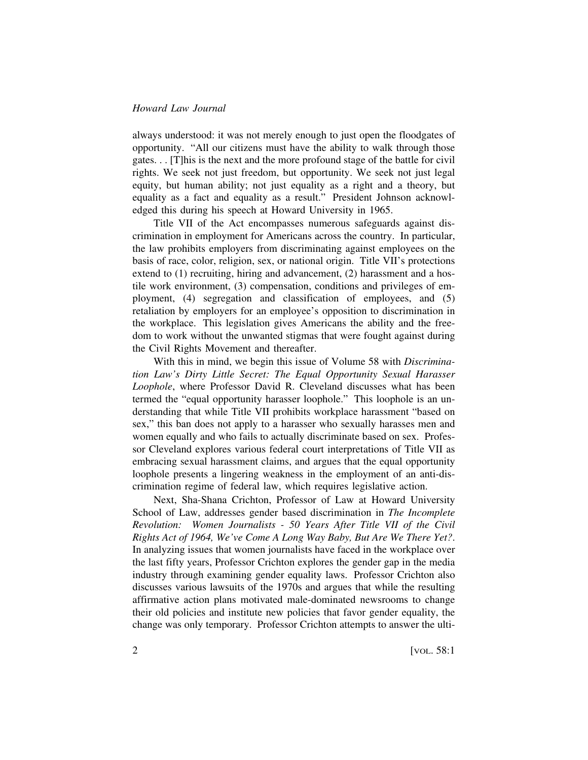always understood: it was not merely enough to just open the floodgates of opportunity. "All our citizens must have the ability to walk through those gates. . . [T]his is the next and the more profound stage of the battle for civil rights. We seek not just freedom, but opportunity. We seek not just legal equity, but human ability; not just equality as a right and a theory, but equality as a fact and equality as a result." President Johnson acknowledged this during his speech at Howard University in 1965.

Title VII of the Act encompasses numerous safeguards against discrimination in employment for Americans across the country. In particular, the law prohibits employers from discriminating against employees on the basis of race, color, religion, sex, or national origin. Title VII's protections extend to (1) recruiting, hiring and advancement, (2) harassment and a hostile work environment, (3) compensation, conditions and privileges of employment, (4) segregation and classification of employees, and (5) retaliation by employers for an employee's opposition to discrimination in the workplace. This legislation gives Americans the ability and the freedom to work without the unwanted stigmas that were fought against during the Civil Rights Movement and thereafter.

With this in mind, we begin this issue of Volume 58 with *Discrimination Law's Dirty Little Secret: The Equal Opportunity Sexual Harasser Loophole*, where Professor David R. Cleveland discusses what has been termed the "equal opportunity harasser loophole." This loophole is an understanding that while Title VII prohibits workplace harassment "based on sex," this ban does not apply to a harasser who sexually harasses men and women equally and who fails to actually discriminate based on sex. Professor Cleveland explores various federal court interpretations of Title VII as embracing sexual harassment claims, and argues that the equal opportunity loophole presents a lingering weakness in the employment of an anti-discrimination regime of federal law, which requires legislative action.

Next, Sha-Shana Crichton, Professor of Law at Howard University School of Law, addresses gender based discrimination in *The Incomplete Revolution: Women Journalists - 50 Years After Title VII of the Civil Rights Act of 1964, We've Come A Long Way Baby, But Are We There Yet?*. In analyzing issues that women journalists have faced in the workplace over the last fifty years, Professor Crichton explores the gender gap in the media industry through examining gender equality laws. Professor Crichton also discusses various lawsuits of the 1970s and argues that while the resulting affirmative action plans motivated male-dominated newsrooms to change their old policies and institute new policies that favor gender equality, the change was only temporary. Professor Crichton attempts to answer the ulti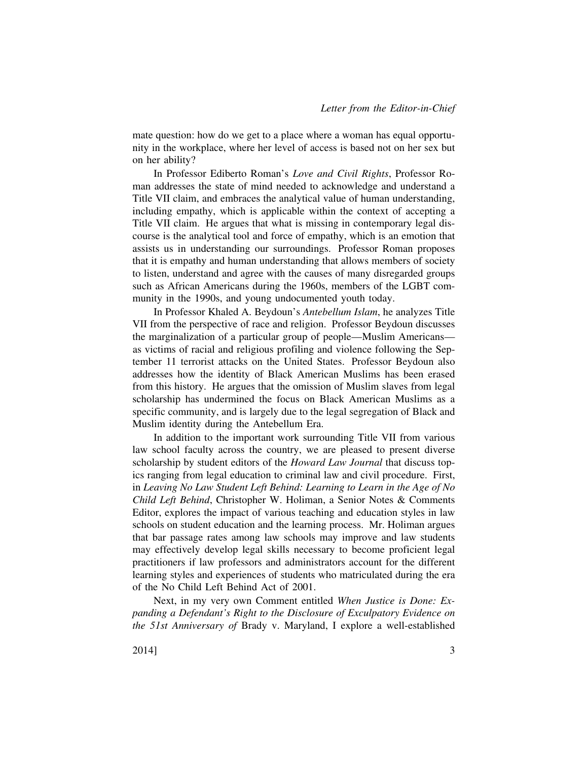mate question: how do we get to a place where a woman has equal opportunity in the workplace, where her level of access is based not on her sex but on her ability?

In Professor Ediberto Roman's *Love and Civil Rights*, Professor Roman addresses the state of mind needed to acknowledge and understand a Title VII claim, and embraces the analytical value of human understanding, including empathy, which is applicable within the context of accepting a Title VII claim. He argues that what is missing in contemporary legal discourse is the analytical tool and force of empathy, which is an emotion that assists us in understanding our surroundings. Professor Roman proposes that it is empathy and human understanding that allows members of society to listen, understand and agree with the causes of many disregarded groups such as African Americans during the 1960s, members of the LGBT community in the 1990s, and young undocumented youth today.

In Professor Khaled A. Beydoun's *Antebellum Islam*, he analyzes Title VII from the perspective of race and religion. Professor Beydoun discusses the marginalization of a particular group of people—Muslim Americans as victims of racial and religious profiling and violence following the September 11 terrorist attacks on the United States. Professor Beydoun also addresses how the identity of Black American Muslims has been erased from this history. He argues that the omission of Muslim slaves from legal scholarship has undermined the focus on Black American Muslims as a specific community, and is largely due to the legal segregation of Black and Muslim identity during the Antebellum Era.

In addition to the important work surrounding Title VII from various law school faculty across the country, we are pleased to present diverse scholarship by student editors of the *Howard Law Journal* that discuss topics ranging from legal education to criminal law and civil procedure. First, in *Leaving No Law Student Left Behind: Learning to Learn in the Age of No Child Left Behind*, Christopher W. Holiman, a Senior Notes & Comments Editor, explores the impact of various teaching and education styles in law schools on student education and the learning process. Mr. Holiman argues that bar passage rates among law schools may improve and law students may effectively develop legal skills necessary to become proficient legal practitioners if law professors and administrators account for the different learning styles and experiences of students who matriculated during the era of the No Child Left Behind Act of 2001.

Next, in my very own Comment entitled *When Justice is Done: Expanding a Defendant's Right to the Disclosure of Exculpatory Evidence on the 51st Anniversary of* Brady v. Maryland, I explore a well-established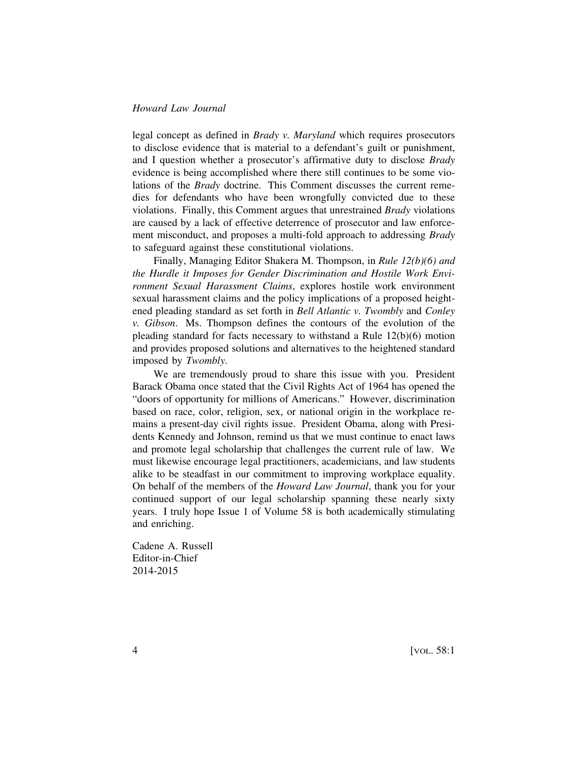legal concept as defined in *Brady v. Maryland* which requires prosecutors to disclose evidence that is material to a defendant's guilt or punishment, and I question whether a prosecutor's affirmative duty to disclose *Brady* evidence is being accomplished where there still continues to be some violations of the *Brady* doctrine. This Comment discusses the current remedies for defendants who have been wrongfully convicted due to these violations. Finally, this Comment argues that unrestrained *Brady* violations are caused by a lack of effective deterrence of prosecutor and law enforcement misconduct, and proposes a multi-fold approach to addressing *Brady* to safeguard against these constitutional violations.

Finally, Managing Editor Shakera M. Thompson, in *Rule 12(b)(6) and the Hurdle it Imposes for Gender Discrimination and Hostile Work Environment Sexual Harassment Claims*, explores hostile work environment sexual harassment claims and the policy implications of a proposed heightened pleading standard as set forth in *Bell Atlantic v. Twombly* and *Conley v. Gibson*. Ms. Thompson defines the contours of the evolution of the pleading standard for facts necessary to withstand a Rule 12(b)(6) motion and provides proposed solutions and alternatives to the heightened standard imposed by *Twombly*.

We are tremendously proud to share this issue with you. President Barack Obama once stated that the Civil Rights Act of 1964 has opened the "doors of opportunity for millions of Americans." However, discrimination based on race, color, religion, sex, or national origin in the workplace remains a present-day civil rights issue. President Obama, along with Presidents Kennedy and Johnson, remind us that we must continue to enact laws and promote legal scholarship that challenges the current rule of law. We must likewise encourage legal practitioners, academicians, and law students alike to be steadfast in our commitment to improving workplace equality. On behalf of the members of the *Howard Law Journal*, thank you for your continued support of our legal scholarship spanning these nearly sixty years. I truly hope Issue 1 of Volume 58 is both academically stimulating and enriching.

Cadene A. Russell Editor-in-Chief 2014-2015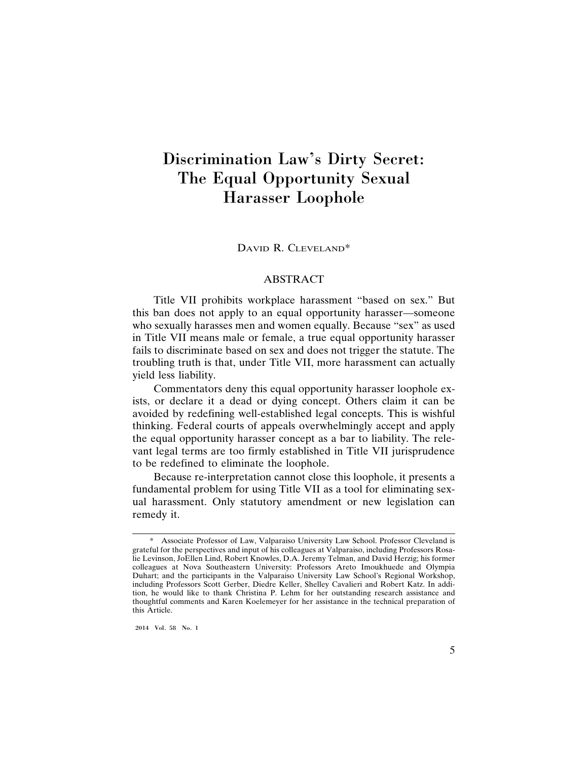# Discrimination Law's Dirty Secret: The Equal Opportunity Sexual Harasser Loophole

DAVID R. CLEVELAND\*

### ABSTRACT

Title VII prohibits workplace harassment "based on sex." But this ban does not apply to an equal opportunity harasser—someone who sexually harasses men and women equally. Because "sex" as used in Title VII means male or female, a true equal opportunity harasser fails to discriminate based on sex and does not trigger the statute. The troubling truth is that, under Title VII, more harassment can actually yield less liability.

Commentators deny this equal opportunity harasser loophole exists, or declare it a dead or dying concept. Others claim it can be avoided by redefining well-established legal concepts. This is wishful thinking. Federal courts of appeals overwhelmingly accept and apply the equal opportunity harasser concept as a bar to liability. The relevant legal terms are too firmly established in Title VII jurisprudence to be redefined to eliminate the loophole.

Because re-interpretation cannot close this loophole, it presents a fundamental problem for using Title VII as a tool for eliminating sexual harassment. Only statutory amendment or new legislation can remedy it.

2014 Vol. 58 No. 1

<sup>\*</sup> Associate Professor of Law, Valparaiso University Law School. Professor Cleveland is grateful for the perspectives and input of his colleagues at Valparaiso, including Professors Rosalie Levinson, JoEllen Lind, Robert Knowles, D.A. Jeremy Telman, and David Herzig; his former colleagues at Nova Southeastern University: Professors Areto Imoukhuede and Olympia Duhart; and the participants in the Valparaiso University Law School's Regional Workshop, including Professors Scott Gerber, Diedre Keller, Shelley Cavalieri and Robert Katz. In addition, he would like to thank Christina P. Lehm for her outstanding research assistance and thoughtful comments and Karen Koelemeyer for her assistance in the technical preparation of this Article.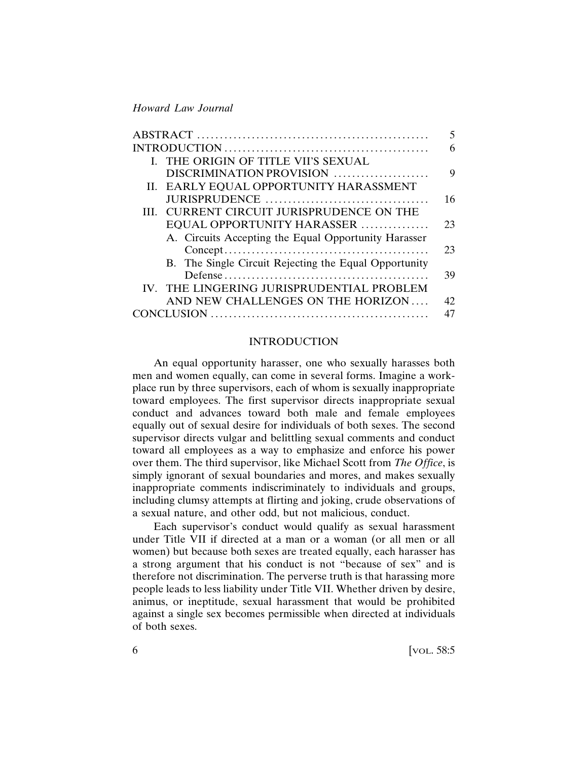|                                                       | 6  |
|-------------------------------------------------------|----|
| I. THE ORIGIN OF TITLE VII'S SEXUAL                   |    |
| DISCRIMINATION PROVISION                              | 9  |
| II. EARLY EQUAL OPPORTUNITY HARASSMENT                |    |
|                                                       | 16 |
| III. CURRENT CIRCUIT JURISPRUDENCE ON THE             |    |
| EQUAL OPPORTUNITY HARASSER                            | 23 |
| A. Circuits Accepting the Equal Opportunity Harasser  |    |
|                                                       | 23 |
| B. The Single Circuit Rejecting the Equal Opportunity |    |
|                                                       | 39 |
| IV. THE LINGERING JURISPRUDENTIAL PROBLEM             |    |
| AND NEW CHALLENGES ON THE HORIZON                     | 42 |
|                                                       | 47 |
|                                                       |    |

#### INTRODUCTION

An equal opportunity harasser, one who sexually harasses both men and women equally, can come in several forms. Imagine a workplace run by three supervisors, each of whom is sexually inappropriate toward employees. The first supervisor directs inappropriate sexual conduct and advances toward both male and female employees equally out of sexual desire for individuals of both sexes. The second supervisor directs vulgar and belittling sexual comments and conduct toward all employees as a way to emphasize and enforce his power over them. The third supervisor, like Michael Scott from *The Office*, is simply ignorant of sexual boundaries and mores, and makes sexually inappropriate comments indiscriminately to individuals and groups, including clumsy attempts at flirting and joking, crude observations of a sexual nature, and other odd, but not malicious, conduct.

Each supervisor's conduct would qualify as sexual harassment under Title VII if directed at a man or a woman (or all men or all women) but because both sexes are treated equally, each harasser has a strong argument that his conduct is not "because of sex" and is therefore not discrimination. The perverse truth is that harassing more people leads to less liability under Title VII. Whether driven by desire, animus, or ineptitude, sexual harassment that would be prohibited against a single sex becomes permissible when directed at individuals of both sexes.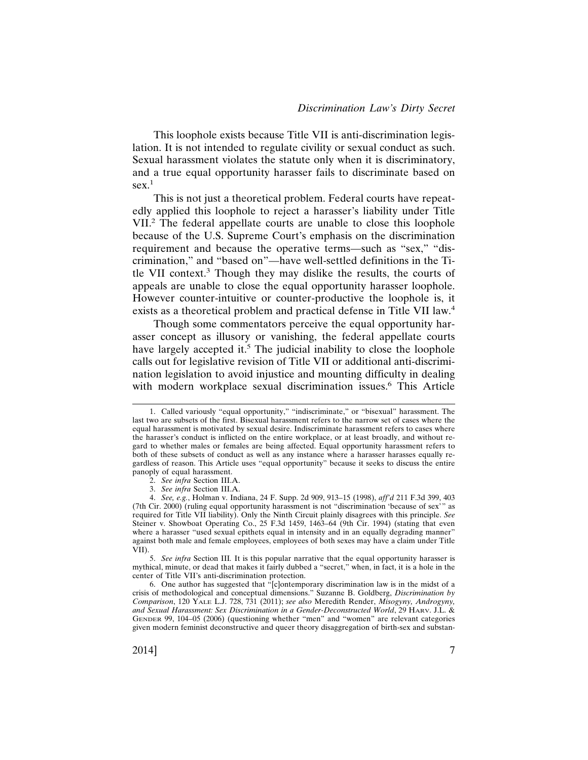This loophole exists because Title VII is anti-discrimination legislation. It is not intended to regulate civility or sexual conduct as such. Sexual harassment violates the statute only when it is discriminatory, and a true equal opportunity harasser fails to discriminate based on  $sex.<sup>1</sup>$ 

This is not just a theoretical problem. Federal courts have repeatedly applied this loophole to reject a harasser's liability under Title VII.2 The federal appellate courts are unable to close this loophole because of the U.S. Supreme Court's emphasis on the discrimination requirement and because the operative terms—such as "sex," "discrimination," and "based on"—have well-settled definitions in the Title VII context.<sup>3</sup> Though they may dislike the results, the courts of appeals are unable to close the equal opportunity harasser loophole. However counter-intuitive or counter-productive the loophole is, it exists as a theoretical problem and practical defense in Title VII law.<sup>4</sup>

Though some commentators perceive the equal opportunity harasser concept as illusory or vanishing, the federal appellate courts have largely accepted it.<sup>5</sup> The judicial inability to close the loophole calls out for legislative revision of Title VII or additional anti-discrimination legislation to avoid injustice and mounting difficulty in dealing with modern workplace sexual discrimination issues.<sup>6</sup> This Article

<sup>1.</sup> Called variously "equal opportunity," "indiscriminate," or "bisexual" harassment. The last two are subsets of the first. Bisexual harassment refers to the narrow set of cases where the equal harassment is motivated by sexual desire. Indiscriminate harassment refers to cases where the harasser's conduct is inflicted on the entire workplace, or at least broadly, and without regard to whether males or females are being affected. Equal opportunity harassment refers to both of these subsets of conduct as well as any instance where a harasser harasses equally regardless of reason. This Article uses "equal opportunity" because it seeks to discuss the entire panoply of equal harassment.

<sup>2.</sup> *See infra* Section III.A.

<sup>3.</sup> *See infra* Section III.A.

<sup>4.</sup> *See, e.g.*, Holman v. Indiana, 24 F. Supp. 2d 909, 913–15 (1998), *aff'd* 211 F.3d 399, 403 (7th Cir. 2000) (ruling equal opportunity harassment is not "discrimination 'because of sex' required for Title VII liability). Only the Ninth Circuit plainly disagrees with this principle. *See* Steiner v. Showboat Operating Co., 25 F.3d 1459, 1463–64 (9th Cir. 1994) (stating that even where a harasser "used sexual epithets equal in intensity and in an equally degrading manner" against both male and female employees, employees of both sexes may have a claim under Title VII).

<sup>5.</sup> *See infra* Section III*.* It is this popular narrative that the equal opportunity harasser is mythical, minute, or dead that makes it fairly dubbed a "secret," when, in fact, it is a hole in the center of Title VII's anti-discrimination protection.

<sup>6.</sup> One author has suggested that "[c]ontemporary discrimination law is in the midst of a crisis of methodological and conceptual dimensions." Suzanne B. Goldberg, *Discrimination by Comparison*, 120 YALE L.J. 728, 731 (2011); *see also* Meredith Render, *Misogyny, Androgyny, and Sexual Harassment: Sex Discrimination in a Gender-Deconstructed World*, 29 HARV. J.L. & GENDER 99, 104–05 (2006) (questioning whether "men" and "women" are relevant categories given modern feminist deconstructive and queer theory disaggregation of birth-sex and substan-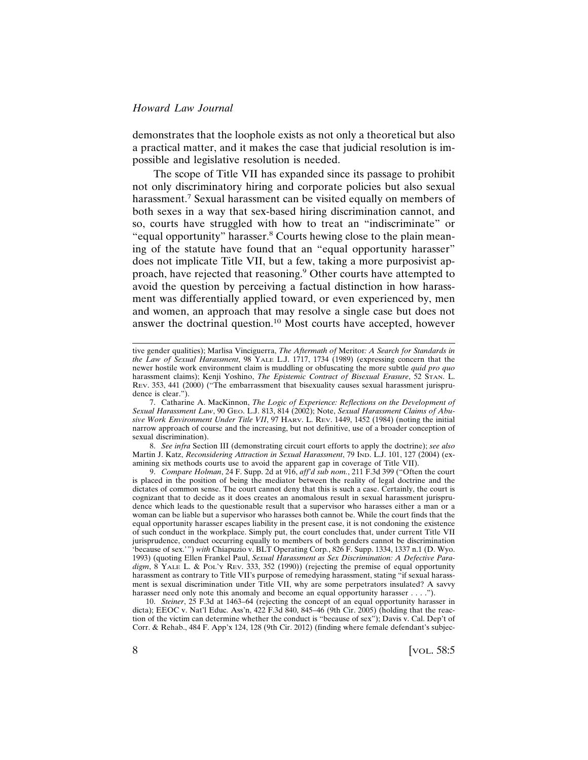demonstrates that the loophole exists as not only a theoretical but also a practical matter, and it makes the case that judicial resolution is impossible and legislative resolution is needed.

The scope of Title VII has expanded since its passage to prohibit not only discriminatory hiring and corporate policies but also sexual harassment.<sup>7</sup> Sexual harassment can be visited equally on members of both sexes in a way that sex-based hiring discrimination cannot, and so, courts have struggled with how to treat an "indiscriminate" or "equal opportunity" harasser.<sup>8</sup> Courts hewing close to the plain meaning of the statute have found that an "equal opportunity harasser" does not implicate Title VII, but a few, taking a more purposivist approach, have rejected that reasoning.<sup>9</sup> Other courts have attempted to avoid the question by perceiving a factual distinction in how harassment was differentially applied toward, or even experienced by, men and women, an approach that may resolve a single case but does not answer the doctrinal question.10 Most courts have accepted, however

8. *See infra* Section III (demonstrating circuit court efforts to apply the doctrine); *see also* Martin J. Katz, *Reconsidering Attraction in Sexual Harassment*, 79 IND. L.J. 101, 127 (2004) (examining six methods courts use to avoid the apparent gap in coverage of Title VII).

10. *Steiner*, 25 F.3d at 1463–64 (rejecting the concept of an equal opportunity harasser in dicta); EEOC v. Nat'l Educ. Ass'n, 422 F.3d 840, 845–46 (9th Cir. 2005) (holding that the reaction of the victim can determine whether the conduct is "because of sex"); Davis v. Cal. Dep't of Corr. & Rehab., 484 F. App'x 124, 128 (9th Cir. 2012) (finding where female defendant's subjec-

tive gender qualities); Marlisa Vinciguerra, *The Aftermath of* Meritor*: A Search for Standards in the Law of Sexual Harassment*, 98 YALE L.J. 1717, 1734 (1989) (expressing concern that the newer hostile work environment claim is muddling or obfuscating the more subtle *quid pro quo* harassment claims); Kenji Yoshino, *The Epistemic Contract of Bisexual Erasure*, 52 STAN. L. REV. 353, 441 (2000) ("The embarrassment that bisexuality causes sexual harassment jurisprudence is clear.").

<sup>7.</sup> Catharine A. MacKinnon, *The Logic of Experience: Reflections on the Development of* Sexual Harassment Law, 90 GEO. L.J. 813, 814 (2002); Note, Sexual Harassment Claims of Abu*sive Work Environment Under Title VII*, 97 HARV. L. REV. 1449, 1452 (1984) (noting the initial narrow approach of course and the increasing, but not definitive, use of a broader conception of sexual discrimination).

<sup>9.</sup> *Compare Holman*, 24 F. Supp. 2d at 916, *aff'd sub nom.*, 211 F.3d 399 ("Often the court is placed in the position of being the mediator between the reality of legal doctrine and the dictates of common sense. The court cannot deny that this is such a case. Certainly, the court is cognizant that to decide as it does creates an anomalous result in sexual harassment jurisprudence which leads to the questionable result that a supervisor who harasses either a man or a woman can be liable but a supervisor who harasses both cannot be. While the court finds that the equal opportunity harasser escapes liability in the present case, it is not condoning the existence of such conduct in the workplace. Simply put, the court concludes that, under current Title VII jurisprudence, conduct occurring equally to members of both genders cannot be discrimination 'because of sex.'") *with* Chiapuzio v. BLT Operating Corp*.*, 826 F. Supp. 1334, 1337 n.1 (D. Wyo. 1993) (quoting Ellen Frankel Paul, *Sexual Harassment as Sex Discrimination: A Defective Para*digm, 8 YALE L. & POL'Y REV. 333, 352 (1990)) (rejecting the premise of equal opportunity harassment as contrary to Title VII's purpose of remedying harassment, stating "if sexual harassment is sexual discrimination under Title VII, why are some perpetrators insulated? A savvy harasser need only note this anomaly and become an equal opportunity harasser . . . .").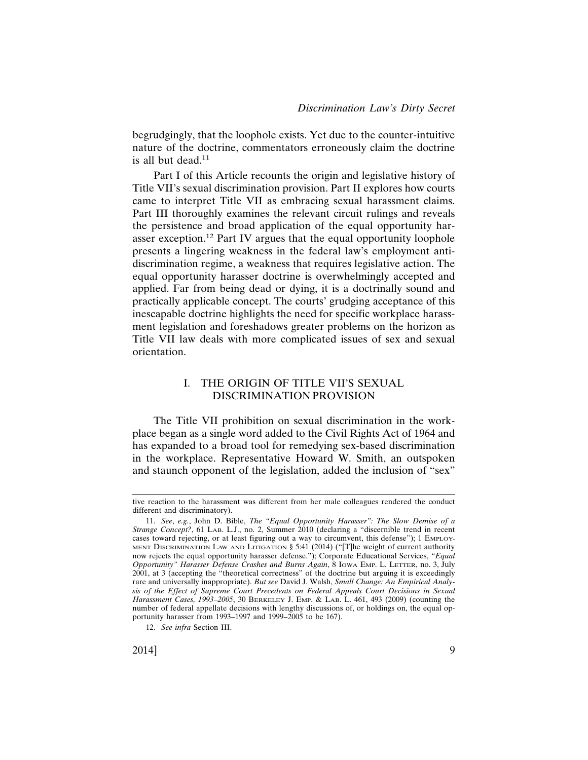begrudgingly, that the loophole exists. Yet due to the counter-intuitive nature of the doctrine, commentators erroneously claim the doctrine is all but dead.<sup>11</sup>

Part I of this Article recounts the origin and legislative history of Title VII's sexual discrimination provision. Part II explores how courts came to interpret Title VII as embracing sexual harassment claims. Part III thoroughly examines the relevant circuit rulings and reveals the persistence and broad application of the equal opportunity harasser exception.<sup>12</sup> Part IV argues that the equal opportunity loophole presents a lingering weakness in the federal law's employment antidiscrimination regime, a weakness that requires legislative action. The equal opportunity harasser doctrine is overwhelmingly accepted and applied. Far from being dead or dying, it is a doctrinally sound and practically applicable concept. The courts' grudging acceptance of this inescapable doctrine highlights the need for specific workplace harassment legislation and foreshadows greater problems on the horizon as Title VII law deals with more complicated issues of sex and sexual orientation.

# I. THE ORIGIN OF TITLE VII'S SEXUAL DISCRIMINATION PROVISION

The Title VII prohibition on sexual discrimination in the workplace began as a single word added to the Civil Rights Act of 1964 and has expanded to a broad tool for remedying sex-based discrimination in the workplace. Representative Howard W. Smith, an outspoken and staunch opponent of the legislation, added the inclusion of "sex"

tive reaction to the harassment was different from her male colleagues rendered the conduct different and discriminatory).

<sup>11.</sup> *See*, *e.g.*, John D. Bible, *The "Equal Opportunity Harasser": The Slow Demise of a Strange Concept?*, 61 LAB. L.J., no. 2, Summer 2010 (declaring a "discernible trend in recent cases toward rejecting, or at least figuring out a way to circumvent, this defense"); 1 EMPLOY-MENT DISCRIMINATION LAW AND LITIGATION § 5:41 (2014) ("[T]he weight of current authority now rejects the equal opportunity harasser defense."); Corporate Educational Services, *"Equal Opportunity" Harasser Defense Crashes and Burns Again*, 8 IOWA EMP. L. LETTER, no. 3, July 2001, at 3 (accepting the "theoretical correctness" of the doctrine but arguing it is exceedingly rare and universally inappropriate). *But see* David J. Walsh, *Small Change: An Empirical Analysis of the Effect of Supreme Court Precedents on Federal Appeals Court Decisions in Sexual Harassment Cases, 1993*–*2005*, 30 BERKELEY J. EMP. & LAB. L. 461, 493 (2009) (counting the number of federal appellate decisions with lengthy discussions of, or holdings on, the equal opportunity harasser from 1993–1997 and 1999–2005 to be 167).

<sup>12.</sup> *See infra* Section III.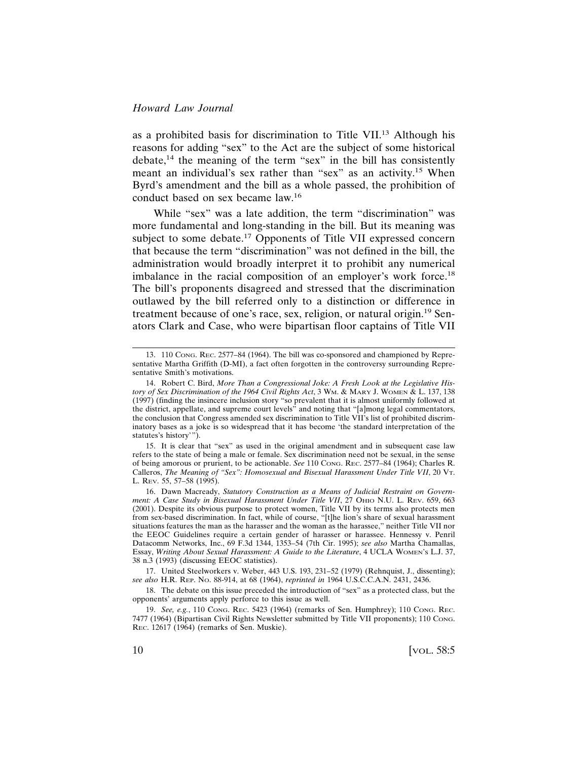as a prohibited basis for discrimination to Title VII.13 Although his reasons for adding "sex" to the Act are the subject of some historical debate, $^{14}$  the meaning of the term "sex" in the bill has consistently meant an individual's sex rather than "sex" as an activity.15 When Byrd's amendment and the bill as a whole passed, the prohibition of conduct based on sex became law.<sup>16</sup>

While "sex" was a late addition, the term "discrimination" was more fundamental and long-standing in the bill. But its meaning was subject to some debate.<sup>17</sup> Opponents of Title VII expressed concern that because the term "discrimination" was not defined in the bill, the administration would broadly interpret it to prohibit any numerical imbalance in the racial composition of an employer's work force.<sup>18</sup> The bill's proponents disagreed and stressed that the discrimination outlawed by the bill referred only to a distinction or difference in treatment because of one's race, sex, religion, or natural origin.19 Senators Clark and Case, who were bipartisan floor captains of Title VII

15. It is clear that "sex" as used in the original amendment and in subsequent case law refers to the state of being a male or female. Sex discrimination need not be sexual, in the sense of being amorous or prurient, to be actionable. *See* 110 CONG. REC. 2577–84 (1964); Charles R. Calleros, *The Meaning of "Sex": Homosexual and Bisexual Harassment Under Title VII*, 20 VT. L. REV. 55, 57–58 (1995).

16. Dawn Macready, *Statutory Construction as a Means of Judicial Restraint on Government: A Case Study in Bisexual Harassment Under Title VII*, 27 OHIO N.U. L. REV. 659, 663 (2001). Despite its obvious purpose to protect women, Title VII by its terms also protects men from sex-based discrimination. In fact, while of course, "[t]he lion's share of sexual harassment situations features the man as the harasser and the woman as the harassee," neither Title VII nor the EEOC Guidelines require a certain gender of harasser or harassee. Hennessy v. Penril Datacomm Networks, Inc., 69 F.3d 1344, 1353–54 (7th Cir. 1995); *see also* Martha Chamallas, Essay, *Writing About Sexual Harassment: A Guide to the Literature*, 4 UCLA WOMEN'S L.J. 37, 38 n.3 (1993) (discussing EEOC statistics).

17. United Steelworkers v. Weber, 443 U.S. 193, 231–52 (1979) (Rehnquist, J., dissenting); *see also* H.R. REP. NO. 88-914, at 68 (1964), *reprinted in* 1964 U.S.C.C.A.N. 2431, 2436.

18. The debate on this issue preceded the introduction of "sex" as a protected class, but the opponents' arguments apply perforce to this issue as well.

19. *See, e.g.*, 110 CONG. REC. 5423 (1964) (remarks of Sen. Humphrey); 110 CONG. REC. 7477 (1964) (Bipartisan Civil Rights Newsletter submitted by Title VII proponents); 110 Cong. REC. 12617 (1964) (remarks of Sen. Muskie).

<sup>13. 110</sup> CONG. REC. 2577–84 (1964). The bill was co-sponsored and championed by Representative Martha Griffith (D-MI), a fact often forgotten in the controversy surrounding Representative Smith's motivations.

<sup>14.</sup> Robert C. Bird, *More Than a Congressional Joke: A Fresh Look at the Legislative History of Sex Discrimination of the 1964 Civil Rights Act*, 3 WM. & MARY J. WOMEN & L. 137, 138 (1997) (finding the insincere inclusion story "so prevalent that it is almost uniformly followed at the district, appellate, and supreme court levels" and noting that "[a]mong legal commentators, the conclusion that Congress amended sex discrimination to Title VII's list of prohibited discriminatory bases as a joke is so widespread that it has become 'the standard interpretation of the statutes's history'").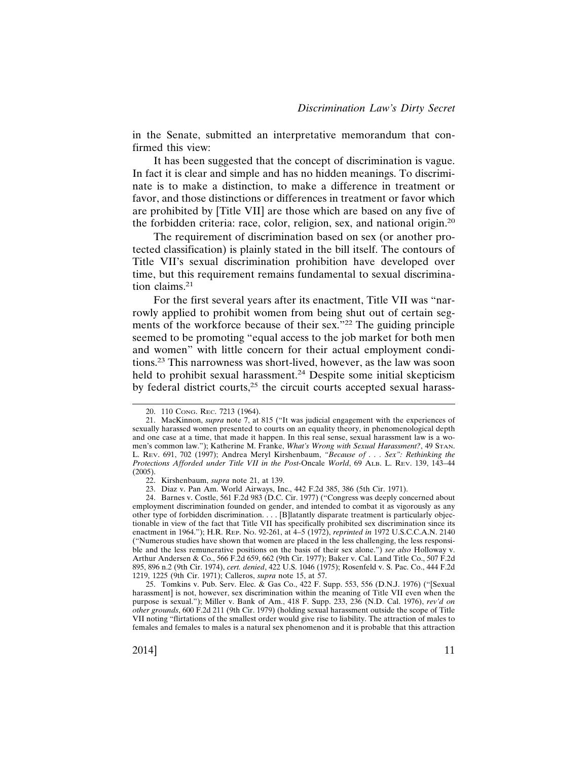in the Senate, submitted an interpretative memorandum that confirmed this view:

It has been suggested that the concept of discrimination is vague. In fact it is clear and simple and has no hidden meanings. To discriminate is to make a distinction, to make a difference in treatment or favor, and those distinctions or differences in treatment or favor which are prohibited by [Title VII] are those which are based on any five of the forbidden criteria: race, color, religion, sex, and national origin.<sup>20</sup>

The requirement of discrimination based on sex (or another protected classification) is plainly stated in the bill itself. The contours of Title VII's sexual discrimination prohibition have developed over time, but this requirement remains fundamental to sexual discrimination claims.21

For the first several years after its enactment, Title VII was "narrowly applied to prohibit women from being shut out of certain segments of the workforce because of their sex."22 The guiding principle seemed to be promoting "equal access to the job market for both men and women" with little concern for their actual employment conditions.23 This narrowness was short-lived, however, as the law was soon held to prohibit sexual harassment.<sup>24</sup> Despite some initial skepticism by federal district courts,25 the circuit courts accepted sexual harass-

<sup>20. 110</sup> CONG. REC. 7213 (1964).

<sup>21.</sup> MacKinnon, *supra* note 7, at 815 ("It was judicial engagement with the experiences of sexually harassed women presented to courts on an equality theory, in phenomenological depth and one case at a time, that made it happen. In this real sense, sexual harassment law is a women's common law."); Katherine M. Franke, *What's Wrong with Sexual Harassment?*, 49 STAN. L. REV. 691, 702 (1997); Andrea Meryl Kirshenbaum, *"Because of . . . Sex": Rethinking the Protections Afforded under Title VII in the Post-*Oncale *World*, 69 ALB. L. REV. 139, 143–44 (2005).

<sup>22.</sup> Kirshenbaum, *supra* note 21, at 139.

<sup>23.</sup> Diaz v. Pan Am. World Airways, Inc., 442 F.2d 385, 386 (5th Cir. 1971).

<sup>24.</sup> Barnes v. Costle, 561 F.2d 983 (D.C. Cir. 1977) ("Congress was deeply concerned about employment discrimination founded on gender, and intended to combat it as vigorously as any other type of forbidden discrimination. . . . [B]latantly disparate treatment is particularly objectionable in view of the fact that Title VII has specifically prohibited sex discrimination since its enactment in 1964."); H.R. REP. NO. 92-261, at 4–5 (1972), *reprinted in* 1972 U.S.C.C.A.N. 2140 ("Numerous studies have shown that women are placed in the less challenging, the less responsible and the less remunerative positions on the basis of their sex alone.") *see also* Holloway v. Arthur Andersen & Co., 566 F.2d 659, 662 (9th Cir. 1977); Baker v. Cal. Land Title Co., 507 F.2d 895, 896 n.2 (9th Cir. 1974), *cert. denied*, 422 U.S. 1046 (1975); Rosenfeld v. S. Pac. Co., 444 F.2d 1219, 1225 (9th Cir. 1971); Calleros, *supra* note 15, at 57.

<sup>25.</sup> Tomkins v. Pub. Serv. Elec. & Gas Co., 422 F. Supp. 553, 556 (D.N.J. 1976) ("[Sexual harassment] is not, however, sex discrimination within the meaning of Title VII even when the purpose is sexual."); Miller v. Bank of Am., 418 F. Supp. 233, 236 (N.D. Cal. 1976), *rev'd on other grounds*, 600 F.2d 211 (9th Cir. 1979) (holding sexual harassment outside the scope of Title VII noting "flirtations of the smallest order would give rise to liability. The attraction of males to females and females to males is a natural sex phenomenon and it is probable that this attraction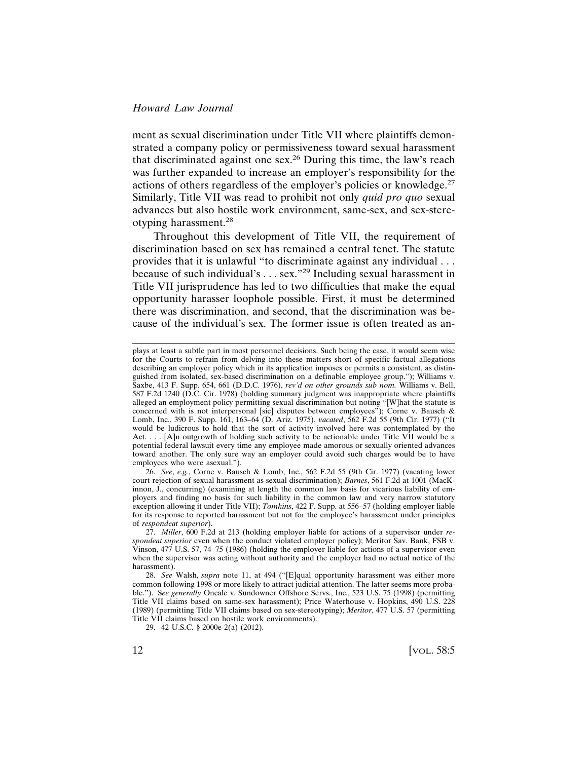ment as sexual discrimination under Title VII where plaintiffs demonstrated a company policy or permissiveness toward sexual harassment that discriminated against one sex.26 During this time, the law's reach was further expanded to increase an employer's responsibility for the actions of others regardless of the employer's policies or knowledge.<sup>27</sup> Similarly, Title VII was read to prohibit not only *quid pro quo* sexual advances but also hostile work environment, same-sex, and sex-stereotyping harassment.<sup>28</sup>

Throughout this development of Title VII, the requirement of discrimination based on sex has remained a central tenet. The statute provides that it is unlawful "to discriminate against any individual . . . because of such individual's . . . sex."29 Including sexual harassment in Title VII jurisprudence has led to two difficulties that make the equal opportunity harasser loophole possible. First, it must be determined there was discrimination, and second, that the discrimination was because of the individual's sex. The former issue is often treated as an-

26. *See*, *e.g.*, Corne v. Bausch & Lomb, Inc., 562 F.2d 55 (9th Cir. 1977) (vacating lower court rejection of sexual harassment as sexual discrimination); *Barnes*, 561 F.2d at 1001 (MacKinnon, J., concurring) (examining at length the common law basis for vicarious liability of employers and finding no basis for such liability in the common law and very narrow statutory exception allowing it under Title VII); *Tomkins*, 422 F. Supp. at 556–57 (holding employer liable for its response to reported harassment but not for the employee's harassment under principles of *respondeat superior*).

plays at least a subtle part in most personnel decisions. Such being the case, it would seem wise for the Courts to refrain from delving into these matters short of specific factual allegations describing an employer policy which in its application imposes or permits a consistent, as distinguished from isolated, sex-based discrimination on a definable employee group."); Williams v. Saxbe, 413 F. Supp. 654, 661 (D.D.C. 1976), *rev'd on other grounds sub nom.* Williams v. Bell, 587 F.2d 1240 (D.C. Cir. 1978) (holding summary judgment was inappropriate where plaintiffs alleged an employment policy permitting sexual discrimination but noting "[W]hat the statute is concerned with is not interpersonal [sic] disputes between employees"); Corne v. Bausch & Lomb, Inc., 390 F. Supp. 161, 163–64 (D. Ariz. 1975), *vacated*, 562 F.2d 55 (9th Cir. 1977) ("It would be ludicrous to hold that the sort of activity involved here was contemplated by the Act. . . . [A]n outgrowth of holding such activity to be actionable under Title VII would be a potential federal lawsuit every time any employee made amorous or sexually oriented advances toward another. The only sure way an employer could avoid such charges would be to have employees who were asexual.").

<sup>27.</sup> *Miller*, 600 F.2d at 213 (holding employer liable for actions of a supervisor under *respondeat superior* even when the conduct violated employer policy); Meritor Sav. Bank, FSB v. Vinson, 477 U.S. 57, 74–75 (1986) (holding the employer liable for actions of a supervisor even when the supervisor was acting without authority and the employer had no actual notice of the harassment).

<sup>28.</sup> *See* Walsh, *supra* note 11, at 494 ("[E]qual opportunity harassment was either more common following 1998 or more likely to attract judicial attention. The latter seems more probable."). S*ee generally* Oncale v. Sundowner Offshore Servs., Inc., 523 U.S. 75 (1998) (permitting Title VII claims based on same-sex harassment); Price Waterhouse v. Hopkins, 490 U.S. 228 (1989) (permitting Title VII claims based on sex-stereotyping); *Meritor*, 477 U.S. 57 (permitting Title VII claims based on hostile work environments).

<sup>29. 42</sup> U.S.C. § 2000e-2(a) (2012).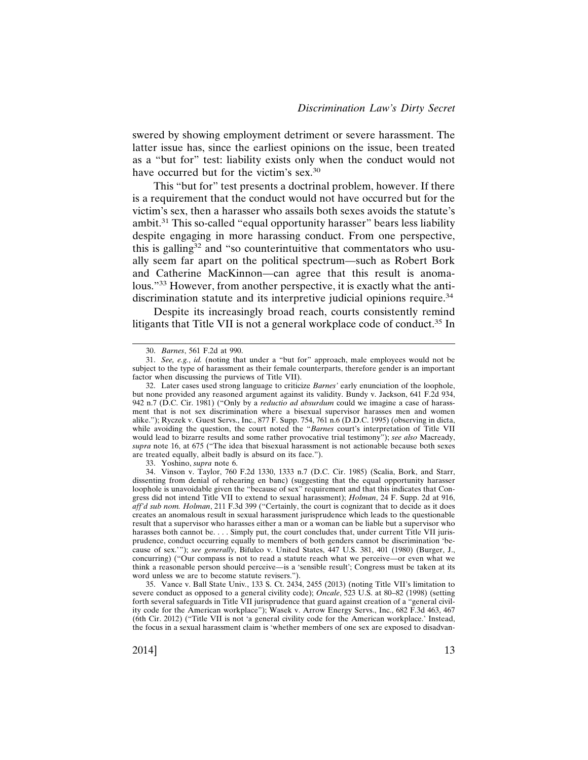swered by showing employment detriment or severe harassment. The latter issue has, since the earliest opinions on the issue, been treated as a "but for" test: liability exists only when the conduct would not have occurred but for the victim's sex.<sup>30</sup>

This "but for" test presents a doctrinal problem, however. If there is a requirement that the conduct would not have occurred but for the victim's sex, then a harasser who assails both sexes avoids the statute's ambit.<sup>31</sup> This so-called "equal opportunity harasser" bears less liability despite engaging in more harassing conduct. From one perspective, this is galling $32$  and "so counterintuitive that commentators who usually seem far apart on the political spectrum—such as Robert Bork and Catherine MacKinnon—can agree that this result is anomalous."33 However, from another perspective, it is exactly what the antidiscrimination statute and its interpretive judicial opinions require.<sup>34</sup>

Despite its increasingly broad reach, courts consistently remind litigants that Title VII is not a general workplace code of conduct.<sup>35</sup> In

33. Yoshino, *supra* note 6.

<sup>30.</sup> *Barnes*, 561 F.2d at 990.

<sup>31.</sup> *See, e.g.*, *id.* (noting that under a "but for" approach, male employees would not be subject to the type of harassment as their female counterparts, therefore gender is an important factor when discussing the purviews of Title VII).

<sup>32.</sup> Later cases used strong language to criticize *Barnes'* early enunciation of the loophole, but none provided any reasoned argument against its validity. Bundy v. Jackson, 641 F.2d 934, 942 n.7 (D.C. Cir. 1981) ("Only by a *reductio ad absurdum* could we imagine a case of harassment that is not sex discrimination where a bisexual supervisor harasses men and women alike."); Ryczek v. Guest Servs., Inc., 877 F. Supp. 754, 761 n.6 (D.D.C. 1995) (observing in dicta, while avoiding the question, the court noted the "*Barnes* court's interpretation of Title VII would lead to bizarre results and some rather provocative trial testimony"); *see also* Macready, *supra* note 16, at 675 ("The idea that bisexual harassment is not actionable because both sexes are treated equally, albeit badly is absurd on its face.").

<sup>34.</sup> Vinson v. Taylor, 760 F.2d 1330, 1333 n.7 (D.C. Cir. 1985) (Scalia, Bork, and Starr, dissenting from denial of rehearing en banc) (suggesting that the equal opportunity harasser loophole is unavoidable given the "because of sex" requirement and that this indicates that Congress did not intend Title VII to extend to sexual harassment); *Holman*, 24 F. Supp. 2d at 916, *aff'd sub nom. Holman*, 211 F.3d 399 ("Certainly, the court is cognizant that to decide as it does creates an anomalous result in sexual harassment jurisprudence which leads to the questionable result that a supervisor who harasses either a man or a woman can be liable but a supervisor who harasses both cannot be. . . . Simply put, the court concludes that, under current Title VII jurisprudence, conduct occurring equally to members of both genders cannot be discrimination 'because of sex.'"); *see generally*, Bifulco v. United States, 447 U.S. 381, 401 (1980) (Burger, J., concurring) ("Our compass is not to read a statute reach what we perceive—or even what we think a reasonable person should perceive—is a 'sensible result'; Congress must be taken at its word unless we are to become statute revisers.").

<sup>35.</sup> Vance v. Ball State Univ*.*, 133 S. Ct. 2434, 2455 (2013) (noting Title VII's limitation to severe conduct as opposed to a general civility code); *Oncale*, 523 U.S. at 80–82 (1998) (setting forth several safeguards in Title VII jurisprudence that guard against creation of a "general civility code for the American workplace"); Wasek v. Arrow Energy Servs., Inc., 682 F.3d 463, 467 (6th Cir. 2012) ("Title VII is not 'a general civility code for the American workplace.' Instead, the focus in a sexual harassment claim is 'whether members of one sex are exposed to disadvan-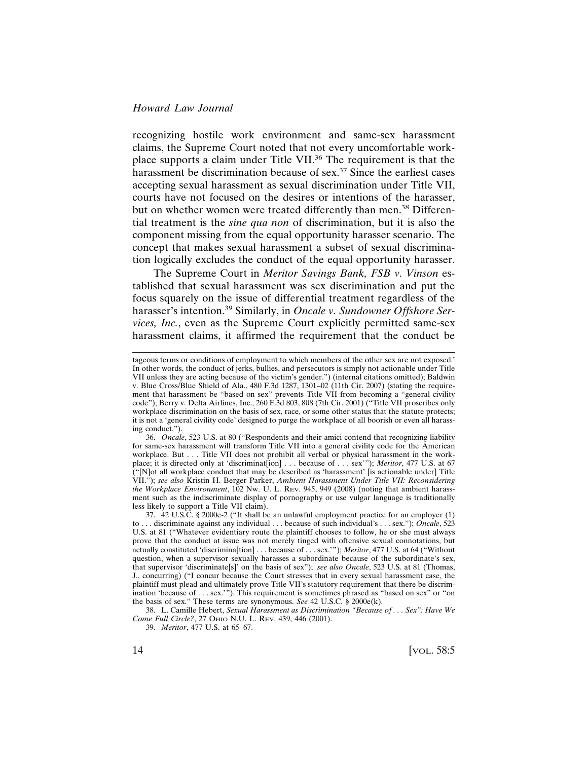recognizing hostile work environment and same-sex harassment claims, the Supreme Court noted that not every uncomfortable workplace supports a claim under Title VII.36 The requirement is that the harassment be discrimination because of sex.<sup>37</sup> Since the earliest cases accepting sexual harassment as sexual discrimination under Title VII, courts have not focused on the desires or intentions of the harasser, but on whether women were treated differently than men.<sup>38</sup> Differential treatment is the *sine qua non* of discrimination, but it is also the component missing from the equal opportunity harasser scenario. The concept that makes sexual harassment a subset of sexual discrimination logically excludes the conduct of the equal opportunity harasser.

The Supreme Court in *Meritor Savings Bank, FSB v. Vinson* established that sexual harassment was sex discrimination and put the focus squarely on the issue of differential treatment regardless of the harasser's intention.39 Similarly, in *Oncale v. Sundowner Offshore Services, Inc.*, even as the Supreme Court explicitly permitted same-sex harassment claims, it affirmed the requirement that the conduct be

38. L. Camille Hebert, *Sexual Harassment as Discrimination "Because of . . . Sex": Have We Come Full Circle?*, 27 OHIO N.U. L. REV. 439, 446 (2001).

39. *Meritor*, 477 U.S. at 65–67.

tageous terms or conditions of employment to which members of the other sex are not exposed.' In other words, the conduct of jerks, bullies, and persecutors is simply not actionable under Title VII unless they are acting because of the victim's gender.") (internal citations omitted); Baldwin v. Blue Cross/Blue Shield of Ala., 480 F.3d 1287, 1301–02 (11th Cir. 2007) (stating the requirement that harassment be "based on sex" prevents Title VII from becoming a "general civility code"); Berry v. Delta Airlines, Inc., 260 F.3d 803, 808 (7th Cir. 2001) ("Title VII proscribes only workplace discrimination on the basis of sex, race, or some other status that the statute protects; it is not a 'general civility code' designed to purge the workplace of all boorish or even all harassing conduct.").

<sup>36.</sup> *Oncale*, 523 U.S. at 80 ("Respondents and their amici contend that recognizing liability for same-sex harassment will transform Title VII into a general civility code for the American workplace. But . . . Title VII does not prohibit all verbal or physical harassment in the workplace; it is directed only at 'discriminat<sub>[ion]</sub> . . . because of . . . sex'"); *Meritor*, 477 U.S. at 67 ("[N]ot all workplace conduct that may be described as 'harassment' [is actionable under] Title VII."); *see also* Kristin H. Berger Parker, *Ambient Harassment Under Title VII: Reconsidering the Workplace Environment*, 102 NW. U. L. REV. 945, 949 (2008) (noting that ambient harassment such as the indiscriminate display of pornography or use vulgar language is traditionally less likely to support a Title VII claim).

<sup>37. 42</sup> U.S.C. § 2000e-2 ("It shall be an unlawful employment practice for an employer (1) to . . . discriminate against any individual . . . because of such individual's . . . sex."); *Oncale*, 523 U.S. at 81 ("Whatever evidentiary route the plaintiff chooses to follow, he or she must always prove that the conduct at issue was not merely tinged with offensive sexual connotations, but actually constituted 'discrimina[tion] . . . because of . . . sex.'"); *Meritor*, 477 U.S. at 64 ("Without question, when a supervisor sexually harasses a subordinate because of the subordinate's sex, that supervisor 'discriminate[s]' on the basis of sex"); *see also Oncale*, 523 U.S. at 81 (Thomas, J., concurring) ("I concur because the Court stresses that in every sexual harassment case, the plaintiff must plead and ultimately prove Title VII's statutory requirement that there be discrimination 'because of . . . sex.'"). This requirement is sometimes phrased as "based on sex" or "on the basis of sex." These terms are synonymous. *See* 42 U.S.C. § 2000e(k).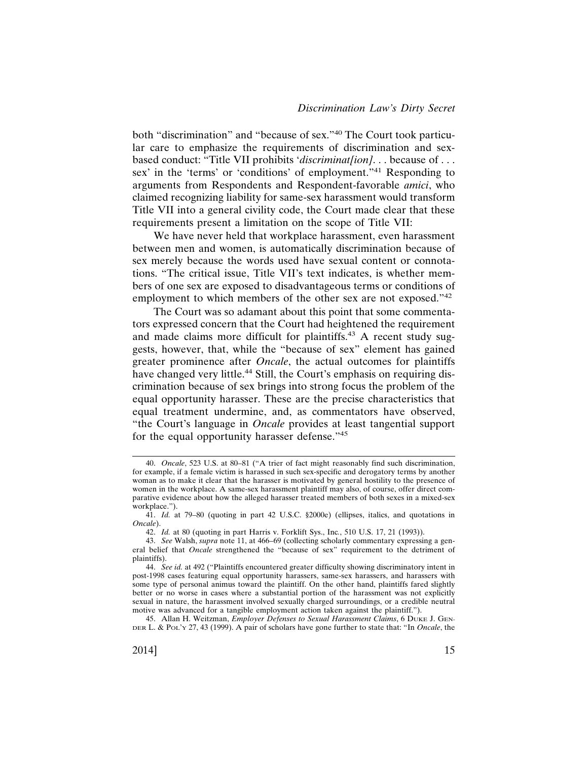both "discrimination" and "because of sex."40 The Court took particular care to emphasize the requirements of discrimination and sexbased conduct: "Title VII prohibits '*discriminat[ion]*. . . because of . . . sex' in the 'terms' or 'conditions' of employment."<sup>41</sup> Responding to arguments from Respondents and Respondent-favorable *amici*, who claimed recognizing liability for same-sex harassment would transform Title VII into a general civility code, the Court made clear that these requirements present a limitation on the scope of Title VII:

We have never held that workplace harassment, even harassment between men and women, is automatically discrimination because of sex merely because the words used have sexual content or connotations. "The critical issue, Title VII's text indicates, is whether members of one sex are exposed to disadvantageous terms or conditions of employment to which members of the other sex are not exposed."<sup>42</sup>

The Court was so adamant about this point that some commentators expressed concern that the Court had heightened the requirement and made claims more difficult for plaintiffs.<sup>43</sup> A recent study suggests, however, that, while the "because of sex" element has gained greater prominence after *Oncale*, the actual outcomes for plaintiffs have changed very little.<sup>44</sup> Still, the Court's emphasis on requiring discrimination because of sex brings into strong focus the problem of the equal opportunity harasser. These are the precise characteristics that equal treatment undermine, and, as commentators have observed, "the Court's language in *Oncale* provides at least tangential support for the equal opportunity harasser defense."45

<sup>40.</sup> *Oncale*, 523 U.S. at 80–81 ("A trier of fact might reasonably find such discrimination, for example, if a female victim is harassed in such sex-specific and derogatory terms by another woman as to make it clear that the harasser is motivated by general hostility to the presence of women in the workplace. A same-sex harassment plaintiff may also, of course, offer direct comparative evidence about how the alleged harasser treated members of both sexes in a mixed-sex workplace.").

<sup>41.</sup> *Id.* at 79–80 (quoting in part 42 U.S.C. §2000e) (ellipses, italics, and quotations in *Oncale*).

<sup>42.</sup> *Id.* at 80 (quoting in part Harris v. Forklift Sys., Inc*.*, 510 U.S. 17, 21 (1993)).

<sup>43.</sup> *See* Walsh, *supra* note 11, at 466–69 (collecting scholarly commentary expressing a general belief that *Oncale* strengthened the "because of sex" requirement to the detriment of plaintiffs).

<sup>44.</sup> *See id.* at 492 ("Plaintiffs encountered greater difficulty showing discriminatory intent in post-1998 cases featuring equal opportunity harassers, same-sex harassers, and harassers with some type of personal animus toward the plaintiff. On the other hand, plaintiffs fared slightly better or no worse in cases where a substantial portion of the harassment was not explicitly sexual in nature, the harassment involved sexually charged surroundings, or a credible neutral motive was advanced for a tangible employment action taken against the plaintiff.").

<sup>45.</sup> Allan H. Weitzman, *Employer Defenses to Sexual Harassment Claims*, 6 DUKE J. GEN-DER L. & POL'Y 27, 43 (1999). A pair of scholars have gone further to state that: "In *Oncale*, the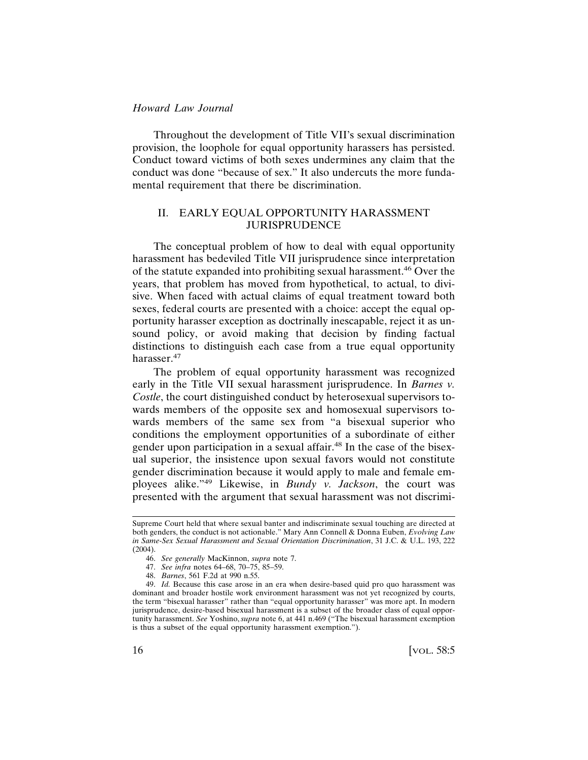Throughout the development of Title VII's sexual discrimination provision, the loophole for equal opportunity harassers has persisted. Conduct toward victims of both sexes undermines any claim that the conduct was done "because of sex." It also undercuts the more fundamental requirement that there be discrimination.

## II. EARLY EQUAL OPPORTUNITY HARASSMENT JURISPRUDENCE

The conceptual problem of how to deal with equal opportunity harassment has bedeviled Title VII jurisprudence since interpretation of the statute expanded into prohibiting sexual harassment.46 Over the years, that problem has moved from hypothetical, to actual, to divisive. When faced with actual claims of equal treatment toward both sexes, federal courts are presented with a choice: accept the equal opportunity harasser exception as doctrinally inescapable, reject it as unsound policy, or avoid making that decision by finding factual distinctions to distinguish each case from a true equal opportunity harasser.47

The problem of equal opportunity harassment was recognized early in the Title VII sexual harassment jurisprudence. In *Barnes v. Costle*, the court distinguished conduct by heterosexual supervisors towards members of the opposite sex and homosexual supervisors towards members of the same sex from "a bisexual superior who conditions the employment opportunities of a subordinate of either gender upon participation in a sexual affair.<sup>48</sup> In the case of the bisexual superior, the insistence upon sexual favors would not constitute gender discrimination because it would apply to male and female employees alike."49 Likewise, in *Bundy v. Jackson*, the court was presented with the argument that sexual harassment was not discrimi-

Supreme Court held that where sexual banter and indiscriminate sexual touching are directed at both genders, the conduct is not actionable." Mary Ann Connell & Donna Euben, *Evolving Law in Same-Sex Sexual Harassment and Sexual Orientation Discrimination*, 31 J.C. & U.L. 193, 222 (2004).

<sup>46.</sup> *See generally* MacKinnon, *supra* note 7.

<sup>47.</sup> *See infra* notes 64–68, 70–75, 85–59.

<sup>48.</sup> *Barnes*, 561 F.2d at 990 n.55.

<sup>49.</sup> *Id.* Because this case arose in an era when desire-based quid pro quo harassment was dominant and broader hostile work environment harassment was not yet recognized by courts, the term "bisexual harasser" rather than "equal opportunity harasser" was more apt. In modern jurisprudence, desire-based bisexual harassment is a subset of the broader class of equal opportunity harassment. *See* Yoshino,*supra* note 6, at 441 n.469 ("The bisexual harassment exemption is thus a subset of the equal opportunity harassment exemption.").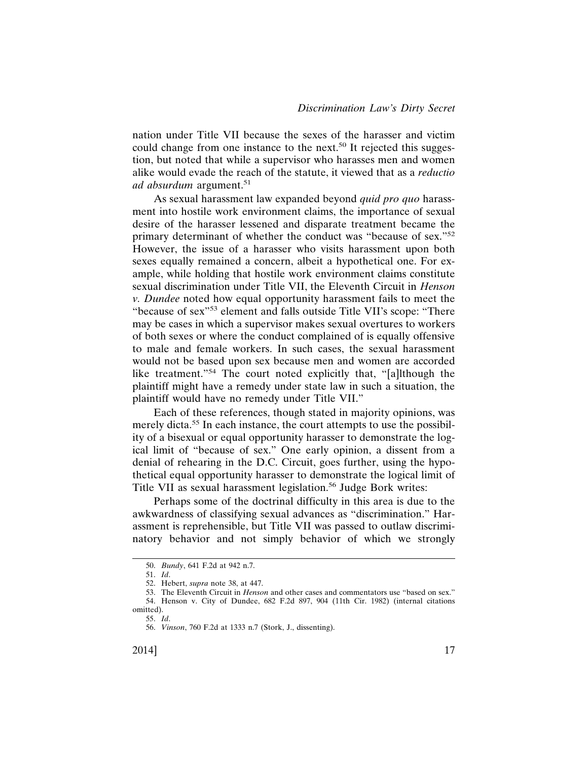nation under Title VII because the sexes of the harasser and victim could change from one instance to the next.<sup>50</sup> It rejected this suggestion, but noted that while a supervisor who harasses men and women alike would evade the reach of the statute, it viewed that as a *reductio ad absurdum* argument.<sup>51</sup>

As sexual harassment law expanded beyond *quid pro quo* harassment into hostile work environment claims, the importance of sexual desire of the harasser lessened and disparate treatment became the primary determinant of whether the conduct was "because of sex."<sup>52</sup> However, the issue of a harasser who visits harassment upon both sexes equally remained a concern, albeit a hypothetical one. For example, while holding that hostile work environment claims constitute sexual discrimination under Title VII, the Eleventh Circuit in *Henson v. Dundee* noted how equal opportunity harassment fails to meet the "because of sex"53 element and falls outside Title VII's scope: "There may be cases in which a supervisor makes sexual overtures to workers of both sexes or where the conduct complained of is equally offensive to male and female workers. In such cases, the sexual harassment would not be based upon sex because men and women are accorded like treatment."54 The court noted explicitly that, "[a]lthough the plaintiff might have a remedy under state law in such a situation, the plaintiff would have no remedy under Title VII."

Each of these references, though stated in majority opinions, was merely dicta.<sup>55</sup> In each instance, the court attempts to use the possibility of a bisexual or equal opportunity harasser to demonstrate the logical limit of "because of sex." One early opinion, a dissent from a denial of rehearing in the D.C. Circuit, goes further, using the hypothetical equal opportunity harasser to demonstrate the logical limit of Title VII as sexual harassment legislation.<sup>56</sup> Judge Bork writes:

Perhaps some of the doctrinal difficulty in this area is due to the awkwardness of classifying sexual advances as "discrimination." Harassment is reprehensible, but Title VII was passed to outlaw discriminatory behavior and not simply behavior of which we strongly

55. *Id*.

<sup>50.</sup> *Bundy*, 641 F.2d at 942 n.7.

<sup>51.</sup> *Id*.

<sup>52.</sup> Hebert, *supra* note 38, at 447.

<sup>53.</sup> The Eleventh Circuit in *Henson* and other cases and commentators use "based on sex." 54. Henson v. City of Dundee, 682 F.2d 897, 904 (11th Cir. 1982) (internal citations omitted).

<sup>56.</sup> *Vinson*, 760 F.2d at 1333 n.7 (Stork, J., dissenting).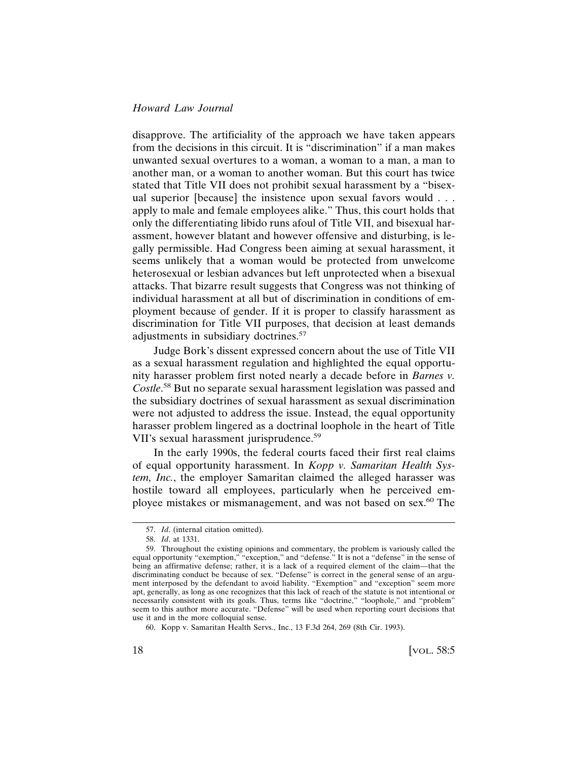disapprove. The artificiality of the approach we have taken appears from the decisions in this circuit. It is "discrimination" if a man makes unwanted sexual overtures to a woman, a woman to a man, a man to another man, or a woman to another woman. But this court has twice stated that Title VII does not prohibit sexual harassment by a "bisexual superior [because] the insistence upon sexual favors would . . . apply to male and female employees alike." Thus, this court holds that only the differentiating libido runs afoul of Title VII, and bisexual harassment, however blatant and however offensive and disturbing, is legally permissible. Had Congress been aiming at sexual harassment, it seems unlikely that a woman would be protected from unwelcome heterosexual or lesbian advances but left unprotected when a bisexual attacks. That bizarre result suggests that Congress was not thinking of individual harassment at all but of discrimination in conditions of employment because of gender. If it is proper to classify harassment as discrimination for Title VII purposes, that decision at least demands adjustments in subsidiary doctrines.<sup>57</sup>

Judge Bork's dissent expressed concern about the use of Title VII as a sexual harassment regulation and highlighted the equal opportunity harasser problem first noted nearly a decade before in *Barnes v. Costle*. 58 But no separate sexual harassment legislation was passed and the subsidiary doctrines of sexual harassment as sexual discrimination were not adjusted to address the issue. Instead, the equal opportunity harasser problem lingered as a doctrinal loophole in the heart of Title VII's sexual harassment jurisprudence.<sup>59</sup>

In the early 1990s, the federal courts faced their first real claims of equal opportunity harassment. In *Kopp v. Samaritan Health System, Inc.*, the employer Samaritan claimed the alleged harasser was hostile toward all employees, particularly when he perceived employee mistakes or mismanagement, and was not based on sex.60 The

<sup>57.</sup> *Id*. (internal citation omitted).

<sup>58.</sup> *Id*. at 1331.

<sup>59.</sup> Throughout the existing opinions and commentary, the problem is variously called the equal opportunity "exemption," "exception," and "defense." It is not a "defense" in the sense of being an affirmative defense; rather, it is a lack of a required element of the claim—that the discriminating conduct be because of sex. "Defense" is correct in the general sense of an argument interposed by the defendant to avoid liability. "Exemption" and "exception" seem more apt, generally, as long as one recognizes that this lack of reach of the statute is not intentional or necessarily consistent with its goals. Thus, terms like "doctrine," "loophole," and "problem" seem to this author more accurate. "Defense" will be used when reporting court decisions that use it and in the more colloquial sense.

<sup>60.</sup> Kopp v. Samaritan Health Servs., Inc., 13 F.3d 264, 269 (8th Cir. 1993).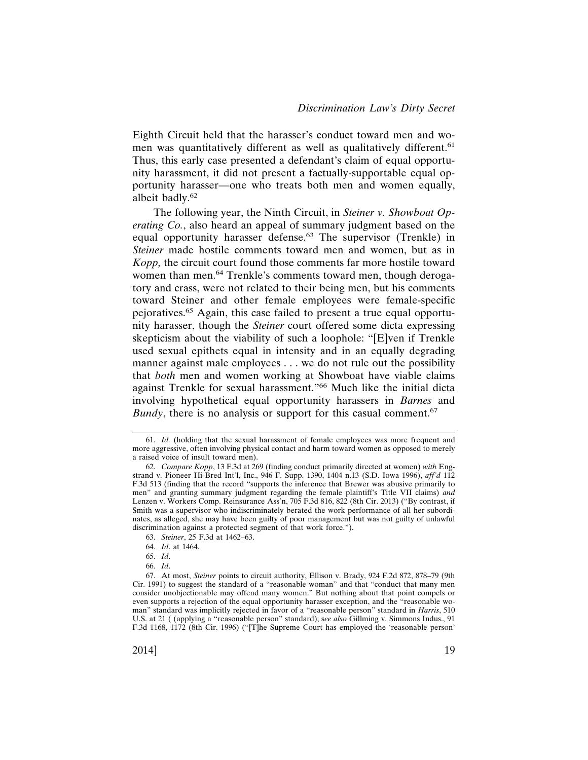Eighth Circuit held that the harasser's conduct toward men and women was quantitatively different as well as qualitatively different.<sup>61</sup> Thus, this early case presented a defendant's claim of equal opportunity harassment, it did not present a factually-supportable equal opportunity harasser—one who treats both men and women equally, albeit badly.<sup>62</sup>

The following year, the Ninth Circuit, in *Steiner v. Showboat Operating Co.*, also heard an appeal of summary judgment based on the equal opportunity harasser defense.<sup>63</sup> The supervisor (Trenkle) in *Steiner* made hostile comments toward men and women, but as in *Kopp,* the circuit court found those comments far more hostile toward women than men.<sup>64</sup> Trenkle's comments toward men, though derogatory and crass, were not related to their being men, but his comments toward Steiner and other female employees were female-specific pejoratives.65 Again, this case failed to present a true equal opportunity harasser, though the *Steiner* court offered some dicta expressing skepticism about the viability of such a loophole: "[E]ven if Trenkle used sexual epithets equal in intensity and in an equally degrading manner against male employees . . . we do not rule out the possibility that *both* men and women working at Showboat have viable claims against Trenkle for sexual harassment."66 Much like the initial dicta involving hypothetical equal opportunity harassers in *Barnes* and *Bundy*, there is no analysis or support for this casual comment.<sup>67</sup>

<sup>61.</sup> *Id.* (holding that the sexual harassment of female employees was more frequent and more aggressive, often involving physical contact and harm toward women as opposed to merely a raised voice of insult toward men).

<sup>62.</sup> *Compare Kopp*, 13 F.3d at 269 (finding conduct primarily directed at women) *with* Engstrand v. Pioneer Hi-Bred Int'l, Inc., 946 F. Supp. 1390, 1404 n.13 (S.D. Iowa 1996), *aff'd* 112 F.3d 513 (finding that the record "supports the inference that Brewer was abusive primarily to men" and granting summary judgment regarding the female plaintiff's Title VII claims) *and* Lenzen v. Workers Comp. Reinsurance Ass'n, 705 F.3d 816, 822 (8th Cir. 2013) ("By contrast, if Smith was a supervisor who indiscriminately berated the work performance of all her subordinates, as alleged, she may have been guilty of poor management but was not guilty of unlawful discrimination against a protected segment of that work force.").

<sup>63.</sup> *Steiner*, 25 F.3d at 1462–63.

<sup>64.</sup> *Id*. at 1464.

<sup>65.</sup> *Id*.

<sup>66.</sup> *Id*.

<sup>67.</sup> At most, *Steiner* points to circuit authority, Ellison v. Brady, 924 F.2d 872, 878–79 (9th Cir. 1991) to suggest the standard of a "reasonable woman" and that "conduct that many men consider unobjectionable may offend many women." But nothing about that point compels or even supports a rejection of the equal opportunity harasser exception, and the "reasonable woman" standard was implicitly rejected in favor of a "reasonable person" standard in *Harris*, 510 U.S. at 21 ( (applying a "reasonable person" standard); s*ee also* Gillming v. Simmons Indus., 91 F.3d 1168, 1172 (8th Cir. 1996) ("[T]he Supreme Court has employed the 'reasonable person'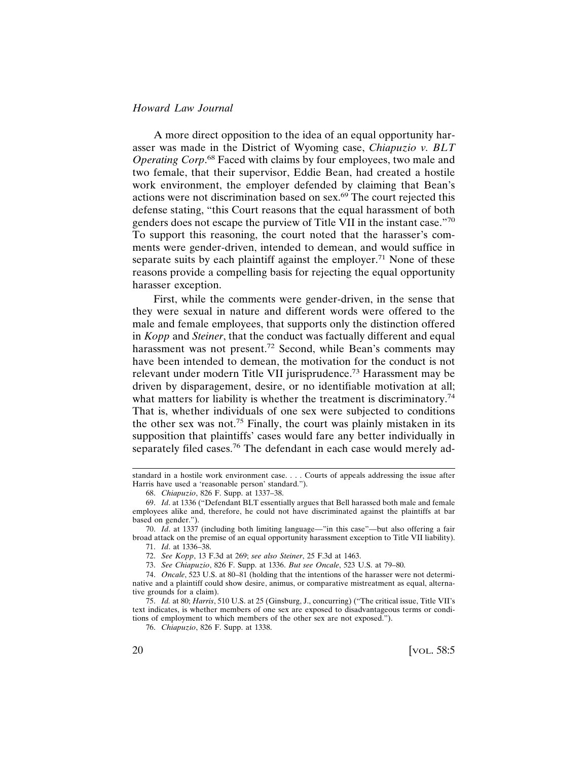A more direct opposition to the idea of an equal opportunity harasser was made in the District of Wyoming case, *Chiapuzio v. BLT Operating Corp*. 68 Faced with claims by four employees, two male and two female, that their supervisor, Eddie Bean, had created a hostile work environment, the employer defended by claiming that Bean's actions were not discrimination based on sex.69 The court rejected this defense stating, "this Court reasons that the equal harassment of both genders does not escape the purview of Title VII in the instant case."<sup>70</sup> To support this reasoning, the court noted that the harasser's comments were gender-driven, intended to demean, and would suffice in separate suits by each plaintiff against the employer.<sup>71</sup> None of these reasons provide a compelling basis for rejecting the equal opportunity harasser exception.

First, while the comments were gender-driven, in the sense that they were sexual in nature and different words were offered to the male and female employees, that supports only the distinction offered in *Kopp* and *Steiner*, that the conduct was factually different and equal harassment was not present.<sup>72</sup> Second, while Bean's comments may have been intended to demean, the motivation for the conduct is not relevant under modern Title VII jurisprudence.73 Harassment may be driven by disparagement, desire, or no identifiable motivation at all; what matters for liability is whether the treatment is discriminatory.<sup>74</sup> That is, whether individuals of one sex were subjected to conditions the other sex was not.75 Finally, the court was plainly mistaken in its supposition that plaintiffs' cases would fare any better individually in separately filed cases.<sup>76</sup> The defendant in each case would merely ad-

standard in a hostile work environment case. . . . Courts of appeals addressing the issue after Harris have used a 'reasonable person' standard.").

<sup>68.</sup> *Chiapuzio*, 826 F. Supp. at 1337–38.

<sup>69.</sup> *Id*. at 1336 ("Defendant BLT essentially argues that Bell harassed both male and female employees alike and, therefore, he could not have discriminated against the plaintiffs at bar based on gender.").

<sup>70.</sup> *Id*. at 1337 (including both limiting language—"in this case"—but also offering a fair broad attack on the premise of an equal opportunity harassment exception to Title VII liability). 71. *Id*. at 1336–38.

<sup>72.</sup> *See Kopp*, 13 F.3d at 269; *see also Steiner*, 25 F.3d at 1463.

<sup>73.</sup> *See Chiapuzio*, 826 F. Supp. at 1336. *But see Oncale*, 523 U.S. at 79–80.

<sup>74.</sup> *Oncale*, 523 U.S. at 80–81 (holding that the intentions of the harasser were not determinative and a plaintiff could show desire, animus, or comparative mistreatment as equal, alternative grounds for a claim).

<sup>75.</sup> *Id.* at 80; *Harris*, 510 U.S. at 25 (Ginsburg, J., concurring) ("The critical issue, Title VII's text indicates, is whether members of one sex are exposed to disadvantageous terms or conditions of employment to which members of the other sex are not exposed.").

<sup>76.</sup> *Chiapuzio*, 826 F. Supp. at 1338.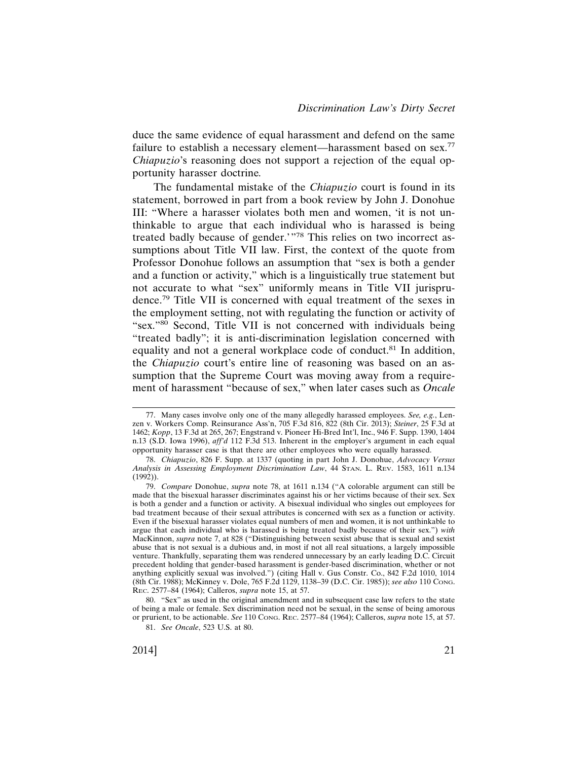duce the same evidence of equal harassment and defend on the same failure to establish a necessary element—harassment based on sex.<sup>77</sup> *Chiapuzio*'s reasoning does not support a rejection of the equal opportunity harasser doctrine*.*

The fundamental mistake of the *Chiapuzio* court is found in its statement, borrowed in part from a book review by John J. Donohue III: "Where a harasser violates both men and women, 'it is not unthinkable to argue that each individual who is harassed is being treated badly because of gender.'"78 This relies on two incorrect assumptions about Title VII law. First, the context of the quote from Professor Donohue follows an assumption that "sex is both a gender and a function or activity," which is a linguistically true statement but not accurate to what "sex" uniformly means in Title VII jurisprudence.79 Title VII is concerned with equal treatment of the sexes in the employment setting, not with regulating the function or activity of "sex."80 Second, Title VII is not concerned with individuals being "treated badly"; it is anti-discrimination legislation concerned with equality and not a general workplace code of conduct.<sup>81</sup> In addition, the *Chiapuzio* court's entire line of reasoning was based on an assumption that the Supreme Court was moving away from a requirement of harassment "because of sex," when later cases such as *Oncale*

<sup>77.</sup> Many cases involve only one of the many allegedly harassed employees. *See, e.g.*, Lenzen v. Workers Comp. Reinsurance Ass'n, 705 F.3d 816, 822 (8th Cir. 2013); *Steiner*, 25 F.3d at 1462; *Kopp*, 13 F.3d at 265, 267; Engstrand v. Pioneer Hi-Bred Int'l, Inc., 946 F. Supp. 1390, 1404 n.13 (S.D. Iowa 1996), *aff'd* 112 F.3d 513. Inherent in the employer's argument in each equal opportunity harasser case is that there are other employees who were equally harassed.

<sup>78.</sup> *Chiapuzio*, 826 F. Supp. at 1337 (quoting in part John J. Donohue, *Advocacy Versus Analysis in Assessing Employment Discrimination Law*, 44 STAN. L. REV. 1583, 1611 n.134  $(1992)$ ).

<sup>79.</sup> *Compare* Donohue, *supra* note 78, at 1611 n.134 ("A colorable argument can still be made that the bisexual harasser discriminates against his or her victims because of their sex. Sex is both a gender and a function or activity. A bisexual individual who singles out employees for bad treatment because of their sexual attributes is concerned with sex as a function or activity. Even if the bisexual harasser violates equal numbers of men and women, it is not unthinkable to argue that each individual who is harassed is being treated badly because of their sex.") *with* MacKinnon, *supra* note 7, at 828 ("Distinguishing between sexist abuse that is sexual and sexist abuse that is not sexual is a dubious and, in most if not all real situations, a largely impossible venture. Thankfully, separating them was rendered unnecessary by an early leading D.C. Circuit precedent holding that gender-based harassment is gender-based discrimination, whether or not anything explicitly sexual was involved.") (citing Hall v. Gus Constr. Co., 842 F.2d 1010, 1014 (8th Cir. 1988); McKinney v. Dole, 765 F.2d 1129, 1138–39 (D.C. Cir. 1985)); *see also* 110 CONG. REC. 2577–84 (1964); Calleros, *supra* note 15, at 57.

<sup>80. &</sup>quot;Sex" as used in the original amendment and in subsequent case law refers to the state of being a male or female. Sex discrimination need not be sexual, in the sense of being amorous or prurient, to be actionable. *See* 110 CONG. REC. 2577–84 (1964); Calleros, *supra* note 15, at 57.

<sup>81.</sup> *See Oncale*, 523 U.S. at 80.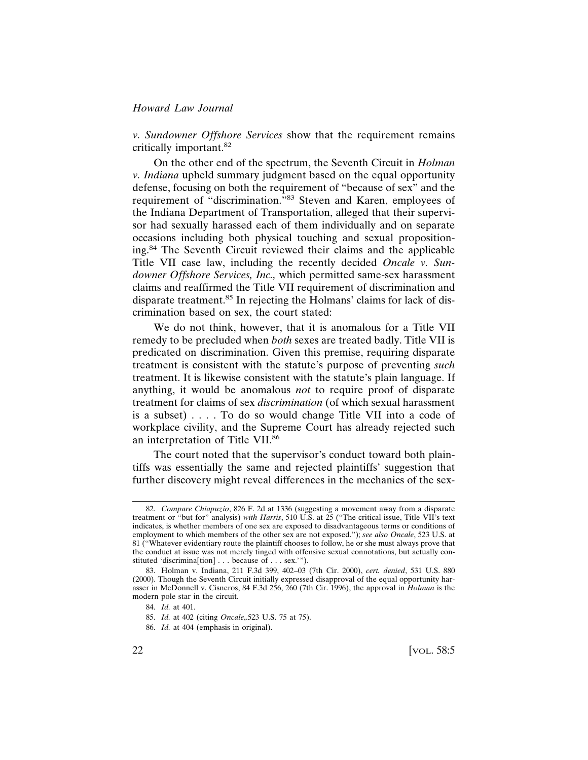*v. Sundowner Offshore Services* show that the requirement remains critically important.<sup>82</sup>

On the other end of the spectrum, the Seventh Circuit in *Holman v. Indiana* upheld summary judgment based on the equal opportunity defense, focusing on both the requirement of "because of sex" and the requirement of "discrimination."83 Steven and Karen, employees of the Indiana Department of Transportation, alleged that their supervisor had sexually harassed each of them individually and on separate occasions including both physical touching and sexual propositioning.84 The Seventh Circuit reviewed their claims and the applicable Title VII case law, including the recently decided *Oncale v. Sundowner Offshore Services, Inc.,* which permitted same-sex harassment claims and reaffirmed the Title VII requirement of discrimination and disparate treatment.85 In rejecting the Holmans' claims for lack of discrimination based on sex, the court stated:

We do not think, however, that it is anomalous for a Title VII remedy to be precluded when *both* sexes are treated badly. Title VII is predicated on discrimination. Given this premise, requiring disparate treatment is consistent with the statute's purpose of preventing *such* treatment. It is likewise consistent with the statute's plain language. If anything, it would be anomalous *not* to require proof of disparate treatment for claims of sex *discrimination* (of which sexual harassment is a subset) . . . . To do so would change Title VII into a code of workplace civility, and the Supreme Court has already rejected such an interpretation of Title VII.<sup>86</sup>

The court noted that the supervisor's conduct toward both plaintiffs was essentially the same and rejected plaintiffs' suggestion that further discovery might reveal differences in the mechanics of the sex-

<sup>82.</sup> *Compare Chiapuzio*, 826 F. 2d at 1336 (suggesting a movement away from a disparate treatment or "but for" analysis) *with Harris*, 510 U.S. at 25 ("The critical issue, Title VII's text indicates, is whether members of one sex are exposed to disadvantageous terms or conditions of employment to which members of the other sex are not exposed."); *see also Oncale*, 523 U.S. at 81 ("Whatever evidentiary route the plaintiff chooses to follow, he or she must always prove that the conduct at issue was not merely tinged with offensive sexual connotations, but actually constituted 'discrimina[tion] . . . because of . . . sex.'").

<sup>83.</sup> Holman v. Indiana, 211 F.3d 399, 402–03 (7th Cir. 2000), *cert. denied*, 531 U.S. 880 (2000). Though the Seventh Circuit initially expressed disapproval of the equal opportunity harasser in McDonnell v. Cisneros, 84 F.3d 256, 260 (7th Cir. 1996), the approval in *Holman* is the modern pole star in the circuit.

<sup>84.</sup> *Id.* at 401.

<sup>85.</sup> *Id.* at 402 (citing *Oncale*,.523 U.S. 75 at 75).

<sup>86.</sup> *Id.* at 404 (emphasis in original).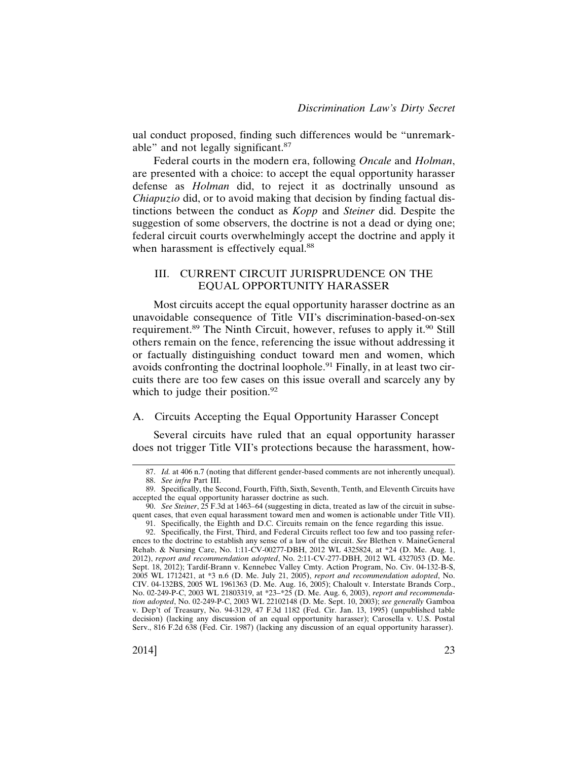ual conduct proposed, finding such differences would be "unremarkable" and not legally significant.<sup>87</sup>

Federal courts in the modern era, following *Oncale* and *Holman*, are presented with a choice: to accept the equal opportunity harasser defense as *Holman* did, to reject it as doctrinally unsound as *Chiapuzio* did, or to avoid making that decision by finding factual distinctions between the conduct as *Kopp* and *Steiner* did. Despite the suggestion of some observers, the doctrine is not a dead or dying one; federal circuit courts overwhelmingly accept the doctrine and apply it when harassment is effectively equal.<sup>88</sup>

## III. CURRENT CIRCUIT JURISPRUDENCE ON THE EQUAL OPPORTUNITY HARASSER

Most circuits accept the equal opportunity harasser doctrine as an unavoidable consequence of Title VII's discrimination-based-on-sex requirement.89 The Ninth Circuit, however, refuses to apply it.90 Still others remain on the fence, referencing the issue without addressing it or factually distinguishing conduct toward men and women, which avoids confronting the doctrinal loophole.<sup>91</sup> Finally, in at least two circuits there are too few cases on this issue overall and scarcely any by which to judge their position. $92$ 

# A. Circuits Accepting the Equal Opportunity Harasser Concept

Several circuits have ruled that an equal opportunity harasser does not trigger Title VII's protections because the harassment, how-

<sup>87.</sup> *Id.* at 406 n.7 (noting that different gender-based comments are not inherently unequal).

<sup>88.</sup> *See infra* Part III.

<sup>89.</sup> Specifically, the Second, Fourth, Fifth, Sixth, Seventh, Tenth, and Eleventh Circuits have accepted the equal opportunity harasser doctrine as such.

<sup>90.</sup> *See Steiner*, 25 F.3d at 1463–64 (suggesting in dicta, treated as law of the circuit in subsequent cases, that even equal harassment toward men and women is actionable under Title VII). 91. Specifically, the Eighth and D.C. Circuits remain on the fence regarding this issue.

<sup>92.</sup> Specifically, the First, Third, and Federal Circuits reflect too few and too passing refer-

ences to the doctrine to establish any sense of a law of the circuit. *See* Blethen v. MaineGeneral Rehab. & Nursing Care, No. 1:11-CV-00277-DBH, 2012 WL 4325824, at \*24 (D. Me. Aug. 1, 2012), *report and recommendation adopted*, No. 2:11-CV-277-DBH, 2012 WL 4327053 (D. Me. Sept. 18, 2012); Tardif-Brann v. Kennebec Valley Cmty. Action Program, No. Civ. 04-132-B-S, 2005 WL 1712421, at \*3 n.6 (D. Me. July 21, 2005), *report and recommendation adopted*, No. CIV. 04-132BS, 2005 WL 1961363 (D. Me. Aug. 16, 2005); Chaloult v. Interstate Brands Corp., No. 02-249-P-C, 2003 WL 21803319, at \*23–\*25 (D. Me. Aug. 6, 2003), *report and recommendation adopted*, No. 02-249-P-C, 2003 WL 22102148 (D. Me. Sept. 10, 2003); *see generally* Gamboa v. Dep't of Treasury, No. 94-3129, 47 F.3d 1182 (Fed. Cir. Jan. 13, 1995) (unpublished table decision) (lacking any discussion of an equal opportunity harasser); Carosella v. U.S. Postal Serv., 816 F.2d 638 (Fed. Cir. 1987) (lacking any discussion of an equal opportunity harasser).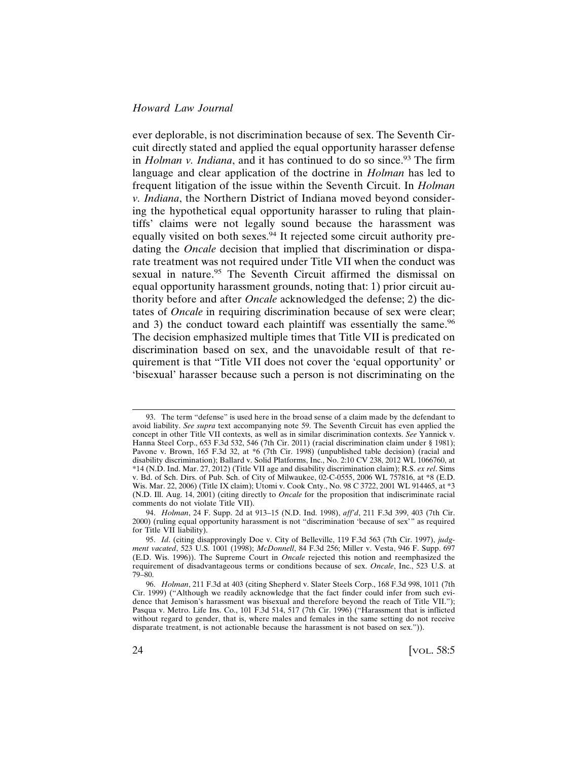ever deplorable, is not discrimination because of sex. The Seventh Circuit directly stated and applied the equal opportunity harasser defense in *Holman v. Indiana*, and it has continued to do so since.<sup>93</sup> The firm language and clear application of the doctrine in *Holman* has led to frequent litigation of the issue within the Seventh Circuit. In *Holman v. Indiana*, the Northern District of Indiana moved beyond considering the hypothetical equal opportunity harasser to ruling that plaintiffs' claims were not legally sound because the harassment was equally visited on both sexes.<sup>94</sup> It rejected some circuit authority predating the *Oncale* decision that implied that discrimination or disparate treatment was not required under Title VII when the conduct was sexual in nature.<sup>95</sup> The Seventh Circuit affirmed the dismissal on equal opportunity harassment grounds, noting that: 1) prior circuit authority before and after *Oncale* acknowledged the defense; 2) the dictates of *Oncale* in requiring discrimination because of sex were clear; and 3) the conduct toward each plaintiff was essentially the same.<sup>96</sup> The decision emphasized multiple times that Title VII is predicated on discrimination based on sex, and the unavoidable result of that requirement is that "Title VII does not cover the 'equal opportunity' or 'bisexual' harasser because such a person is not discriminating on the

<sup>93.</sup> The term "defense" is used here in the broad sense of a claim made by the defendant to avoid liability. *See supra* text accompanying note 59. The Seventh Circuit has even applied the concept in other Title VII contexts, as well as in similar discrimination contexts. *See* Yannick v. Hanna Steel Corp., 653 F.3d 532, 546 (7th Cir. 2011) (racial discrimination claim under § 1981); Pavone v. Brown, 165 F.3d 32, at \*6 (7th Cir. 1998) (unpublished table decision) (racial and disability discrimination); Ballard v. Solid Platforms, Inc., No. 2:10 CV 238, 2012 WL 1066760, at \*14 (N.D. Ind. Mar. 27, 2012) (Title VII age and disability discrimination claim); R.S. *ex rel*. Sims v. Bd. of Sch. Dirs. of Pub. Sch. of City of Milwaukee, 02-C-0555, 2006 WL 757816, at \*8 (E.D. Wis. Mar. 22, 2006) (Title IX claim); Utomi v. Cook Cnty., No. 98 C 3722, 2001 WL 914465, at \*3 (N.D. Ill. Aug. 14, 2001) (citing directly to *Oncale* for the proposition that indiscriminate racial comments do not violate Title VII).

<sup>94.</sup> *Holman*, 24 F. Supp. 2d at 913–15 (N.D. Ind. 1998), *aff'd*, 211 F.3d 399, 403 (7th Cir. 2000) (ruling equal opportunity harassment is not "discrimination 'because of sex'" as required for Title VII liability).

<sup>95.</sup> *Id*. (citing disapprovingly Doe v. City of Belleville, 119 F.3d 563 (7th Cir. 1997), *judgment vacated*, 523 U.S. 1001 (1998); *McDonnell*, 84 F.3d 256; Miller v. Vesta, 946 F. Supp. 697 (E.D. Wis. 1996)). The Supreme Court in *Oncale* rejected this notion and reemphasized the requirement of disadvantageous terms or conditions because of sex. *Oncale*, Inc., 523 U.S. at 79–80.

<sup>96.</sup> *Holman*, 211 F.3d at 403 (citing Shepherd v. Slater Steels Corp., 168 F.3d 998, 1011 (7th Cir. 1999) ("Although we readily acknowledge that the fact finder could infer from such evidence that Jemison's harassment was bisexual and therefore beyond the reach of Title VII."); Pasqua v. Metro. Life Ins. Co., 101 F.3d 514, 517 (7th Cir. 1996) ("Harassment that is inflicted without regard to gender, that is, where males and females in the same setting do not receive disparate treatment, is not actionable because the harassment is not based on sex.")).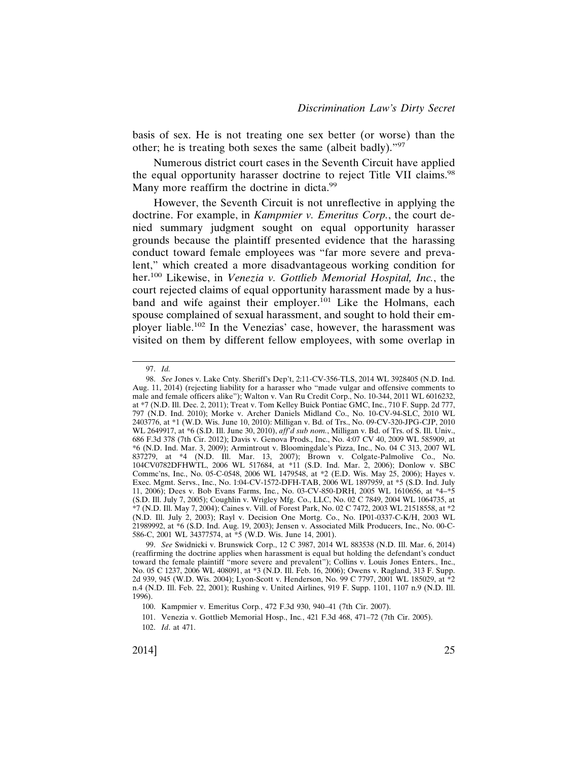basis of sex. He is not treating one sex better (or worse) than the other; he is treating both sexes the same (albeit badly)."97

Numerous district court cases in the Seventh Circuit have applied the equal opportunity harasser doctrine to reject Title VII claims.<sup>98</sup> Many more reaffirm the doctrine in dicta.<sup>99</sup>

However, the Seventh Circuit is not unreflective in applying the doctrine. For example, in *Kampmier v. Emeritus Corp.*, the court denied summary judgment sought on equal opportunity harasser grounds because the plaintiff presented evidence that the harassing conduct toward female employees was "far more severe and prevalent," which created a more disadvantageous working condition for her.100 Likewise, in *Venezia v. Gottlieb Memorial Hospital, Inc.*, the court rejected claims of equal opportunity harassment made by a husband and wife against their employer.<sup>101</sup> Like the Holmans, each spouse complained of sexual harassment, and sought to hold their employer liable.102 In the Venezias' case, however, the harassment was visited on them by different fellow employees, with some overlap in

<sup>97.</sup> *Id.*

<sup>98.</sup> *See* Jones v. Lake Cnty. Sheriff's Dep't, 2:11-CV-356-TLS, 2014 WL 3928405 (N.D. Ind. Aug. 11, 2014) (rejecting liability for a harasser who "made vulgar and offensive comments to male and female officers alike"); Walton v. Van Ru Credit Corp., No. 10-344, 2011 WL 6016232, at \*7 (N.D. Ill. Dec. 2, 2011); Treat v. Tom Kelley Buick Pontiac GMC, Inc., 710 F. Supp. 2d 777, 797 (N.D. Ind. 2010); Morke v. Archer Daniels Midland Co., No. 10-CV-94-SLC, 2010 WL 2403776, at \*1 (W.D. Wis. June 10, 2010): Milligan v. Bd. of Trs., No. 09-CV-320-JPG-CJP, 2010 WL 2649917, at \*6 (S.D. Ill. June 30, 2010), *aff'd sub nom.*, Milligan v. Bd. of Trs. of S. Ill. Univ., 686 F.3d 378 (7th Cir. 2012); Davis v. Genova Prods., Inc., No. 4:07 CV 40, 2009 WL 585909, at \*6 (N.D. Ind. Mar. 3, 2009); Armintrout v. Bloomingdale's Pizza, Inc., No. 04 C 313, 2007 WL 837279, at \*4 (N.D. Ill. Mar. 13, 2007); Brown v. Colgate-Palmolive Co., No. 104CV0782DFHWTL, 2006 WL 517684, at \*11 (S.D. Ind. Mar. 2, 2006); Donlow v. SBC Commc'ns, Inc., No. 05-C-0548, 2006 WL 1479548, at \*2 (E.D. Wis. May 25, 2006); Hayes v. Exec. Mgmt. Servs., Inc., No. 1:04-CV-1572-DFH-TAB, 2006 WL 1897959, at \*5 (S.D. Ind. July 11, 2006); Dees v. Bob Evans Farms, Inc*.*, No. 03-CV-850-DRH, 2005 WL 1610656, at \*4–\*5 (S.D. Ill. July 7, 2005); Coughlin v. Wrigley Mfg. Co., LLC, No. 02 C 7849, 2004 WL 1064735, at \*7 (N.D. Ill. May 7, 2004); Caines v. Vill. of Forest Park, No. 02 C 7472, 2003 WL 21518558, at \*2 (N.D. Ill. July 2, 2003); Rayl v. Decision One Mortg. Co., No. IP01-0337-C-K/H, 2003 WL 21989992, at \*6 (S.D. Ind. Aug. 19, 2003); Jensen v. Associated Milk Producers, Inc., No. 00-C-586-C, 2001 WL 34377574, at \*5 (W.D. Wis. June 14, 2001).

<sup>99.</sup> *See* Swidnicki v. Brunswick Corp., 12 C 3987, 2014 WL 883538 (N.D. Ill. Mar. 6, 2014) (reaffirming the doctrine applies when harassment is equal but holding the defendant's conduct toward the female plaintiff "more severe and prevalent"); Collins v. Louis Jones Enters., Inc., No. 05 C 1237, 2006 WL 408091, at \*3 (N.D. Ill. Feb. 16, 2006); Owens v. Ragland, 313 F. Supp. 2d 939, 945 (W.D. Wis. 2004); Lyon-Scott v. Henderson, No. 99 C 7797, 2001 WL 185029, at \*2 n.4 (N.D. Ill. Feb. 22, 2001); Rushing v. United Airlines, 919 F. Supp. 1101, 1107 n.9 (N.D. Ill. 1996).

<sup>100.</sup> Kampmier v. Emeritus Corp*.*, 472 F.3d 930, 940–41 (7th Cir. 2007).

<sup>101.</sup> Venezia v. Gottlieb Memorial Hosp., Inc*.*, 421 F.3d 468, 471–72 (7th Cir. 2005). 102. *Id*. at 471.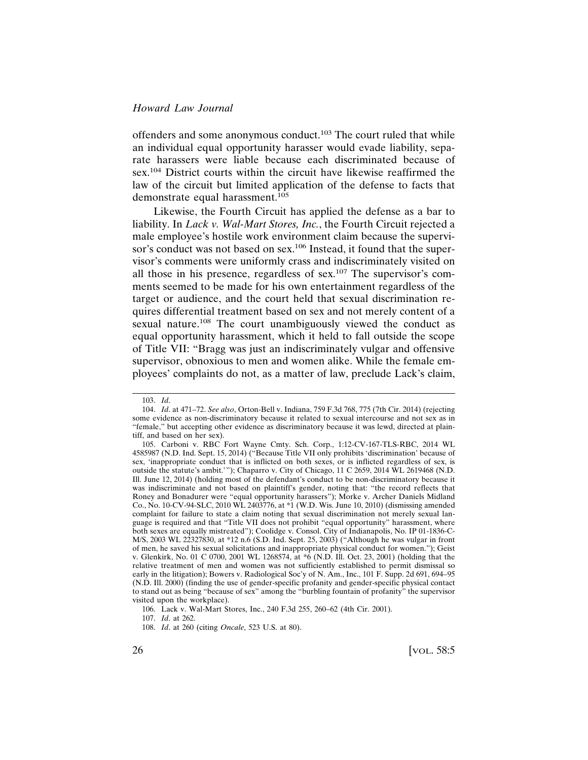offenders and some anonymous conduct.<sup>103</sup> The court ruled that while an individual equal opportunity harasser would evade liability, separate harassers were liable because each discriminated because of sex.104 District courts within the circuit have likewise reaffirmed the law of the circuit but limited application of the defense to facts that demonstrate equal harassment.<sup>105</sup>

Likewise, the Fourth Circuit has applied the defense as a bar to liability. In *Lack v. Wal-Mart Stores, Inc.*, the Fourth Circuit rejected a male employee's hostile work environment claim because the supervisor's conduct was not based on sex.<sup>106</sup> Instead, it found that the supervisor's comments were uniformly crass and indiscriminately visited on all those in his presence, regardless of sex.107 The supervisor's comments seemed to be made for his own entertainment regardless of the target or audience, and the court held that sexual discrimination requires differential treatment based on sex and not merely content of a sexual nature.<sup>108</sup> The court unambiguously viewed the conduct as equal opportunity harassment, which it held to fall outside the scope of Title VII: "Bragg was just an indiscriminately vulgar and offensive supervisor, obnoxious to men and women alike. While the female employees' complaints do not, as a matter of law, preclude Lack's claim,

106. Lack v. Wal-Mart Stores, Inc., 240 F.3d 255, 260–62 (4th Cir. 2001).

<sup>103.</sup> *Id*.

<sup>104.</sup> *Id*. at 471–72. *See also*, Orton-Bell v. Indiana, 759 F.3d 768, 775 (7th Cir. 2014) (rejecting some evidence as non-discriminatory because it related to sexual intercourse and not sex as in "female," but accepting other evidence as discriminatory because it was lewd, directed at plaintiff, and based on her sex).

<sup>105.</sup> Carboni v. RBC Fort Wayne Cmty. Sch. Corp., 1:12-CV-167-TLS-RBC, 2014 WL 4585987 (N.D. Ind. Sept. 15, 2014) ("Because Title VII only prohibits 'discrimination' because of sex, 'inappropriate conduct that is inflicted on both sexes, or is inflicted regardless of sex, is outside the statute's ambit.'"); Chaparro v. City of Chicago, 11 C 2659, 2014 WL 2619468 (N.D. Ill. June 12, 2014) (holding most of the defendant's conduct to be non-discriminatory because it was indiscriminate and not based on plaintiff's gender, noting that: "the record reflects that Roney and Bonadurer were "equal opportunity harassers"); Morke v. Archer Daniels Midland Co., No. 10-CV-94-SLC, 2010 WL 2403776, at \*1 (W.D. Wis. June 10, 2010) (dismissing amended complaint for failure to state a claim noting that sexual discrimination not merely sexual language is required and that "Title VII does not prohibit "equal opportunity" harassment, where both sexes are equally mistreated"); Coolidge v. Consol. City of Indianapolis, No. IP 01-1836-C-M/S, 2003 WL 22327830, at \*12 n.6 (S.D. Ind. Sept. 25, 2003) ("Although he was vulgar in front of men, he saved his sexual solicitations and inappropriate physical conduct for women."); Geist v. Glenkirk, No. 01 C 0700, 2001 WL 1268574, at \*6 (N.D. Ill. Oct. 23, 2001) (holding that the relative treatment of men and women was not sufficiently established to permit dismissal so early in the litigation); Bowers v. Radiological Soc'y of N. Am., Inc., 101 F. Supp. 2d 691, 694–95 (N.D. Ill. 2000) (finding the use of gender-specific profanity and gender-specific physical contact to stand out as being "because of sex" among the "burbling fountain of profanity" the supervisor visited upon the workplace).

<sup>107.</sup> *Id*. at 262.

<sup>108.</sup> *Id*. at 260 (citing *Oncale*, 523 U.S. at 80).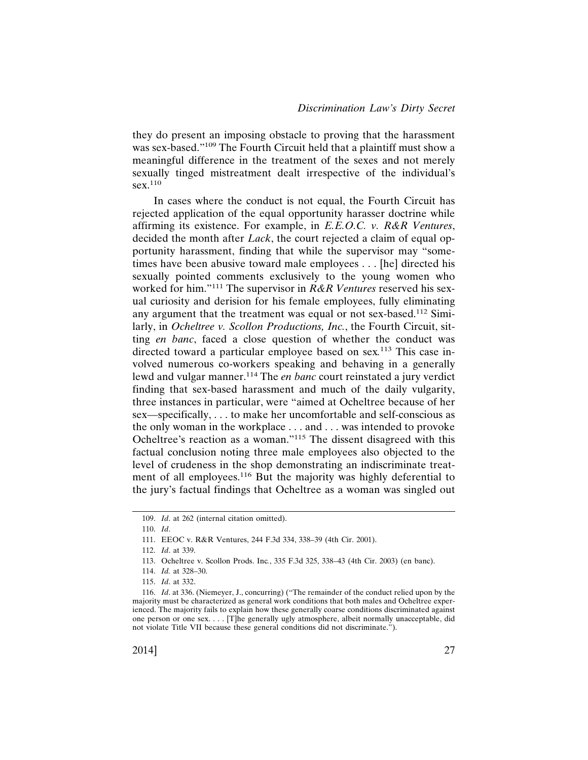they do present an imposing obstacle to proving that the harassment was sex-based."109 The Fourth Circuit held that a plaintiff must show a meaningful difference in the treatment of the sexes and not merely sexually tinged mistreatment dealt irrespective of the individual's sex.<sup>110</sup>

In cases where the conduct is not equal, the Fourth Circuit has rejected application of the equal opportunity harasser doctrine while affirming its existence. For example, in *E.E.O.C. v. R&R Ventures*, decided the month after *Lack*, the court rejected a claim of equal opportunity harassment, finding that while the supervisor may "sometimes have been abusive toward male employees . . . [he] directed his sexually pointed comments exclusively to the young women who worked for him."111 The supervisor in *R&R Ventures* reserved his sexual curiosity and derision for his female employees, fully eliminating any argument that the treatment was equal or not sex-based.112 Similarly, in *Ocheltree v. Scollon Productions, Inc.*, the Fourth Circuit, sitting *en banc*, faced a close question of whether the conduct was directed toward a particular employee based on sex*.* 113 This case involved numerous co-workers speaking and behaving in a generally lewd and vulgar manner.114 The *en banc* court reinstated a jury verdict finding that sex-based harassment and much of the daily vulgarity, three instances in particular, were "aimed at Ocheltree because of her sex—specifically, . . . to make her uncomfortable and self-conscious as the only woman in the workplace . . . and . . . was intended to provoke Ocheltree's reaction as a woman."115 The dissent disagreed with this factual conclusion noting three male employees also objected to the level of crudeness in the shop demonstrating an indiscriminate treatment of all employees.<sup>116</sup> But the majority was highly deferential to the jury's factual findings that Ocheltree as a woman was singled out

<sup>109.</sup> *Id*. at 262 (internal citation omitted).

<sup>110.</sup> *Id*.

<sup>111.</sup> EEOC v. R&R Ventures, 244 F.3d 334, 338–39 (4th Cir. 2001).

<sup>112.</sup> *Id*. at 339.

<sup>113.</sup> Ocheltree v. Scollon Prods. Inc*.*, 335 F.3d 325, 338–43 (4th Cir. 2003) (en banc).

<sup>114.</sup> *Id.* at 328–30.

<sup>115.</sup> *Id*. at 332.

<sup>116.</sup> *Id*. at 336. (Niemeyer, J., concurring) ("The remainder of the conduct relied upon by the majority must be characterized as general work conditions that both males and Ocheltree experienced. The majority fails to explain how these generally coarse conditions discriminated against one person or one sex. . . . [T]he generally ugly atmosphere, albeit normally unacceptable, did not violate Title VII because these general conditions did not discriminate.").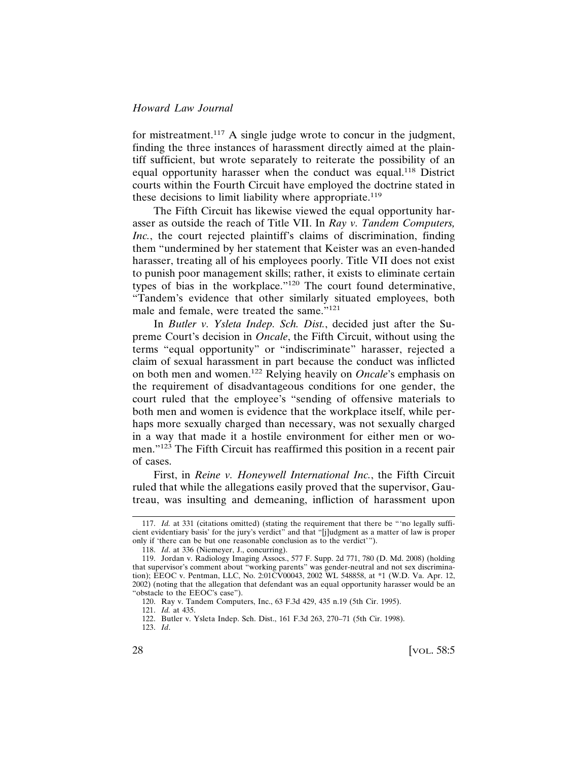for mistreatment.117 A single judge wrote to concur in the judgment, finding the three instances of harassment directly aimed at the plaintiff sufficient, but wrote separately to reiterate the possibility of an equal opportunity harasser when the conduct was equal.118 District courts within the Fourth Circuit have employed the doctrine stated in these decisions to limit liability where appropriate.<sup>119</sup>

The Fifth Circuit has likewise viewed the equal opportunity harasser as outside the reach of Title VII. In *Ray v. Tandem Computers, Inc.*, the court rejected plaintiff's claims of discrimination, finding them "undermined by her statement that Keister was an even-handed harasser, treating all of his employees poorly. Title VII does not exist to punish poor management skills; rather, it exists to eliminate certain types of bias in the workplace."120 The court found determinative, "Tandem's evidence that other similarly situated employees, both male and female, were treated the same."<sup>121</sup>

In *Butler v. Ysleta Indep. Sch. Dist.*, decided just after the Supreme Court's decision in *Oncale*, the Fifth Circuit, without using the terms "equal opportunity" or "indiscriminate" harasser, rejected a claim of sexual harassment in part because the conduct was inflicted on both men and women.122 Relying heavily on *Oncale*'s emphasis on the requirement of disadvantageous conditions for one gender, the court ruled that the employee's "sending of offensive materials to both men and women is evidence that the workplace itself, while perhaps more sexually charged than necessary, was not sexually charged in a way that made it a hostile environment for either men or women."123 The Fifth Circuit has reaffirmed this position in a recent pair of cases.

First, in *Reine v. Honeywell International Inc.*, the Fifth Circuit ruled that while the allegations easily proved that the supervisor, Gautreau, was insulting and demeaning, infliction of harassment upon

<sup>117.</sup> *Id.* at 331 (citations omitted) (stating the requirement that there be "'no legally sufficient evidentiary basis' for the jury's verdict" and that "[j]udgment as a matter of law is proper only if 'there can be but one reasonable conclusion as to the verdict'").

<sup>118.</sup> *Id*. at 336 (Niemeyer, J., concurring).

<sup>119.</sup> Jordan v. Radiology Imaging Assocs., 577 F. Supp. 2d 771, 780 (D. Md. 2008) (holding that supervisor's comment about "working parents" was gender-neutral and not sex discrimination); EEOC v. Pentman, LLC, No. 2:01CV00043, 2002 WL 548858, at \*1 (W.D. Va. Apr. 12, 2002) (noting that the allegation that defendant was an equal opportunity harasser would be an "obstacle to the EEOC's case").

<sup>120.</sup> Ray v. Tandem Computers, Inc., 63 F.3d 429, 435 n.19 (5th Cir. 1995).

<sup>121.</sup> *Id.* at 435.

<sup>122.</sup> Butler v. Ysleta Indep. Sch. Dist., 161 F.3d 263, 270–71 (5th Cir. 1998).

<sup>123.</sup> *Id*.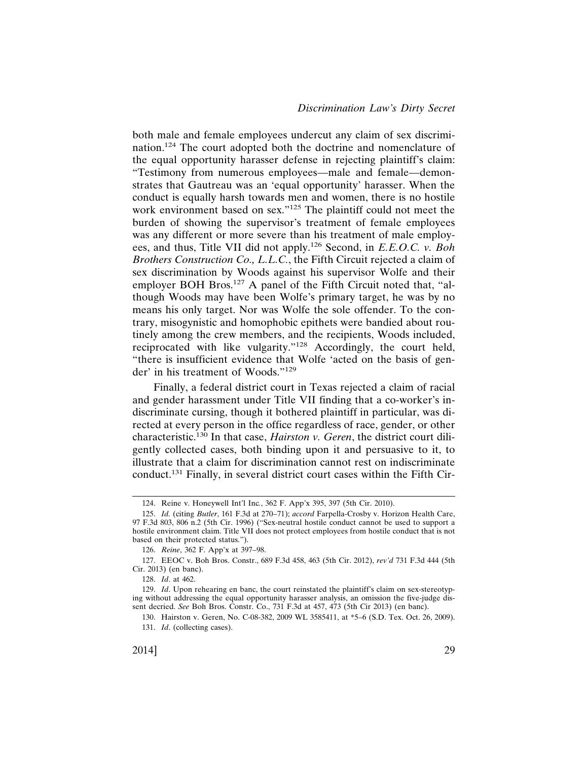both male and female employees undercut any claim of sex discrimination.124 The court adopted both the doctrine and nomenclature of the equal opportunity harasser defense in rejecting plaintiff's claim: "Testimony from numerous employees—male and female—demonstrates that Gautreau was an 'equal opportunity' harasser. When the conduct is equally harsh towards men and women, there is no hostile work environment based on sex."<sup>125</sup> The plaintiff could not meet the burden of showing the supervisor's treatment of female employees was any different or more severe than his treatment of male employees, and thus, Title VII did not apply.126 Second, in *E.E.O.C. v. Boh Brothers Construction Co., L.L.C.*, the Fifth Circuit rejected a claim of sex discrimination by Woods against his supervisor Wolfe and their employer BOH Bros.<sup>127</sup> A panel of the Fifth Circuit noted that, "although Woods may have been Wolfe's primary target, he was by no means his only target. Nor was Wolfe the sole offender. To the contrary, misogynistic and homophobic epithets were bandied about routinely among the crew members, and the recipients, Woods included, reciprocated with like vulgarity."128 Accordingly, the court held, "there is insufficient evidence that Wolfe 'acted on the basis of gender' in his treatment of Woods."<sup>129</sup>

Finally, a federal district court in Texas rejected a claim of racial and gender harassment under Title VII finding that a co-worker's indiscriminate cursing, though it bothered plaintiff in particular, was directed at every person in the office regardless of race, gender, or other characteristic.130 In that case, *Hairston v. Geren*, the district court diligently collected cases, both binding upon it and persuasive to it, to illustrate that a claim for discrimination cannot rest on indiscriminate conduct.131 Finally, in several district court cases within the Fifth Cir-

<sup>124.</sup> Reine v. Honeywell Int'l Inc*.*, 362 F. App'x 395, 397 (5th Cir. 2010).

<sup>125.</sup> *Id.* (citing *Butler*, 161 F.3d at 270–71); *accord* Farpella-Crosby v. Horizon Health Care, 97 F.3d 803, 806 n.2 (5th Cir. 1996) ("Sex-neutral hostile conduct cannot be used to support a hostile environment claim. Title VII does not protect employees from hostile conduct that is not based on their protected status.").

<sup>126.</sup> *Reine*, 362 F. App'x at 397–98.

<sup>127.</sup> EEOC v. Boh Bros. Constr., 689 F.3d 458, 463 (5th Cir. 2012), *rev'd* 731 F.3d 444 (5th Cir. 2013) (en banc).

<sup>128.</sup> *Id*. at 462.

<sup>129.</sup> *Id*. Upon rehearing en banc, the court reinstated the plaintiff's claim on sex-stereotyping without addressing the equal opportunity harasser analysis, an omission the five-judge dissent decried. *See* Boh Bros. Constr. Co., 731 F.3d at 457, 473 (5th Cir 2013) (en banc).

<sup>130.</sup> Hairston v. Geren, No. C-08-382, 2009 WL 3585411, at \*5–6 (S.D. Tex. Oct. 26, 2009). 131. *Id*. (collecting cases).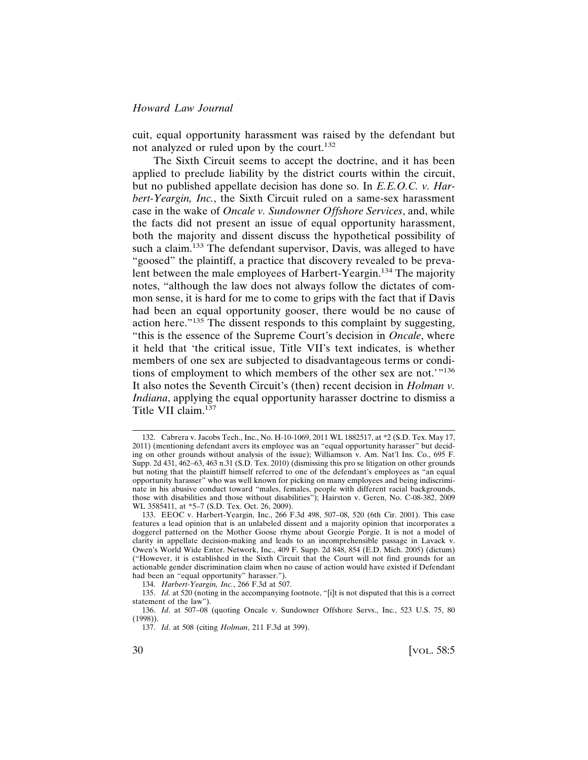cuit, equal opportunity harassment was raised by the defendant but not analyzed or ruled upon by the court.<sup>132</sup>

The Sixth Circuit seems to accept the doctrine, and it has been applied to preclude liability by the district courts within the circuit, but no published appellate decision has done so. In *E.E.O.C. v. Harbert-Yeargin, Inc.*, the Sixth Circuit ruled on a same-sex harassment case in the wake of *Oncale v. Sundowner Offshore Services*, and, while the facts did not present an issue of equal opportunity harassment, both the majority and dissent discuss the hypothetical possibility of such a claim.<sup>133</sup> The defendant supervisor, Davis, was alleged to have "goosed" the plaintiff, a practice that discovery revealed to be prevalent between the male employees of Harbert-Yeargin.134 The majority notes, "although the law does not always follow the dictates of common sense, it is hard for me to come to grips with the fact that if Davis had been an equal opportunity gooser, there would be no cause of action here."135 The dissent responds to this complaint by suggesting, "this is the essence of the Supreme Court's decision in *Oncale*, where it held that 'the critical issue, Title VII's text indicates, is whether members of one sex are subjected to disadvantageous terms or conditions of employment to which members of the other sex are not.'"136 It also notes the Seventh Circuit's (then) recent decision in *Holman v. Indiana*, applying the equal opportunity harasser doctrine to dismiss a Title VII claim.<sup>137</sup>

<sup>132.</sup> Cabrera v. Jacobs Tech., Inc., No. H-10-1069, 2011 WL 1882517, at \*2 (S.D. Tex. May 17, 2011) (mentioning defendant avers its employee was an "equal opportunity harasser" but deciding on other grounds without analysis of the issue); Williamson v. Am. Nat'l Ins. Co., 695 F. Supp. 2d 431, 462–63, 463 n.31 (S.D. Tex. 2010) (dismissing this pro se litigation on other grounds but noting that the plaintiff himself referred to one of the defendant's employees as "an equal opportunity harasser" who was well known for picking on many employees and being indiscriminate in his abusive conduct toward "males, females, people with different racial backgrounds, those with disabilities and those without disabilities"); Hairston v. Geren, No. C-08-382, 2009 WL 3585411, at \*5-7 (S.D. Tex. Oct. 26, 2009).

<sup>133.</sup> EEOC v. Harbert-Yeargin, Inc., 266 F.3d 498, 507–08, 520 (6th Cir. 2001). This case features a lead opinion that is an unlabeled dissent and a majority opinion that incorporates a doggerel patterned on the Mother Goose rhyme about Georgie Porgie. It is not a model of clarity in appellate decision-making and leads to an incomprehensible passage in Lavack v. Owen's World Wide Enter. Network, Inc., 409 F. Supp. 2d 848, 854 (E.D. Mich. 2005) (dictum) ("However, it is established in the Sixth Circuit that the Court will not find grounds for an actionable gender discrimination claim when no cause of action would have existed if Defendant had been an "equal opportunity" harasser.").

<sup>134.</sup> *Harbert-Yeargin, Inc.*, 266 F.3d at 507.

<sup>135.</sup> *Id.* at 520 (noting in the accompanying footnote, "[i]t is not disputed that this is a correct statement of the law").

<sup>136.</sup> *Id*. at 507–08 (quoting Oncale v. Sundowner Offshore Servs., Inc*.*, 523 U.S. 75, 80  $(1998)$ 

<sup>137.</sup> *Id*. at 508 (citing *Holman*, 211 F.3d at 399).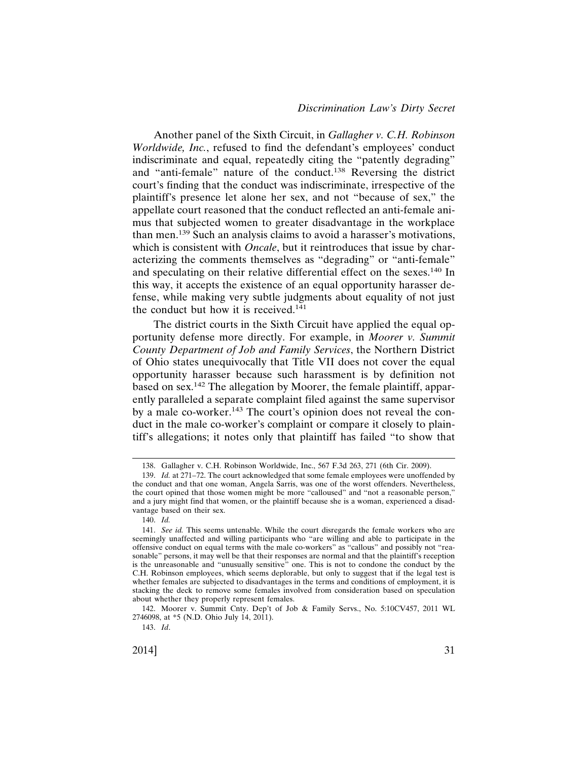Another panel of the Sixth Circuit, in *Gallagher v. C.H. Robinson Worldwide, Inc.*, refused to find the defendant's employees' conduct indiscriminate and equal, repeatedly citing the "patently degrading" and "anti-female" nature of the conduct.138 Reversing the district court's finding that the conduct was indiscriminate, irrespective of the plaintiff's presence let alone her sex, and not "because of sex," the appellate court reasoned that the conduct reflected an anti-female animus that subjected women to greater disadvantage in the workplace than men.139 Such an analysis claims to avoid a harasser's motivations, which is consistent with *Oncale*, but it reintroduces that issue by characterizing the comments themselves as "degrading" or "anti-female" and speculating on their relative differential effect on the sexes.<sup>140</sup> In this way, it accepts the existence of an equal opportunity harasser defense, while making very subtle judgments about equality of not just the conduct but how it is received. $141$ 

The district courts in the Sixth Circuit have applied the equal opportunity defense more directly. For example, in *Moorer v. Summit County Department of Job and Family Services*, the Northern District of Ohio states unequivocally that Title VII does not cover the equal opportunity harasser because such harassment is by definition not based on sex.<sup>142</sup> The allegation by Moorer, the female plaintiff, apparently paralleled a separate complaint filed against the same supervisor by a male co-worker.<sup>143</sup> The court's opinion does not reveal the conduct in the male co-worker's complaint or compare it closely to plaintiff's allegations; it notes only that plaintiff has failed "to show that

<sup>138.</sup> Gallagher v. C.H. Robinson Worldwide, Inc., 567 F.3d 263, 271 (6th Cir. 2009).

<sup>139.</sup> *Id.* at 271–72. The court acknowledged that some female employees were unoffended by the conduct and that one woman, Angela Sarris, was one of the worst offenders. Nevertheless, the court opined that those women might be more "calloused" and "not a reasonable person," and a jury might find that women, or the plaintiff because she is a woman, experienced a disadvantage based on their sex.

<sup>140.</sup> *Id.*

<sup>141.</sup> *See id.* This seems untenable. While the court disregards the female workers who are seemingly unaffected and willing participants who "are willing and able to participate in the offensive conduct on equal terms with the male co-workers" as "callous" and possibly not "reasonable" persons, it may well be that their responses are normal and that the plaintiff's reception is the unreasonable and "unusually sensitive" one. This is not to condone the conduct by the C.H. Robinson employees, which seems deplorable, but only to suggest that if the legal test is whether females are subjected to disadvantages in the terms and conditions of employment, it is stacking the deck to remove some females involved from consideration based on speculation about whether they properly represent females.

<sup>142.</sup> Moorer v. Summit Cnty. Dep't of Job & Family Servs., No. 5:10CV457, 2011 WL 2746098, at \*5 (N.D. Ohio July 14, 2011).

<sup>143.</sup> *Id*.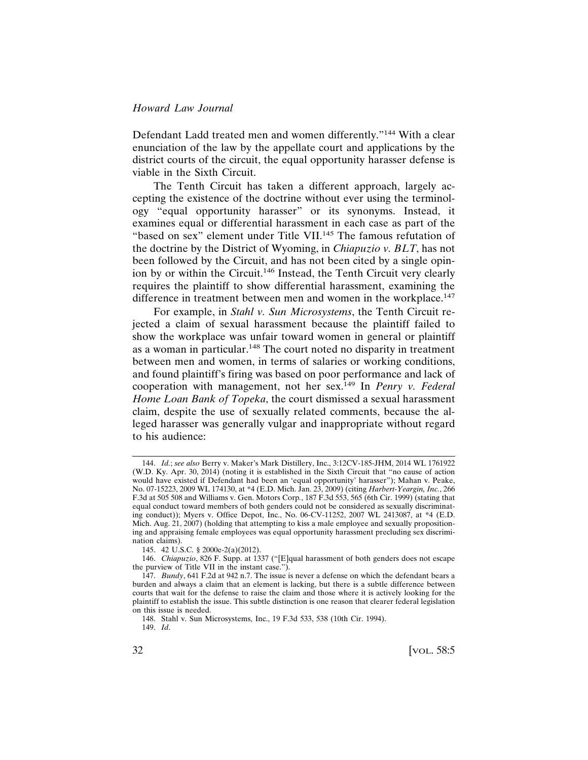Defendant Ladd treated men and women differently."144 With a clear enunciation of the law by the appellate court and applications by the district courts of the circuit, the equal opportunity harasser defense is viable in the Sixth Circuit.

The Tenth Circuit has taken a different approach, largely accepting the existence of the doctrine without ever using the terminology "equal opportunity harasser" or its synonyms. Instead, it examines equal or differential harassment in each case as part of the "based on sex" element under Title VII.<sup>145</sup> The famous refutation of the doctrine by the District of Wyoming, in *Chiapuzio v. BLT*, has not been followed by the Circuit, and has not been cited by a single opinion by or within the Circuit.<sup>146</sup> Instead, the Tenth Circuit very clearly requires the plaintiff to show differential harassment, examining the difference in treatment between men and women in the workplace.<sup>147</sup>

For example, in *Stahl v. Sun Microsystems*, the Tenth Circuit rejected a claim of sexual harassment because the plaintiff failed to show the workplace was unfair toward women in general or plaintiff as a woman in particular.148 The court noted no disparity in treatment between men and women, in terms of salaries or working conditions, and found plaintiff's firing was based on poor performance and lack of cooperation with management, not her sex.149 In *Penry v. Federal Home Loan Bank of Topeka*, the court dismissed a sexual harassment claim, despite the use of sexually related comments, because the alleged harasser was generally vulgar and inappropriate without regard to his audience:

<sup>144.</sup> *Id.*; *see also* Berry v. Maker's Mark Distillery, Inc., 3:12CV-185-JHM, 2014 WL 1761922 (W.D. Ky. Apr. 30, 2014) (noting it is established in the Sixth Circuit that "no cause of action would have existed if Defendant had been an 'equal opportunity' harasser"); Mahan v. Peake, No. 07-15223, 2009 WL 174130, at \*4 (E.D. Mich. Jan. 23, 2009) (citing *Harbert-Yeargin, Inc.*, 266 F.3d at 505 508 and Williams v. Gen. Motors Corp*.*, 187 F.3d 553, 565 (6th Cir. 1999) (stating that equal conduct toward members of both genders could not be considered as sexually discriminating conduct)); Myers v. Office Depot, Inc., No. 06-CV-11252, 2007 WL 2413087, at \*4 (E.D. Mich. Aug. 21, 2007) (holding that attempting to kiss a male employee and sexually propositioning and appraising female employees was equal opportunity harassment precluding sex discrimination claims).

<sup>145. 42</sup> U.S.C. § 2000e-2(a)(2012).

<sup>146.</sup> *Chiapuzio*, 826 F. Supp. at 1337 ("[E]qual harassment of both genders does not escape the purview of Title VII in the instant case.").

<sup>147.</sup> *Bundy*, 641 F.2d at 942 n.7. The issue is never a defense on which the defendant bears a burden and always a claim that an element is lacking, but there is a subtle difference between courts that wait for the defense to raise the claim and those where it is actively looking for the plaintiff to establish the issue. This subtle distinction is one reason that clearer federal legislation on this issue is needed.

<sup>148.</sup> Stahl v. Sun Microsystems, Inc., 19 F.3d 533, 538 (10th Cir. 1994).

<sup>149.</sup> *Id*.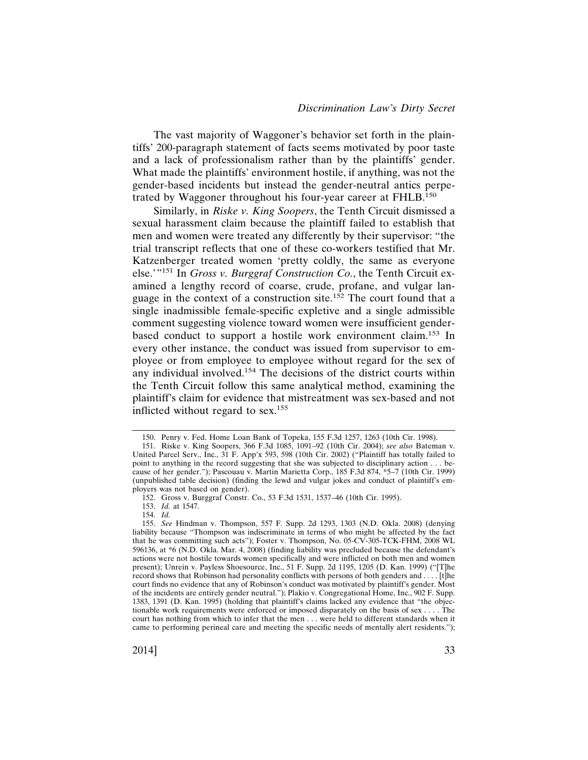The vast majority of Waggoner's behavior set forth in the plaintiffs' 200-paragraph statement of facts seems motivated by poor taste and a lack of professionalism rather than by the plaintiffs' gender. What made the plaintiffs' environment hostile, if anything, was not the gender-based incidents but instead the gender-neutral antics perpetrated by Waggoner throughout his four-year career at FHLB.<sup>150</sup>

Similarly, in *Riske v. King Soopers*, the Tenth Circuit dismissed a sexual harassment claim because the plaintiff failed to establish that men and women were treated any differently by their supervisor: "the trial transcript reflects that one of these co-workers testified that Mr. Katzenberger treated women 'pretty coldly, the same as everyone else.'"151 In *Gross v. Burggraf Construction Co.*, the Tenth Circuit examined a lengthy record of coarse, crude, profane, and vulgar language in the context of a construction site.<sup>152</sup> The court found that a single inadmissible female-specific expletive and a single admissible comment suggesting violence toward women were insufficient genderbased conduct to support a hostile work environment claim.153 In every other instance, the conduct was issued from supervisor to employee or from employee to employee without regard for the sex of any individual involved.154 The decisions of the district courts within the Tenth Circuit follow this same analytical method, examining the plaintiff's claim for evidence that mistreatment was sex-based and not inflicted without regard to sex.<sup>155</sup>

<sup>150.</sup> Penry v. Fed. Home Loan Bank of Topeka, 155 F.3d 1257, 1263 (10th Cir. 1998).

<sup>151.</sup> Riske v. King Soopers, 366 F.3d 1085, 1091–92 (10th Cir. 2004); *see also* Bateman v. United Parcel Serv., Inc., 31 F. App'x 593, 598 (10th Cir. 2002) ("Plaintiff has totally failed to point to anything in the record suggesting that she was subjected to disciplinary action . . . because of her gender."); Pascouau v. Martin Marietta Corp., 185 F.3d 874, \*5–7 (10th Cir. 1999) (unpublished table decision) (finding the lewd and vulgar jokes and conduct of plaintiff's employers was not based on gender).

<sup>152.</sup> Gross v. Burggraf Constr. Co., 53 F.3d 1531, 1537–46 (10th Cir. 1995).

<sup>153.</sup> *Id.* at 1547.

<sup>154.</sup> *Id.*

<sup>155.</sup> *See* Hindman v. Thompson, 557 F. Supp. 2d 1293, 1303 (N.D. Okla. 2008) (denying liability because "Thompson was indiscriminate in terms of who might be affected by the fact that he was committing such acts"); Foster v. Thompson, No. 05-CV-305-TCK-FHM, 2008 WL 596136, at \*6 (N.D. Okla. Mar. 4, 2008) (finding liability was precluded because the defendant's actions were not hostile towards women specifically and were inflicted on both men and women present); Unrein v. Payless Shoesource, Inc., 51 F. Supp. 2d 1195, 1205 (D. Kan. 1999) ("[T]he record shows that Robinson had personality conflicts with persons of both genders and . . . . [t]he court finds no evidence that any of Robinson's conduct was motivated by plaintiff's gender. Most of the incidents are entirely gender neutral."); Plakio v. Congregational Home, Inc., 902 F. Supp. 1383, 1391 (D. Kan. 1995) (holding that plaintiff's claims lacked any evidence that "the objectionable work requirements were enforced or imposed disparately on the basis of sex . . . . The court has nothing from which to infer that the men . . . were held to different standards when it came to performing perineal care and meeting the specific needs of mentally alert residents.");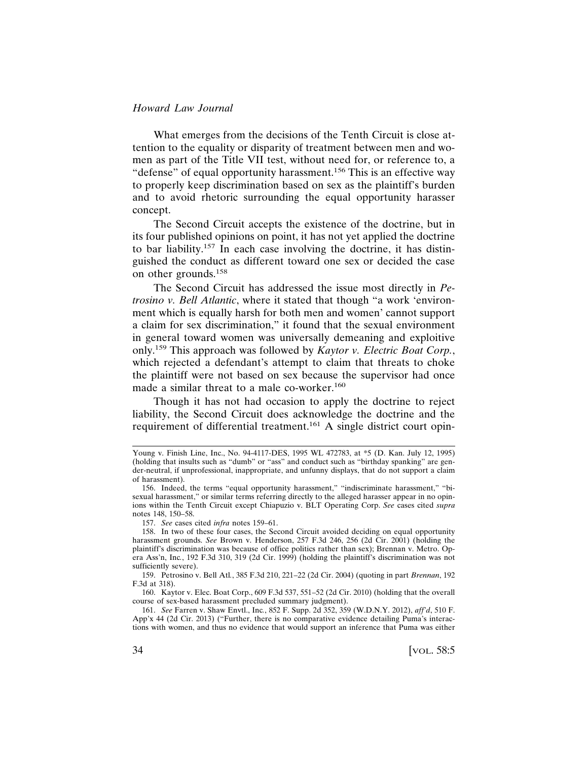What emerges from the decisions of the Tenth Circuit is close attention to the equality or disparity of treatment between men and women as part of the Title VII test, without need for, or reference to, a "defense" of equal opportunity harassment.<sup>156</sup> This is an effective way to properly keep discrimination based on sex as the plaintiff's burden and to avoid rhetoric surrounding the equal opportunity harasser concept.

The Second Circuit accepts the existence of the doctrine, but in its four published opinions on point, it has not yet applied the doctrine to bar liability.157 In each case involving the doctrine, it has distinguished the conduct as different toward one sex or decided the case on other grounds.158

The Second Circuit has addressed the issue most directly in *Petrosino v. Bell Atlantic*, where it stated that though "a work 'environment which is equally harsh for both men and women' cannot support a claim for sex discrimination," it found that the sexual environment in general toward women was universally demeaning and exploitive only.159 This approach was followed by *Kaytor v. Electric Boat Corp.*, which rejected a defendant's attempt to claim that threats to choke the plaintiff were not based on sex because the supervisor had once made a similar threat to a male co-worker.<sup>160</sup>

Though it has not had occasion to apply the doctrine to reject liability, the Second Circuit does acknowledge the doctrine and the requirement of differential treatment.<sup>161</sup> A single district court opin-

157. *See* cases cited *infra* notes 159–61.

Young v. Finish Line, Inc., No. 94-4117-DES, 1995 WL 472783, at \*5 (D. Kan. July 12, 1995) (holding that insults such as "dumb" or "ass" and conduct such as "birthday spanking" are gender-neutral, if unprofessional, inappropriate, and unfunny displays, that do not support a claim of harassment).

<sup>156.</sup> Indeed, the terms "equal opportunity harassment," "indiscriminate harassment," "bisexual harassment," or similar terms referring directly to the alleged harasser appear in no opinions within the Tenth Circuit except Chiapuzio v. BLT Operating Corp. *See* cases cited *supra* notes 148, 150–58.

<sup>158.</sup> In two of these four cases, the Second Circuit avoided deciding on equal opportunity harassment grounds. *See* Brown v. Henderson, 257 F.3d 246, 256 (2d Cir. 2001) (holding the plaintiff's discrimination was because of office politics rather than sex); Brennan v. Metro. Opera Ass'n, Inc*.*, 192 F.3d 310, 319 (2d Cir. 1999) (holding the plaintiff's discrimination was not sufficiently severe).

<sup>159.</sup> Petrosino v. Bell Atl*.*, 385 F.3d 210, 221–22 (2d Cir. 2004) (quoting in part *Brennan*, 192 F.3d at 318).

<sup>160.</sup> Kaytor v. Elec. Boat Corp., 609 F.3d 537, 551–52 (2d Cir. 2010) (holding that the overall course of sex-based harassment precluded summary judgment).

<sup>161.</sup> *See* Farren v. Shaw Envtl., Inc*.*, 852 F. Supp. 2d 352, 359 (W.D.N.Y. 2012), *aff'd*, 510 F. App'x 44 (2d Cir. 2013) ("Further, there is no comparative evidence detailing Puma's interactions with women, and thus no evidence that would support an inference that Puma was either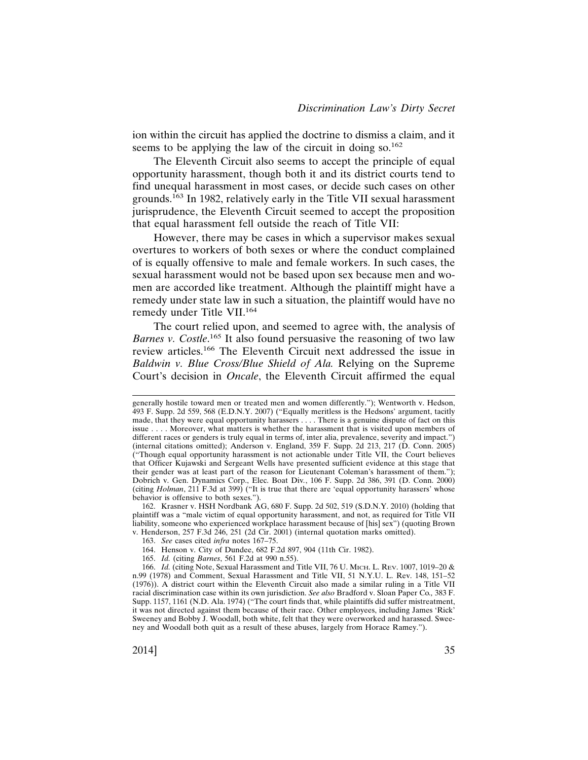ion within the circuit has applied the doctrine to dismiss a claim, and it seems to be applying the law of the circuit in doing so.<sup>162</sup>

The Eleventh Circuit also seems to accept the principle of equal opportunity harassment, though both it and its district courts tend to find unequal harassment in most cases, or decide such cases on other grounds.163 In 1982, relatively early in the Title VII sexual harassment jurisprudence, the Eleventh Circuit seemed to accept the proposition that equal harassment fell outside the reach of Title VII:

However, there may be cases in which a supervisor makes sexual overtures to workers of both sexes or where the conduct complained of is equally offensive to male and female workers. In such cases, the sexual harassment would not be based upon sex because men and women are accorded like treatment. Although the plaintiff might have a remedy under state law in such a situation, the plaintiff would have no remedy under Title VII.<sup>164</sup>

The court relied upon, and seemed to agree with, the analysis of Barnes v. Costle.<sup>165</sup> It also found persuasive the reasoning of two law review articles.166 The Eleventh Circuit next addressed the issue in *Baldwin v. Blue Cross/Blue Shield of Ala.* Relying on the Supreme Court's decision in *Oncale*, the Eleventh Circuit affirmed the equal

generally hostile toward men or treated men and women differently."); Wentworth v. Hedson, 493 F. Supp. 2d 559, 568 (E.D.N.Y. 2007) ("Equally meritless is the Hedsons' argument, tacitly made, that they were equal opportunity harassers . . . . There is a genuine dispute of fact on this issue . . . . Moreover, what matters is whether the harassment that is visited upon members of different races or genders is truly equal in terms of, inter alia, prevalence, severity and impact.") (internal citations omitted); Anderson v. England, 359 F. Supp. 2d 213, 217 (D. Conn. 2005) ("Though equal opportunity harassment is not actionable under Title VII, the Court believes that Officer Kujawski and Sergeant Wells have presented sufficient evidence at this stage that their gender was at least part of the reason for Lieutenant Coleman's harassment of them."); Dobrich v. Gen. Dynamics Corp., Elec. Boat Div*.*, 106 F. Supp. 2d 386, 391 (D. Conn. 2000) (citing *Holman*, 211 F.3d at 399) ("It is true that there are 'equal opportunity harassers' whose behavior is offensive to both sexes.").

<sup>162.</sup> Krasner v. HSH Nordbank AG, 680 F. Supp. 2d 502, 519 (S.D.N.Y. 2010) (holding that plaintiff was a "male victim of equal opportunity harassment, and not, as required for Title VII liability, someone who experienced workplace harassment because of [his] sex") (quoting Brown v. Henderson, 257 F.3d 246, 251 (2d Cir. 2001) (internal quotation marks omitted).

<sup>163.</sup> *See* cases cited *infra* notes 167–75.

<sup>164.</sup> Henson v. City of Dundee, 682 F.2d 897, 904 (11th Cir. 1982).

<sup>165.</sup> *Id.* (citing *Barnes*, 561 F.2d at 990 n.55).

<sup>166.</sup> *Id.* (citing Note, Sexual Harassment and Title VII, 76 U. MICH. L. REV. 1007, 1019–20 & n.99 (1978) and Comment, Sexual Harassment and Title VII, 51 N.Y.U. L. Rev. 148, 151–52 (1976)). A district court within the Eleventh Circuit also made a similar ruling in a Title VII racial discrimination case within its own jurisdiction. *See also* Bradford v. Sloan Paper Co*.,* 383 F. Supp. 1157, 1161 (N.D. Ala. 1974) ("The court finds that, while plaintiffs did suffer mistreatment, it was not directed against them because of their race. Other employees, including James 'Rick' Sweeney and Bobby J. Woodall, both white, felt that they were overworked and harassed. Sweeney and Woodall both quit as a result of these abuses, largely from Horace Ramey.").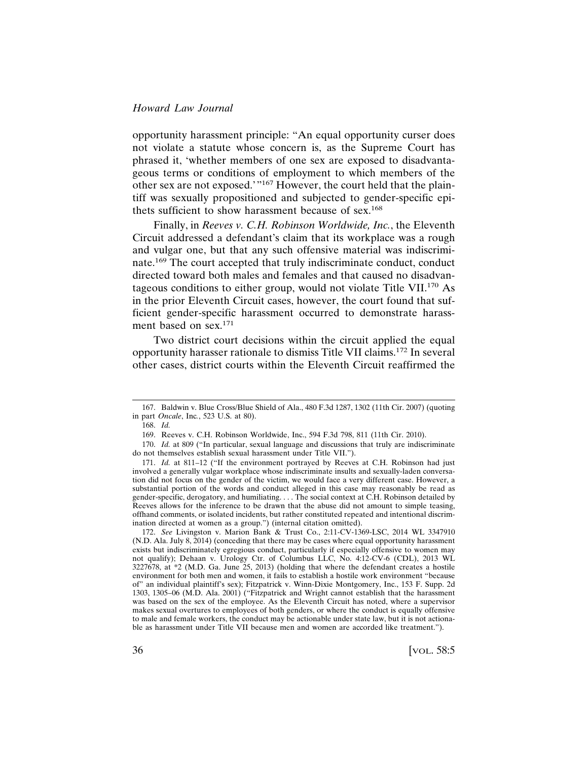opportunity harassment principle: "An equal opportunity curser does not violate a statute whose concern is, as the Supreme Court has phrased it, 'whether members of one sex are exposed to disadvantageous terms or conditions of employment to which members of the other sex are not exposed.'"167 However, the court held that the plaintiff was sexually propositioned and subjected to gender-specific epithets sufficient to show harassment because of sex.<sup>168</sup>

Finally, in *Reeves v. C.H. Robinson Worldwide, Inc.*, the Eleventh Circuit addressed a defendant's claim that its workplace was a rough and vulgar one, but that any such offensive material was indiscriminate.169 The court accepted that truly indiscriminate conduct, conduct directed toward both males and females and that caused no disadvantageous conditions to either group, would not violate Title VII.170 As in the prior Eleventh Circuit cases, however, the court found that sufficient gender-specific harassment occurred to demonstrate harassment based on sex.<sup>171</sup>

Two district court decisions within the circuit applied the equal opportunity harasser rationale to dismiss Title VII claims.172 In several other cases, district courts within the Eleventh Circuit reaffirmed the

<sup>167.</sup> Baldwin v. Blue Cross/Blue Shield of Ala., 480 F.3d 1287, 1302 (11th Cir. 2007) (quoting in part *Oncale*, Inc*.*, 523 U.S. at 80).

<sup>168.</sup> *Id.*

<sup>169.</sup> Reeves v. C.H. Robinson Worldwide, Inc., 594 F.3d 798, 811 (11th Cir. 2010).

<sup>170.</sup> *Id.* at 809 ("In particular, sexual language and discussions that truly are indiscriminate do not themselves establish sexual harassment under Title VII.").

<sup>171.</sup> *Id.* at 811–12 ("If the environment portrayed by Reeves at C.H. Robinson had just involved a generally vulgar workplace whose indiscriminate insults and sexually-laden conversation did not focus on the gender of the victim, we would face a very different case. However, a substantial portion of the words and conduct alleged in this case may reasonably be read as gender-specific, derogatory, and humiliating. . . . The social context at C.H. Robinson detailed by Reeves allows for the inference to be drawn that the abuse did not amount to simple teasing, offhand comments, or isolated incidents, but rather constituted repeated and intentional discrimination directed at women as a group.") (internal citation omitted).

<sup>172.</sup> *See* Livingston v. Marion Bank & Trust Co., 2:11-CV-1369-LSC, 2014 WL 3347910 (N.D. Ala. July 8, 2014) (conceding that there may be cases where equal opportunity harassment exists but indiscriminately egregious conduct, particularly if especially offensive to women may not qualify); Dehaan v. Urology Ctr. of Columbus LLC, No. 4:12-CV-6 (CDL), 2013 WL 3227678, at \*2 (M.D. Ga. June 25, 2013) (holding that where the defendant creates a hostile environment for both men and women, it fails to establish a hostile work environment "because of" an individual plaintiff's sex); Fitzpatrick v. Winn-Dixie Montgomery, Inc., 153 F. Supp. 2d 1303, 1305–06 (M.D. Ala. 2001) ("Fitzpatrick and Wright cannot establish that the harassment was based on the sex of the employee. As the Eleventh Circuit has noted, where a supervisor makes sexual overtures to employees of both genders, or where the conduct is equally offensive to male and female workers, the conduct may be actionable under state law, but it is not actionable as harassment under Title VII because men and women are accorded like treatment.").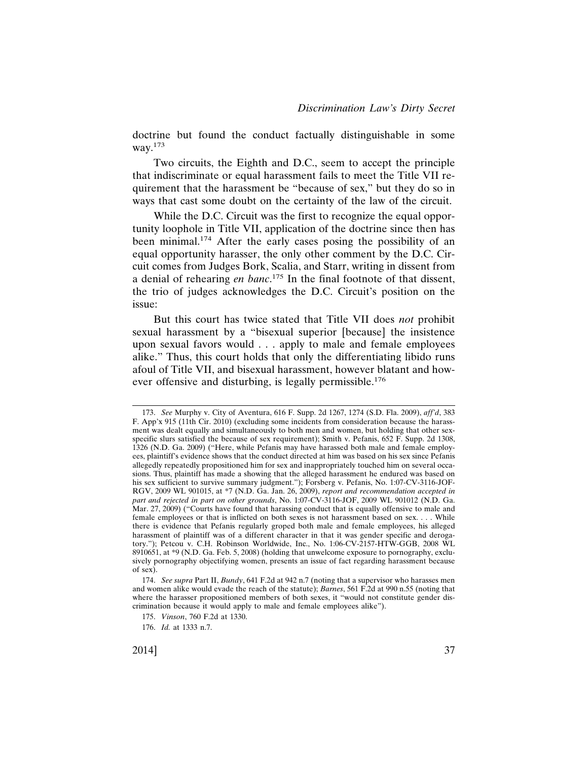doctrine but found the conduct factually distinguishable in some way.173

Two circuits, the Eighth and D.C., seem to accept the principle that indiscriminate or equal harassment fails to meet the Title VII requirement that the harassment be "because of sex," but they do so in ways that cast some doubt on the certainty of the law of the circuit.

While the D.C. Circuit was the first to recognize the equal opportunity loophole in Title VII, application of the doctrine since then has been minimal.174 After the early cases posing the possibility of an equal opportunity harasser, the only other comment by the D.C. Circuit comes from Judges Bork, Scalia, and Starr, writing in dissent from a denial of rehearing *en banc*. 175 In the final footnote of that dissent, the trio of judges acknowledges the D.C. Circuit's position on the issue:

But this court has twice stated that Title VII does *not* prohibit sexual harassment by a "bisexual superior [because] the insistence upon sexual favors would . . . apply to male and female employees alike." Thus, this court holds that only the differentiating libido runs afoul of Title VII, and bisexual harassment, however blatant and however offensive and disturbing, is legally permissible.<sup>176</sup>

<sup>173.</sup> *See* Murphy v. City of Aventura, 616 F. Supp. 2d 1267, 1274 (S.D. Fla. 2009), *aff'd*, 383 F. App'x 915 (11th Cir. 2010) (excluding some incidents from consideration because the harassment was dealt equally and simultaneously to both men and women, but holding that other sexspecific slurs satisfied the because of sex requirement); Smith v. Pefanis, 652 F. Supp. 2d 1308, 1326 (N.D. Ga. 2009) ("Here, while Pefanis may have harassed both male and female employees, plaintiff's evidence shows that the conduct directed at him was based on his sex since Pefanis allegedly repeatedly propositioned him for sex and inappropriately touched him on several occasions. Thus, plaintiff has made a showing that the alleged harassment he endured was based on his sex sufficient to survive summary judgment."); Forsberg v. Pefanis, No. 1:07-CV-3116-JOF-RGV, 2009 WL 901015, at \*7 (N.D. Ga. Jan. 26, 2009), *report and recommendation accepted in part and rejected in part on other grounds*, No. 1:07-CV-3116-JOF, 2009 WL 901012 (N.D. Ga. Mar. 27, 2009) ("Courts have found that harassing conduct that is equally offensive to male and female employees or that is inflicted on both sexes is not harassment based on sex. . . . While there is evidence that Pefanis regularly groped both male and female employees, his alleged harassment of plaintiff was of a different character in that it was gender specific and derogatory."); Petcou v. C.H. Robinson Worldwide, Inc., No. 1:06-CV-2157-HTW-GGB, 2008 WL 8910651, at \*9 (N.D. Ga. Feb. 5, 2008) (holding that unwelcome exposure to pornography, exclusively pornography objectifying women, presents an issue of fact regarding harassment because of sex).

<sup>174.</sup> *See supra* Part II, *Bundy*, 641 F.2d at 942 n.7 (noting that a supervisor who harasses men and women alike would evade the reach of the statute); *Barnes*, 561 F.2d at 990 n.55 (noting that where the harasser propositioned members of both sexes, it "would not constitute gender discrimination because it would apply to male and female employees alike").

<sup>175.</sup> *Vinson*, 760 F.2d at 1330.

<sup>176.</sup> *Id.* at 1333 n.7.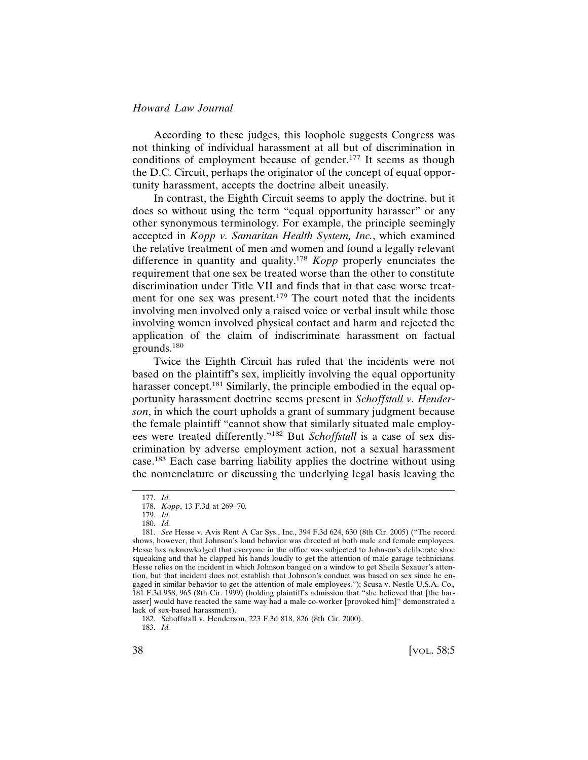According to these judges, this loophole suggests Congress was not thinking of individual harassment at all but of discrimination in conditions of employment because of gender.<sup>177</sup> It seems as though the D.C. Circuit, perhaps the originator of the concept of equal opportunity harassment, accepts the doctrine albeit uneasily.

In contrast, the Eighth Circuit seems to apply the doctrine, but it does so without using the term "equal opportunity harasser" or any other synonymous terminology. For example, the principle seemingly accepted in *Kopp v. Samaritan Health System, Inc.*, which examined the relative treatment of men and women and found a legally relevant difference in quantity and quality.178 *Kopp* properly enunciates the requirement that one sex be treated worse than the other to constitute discrimination under Title VII and finds that in that case worse treatment for one sex was present.<sup>179</sup> The court noted that the incidents involving men involved only a raised voice or verbal insult while those involving women involved physical contact and harm and rejected the application of the claim of indiscriminate harassment on factual grounds.180

Twice the Eighth Circuit has ruled that the incidents were not based on the plaintiff's sex, implicitly involving the equal opportunity harasser concept.<sup>181</sup> Similarly, the principle embodied in the equal opportunity harassment doctrine seems present in *Schoffstall v. Henderson*, in which the court upholds a grant of summary judgment because the female plaintiff "cannot show that similarly situated male employees were treated differently."182 But *Schoffstall* is a case of sex discrimination by adverse employment action, not a sexual harassment case.183 Each case barring liability applies the doctrine without using the nomenclature or discussing the underlying legal basis leaving the

<sup>177.</sup> *Id.*

<sup>178.</sup> *Kopp*, 13 F.3d at 269–70.

<sup>179.</sup> *Id.*

<sup>180.</sup> *Id.*

<sup>181.</sup> *See* Hesse v. Avis Rent A Car Sys., Inc*.*, 394 F.3d 624, 630 (8th Cir. 2005) ("The record shows, however, that Johnson's loud behavior was directed at both male and female employees. Hesse has acknowledged that everyone in the office was subjected to Johnson's deliberate shoe squeaking and that he clapped his hands loudly to get the attention of male garage technicians. Hesse relies on the incident in which Johnson banged on a window to get Sheila Sexauer's attention, but that incident does not establish that Johnson's conduct was based on sex since he engaged in similar behavior to get the attention of male employees."); Scusa v. Nestle U.S.A. Co.*,* 181 F.3d 958, 965 (8th Cir. 1999) (holding plaintiff's admission that "she believed that [the harasser] would have reacted the same way had a male co-worker [provoked him]" demonstrated a lack of sex-based harassment).

<sup>182.</sup> Schoffstall v. Henderson, 223 F.3d 818, 826 (8th Cir. 2000).

<sup>183.</sup> *Id.*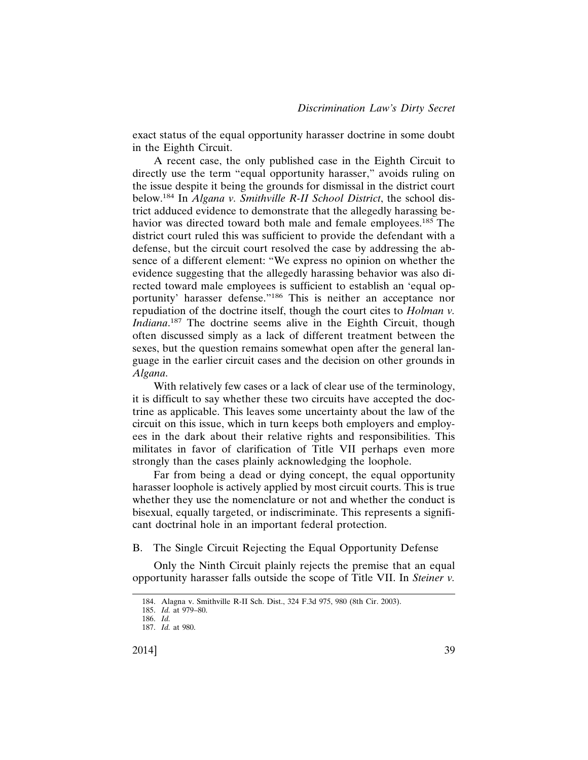exact status of the equal opportunity harasser doctrine in some doubt in the Eighth Circuit.

A recent case, the only published case in the Eighth Circuit to directly use the term "equal opportunity harasser," avoids ruling on the issue despite it being the grounds for dismissal in the district court below.184 In *Algana v. Smithville R-II School District*, the school district adduced evidence to demonstrate that the allegedly harassing behavior was directed toward both male and female employees.<sup>185</sup> The district court ruled this was sufficient to provide the defendant with a defense, but the circuit court resolved the case by addressing the absence of a different element: "We express no opinion on whether the evidence suggesting that the allegedly harassing behavior was also directed toward male employees is sufficient to establish an 'equal opportunity' harasser defense."186 This is neither an acceptance nor repudiation of the doctrine itself, though the court cites to *Holman v. Indiana*. 187 The doctrine seems alive in the Eighth Circuit, though often discussed simply as a lack of different treatment between the sexes, but the question remains somewhat open after the general language in the earlier circuit cases and the decision on other grounds in *Algana*.

With relatively few cases or a lack of clear use of the terminology, it is difficult to say whether these two circuits have accepted the doctrine as applicable. This leaves some uncertainty about the law of the circuit on this issue, which in turn keeps both employers and employees in the dark about their relative rights and responsibilities. This militates in favor of clarification of Title VII perhaps even more strongly than the cases plainly acknowledging the loophole.

Far from being a dead or dying concept, the equal opportunity harasser loophole is actively applied by most circuit courts. This is true whether they use the nomenclature or not and whether the conduct is bisexual, equally targeted, or indiscriminate. This represents a significant doctrinal hole in an important federal protection.

#### B. The Single Circuit Rejecting the Equal Opportunity Defense

Only the Ninth Circuit plainly rejects the premise that an equal opportunity harasser falls outside the scope of Title VII. In *Steiner v.*

<sup>184.</sup> Alagna v. Smithville R-II Sch. Dist., 324 F.3d 975, 980 (8th Cir. 2003).

<sup>185.</sup> *Id.* at 979–80.

<sup>186.</sup> *Id.*

<sup>187.</sup> *Id.* at 980.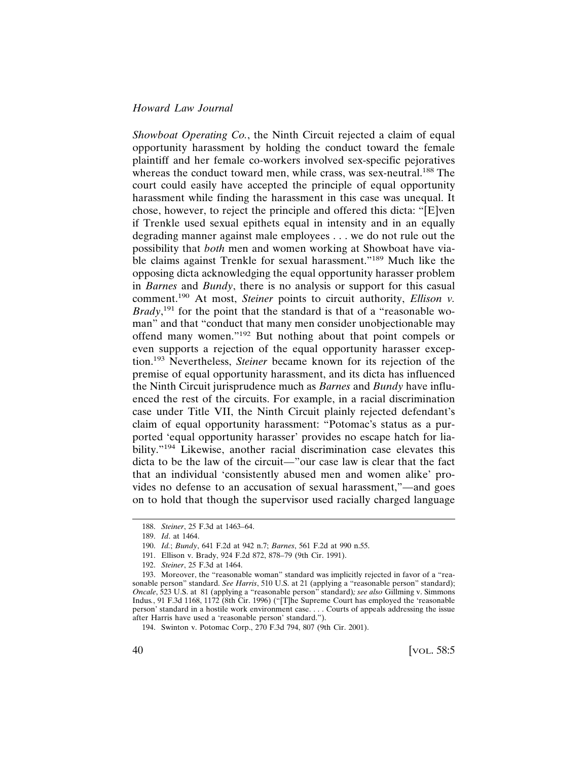*Showboat Operating Co.*, the Ninth Circuit rejected a claim of equal opportunity harassment by holding the conduct toward the female plaintiff and her female co-workers involved sex-specific pejoratives whereas the conduct toward men, while crass, was sex-neutral.<sup>188</sup> The court could easily have accepted the principle of equal opportunity harassment while finding the harassment in this case was unequal. It chose, however, to reject the principle and offered this dicta: "[E]ven if Trenkle used sexual epithets equal in intensity and in an equally degrading manner against male employees . . . we do not rule out the possibility that *both* men and women working at Showboat have viable claims against Trenkle for sexual harassment."189 Much like the opposing dicta acknowledging the equal opportunity harasser problem in *Barnes* and *Bundy*, there is no analysis or support for this casual comment.190 At most, *Steiner* points to circuit authority, *Ellison v.* Brady,<sup>191</sup> for the point that the standard is that of a "reasonable woman" and that "conduct that many men consider unobjectionable may offend many women."192 But nothing about that point compels or even supports a rejection of the equal opportunity harasser exception.193 Nevertheless, *Steiner* became known for its rejection of the premise of equal opportunity harassment, and its dicta has influenced the Ninth Circuit jurisprudence much as *Barnes* and *Bundy* have influenced the rest of the circuits. For example, in a racial discrimination case under Title VII, the Ninth Circuit plainly rejected defendant's claim of equal opportunity harassment: "Potomac's status as a purported 'equal opportunity harasser' provides no escape hatch for liability."<sup>194</sup> Likewise, another racial discrimination case elevates this dicta to be the law of the circuit—"our case law is clear that the fact that an individual 'consistently abused men and women alike' provides no defense to an accusation of sexual harassment,"—and goes on to hold that though the supervisor used racially charged language

<sup>188.</sup> *Steiner*, 25 F.3d at 1463–64.

<sup>189.</sup> *Id*. at 1464.

<sup>190.</sup> *Id.*; *Bundy*, 641 F.2d at 942 n.7; *Barnes*, 561 F.2d at 990 n.55.

<sup>191.</sup> Ellison v. Brady, 924 F.2d 872, 878–79 (9th Cir. 1991).

<sup>192.</sup> *Steiner*, 25 F.3d at 1464.

<sup>193.</sup> Moreover, the "reasonable woman" standard was implicitly rejected in favor of a "reasonable person" standard. *See Harris*, 510 U.S. at 21 (applying a "reasonable person" standard); *Oncale*, 523 U.S. at 81 (applying a "reasonable person" standard)*; see also* Gillming v. Simmons Indus*.*, 91 F.3d 1168, 1172 (8th Cir. 1996) ("[T]he Supreme Court has employed the 'reasonable person' standard in a hostile work environment case. . . . Courts of appeals addressing the issue after Harris have used a 'reasonable person' standard.").

<sup>194.</sup> Swinton v. Potomac Corp., 270 F.3d 794, 807 (9th Cir. 2001).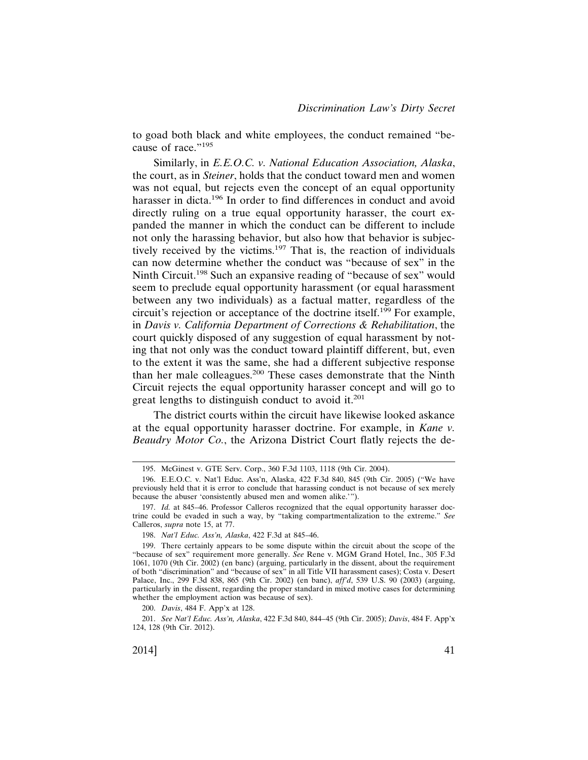to goad both black and white employees, the conduct remained "because of race."<sup>195</sup>

Similarly, in *E.E.O.C. v. National Education Association, Alaska*, the court, as in *Steiner*, holds that the conduct toward men and women was not equal, but rejects even the concept of an equal opportunity harasser in dicta.<sup>196</sup> In order to find differences in conduct and avoid directly ruling on a true equal opportunity harasser, the court expanded the manner in which the conduct can be different to include not only the harassing behavior, but also how that behavior is subjectively received by the victims.197 That is, the reaction of individuals can now determine whether the conduct was "because of sex" in the Ninth Circuit.198 Such an expansive reading of "because of sex" would seem to preclude equal opportunity harassment (or equal harassment between any two individuals) as a factual matter, regardless of the circuit's rejection or acceptance of the doctrine itself.199 For example, in *Davis v. California Department of Corrections & Rehabilitation*, the court quickly disposed of any suggestion of equal harassment by noting that not only was the conduct toward plaintiff different, but, even to the extent it was the same, she had a different subjective response than her male colleagues.200 These cases demonstrate that the Ninth Circuit rejects the equal opportunity harasser concept and will go to great lengths to distinguish conduct to avoid it.<sup>201</sup>

The district courts within the circuit have likewise looked askance at the equal opportunity harasser doctrine. For example, in *Kane v. Beaudry Motor Co.*, the Arizona District Court flatly rejects the de-

<sup>195.</sup> McGinest v. GTE Serv. Corp., 360 F.3d 1103, 1118 (9th Cir. 2004).

<sup>196.</sup> E.E.O.C. v. Nat'l Educ. Ass'n, Alaska, 422 F.3d 840, 845 (9th Cir. 2005) ("We have previously held that it is error to conclude that harassing conduct is not because of sex merely because the abuser 'consistently abused men and women alike.'").

<sup>197.</sup> *Id.* at 845–46. Professor Calleros recognized that the equal opportunity harasser doctrine could be evaded in such a way, by "taking compartmentalization to the extreme." *See* Calleros, *supra* note 15, at 77.

<sup>198.</sup> *Nat'l Educ. Ass'n, Alaska*, 422 F.3d at 845–46.

<sup>199.</sup> There certainly appears to be some dispute within the circuit about the scope of the "because of sex" requirement more generally. *See* Rene v. MGM Grand Hotel, Inc., 305 F.3d 1061, 1070 (9th Cir. 2002) (en banc) (arguing, particularly in the dissent, about the requirement of both "discrimination" and "because of sex" in all Title VII harassment cases); Costa v. Desert Palace, Inc., 299 F.3d 838, 865 (9th Cir. 2002) (en banc), *aff'd*, 539 U.S. 90 (2003) (arguing, particularly in the dissent, regarding the proper standard in mixed motive cases for determining whether the employment action was because of sex).

<sup>200.</sup> *Davis*, 484 F. App'x at 128.

<sup>201.</sup> *See Nat'l Educ. Ass'n, Alaska*, 422 F.3d 840, 844–45 (9th Cir. 2005); *Davis*, 484 F. App'x 124, 128 (9th Cir. 2012).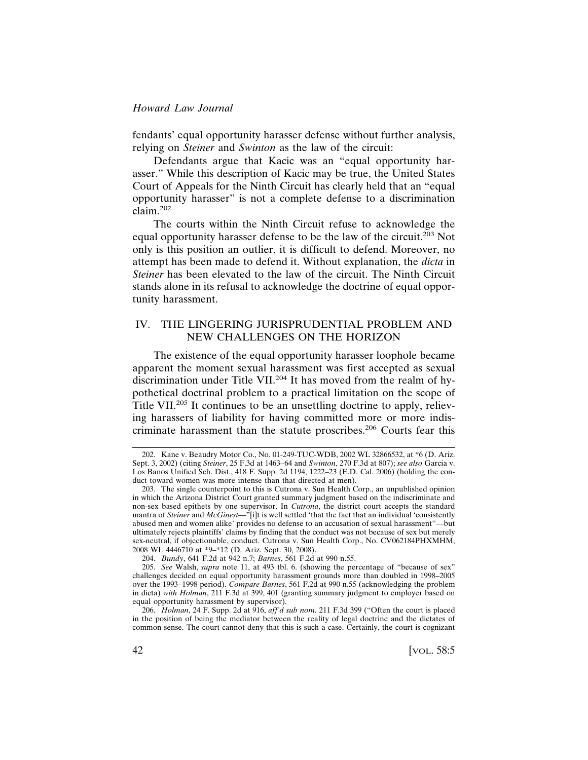fendants' equal opportunity harasser defense without further analysis, relying on *Steiner* and *Swinton* as the law of the circuit:

Defendants argue that Kacic was an "equal opportunity harasser." While this description of Kacic may be true, the United States Court of Appeals for the Ninth Circuit has clearly held that an "equal opportunity harasser" is not a complete defense to a discrimination claim.202

The courts within the Ninth Circuit refuse to acknowledge the equal opportunity harasser defense to be the law of the circuit.203 Not only is this position an outlier, it is difficult to defend. Moreover, no attempt has been made to defend it. Without explanation, the *dicta* in *Steiner* has been elevated to the law of the circuit. The Ninth Circuit stands alone in its refusal to acknowledge the doctrine of equal opportunity harassment.

#### IV. THE LINGERING JURISPRUDENTIAL PROBLEM AND NEW CHALLENGES ON THE HORIZON

The existence of the equal opportunity harasser loophole became apparent the moment sexual harassment was first accepted as sexual discrimination under Title VII.<sup>204</sup> It has moved from the realm of hypothetical doctrinal problem to a practical limitation on the scope of Title VII.205 It continues to be an unsettling doctrine to apply, relieving harassers of liability for having committed more or more indiscriminate harassment than the statute proscribes.206 Courts fear this

<sup>202.</sup> Kane v. Beaudry Motor Co., No. 01-249-TUC-WDB, 2002 WL 32866532, at \*6 (D. Ariz. Sept. 3, 2002) (citing *Steiner*, 25 F.3d at 1463–64 and *Swinton*, 270 F.3d at 807); *see also* Garcia v. Los Banos Unified Sch. Dist., 418 F. Supp. 2d 1194, 1222–23 (E.D. Cal. 2006) (holding the conduct toward women was more intense than that directed at men).

<sup>203.</sup> The single counterpoint to this is Cutrona v. Sun Health Corp., an unpublished opinion in which the Arizona District Court granted summary judgment based on the indiscriminate and non-sex based epithets by one supervisor. In *Cutrona*, the district court accepts the standard mantra of *Steiner* and *McGinest*—"[i]t is well settled 'that the fact that an individual 'consistently abused men and women alike' provides no defense to an accusation of sexual harassment"—but ultimately rejects plaintiffs' claims by finding that the conduct was not because of sex but merely sex-neutral, if objectionable, conduct. Cutrona v. Sun Health Corp., No. CV062184PHXMHM, 2008 WL 4446710 at \*9–\*12 (D. Ariz. Sept. 30, 2008).

<sup>204.</sup> *Bundy*, 641 F.2d at 942 n.7; *Barnes*, 561 F.2d at 990 n.55.

<sup>205.</sup> *See* Walsh, *supra* note 11, at 493 tbl. 6. (showing the percentage of "because of sex" challenges decided on equal opportunity harassment grounds more than doubled in 1998–2005 over the 1993–1998 period). *Compare Barnes*, 561 F.2d at 990 n.55 (acknowledging the problem in dicta) *with Holman*, 211 F.3d at 399, 401 (granting summary judgment to employer based on equal opportunity harassment by supervisor).

<sup>206.</sup> *Holman*, 24 F. Supp. 2d at 916, *aff'd sub nom.* 211 F.3d 399 ("Often the court is placed in the position of being the mediator between the reality of legal doctrine and the dictates of common sense. The court cannot deny that this is such a case. Certainly, the court is cognizant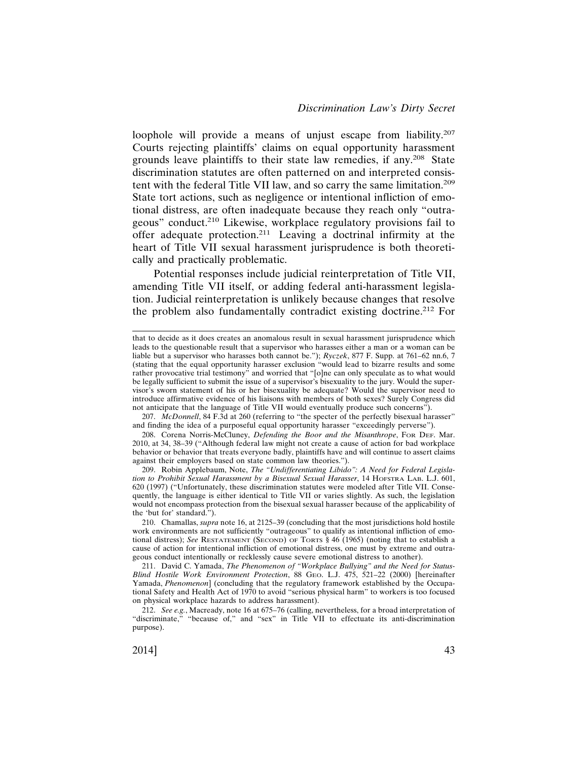loophole will provide a means of unjust escape from liability.<sup>207</sup> Courts rejecting plaintiffs' claims on equal opportunity harassment grounds leave plaintiffs to their state law remedies, if any.208 State discrimination statutes are often patterned on and interpreted consistent with the federal Title VII law, and so carry the same limitation.<sup>209</sup> State tort actions, such as negligence or intentional infliction of emotional distress, are often inadequate because they reach only "outrageous" conduct.210 Likewise, workplace regulatory provisions fail to offer adequate protection.<sup>211</sup> Leaving a doctrinal infirmity at the heart of Title VII sexual harassment jurisprudence is both theoretically and practically problematic.

Potential responses include judicial reinterpretation of Title VII, amending Title VII itself, or adding federal anti-harassment legislation. Judicial reinterpretation is unlikely because changes that resolve the problem also fundamentally contradict existing doctrine.212 For

208. Corena Norris-McCluney, *Defending the Boor and the Misanthrope*, FOR DEF. Mar. 2010, at 34, 38–39 ("Although federal law might not create a cause of action for bad workplace behavior or behavior that treats everyone badly, plaintiffs have and will continue to assert claims against their employers based on state common law theories.").

209. Robin Applebaum, Note, *The "Undifferentiating Libido": A Need for Federal Legislation to Prohibit Sexual Harassment by a Bisexual Sexual Harasser*, 14 HOFSTRA LAB. L.J. 601, 620 (1997) ("Unfortunately, these discrimination statutes were modeled after Title VII. Consequently, the language is either identical to Title VII or varies slightly. As such, the legislation would not encompass protection from the bisexual sexual harasser because of the applicability of the 'but for' standard.").

210. Chamallas, *supra* note 16, at 2125–39 (concluding that the most jurisdictions hold hostile work environments are not sufficiently "outrageous" to qualify as intentional infliction of emotional distress); *See* RESTATEMENT (SECOND) OF TORTS § 46 (1965) (noting that to establish a cause of action for intentional infliction of emotional distress, one must by extreme and outrageous conduct intentionally or recklessly cause severe emotional distress to another).

211. David C. Yamada, *The Phenomenon of "Workplace Bullying" and the Need for Status-Blind Hostile Work Environment Protection*, 88 GEO. L.J. 475, 521–22 (2000) [hereinafter Yamada, *Phenomenon*] (concluding that the regulatory framework established by the Occupational Safety and Health Act of 1970 to avoid "serious physical harm" to workers is too focused on physical workplace hazards to address harassment).

212. *See e.g.*, Macready, note 16 at 675–76 (calling, nevertheless, for a broad interpretation of "discriminate," "because of," and "sex" in Title VII to effectuate its anti-discrimination "because of," and "sex" in Title VII to effectuate its anti-discrimination purpose).

that to decide as it does creates an anomalous result in sexual harassment jurisprudence which leads to the questionable result that a supervisor who harasses either a man or a woman can be liable but a supervisor who harasses both cannot be."); *Ryczek*, 877 F. Supp. at 761–62 nn.6, 7 (stating that the equal opportunity harasser exclusion "would lead to bizarre results and some rather provocative trial testimony" and worried that "[o]ne can only speculate as to what would be legally sufficient to submit the issue of a supervisor's bisexuality to the jury. Would the supervisor's sworn statement of his or her bisexuality be adequate? Would the supervisor need to introduce affirmative evidence of his liaisons with members of both sexes? Surely Congress did not anticipate that the language of Title VII would eventually produce such concerns").

<sup>207.</sup> *McDonnell*, 84 F.3d at 260 (referring to "the specter of the perfectly bisexual harasser" and finding the idea of a purposeful equal opportunity harasser "exceedingly perverse").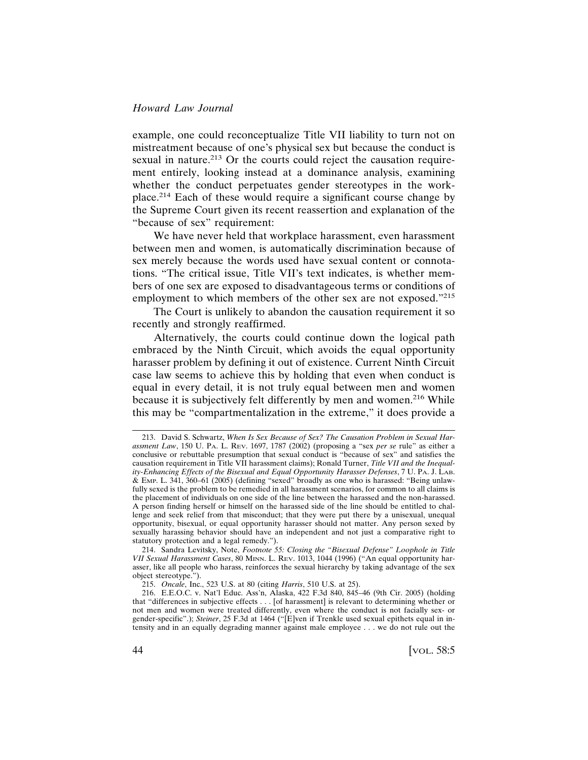example, one could reconceptualize Title VII liability to turn not on mistreatment because of one's physical sex but because the conduct is sexual in nature.<sup>213</sup> Or the courts could reject the causation requirement entirely, looking instead at a dominance analysis, examining whether the conduct perpetuates gender stereotypes in the workplace.214 Each of these would require a significant course change by the Supreme Court given its recent reassertion and explanation of the "because of sex" requirement:

We have never held that workplace harassment, even harassment between men and women, is automatically discrimination because of sex merely because the words used have sexual content or connotations. "The critical issue, Title VII's text indicates, is whether members of one sex are exposed to disadvantageous terms or conditions of employment to which members of the other sex are not exposed."215

The Court is unlikely to abandon the causation requirement it so recently and strongly reaffirmed.

Alternatively, the courts could continue down the logical path embraced by the Ninth Circuit, which avoids the equal opportunity harasser problem by defining it out of existence. Current Ninth Circuit case law seems to achieve this by holding that even when conduct is equal in every detail, it is not truly equal between men and women because it is subjectively felt differently by men and women.<sup>216</sup> While this may be "compartmentalization in the extreme," it does provide a

<sup>213.</sup> David S. Schwartz, *When Is Sex Because of Sex? The Causation Problem in Sexual Harassment Law*, 150 U. PA. L. REV. 1697, 1787 (2002) (proposing a "sex *per se* rule" as either a conclusive or rebuttable presumption that sexual conduct is "because of sex" and satisfies the causation requirement in Title VII harassment claims); Ronald Turner, *Title VII and the Inequality-Enhancing Effects of the Bisexual and Equal Opportunity Harasser Defenses*, 7 U. PA. J. LAB. & EMP. L. 341, 360–61 (2005) (defining "sexed" broadly as one who is harassed: "Being unlawfully sexed is the problem to be remedied in all harassment scenarios, for common to all claims is the placement of individuals on one side of the line between the harassed and the non-harassed. A person finding herself or himself on the harassed side of the line should be entitled to challenge and seek relief from that misconduct; that they were put there by a unisexual, unequal opportunity, bisexual, or equal opportunity harasser should not matter. Any person sexed by sexually harassing behavior should have an independent and not just a comparative right to statutory protection and a legal remedy.").

<sup>214.</sup> Sandra Levitsky, Note, *Footnote 55: Closing the "Bisexual Defense" Loophole in Title VII Sexual Harassment Cases*, 80 MINN. L. REV. 1013, 1044 (1996) ("An equal opportunity harasser, like all people who harass, reinforces the sexual hierarchy by taking advantage of the sex object stereotype.").

<sup>215.</sup> *Oncale*, Inc., 523 U.S. at 80 (citing *Harris*, 510 U.S. at 25).

<sup>216.</sup> E.E.O.C. v. Nat'l Educ. Ass'n, Alaska, 422 F.3d 840, 845–46 (9th Cir. 2005) (holding that "differences in subjective effects . . . [of harassment] is relevant to determining whether or not men and women were treated differently, even where the conduct is not facially sex- or gender-specific".); *Steiner*, 25 F.3d at 1464 ("[E]ven if Trenkle used sexual epithets equal in intensity and in an equally degrading manner against male employee . . . we do not rule out the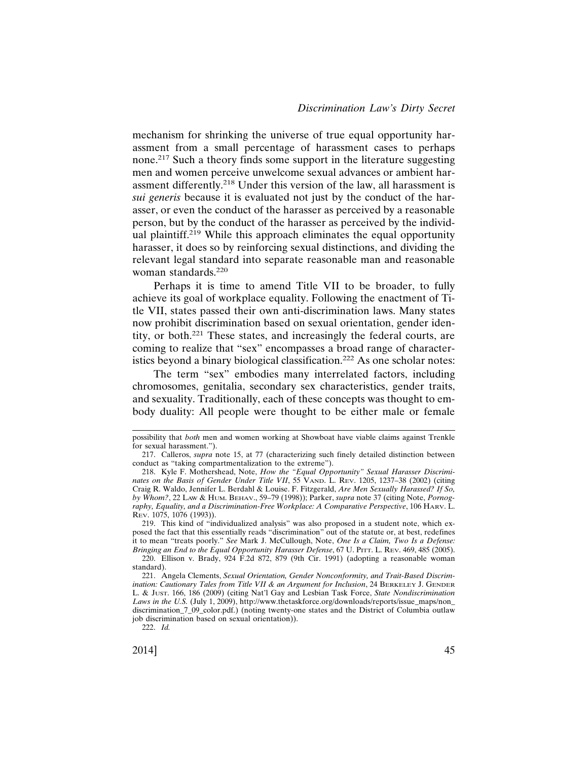mechanism for shrinking the universe of true equal opportunity harassment from a small percentage of harassment cases to perhaps none.217 Such a theory finds some support in the literature suggesting men and women perceive unwelcome sexual advances or ambient harassment differently.218 Under this version of the law, all harassment is *sui generis* because it is evaluated not just by the conduct of the harasser, or even the conduct of the harasser as perceived by a reasonable person, but by the conduct of the harasser as perceived by the individual plaintiff.<sup>219</sup> While this approach eliminates the equal opportunity harasser, it does so by reinforcing sexual distinctions, and dividing the relevant legal standard into separate reasonable man and reasonable woman standards.<sup>220</sup>

Perhaps it is time to amend Title VII to be broader, to fully achieve its goal of workplace equality. Following the enactment of Title VII, states passed their own anti-discrimination laws. Many states now prohibit discrimination based on sexual orientation, gender identity, or both.<sup>221</sup> These states, and increasingly the federal courts, are coming to realize that "sex" encompasses a broad range of characteristics beyond a binary biological classification.<sup>222</sup> As one scholar notes:

The term "sex" embodies many interrelated factors, including chromosomes, genitalia, secondary sex characteristics, gender traits, and sexuality. Traditionally, each of these concepts was thought to embody duality: All people were thought to be either male or female

219. This kind of "individualized analysis" was also proposed in a student note, which exposed the fact that this essentially reads "discrimination" out of the statute or, at best, redefines it to mean "treats poorly." *See* Mark J. McCullough, Note, *One Is a Claim, Two Is a Defense: Bringing an End to the Equal Opportunity Harasser Defense*, 67 U. PITT. L. REV. 469, 485 (2005).

possibility that *both* men and women working at Showboat have viable claims against Trenkle for sexual harassment.").

<sup>217.</sup> Calleros, *supra* note 15, at 77 (characterizing such finely detailed distinction between conduct as "taking compartmentalization to the extreme").

<sup>218.</sup> Kyle F. Mothershead, Note, *How the "Equal Opportunity" Sexual Harasser Discriminates on the Basis of Gender Under Title VII*, 55 VAND. L. REV. 1205, 1237–38 (2002) (citing Craig R. Waldo, Jennifer L. Berdahl & Louise. F. Fitzgerald, *Are Men Sexually Harassed? If So, by Whom?*, 22 LAW & HUM. BEHAV., 59–79 (1998)); Parker, *supra* note 37 (citing Note, *Pornography, Equality, and a Discrimination-Free Workplace: A Comparative Perspective*, 106 HARV. L. REV. 1075, 1076 (1993)).

<sup>220.</sup> Ellison v. Brady, 924 F.2d 872, 879 (9th Cir. 1991) (adopting a reasonable woman standard).

<sup>221.</sup> Angela Clements, *Sexual Orientation, Gender Nonconformity, and Trait-Based Discrimination: Cautionary Tales from Title VII & an Argument for Inclusion*, 24 BERKELEY J. GENDER L. & JUST. 166, 186 (2009) (citing Nat'l Gay and Lesbian Task Force, *State Nondiscrimination Laws in the U.S.* (July 1, 2009), http://www.thetaskforce.org/downloads/reports/issue\_maps/non\_ discrimination\_7\_09\_color.pdf.) (noting twenty-one states and the District of Columbia outlaw job discrimination based on sexual orientation)).

<sup>222.</sup> *Id.*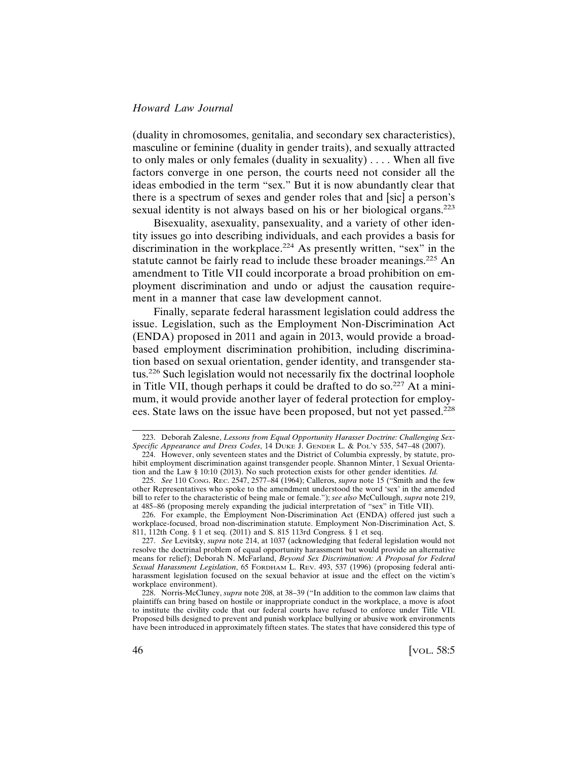(duality in chromosomes, genitalia, and secondary sex characteristics), masculine or feminine (duality in gender traits), and sexually attracted to only males or only females (duality in sexuality) . . . . When all five factors converge in one person, the courts need not consider all the ideas embodied in the term "sex." But it is now abundantly clear that there is a spectrum of sexes and gender roles that and [sic] a person's sexual identity is not always based on his or her biological organs.223

Bisexuality, asexuality, pansexuality, and a variety of other identity issues go into describing individuals, and each provides a basis for discrimination in the workplace.<sup>224</sup> As presently written, "sex" in the statute cannot be fairly read to include these broader meanings.<sup>225</sup> An amendment to Title VII could incorporate a broad prohibition on employment discrimination and undo or adjust the causation requirement in a manner that case law development cannot.

Finally, separate federal harassment legislation could address the issue. Legislation, such as the Employment Non-Discrimination Act (ENDA) proposed in 2011 and again in 2013, would provide a broadbased employment discrimination prohibition, including discrimination based on sexual orientation, gender identity, and transgender status.226 Such legislation would not necessarily fix the doctrinal loophole in Title VII, though perhaps it could be drafted to do so.<sup>227</sup> At a minimum, it would provide another layer of federal protection for employees. State laws on the issue have been proposed, but not yet passed.<sup>228</sup>

226. For example, the Employment Non-Discrimination Act (ENDA) offered just such a workplace-focused, broad non-discrimination statute. Employment Non-Discrimination Act, S. 811, 112th Cong. § 1 et seq. (2011) and S. 815 113rd Congress. § 1 et seq.

<sup>223.</sup> Deborah Zalesne, *Lessons from Equal Opportunity Harasser Doctrine: Challenging Sex-Specific Appearance and Dress Codes*, 14 DUKE J. GENDER L. & POL'Y 535, 547–48 (2007).

<sup>224.</sup> However, only seventeen states and the District of Columbia expressly, by statute, prohibit employment discrimination against transgender people. Shannon Minter, 1 Sexual Orientation and the Law § 10:10 (2013). No such protection exists for other gender identities. *Id.*

<sup>225.</sup> *See* 110 CONG. REC. 2547, 2577–84 (1964); Calleros, *supra* note 15 ("Smith and the few other Representatives who spoke to the amendment understood the word 'sex' in the amended bill to refer to the characteristic of being male or female."); *see also* McCullough, *supra* note 219, at 485–86 (proposing merely expanding the judicial interpretation of "sex" in Title VII).

<sup>227.</sup> *See* Levitsky, *supra* note 214, at 1037 (acknowledging that federal legislation would not resolve the doctrinal problem of equal opportunity harassment but would provide an alternative means for relief); Deborah N. McFarland, *Beyond Sex Discrimination: A Proposal for Federal Sexual Harassment Legislation*, 65 FORDHAM L. REV. 493, 537 (1996) (proposing federal antiharassment legislation focused on the sexual behavior at issue and the effect on the victim's workplace environment).

<sup>228.</sup> Norris-McCluney, *supra* note 208, at 38–39 ("In addition to the common law claims that plaintiffs can bring based on hostile or inappropriate conduct in the workplace, a move is afoot to institute the civility code that our federal courts have refused to enforce under Title VII. Proposed bills designed to prevent and punish workplace bullying or abusive work environments have been introduced in approximately fifteen states. The states that have considered this type of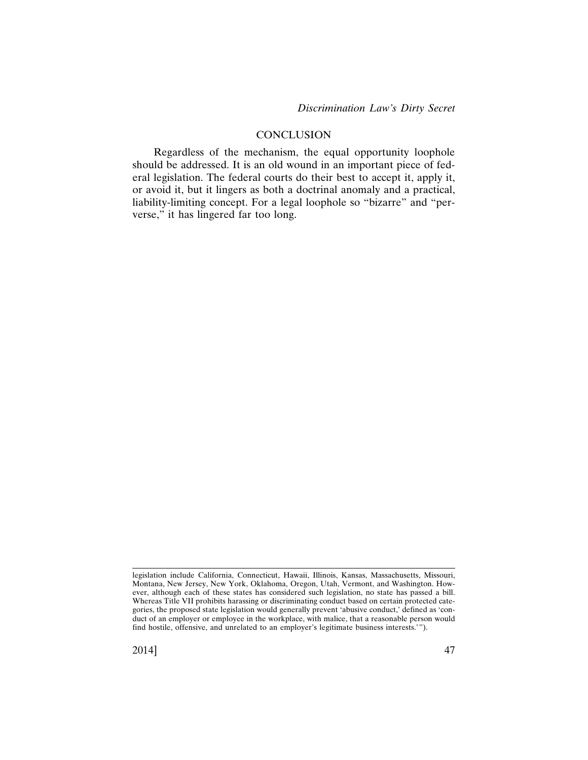*Discrimination Law's Dirty Secret*

#### **CONCLUSION**

Regardless of the mechanism, the equal opportunity loophole should be addressed. It is an old wound in an important piece of federal legislation. The federal courts do their best to accept it, apply it, or avoid it, but it lingers as both a doctrinal anomaly and a practical, liability-limiting concept. For a legal loophole so "bizarre" and "perverse," it has lingered far too long.

legislation include California, Connecticut, Hawaii, Illinois, Kansas, Massachusetts, Missouri, Montana, New Jersey, New York, Oklahoma, Oregon, Utah, Vermont, and Washington. However, although each of these states has considered such legislation, no state has passed a bill. Whereas Title VII prohibits harassing or discriminating conduct based on certain protected categories, the proposed state legislation would generally prevent 'abusive conduct,' defined as 'conduct of an employer or employee in the workplace, with malice, that a reasonable person would find hostile, offensive, and unrelated to an employer's legitimate business interests.'").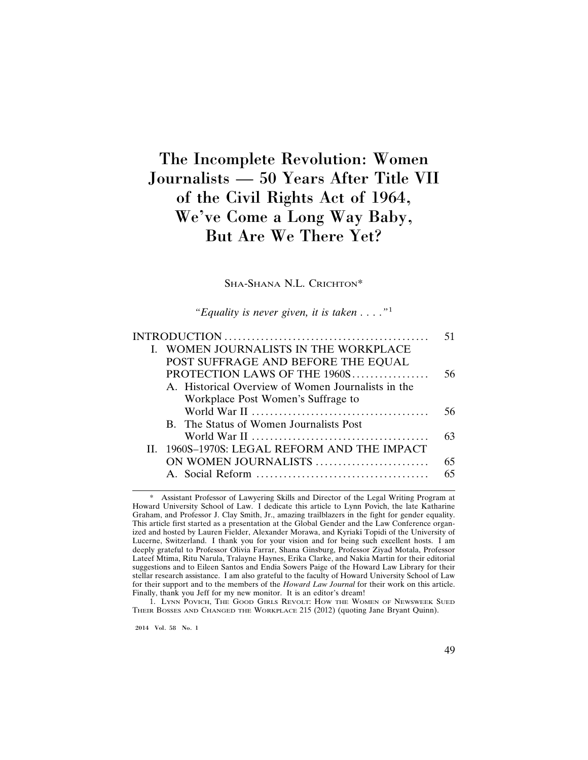# The Incomplete Revolution: Women Journalists — 50 Years After Title VII of the Civil Rights Act of 1964, We've Come a Long Way Baby, But Are We There Yet?

SHA-SHANA N.L. CRICHTON\*

*"Equality is never given, it is taken . . . ."*<sup>1</sup>

|                                                    | 51 |
|----------------------------------------------------|----|
| I. WOMEN JOURNALISTS IN THE WORKPLACE              |    |
| POST SUFFRAGE AND BEFORE THE EQUAL                 |    |
| PROTECTION LAWS OF THE 1960S                       | 56 |
| A. Historical Overview of Women Journalists in the |    |
| Workplace Post Women's Suffrage to                 |    |
|                                                    | 56 |
| B. The Status of Women Journalists Post            |    |
|                                                    | 63 |
| II. 1960S-1970S: LEGAL REFORM AND THE IMPACT       |    |
| ON WOMEN JOURNALISTS                               | 65 |
|                                                    | 65 |
|                                                    |    |

2014 Vol. 58 No. 1

<sup>\*</sup> Assistant Professor of Lawyering Skills and Director of the Legal Writing Program at Howard University School of Law. I dedicate this article to Lynn Povich, the late Katharine Graham, and Professor J. Clay Smith, Jr., amazing trailblazers in the fight for gender equality. This article first started as a presentation at the Global Gender and the Law Conference organized and hosted by Lauren Fielder, Alexander Morawa, and Kyriaki Topidi of the University of Lucerne, Switzerland. I thank you for your vision and for being such excellent hosts. I am deeply grateful to Professor Olivia Farrar, Shana Ginsburg, Professor Ziyad Motala, Professor Lateef Mtima, Ritu Narula, Tralayne Haynes, Erika Clarke, and Nakia Martin for their editorial suggestions and to Eileen Santos and Endia Sowers Paige of the Howard Law Library for their stellar research assistance. I am also grateful to the faculty of Howard University School of Law for their support and to the members of the *Howard Law Journal* for their work on this article. Finally, thank you Jeff for my new monitor. It is an editor's dream!

<sup>1.</sup> LYNN POVICH, THE GOOD GIRLS REVOLT: HOW THE WOMEN OF NEWSWEEK SUED THEIR BOSSES AND CHANGED THE WORKPLACE 215 (2012) (quoting Jane Bryant Quinn).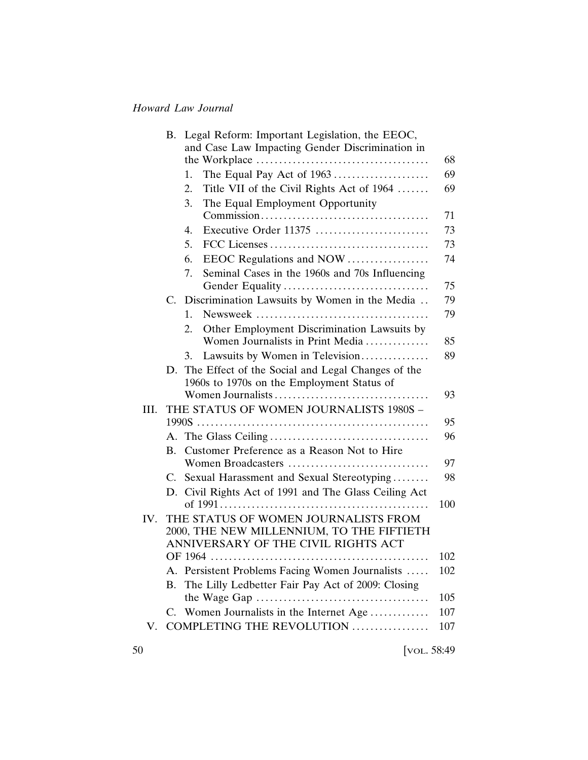|      |    | B. Legal Reform: Important Legislation, the EEOC,                                                  |     |
|------|----|----------------------------------------------------------------------------------------------------|-----|
|      |    | and Case Law Impacting Gender Discrimination in                                                    |     |
|      |    |                                                                                                    | 68  |
|      |    | The Equal Pay Act of 1963<br>1.                                                                    | 69  |
|      |    | Title VII of the Civil Rights Act of 1964<br>2.                                                    | 69  |
|      |    | 3.<br>The Equal Employment Opportunity                                                             |     |
|      |    |                                                                                                    | 71  |
|      |    | Executive Order 11375<br>4.                                                                        | 73  |
|      |    | 5.                                                                                                 | 73  |
|      |    | EEOC Regulations and NOW<br>6.                                                                     | 74  |
|      |    | Seminal Cases in the 1960s and 70s Influencing<br>7.                                               | 75  |
|      | C. | Discrimination Lawsuits by Women in the Media                                                      | 79  |
|      |    | 1.                                                                                                 | 79  |
|      |    | Other Employment Discrimination Lawsuits by<br>2.                                                  |     |
|      |    | Women Journalists in Print Media                                                                   | 85  |
|      |    | Lawsuits by Women in Television<br>3.                                                              | 89  |
|      |    | D. The Effect of the Social and Legal Changes of the<br>1960s to 1970s on the Employment Status of |     |
|      |    |                                                                                                    | 93  |
| III. |    | THE STATUS OF WOMEN JOURNALISTS 1980S -                                                            |     |
|      |    |                                                                                                    | 95  |
|      |    |                                                                                                    | 96  |
|      | B. | Customer Preference as a Reason Not to Hire                                                        |     |
|      |    |                                                                                                    | 97  |
|      |    | C. Sexual Harassment and Sexual Stereotyping                                                       | 98  |
|      | D. | Civil Rights Act of 1991 and The Glass Ceiling Act                                                 |     |
|      |    |                                                                                                    | 100 |
| IV.  |    | THE STATUS OF WOMEN JOURNALISTS FROM                                                               |     |
|      |    | 2000, THE NEW MILLENNIUM, TO THE FIFTIETH                                                          |     |
|      |    | ANNIVERSARY OF THE CIVIL RIGHTS ACT                                                                |     |
|      |    |                                                                                                    | 102 |
|      |    | A. Persistent Problems Facing Women Journalists                                                    | 102 |
|      | В. | The Lilly Ledbetter Fair Pay Act of 2009: Closing                                                  |     |
|      |    |                                                                                                    | 105 |
|      |    | C. Women Journalists in the Internet Age                                                           | 107 |
| V.   |    | COMPLETING THE REVOLUTION                                                                          | 107 |
|      |    |                                                                                                    |     |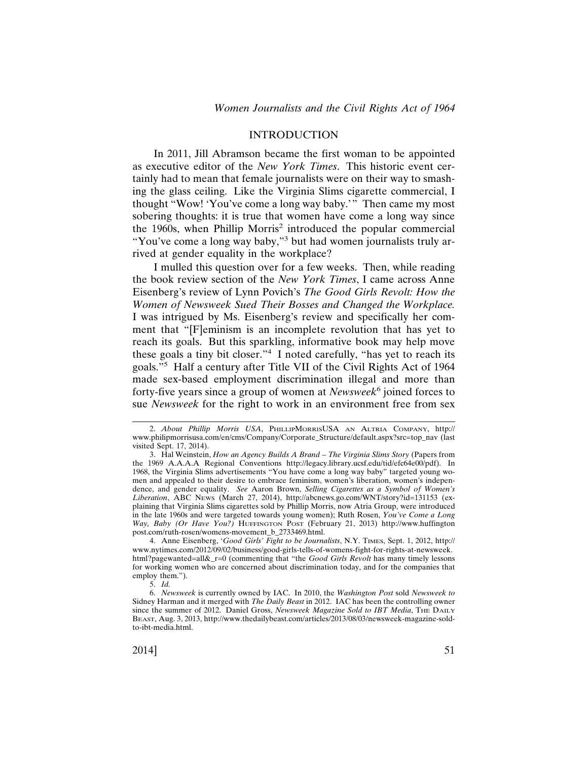#### INTRODUCTION

In 2011, Jill Abramson became the first woman to be appointed as executive editor of the *New York Times*. This historic event certainly had to mean that female journalists were on their way to smashing the glass ceiling. Like the Virginia Slims cigarette commercial, I thought "Wow! 'You've come a long way baby.'" Then came my most sobering thoughts: it is true that women have come a long way since the 1960s, when Phillip Morris<sup>2</sup> introduced the popular commercial "You've come a long way baby,"<sup>3</sup> but had women journalists truly arrived at gender equality in the workplace?

I mulled this question over for a few weeks. Then, while reading the book review section of the *New York Times*, I came across Anne Eisenberg's review of Lynn Povich's *The Good Girls Revolt: How the Women of Newsweek Sued Their Bosses and Changed the Workplace.* I was intrigued by Ms. Eisenberg's review and specifically her comment that "[F]eminism is an incomplete revolution that has yet to reach its goals. But this sparkling, informative book may help move these goals a tiny bit closer."4 I noted carefully, "has yet to reach its goals."5 Half a century after Title VII of the Civil Rights Act of 1964 made sex-based employment discrimination illegal and more than forty-five years since a group of women at *Newsweek*<sup>6</sup> joined forces to sue *Newsweek* for the right to work in an environment free from sex

<sup>2.</sup> *About Phillip Morris USA*, PHILLIPMORRISUSA AN ALTRIA COMPANY, http:// www.philipmorrisusa.com/en/cms/Company/Corporate\_Structure/default.aspx?src=top\_nav (last visited Sept. 17, 2014).

<sup>3.</sup> Hal Weinstein, *How an Agency Builds A Brand – The Virginia Slims Story* (Papers from the 1969 A.A.A.A Regional Conventions http://legacy.library.ucsf.edu/tid/efc64e00/pdf). In 1968, the Virginia Slims advertisements "You have come a long way baby" targeted young women and appealed to their desire to embrace feminism, women's liberation, women's independence, and gender equality. *See* Aaron Brown, *Selling Cigarettes as a Symbol of Women's Liberation*, ABC NEWS (March 27, 2014), http://abcnews.go.com/WNT/story?id=131153 (explaining that Virginia Slims cigarettes sold by Phillip Morris, now Atria Group, were introduced in the late 1960s and were targeted towards young women); Ruth Rosen, *You've Come a Long Way, Baby (Or Have You?)* HUFFINGTON POST (February 21, 2013) http://www.huffington post.com/ruth-rosen/womens-movement\_b\_2733469.html.

<sup>4.</sup> Anne Eisenberg, '*Good Girls' Fight to be Journalists*, N.Y. TIMES, Sept. 1, 2012, http:// www.nytimes.com/2012/09/02/business/good-girls-tells-of-womens-fight-for-rights-at-newsweek. html?pagewanted=all&\_r=0 (commenting that "the *Good Girls Revolt* has many timely lessons for working women who are concerned about discrimination today, and for the companies that employ them.").

<sup>5.</sup> *Id.*

<sup>6.</sup> *Newsweek* is currently owned by IAC. In 2010, the *Washington Post* sold *Newsweek to* Sidney Harman and it merged with *The Daily Beast* in 2012. IAC has been the controlling owner since the summer of 2012. Daniel Gross, *Newsweek Magazine Sold to IBT Media*, THE DAILY BEAST, Aug. 3, 2013, http://www.thedailybeast.com/articles/2013/08/03/newsweek-magazine-soldto-ibt-media.html.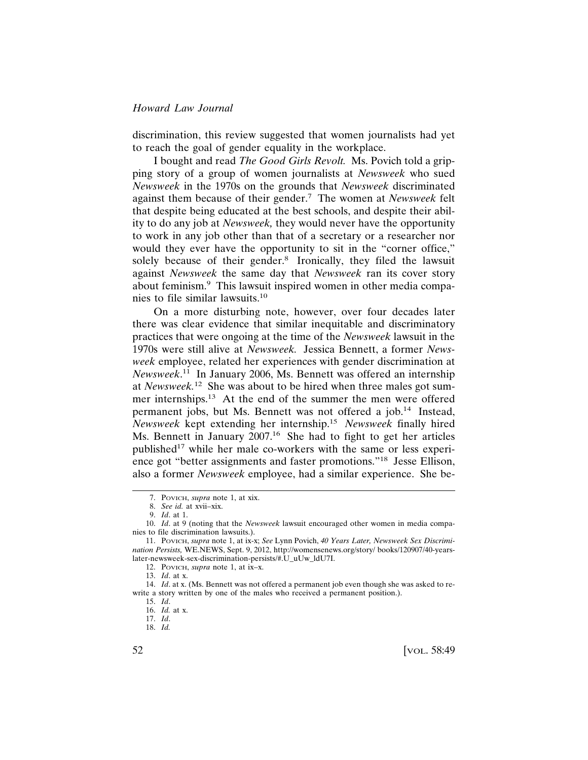discrimination, this review suggested that women journalists had yet to reach the goal of gender equality in the workplace.

I bought and read *The Good Girls Revolt.* Ms. Povich told a gripping story of a group of women journalists at *Newsweek* who sued *Newsweek* in the 1970s on the grounds that *Newsweek* discriminated against them because of their gender.7 The women at *Newsweek* felt that despite being educated at the best schools, and despite their ability to do any job at *Newsweek,* they would never have the opportunity to work in any job other than that of a secretary or a researcher nor would they ever have the opportunity to sit in the "corner office," solely because of their gender.<sup>8</sup> Ironically, they filed the lawsuit against *Newsweek* the same day that *Newsweek* ran its cover story about feminism.<sup>9</sup> This lawsuit inspired women in other media companies to file similar lawsuits.<sup>10</sup>

On a more disturbing note, however, over four decades later there was clear evidence that similar inequitable and discriminatory practices that were ongoing at the time of the *Newsweek* lawsuit in the 1970s were still alive at *Newsweek.* Jessica Bennett, a former *Newsweek* employee, related her experiences with gender discrimination at *Newsweek*. 11 In January 2006, Ms. Bennett was offered an internship at *Newsweek.*12 She was about to be hired when three males got summer internships.13 At the end of the summer the men were offered permanent jobs, but Ms. Bennett was not offered a job.14 Instead, *Newsweek* kept extending her internship.<sup>15</sup> *Newsweek* finally hired Ms. Bennett in January 2007.<sup>16</sup> She had to fight to get her articles published<sup>17</sup> while her male co-workers with the same or less experience got "better assignments and faster promotions."18 Jesse Ellison, also a former *Newsweek* employee, had a similar experience. She be-

<sup>7.</sup> POVICH, *supra* note 1, at xix.

<sup>8.</sup> *See id.* at xvii–xix.

<sup>9.</sup> *Id*. at 1.

<sup>10.</sup> *Id*. at 9 (noting that the *Newsweek* lawsuit encouraged other women in media companies to file discrimination lawsuits.).

<sup>11.</sup> POVICH, *supra* note 1, at ix-x; *See* Lynn Povich, *40 Years Later, Newsweek Sex Discrimination Persists,* WE.NEWS, Sept. 9, 2012, http://womensenews.org/story/ books/120907/40-yearslater-newsweek-sex-discrimination-persists/#.U\_uUw\_ldU7I.

<sup>12.</sup> POVICH, *supra* note 1, at ix–x.

<sup>13.</sup> *Id*. at x.

<sup>14.</sup> *Id*. at x. (Ms. Bennett was not offered a permanent job even though she was asked to rewrite a story written by one of the males who received a permanent position.).

<sup>15.</sup> *Id*.

<sup>16.</sup> *Id.* at x.

<sup>17.</sup> *Id*.

<sup>18.</sup> *Id.*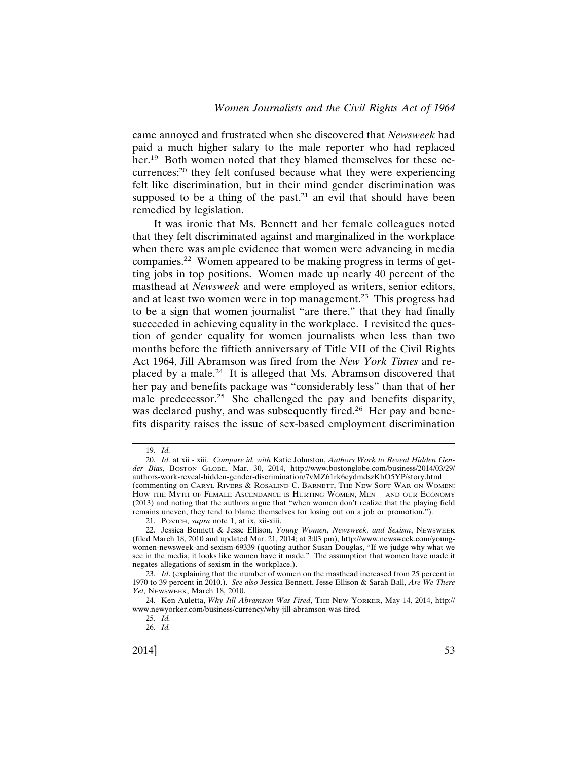came annoyed and frustrated when she discovered that *Newsweek* had paid a much higher salary to the male reporter who had replaced her.<sup>19</sup> Both women noted that they blamed themselves for these occurrences;20 they felt confused because what they were experiencing felt like discrimination, but in their mind gender discrimination was supposed to be a thing of the past, $2<sup>1</sup>$  an evil that should have been remedied by legislation.

It was ironic that Ms. Bennett and her female colleagues noted that they felt discriminated against and marginalized in the workplace when there was ample evidence that women were advancing in media companies.22 Women appeared to be making progress in terms of getting jobs in top positions. Women made up nearly 40 percent of the masthead at *Newsweek* and were employed as writers, senior editors, and at least two women were in top management.<sup>23</sup> This progress had to be a sign that women journalist "are there," that they had finally succeeded in achieving equality in the workplace. I revisited the question of gender equality for women journalists when less than two months before the fiftieth anniversary of Title VII of the Civil Rights Act 1964, Jill Abramson was fired from the *New York Times* and replaced by a male.24 It is alleged that Ms. Abramson discovered that her pay and benefits package was "considerably less" than that of her male predecessor.<sup>25</sup> She challenged the pay and benefits disparity, was declared pushy, and was subsequently fired.<sup>26</sup> Her pay and benefits disparity raises the issue of sex-based employment discrimination

<sup>19.</sup> *Id.*

<sup>20.</sup> *Id.* at xii - xiii. *Compare id. with* Katie Johnston, *Authors Work to Reveal Hidden Gender Bias*, BOSTON GLOBE, Mar. 30, 2014, http://www.bostonglobe.com/business/2014/03/29/ authors-work-reveal-hidden-gender-discrimination/7vMZ61rk6eydmdszKbO5YP/story.html (commenting on CARYL RIVERS & ROSALIND C. BARNETT, THE NEW SOFT WAR ON WOMEN: HOW THE MYTH OF FEMALE ASCENDANCE IS HURTING WOMEN, MEN – AND OUR ECONOMY (2013) and noting that the authors argue that "when women don't realize that the playing field remains uneven, they tend to blame themselves for losing out on a job or promotion.").

<sup>21.</sup> POVICH, *supra* note 1, at ix, xii-xiii.

<sup>22.</sup> Jessica Bennett & Jesse Ellison, *Young Women, Newsweek, and Sexism*, NEWSWEEK (filed March 18, 2010 and updated Mar. 21, 2014; at 3:03 pm), http://www.newsweek.com/youngwomen-newsweek-and-sexism-69339 (quoting author Susan Douglas, "If we judge why what we see in the media, it looks like women have it made." The assumption that women have made it negates allegations of sexism in the workplace.).

<sup>23.</sup> *Id*. (explaining that the number of women on the masthead increased from 25 percent in 1970 to 39 percent in 2010.). *See also* Jessica Bennett, Jesse Ellison & Sarah Ball, *Are We There Yet*, NEWSWEEK, March 18, 2010.

<sup>24.</sup> Ken Auletta, *Why Jill Abramson Was Fired*, THE NEW YORKER, May 14, 2014, http:// www.newyorker.com/business/currency/why-jill-abramson-was-fired*.*

<sup>25.</sup> *Id.*

<sup>26.</sup> *Id.*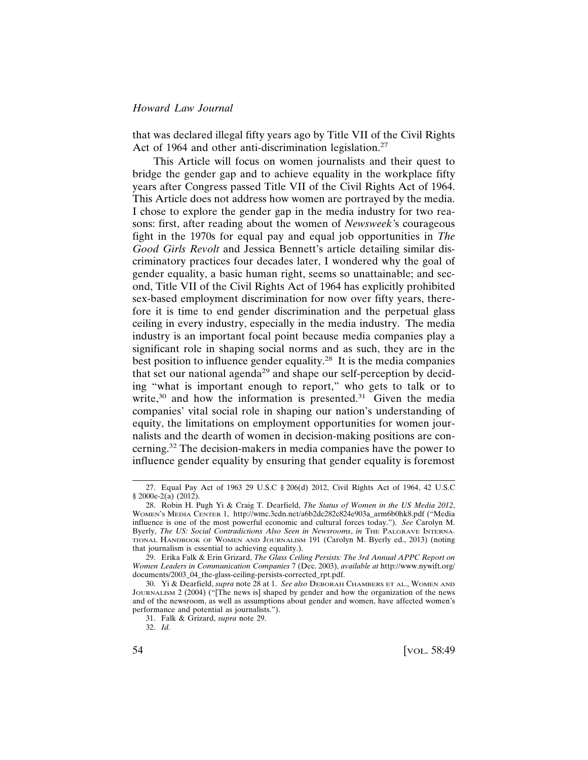that was declared illegal fifty years ago by Title VII of the Civil Rights Act of 1964 and other anti-discrimination legislation.<sup>27</sup>

This Article will focus on women journalists and their quest to bridge the gender gap and to achieve equality in the workplace fifty years after Congress passed Title VII of the Civil Rights Act of 1964. This Article does not address how women are portrayed by the media. I chose to explore the gender gap in the media industry for two reasons: first, after reading about the women of *Newsweek'*s courageous fight in the 1970s for equal pay and equal job opportunities in *The Good Girls Revolt* and Jessica Bennett's article detailing similar discriminatory practices four decades later, I wondered why the goal of gender equality, a basic human right, seems so unattainable; and second, Title VII of the Civil Rights Act of 1964 has explicitly prohibited sex-based employment discrimination for now over fifty years, therefore it is time to end gender discrimination and the perpetual glass ceiling in every industry, especially in the media industry. The media industry is an important focal point because media companies play a significant role in shaping social norms and as such, they are in the best position to influence gender equality.28 It is the media companies that set our national agenda<sup>29</sup> and shape our self-perception by deciding "what is important enough to report," who gets to talk or to write, $30$  and how the information is presented. $31$  Given the media companies' vital social role in shaping our nation's understanding of equity, the limitations on employment opportunities for women journalists and the dearth of women in decision-making positions are concerning.32 The decision-makers in media companies have the power to influence gender equality by ensuring that gender equality is foremost

<sup>27.</sup> Equal Pay Act of 1963 29 U.S.C § 206(d) 2012, Civil Rights Act of 1964, 42 U.S.C § 2000e-2(a) (2012).

<sup>28.</sup> Robin H. Pugh Yi & Craig T. Dearfield, *The Status of Women in the US Media 2012*, WOMEN'S MEDIA CENTER 1, http://wmc.3cdn.net/a6b2dc282c824e903a\_arm6b0hk8.pdf ("Media influence is one of the most powerful economic and cultural forces today."). *See* Carolyn M. Byerly, *The US: Social Contradictions Also Seen in Newsrooms*, *in* THE PALGRAVE INTERNA-TIONAL HANDBOOK OF WOMEN AND JOURNALISM 191 (Carolyn M. Byerly ed., 2013) (noting that journalism is essential to achieving equality.).

<sup>29.</sup> Erika Falk & Erin Grizard, *The Glass Ceiling Persists: The 3rd Annual APPC Report on Women Leaders in Communication Companies* 7 (Dec. 2003), *available at* http://www.nywift.org/ documents/2003\_04\_the-glass-ceiling-persists-corrected\_rpt.pdf.

<sup>30.</sup> Yi & Dearfield, *supra* note 28 at 1. *See also* DEBORAH CHAMBERS ET AL., WOMEN AND JOURNALISM 2 (2004) ("[The news is] shaped by gender and how the organization of the news and of the newsroom, as well as assumptions about gender and women, have affected women's performance and potential as journalists.").

<sup>31.</sup> Falk & Grizard, *supra* note 29.

<sup>32.</sup> *Id.*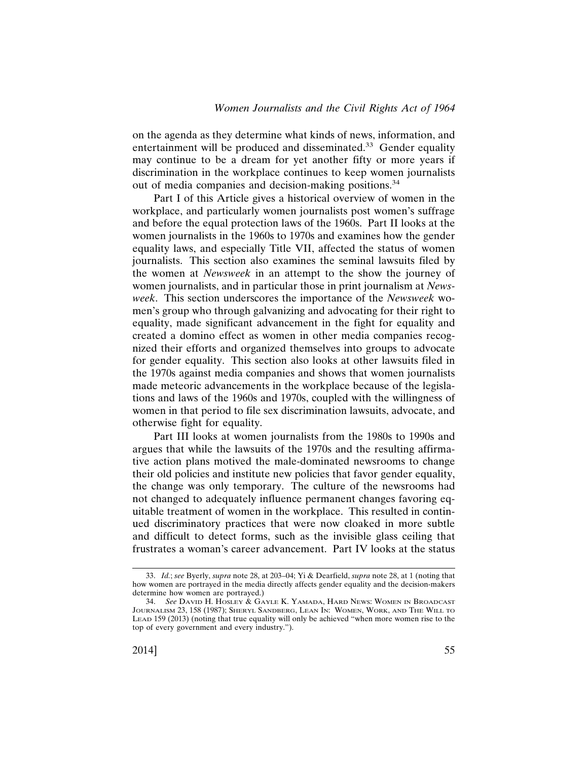on the agenda as they determine what kinds of news, information, and entertainment will be produced and disseminated.<sup>33</sup> Gender equality may continue to be a dream for yet another fifty or more years if discrimination in the workplace continues to keep women journalists out of media companies and decision-making positions.<sup>34</sup>

Part I of this Article gives a historical overview of women in the workplace, and particularly women journalists post women's suffrage and before the equal protection laws of the 1960s. Part II looks at the women journalists in the 1960s to 1970s and examines how the gender equality laws, and especially Title VII, affected the status of women journalists. This section also examines the seminal lawsuits filed by the women at *Newsweek* in an attempt to the show the journey of women journalists, and in particular those in print journalism at *Newsweek*. This section underscores the importance of the *Newsweek* women's group who through galvanizing and advocating for their right to equality, made significant advancement in the fight for equality and created a domino effect as women in other media companies recognized their efforts and organized themselves into groups to advocate for gender equality. This section also looks at other lawsuits filed in the 1970s against media companies and shows that women journalists made meteoric advancements in the workplace because of the legislations and laws of the 1960s and 1970s, coupled with the willingness of women in that period to file sex discrimination lawsuits, advocate, and otherwise fight for equality.

Part III looks at women journalists from the 1980s to 1990s and argues that while the lawsuits of the 1970s and the resulting affirmative action plans motived the male-dominated newsrooms to change their old policies and institute new policies that favor gender equality, the change was only temporary. The culture of the newsrooms had not changed to adequately influence permanent changes favoring equitable treatment of women in the workplace. This resulted in continued discriminatory practices that were now cloaked in more subtle and difficult to detect forms, such as the invisible glass ceiling that frustrates a woman's career advancement. Part IV looks at the status

<sup>33.</sup> *Id.*; *see* Byerly, *supra* note 28, at 203–04; Yi & Dearfield, *supra* note 28, at 1 (noting that how women are portrayed in the media directly affects gender equality and the decision-makers determine how women are portrayed.)

<sup>34.</sup> *See* DAVID H. HOSLEY & GAYLE K. YAMADA, HARD NEWS: WOMEN IN BROADCAST JOURNALISM 23, 158 (1987); SHERYL SANDBERG, LEAN IN: WOMEN, WORK, AND THE WILL TO LEAD 159 (2013) (noting that true equality will only be achieved "when more women rise to the top of every government and every industry.").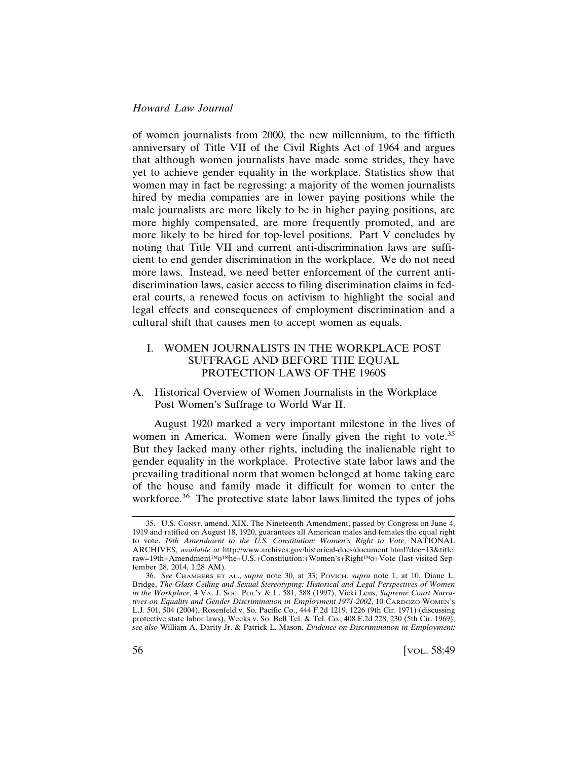of women journalists from 2000, the new millennium, to the fiftieth anniversary of Title VII of the Civil Rights Act of 1964 and argues that although women journalists have made some strides, they have yet to achieve gender equality in the workplace. Statistics show that women may in fact be regressing: a majority of the women journalists hired by media companies are in lower paying positions while the male journalists are more likely to be in higher paying positions, are more highly compensated, are more frequently promoted, and are more likely to be hired for top-level positions. Part V concludes by noting that Title VII and current anti-discrimination laws are sufficient to end gender discrimination in the workplace. We do not need more laws. Instead, we need better enforcement of the current antidiscrimination laws, easier access to filing discrimination claims in federal courts, a renewed focus on activism to highlight the social and legal effects and consequences of employment discrimination and a cultural shift that causes men to accept women as equals.

## I. WOMEN JOURNALISTS IN THE WORKPLACE POST SUFFRAGE AND BEFORE THE EQUAL PROTECTION LAWS OF THE 1960S

#### A. Historical Overview of Women Journalists in the Workplace Post Women's Suffrage to World War II.

August 1920 marked a very important milestone in the lives of women in America. Women were finally given the right to vote.<sup>35</sup> But they lacked many other rights, including the inalienable right to gender equality in the workplace. Protective state labor laws and the prevailing traditional norm that women belonged at home taking care of the house and family made it difficult for women to enter the workforce.<sup>36</sup> The protective state labor laws limited the types of jobs

<sup>35.</sup> U.S. CONST. amend. XIX. The Nineteenth Amendment, passed by Congress on June 4, 1919 and ratified on August 18, 1920, guarantees all American males and females the equal right to vote. *19th Amendment to the U.S. Constitution: Women's Right to Vote*, NATIONAL ARCHIVES, *available at* http://www.archives.gov/historical-docs/document.html?doc=13&title. raw=19th+Amendment™o™he+U.S.+Constitution:+Women's+Right™o+Vote (last visited September 28, 2014, 1:28 AM).

<sup>36.</sup> *See* CHAMBERS ET AL., *supra* note 30, at 33; POVICH, *supra* note 1, at 10, Diane L. Bridge, *The Glass Ceiling and Sexual Stereotyping: Historical and Legal Perspectives of Women in the Workplace*, 4 VA. J. SOC. POL'Y & L. 581, 588 (1997), Vicki Lens, *Supreme Court Narratives on Equality and Gender Discrimination in Employment 1971-2002*, 10 CARDOZO WOMEN'S L.J. 501, 504 (2004), Rosenfeld v. So. Pacific Co., 444 F.2d 1219, 1226 (9th Cir. 1971) (discussing protective state labor laws), Weeks v. So. Bell Tel. & Tel. Co., 408 F.2d 228, 230 (5th Cir. 1969); *see also* William A. Darity Jr. & Patrick L. Mason, *Evidence on Discrimination in Employment:*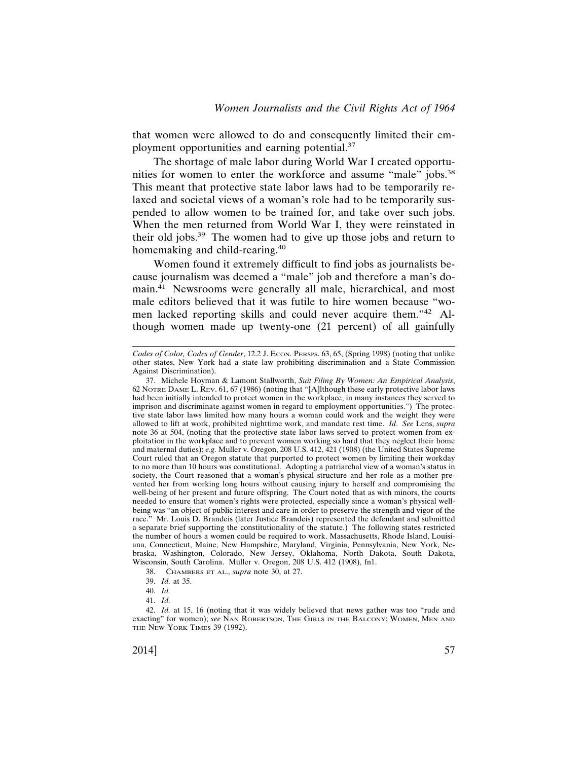that women were allowed to do and consequently limited their employment opportunities and earning potential.37

The shortage of male labor during World War I created opportunities for women to enter the workforce and assume "male" jobs.<sup>38</sup> This meant that protective state labor laws had to be temporarily relaxed and societal views of a woman's role had to be temporarily suspended to allow women to be trained for, and take over such jobs. When the men returned from World War I, they were reinstated in their old jobs.39 The women had to give up those jobs and return to homemaking and child-rearing.<sup>40</sup>

Women found it extremely difficult to find jobs as journalists because journalism was deemed a "male" job and therefore a man's domain.41 Newsrooms were generally all male, hierarchical, and most male editors believed that it was futile to hire women because "women lacked reporting skills and could never acquire them."42 Although women made up twenty-one (21 percent) of all gainfully

41. *Id.*

*Codes of Color, Codes of Gender*, 12.2 J. ECON. PERSPS. 63, 65, (Spring 1998) (noting that unlike other states, New York had a state law prohibiting discrimination and a State Commission Against Discrimination).

<sup>37.</sup> Michele Hoyman & Lamont Stallworth, *Suit Filing By Women: An Empirical Analysis*, 62 NOTRE DAME L. REV. 61, 67 (1986) (noting that "[A]lthough these early protective labor laws had been initially intended to protect women in the workplace, in many instances they served to imprison and discriminate against women in regard to employment opportunities.") The protective state labor laws limited how many hours a woman could work and the weight they were allowed to lift at work, prohibited nighttime work, and mandate rest time. *Id*. *See* Lens, *supra* note 36 at 504, (noting that the protective state labor laws served to protect women from exploitation in the workplace and to prevent women working so hard that they neglect their home and maternal duties); *e.g.* Muller v. Oregon, 208 U.S. 412, 421 (1908) (the United States Supreme Court ruled that an Oregon statute that purported to protect women by limiting their workday to no more than 10 hours was constitutional. Adopting a patriarchal view of a woman's status in society, the Court reasoned that a woman's physical structure and her role as a mother prevented her from working long hours without causing injury to herself and compromising the well-being of her present and future offspring. The Court noted that as with minors, the courts needed to ensure that women's rights were protected, especially since a woman's physical wellbeing was "an object of public interest and care in order to preserve the strength and vigor of the race." Mr. Louis D. Brandeis (later Justice Brandeis) represented the defendant and submitted a separate brief supporting the constitutionality of the statute.) The following states restricted the number of hours a women could be required to work. Massachusetts, Rhode Island, Louisiana, Connecticut, Maine, New Hampshire, Maryland, Virginia, Pennsylvania, New York, Nebraska, Washington, Colorado, New Jersey, Oklahoma, North Dakota, South Dakota, Wisconsin, South Carolina. Muller v. Oregon, 208 U.S. 412 (1908), fn1.

<sup>38.</sup> CHAMBERS ET AL., *supra* note 30, at 27.

<sup>39.</sup> *Id.* at 35.

<sup>40.</sup> *Id.*

<sup>42.</sup> *Id.* at 15, 16 (noting that it was widely believed that news gather was too "rude and exacting" for women); *see* NAN ROBERTSON, THE GIRLS IN THE BALCONY: WOMEN, MEN AND THE NEW YORK TIMES 39 (1992).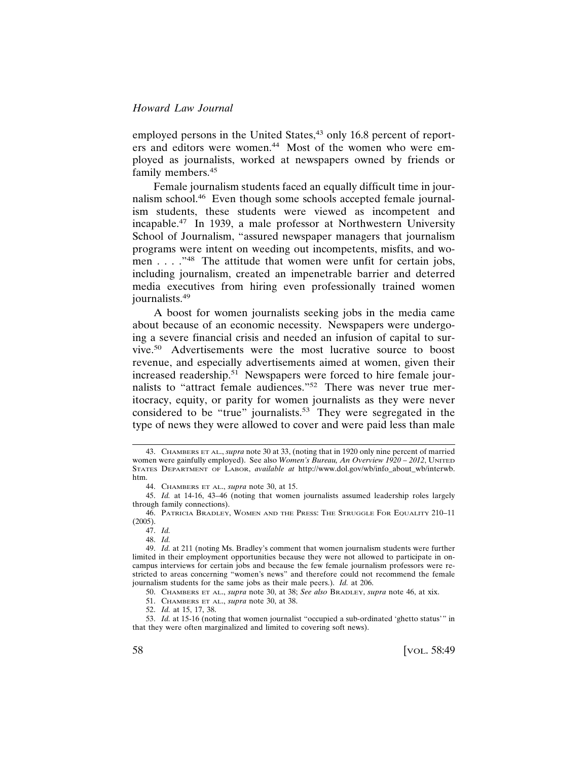employed persons in the United States,<sup>43</sup> only 16.8 percent of reporters and editors were women.<sup>44</sup> Most of the women who were employed as journalists, worked at newspapers owned by friends or family members.<sup>45</sup>

Female journalism students faced an equally difficult time in journalism school.46 Even though some schools accepted female journalism students, these students were viewed as incompetent and incapable.47 In 1939, a male professor at Northwestern University School of Journalism, "assured newspaper managers that journalism programs were intent on weeding out incompetents, misfits, and women . . . . . <sup>48</sup> The attitude that women were unfit for certain jobs, including journalism, created an impenetrable barrier and deterred media executives from hiring even professionally trained women journalists.49

A boost for women journalists seeking jobs in the media came about because of an economic necessity. Newspapers were undergoing a severe financial crisis and needed an infusion of capital to survive.50 Advertisements were the most lucrative source to boost revenue, and especially advertisements aimed at women, given their increased readership.<sup>51</sup> Newspapers were forced to hire female journalists to "attract female audiences."52 There was never true meritocracy, equity, or parity for women journalists as they were never considered to be "true" journalists.53 They were segregated in the type of news they were allowed to cover and were paid less than male

51. CHAMBERS ET AL., *supra* note 30, at 38.

<sup>43.</sup> CHAMBERS ET AL., *supra* note 30 at 33, (noting that in 1920 only nine percent of married women were gainfully employed). See also *Women's Bureau, An Overview 1920 – 2012*, UNITED STATES DEPARTMENT OF LABOR, *available at* http://www.dol.gov/wb/info\_about\_wb/interwb. htm.

<sup>44.</sup> CHAMBERS ET AL., *supra* note 30, at 15.

<sup>45.</sup> *Id.* at 14-16, 43–46 (noting that women journalists assumed leadership roles largely through family connections).

<sup>46.</sup> PATRICIA BRADLEY, WOMEN AND THE PRESS: THE STRUGGLE FOR EQUALITY 210–11 (2005).

<sup>47.</sup> *Id.*

<sup>48.</sup> *Id.*

<sup>49.</sup> *Id.* at 211 (noting Ms. Bradley's comment that women journalism students were further limited in their employment opportunities because they were not allowed to participate in oncampus interviews for certain jobs and because the few female journalism professors were restricted to areas concerning "women's news" and therefore could not recommend the female journalism students for the same jobs as their male peers.). *Id.* at 206.

<sup>50.</sup> CHAMBERS ET AL., *supra* note 30, at 38; *See also* BRADLEY, *supra* note 46, at xix.

<sup>52.</sup> *Id.* at 15, 17, 38.

<sup>53.</sup> *Id.* at 15-16 (noting that women journalist "occupied a sub-ordinated 'ghetto status'" in that they were often marginalized and limited to covering soft news).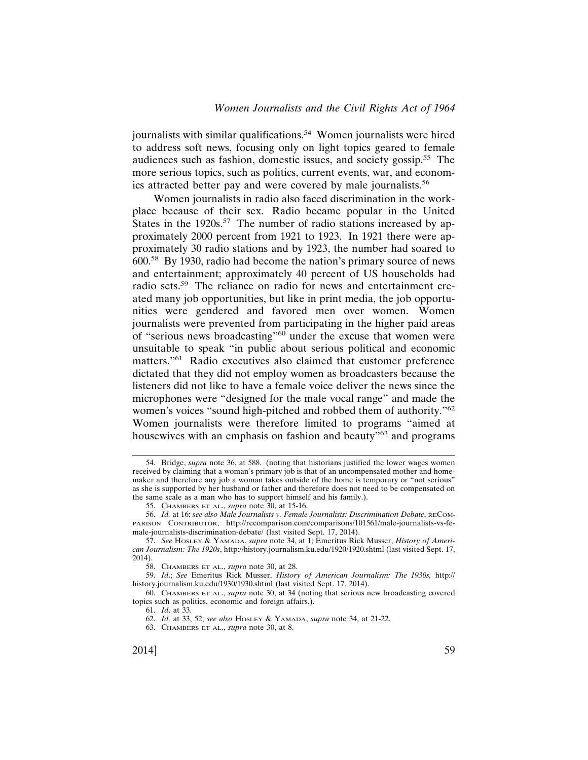journalists with similar qualifications.<sup>54</sup> Women journalists were hired to address soft news, focusing only on light topics geared to female audiences such as fashion, domestic issues, and society gossip.55 The more serious topics, such as politics, current events, war, and economics attracted better pay and were covered by male journalists.<sup>56</sup>

Women journalists in radio also faced discrimination in the workplace because of their sex. Radio became popular in the United States in the  $1920s$ <sup>57</sup>. The number of radio stations increased by approximately 2000 percent from 1921 to 1923. In 1921 there were approximately 30 radio stations and by 1923, the number had soared to 600.58 By 1930, radio had become the nation's primary source of news and entertainment; approximately 40 percent of US households had radio sets.<sup>59</sup> The reliance on radio for news and entertainment created many job opportunities, but like in print media, the job opportunities were gendered and favored men over women. Women journalists were prevented from participating in the higher paid areas of "serious news broadcasting"60 under the excuse that women were unsuitable to speak "in public about serious political and economic matters."<sup>61</sup> Radio executives also claimed that customer preference dictated that they did not employ women as broadcasters because the listeners did not like to have a female voice deliver the news since the microphones were "designed for the male vocal range" and made the women's voices "sound high-pitched and robbed them of authority."<sup>62</sup> Women journalists were therefore limited to programs "aimed at housewives with an emphasis on fashion and beauty<sup>563</sup> and programs

<sup>54.</sup> Bridge, *supra* note 36, at 588. (noting that historians justified the lower wages women received by claiming that a woman's primary job is that of an uncompensated mother and homemaker and therefore any job a woman takes outside of the home is temporary or "not serious" as she is supported by her husband or father and therefore does not need to be compensated on the same scale as a man who has to support himself and his family.).

<sup>55.</sup> CHAMBERS ET AL., *supra* note 30, at 15-16.

<sup>56.</sup> *Id.* at 16; *see also Male Journalists v. Female Journalists: Discrimination Debate*, RECOM-PARISON CONTRIBUTOR, http://recomparison.com/comparisons/101561/male-journalists-vs-female-journalists-discrimination-debate/ (last visited Sept. 17, 2014).

<sup>57.</sup> *See* HOSLEY & YAMADA, *supra* note 34, at 1; Emeritus Rick Musser, *History of American Journalism: The 1920s*, http://history.journalism.ku.edu/1920/1920.shtml (last visited Sept. 17, 2014).

<sup>58.</sup> CHAMBERS ET AL., *supra* note 30, at 28.

<sup>59.</sup> *Id*.; *See* Emeritus Rick Musser, *History of American Journalism: The 1930s,* http:// history.journalism.ku.edu/1930/1930.shtml (last visited Sept. 17, 2014).

<sup>60.</sup> CHAMBERS ET AL., *supra* note 30, at 34 (noting that serious new broadcasting covered topics such as politics, economic and foreign affairs.).

<sup>61.</sup> *Id*. at 33.

<sup>62.</sup> *Id.* at 33, 52; *see also* HOSLEY & YAMADA, *supra* note 34, at 21-22.

<sup>63.</sup> CHAMBERS ET AL., *supra* note 30, at 8.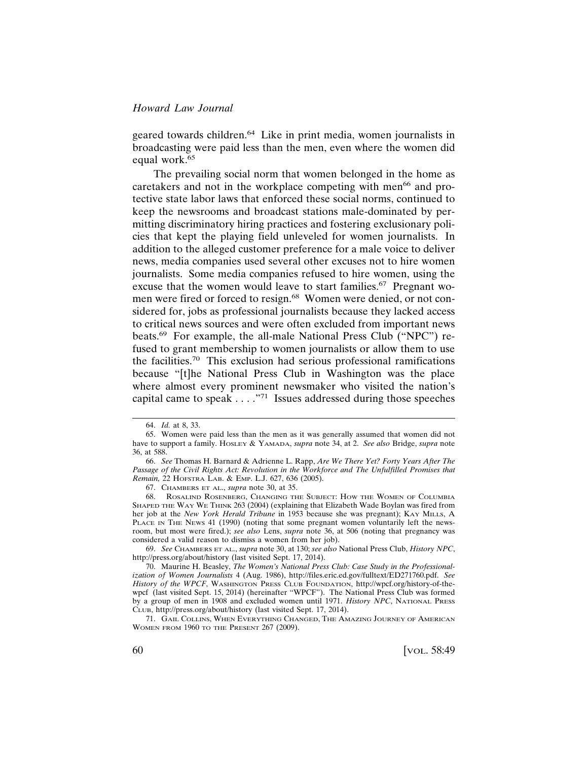geared towards children.64 Like in print media, women journalists in broadcasting were paid less than the men, even where the women did equal work.<sup>65</sup>

The prevailing social norm that women belonged in the home as caretakers and not in the workplace competing with men<sup>66</sup> and protective state labor laws that enforced these social norms, continued to keep the newsrooms and broadcast stations male-dominated by permitting discriminatory hiring practices and fostering exclusionary policies that kept the playing field unleveled for women journalists. In addition to the alleged customer preference for a male voice to deliver news, media companies used several other excuses not to hire women journalists. Some media companies refused to hire women, using the excuse that the women would leave to start families.<sup>67</sup> Pregnant women were fired or forced to resign.68 Women were denied, or not considered for, jobs as professional journalists because they lacked access to critical news sources and were often excluded from important news beats.69 For example, the all-male National Press Club ("NPC") refused to grant membership to women journalists or allow them to use the facilities.<sup>70</sup> This exclusion had serious professional ramifications because "[t]he National Press Club in Washington was the place where almost every prominent newsmaker who visited the nation's capital came to speak  $\dots$ ."<sup>71</sup> Issues addressed during those speeches

69. *See* CHAMBERS ET AL., *supra* note 30, at 130; *see also* National Press Club, *History NPC*, http://press.org/about/history (last visited Sept. 17, 2014).

<sup>64.</sup> *Id.* at 8, 33.

<sup>65.</sup> Women were paid less than the men as it was generally assumed that women did not have to support a family. HOSLEY & YAMADA, *supra* note 34, at 2. *See also* Bridge, *supra* note 36, at 588.

<sup>66.</sup> *See* Thomas H. Barnard & Adrienne L. Rapp, *Are We There Yet? Forty Years After The Passage of the Civil Rights Act: Revolution in the Workforce and The Unfulfilled Promises that Remain,* 22 HOFSTRA LAB. & EMP. L.J. 627, 636 (2005).

<sup>67.</sup> CHAMBERS ET AL., *supra* note 30, at 35.

<sup>68.</sup> ROSALIND ROSENBERG, CHANGING THE SUBJECT: HOW THE WOMEN OF COLUMBIA SHAPED THE WAY WE THINK 263 (2004) (explaining that Elizabeth Wade Boylan was fired from her job at the *New York Herald Tribune* in 1953 because she was pregnant); KAY MILLS, A PLACE IN THE NEWS 41 (1990) (noting that some pregnant women voluntarily left the newsroom, but most were fired.); *see also* Lens, *supra* note 36, at 506 (noting that pregnancy was considered a valid reason to dismiss a women from her job).

<sup>70.</sup> Maurine H. Beasley, *The Women's National Press Club: Case Study in the Professionalization of Women Journalists* 4 (Aug. 1986), http://files.eric.ed.gov/fulltext/ED271760.pdf. *See History of the WPCF*, WASHINGTON PRESS CLUB FOUNDATION, http://wpcf.org/history-of-thewpcf (last visited Sept. 15, 2014) (hereinafter "WPCF"). The National Press Club was formed by a group of men in 1908 and excluded women until 1971. *History NPC*, NATIONAL PRESS CLUB, http://press.org/about/history (last visited Sept. 17, 2014).

<sup>71.</sup> GAIL COLLINS, WHEN EVERYTHING CHANGED, THE AMAZING JOURNEY OF AMERICAN WOMEN FROM 1960 TO THE PRESENT 267 (2009).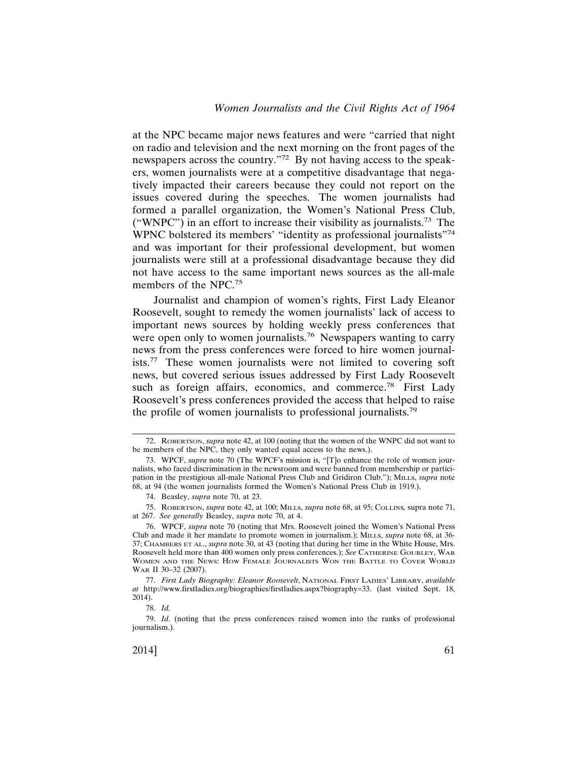at the NPC became major news features and were "carried that night on radio and television and the next morning on the front pages of the newspapers across the country."72 By not having access to the speakers, women journalists were at a competitive disadvantage that negatively impacted their careers because they could not report on the issues covered during the speeches. The women journalists had formed a parallel organization, the Women's National Press Club, ("WNPC") in an effort to increase their visibility as journalists.73 The WPNC bolstered its members' "identity as professional journalists"<sup>74</sup> and was important for their professional development, but women journalists were still at a professional disadvantage because they did not have access to the same important news sources as the all-male members of the NPC.<sup>75</sup>

Journalist and champion of women's rights, First Lady Eleanor Roosevelt, sought to remedy the women journalists' lack of access to important news sources by holding weekly press conferences that were open only to women journalists.<sup>76</sup> Newspapers wanting to carry news from the press conferences were forced to hire women journalists.77 These women journalists were not limited to covering soft news, but covered serious issues addressed by First Lady Roosevelt such as foreign affairs, economics, and commerce.<sup>78</sup> First Lady Roosevelt's press conferences provided the access that helped to raise the profile of women journalists to professional journalists.<sup>79</sup>

<sup>72.</sup> ROBERTSON, *supra* note 42, at 100 (noting that the women of the WNPC did not want to be members of the NPC, they only wanted equal access to the news.).

<sup>73.</sup> WPCF, *supra* note 70 (The WPCF's mission is, "[T]o enhance the role of women journalists, who faced discrimination in the newsroom and were banned from membership or participation in the prestigious all-male National Press Club and Gridiron Club."); MILLS, *supra* note 68, at 94 (the women journalists formed the Women's National Press Club in 1919.).

<sup>74.</sup> Beasley, *supra* note 70, at 23.

<sup>75.</sup> ROBERTSON, *supra* note 42, at 100; MILLS, *supra* note 68, at 95; COLLINS*,* supra note 71, at 267. *See generally* Beasley, *supra* note 70, at 4.

<sup>76.</sup> WPCF, *supra* note 70 (noting that Mrs. Roosevelt joined the Women's National Press Club and made it her mandate to promote women in journalism.); MILLS, *supra* note 68, at 36- 37; CHAMBERS ET AL., *supra* note 30, at 43 (noting that during her time in the White House, Mrs. Roosevelt held more than 400 women only press conferences.); *See* CATHERINE GOURLEY, WAR WOMEN AND THE NEWS: HOW FEMALE JOURNALISTS WON THE BATTLE TO COVER WORLD WAR II 30–32 (2007).

<sup>77.</sup> *First Lady Biography: Eleanor Roosevelt*, NATIONAL FIRST LADIES' LIBRARY, *available at* http://www.firstladies.org/biographies/firstladies.aspx?biography=33. (last visited Sept. 18, 2014).

<sup>78.</sup> *Id.*

<sup>79.</sup> *Id*. (noting that the press conferences raised women into the ranks of professional journalism.).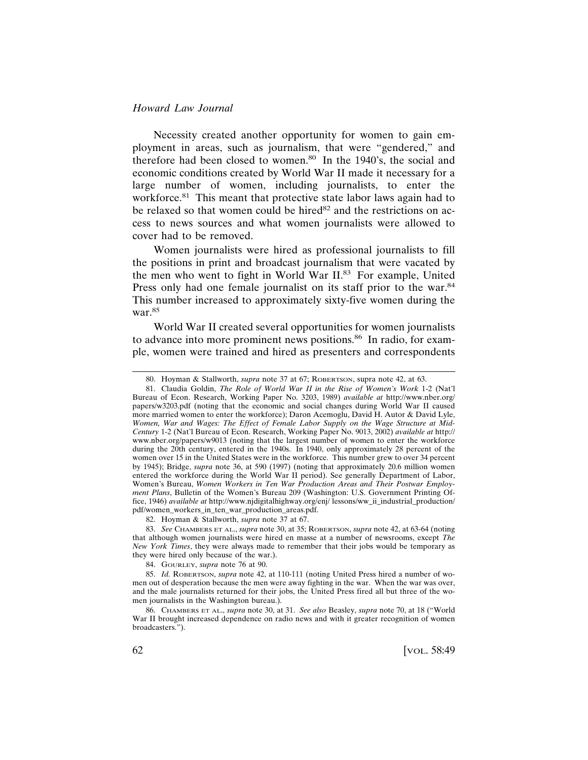Necessity created another opportunity for women to gain employment in areas, such as journalism, that were "gendered," and therefore had been closed to women.<sup>80</sup> In the 1940's, the social and economic conditions created by World War II made it necessary for a large number of women, including journalists, to enter the workforce.<sup>81</sup> This meant that protective state labor laws again had to be relaxed so that women could be hired<sup>82</sup> and the restrictions on access to news sources and what women journalists were allowed to cover had to be removed.

Women journalists were hired as professional journalists to fill the positions in print and broadcast journalism that were vacated by the men who went to fight in World War II.<sup>83</sup> For example, United Press only had one female journalist on its staff prior to the war.<sup>84</sup> This number increased to approximately sixty-five women during the war.<sup>85</sup>

World War II created several opportunities for women journalists to advance into more prominent news positions.<sup>86</sup> In radio, for example, women were trained and hired as presenters and correspondents

<sup>80.</sup> Hoyman & Stallworth, *supra* note 37 at 67; ROBERTSON, supra note 42, at 63.

<sup>81.</sup> Claudia Goldin, *The Role of World War II in the Rise of Women's Work* 1-2 (Nat'l Bureau of Econ. Research, Working Paper No. 3203, 1989) *available at* http://www.nber.org/ papers/w3203.pdf (noting that the economic and social changes during World War II caused more married women to enter the workforce); Daron Acemoglu, David H. Autor & David Lyle, *Women, War and Wages: The Effect of Female Labor Supply on the Wage Structure at Mid-Century* 1-2 (Nat'l Bureau of Econ. Research, Working Paper No. 9013, 2002) *available at* http:// www.nber.org/papers/w9013 (noting that the largest number of women to enter the workforce during the 20th century, entered in the 1940s. In 1940, only approximately 28 percent of the women over 15 in the United States were in the workforce. This number grew to over 34 percent by 1945); Bridge, *supra* note 36, at 590 (1997) (noting that approximately 20.6 million women entered the workforce during the World War II period). See generally Department of Labor, Women's Bureau, *Women Workers in Ten War Production Areas and Their Postwar Employment Plans*, Bulletin of the Women's Bureau 209 (Washington: U.S. Government Printing Office, 1946) *available at* http://www.njdigitalhighway.org/enj/ lessons/ww\_ii\_industrial\_production/ pdf/women\_workers\_in\_ten\_war\_production\_areas.pdf.

<sup>82.</sup> Hoyman & Stallworth, *supra* note 37 at 67.

<sup>83.</sup> *See* CHAMBERS ET AL., *supra* note 30, at 35; ROBERTSON, *supra* note 42, at 63-64 (noting that although women journalists were hired en masse at a number of newsrooms, except *The New York Times*, they were always made to remember that their jobs would be temporary as they were hired only because of the war.).

<sup>84.</sup> GOURLEY, *supra* note 76 at 90.

<sup>85.</sup> *Id.* ROBERTSON, *supra* note 42, at 110-111 (noting United Press hired a number of women out of desperation because the men were away fighting in the war. When the war was over, and the male journalists returned for their jobs, the United Press fired all but three of the women journalists in the Washington bureau.).

<sup>86.</sup> CHAMBERS ET AL., *supra* note 30, at 31. *See also* Beasley, *supra* note 70, at 18 ("World War II brought increased dependence on radio news and with it greater recognition of women broadcasters.").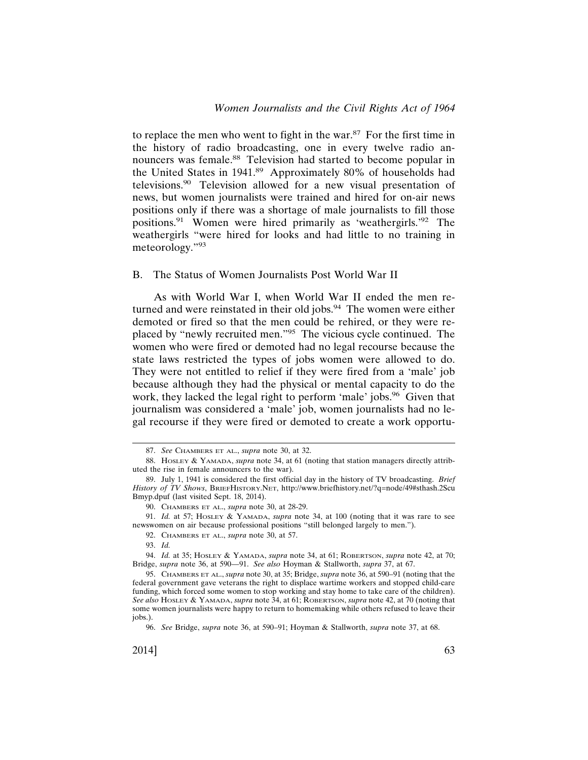to replace the men who went to fight in the war.87 For the first time in the history of radio broadcasting, one in every twelve radio announcers was female.88 Television had started to become popular in the United States in 1941.<sup>89</sup> Approximately 80% of households had televisions.90 Television allowed for a new visual presentation of news, but women journalists were trained and hired for on-air news positions only if there was a shortage of male journalists to fill those positions.91 Women were hired primarily as 'weathergirls.'92 The weathergirls "were hired for looks and had little to no training in meteorology."93

#### B. The Status of Women Journalists Post World War II

As with World War I, when World War II ended the men returned and were reinstated in their old jobs.<sup>94</sup> The women were either demoted or fired so that the men could be rehired, or they were replaced by "newly recruited men."95 The vicious cycle continued. The women who were fired or demoted had no legal recourse because the state laws restricted the types of jobs women were allowed to do. They were not entitled to relief if they were fired from a 'male' job because although they had the physical or mental capacity to do the work, they lacked the legal right to perform 'male' jobs.<sup>96</sup> Given that journalism was considered a 'male' job, women journalists had no legal recourse if they were fired or demoted to create a work opportu-

<sup>87.</sup> *See* CHAMBERS ET AL., *supra* note 30, at 32.

<sup>88.</sup> HOSLEY & YAMADA, *supra* note 34, at 61 (noting that station managers directly attributed the rise in female announcers to the war).

<sup>89.</sup> July 1, 1941 is considered the first official day in the history of TV broadcasting. *Brief History of TV Shows*, BRIEFHISTORY.NET, http://www.briefhistory.net/?q=node/49#sthash.2Scu Bmyp.dpuf (last visited Sept. 18, 2014).

<sup>90.</sup> CHAMBERS ET AL., *supra* note 30, at 28-29.

<sup>91.</sup> *Id.* at 57; HOSLEY & YAMADA, *supra* note 34, at 100 (noting that it was rare to see newswomen on air because professional positions "still belonged largely to men.").

<sup>92.</sup> CHAMBERS ET AL., *supra* note 30, at 57.

<sup>93.</sup> *Id.*

<sup>94.</sup> *Id.* at 35; HOSLEY & YAMADA, *supra* note 34, at 61; ROBERTSON, *supra* note 42, at 70; Bridge, *supra* note 36, at 590—91. *See also* Hoyman & Stallworth, *supra* 37, at 67.

<sup>95.</sup> CHAMBERS ET AL., *supra* note 30, at 35; Bridge, *supra* note 36, at 590–91 (noting that the federal government gave veterans the right to displace wartime workers and stopped child-care funding, which forced some women to stop working and stay home to take care of the children). *See also* HOSLEY & YAMADA, *supra* note 34, at 61; ROBERTSON, *supra* note 42, at 70 (noting that some women journalists were happy to return to homemaking while others refused to leave their jobs.).

<sup>96.</sup> *See* Bridge, *supra* note 36, at 590–91; Hoyman & Stallworth, *supra* note 37, at 68.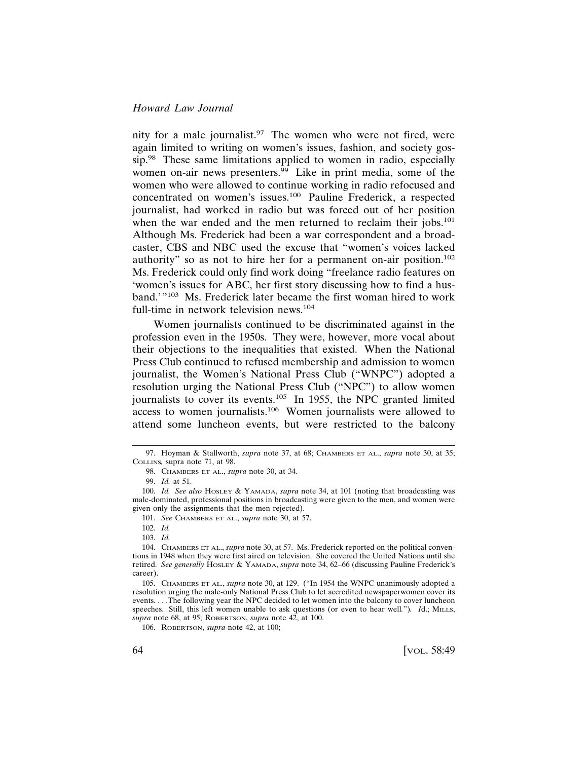nity for a male journalist.<sup>97</sup> The women who were not fired, were again limited to writing on women's issues, fashion, and society gossip.<sup>98</sup> These same limitations applied to women in radio, especially women on-air news presenters.<sup>99</sup> Like in print media, some of the women who were allowed to continue working in radio refocused and concentrated on women's issues.100 Pauline Frederick, a respected journalist, had worked in radio but was forced out of her position when the war ended and the men returned to reclaim their jobs.<sup>101</sup> Although Ms. Frederick had been a war correspondent and a broadcaster, CBS and NBC used the excuse that "women's voices lacked authority" so as not to hire her for a permanent on-air position.<sup>102</sup> Ms. Frederick could only find work doing "freelance radio features on 'women's issues for ABC, her first story discussing how to find a husband.'"103 Ms. Frederick later became the first woman hired to work full-time in network television news.<sup>104</sup>

Women journalists continued to be discriminated against in the profession even in the 1950s. They were, however, more vocal about their objections to the inequalities that existed. When the National Press Club continued to refused membership and admission to women journalist, the Women's National Press Club ("WNPC") adopted a resolution urging the National Press Club ("NPC") to allow women journalists to cover its events.<sup>105</sup> In 1955, the NPC granted limited access to women journalists.106 Women journalists were allowed to attend some luncheon events, but were restricted to the balcony

<sup>97.</sup> Hoyman & Stallworth, *supra* note 37, at 68; CHAMBERS ET AL., *supra* note 30, at 35; COLLINS*,* supra note 71, at 98.

<sup>98.</sup> CHAMBERS ET AL., *supra* note 30, at 34.

<sup>99.</sup> *Id.* at 51.

<sup>100.</sup> *Id. See also* HOSLEY & YAMADA, *supra* note 34, at 101 (noting that broadcasting was male-dominated, professional positions in broadcasting were given to the men, and women were given only the assignments that the men rejected).

<sup>101.</sup> *See* CHAMBERS ET AL., *supra* note 30, at 57.

<sup>102.</sup> *Id.*

<sup>103.</sup> *Id.*

<sup>104.</sup> CHAMBERS ET AL., *supra* note 30, at 57. Ms. Frederick reported on the political conventions in 1948 when they were first aired on television. She covered the United Nations until she retired. *See generally* HOSLEY & YAMADA, *supra* note 34, 62–66 (discussing Pauline Frederick's career).

<sup>105.</sup> CHAMBERS ET AL., *supra* note 30, at 129. ("In 1954 the WNPC unanimously adopted a resolution urging the male-only National Press Club to let accredited newspaperwomen cover its events. . . .The following year the NPC decided to let women into the balcony to cover luncheon speeches. Still, this left women unable to ask questions (or even to hear well*.*")*. I*d.; MILLS, *supra* note 68, at 95; ROBERTSON, *supra* note 42, at 100.

<sup>106.</sup> ROBERTSON, *supra* note 42, at 100;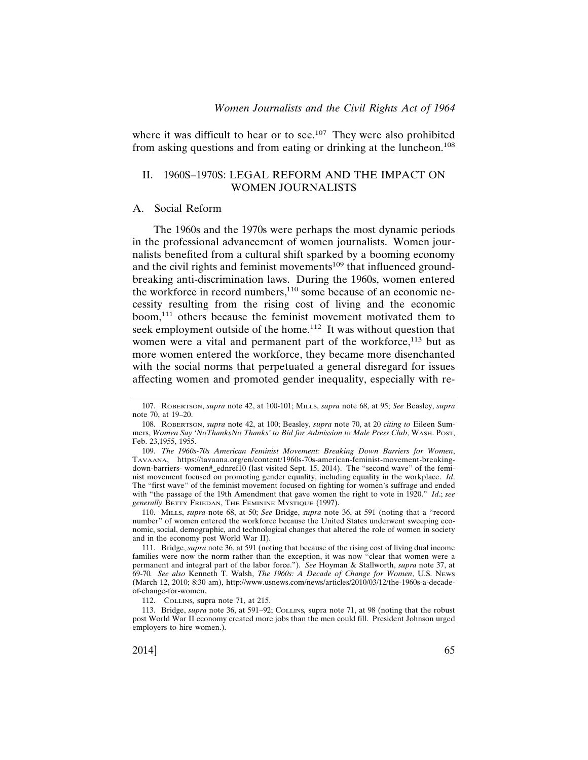## *Women Journalists and the Civil Rights Act of 1964*

where it was difficult to hear or to see.<sup>107</sup> They were also prohibited from asking questions and from eating or drinking at the luncheon.<sup>108</sup>

### II. 1960S–1970S: LEGAL REFORM AND THE IMPACT ON WOMEN JOURNALISTS

#### A. Social Reform

The 1960s and the 1970s were perhaps the most dynamic periods in the professional advancement of women journalists. Women journalists benefited from a cultural shift sparked by a booming economy and the civil rights and feminist movements<sup>109</sup> that influenced groundbreaking anti-discrimination laws. During the 1960s, women entered the workforce in record numbers,<sup>110</sup> some because of an economic necessity resulting from the rising cost of living and the economic boom,<sup>111</sup> others because the feminist movement motivated them to seek employment outside of the home.<sup>112</sup> It was without question that women were a vital and permanent part of the workforce,<sup>113</sup> but as more women entered the workforce, they became more disenchanted with the social norms that perpetuated a general disregard for issues affecting women and promoted gender inequality, especially with re-

110. MILLS, *supra* note 68, at 50; *See* Bridge, *supra* note 36, at 591 (noting that a "record number" of women entered the workforce because the United States underwent sweeping economic, social, demographic, and technological changes that altered the role of women in society and in the economy post World War II).

<sup>107.</sup> ROBERTSON, *supra* note 42, at 100-101; MILLS, *supra* note 68, at 95; *See* Beasley, *supra* note 70, at 19–20.

<sup>108.</sup> ROBERTSON, *supra* note 42, at 100; Beasley, *supra* note 70, at 20 *citing to* Eileen Summers, *Women Say 'NoThanksNo Thanks' to Bid for Admission to Male Press Club*, WASH. POST, Feb. 23,1955, 1955.

<sup>109.</sup> *The 1960s-70s American Feminist Movement: Breaking Down Barriers for Women*, TAVAANA, https://tavaana.org/en/content/1960s-70s-american-feminist-movement-breakingdown-barriers- women#\_ednref10 (last visited Sept. 15, 2014). The "second wave" of the feminist movement focused on promoting gender equality, including equality in the workplace. *Id*. The "first wave" of the feminist movement focused on fighting for women's suffrage and ended with "the passage of the 19th Amendment that gave women the right to vote in 1920." *Id*.; *see generally* BETTY FRIEDAN, THE FEMININE MYSTIQUE (1997).

<sup>111.</sup> Bridge, *supra* note 36, at 591 (noting that because of the rising cost of living dual income families were now the norm rather than the exception, it was now "clear that women were a permanent and integral part of the labor force."). *See* Hoyman & Stallworth, *supra* note 37, at 69-70*. See also* Kenneth T. Walsh, *The 1960s: A Decade of Change for Women*, U.S. NEWS (March 12, 2010; 8:30 am), http://www.usnews.com/news/articles/2010/03/12/the-1960s-a-decadeof-change-for-women.

<sup>112.</sup> COLLINS*,* supra note 71, at 215.

<sup>113.</sup> Bridge, *supra* note 36, at 591–92; COLLINS*,* supra note 71, at 98 (noting that the robust post World War II economy created more jobs than the men could fill. President Johnson urged employers to hire women.).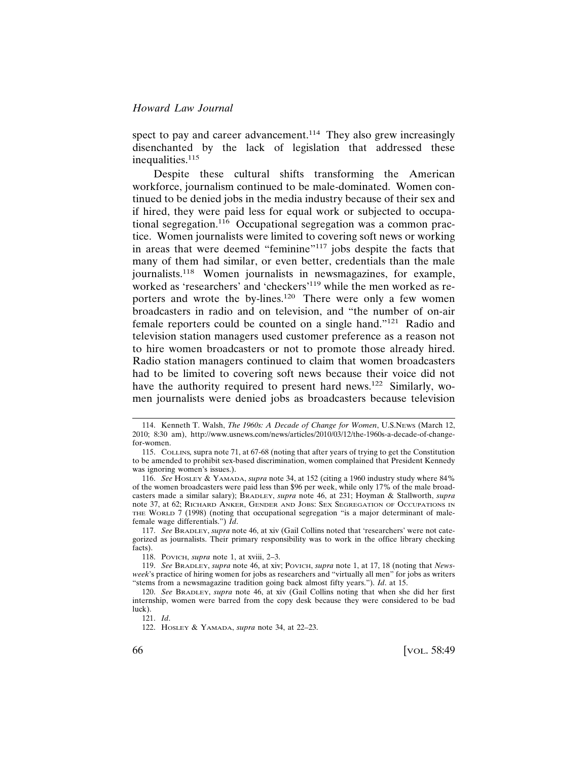spect to pay and career advancement.<sup>114</sup> They also grew increasingly disenchanted by the lack of legislation that addressed these inequalities.<sup>115</sup>

Despite these cultural shifts transforming the American workforce, journalism continued to be male-dominated. Women continued to be denied jobs in the media industry because of their sex and if hired, they were paid less for equal work or subjected to occupational segregation.116 Occupational segregation was a common practice. Women journalists were limited to covering soft news or working in areas that were deemed "feminine"117 jobs despite the facts that many of them had similar, or even better, credentials than the male journalists.118 Women journalists in newsmagazines, for example, worked as 'researchers' and 'checkers'119 while the men worked as reporters and wrote the by-lines.120 There were only a few women broadcasters in radio and on television, and "the number of on-air female reporters could be counted on a single hand."121 Radio and television station managers used customer preference as a reason not to hire women broadcasters or not to promote those already hired. Radio station managers continued to claim that women broadcasters had to be limited to covering soft news because their voice did not have the authority required to present hard news.<sup>122</sup> Similarly, women journalists were denied jobs as broadcasters because television

<sup>114.</sup> Kenneth T. Walsh, *The 1960s: A Decade of Change for Women*, U.S.NEWS (March 12, 2010; 8:30 am), http://www.usnews.com/news/articles/2010/03/12/the-1960s-a-decade-of-changefor-women.

<sup>115.</sup> COLLINS*,* supra note 71, at 67-68 (noting that after years of trying to get the Constitution to be amended to prohibit sex-based discrimination, women complained that President Kennedy was ignoring women's issues.).

<sup>116.</sup> *See* HOSLEY & YAMADA, *supra* note 34, at 152 (citing a 1960 industry study where 84% of the women broadcasters were paid less than \$96 per week, while only 17% of the male broadcasters made a similar salary); BRADLEY, *supra* note 46, at 231; Hoyman & Stallworth, *supra* note 37, at 62; RICHARD ANKER, GENDER AND JOBS: SEX SEGREGATION OF OCCUPATIONS IN THE WORLD 7 (1998) (noting that occupational segregation "is a major determinant of malefemale wage differentials.") *Id*.

<sup>117.</sup> *See* BRADLEY, *supra* note 46, at xiv (Gail Collins noted that 'researchers' were not categorized as journalists. Their primary responsibility was to work in the office library checking facts).

<sup>118.</sup> POVICH, *supra* note 1, at xviii, 2–3.

<sup>119.</sup> *See* BRADLEY, *supra* note 46, at xiv; POVICH, *supra* note 1, at 17, 18 (noting that *Newsweek*'s practice of hiring women for jobs as researchers and "virtually all men" for jobs as writers "stems from a newsmagazine tradition going back almost fifty years."). *Id*. at 15.

<sup>120.</sup> *See* BRADLEY, *supra* note 46, at xiv (Gail Collins noting that when she did her first internship, women were barred from the copy desk because they were considered to be bad luck).

<sup>121.</sup> *Id*.

<sup>122.</sup> HOSLEY & YAMADA, *supra* note 34, at 22–23.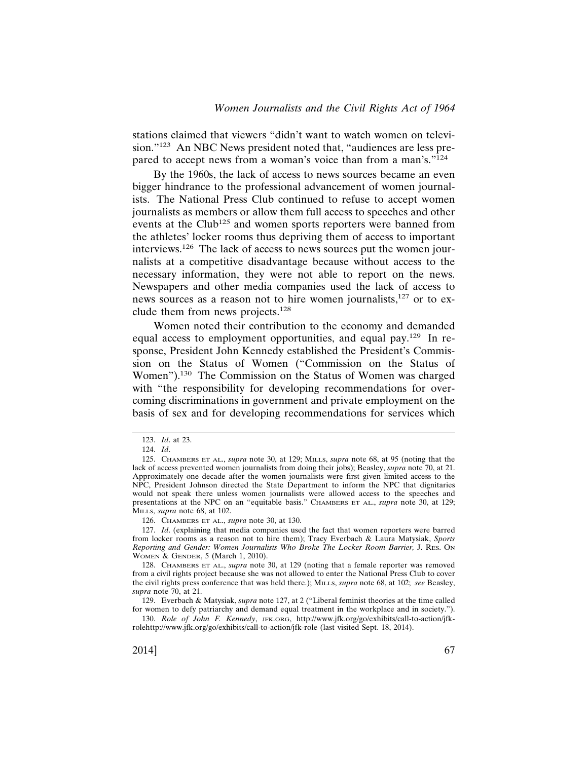stations claimed that viewers "didn't want to watch women on television."123 An NBC News president noted that, "audiences are less prepared to accept news from a woman's voice than from a man's."124

By the 1960s, the lack of access to news sources became an even bigger hindrance to the professional advancement of women journalists. The National Press Club continued to refuse to accept women journalists as members or allow them full access to speeches and other events at the Club<sup>125</sup> and women sports reporters were banned from the athletes' locker rooms thus depriving them of access to important interviews.126 The lack of access to news sources put the women journalists at a competitive disadvantage because without access to the necessary information, they were not able to report on the news. Newspapers and other media companies used the lack of access to news sources as a reason not to hire women journalists,127 or to exclude them from news projects.<sup>128</sup>

Women noted their contribution to the economy and demanded equal access to employment opportunities, and equal pay.129 In response, President John Kennedy established the President's Commission on the Status of Women ("Commission on the Status of Women").130 The Commission on the Status of Women was charged with "the responsibility for developing recommendations for overcoming discriminations in government and private employment on the basis of sex and for developing recommendations for services which

<sup>123.</sup> *Id*. at 23.

<sup>124.</sup> *Id*.

<sup>125.</sup> CHAMBERS ET AL., *supra* note 30, at 129; MILLS, *supra* note 68, at 95 (noting that the lack of access prevented women journalists from doing their jobs); Beasley, *supra* note 70, at 21. Approximately one decade after the women journalists were first given limited access to the NPC, President Johnson directed the State Department to inform the NPC that dignitaries would not speak there unless women journalists were allowed access to the speeches and presentations at the NPC on an "equitable basis." CHAMBERS ET AL., *supra* note 30, at 129; MILLS, *supra* note 68, at 102.

<sup>126.</sup> CHAMBERS ET AL., *supra* note 30, at 130.

<sup>127.</sup> *Id*. (explaining that media companies used the fact that women reporters were barred from locker rooms as a reason not to hire them); Tracy Everbach & Laura Matysiak, *Sports Reporting and Gender: Women Journalists Who Broke The Locker Room Barrier,* J. RES. ON WOMEN & GENDER, 5 (March 1, 2010).

<sup>128.</sup> CHAMBERS ET AL., *supra* note 30, at 129 (noting that a female reporter was removed from a civil rights project because she was not allowed to enter the National Press Club to cover the civil rights press conference that was held there.); MILLS, *supra* note 68, at 102; *see* Beasley, *supra* note 70, at 21.

<sup>129.</sup> Everbach & Matysiak, *supra* note 127, at 2 ("Liberal feminist theories at the time called for women to defy patriarchy and demand equal treatment in the workplace and in society.").

<sup>130.</sup> *Role of John F. Kennedy*, JFK.ORG, http://www.jfk.org/go/exhibits/call-to-action/jfkrolehttp://www.jfk.org/go/exhibits/call-to-action/jfk-role (last visited Sept. 18, 2014).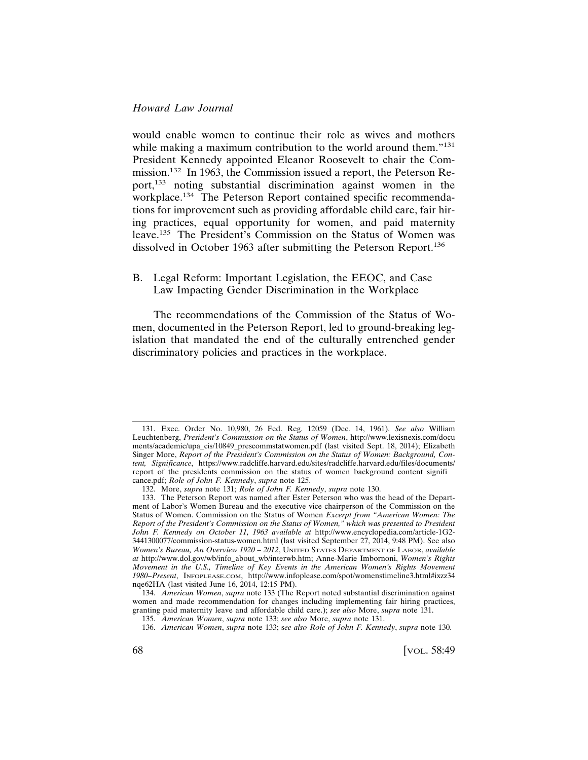would enable women to continue their role as wives and mothers while making a maximum contribution to the world around them."<sup>131</sup> President Kennedy appointed Eleanor Roosevelt to chair the Commission.132 In 1963, the Commission issued a report, the Peterson Report,<sup>133</sup> noting substantial discrimination against women in the workplace.<sup>134</sup> The Peterson Report contained specific recommendations for improvement such as providing affordable child care, fair hiring practices, equal opportunity for women, and paid maternity leave.135 The President's Commission on the Status of Women was dissolved in October 1963 after submitting the Peterson Report.<sup>136</sup>

# B. Legal Reform: Important Legislation, the EEOC, and Case Law Impacting Gender Discrimination in the Workplace

The recommendations of the Commission of the Status of Women, documented in the Peterson Report, led to ground-breaking legislation that mandated the end of the culturally entrenched gender discriminatory policies and practices in the workplace.

<sup>131.</sup> Exec. Order No. 10,980, 26 Fed. Reg. 12059 (Dec. 14, 1961). *See also* William Leuchtenberg, *President's Commission on the Status of Women*, http://www.lexisnexis.com/docu ments/academic/upa\_cis/10849\_prescommstatwomen.pdf (last visited Sept. 18, 2014); Elizabeth Singer More, *Report of the President's Commission on the Status of Women: Background, Content, Significance*, https://www.radcliffe.harvard.edu/sites/radcliffe.harvard.edu/files/documents/ report of the presidents commission on the status of women background content significance.pdf; *Role of John F. Kennedy*, *supra* note 125.

<sup>132.</sup> More, *supra* note 131; *Role of John F. Kennedy*, *supra* note 130.

<sup>133.</sup> The Peterson Report was named after Ester Peterson who was the head of the Department of Labor's Women Bureau and the executive vice chairperson of the Commission on the Status of Women. Commission on the Status of Women *Excerpt from "American Women: The Report of the President's Commission on the Status of Women," which was presented to President John F. Kennedy on October 11, 1963 available at* http://www.encyclopedia.com/article-1G2- 3441300077/commission-status-women.html (last visited September 27, 2014, 9:48 PM). See also *Women's Bureau, An Overview 1920 – 2012*, UNITED STATES DEPARTMENT OF LABOR, *available at* http://www.dol.gov/wb/info\_about\_wb/interwb.htm; Anne-Marie Imbornoni, *Women's Rights Movement in the U.S., Timeline of Key Events in the American Women's Rights Movement 1980–Present*, INFOPLEASE.COM, http://www.infoplease.com/spot/womenstimeline3.html#ixzz34 nqe62HA (last visited June 16, 2014, 12:15 PM).

<sup>134.</sup> *American Women*, *supra* note 133 (The Report noted substantial discrimination against women and made recommendation for changes including implementing fair hiring practices, granting paid maternity leave and affordable child care.); *see also* More, *supra* note 131.

<sup>135.</sup> *American Women*, *supra* note 133; *see also* More, *supra* note 131.

<sup>136.</sup> *American Women*, *supra* note 133; s*ee also Role of John F. Kennedy*, *supra* note 130.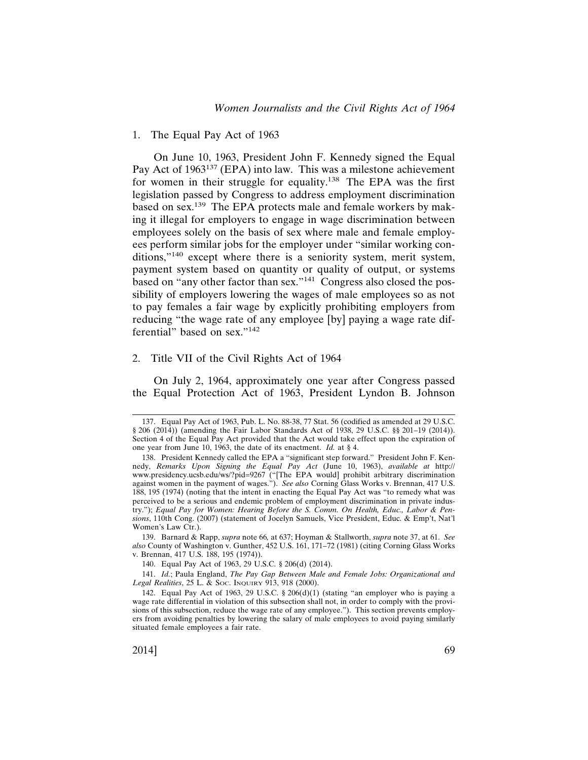#### 1. The Equal Pay Act of 1963

On June 10, 1963, President John F. Kennedy signed the Equal Pay Act of 1963<sup>137</sup> (EPA) into law. This was a milestone achievement for women in their struggle for equality.138 The EPA was the first legislation passed by Congress to address employment discrimination based on sex.139 The EPA protects male and female workers by making it illegal for employers to engage in wage discrimination between employees solely on the basis of sex where male and female employees perform similar jobs for the employer under "similar working conditions,"140 except where there is a seniority system, merit system, payment system based on quantity or quality of output, or systems based on "any other factor than sex."141 Congress also closed the possibility of employers lowering the wages of male employees so as not to pay females a fair wage by explicitly prohibiting employers from reducing "the wage rate of any employee [by] paying a wage rate differential" based on sex."<sup>142</sup>

# 2. Title VII of the Civil Rights Act of 1964

On July 2, 1964, approximately one year after Congress passed the Equal Protection Act of 1963, President Lyndon B. Johnson

<sup>137.</sup> Equal Pay Act of 1963, Pub. L. No. 88-38, 77 Stat. 56 (codified as amended at 29 U.S.C. § 206 (2014)) (amending the Fair Labor Standards Act of 1938, 29 U.S.C. §§ 201–19 (2014)). Section 4 of the Equal Pay Act provided that the Act would take effect upon the expiration of one year from June 10, 1963, the date of its enactment. *Id.* at § 4.

<sup>138.</sup> President Kennedy called the EPA a "significant step forward." President John F. Kennedy, *Remarks Upon Signing the Equal Pay Act* (June 10, 1963), *available at* http:// www.presidency.ucsb.edu/ws/?pid=9267 ("[The EPA would] prohibit arbitrary discrimination against women in the payment of wages."). *See also* Corning Glass Works v. Brennan, 417 U.S. 188, 195 (1974) (noting that the intent in enacting the Equal Pay Act was "to remedy what was perceived to be a serious and endemic problem of employment discrimination in private industry."); *Equal Pay for Women: Hearing Before the S. Comm. On Health, Educ., Labor & Pensions*, 110th Cong. (2007) (statement of Jocelyn Samuels, Vice President, Educ. & Emp't, Nat'l Women's Law Ctr.).

<sup>139.</sup> Barnard & Rapp, *supra* note 66*,* at 637; Hoyman & Stallworth, *supra* note 37, at 61. *See also* County of Washington v. Gunther, 452 U.S. 161, 171–72 (1981) (citing Corning Glass Works v. Brennan, 417 U.S. 188, 195 (1974)).

<sup>140.</sup> Equal Pay Act of 1963, 29 U.S.C. § 206(d) (2014).

<sup>141.</sup> *Id.*; Paula England, *The Pay Gap Between Male and Female Jobs: Organizational and Legal Realities*, 25 L. & SOC. INQUIRY 913, 918 (2000).

<sup>142.</sup> Equal Pay Act of 1963, 29 U.S.C. § 206(d)(1) (stating "an employer who is paying a wage rate differential in violation of this subsection shall not, in order to comply with the provisions of this subsection, reduce the wage rate of any employee."). This section prevents employers from avoiding penalties by lowering the salary of male employees to avoid paying similarly situated female employees a fair rate.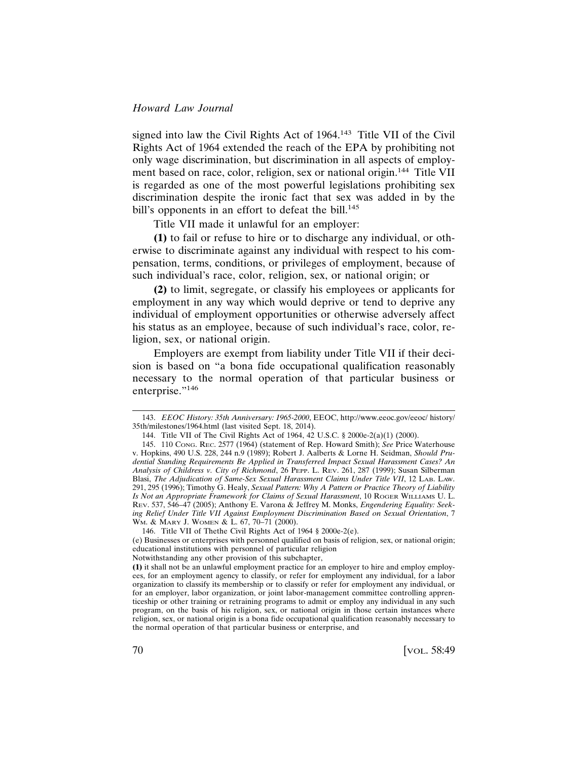signed into law the Civil Rights Act of 1964.143 Title VII of the Civil Rights Act of 1964 extended the reach of the EPA by prohibiting not only wage discrimination, but discrimination in all aspects of employment based on race, color, religion, sex or national origin.<sup>144</sup> Title VII is regarded as one of the most powerful legislations prohibiting sex discrimination despite the ironic fact that sex was added in by the bill's opponents in an effort to defeat the bill.<sup>145</sup>

Title VII made it unlawful for an employer:

**(1)** to fail or refuse to hire or to discharge any individual, or otherwise to discriminate against any individual with respect to his compensation, terms, conditions, or privileges of employment, because of such individual's race, color, religion, sex, or national origin; or

**(2)** to limit, segregate, or classify his employees or applicants for employment in any way which would deprive or tend to deprive any individual of employment opportunities or otherwise adversely affect his status as an employee, because of such individual's race, color, religion, sex, or national origin.

Employers are exempt from liability under Title VII if their decision is based on "a bona fide occupational qualification reasonably necessary to the normal operation of that particular business or enterprise."<sup>146</sup>

<sup>143.</sup> *EEOC History: 35th Anniversary: 1965-2000*, EEOC, http://www.eeoc.gov/eeoc/ history/ 35th/milestones/1964.html (last visited Sept. 18, 2014).

<sup>144.</sup> Title VII of The Civil Rights Act of 1964, 42 U.S.C. § 2000e-2(a)(1) (2000).

<sup>145. 110</sup> CONG. REC. 2577 (1964) (statement of Rep. Howard Smith); *See* Price Waterhouse v. Hopkins, 490 U.S. 228, 244 n.9 (1989); Robert J. Aalberts & Lorne H. Seidman, *Should Prudential Standing Requirements Be Applied in Transferred Impact Sexual Harassment Cases? An Analysis of Childress v. City of Richmond*, 26 PEPP. L. REV. 261, 287 (1999); Susan Silberman Blasi, *The Adjudication of Same-Sex Sexual Harassment Claims Under Title VII*, 12 LAB. LAW. 291, 295 (1996); Timothy G. Healy, *Sexual Pattern: Why A Pattern or Practice Theory of Liability Is Not an Appropriate Framework for Claims of Sexual Harassment*, 10 ROGER WILLIAMS U. L. REV. 537, 546–47 (2005); Anthony E. Varona & Jeffrey M. Monks, *Engendering Equality: Seeking Relief Under Title VII Against Employment Discrimination Based on Sexual Orientation*, 7 WM. & MARY J. WOMEN & L. 67, 70-71 (2000).

<sup>146.</sup> Title VII of Thethe Civil Rights Act of 1964 § 2000e-2(e).

<sup>(</sup>e) Businesses or enterprises with personnel qualified on basis of religion, sex, or national origin; educational institutions with personnel of particular religion

Notwithstanding any other provision of this subchapter,

**<sup>(1)</sup>** it shall not be an unlawful employment practice for an employer to hire and employ employees, for an employment agency to classify, or refer for employment any individual, for a labor organization to classify its membership or to classify or refer for employment any individual, or for an employer, labor organization, or joint labor-management committee controlling apprenticeship or other training or retraining programs to admit or employ any individual in any such program, on the basis of his religion, sex, or national origin in those certain instances where religion, sex, or national origin is a bona fide occupational qualification reasonably necessary to the normal operation of that particular business or enterprise, and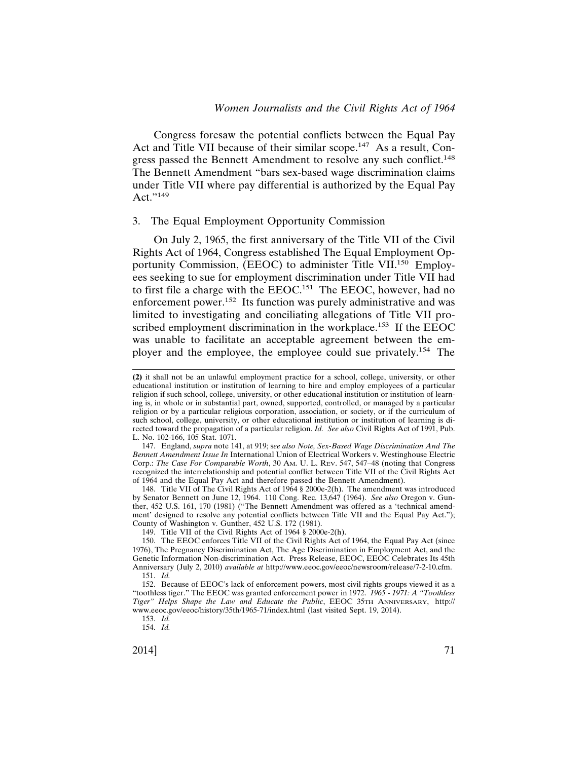Congress foresaw the potential conflicts between the Equal Pay Act and Title VII because of their similar scope.<sup>147</sup> As a result, Congress passed the Bennett Amendment to resolve any such conflict.<sup>148</sup> The Bennett Amendment "bars sex-based wage discrimination claims under Title VII where pay differential is authorized by the Equal Pay Act."149

## 3. The Equal Employment Opportunity Commission

On July 2, 1965, the first anniversary of the Title VII of the Civil Rights Act of 1964, Congress established The Equal Employment Opportunity Commission, (EEOC) to administer Title VII.<sup>150</sup> Employees seeking to sue for employment discrimination under Title VII had to first file a charge with the EEOC.<sup>151</sup> The EEOC, however, had no enforcement power.152 Its function was purely administrative and was limited to investigating and conciliating allegations of Title VII proscribed employment discrimination in the workplace.<sup>153</sup> If the EEOC was unable to facilitate an acceptable agreement between the employer and the employee, the employee could sue privately.154 The

148. Title VII of The Civil Rights Act of 1964 § 2000e-2(h). The amendment was introduced by Senator Bennett on June 12, 1964. 110 Cong. Rec. 13,647 (1964). *See also* Oregon v. Gunther, 452 U.S. 161, 170 (1981) ("The Bennett Amendment was offered as a 'technical amendment' designed to resolve any potential conflicts between Title VII and the Equal Pay Act."); County of Washington v. Gunther, 452 U.S. 172 (1981).

149. Title VII of the Civil Rights Act of 1964 § 2000e-2(h).

153. *Id.*

154. *Id.*

2014] 71

**<sup>(2)</sup>** it shall not be an unlawful employment practice for a school, college, university, or other educational institution or institution of learning to hire and employ employees of a particular religion if such school, college, university, or other educational institution or institution of learning is, in whole or in substantial part, owned, supported, controlled, or managed by a particular religion or by a particular religious corporation, association, or society, or if the curriculum of such school, college, university, or other educational institution or institution of learning is directed toward the propagation of a particular religion. *Id. See also* Civil Rights Act of 1991, Pub. L. No. 102-166, 105 Stat. 1071.

<sup>147.</sup> England, *supra* note 141, at 919; s*ee also Note, Sex-Based Wage Discrimination And The Bennett Amendment Issue In* International Union of Electrical Workers v. Westinghouse Electric Corp.: *The Case For Comparable Worth*, 30 AM. U. L. REV. 547, 547–48 (noting that Congress recognized the interrelationship and potential conflict between Title VII of the Civil Rights Act of 1964 and the Equal Pay Act and therefore passed the Bennett Amendment).

<sup>150.</sup> The EEOC enforces Title VII of the Civil Rights Act of 1964, the Equal Pay Act (since 1976), The Pregnancy Discrimination Act, The Age Discrimination in Employment Act, and the Genetic Information Non-discrimination Act. Press Release, EEOC, EEOC Celebrates Its 45th Anniversary (July 2, 2010) *available at* http://www.eeoc.gov/eeoc/newsroom/release/7-2-10.cfm. 151. *Id.*

<sup>152.</sup> Because of EEOC's lack of enforcement powers, most civil rights groups viewed it as a "toothless tiger." The EEOC was granted enforcement power in 1972. *1965 - 1971: A "Toothless Tiger" Helps Shape the Law and Educate the Public*, EEOC 35TH ANNIVERSARY, http:// www.eeoc.gov/eeoc/history/35th/1965-71/index.html (last visited Sept. 19, 2014).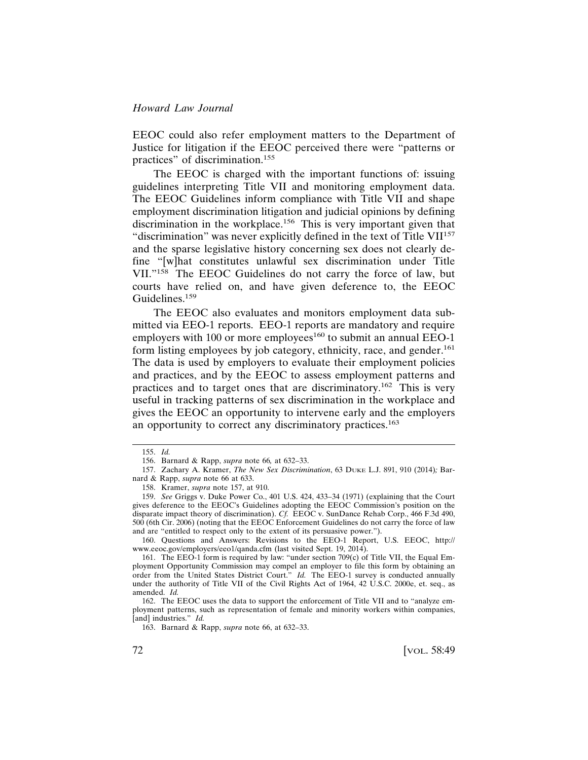EEOC could also refer employment matters to the Department of Justice for litigation if the EEOC perceived there were "patterns or practices" of discrimination.155

The EEOC is charged with the important functions of: issuing guidelines interpreting Title VII and monitoring employment data. The EEOC Guidelines inform compliance with Title VII and shape employment discrimination litigation and judicial opinions by defining discrimination in the workplace.<sup>156</sup> This is very important given that "discrimination" was never explicitly defined in the text of Title VII<sup>157</sup> and the sparse legislative history concerning sex does not clearly define "[w]hat constitutes unlawful sex discrimination under Title VII."<sup>158</sup> The EEOC Guidelines do not carry the force of law, but courts have relied on, and have given deference to, the EEOC Guidelines.159

The EEOC also evaluates and monitors employment data submitted via EEO-1 reports. EEO-1 reports are mandatory and require employers with 100 or more employees<sup>160</sup> to submit an annual EEO-1 form listing employees by job category, ethnicity, race, and gender.<sup>161</sup> The data is used by employers to evaluate their employment policies and practices, and by the EEOC to assess employment patterns and practices and to target ones that are discriminatory.162 This is very useful in tracking patterns of sex discrimination in the workplace and gives the EEOC an opportunity to intervene early and the employers an opportunity to correct any discriminatory practices.<sup>163</sup>

<sup>155.</sup> *Id.*

<sup>156.</sup> Barnard & Rapp, *supra* note 66*,* at 632–33.

<sup>157.</sup> Zachary A. Kramer, *The New Sex Discrimination*, 63 DUKE L.J. 891, 910 (2014)*;* Barnard & Rapp, *supra* note 66 at 633.

<sup>158.</sup> Kramer, *supra* note 157, at 910.

<sup>159.</sup> *See* Griggs v. Duke Power Co., 401 U.S. 424, 433–34 (1971) (explaining that the Court gives deference to the EEOC's Guidelines adopting the EEOC Commission's position on the disparate impact theory of discrimination). *Cf.* EEOC v. SunDance Rehab Corp., 466 F.3d 490, 500 (6th Cir. 2006) (noting that the EEOC Enforcement Guidelines do not carry the force of law and are "entitled to respect only to the extent of its persuasive power.").

<sup>160.</sup> Questions and Answers: Revisions to the EEO-1 Report, U.S. EEOC, http:// www.eeoc.gov/employers/eeo1/qanda.cfm (last visited Sept. 19, 2014).

<sup>161.</sup> The EEO-1 form is required by law: "under section  $709(c)$  of Title VII, the Equal Employment Opportunity Commission may compel an employer to file this form by obtaining an order from the United States District Court." *Id.* The EEO-1 survey is conducted annually under the authority of Title VII of the Civil Rights Act of 1964, 42 U.S.C. 2000e, et. seq., as amended. *Id.*

<sup>162.</sup> The EEOC uses the data to support the enforcement of Title VII and to "analyze employment patterns, such as representation of female and minority workers within companies, [and] industries." *Id.* 

<sup>163.</sup> Barnard & Rapp, *supra* note 66, at 632–33.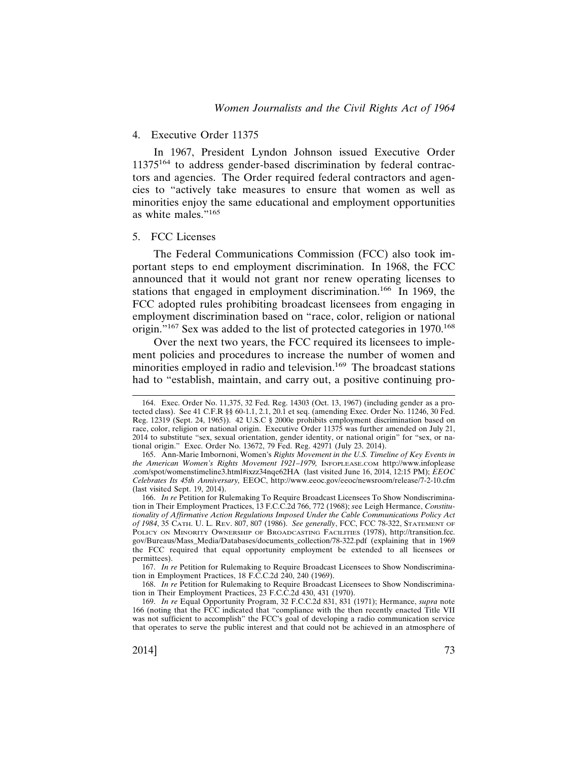#### 4. Executive Order 11375

In 1967, President Lyndon Johnson issued Executive Order 11375164 to address gender-based discrimination by federal contractors and agencies. The Order required federal contractors and agencies to "actively take measures to ensure that women as well as minorities enjoy the same educational and employment opportunities as white males."165

## 5. FCC Licenses

The Federal Communications Commission (FCC) also took important steps to end employment discrimination. In 1968, the FCC announced that it would not grant nor renew operating licenses to stations that engaged in employment discrimination.<sup>166</sup> In 1969, the FCC adopted rules prohibiting broadcast licensees from engaging in employment discrimination based on "race, color, religion or national origin."<sup>167</sup> Sex was added to the list of protected categories in 1970.<sup>168</sup>

Over the next two years, the FCC required its licensees to implement policies and procedures to increase the number of women and minorities employed in radio and television.<sup>169</sup> The broadcast stations had to "establish, maintain, and carry out, a positive continuing pro-

167. *In re* Petition for Rulemaking to Require Broadcast Licensees to Show Nondiscrimination in Employment Practices, 18 F.C.C.2d 240, 240 (1969).

168. *In re* Petition for Rulemaking to Require Broadcast Licensees to Show Nondiscrimination in Their Employment Practices, 23 F.C.C.2d 430, 431 (1970).

169. *In re* Equal Opportunity Program, 32 F.C.C.2d 831, 831 (1971); Hermance, *supra* note 166 (noting that the FCC indicated that "compliance with the then recently enacted Title VII was not sufficient to accomplish" the FCC's goal of developing a radio communication service that operates to serve the public interest and that could not be achieved in an atmosphere of

<sup>164.</sup> Exec. Order No. 11,375, 32 Fed. Reg. 14303 (Oct. 13, 1967) (including gender as a protected class). See 41 C.F.R §§ 60-1.1, 2.1, 20.1 et seq. (amending Exec. Order No. 11246, 30 Fed. Reg. 12319 (Sept. 24, 1965)). 42 U.S.C § 2000e prohibits employment discrimination based on race, color, religion or national origin. Executive Order 11375 was further amended on July 21, 2014 to substitute "sex, sexual orientation, gender identity, or national origin" for "sex, or national origin." Exec. Order No. 13672, 79 Fed. Reg. 42971 (July 23. 2014).

<sup>165.</sup> Ann-Marie Imbornoni, Women's *Rights Movement in the U.S. Timeline of Key Events in the American Women's Rights Movement 1921–1979,* INFOPLEASE.COM http://www.infoplease .com/spot/womenstimeline3.html#ixzz34nqe62HA (last visited June 16, 2014, 12:15 PM); *EEOC Celebrates Its 45th Anniversary,* EEOC, http://www.eeoc.gov/eeoc/newsroom/release/7-2-10.cfm (last visited Sept. 19, 2014).

<sup>166.</sup> *In re* Petition for Rulemaking To Require Broadcast Licensees To Show Nondiscrimination in Their Employment Practices, 13 F.C.C.2d 766, 772 (1968); *s*ee Leigh Hermance, *Constitutionality of Affirmative Action Regulations Imposed Under the Cable Communications Policy Act of 1984*, 35 CATH. U. L. REV. 807, 807 (1986). *See generally*, FCC, FCC 78-322, STATEMENT OF POLICY ON MINORITY OWNERSHIP OF BROADCASTING FACILITIES (1978), http://transition.fcc. gov/Bureaus/Mass\_Media/Databases/documents\_collection/78-322.pdf (explaining that in 1969 the FCC required that equal opportunity employment be extended to all licensees or permittees).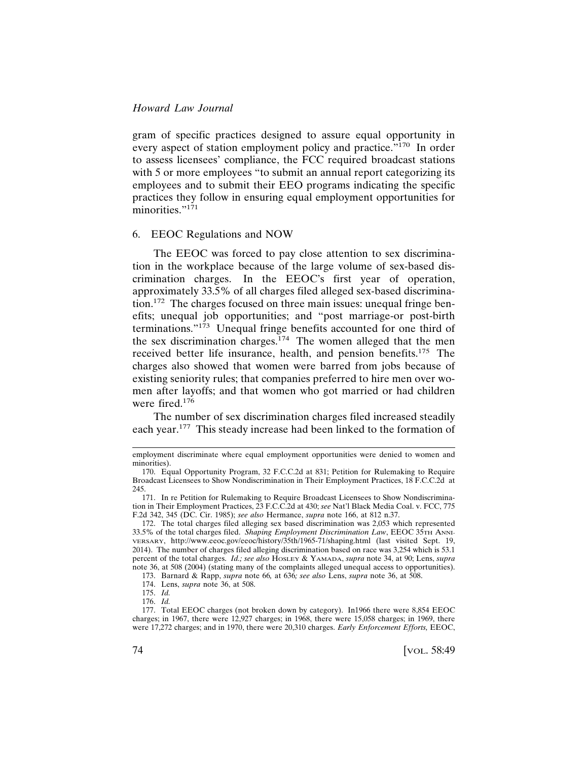gram of specific practices designed to assure equal opportunity in every aspect of station employment policy and practice."170 In order to assess licensees' compliance, the FCC required broadcast stations with 5 or more employees "to submit an annual report categorizing its employees and to submit their EEO programs indicating the specific practices they follow in ensuring equal employment opportunities for minorities."<sup>171</sup>

#### 6. EEOC Regulations and NOW

The EEOC was forced to pay close attention to sex discrimination in the workplace because of the large volume of sex-based discrimination charges. In the EEOC's first year of operation, approximately 33.5% of all charges filed alleged sex-based discrimination.172 The charges focused on three main issues: unequal fringe benefits; unequal job opportunities; and "post marriage-or post-birth terminations."173 Unequal fringe benefits accounted for one third of the sex discrimination charges.<sup>174</sup> The women alleged that the men received better life insurance, health, and pension benefits.175 The charges also showed that women were barred from jobs because of existing seniority rules; that companies preferred to hire men over women after layoffs; and that women who got married or had children were fired.<sup>176</sup>

The number of sex discrimination charges filed increased steadily each year.177 This steady increase had been linked to the formation of

employment discriminate where equal employment opportunities were denied to women and minorities).

<sup>170.</sup> Equal Opportunity Program, 32 F.C.C.2d at 831; Petition for Rulemaking to Require Broadcast Licensees to Show Nondiscrimination in Their Employment Practices, 18 F.C.C.2d at 245.

<sup>171.</sup> In re Petition for Rulemaking to Require Broadcast Licensees to Show Nondiscrimination in Their Employment Practices, 23 F.C.C.2d at 430; *see* Nat'l Black Media Coal. v. FCC, 775 F.2d 342, 345 (DC. Cir. 1985); *see also* Hermance, *supra* note 166, at 812 n.37.

<sup>172.</sup> The total charges filed alleging sex based discrimination was 2,053 which represented 33.5% of the total charges filed. *Shaping Employment Discrimination Law*, EEOC 35TH ANNI-VERSARY, http://www.eeoc.gov/eeoc/history/35th/1965-71/shaping.html (last visited Sept. 19, 2014). The number of charges filed alleging discrimination based on race was 3,254 which is 53.1 percent of the total charges. *Id.; see also* HOSLEY & YAMADA, *supra* note 34, at 90; Lens, *supra* note 36, at 508 (2004) (stating many of the complaints alleged unequal access to opportunities).

<sup>173.</sup> Barnard & Rapp, *supra* note 66*,* at 636*; see also* Lens, *supra* note 36, at 508.

<sup>174.</sup> Lens, *supra* note 36, at 508.

<sup>175.</sup> *Id.*

<sup>176.</sup> *Id.*

<sup>177.</sup> Total EEOC charges (not broken down by category). In1966 there were 8,854 EEOC charges; in 1967, there were 12,927 charges; in 1968, there were 15,058 charges; in 1969, there were 17,272 charges; and in 1970, there were 20,310 charges. *Early Enforcement Efforts,* EEOC,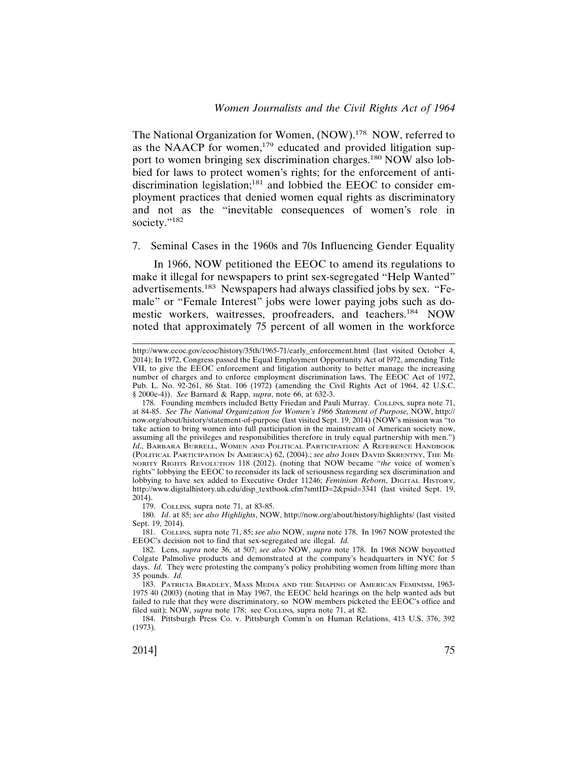The National Organization for Women, (NOW).<sup>178</sup> NOW, referred to as the NAACP for women, $179$  educated and provided litigation support to women bringing sex discrimination charges.<sup>180</sup> NOW also lobbied for laws to protect women's rights; for the enforcement of antidiscrimination legislation;<sup>181</sup> and lobbied the EEOC to consider employment practices that denied women equal rights as discriminatory and not as the "inevitable consequences of women's role in society."<sup>182</sup>

#### 7. Seminal Cases in the 1960s and 70s Influencing Gender Equality

In 1966, NOW petitioned the EEOC to amend its regulations to make it illegal for newspapers to print sex-segregated "Help Wanted" advertisements.183 Newspapers had always classified jobs by sex. "Female" or "Female Interest" jobs were lower paying jobs such as domestic workers, waitresses, proofreaders, and teachers.184 NOW noted that approximately 75 percent of all women in the workforce

179. COLLINS*,* supra note 71, at 83-85.

180. *Id*. at 85; *see also Highlights*, NOW, http://now.org/about/history/highlights/ (last visited Sept. 19, 2014).

181. COLLINS*,* supra note 71, 85; *see also* NOW, *supra* note 178. In 1967 NOW protested the EEOC's decision not to find that sex-segregated are illegal. *Id.*

http://www.eeoc.gov/eeoc/history/35th/1965-71/early\_enforcement.html (last visited October 4, 2014); In 1972, Congress passed the Equal Employment Opportunity Act of l972, amending Title VII, to give the EEOC enforcement and litigation authority to better manage the increasing number of charges and to enforce employment discrimination laws. The EEOC Act of 1972, Pub. L. No. 92-261, 86 Stat. 106 (1972) (amending the Civil Rights Act of 1964, 42 U.S.C. § 2000e-4)). *See* Barnard & Rapp, *supra*, note 66, at 632-3.

<sup>178.</sup> Founding members included Betty Friedan and Pauli Murray. COLLINS*,* supra note 71, at 84-85. *See The National Organization for Women's 1966 Statement of Purpose,* NOW, http:// now.org/about/history/statement-of-purpose (last visited Sept. 19, 2014) (NOW's mission was "to take action to bring women into full participation in the mainstream of American society now, assuming all the privileges and responsibilities therefore in truly equal partnership with men.") *Id*., BARBARA BURRELL, WOMEN AND POLITICAL PARTICIPATION: A REFERENCE HANDBOOK (POLITICAL PARTICIPATION IN AMERICA) 62, (2004).; *see also* JOHN DAVID SKRENTNY, THE MI-NORITY RIGHTS REVOLUTION 118 (2012). (noting that NOW became "*the* voice of women's rights" lobbying the EEOC to reconsider its lack of seriousness regarding sex discrimination and lobbying to have sex added to Executive Order 11246; *Feminism Reborn*, DIGITAL HISTORY, http://www.digitalhistory.uh.edu/disp\_textbook.cfm?smtID=2&psid=3341 (last visited Sept. 19, 2014).

<sup>182.</sup> Lens, *supra* note 36, at 507; *see also* NOW, *supra* note 178. In 1968 NOW boycotted Colgate Palmolive products and demonstrated at the company's headquarters in NYC for 5 days. *Id.* They were protesting the company's policy prohibiting women from lifting more than 35 pounds. *Id.*

<sup>183.</sup> PATRICIA BRADLEY, MASS MEDIA AND THE SHAPING OF AMERICAN FEMINISM, 1963- 1975 40 (2003) (noting that in May 1967, the EEOC held hearings on the help wanted ads but failed to rule that they were discriminatory, so NOW members picketed the EEOC's office and filed suit); NOW, *supra* note 178; see COLLINS, supra note 71, at 82.

<sup>184.</sup> Pittsburgh Press Co. v. Pittsburgh Comm'n on Human Relations, 413 U.S. 376, 392 (1973).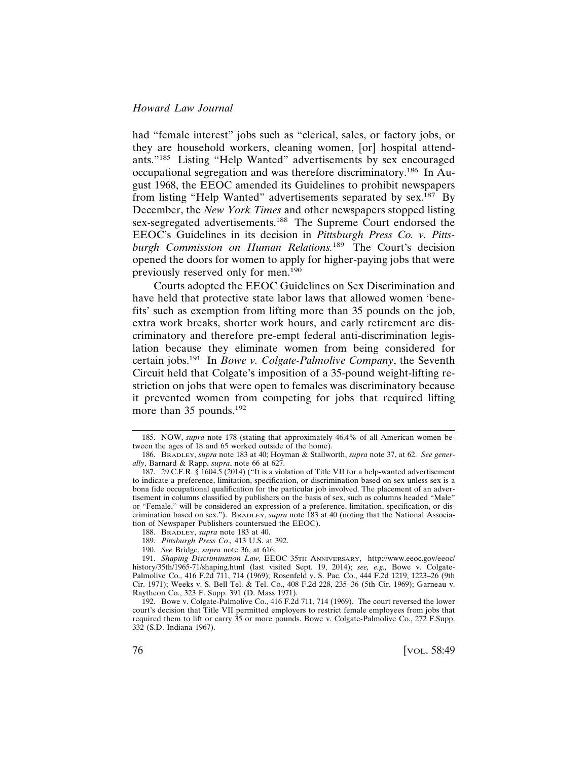had "female interest" jobs such as "clerical, sales, or factory jobs, or they are household workers, cleaning women, [or] hospital attendants."185 Listing "Help Wanted" advertisements by sex encouraged occupational segregation and was therefore discriminatory.186 In August 1968, the EEOC amended its Guidelines to prohibit newspapers from listing "Help Wanted" advertisements separated by sex.<sup>187</sup> By December, the *New York Times* and other newspapers stopped listing sex-segregated advertisements.<sup>188</sup> The Supreme Court endorsed the EEOC's Guidelines in its decision in *Pittsburgh Press Co. v. Pittsburgh Commission on Human Relations.*189 The Court's decision opened the doors for women to apply for higher-paying jobs that were previously reserved only for men.<sup>190</sup>

Courts adopted the EEOC Guidelines on Sex Discrimination and have held that protective state labor laws that allowed women 'benefits' such as exemption from lifting more than 35 pounds on the job, extra work breaks, shorter work hours, and early retirement are discriminatory and therefore pre-empt federal anti-discrimination legislation because they eliminate women from being considered for certain jobs.191 In *Bowe v. Colgate-Palmolive Company*, the Seventh Circuit held that Colgate's imposition of a 35-pound weight-lifting restriction on jobs that were open to females was discriminatory because it prevented women from competing for jobs that required lifting more than 35 pounds.<sup>192</sup>

<sup>185.</sup> NOW, *supra* note 178 (stating that approximately 46.4% of all American women between the ages of 18 and 65 worked outside of the home).

<sup>186.</sup> BRADLEY, *supra* note 183 at 40; Hoyman & Stallworth, *supra* note 37, at 62. *See generally*, Barnard & Rapp, *supra*, note 66 at 627.

<sup>187. 29</sup> C.F.R. § 1604.5 (2014) ("It is a violation of Title VII for a help-wanted advertisement to indicate a preference, limitation, specification, or discrimination based on sex unless sex is a bona fide occupational qualification for the particular job involved. The placement of an advertisement in columns classified by publishers on the basis of sex, such as columns headed "Male" or "Female," will be considered an expression of a preference, limitation, specification, or discrimination based on sex."). BRADLEY, *supra* note 183 at 40 (noting that the National Association of Newspaper Publishers countersued the EEOC).

<sup>188.</sup> BRADLEY, *supra* note 183 at 40.

<sup>189.</sup> *Pittsburgh Press Co*.*,* 413 U.S. at 392.

<sup>190.</sup> *See* Bridge, *supra* note 36, at 616.

<sup>191.</sup> *Shaping Discrimination Law,* EEOC 35TH ANNIVERSARY, http://www.eeoc.gov/eeoc/ history/35th/1965-71/shaping.html (last visited Sept. 19, 2014); *see, e.g.,* Bowe v. Colgate-Palmolive Co., 416 F.2d 711, 714 (1969); Rosenfeld v. S. Pac. Co., 444 F.2d 1219, 1223–26 (9th Cir. 1971); Weeks v. S. Bell Tel. & Tel. Co., 408 F.2d 228, 235–36 (5th Cir. 1969); Garneau v. Raytheon Co., 323 F. Supp. 391 (D. Mass 1971).

<sup>192.</sup> Bowe v. Colgate-Palmolive Co., 416 F.2d 711, 714 (1969). The court reversed the lower court's decision that Title VII permitted employers to restrict female employees from jobs that required them to lift or carry 35 or more pounds. Bowe v. Colgate-Palmolive Co., 272 F.Supp. 332 (S.D. Indiana 1967).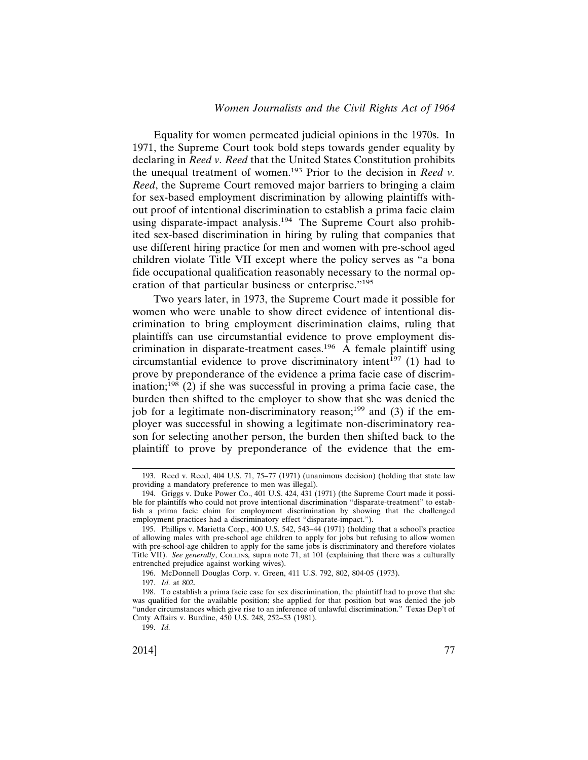Equality for women permeated judicial opinions in the 1970s. In 1971, the Supreme Court took bold steps towards gender equality by declaring in *Reed v. Reed* that the United States Constitution prohibits the unequal treatment of women.193 Prior to the decision in *Reed v. Reed*, the Supreme Court removed major barriers to bringing a claim for sex-based employment discrimination by allowing plaintiffs without proof of intentional discrimination to establish a prima facie claim using disparate-impact analysis.<sup>194</sup> The Supreme Court also prohibited sex-based discrimination in hiring by ruling that companies that use different hiring practice for men and women with pre-school aged children violate Title VII except where the policy serves as "a bona fide occupational qualification reasonably necessary to the normal operation of that particular business or enterprise."<sup>195</sup>

Two years later, in 1973, the Supreme Court made it possible for women who were unable to show direct evidence of intentional discrimination to bring employment discrimination claims, ruling that plaintiffs can use circumstantial evidence to prove employment discrimination in disparate-treatment cases.<sup>196</sup>  $\vec{A}$  female plaintiff using circumstantial evidence to prove discriminatory intent<sup>197</sup> (1) had to prove by preponderance of the evidence a prima facie case of discrimination;<sup>198</sup> (2) if she was successful in proving a prima facie case, the burden then shifted to the employer to show that she was denied the job for a legitimate non-discriminatory reason; $199$  and (3) if the employer was successful in showing a legitimate non-discriminatory reason for selecting another person, the burden then shifted back to the plaintiff to prove by preponderance of the evidence that the em-

<sup>193.</sup> Reed v. Reed, 404 U.S. 71, 75–77 (1971) (unanimous decision) (holding that state law providing a mandatory preference to men was illegal).

<sup>194.</sup> Griggs v. Duke Power Co., 401 U.S. 424, 431 (1971) (the Supreme Court made it possible for plaintiffs who could not prove intentional discrimination "disparate-treatment" to establish a prima facie claim for employment discrimination by showing that the challenged employment practices had a discriminatory effect "disparate-impact.").

<sup>195.</sup> Phillips v. Marietta Corp., 400 U.S. 542, 543–44 (1971) (holding that a school's practice of allowing males with pre-school age children to apply for jobs but refusing to allow women with pre-school-age children to apply for the same jobs is discriminatory and therefore violates Title VII). *See generally*, COLLINS*,* supra note 71, at 101 (explaining that there was a culturally entrenched prejudice against working wives).

<sup>196.</sup> McDonnell Douglas Corp. v. Green, 411 U.S. 792, 802, 804-05 (1973).

<sup>197.</sup> *Id.* at 802.

<sup>198.</sup> To establish a prima facie case for sex discrimination, the plaintiff had to prove that she was qualified for the available position; she applied for that position but was denied the job "under circumstances which give rise to an inference of unlawful discrimination." Texas Dep't of Cmty Affairs v. Burdine, 450 U.S. 248, 252–53 (1981).

<sup>199.</sup> *Id.*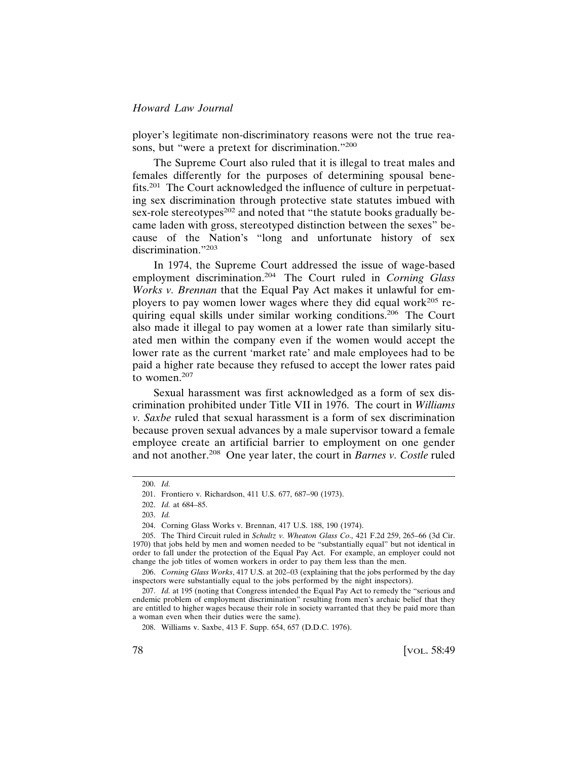ployer's legitimate non-discriminatory reasons were not the true reasons, but "were a pretext for discrimination."<sup>200</sup>

The Supreme Court also ruled that it is illegal to treat males and females differently for the purposes of determining spousal benefits.201 The Court acknowledged the influence of culture in perpetuating sex discrimination through protective state statutes imbued with sex-role stereotypes<sup>202</sup> and noted that "the statute books gradually became laden with gross, stereotyped distinction between the sexes" because of the Nation's "long and unfortunate history of sex discrimination."203

In 1974, the Supreme Court addressed the issue of wage-based employment discrimination.204 The Court ruled in *Corning Glass Works v. Brennan* that the Equal Pay Act makes it unlawful for employers to pay women lower wages where they did equal work<sup>205</sup> requiring equal skills under similar working conditions.206 The Court also made it illegal to pay women at a lower rate than similarly situated men within the company even if the women would accept the lower rate as the current 'market rate' and male employees had to be paid a higher rate because they refused to accept the lower rates paid to women.<sup>207</sup>

Sexual harassment was first acknowledged as a form of sex discrimination prohibited under Title VII in 1976. The court in *Williams v. Saxbe* ruled that sexual harassment is a form of sex discrimination because proven sexual advances by a male supervisor toward a female employee create an artificial barrier to employment on one gender and not another.208 One year later, the court in *Barnes v. Costle* ruled

<sup>200.</sup> *Id.*

<sup>201.</sup> Frontiero v. Richardson, 411 U.S. 677, 687–90 (1973).

<sup>202.</sup> *Id.* at 684–85.

<sup>203.</sup> *Id.*

<sup>204.</sup> Corning Glass Works v. Brennan, 417 U.S. 188, 190 (1974).

<sup>205.</sup> The Third Circuit ruled in *Schultz v. Wheaton Glass Co.,* 421 F.2d 259, 265–66 (3d Cir. 1970) that jobs held by men and women needed to be "substantially equal" but not identical in order to fall under the protection of the Equal Pay Act. For example, an employer could not change the job titles of women workers in order to pay them less than the men.

<sup>206.</sup> *Corning Glass Works*, 417 U.S. at 202–03 (explaining that the jobs performed by the day inspectors were substantially equal to the jobs performed by the night inspectors).

<sup>207.</sup> *Id.* at 195 (noting that Congress intended the Equal Pay Act to remedy the "serious and endemic problem of employment discrimination" resulting from men's archaic belief that they are entitled to higher wages because their role in society warranted that they be paid more than a woman even when their duties were the same).

<sup>208.</sup> Williams v. Saxbe, 413 F. Supp. 654, 657 (D.D.C. 1976).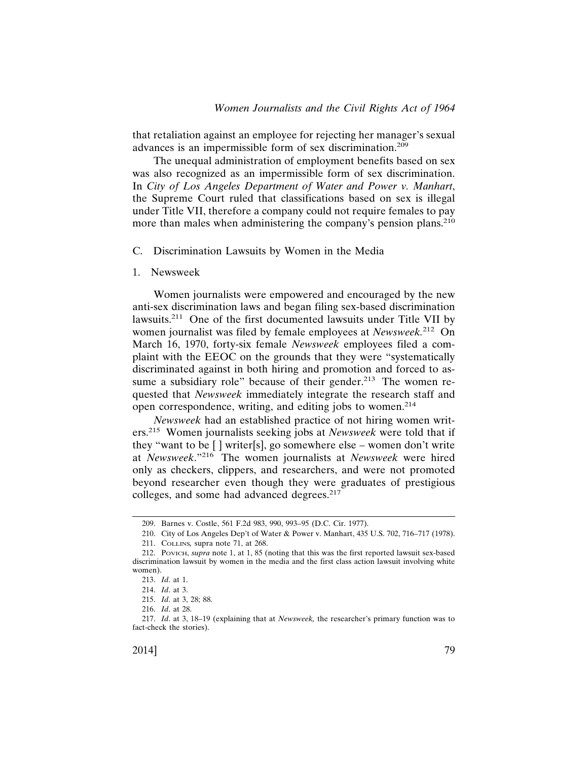that retaliation against an employee for rejecting her manager's sexual advances is an impermissible form of sex discrimination.<sup>209</sup>

The unequal administration of employment benefits based on sex was also recognized as an impermissible form of sex discrimination. In *City of Los Angeles Department of Water and Power v. Manhart*, the Supreme Court ruled that classifications based on sex is illegal under Title VII, therefore a company could not require females to pay more than males when administering the company's pension plans.<sup>210</sup>

C. Discrimination Lawsuits by Women in the Media

1. Newsweek

Women journalists were empowered and encouraged by the new anti-sex discrimination laws and began filing sex-based discrimination lawsuits.211 One of the first documented lawsuits under Title VII by women journalist was filed by female employees at *Newsweek.*212 On March 16, 1970, forty-six female *Newsweek* employees filed a complaint with the EEOC on the grounds that they were "systematically discriminated against in both hiring and promotion and forced to assume a subsidiary role" because of their gender.<sup>213</sup> The women requested that *Newsweek* immediately integrate the research staff and open correspondence, writing, and editing jobs to women.<sup>214</sup>

*Newsweek* had an established practice of not hiring women writers.215 Women journalists seeking jobs at *Newsweek* were told that if they "want to be [ ] writer[s], go somewhere else – women don't write at *Newsweek*."216 The women journalists at *Newsweek* were hired only as checkers, clippers, and researchers, and were not promoted beyond researcher even though they were graduates of prestigious colleges, and some had advanced degrees.<sup>217</sup>

<sup>209.</sup> Barnes v. Costle, 561 F.2d 983, 990, 993–95 (D.C. Cir. 1977).

<sup>210.</sup> City of Los Angeles Dep't of Water & Power v. Manhart, 435 U.S. 702, 716–717 (1978).

<sup>211.</sup> COLLINS*,* supra note 71, at 268.

<sup>212.</sup> POVICH, *supra* note 1, at 1, 85 (noting that this was the first reported lawsuit sex-based discrimination lawsuit by women in the media and the first class action lawsuit involving white women).

<sup>213.</sup> *Id*. at 1.

<sup>214.</sup> *Id*. at 3.

<sup>215.</sup> *Id*. at 3, 28; 88.

<sup>216.</sup> *Id*. at 28.

<sup>217.</sup> *Id*. at 3, 18–19 (explaining that at *Newsweek,* the researcher's primary function was to fact-check the stories).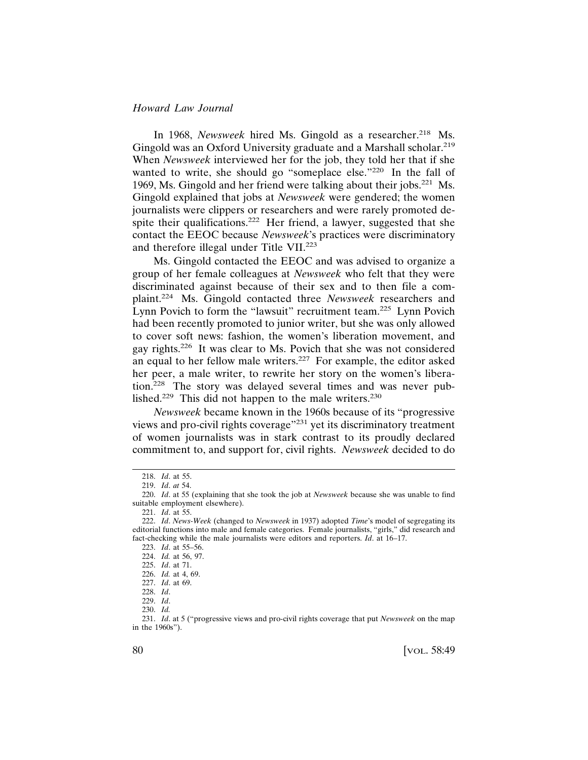In 1968, *Newsweek* hired Ms. Gingold as a researcher.<sup>218</sup> Ms. Gingold was an Oxford University graduate and a Marshall scholar.<sup>219</sup> When *Newsweek* interviewed her for the job, they told her that if she wanted to write, she should go "someplace else."<sup>220</sup> In the fall of 1969, Ms. Gingold and her friend were talking about their jobs.221 Ms. Gingold explained that jobs at *Newsweek* were gendered; the women journalists were clippers or researchers and were rarely promoted despite their qualifications.<sup>222</sup> Her friend, a lawyer, suggested that she contact the EEOC because *Newsweek*'s practices were discriminatory and therefore illegal under Title VII.<sup>223</sup>

Ms. Gingold contacted the EEOC and was advised to organize a group of her female colleagues at *Newsweek* who felt that they were discriminated against because of their sex and to then file a complaint.224 Ms. Gingold contacted three *Newsweek* researchers and Lynn Povich to form the "lawsuit" recruitment team.<sup>225</sup> Lynn Povich had been recently promoted to junior writer, but she was only allowed to cover soft news: fashion, the women's liberation movement, and gay rights.226 It was clear to Ms. Povich that she was not considered an equal to her fellow male writers.<sup>227</sup> For example, the editor asked her peer, a male writer, to rewrite her story on the women's liberation.<sup>228</sup> The story was delayed several times and was never published.<sup>229</sup> This did not happen to the male writers.<sup>230</sup>

*Newsweek* became known in the 1960s because of its "progressive views and pro-civil rights coverage"231 yet its discriminatory treatment of women journalists was in stark contrast to its proudly declared commitment to, and support for, civil rights. *Newsweek* decided to do

<sup>218.</sup> *Id*. at 55.

<sup>219.</sup> *Id*. *at* 54.

<sup>220.</sup> *Id*. at 55 (explaining that she took the job at *Newsweek* because she was unable to find suitable employment elsewhere).

<sup>221.</sup> *Id*. at 55.

<sup>222.</sup> *Id*. *News-Week* (changed to *Newsweek* in 1937) adopted *Time*'s model of segregating its editorial functions into male and female categories. Female journalists, "girls," did research and fact-checking while the male journalists were editors and reporters. *Id*. at 16–17.

<sup>223.</sup> *Id*. at 55–56.

<sup>224.</sup> *Id.* at 56, 97.

<sup>225.</sup> *Id*. at 71.

<sup>226.</sup> *Id.* at 4, 69.

<sup>227.</sup> *Id*. at 69.

<sup>228.</sup> *Id*.

<sup>229.</sup> *Id*.

<sup>230.</sup> *Id.*

<sup>231.</sup> *Id*. at 5 ("progressive views and pro-civil rights coverage that put *Newsweek* on the map in the 1960s").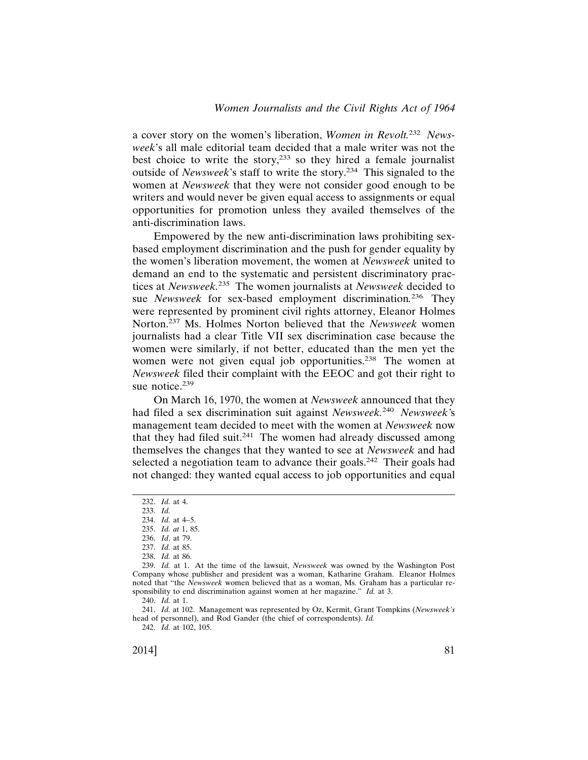a cover story on the women's liberation, *Women in Revolt.*<sup>232</sup> *Newsweek*'s all male editorial team decided that a male writer was not the best choice to write the story, $233$  so they hired a female journalist outside of *Newsweek*'s staff to write the story.234 This signaled to the women at *Newsweek* that they were not consider good enough to be writers and would never be given equal access to assignments or equal opportunities for promotion unless they availed themselves of the anti-discrimination laws.

Empowered by the new anti-discrimination laws prohibiting sexbased employment discrimination and the push for gender equality by the women's liberation movement, the women at *Newsweek* united to demand an end to the systematic and persistent discriminatory practices at *Newsweek.*235 The women journalists at *Newsweek* decided to sue *Newsweek* for sex-based employment discrimination*.* 236 They were represented by prominent civil rights attorney, Eleanor Holmes Norton.237 Ms. Holmes Norton believed that the *Newsweek* women journalists had a clear Title VII sex discrimination case because the women were similarly, if not better, educated than the men yet the women were not given equal job opportunities.<sup>238</sup> The women at *Newsweek* filed their complaint with the EEOC and got their right to sue notice.<sup>239</sup>

On March 16, 1970, the women at *Newsweek* announced that they had filed a sex discrimination suit against *Newsweek.*<sup>240</sup> *Newsweek'*s management team decided to meet with the women at *Newsweek* now that they had filed suit.<sup>241</sup> The women had already discussed among themselves the changes that they wanted to see at *Newsweek* and had selected a negotiation team to advance their goals.<sup>242</sup> Their goals had not changed: they wanted equal access to job opportunities and equal

240. *Id.* at 1.

241. *Id.* at 102. Management was represented by Oz, Kermit, Grant Tompkins (*Newsweek's* head of personnel), and Rod Gander (the chief of correspondents). *Id.*

242. *Id.* at 102, 105.

<sup>232.</sup> *Id.* at 4.

<sup>233.</sup> *Id.*

<sup>234.</sup> *Id.* at 4–5.

<sup>235.</sup> *Id. at* 1, 85.

<sup>236.</sup> *Id*. at 79. 237. *Id.* at 85.

<sup>238.</sup> *Id.* at 86.

<sup>239.</sup> *Id.* at 1. At the time of the lawsuit, *Newsweek* was owned by the Washington Post Company whose publisher and president was a woman, Katharine Graham. Eleanor Holmes noted that "the *Newsweek* women believed that as a woman, Ms. Graham has a particular responsibility to end discrimination against women at her magazine." *Id.* at 3.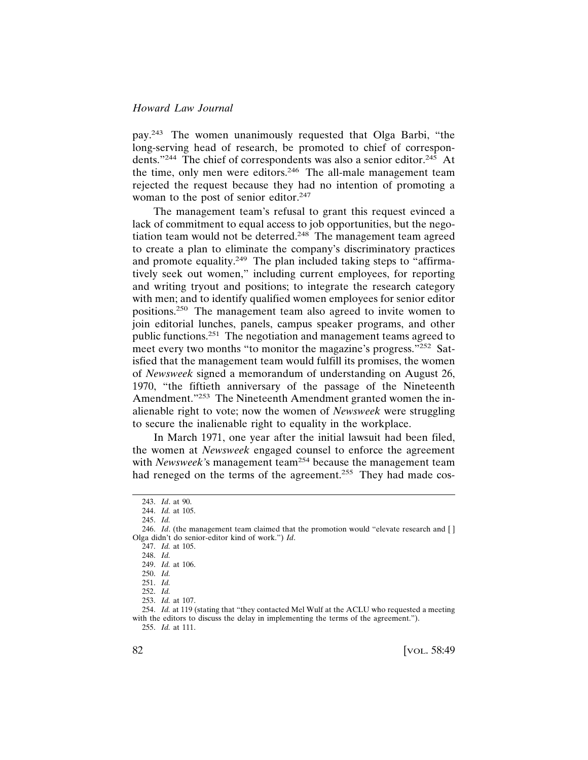pay.243 The women unanimously requested that Olga Barbi, "the long-serving head of research, be promoted to chief of correspondents."<sup>244</sup> The chief of correspondents was also a senior editor.<sup>245</sup> At the time, only men were editors.246 The all-male management team rejected the request because they had no intention of promoting a woman to the post of senior editor.<sup>247</sup>

The management team's refusal to grant this request evinced a lack of commitment to equal access to job opportunities, but the negotiation team would not be deterred.<sup>248</sup> The management team agreed to create a plan to eliminate the company's discriminatory practices and promote equality.<sup>249</sup> The plan included taking steps to "affirmatively seek out women," including current employees, for reporting and writing tryout and positions; to integrate the research category with men; and to identify qualified women employees for senior editor positions.250 The management team also agreed to invite women to join editorial lunches, panels, campus speaker programs, and other public functions.251 The negotiation and management teams agreed to meet every two months "to monitor the magazine's progress."252 Satisfied that the management team would fulfill its promises, the women of *Newsweek* signed a memorandum of understanding on August 26, 1970, "the fiftieth anniversary of the passage of the Nineteenth Amendment."<sup>253</sup> The Nineteenth Amendment granted women the inalienable right to vote; now the women of *Newsweek* were struggling to secure the inalienable right to equality in the workplace.

In March 1971, one year after the initial lawsuit had been filed, the women at *Newsweek* engaged counsel to enforce the agreement with *Newsweek*'s management team<sup>254</sup> because the management team had reneged on the terms of the agreement.<sup>255</sup> They had made cos-

<sup>243.</sup> *Id*. at 90.

<sup>244.</sup> *Id.* at 105.

<sup>245.</sup> *Id.*

<sup>246.</sup> *Id*. (the management team claimed that the promotion would "elevate research and [ ] Olga didn't do senior-editor kind of work.") *Id*.

<sup>247.</sup> *Id.* at 105.

<sup>248.</sup> *Id.*

<sup>249.</sup> *Id.* at 106.

<sup>250.</sup> *Id.*

<sup>251.</sup> *Id.*

<sup>252.</sup> *Id.*

<sup>253.</sup> *Id.* at 107.

<sup>254.</sup> *Id.* at 119 (stating that "they contacted Mel Wulf at the ACLU who requested a meeting with the editors to discuss the delay in implementing the terms of the agreement.").

<sup>255.</sup> *Id.* at 111.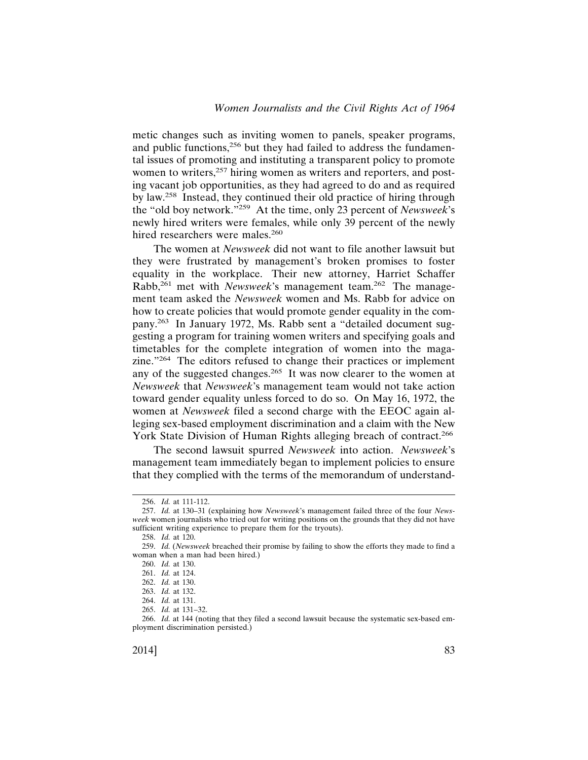metic changes such as inviting women to panels, speaker programs, and public functions, $256$  but they had failed to address the fundamental issues of promoting and instituting a transparent policy to promote women to writers,<sup>257</sup> hiring women as writers and reporters, and posting vacant job opportunities, as they had agreed to do and as required by law.258 Instead, they continued their old practice of hiring through the "old boy network."259 At the time, only 23 percent of *Newsweek*'s newly hired writers were females, while only 39 percent of the newly hired researchers were males.<sup>260</sup>

The women at *Newsweek* did not want to file another lawsuit but they were frustrated by management's broken promises to foster equality in the workplace. Their new attorney, Harriet Schaffer Rabb,261 met with *Newsweek*'s management team.262 The management team asked the *Newsweek* women and Ms. Rabb for advice on how to create policies that would promote gender equality in the company.263 In January 1972, Ms. Rabb sent a "detailed document suggesting a program for training women writers and specifying goals and timetables for the complete integration of women into the magazine."264 The editors refused to change their practices or implement any of the suggested changes.265 It was now clearer to the women at *Newsweek* that *Newsweek*'s management team would not take action toward gender equality unless forced to do so. On May 16, 1972, the women at *Newsweek* filed a second charge with the EEOC again alleging sex-based employment discrimination and a claim with the New York State Division of Human Rights alleging breach of contract.<sup>266</sup>

The second lawsuit spurred *Newsweek* into action. *Newsweek*'s management team immediately began to implement policies to ensure that they complied with the terms of the memorandum of understand-

<sup>256.</sup> *Id.* at 111-112.

<sup>257.</sup> *Id.* at 130–31 (explaining how *Newsweek*'s management failed three of the four *Newsweek* women journalists who tried out for writing positions on the grounds that they did not have sufficient writing experience to prepare them for the tryouts).

<sup>258.</sup> *Id.* at 120.

<sup>259.</sup> *Id.* (*Newsweek* breached their promise by failing to show the efforts they made to find a woman when a man had been hired.)

<sup>260.</sup> *Id.* at 130.

<sup>261.</sup> *Id.* at 124.

<sup>262.</sup> *Id.* at 130.

<sup>263.</sup> *Id.* at 132.

<sup>264.</sup> *Id.* at 131.

<sup>265.</sup> *Id.* at 131–32.

<sup>266.</sup> *Id.* at 144 (noting that they filed a second lawsuit because the systematic sex-based employment discrimination persisted.)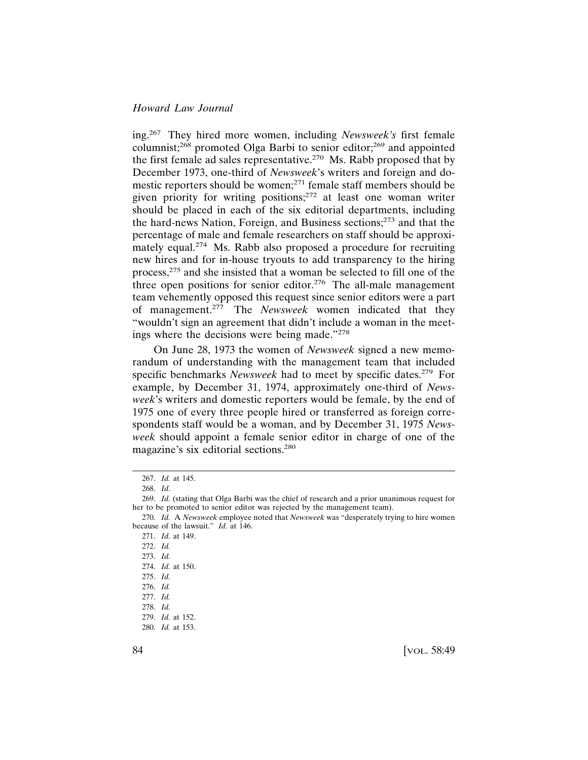ing.267 They hired more women, including *Newsweek's* first female columnist;<sup>268</sup> promoted Olga Barbi to senior editor;<sup>269</sup> and appointed the first female ad sales representative.270 Ms. Rabb proposed that by December 1973, one-third of *Newsweek*'s writers and foreign and domestic reporters should be women;271 female staff members should be given priority for writing positions;272 at least one woman writer should be placed in each of the six editorial departments, including the hard-news Nation, Foreign, and Business sections;273 and that the percentage of male and female researchers on staff should be approximately equal.274 Ms. Rabb also proposed a procedure for recruiting new hires and for in-house tryouts to add transparency to the hiring process,275 and she insisted that a woman be selected to fill one of the three open positions for senior editor.276 The all-male management team vehemently opposed this request since senior editors were a part of management.277 The *Newsweek* women indicated that they "wouldn't sign an agreement that didn't include a woman in the meetings where the decisions were being made."<sup>278</sup>

On June 28, 1973 the women of *Newsweek* signed a new memorandum of understanding with the management team that included specific benchmarks *Newsweek* had to meet by specific dates.<sup>279</sup> For example, by December 31, 1974, approximately one-third of *Newsweek*'s writers and domestic reporters would be female, by the end of 1975 one of every three people hired or transferred as foreign correspondents staff would be a woman, and by December 31, 1975 *Newsweek* should appoint a female senior editor in charge of one of the magazine's six editorial sections.<sup>280</sup>

<sup>267.</sup> *Id.* at 145.

<sup>268.</sup> *Id*.

<sup>269.</sup> *Id.* (stating that Olga Barbi was the chief of research and a prior unanimous request for her to be promoted to senior editor was rejected by the management team).

<sup>270.</sup> *Id.* A *Newsweek* employee noted that *Newsweek* was "desperately trying to hire women because of the lawsuit." *Id.* at 146.

<sup>271.</sup> *Id.* at 149.

<sup>272.</sup> *Id.*

<sup>273.</sup> *Id.*

<sup>274.</sup> *Id.* at 150.

<sup>275.</sup> *Id.*

<sup>276.</sup> *Id.*

<sup>277.</sup> *Id.*

<sup>278.</sup> *Id.*

<sup>279.</sup> *Id.* at 152.

<sup>280.</sup> *Id.* at 153.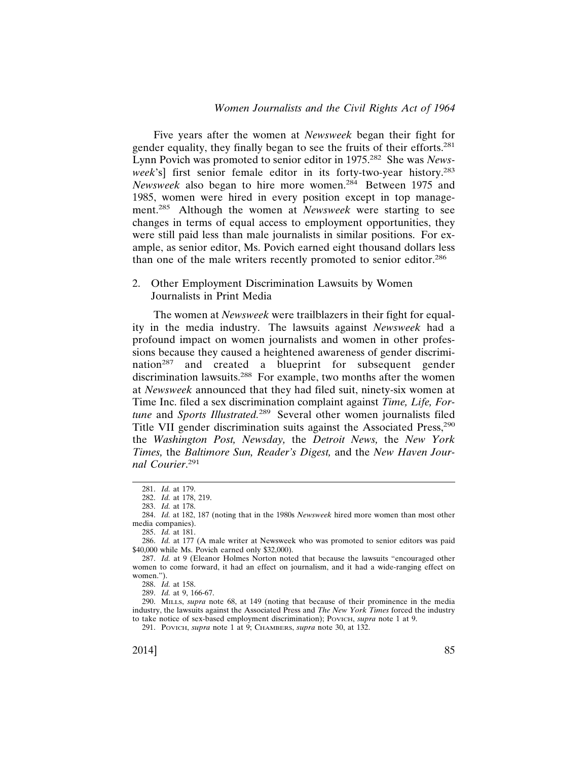Five years after the women at *Newsweek* began their fight for gender equality, they finally began to see the fruits of their efforts.<sup>281</sup> Lynn Povich was promoted to senior editor in 1975.282 She was *Newsweek*'s] first senior female editor in its forty-two-year history.<sup>283</sup> *Newsweek* also began to hire more women.284 Between 1975 and 1985, women were hired in every position except in top management.285 Although the women at *Newsweek* were starting to see changes in terms of equal access to employment opportunities, they were still paid less than male journalists in similar positions. For example, as senior editor, Ms. Povich earned eight thousand dollars less than one of the male writers recently promoted to senior editor.<sup>286</sup>

# 2. Other Employment Discrimination Lawsuits by Women Journalists in Print Media

The women at *Newsweek* were trailblazers in their fight for equality in the media industry. The lawsuits against *Newsweek* had a profound impact on women journalists and women in other professions because they caused a heightened awareness of gender discrimination<sup>287</sup> and created a blueprint for subsequent gender discrimination lawsuits.288 For example, two months after the women at *Newsweek* announced that they had filed suit, ninety-six women at Time Inc. filed a sex discrimination complaint against *Time, Life, Fortune* and *Sports Illustrated.*289 Several other women journalists filed Title VII gender discrimination suits against the Associated Press,<sup>290</sup> the *Washington Post, Newsday,* the *Detroit News,* the *New York Times,* the *Baltimore Sun, Reader's Digest,* and the *New Haven Journal Courier*. 291

290. MILLS, *supra* note 68, at 149 (noting that because of their prominence in the media industry, the lawsuits against the Associated Press and *The New York Times* forced the industry to take notice of sex-based employment discrimination); POVICH, *supra* note 1 at 9.

291. POVICH, *supra* note 1 at 9; CHAMBERS, *supra* note 30, at 132.

<sup>281.</sup> *Id.* at 179.

<sup>282.</sup> *Id.* at 178, 219.

<sup>283.</sup> *Id.* at 178.

<sup>284.</sup> *Id.* at 182, 187 (noting that in the 1980s *Newsweek* hired more women than most other media companies).

<sup>285.</sup> *Id.* at 181.

<sup>286.</sup> *Id.* at 177 (A male writer at Newsweek who was promoted to senior editors was paid \$40,000 while Ms. Povich earned only \$32,000).

<sup>287.</sup> *Id.* at 9 (Eleanor Holmes Norton noted that because the lawsuits "encouraged other women to come forward, it had an effect on journalism, and it had a wide-ranging effect on women.").

<sup>288.</sup> *Id.* at 158.

<sup>289.</sup> *Id.* at 9, 166-67.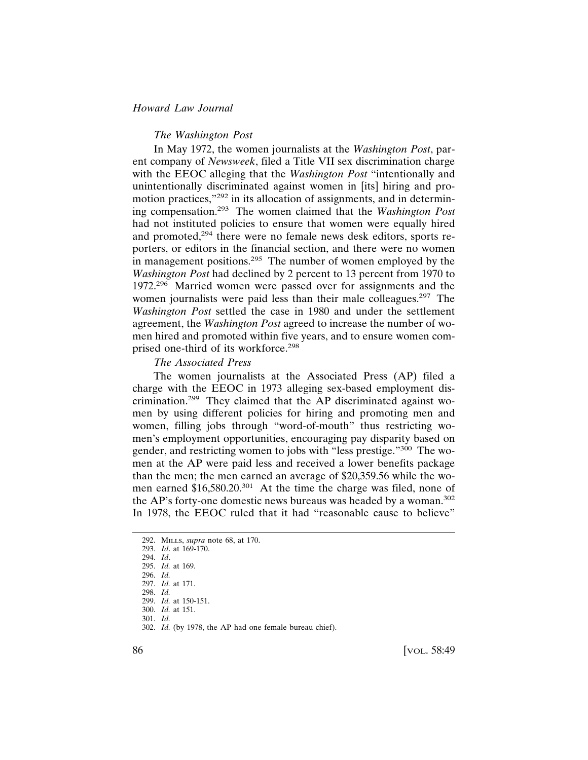#### *The Washington Post*

In May 1972, the women journalists at the *Washington Post*, parent company of *Newsweek*, filed a Title VII sex discrimination charge with the EEOC alleging that the *Washington Post* "intentionally and unintentionally discriminated against women in [its] hiring and promotion practices,"292 in its allocation of assignments, and in determining compensation.293 The women claimed that the *Washington Post* had not instituted policies to ensure that women were equally hired and promoted, $294$  there were no female news desk editors, sports reporters, or editors in the financial section, and there were no women in management positions.<sup>295</sup> The number of women employed by the *Washington Post* had declined by 2 percent to 13 percent from 1970 to 1972.296 Married women were passed over for assignments and the women journalists were paid less than their male colleagues.<sup>297</sup> The *Washington Post* settled the case in 1980 and under the settlement agreement, the *Washington Post* agreed to increase the number of women hired and promoted within five years, and to ensure women comprised one-third of its workforce.<sup>298</sup>

*The Associated Press*

The women journalists at the Associated Press (AP) filed a charge with the EEOC in 1973 alleging sex-based employment discrimination.299 They claimed that the AP discriminated against women by using different policies for hiring and promoting men and women, filling jobs through "word-of-mouth" thus restricting women's employment opportunities, encouraging pay disparity based on gender, and restricting women to jobs with "less prestige."300 The women at the AP were paid less and received a lower benefits package than the men; the men earned an average of \$20,359.56 while the women earned \$16,580.20.<sup>301</sup> At the time the charge was filed, none of the AP's forty-one domestic news bureaus was headed by a woman.<sup>302</sup> In 1978, the EEOC ruled that it had "reasonable cause to believe"

299. *Id.* at 150-151. 300. *Id.* at 151.

301. *Id.*

<sup>292.</sup> MILLS, *supra* note 68, at 170. 293. *Id*. at 169-170.

<sup>294.</sup> *Id*.

<sup>295.</sup> *Id.* at 169.

<sup>296.</sup> *Id.*

<sup>297.</sup> *Id.* at 171.

<sup>298.</sup> *Id.*

<sup>302.</sup> *Id.* (by 1978, the AP had one female bureau chief).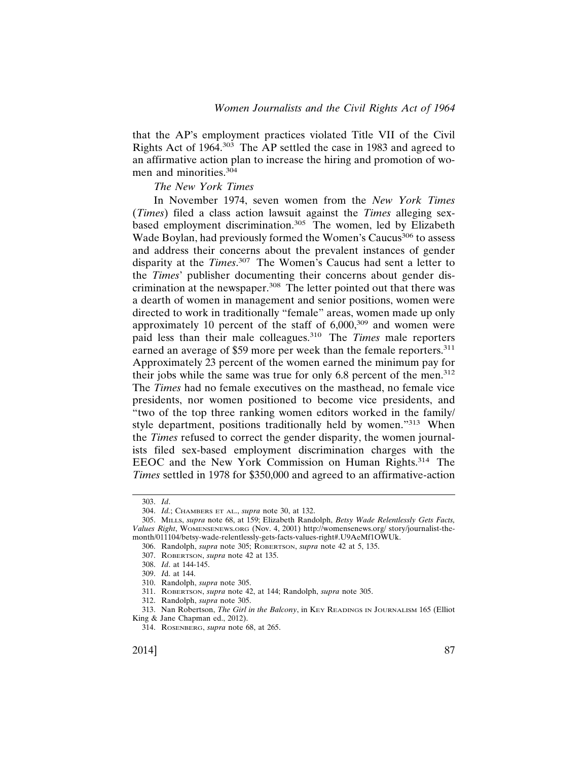that the AP's employment practices violated Title VII of the Civil Rights Act of 1964.303 The AP settled the case in 1983 and agreed to an affirmative action plan to increase the hiring and promotion of women and minorities.<sup>304</sup>

#### *The New York Times*

In November 1974, seven women from the *New York Times* (*Times*) filed a class action lawsuit against the *Times* alleging sexbased employment discrimination.<sup>305</sup> The women, led by Elizabeth Wade Boylan, had previously formed the Women's Caucus<sup>306</sup> to assess and address their concerns about the prevalent instances of gender disparity at the *Times*. 307 The Women's Caucus had sent a letter to the *Times*' publisher documenting their concerns about gender discrimination at the newspaper.<sup>308</sup> The letter pointed out that there was a dearth of women in management and senior positions, women were directed to work in traditionally "female" areas, women made up only approximately 10 percent of the staff of  $6,000$ ,  $309$  and women were paid less than their male colleagues.310 The *Times* male reporters earned an average of \$59 more per week than the female reporters.<sup>311</sup> Approximately 23 percent of the women earned the minimum pay for their jobs while the same was true for only 6.8 percent of the men.<sup>312</sup> The *Times* had no female executives on the masthead, no female vice presidents, nor women positioned to become vice presidents, and "two of the top three ranking women editors worked in the family/ style department, positions traditionally held by women."313 When the *Times* refused to correct the gender disparity, the women journalists filed sex-based employment discrimination charges with the EEOC and the New York Commission on Human Rights.314 The *Times* settled in 1978 for \$350,000 and agreed to an affirmative-action

<sup>303.</sup> *Id*.

<sup>304.</sup> *Id.*; CHAMBERS ET AL., *supra* note 30, at 132.

<sup>305.</sup> MILLS, *supra* note 68, at 159; Elizabeth Randolph, *Betsy Wade Relentlessly Gets Facts, Values Right*, WOMENSENEWS.ORG (Nov. 4, 2001) http://womensenews.org/ story/journalist-themonth/011104/betsy-wade-relentlessly-gets-facts-values-right#.U9AeMf1OWUk.

<sup>306.</sup> Randolph, *supra* note 305; ROBERTSON, *supra* note 42 at 5, 135.

<sup>307.</sup> ROBERTSON, *supra* note 42 at 135.

<sup>308.</sup> *Id*. at 144-145.

<sup>309.</sup> *I*d. at 144.

<sup>310.</sup> Randolph, *supra* note 305.

<sup>311.</sup> ROBERTSON, *supra* note 42, at 144; Randolph, *supra* note 305.

<sup>312.</sup> Randolph, *supra* note 305.

<sup>313.</sup> Nan Robertson, *The Girl in the Balcony*, in KEY READINGS IN JOURNALISM 165 (Elliot King & Jane Chapman ed., 2012).

<sup>314.</sup> ROSENBERG, *supra* note 68, at 265.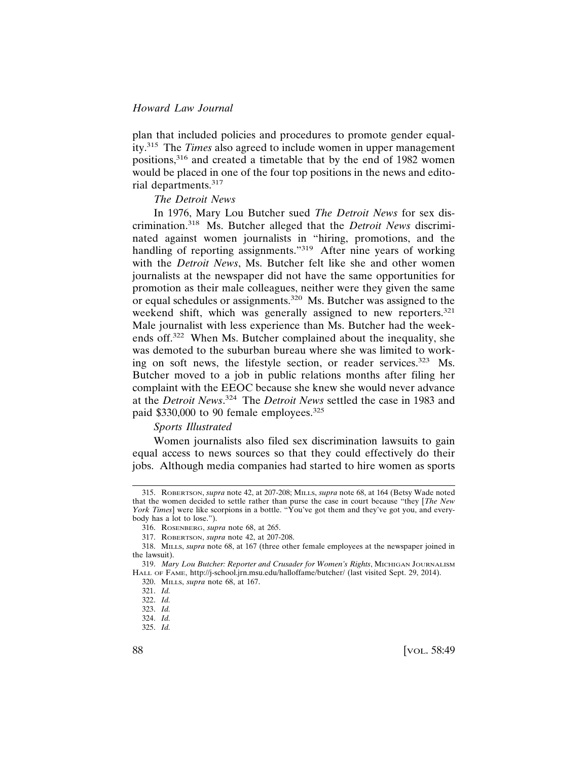plan that included policies and procedures to promote gender equality.315 The *Times* also agreed to include women in upper management positions,316 and created a timetable that by the end of 1982 women would be placed in one of the four top positions in the news and editorial departments.<sup>317</sup>

#### *The Detroit News*

In 1976, Mary Lou Butcher sued *The Detroit News* for sex discrimination.318 Ms. Butcher alleged that the *Detroit News* discriminated against women journalists in "hiring, promotions, and the handling of reporting assignments."<sup>319</sup> After nine years of working with the *Detroit News*, Ms. Butcher felt like she and other women journalists at the newspaper did not have the same opportunities for promotion as their male colleagues, neither were they given the same or equal schedules or assignments.320 Ms. Butcher was assigned to the weekend shift, which was generally assigned to new reporters.<sup>321</sup> Male journalist with less experience than Ms. Butcher had the weekends off.322 When Ms. Butcher complained about the inequality, she was demoted to the suburban bureau where she was limited to working on soft news, the lifestyle section, or reader services.<sup>323</sup> Ms. Butcher moved to a job in public relations months after filing her complaint with the EEOC because she knew she would never advance at the *Detroit News*. 324 The *Detroit News* settled the case in 1983 and paid \$330,000 to 90 female employees.<sup>325</sup>

# *Sports Illustrated*

Women journalists also filed sex discrimination lawsuits to gain equal access to news sources so that they could effectively do their jobs. Although media companies had started to hire women as sports

<sup>315.</sup> ROBERTSON, *supra* note 42, at 207-208; MILLS, *supra* note 68, at 164 (Betsy Wade noted that the women decided to settle rather than purse the case in court because "they [*The New York Times*] were like scorpions in a bottle. "You've got them and they've got you, and everybody has a lot to lose.").

<sup>316.</sup> ROSENBERG, *supra* note 68, at 265.

<sup>317.</sup> ROBERTSON, *supra* note 42, at 207-208.

<sup>318.</sup> MILLS, *supra* note 68, at 167 (three other female employees at the newspaper joined in the lawsuit).

<sup>319.</sup> *Mary Lou Butcher: Reporter and Crusader for Women's Rights*, MICHIGAN JOURNALISM HALL OF FAME, http://j-school.jrn.msu.edu/halloffame/butcher/ (last visited Sept. 29, 2014).

<sup>320.</sup> MILLS, *supra* note 68, at 167.

<sup>321.</sup> *Id.* 322. *Id.*

<sup>323.</sup> *Id.*

<sup>324.</sup> *Id.* 325. *Id.*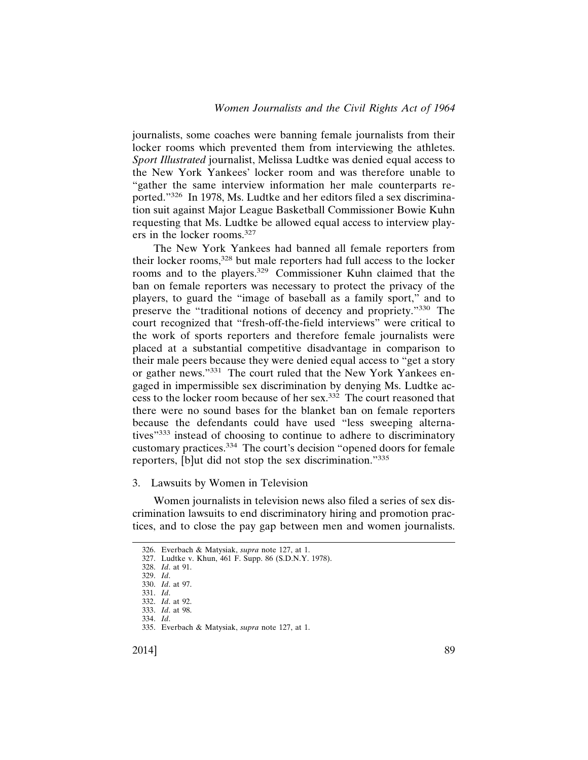journalists, some coaches were banning female journalists from their locker rooms which prevented them from interviewing the athletes. *Sport Illustrated* journalist, Melissa Ludtke was denied equal access to the New York Yankees' locker room and was therefore unable to "gather the same interview information her male counterparts reported."326 In 1978, Ms. Ludtke and her editors filed a sex discrimination suit against Major League Basketball Commissioner Bowie Kuhn requesting that Ms. Ludtke be allowed equal access to interview players in the locker rooms.327

The New York Yankees had banned all female reporters from their locker rooms,328 but male reporters had full access to the locker rooms and to the players.329 Commissioner Kuhn claimed that the ban on female reporters was necessary to protect the privacy of the players, to guard the "image of baseball as a family sport," and to preserve the "traditional notions of decency and propriety."330 The court recognized that "fresh-off-the-field interviews" were critical to the work of sports reporters and therefore female journalists were placed at a substantial competitive disadvantage in comparison to their male peers because they were denied equal access to "get a story or gather news."331 The court ruled that the New York Yankees engaged in impermissible sex discrimination by denying Ms. Ludtke access to the locker room because of her sex.<sup>332</sup> The court reasoned that there were no sound bases for the blanket ban on female reporters because the defendants could have used "less sweeping alternatives"333 instead of choosing to continue to adhere to discriminatory customary practices.334 The court's decision "opened doors for female reporters, [b]ut did not stop the sex discrimination."<sup>335</sup>

#### 3. Lawsuits by Women in Television

Women journalists in television news also filed a series of sex discrimination lawsuits to end discriminatory hiring and promotion practices, and to close the pay gap between men and women journalists.

<sup>326.</sup> Everbach & Matysiak, *supra* note 127, at 1.

<sup>327.</sup> Ludtke v. Khun, 461 F. Supp. 86 (S.D.N.Y. 1978).

<sup>328.</sup> *Id*. at 91.

<sup>329.</sup> *Id*. 330. *Id*. at 97.

<sup>331.</sup> *Id*.

<sup>332.</sup> *Id*. at 92.

<sup>333.</sup> *Id*. at 98.

<sup>334.</sup> *Id*.

<sup>335.</sup> Everbach & Matysiak, *supra* note 127, at 1.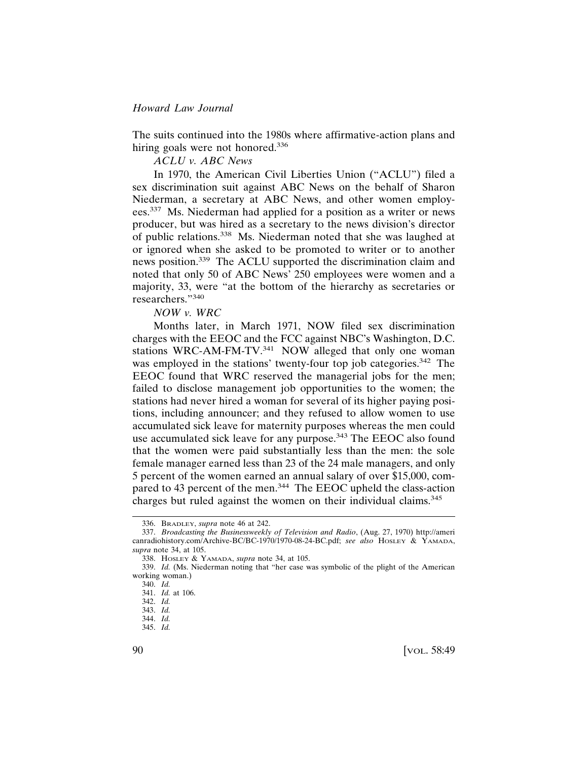The suits continued into the 1980s where affirmative-action plans and hiring goals were not honored.<sup>336</sup>

*ACLU v. ABC News*

In 1970, the American Civil Liberties Union ("ACLU") filed a sex discrimination suit against ABC News on the behalf of Sharon Niederman, a secretary at ABC News, and other women employees.337 Ms. Niederman had applied for a position as a writer or news producer, but was hired as a secretary to the news division's director of public relations.338 Ms. Niederman noted that she was laughed at or ignored when she asked to be promoted to writer or to another news position.339 The ACLU supported the discrimination claim and noted that only 50 of ABC News' 250 employees were women and a majority, 33, were "at the bottom of the hierarchy as secretaries or researchers."340

*NOW v. WRC*

Months later, in March 1971, NOW filed sex discrimination charges with the EEOC and the FCC against NBC's Washington, D.C. stations WRC-AM-FM-TV.<sup>341</sup> NOW alleged that only one woman was employed in the stations' twenty-four top job categories.<sup>342</sup> The EEOC found that WRC reserved the managerial jobs for the men; failed to disclose management job opportunities to the women; the stations had never hired a woman for several of its higher paying positions, including announcer; and they refused to allow women to use accumulated sick leave for maternity purposes whereas the men could use accumulated sick leave for any purpose.<sup>343</sup> The EEOC also found that the women were paid substantially less than the men: the sole female manager earned less than 23 of the 24 male managers, and only 5 percent of the women earned an annual salary of over \$15,000, compared to 43 percent of the men.<sup>344</sup> The EEOC upheld the class-action charges but ruled against the women on their individual claims.<sup>345</sup>

<sup>336.</sup> BRADLEY, *supra* note 46 at 242.

<sup>337.</sup> *Broadcasting the Businessweekly of Television and Radio*, (Aug. 27, 1970) http://ameri canradiohistory.com/Archive-BC/BC-1970/1970-08-24-BC.pdf; *see also* HOSLEY & YAMADA, *supra* note 34, at 105.

<sup>338.</sup> HOSLEY & YAMADA, *supra* note 34, at 105.

<sup>339.</sup> *Id.* (Ms. Niederman noting that "her case was symbolic of the plight of the American working woman.)

<sup>340.</sup> *Id.*

<sup>341.</sup> *Id.* at 106.

<sup>342.</sup> *Id.*

<sup>343.</sup> *Id.*

<sup>344.</sup> *Id.* 345. *Id.*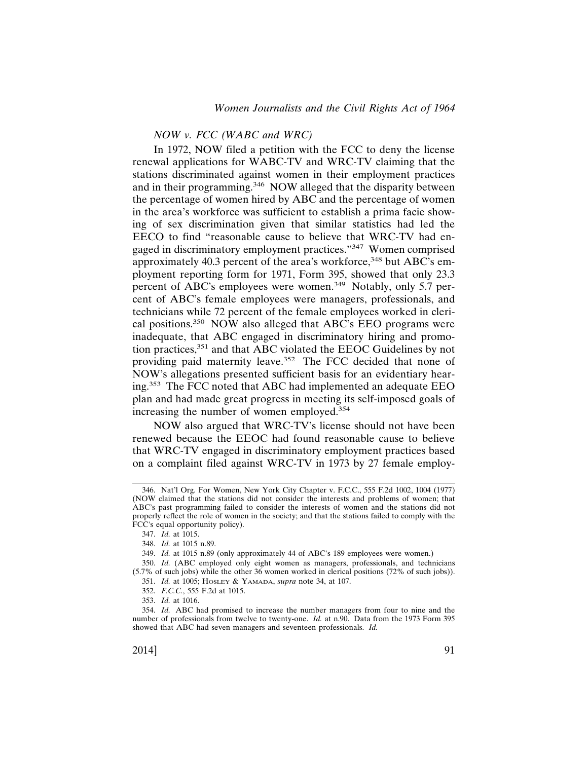#### *NOW v. FCC (WABC and WRC)*

In 1972, NOW filed a petition with the FCC to deny the license renewal applications for WABC-TV and WRC-TV claiming that the stations discriminated against women in their employment practices and in their programming.346 NOW alleged that the disparity between the percentage of women hired by ABC and the percentage of women in the area's workforce was sufficient to establish a prima facie showing of sex discrimination given that similar statistics had led the EECO to find "reasonable cause to believe that WRC-TV had engaged in discriminatory employment practices."347 Women comprised approximately 40.3 percent of the area's workforce,<sup>348</sup> but ABC's employment reporting form for 1971, Form 395, showed that only 23.3 percent of ABC's employees were women.<sup>349</sup> Notably, only 5.7 percent of ABC's female employees were managers, professionals, and technicians while 72 percent of the female employees worked in clerical positions.<sup>350</sup> NOW also alleged that ABC's EEO programs were inadequate, that ABC engaged in discriminatory hiring and promotion practices,351 and that ABC violated the EEOC Guidelines by not providing paid maternity leave.<sup>352</sup> The FCC decided that none of NOW's allegations presented sufficient basis for an evidentiary hearing.353 The FCC noted that ABC had implemented an adequate EEO plan and had made great progress in meeting its self-imposed goals of increasing the number of women employed.354

NOW also argued that WRC-TV's license should not have been renewed because the EEOC had found reasonable cause to believe that WRC-TV engaged in discriminatory employment practices based on a complaint filed against WRC-TV in 1973 by 27 female employ-

<sup>346.</sup> Nat'l Org. For Women, New York City Chapter v. F.C.C., 555 F.2d 1002, 1004 (1977) (NOW claimed that the stations did not consider the interests and problems of women; that ABC's past programming failed to consider the interests of women and the stations did not properly reflect the role of women in the society; and that the stations failed to comply with the FCC's equal opportunity policy).

<sup>347.</sup> *Id.* at 1015.

<sup>348.</sup> *Id.* at 1015 n.89.

<sup>349.</sup> *Id.* at 1015 n.89 (only approximately 44 of ABC's 189 employees were women.)

<sup>350.</sup> *Id.* (ABC employed only eight women as managers, professionals, and technicians (5.7% of such jobs) while the other 36 women worked in clerical positions (72% of such jobs)). 351. *Id.* at 1005; HOSLEY & YAMADA, *supra* note 34, at 107.

<sup>352.</sup> *F.C.C.*, 555 F.2d at 1015.

<sup>353.</sup> *Id.* at 1016.

<sup>354.</sup> *Id.* ABC had promised to increase the number managers from four to nine and the number of professionals from twelve to twenty-one. *Id.* at n.90. Data from the 1973 Form 395 showed that ABC had seven managers and seventeen professionals. *Id.*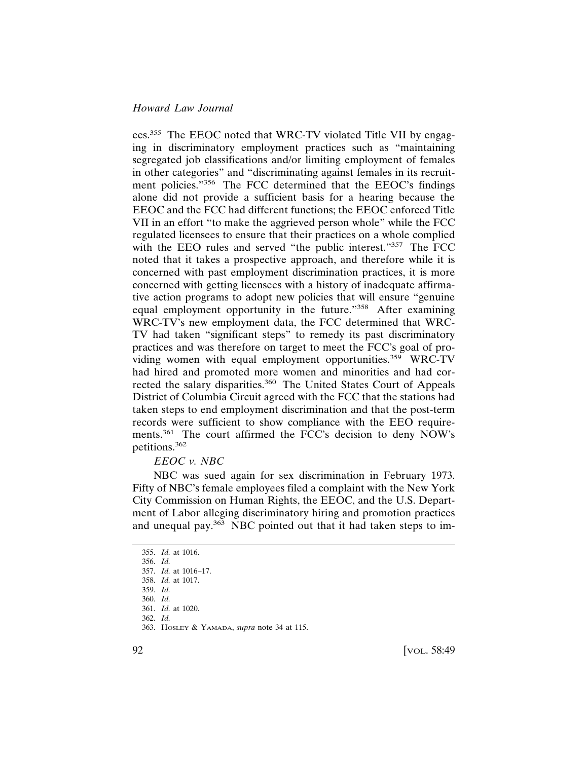ees.<sup>355</sup> The EEOC noted that WRC-TV violated Title VII by engaging in discriminatory employment practices such as "maintaining segregated job classifications and/or limiting employment of females in other categories" and "discriminating against females in its recruitment policies."356 The FCC determined that the EEOC's findings alone did not provide a sufficient basis for a hearing because the EEOC and the FCC had different functions; the EEOC enforced Title VII in an effort "to make the aggrieved person whole" while the FCC regulated licensees to ensure that their practices on a whole complied with the EEO rules and served "the public interest."<sup>357</sup> The FCC noted that it takes a prospective approach, and therefore while it is concerned with past employment discrimination practices, it is more concerned with getting licensees with a history of inadequate affirmative action programs to adopt new policies that will ensure "genuine equal employment opportunity in the future."358 After examining WRC-TV's new employment data, the FCC determined that WRC-TV had taken "significant steps" to remedy its past discriminatory practices and was therefore on target to meet the FCC's goal of providing women with equal employment opportunities.<sup>359</sup> WRC-TV had hired and promoted more women and minorities and had corrected the salary disparities.<sup>360</sup> The United States Court of Appeals District of Columbia Circuit agreed with the FCC that the stations had taken steps to end employment discrimination and that the post-term records were sufficient to show compliance with the EEO requirements.361 The court affirmed the FCC's decision to deny NOW's petitions.362

## *EEOC v. NBC*

NBC was sued again for sex discrimination in February 1973. Fifty of NBC's female employees filed a complaint with the New York City Commission on Human Rights, the EEOC, and the U.S. Department of Labor alleging discriminatory hiring and promotion practices and unequal pay.<sup>363</sup> NBC pointed out that it had taken steps to im-

362. *Id.*

<sup>355.</sup> *Id.* at 1016.

<sup>356.</sup> *Id.*

<sup>357.</sup> *Id.* at 1016–17.

<sup>358.</sup> *Id.* at 1017.

<sup>359.</sup> *Id.*

<sup>360.</sup> *Id.*

<sup>361.</sup> *Id.* at 1020.

<sup>363.</sup> HOSLEY & YAMADA, *supra* note 34 at 115.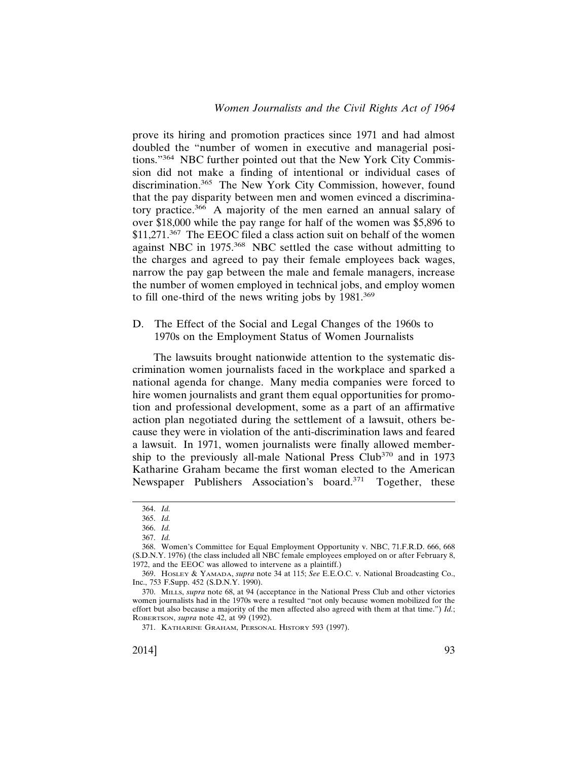prove its hiring and promotion practices since 1971 and had almost doubled the "number of women in executive and managerial positions."364 NBC further pointed out that the New York City Commission did not make a finding of intentional or individual cases of discrimination.365 The New York City Commission, however, found that the pay disparity between men and women evinced a discriminatory practice.366 A majority of the men earned an annual salary of over \$18,000 while the pay range for half of the women was \$5,896 to \$11,271.<sup>367</sup> The EEOC filed a class action suit on behalf of the women against NBC in 1975.368 NBC settled the case without admitting to the charges and agreed to pay their female employees back wages, narrow the pay gap between the male and female managers, increase the number of women employed in technical jobs, and employ women to fill one-third of the news writing jobs by 1981.<sup>369</sup>

D. The Effect of the Social and Legal Changes of the 1960s to 1970s on the Employment Status of Women Journalists

The lawsuits brought nationwide attention to the systematic discrimination women journalists faced in the workplace and sparked a national agenda for change. Many media companies were forced to hire women journalists and grant them equal opportunities for promotion and professional development, some as a part of an affirmative action plan negotiated during the settlement of a lawsuit, others because they were in violation of the anti-discrimination laws and feared a lawsuit. In 1971, women journalists were finally allowed membership to the previously all-male National Press Club<sup>370</sup> and in 1973 Katharine Graham became the first woman elected to the American Newspaper Publishers Association's board.371 Together, these

<sup>364.</sup> *Id.*

<sup>365.</sup> *Id.*

<sup>366.</sup> *Id.*

<sup>367.</sup> *Id.*

<sup>368.</sup> Women's Committee for Equal Employment Opportunity v. NBC, 71.F.R.D. 666, 668 (S.D.N.Y. 1976) (the class included all NBC female employees employed on or after February 8, 1972, and the EEOC was allowed to intervene as a plaintiff.)

<sup>369.</sup> HOSLEY & YAMADA, *supra* note 34 at 115; *See* E.E.O.C. v. National Broadcasting Co., Inc., 753 F.Supp. 452 (S.D.N.Y. 1990).

<sup>370.</sup> MILLS, *supra* note 68, at 94 (acceptance in the National Press Club and other victories women journalists had in the 1970s were a resulted "not only because women mobilized for the effort but also because a majority of the men affected also agreed with them at that time.") *Id.*; ROBERTSON, *supra* note 42, at 99 (1992).

<sup>371.</sup> KATHARINE GRAHAM, PERSONAL HISTORY 593 (1997).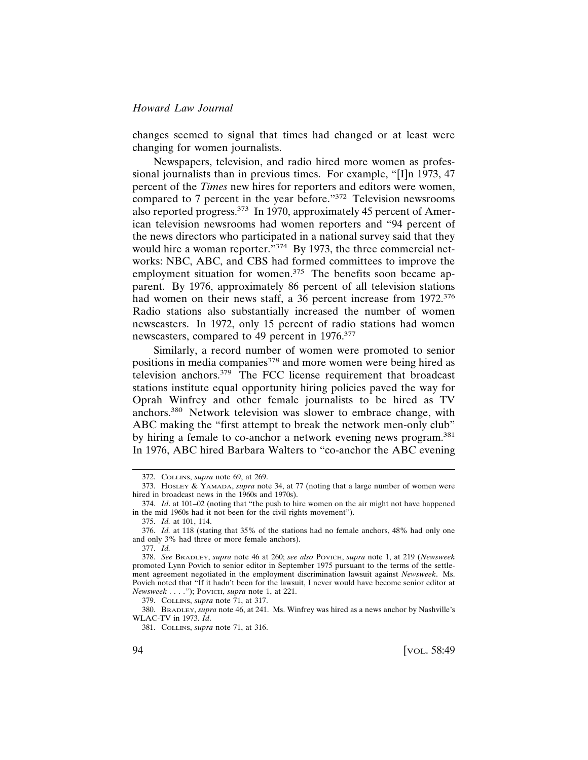changes seemed to signal that times had changed or at least were changing for women journalists.

Newspapers, television, and radio hired more women as professional journalists than in previous times. For example, "[I]n 1973, 47 percent of the *Times* new hires for reporters and editors were women, compared to 7 percent in the year before."372 Television newsrooms also reported progress.373 In 1970, approximately 45 percent of American television newsrooms had women reporters and "94 percent of the news directors who participated in a national survey said that they would hire a woman reporter."<sup>374</sup> By 1973, the three commercial networks: NBC, ABC, and CBS had formed committees to improve the employment situation for women.<sup>375</sup> The benefits soon became apparent. By 1976, approximately 86 percent of all television stations had women on their news staff, a 36 percent increase from 1972.<sup>376</sup> Radio stations also substantially increased the number of women newscasters. In 1972, only 15 percent of radio stations had women newscasters, compared to 49 percent in 1976.<sup>377</sup>

Similarly, a record number of women were promoted to senior positions in media companies<sup>378</sup> and more women were being hired as television anchors.379 The FCC license requirement that broadcast stations institute equal opportunity hiring policies paved the way for Oprah Winfrey and other female journalists to be hired as TV anchors.380 Network television was slower to embrace change, with ABC making the "first attempt to break the network men-only club" by hiring a female to co-anchor a network evening news program.<sup>381</sup> In 1976, ABC hired Barbara Walters to "co-anchor the ABC evening

379. COLLINS, *supra* note 71, at 317.

<sup>372.</sup> COLLINS, *supra* note 69, at 269.

<sup>373.</sup> HOSLEY & YAMADA, *supra* note 34, at 77 (noting that a large number of women were hired in broadcast news in the 1960s and 1970s).

<sup>374.</sup> *Id*. at 101–02 (noting that "the push to hire women on the air might not have happened in the mid 1960s had it not been for the civil rights movement").

<sup>375.</sup> *Id.* at 101, 114.

<sup>376.</sup> *Id.* at 118 (stating that 35% of the stations had no female anchors, 48% had only one and only 3% had three or more female anchors).

<sup>377.</sup> *Id.*

<sup>378.</sup> *See* BRADLEY, *supra* note 46 at 260; *see also* POVICH, *supra* note 1, at 219 (*Newsweek* promoted Lynn Povich to senior editor in September 1975 pursuant to the terms of the settlement agreement negotiated in the employment discrimination lawsuit against *Newsweek*. Ms. Povich noted that "If it hadn't been for the lawsuit, I never would have become senior editor at *Newsweek . . . .*"); POVICH, *supra* note 1, at 221.

<sup>380.</sup> BRADLEY, *supra* note 46, at 241. Ms. Winfrey was hired as a news anchor by Nashville's WLAC-TV in 1973. *Id*.

<sup>381.</sup> COLLINS, *supra* note 71, at 316.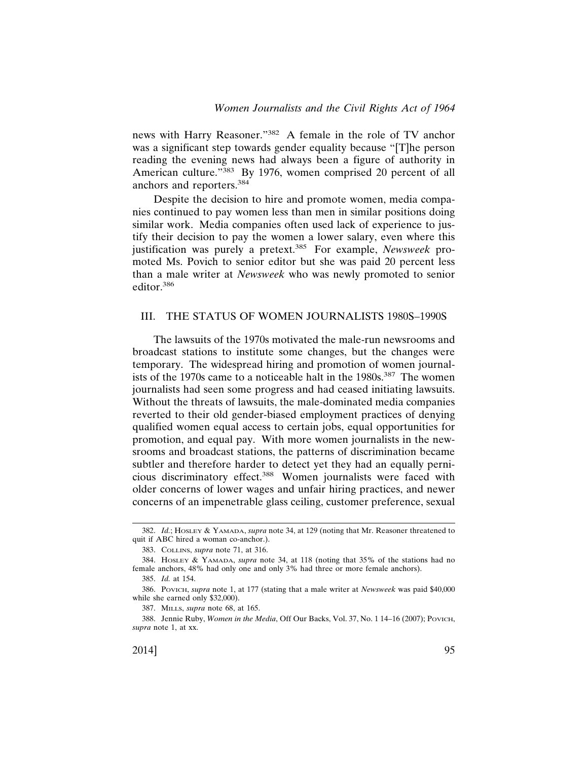news with Harry Reasoner."382 A female in the role of TV anchor was a significant step towards gender equality because "[T]he person reading the evening news had always been a figure of authority in American culture."383 By 1976, women comprised 20 percent of all anchors and reporters.<sup>384</sup>

Despite the decision to hire and promote women, media companies continued to pay women less than men in similar positions doing similar work. Media companies often used lack of experience to justify their decision to pay the women a lower salary, even where this justification was purely a pretext.385 For example, *Newsweek* promoted Ms. Povich to senior editor but she was paid 20 percent less than a male writer at *Newsweek* who was newly promoted to senior editor.386

#### III. THE STATUS OF WOMEN JOURNALISTS 1980S–1990S

The lawsuits of the 1970s motivated the male-run newsrooms and broadcast stations to institute some changes, but the changes were temporary. The widespread hiring and promotion of women journalists of the 1970s came to a noticeable halt in the 1980s.<sup>387</sup> The women journalists had seen some progress and had ceased initiating lawsuits. Without the threats of lawsuits, the male-dominated media companies reverted to their old gender-biased employment practices of denying qualified women equal access to certain jobs, equal opportunities for promotion, and equal pay. With more women journalists in the newsrooms and broadcast stations, the patterns of discrimination became subtler and therefore harder to detect yet they had an equally pernicious discriminatory effect.388 Women journalists were faced with older concerns of lower wages and unfair hiring practices, and newer concerns of an impenetrable glass ceiling, customer preference, sexual

<sup>382.</sup> *Id.*; HOSLEY & YAMADA, *supra* note 34, at 129 (noting that Mr. Reasoner threatened to quit if ABC hired a woman co-anchor.).

<sup>383.</sup> COLLINS, *supra* note 71, at 316.

<sup>384.</sup> HOSLEY & YAMADA, *supra* note 34, at 118 (noting that 35% of the stations had no female anchors, 48% had only one and only 3% had three or more female anchors).

<sup>385.</sup> *Id.* at 154.

<sup>386.</sup> POVICH, *supra* note 1, at 177 (stating that a male writer at *Newsweek* was paid \$40,000 while she earned only \$32,000).

<sup>387.</sup> MILLS, *supra* note 68, at 165.

<sup>388.</sup> Jennie Ruby, *Women in the Media*, Off Our Backs, Vol. 37, No. 1 14–16 (2007); POVICH, *supra* note 1, at xx.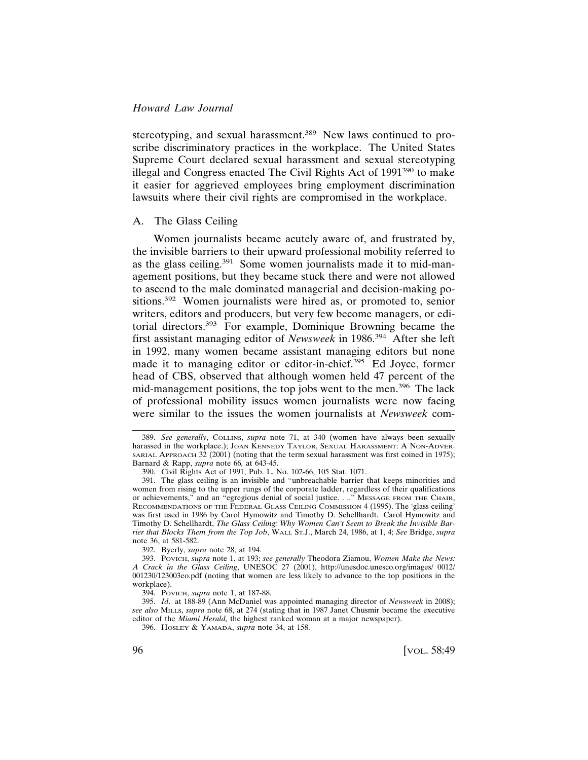stereotyping, and sexual harassment.<sup>389</sup> New laws continued to proscribe discriminatory practices in the workplace. The United States Supreme Court declared sexual harassment and sexual stereotyping illegal and Congress enacted The Civil Rights Act of 1991390 to make it easier for aggrieved employees bring employment discrimination lawsuits where their civil rights are compromised in the workplace.

## A. The Glass Ceiling

Women journalists became acutely aware of, and frustrated by, the invisible barriers to their upward professional mobility referred to as the glass ceiling.<sup>391</sup> Some women journalists made it to mid-management positions, but they became stuck there and were not allowed to ascend to the male dominated managerial and decision-making positions.392 Women journalists were hired as, or promoted to, senior writers, editors and producers, but very few become managers, or editorial directors.393 For example, Dominique Browning became the first assistant managing editor of *Newsweek* in 1986.394 After she left in 1992, many women became assistant managing editors but none made it to managing editor or editor-in-chief.<sup>395</sup> Ed Joyce, former head of CBS, observed that although women held 47 percent of the mid-management positions, the top jobs went to the men.<sup>396</sup> The lack of professional mobility issues women journalists were now facing were similar to the issues the women journalists at *Newsweek* com-

<sup>389.</sup> *See generally*, COLLINS, *supra* note 71, at 340 (women have always been sexually harassed in the workplace.); JOAN KENNEDY TAYLOR, SEXUAL HARASSMENT: A NON-ADVER-SARIAL APPROACH  $32$  (2001) (noting that the term sexual harassment was first coined in 1975); Barnard & Rapp, *supra* note 66*,* at 643-45.

<sup>390.</sup> Civil Rights Act of 1991, Pub. L. No. 102-66, 105 Stat. 1071.

<sup>391.</sup> The glass ceiling is an invisible and "unbreachable barrier that keeps minorities and women from rising to the upper rungs of the corporate ladder, regardless of their qualifications or achievements," and an "egregious denial of social justice. . .." MESSAGE FROM THE CHAIR, RECOMMENDATIONS OF THE FEDERAL GLASS CEILING COMMISSION 4 (1995). The 'glass ceiling' was first used in 1986 by Carol Hymowitz and Timothy D. Schellhardt. Carol Hymowitz and Timothy D. Schellhardt, *The Glass Ceiling: Why Women Can't Seem to Break the Invisible Barrier that Blocks Them from the Top Job*, WALL ST.J., March 24, 1986, at 1, 4; *See* Bridge, *supra* note 36, at 581-582.

<sup>392.</sup> Byerly, *supra* note 28, at 194.

<sup>393.</sup> POVICH, *supra* note 1, at 193; *see generally* Theodora Ziamou, *Women Make the News: A Crack in the Glass Ceiling*, UNESOC 27 (2001), http://unesdoc.unesco.org/images/ 0012/ 001230/123003eo.pdf (noting that women are less likely to advance to the top positions in the workplace).

<sup>394.</sup> POVICH, *supra* note 1, at 187-88.

<sup>395.</sup> *Id*. at 188-89 (Ann McDaniel was appointed managing director of *Newsweek* in 2008); *see also* MILLS, *supra* note 68, at 274 (stating that in 1987 Janet Chusmir became the executive editor of the *Miami Herald,* the highest ranked woman at a major newspaper).

<sup>396.</sup> HOSLEY & YAMADA, *supra* note 34, at 158.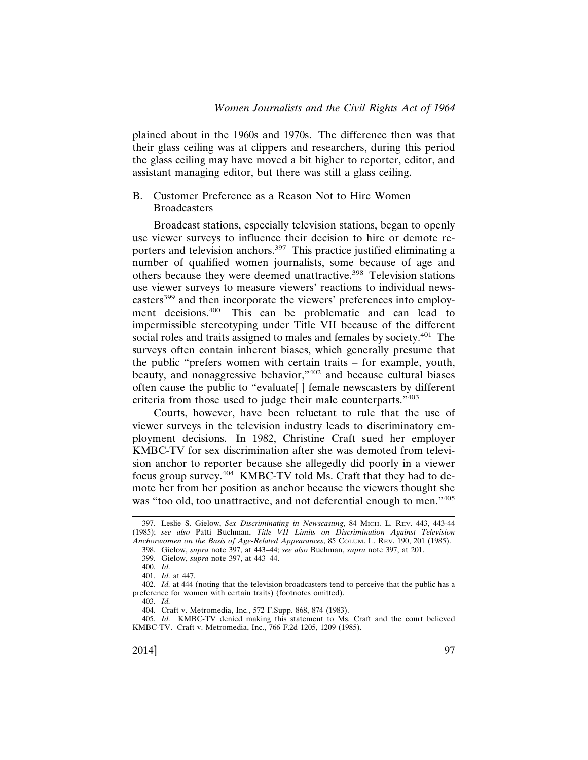plained about in the 1960s and 1970s. The difference then was that their glass ceiling was at clippers and researchers, during this period the glass ceiling may have moved a bit higher to reporter, editor, and assistant managing editor, but there was still a glass ceiling.

# B. Customer Preference as a Reason Not to Hire Women **Broadcasters**

Broadcast stations, especially television stations, began to openly use viewer surveys to influence their decision to hire or demote reporters and television anchors.<sup>397</sup> This practice justified eliminating a number of qualified women journalists, some because of age and others because they were deemed unattractive.398 Television stations use viewer surveys to measure viewers' reactions to individual newscasters<sup>399</sup> and then incorporate the viewers' preferences into employment decisions.400 This can be problematic and can lead to impermissible stereotyping under Title VII because of the different social roles and traits assigned to males and females by society.<sup>401</sup> The surveys often contain inherent biases, which generally presume that the public "prefers women with certain traits – for example, youth, beauty, and nonaggressive behavior,"402 and because cultural biases often cause the public to "evaluate[ ] female newscasters by different criteria from those used to judge their male counterparts."<sup>403</sup>

Courts, however, have been reluctant to rule that the use of viewer surveys in the television industry leads to discriminatory employment decisions. In 1982, Christine Craft sued her employer KMBC-TV for sex discrimination after she was demoted from television anchor to reporter because she allegedly did poorly in a viewer focus group survey.404 KMBC-TV told Ms. Craft that they had to demote her from her position as anchor because the viewers thought she was "too old, too unattractive, and not deferential enough to men."<sup>405</sup>

403. *Id.*

<sup>397.</sup> Leslie S. Gielow, *Sex Discriminating in Newscasting*, 84 MICH. L. REV. 443, 443-44 (1985); *see also* Patti Buchman, *Title VII Limits on Discrimination Against Television Anchorwomen on the Basis of Age-Related Appearances*, 85 COLUM. L. REV. 190, 201 (1985).

<sup>398.</sup> Gielow, *supra* note 397, at 443–44; *see also* Buchman, *supra* note 397, at 201.

<sup>399.</sup> Gielow, *supra* note 397, at 443–44.

<sup>400.</sup> *Id.*

<sup>401.</sup> *Id.* at 447.

<sup>402.</sup> *Id.* at 444 (noting that the television broadcasters tend to perceive that the public has a preference for women with certain traits) (footnotes omitted).

<sup>404.</sup> Craft v. Metromedia, Inc*.*, 572 F.Supp. 868, 874 (1983).

<sup>405.</sup> *Id.* KMBC-TV denied making this statement to Ms. Craft and the court believed KMBC-TV. Craft v. Metromedia, Inc., 766 F.2d 1205, 1209 (1985).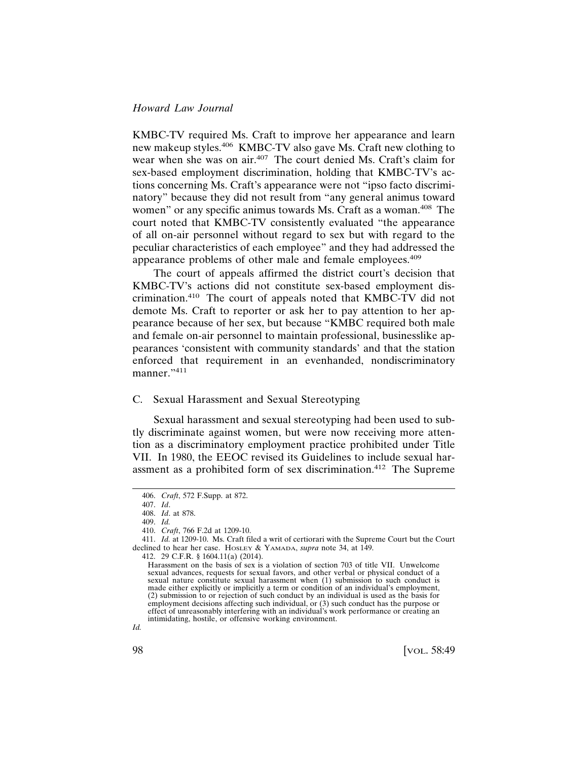KMBC-TV required Ms. Craft to improve her appearance and learn new makeup styles.406 KMBC-TV also gave Ms. Craft new clothing to wear when she was on air.<sup>407</sup> The court denied Ms. Craft's claim for sex-based employment discrimination, holding that KMBC-TV's actions concerning Ms. Craft's appearance were not "ipso facto discriminatory" because they did not result from "any general animus toward women" or any specific animus towards Ms. Craft as a woman.<sup>408</sup> The court noted that KMBC-TV consistently evaluated "the appearance of all on-air personnel without regard to sex but with regard to the peculiar characteristics of each employee" and they had addressed the appearance problems of other male and female employees.<sup>409</sup>

The court of appeals affirmed the district court's decision that KMBC-TV's actions did not constitute sex-based employment discrimination.410 The court of appeals noted that KMBC-TV did not demote Ms. Craft to reporter or ask her to pay attention to her appearance because of her sex, but because "KMBC required both male and female on-air personnel to maintain professional, businesslike appearances 'consistent with community standards' and that the station enforced that requirement in an evenhanded, nondiscriminatory manner."411

#### C. Sexual Harassment and Sexual Stereotyping

Sexual harassment and sexual stereotyping had been used to subtly discriminate against women, but were now receiving more attention as a discriminatory employment practice prohibited under Title VII. In 1980, the EEOC revised its Guidelines to include sexual harassment as a prohibited form of sex discrimination.<sup>412</sup> The Supreme

412. 29 C.F.R. § 1604.11(a) (2014).

<sup>406.</sup> *Craft*, 572 F.Supp. at 872.

<sup>407.</sup> *Id*. 408. *Id*. at 878.

<sup>409.</sup> *Id.*

<sup>410.</sup> *Craft*, 766 F.2d at 1209-10.

<sup>411.</sup> *Id.* at 1209-10. Ms. Craft filed a writ of certiorari with the Supreme Court but the Court declined to hear her case. HOSLEY & YAMADA, *supra* note 34, at 149.

Harassment on the basis of sex is a violation of section 703 of title VII. Unwelcome sexual advances, requests for sexual favors, and other verbal or physical conduct of a sexual nature constitute sexual harassment when (1) submission to such conduct is made either explicitly or implicitly a term or condition of an individual's employment, (2) submission to or rejection of such conduct by an individual is used as the basis for employment decisions affecting such individual, or (3) such conduct has the purpose or effect of unreasonably interfering with an individual's work performance or creating an intimidating, hostile, or offensive working environment.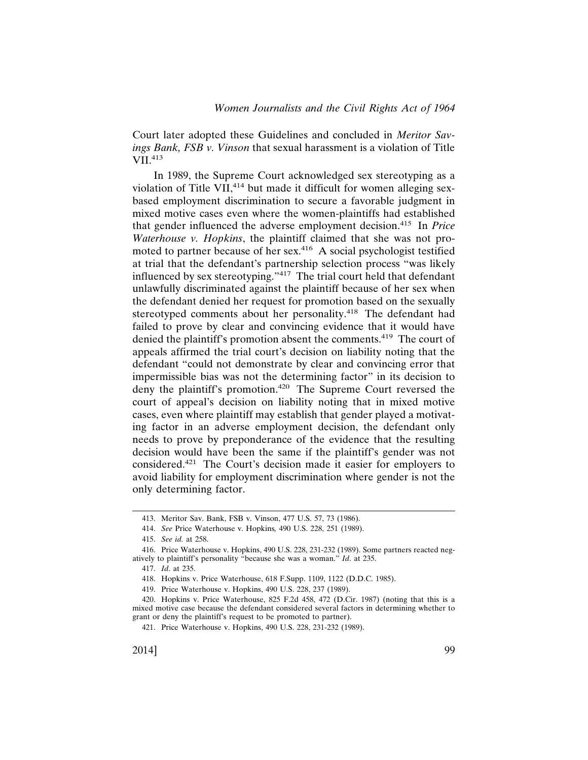Court later adopted these Guidelines and concluded in *Meritor Savings Bank, FSB v. Vinson* that sexual harassment is a violation of Title  $VII.<sup>413</sup>$ 

In 1989, the Supreme Court acknowledged sex stereotyping as a violation of Title VII,<sup>414</sup> but made it difficult for women alleging sexbased employment discrimination to secure a favorable judgment in mixed motive cases even where the women-plaintiffs had established that gender influenced the adverse employment decision.415 In *Price Waterhouse v. Hopkins*, the plaintiff claimed that she was not promoted to partner because of her sex.<sup>416</sup> A social psychologist testified at trial that the defendant's partnership selection process "was likely influenced by sex stereotyping."417 The trial court held that defendant unlawfully discriminated against the plaintiff because of her sex when the defendant denied her request for promotion based on the sexually stereotyped comments about her personality.418 The defendant had failed to prove by clear and convincing evidence that it would have denied the plaintiff's promotion absent the comments.<sup>419</sup> The court of appeals affirmed the trial court's decision on liability noting that the defendant "could not demonstrate by clear and convincing error that impermissible bias was not the determining factor" in its decision to deny the plaintiff's promotion.<sup>420</sup> The Supreme Court reversed the court of appeal's decision on liability noting that in mixed motive cases, even where plaintiff may establish that gender played a motivating factor in an adverse employment decision, the defendant only needs to prove by preponderance of the evidence that the resulting decision would have been the same if the plaintiff's gender was not considered.421 The Court's decision made it easier for employers to avoid liability for employment discrimination where gender is not the only determining factor.

<sup>413.</sup> Meritor Sav. Bank, FSB v. Vinson, 477 U.S. 57, 73 (1986).

<sup>414.</sup> *See* Price Waterhouse v. Hopkins*,* 490 U.S. 228, 251 (1989).

<sup>415.</sup> *See id.* at 258.

<sup>416.</sup> Price Waterhouse v. Hopkins, 490 U.S. 228, 231-232 (1989). Some partners reacted negatively to plaintiff's personality "because she was a woman." *Id*. at 235.

<sup>417.</sup> *Id*. at 235.

<sup>418.</sup> Hopkins v. Price Waterhouse, 618 F.Supp. 1109, 1122 (D.D.C. 1985).

<sup>419.</sup> Price Waterhouse v. Hopkins, 490 U.S. 228, 237 (1989).

<sup>420.</sup> Hopkins v. Price Waterhouse, 825 F.2d 458, 472 (D.Cir. 1987) (noting that this is a mixed motive case because the defendant considered several factors in determining whether to grant or deny the plaintiff's request to be promoted to partner).

<sup>421.</sup> Price Waterhouse v. Hopkins, 490 U.S. 228, 231-232 (1989).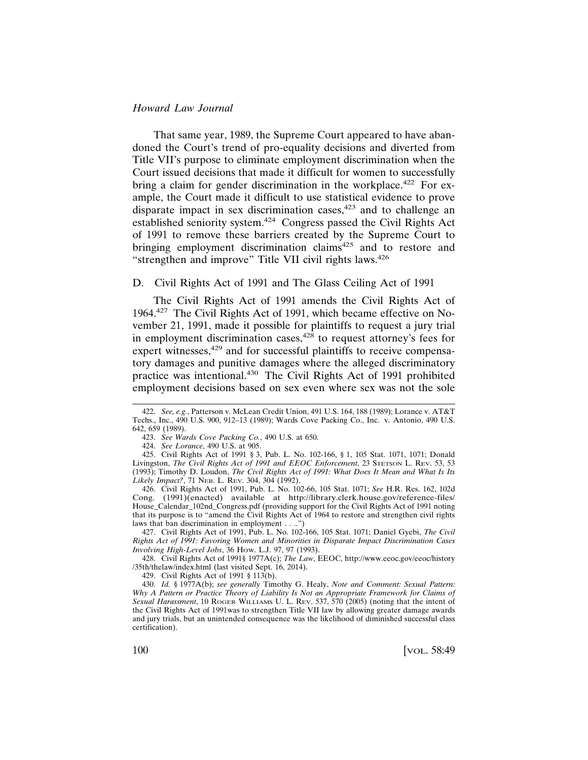That same year, 1989, the Supreme Court appeared to have abandoned the Court's trend of pro-equality decisions and diverted from Title VII's purpose to eliminate employment discrimination when the Court issued decisions that made it difficult for women to successfully bring a claim for gender discrimination in the workplace.<sup>422</sup> For example, the Court made it difficult to use statistical evidence to prove disparate impact in sex discrimination cases,<sup>423</sup> and to challenge an established seniority system.424 Congress passed the Civil Rights Act of 1991 to remove these barriers created by the Supreme Court to bringing employment discrimination claims<sup>425</sup> and to restore and "strengthen and improve" Title VII civil rights laws.<sup>426</sup>

#### D. Civil Rights Act of 1991 and The Glass Ceiling Act of 1991

The Civil Rights Act of 1991 amends the Civil Rights Act of 1964.427 The Civil Rights Act of 1991, which became effective on November 21, 1991, made it possible for plaintiffs to request a jury trial in employment discrimination cases,  $428$  to request attorney's fees for expert witnesses,<sup>429</sup> and for successful plaintiffs to receive compensatory damages and punitive damages where the alleged discriminatory practice was intentional.430 The Civil Rights Act of 1991 prohibited employment decisions based on sex even where sex was not the sole

427. Civil Rights Act of 1991, Pub. L. No. 102-166, 105 Stat. 1071; Daniel Gyebi, *The Civil Rights Act of 1991: Favoring Women and Minorities in Disparate Impact Discrimination Cases Involving High-Level Jobs*, 36 HOW. L.J. 97, 97 (1993).

428. Civil Rights Act of 1991§ 1977A(c); *The Law*, EEOC, http://www.eeoc.gov/eeoc/history /35th/thelaw/index.html (last visited Sept. 16, 2014).

429. Civil Rights Act of 1991 § 113(b).

430. *Id.* § 1977A(b); *see generally* Timothy G. Healy, *Note and Comment: Sexual Pattern: Why A Pattern or Practice Theory of Liability Is Not an Appropriate Framework for Claims of Sexual Harassment*, 10 ROGER WILLIAMS U. L. REV. 537, 570 (2005) (noting that the intent of the Civil Rights Act of 1991was to strengthen Title VII law by allowing greater damage awards and jury trials, but an unintended consequence was the likelihood of diminished successful class certification).

<sup>422.</sup> *See, e.g.*, Patterson v. McLean Credit Union, 491 U.S. 164, 188 (1989); Lorance v. AT&T Techs., Inc., 490 U.S. 900, 912–13 (1989); Wards Cove Packing Co., Inc. v. Antonio, 490 U.S. 642, 659 (1989).

<sup>423.</sup> *See Wards Cove Packing Co.*, 490 U.S. at 650.

<sup>424.</sup> *See Lorance*, 490 U.S. at 905.

<sup>425.</sup> Civil Rights Act of 1991 § 3, Pub. L. No. 102-166, § 1, 105 Stat. 1071, 1071; Donald Livingston, *The Civil Rights Act of 1991 and EEOC Enforcement*, 23 STETSON L. REV. 53, 53 (1993); Timothy D. Loudon, *The Civil Rights Act of 1991: What Does It Mean and What Is Its Likely Impact?*, 71 NEB. L. REV. 304, 304 (1992).

<sup>426.</sup> Civil Rights Act of 1991, Pub. L. No. 102-66, 105 Stat. 1071; *See* H.R. Res. 162, 102d Cong. (1991)(enacted) available at http://library.clerk.house.gov/reference-files/ House\_Calendar\_102nd\_Congress.pdf (providing support for the Civil Rights Act of 1991 noting that its purpose is to "amend the Civil Rights Act of 1964 to restore and strengthen civil rights laws that ban discrimination in employment . . ..")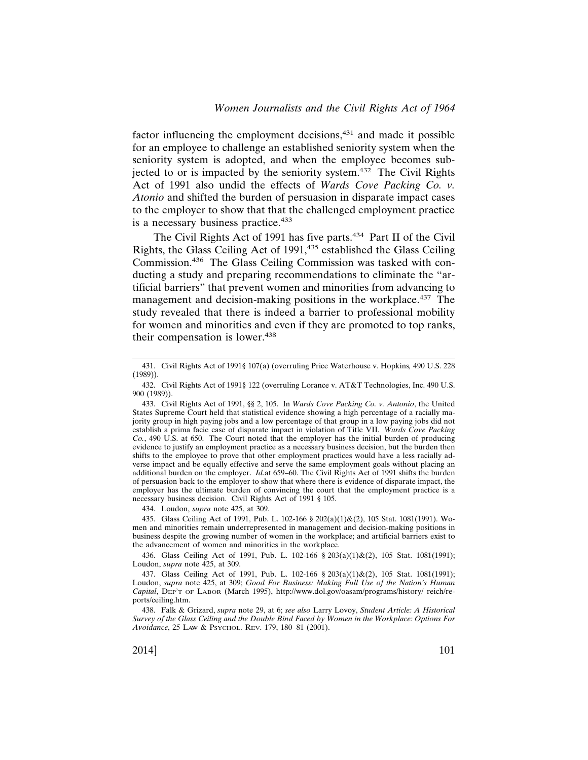factor influencing the employment decisions,<sup>431</sup> and made it possible for an employee to challenge an established seniority system when the seniority system is adopted, and when the employee becomes subjected to or is impacted by the seniority system.<sup>432</sup> The Civil Rights Act of 1991 also undid the effects of *Wards Cove Packing Co. v. Atonio* and shifted the burden of persuasion in disparate impact cases to the employer to show that that the challenged employment practice is a necessary business practice.<sup>433</sup>

The Civil Rights Act of 1991 has five parts.<sup>434</sup> Part II of the Civil Rights, the Glass Ceiling Act of 1991,<sup>435</sup> established the Glass Ceiling Commission.436 The Glass Ceiling Commission was tasked with conducting a study and preparing recommendations to eliminate the "artificial barriers" that prevent women and minorities from advancing to management and decision-making positions in the workplace.437 The study revealed that there is indeed a barrier to professional mobility for women and minorities and even if they are promoted to top ranks, their compensation is lower.<sup>438</sup>

434. Loudon, *supra* note 425, at 309.

435. Glass Ceiling Act of 1991, Pub. L. 102-166 § 202(a)(1)&(2), 105 Stat. 1081(1991). Women and minorities remain underrepresented in management and decision-making positions in business despite the growing number of women in the workplace; and artificial barriers exist to the advancement of women and minorities in the workplace.

436. Glass Ceiling Act of 1991, Pub. L. 102-166 § 203(a)(1)&(2), 105 Stat. 1081(1991); Loudon, *supra* note 425, at 309.

437. Glass Ceiling Act of 1991, Pub. L. 102-166 § 203(a)(1)&(2), 105 Stat. 1081(1991); Loudon, *supra* note 425, at 309; *Good For Business: Making Full Use of the Nation's Human Capital*, DEP'T OF LABOR (March 1995), http://www.dol.gov/oasam/programs/history/ reich/reports/ceiling.htm.

438. Falk & Grizard, *supra* note 29, at 6; *see also* Larry Lovoy, *Student Article: A Historical Survey of the Glass Ceiling and the Double Bind Faced by Women in the Workplace: Options For Avoidance*, 25 LAW & PSYCHOL. REV. 179, 180–81 (2001).

<sup>431.</sup> Civil Rights Act of 1991§ 107(a) (overruling Price Waterhouse v. Hopkins*,* 490 U.S. 228 (1989)).

<sup>432.</sup> Civil Rights Act of 1991§ 122 (overruling Lorance v. AT&T Technologies, Inc. 490 U.S. 900 (1989)).

<sup>433.</sup> Civil Rights Act of 1991, §§ 2, 105. In *Wards Cove Packing Co. v. Antonio*, the United States Supreme Court held that statistical evidence showing a high percentage of a racially majority group in high paying jobs and a low percentage of that group in a low paying jobs did not establish a prima facie case of disparate impact in violation of Title VII. *Wards Cove Packing Co.*, 490 U.S. at 650. The Court noted that the employer has the initial burden of producing evidence to justify an employment practice as a necessary business decision, but the burden then shifts to the employee to prove that other employment practices would have a less racially adverse impact and be equally effective and serve the same employment goals without placing an additional burden on the employer. *Id.*at 659–60. The Civil Rights Act of 1991 shifts the burden of persuasion back to the employer to show that where there is evidence of disparate impact, the employer has the ultimate burden of convincing the court that the employment practice is a necessary business decision. Civil Rights Act of 1991 § 105.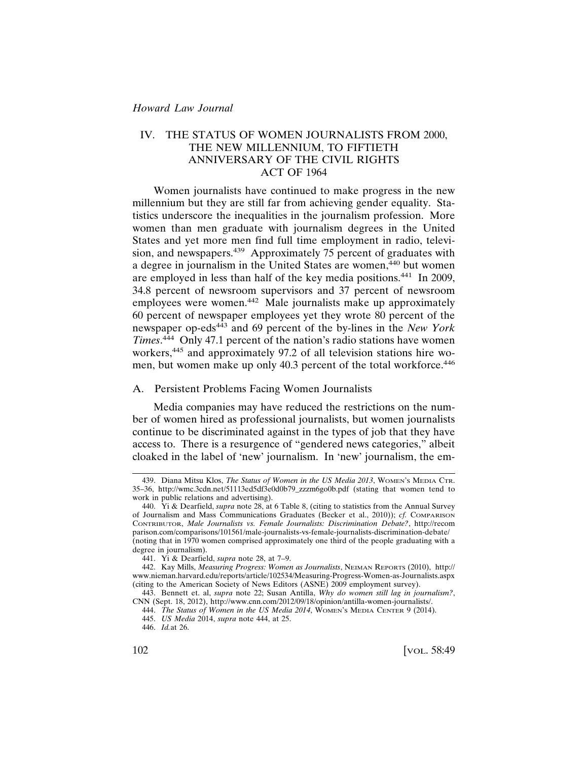# IV. THE STATUS OF WOMEN JOURNALISTS FROM 2000, THE NEW MILLENNIUM, TO FIFTIETH ANNIVERSARY OF THE CIVIL RIGHTS ACT OF 1964

Women journalists have continued to make progress in the new millennium but they are still far from achieving gender equality. Statistics underscore the inequalities in the journalism profession. More women than men graduate with journalism degrees in the United States and yet more men find full time employment in radio, television, and newspapers.<sup>439</sup> Approximately 75 percent of graduates with a degree in journalism in the United States are women,<sup>440</sup> but women are employed in less than half of the key media positions.441 In 2009, 34.8 percent of newsroom supervisors and 37 percent of newsroom employees were women.<sup>442</sup> Male journalists make up approximately 60 percent of newspaper employees yet they wrote 80 percent of the newspaper op-eds443 and 69 percent of the by-lines in the *New York Times*. 444 Only 47.1 percent of the nation's radio stations have women workers,<sup>445</sup> and approximately 97.2 of all television stations hire women, but women make up only 40.3 percent of the total workforce.<sup>446</sup>

#### A. Persistent Problems Facing Women Journalists

Media companies may have reduced the restrictions on the number of women hired as professional journalists, but women journalists continue to be discriminated against in the types of job that they have access to. There is a resurgence of "gendered news categories," albeit cloaked in the label of 'new' journalism. In 'new' journalism, the em-

<sup>439.</sup> Diana Mitsu Klos, *The Status of Women in the US Media 2013*, WOMEN'S MEDIA CTR. 35–36, http://wmc.3cdn.net/51113ed5df3e0d0b79\_zzzm6go0b.pdf (stating that women tend to work in public relations and advertising).

<sup>440.</sup> Yi & Dearfield, *supra* note 28, at 6 Table 8, (citing to statistics from the Annual Survey of Journalism and Mass Communications Graduates (Becker et al., 2010)); *cf.* COMPARISON CONTRIBUTOR, *Male Journalists vs. Female Journalists: Discrimination Debate?*, http://recom parison.com/comparisons/101561/male-journalists-vs-female-journalists-discrimination-debate/ (noting that in 1970 women comprised approximately one third of the people graduating with a degree in journalism).

<sup>441.</sup> Yi & Dearfield, *supra* note 28, at 7–9.

<sup>442.</sup> Kay Mills, *Measuring Progress: Women as Journalists*, NEIMAN REPORTS (2010), http:// www.nieman.harvard.edu/reports/article/102534/Measuring-Progress-Women-as-Journalists.aspx (citing to the American Society of News Editors (ASNE) 2009 employment survey).

<sup>443.</sup> Bennett et. al, *supra* note 22; Susan Antilla, *Why do women still lag in journalism?*, CNN (Sept. 18, 2012), http://www.cnn.com/2012/09/18/opinion/antilla-women-journalists/.

<sup>444.</sup> *The Status of Women in the US Media 2014*, WOMEN'S MEDIA CENTER 9 (2014). 445. *US Media* 2014, *supra* note 444, at 25.

<sup>446.</sup> *Id.*at 26.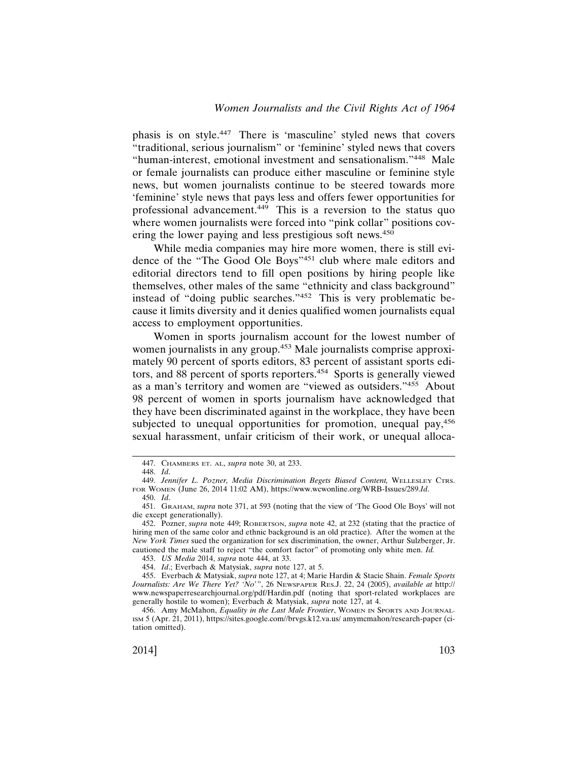phasis is on style.447 There is 'masculine' styled news that covers "traditional, serious journalism" or 'feminine' styled news that covers "human-interest, emotional investment and sensationalism."448 Male or female journalists can produce either masculine or feminine style news, but women journalists continue to be steered towards more 'feminine' style news that pays less and offers fewer opportunities for professional advancement.449 This is a reversion to the status quo where women journalists were forced into "pink collar" positions covering the lower paying and less prestigious soft news.<sup>450</sup>

While media companies may hire more women, there is still evidence of the "The Good Ole Boys"451 club where male editors and editorial directors tend to fill open positions by hiring people like themselves, other males of the same "ethnicity and class background" instead of "doing public searches."452 This is very problematic because it limits diversity and it denies qualified women journalists equal access to employment opportunities.

Women in sports journalism account for the lowest number of women journalists in any group.<sup>453</sup> Male journalists comprise approximately 90 percent of sports editors, 83 percent of assistant sports editors, and 88 percent of sports reporters.454 Sports is generally viewed as a man's territory and women are "viewed as outsiders."455 About 98 percent of women in sports journalism have acknowledged that they have been discriminated against in the workplace, they have been subjected to unequal opportunities for promotion, unequal pay,  $456$ sexual harassment, unfair criticism of their work, or unequal alloca-

<sup>447.</sup> CHAMBERS ET. AL, *supra* note 30, at 233.

<sup>448.</sup> *Id*.

<sup>449.</sup> *Jennifer L. Pozner, Media Discrimination Begets Biased Content,* WELLESLEY CTRS. FOR WOMEN (June 26, 2014 11:02 AM), https://www.wcwonline.org/WRB-Issues/289.*Id*.

<sup>450.</sup> *Id*.

<sup>451.</sup> GRAHAM, *supra* note 371, at 593 (noting that the view of 'The Good Ole Boys' will not die except generationally).

<sup>452.</sup> Pozner, *supra* note 449; ROBERTSON, *supra* note 42, at 232 (stating that the practice of hiring men of the same color and ethnic background is an old practice). After the women at the *New York Times* sued the organization for sex discrimination, the owner, Arthur Sulzberger, Jr. cautioned the male staff to reject "the comfort factor" of promoting only white men. *Id.*

<sup>453.</sup> *US Media* 2014, *supra* note 444, at 33.

<sup>454.</sup> *Id*.; Everbach & Matysiak, *supra* note 127, at 5.

<sup>455.</sup> Everbach & Matysiak, *supra* note 127, at 4; Marie Hardin & Stacie Shain. *Female Sports Journalists: Are We There Yet? 'No*'", 26 NEWSPAPER RES.J. 22, 24 (2005), *available at* http:// www.newspaperresearchjournal.org/pdf/Hardin.pdf (noting that sport-related workplaces are generally hostile to women); Everbach & Matysiak, *supra* note 127, at 4.

<sup>456.</sup> Amy McMahon, *Equality in the Last Male Frontier*, WOMEN IN SPORTS AND JOURNAL-ISM 5 (Apr. 21, 2011), https://sites.google.com//brvgs.k12.va.us/ amymcmahon/research-paper (citation omitted).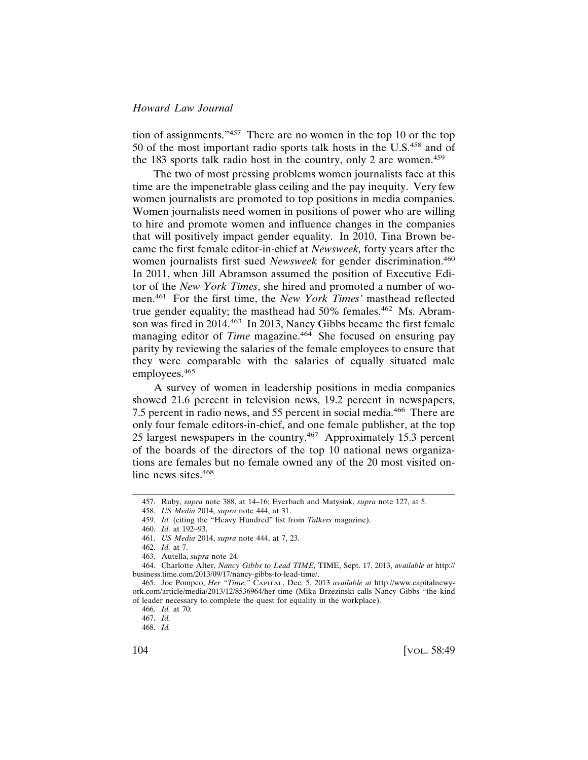tion of assignments."457 There are no women in the top 10 or the top 50 of the most important radio sports talk hosts in the U.S.<sup>458</sup> and of the 183 sports talk radio host in the country, only 2 are women.<sup>459</sup>

The two of most pressing problems women journalists face at this time are the impenetrable glass ceiling and the pay inequity. Very few women journalists are promoted to top positions in media companies. Women journalists need women in positions of power who are willing to hire and promote women and influence changes in the companies that will positively impact gender equality. In 2010, Tina Brown became the first female editor-in-chief at *Newsweek,* forty years after the women journalists first sued *Newsweek* for gender discrimination.460 In 2011, when Jill Abramson assumed the position of Executive Editor of the *New York Times*, she hired and promoted a number of women.461 For the first time, the *New York Times'* masthead reflected true gender equality; the masthead had  $50\%$  females.<sup>462</sup> Ms. Abramson was fired in 2014.463 In 2013, Nancy Gibbs became the first female managing editor of *Time* magazine.<sup>464</sup> She focused on ensuring pay parity by reviewing the salaries of the female employees to ensure that they were comparable with the salaries of equally situated male employees.465

A survey of women in leadership positions in media companies showed 21.6 percent in television news, 19.2 percent in newspapers, 7.5 percent in radio news, and 55 percent in social media.466 There are only four female editors-in-chief, and one female publisher, at the top 25 largest newspapers in the country.<sup>467</sup> Approximately 15.3 percent of the boards of the directors of the top 10 national news organizations are females but no female owned any of the 20 most visited online news sites.<sup>468</sup>

<sup>457.</sup> Ruby, *supra* note 388, at 14–16; Everbach and Matysiak, *supra* note 127, at 5.

<sup>458.</sup> *US Media* 2014, *supra* note 444, at 31.

<sup>459.</sup> *Id.* (citing the "Heavy Hundred" list from *Talkers* magazine).

<sup>460.</sup> *Id.* at 192–93.

<sup>461.</sup> *US Media* 2014, *supra* note 444, at 7, 23.

<sup>462.</sup> *Id.* at 7.

<sup>463.</sup> Autella, *supra* note 24.

<sup>464.</sup> Charlotte Alter, *Nancy Gibbs to Lead TIME,* TIME, Sept. 17, 2013, *available at* http:// business.time.com/2013/09/17/nancy-gibbs-to-lead-time/.

<sup>465.</sup> Joe Pompeo, *Her "Time,"* CAPITAL, Dec. 5, 2013 *available at* http://www.capitalnewyork.com/article/media/2013/12/8536964/her-time (Mika Brzezinski calls Nancy Gibbs "the kind of leader necessary to complete the quest for equality in the workplace).

<sup>466.</sup> *Id.* at 70.

<sup>467.</sup> *Id.*

<sup>468.</sup> *Id.*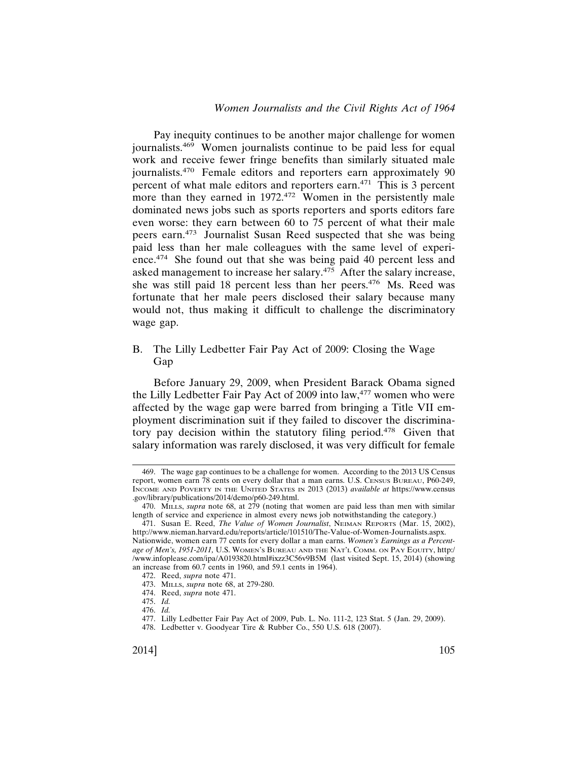Pay inequity continues to be another major challenge for women journalists.<sup>469</sup> Women journalists continue to be paid less for equal work and receive fewer fringe benefits than similarly situated male journalists.470 Female editors and reporters earn approximately 90 percent of what male editors and reporters earn.471 This is 3 percent more than they earned in 1972.<sup>472</sup> Women in the persistently male dominated news jobs such as sports reporters and sports editors fare even worse: they earn between 60 to 75 percent of what their male peers earn.473 Journalist Susan Reed suspected that she was being paid less than her male colleagues with the same level of experience.474 She found out that she was being paid 40 percent less and asked management to increase her salary.<sup> $47\overline{5}$ </sup> After the salary increase, she was still paid 18 percent less than her peers.<sup>476</sup> Ms. Reed was fortunate that her male peers disclosed their salary because many would not, thus making it difficult to challenge the discriminatory wage gap.

# B. The Lilly Ledbetter Fair Pay Act of 2009: Closing the Wage Gap

Before January 29, 2009, when President Barack Obama signed the Lilly Ledbetter Fair Pay Act of 2009 into law,<sup>477</sup> women who were affected by the wage gap were barred from bringing a Title VII employment discrimination suit if they failed to discover the discriminatory pay decision within the statutory filing period.478 Given that salary information was rarely disclosed, it was very difficult for female

<sup>469.</sup> The wage gap continues to be a challenge for women. According to the 2013 US Census report, women earn 78 cents on every dollar that a man earns. U.S. CENSUS BUREAU, P60-249, INCOME AND POVERTY IN THE UNITED STATES IN 2013 (2013) *available at* https://www.census .gov/library/publications/2014/demo/p60-249.html.

<sup>470.</sup> MILLS, *supra* note 68, at 279 (noting that women are paid less than men with similar length of service and experience in almost every news job notwithstanding the category.)

<sup>471.</sup> Susan E. Reed, *The Value of Women Journalist*, NEIMAN REPORTS (Mar. 15, 2002), http://www.nieman.harvard.edu/reports/article/101510/The-Value-of-Women-Journalists.aspx. Nationwide, women earn 77 cents for every dollar a man earns. *Women's Earnings as a Percentage of Men's, 1951-2011,* U.S. WOMEN'S BUREAU AND THE NAT'L COMM. ON PAY EQUITY, http:/ /www.infoplease.com/ipa/A0193820.html#ixzz3C56v9B5M (last visited Sept. 15, 2014) (showing an increase from 60.7 cents in 1960, and 59.1 cents in 1964).

<sup>472.</sup> Reed, *supra* note 471.

<sup>473.</sup> MILLS, *supra* note 68, at 279-280.

<sup>474.</sup> Reed, *supra* note 471.

<sup>475.</sup> *Id.*

<sup>476.</sup> *Id.*

<sup>477.</sup> Lilly Ledbetter Fair Pay Act of 2009, Pub. L. No. 111-2, 123 Stat. 5 (Jan. 29, 2009).

<sup>478.</sup> Ledbetter v. Goodyear Tire & Rubber Co., 550 U.S. 618 (2007).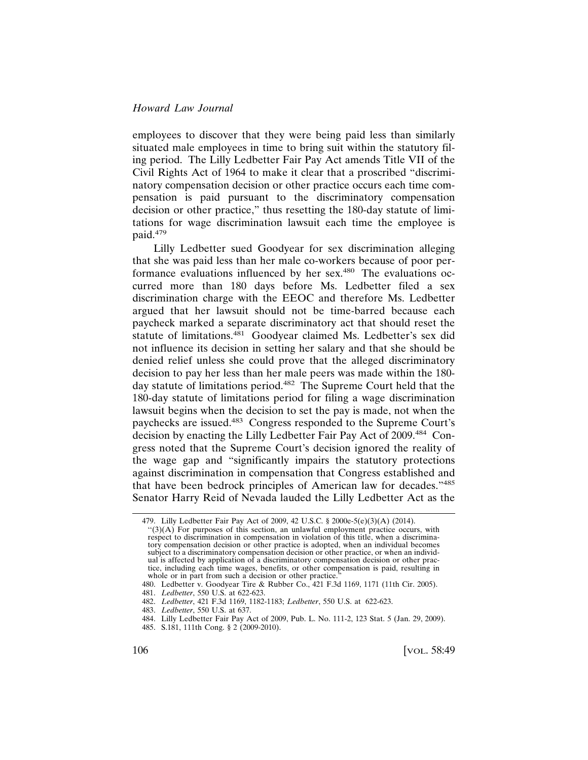employees to discover that they were being paid less than similarly situated male employees in time to bring suit within the statutory filing period. The Lilly Ledbetter Fair Pay Act amends Title VII of the Civil Rights Act of 1964 to make it clear that a proscribed "discriminatory compensation decision or other practice occurs each time compensation is paid pursuant to the discriminatory compensation decision or other practice," thus resetting the 180-day statute of limitations for wage discrimination lawsuit each time the employee is paid.479

Lilly Ledbetter sued Goodyear for sex discrimination alleging that she was paid less than her male co-workers because of poor performance evaluations influenced by her sex.480 The evaluations occurred more than 180 days before Ms. Ledbetter filed a sex discrimination charge with the EEOC and therefore Ms. Ledbetter argued that her lawsuit should not be time-barred because each paycheck marked a separate discriminatory act that should reset the statute of limitations.<sup>481</sup> Goodyear claimed Ms. Ledbetter's sex did not influence its decision in setting her salary and that she should be denied relief unless she could prove that the alleged discriminatory decision to pay her less than her male peers was made within the 180 day statute of limitations period.482 The Supreme Court held that the 180-day statute of limitations period for filing a wage discrimination lawsuit begins when the decision to set the pay is made, not when the paychecks are issued.483 Congress responded to the Supreme Court's decision by enacting the Lilly Ledbetter Fair Pay Act of 2009.484 Congress noted that the Supreme Court's decision ignored the reality of the wage gap and "significantly impairs the statutory protections against discrimination in compensation that Congress established and that have been bedrock principles of American law for decades."<sup>485</sup> Senator Harry Reid of Nevada lauded the Lilly Ledbetter Act as the

<sup>479.</sup> Lilly Ledbetter Fair Pay Act of 2009, 42 U.S.C. § 2000e-5(e)(3)(A) (2014).

 $\binom{13}{A}$  For purposes of this section, an unlawful employment practice occurs, with respect to discrimination in compensation in violation of this title, when a discriminatory compensation decision or other practice is adopted, when an individual becomes subject to a discriminatory compensation decision or other practice, or when an individual is affected by application of a discriminatory compensation decision or other practice, including each time wages, benefits, or other compensation is paid, resulting in whole or in part from such a decision or other practice."

<sup>480.</sup> Ledbetter v. Goodyear Tire & Rubber Co., 421 F.3d 1169, 1171 (11th Cir. 2005).

<sup>481.</sup> *Ledbetter*, 550 U.S. at 622-623.

<sup>482.</sup> *Ledbetter*, 421 F.3d 1169, 1182-1183; *Ledbetter*, 550 U.S. at 622-623.

<sup>483.</sup> *Ledbetter*, 550 U.S. at 637.

<sup>484.</sup> Lilly Ledbetter Fair Pay Act of 2009, Pub. L. No. 111-2, 123 Stat. 5 (Jan. 29, 2009).

<sup>485.</sup> S.181, 111th Cong. § 2 (2009-2010).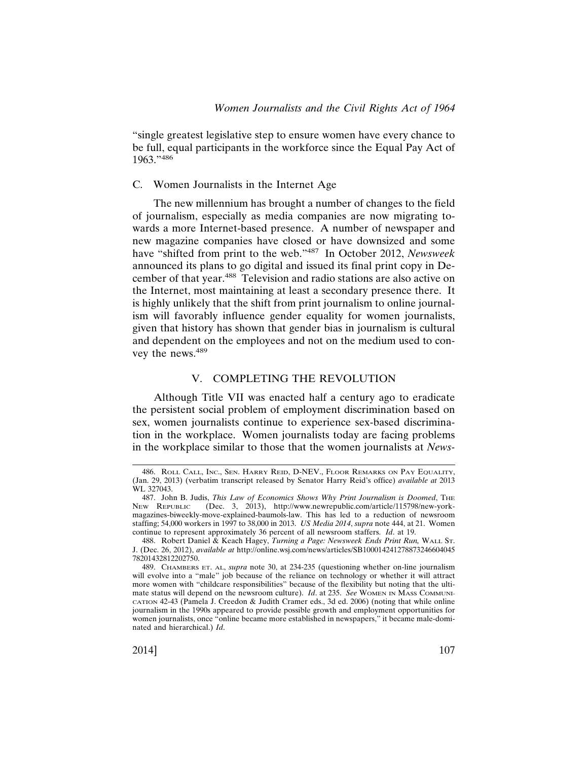"single greatest legislative step to ensure women have every chance to be full, equal participants in the workforce since the Equal Pay Act of 1963."486

#### C. Women Journalists in the Internet Age

The new millennium has brought a number of changes to the field of journalism, especially as media companies are now migrating towards a more Internet-based presence. A number of newspaper and new magazine companies have closed or have downsized and some have "shifted from print to the web."487 In October 2012, *Newsweek* announced its plans to go digital and issued its final print copy in December of that year.488 Television and radio stations are also active on the Internet, most maintaining at least a secondary presence there. It is highly unlikely that the shift from print journalism to online journalism will favorably influence gender equality for women journalists, given that history has shown that gender bias in journalism is cultural and dependent on the employees and not on the medium used to convey the news.<sup>489</sup>

#### V. COMPLETING THE REVOLUTION

Although Title VII was enacted half a century ago to eradicate the persistent social problem of employment discrimination based on sex, women journalists continue to experience sex-based discrimination in the workplace. Women journalists today are facing problems in the workplace similar to those that the women journalists at *News-*

<sup>486.</sup> ROLL CALL, INC., SEN. HARRY REID, D-NEV., FLOOR REMARKS ON PAY EQUALITY, (Jan. 29, 2013) (verbatim transcript released by Senator Harry Reid's office) *available at* 2013 WL 327043.

<sup>487.</sup> John B. Judis, *This Law of Economics Shows Why Print Journalism is Doomed*, The New Republic (Dec. 3, 2013). http://www.newrepublic.com/article/115798/new-vork-(Dec. 3, 2013), http://www.newrepublic.com/article/115798/new-yorkmagazines-biweekly-move-explained-baumols-law. This has led to a reduction of newsroom staffing; 54,000 workers in 1997 to 38,000 in 2013. *US Media 2014*, *supra* note 444, at 21. Women continue to represent approximately 36 percent of all newsroom staffers. *Id*. at 19.

<sup>488.</sup> Robert Daniel & Keach Hagey, *Turning a Page: Newsweek Ends Print Run,* WALL ST. J. (Dec. 26, 2012), *available at* http://online.wsj.com/news/articles/SB100014241278873246604045 78201432812202750.

<sup>489.</sup> CHAMBERS ET. AL, *supra* note 30, at 234-235 (questioning whether on-line journalism will evolve into a "male" job because of the reliance on technology or whether it will attract more women with "childcare responsibilities" because of the flexibility but noting that the ultimate status will depend on the newsroom culture). *Id*. at 235. *See* WOMEN IN MASS COMMUNI-CATION 42-43 (Pamela J. Creedon & Judith Cramer eds., 3d ed. 2006) (noting that while online journalism in the 1990s appeared to provide possible growth and employment opportunities for women journalists, once "online became more established in newspapers," it became male-dominated and hierarchical.) *Id*.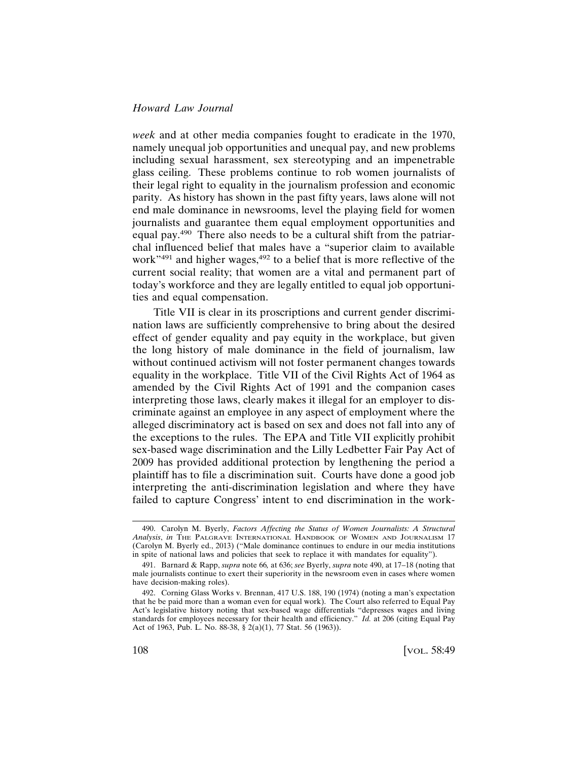*week* and at other media companies fought to eradicate in the 1970, namely unequal job opportunities and unequal pay, and new problems including sexual harassment, sex stereotyping and an impenetrable glass ceiling. These problems continue to rob women journalists of their legal right to equality in the journalism profession and economic parity. As history has shown in the past fifty years, laws alone will not end male dominance in newsrooms, level the playing field for women journalists and guarantee them equal employment opportunities and equal pay.490 There also needs to be a cultural shift from the patriarchal influenced belief that males have a "superior claim to available work"<sup>491</sup> and higher wages, $492$  to a belief that is more reflective of the current social reality; that women are a vital and permanent part of today's workforce and they are legally entitled to equal job opportunities and equal compensation.

Title VII is clear in its proscriptions and current gender discrimination laws are sufficiently comprehensive to bring about the desired effect of gender equality and pay equity in the workplace, but given the long history of male dominance in the field of journalism, law without continued activism will not foster permanent changes towards equality in the workplace. Title VII of the Civil Rights Act of 1964 as amended by the Civil Rights Act of 1991 and the companion cases interpreting those laws, clearly makes it illegal for an employer to discriminate against an employee in any aspect of employment where the alleged discriminatory act is based on sex and does not fall into any of the exceptions to the rules. The EPA and Title VII explicitly prohibit sex-based wage discrimination and the Lilly Ledbetter Fair Pay Act of 2009 has provided additional protection by lengthening the period a plaintiff has to file a discrimination suit. Courts have done a good job interpreting the anti-discrimination legislation and where they have failed to capture Congress' intent to end discrimination in the work-

<sup>490.</sup> Carolyn M. Byerly, *Factors Affecting the Status of Women Journalists: A Structural Analysis*, *in* THE PALGRAVE INTERNATIONAL HANDBOOK OF WOMEN AND JOURNALISM 17 (Carolyn M. Byerly ed., 2013) ("Male dominance continues to endure in our media institutions in spite of national laws and policies that seek to replace it with mandates for equality").

<sup>491.</sup> Barnard & Rapp, *supra* note 66*,* at 636; *see* Byerly, *supra* note 490, at 17–18 (noting that male journalists continue to exert their superiority in the newsroom even in cases where women have decision-making roles).

<sup>492.</sup> Corning Glass Works v. Brennan, 417 U.S. 188, 190 (1974) (noting a man's expectation that he be paid more than a woman even for equal work). The Court also referred to Equal Pay Act's legislative history noting that sex-based wage differentials "depresses wages and living standards for employees necessary for their health and efficiency." *Id.* at 206 (citing Equal Pay Act of 1963, Pub. L. No. 88-38, § 2(a)(1), 77 Stat. 56 (1963)).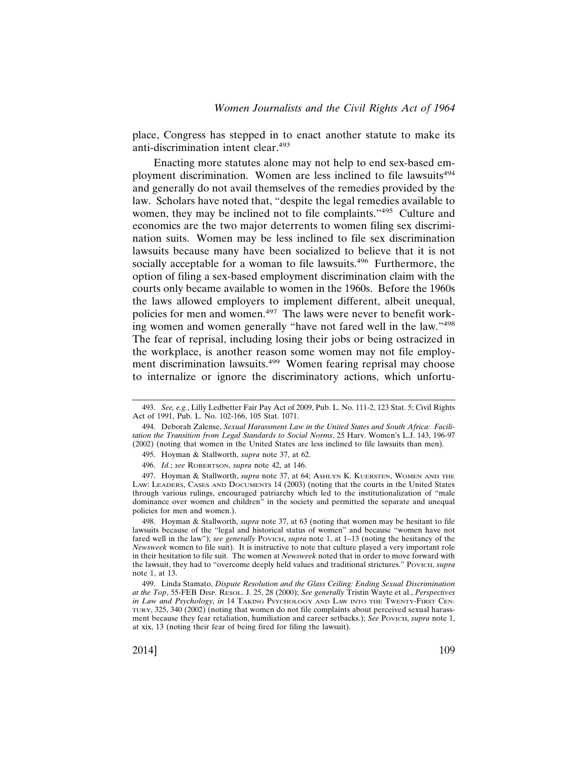place, Congress has stepped in to enact another statute to make its anti-discrimination intent clear.<sup>493</sup>

Enacting more statutes alone may not help to end sex-based employment discrimination. Women are less inclined to file lawsuits<sup>494</sup> and generally do not avail themselves of the remedies provided by the law. Scholars have noted that, "despite the legal remedies available to women, they may be inclined not to file complaints."<sup>495</sup> Culture and economics are the two major deterrents to women filing sex discrimination suits. Women may be less inclined to file sex discrimination lawsuits because many have been socialized to believe that it is not socially acceptable for a woman to file lawsuits.<sup>496</sup> Furthermore, the option of filing a sex-based employment discrimination claim with the courts only became available to women in the 1960s. Before the 1960s the laws allowed employers to implement different, albeit unequal, policies for men and women.<sup>497</sup> The laws were never to benefit working women and women generally "have not fared well in the law."498 The fear of reprisal, including losing their jobs or being ostracized in the workplace, is another reason some women may not file employment discrimination lawsuits.499 Women fearing reprisal may choose to internalize or ignore the discriminatory actions, which unfortu-

<sup>493.</sup> *See, e.g.*, Lilly Ledbetter Fair Pay Act of 2009, Pub. L. No. 111-2, 123 Stat. 5; Civil Rights Act of 1991, Pub. L. No. 102-166, 105 Stat. 1071.

<sup>494.</sup> Deborah Zalense, *Sexual Harassment Law in the United States and South Africa: Facilitation the Transition from Legal Standards to Social Norms*, 25 Harv. Women's L.J. 143, 196-97 (2002) (noting that women in the United States are less inclined to file lawsuits than men). 495. Hoyman & Stallworth, *supra* note 37, at 62.

<sup>496.</sup> *Id.*; *see* ROBERTSON, *supra* note 42, at 146.

<sup>497.</sup> Hoyman & Stallworth, *supra* note 37, at 64; ASHLYN K. KUERSTEN, WOMEN AND THE LAW: LEADERS, CASES AND DOCUMENTS 14 (2003) (noting that the courts in the United States through various rulings, encouraged patriarchy which led to the institutionalization of "male dominance over women and children" in the society and permitted the separate and unequal policies for men and women.).

<sup>498.</sup> Hoyman & Stallworth, *supra* note 37, at 63 (noting that women may be hesitant to file lawsuits because of the "legal and historical status of women" and because "women have not fared well in the law"); *see generally* POVICH, *supra* note 1, at 1–13 (noting the hesitancy of the *Newsweek* women to file suit). It is instructive to note that culture played a very important role in their hesitation to file suit. The women at *Newsweek* noted that in order to move forward with the lawsuit, they had to "overcome deeply held values and traditional strictures." Povich, *supra* note 1, at 13.

<sup>499.</sup> Linda Stamato, *Dispute Resolution and the Glass Ceiling: Ending Sexual Discrimination at the Top*, 55-FEB DISP. RESOL. J. 25, 28 (2000); *See generally* Tristin Wayte et al., *Perspectives in Law and Psychology, in* 14 TAKING PSYCHOLOGY AND LAW INTO THE TWENTY-FIRST CEN-TURY, 325, 340 (2002) (noting that women do not file complaints about perceived sexual harassment because they fear retaliation, humiliation and career setbacks.); *See* Povich, *supra* note 1, at xix, 13 (noting their fear of being fired for filing the lawsuit).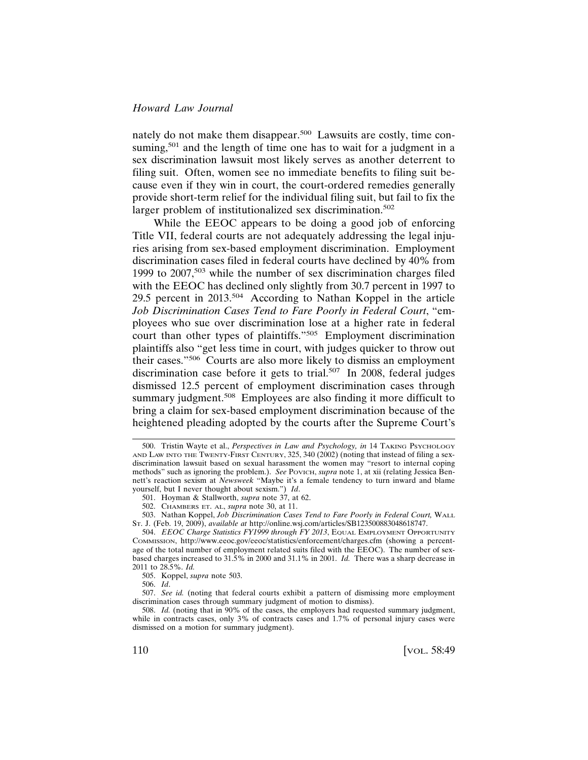nately do not make them disappear.<sup>500</sup> Lawsuits are costly, time consuming,<sup>501</sup> and the length of time one has to wait for a judgment in a sex discrimination lawsuit most likely serves as another deterrent to filing suit. Often, women see no immediate benefits to filing suit because even if they win in court, the court-ordered remedies generally provide short-term relief for the individual filing suit, but fail to fix the larger problem of institutionalized sex discrimination.<sup>502</sup>

While the EEOC appears to be doing a good job of enforcing Title VII, federal courts are not adequately addressing the legal injuries arising from sex-based employment discrimination. Employment discrimination cases filed in federal courts have declined by 40% from 1999 to  $2007,503$  while the number of sex discrimination charges filed with the EEOC has declined only slightly from 30.7 percent in 1997 to 29.5 percent in 2013.504 According to Nathan Koppel in the article *Job Discrimination Cases Tend to Fare Poorly in Federal Court*, "employees who sue over discrimination lose at a higher rate in federal court than other types of plaintiffs."505 Employment discrimination plaintiffs also "get less time in court, with judges quicker to throw out their cases."506 Courts are also more likely to dismiss an employment discrimination case before it gets to trial.<sup>507</sup> In 2008, federal judges dismissed 12.5 percent of employment discrimination cases through summary judgment.<sup>508</sup> Employees are also finding it more difficult to bring a claim for sex-based employment discrimination because of the heightened pleading adopted by the courts after the Supreme Court's

<sup>500.</sup> Tristin Wayte et al., *Perspectives in Law and Psychology, in* 14 TAKING PSYCHOLOGY AND LAW INTO THE TWENTY-FIRST CENTURY, 325, 340 (2002) (noting that instead of filing a sexdiscrimination lawsuit based on sexual harassment the women may "resort to internal coping methods" such as ignoring the problem.). *See* Povich, *supra* note 1, at xii (relating Jessica Bennett's reaction sexism at *Newsweek* "Maybe it's a female tendency to turn inward and blame yourself, but I never thought about sexism.") *Id*.

<sup>501.</sup> Hoyman & Stallworth, *supra* note 37, at 62.

<sup>502.</sup> CHAMBERS ET. AL, *supra* note 30, at 11.

<sup>503.</sup> Nathan Koppel, *Job Discrimination Cases Tend to Fare Poorly in Federal Court,* WALL ST. J. (Feb. 19, 2009), *available at* http://online.wsj.com/articles/SB123500883048618747.

<sup>504.</sup> *EEOC Charge Statistics FY1999 through FY 2013*, EQUAL EMPLOYMENT OPPORTUNITY COMMISSION, http://www.eeoc.gov/eeoc/statistics/enforcement/charges.cfm (showing a percentage of the total number of employment related suits filed with the EEOC). The number of sexbased charges increased to 31.5% in 2000 and 31.1% in 2001. *Id.* There was a sharp decrease in 2011 to 28.5%. *Id.*

<sup>505.</sup> Koppel, *supra* note 503.

<sup>506.</sup> *Id*.

<sup>507.</sup> *See id.* (noting that federal courts exhibit a pattern of dismissing more employment discrimination cases through summary judgment of motion to dismiss).

<sup>508.</sup> *Id.* (noting that in 90% of the cases, the employers had requested summary judgment, while in contracts cases, only 3% of contracts cases and 1.7% of personal injury cases were dismissed on a motion for summary judgment).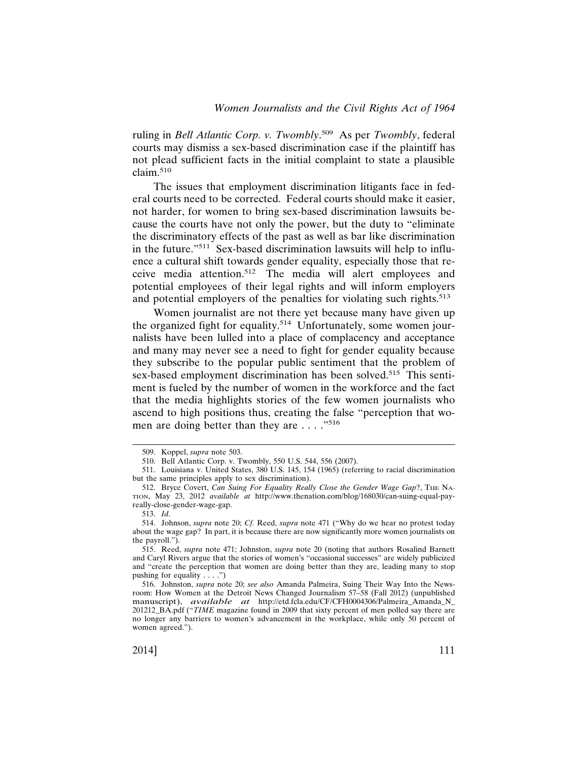ruling in *Bell Atlantic Corp. v. Twombly*. 509 As per *Twombly*, federal courts may dismiss a sex-based discrimination case if the plaintiff has not plead sufficient facts in the initial complaint to state a plausible claim.510

The issues that employment discrimination litigants face in federal courts need to be corrected. Federal courts should make it easier, not harder, for women to bring sex-based discrimination lawsuits because the courts have not only the power, but the duty to "eliminate the discriminatory effects of the past as well as bar like discrimination in the future."511 Sex-based discrimination lawsuits will help to influence a cultural shift towards gender equality, especially those that receive media attention.512 The media will alert employees and potential employees of their legal rights and will inform employers and potential employers of the penalties for violating such rights.<sup>513</sup>

Women journalist are not there yet because many have given up the organized fight for equality.<sup>514</sup> Unfortunately, some women journalists have been lulled into a place of complacency and acceptance and many may never see a need to fight for gender equality because they subscribe to the popular public sentiment that the problem of sex-based employment discrimination has been solved.<sup>515</sup> This sentiment is fueled by the number of women in the workforce and the fact that the media highlights stories of the few women journalists who ascend to high positions thus, creating the false "perception that women are doing better than they are . . . ."<sup>516</sup>

<sup>509.</sup> Koppel, *supra* note 503.

<sup>510.</sup> Bell Atlantic Corp. v. Twombly, 550 U.S. 544, 556 (2007).

<sup>511.</sup> Louisiana v. United States, 380 U.S. 145, 154 (1965) (referring to racial discrimination but the same principles apply to sex discrimination).

<sup>512.</sup> Bryce Covert, *Can Suing For Equality Really Close the Gender Wage Gap*?, THE NA-TION, May 23, 2012 *available at* http://www.thenation.com/blog/168030/can-suing-equal-payreally-close-gender-wage-gap.

<sup>513.</sup> *Id*.

<sup>514.</sup> Johnson, *supra* note 20; *Cf.* Reed, *supra* note 471 ("Why do we hear no protest today about the wage gap? In part, it is because there are now significantly more women journalists on the payroll.").

<sup>515.</sup> Reed, *supra* note 471; Johnston, *supra* note 20 (noting that authors Rosalind Barnett and Caryl Rivers argue that the stories of women's "occasional successes" are widely publicized and "create the perception that women are doing better than they are, leading many to stop pushing for equality  $\dots$ .")

<sup>516.</sup> Johnston, *supra* note 20; *see also* Amanda Palmeira, Suing Their Way Into the Newsroom: How Women at the Detroit News Changed Journalism 57–58 (Fall 2012) (unpublished manuscript), *available at* http://etd.fcla.edu/CF/CFH0004306/Palmeira\_Amanda\_N\_ 201212\_BA.pdf ("*TIME* magazine found in 2009 that sixty percent of men polled say there are no longer any barriers to women's advancement in the workplace, while only 50 percent of women agreed.").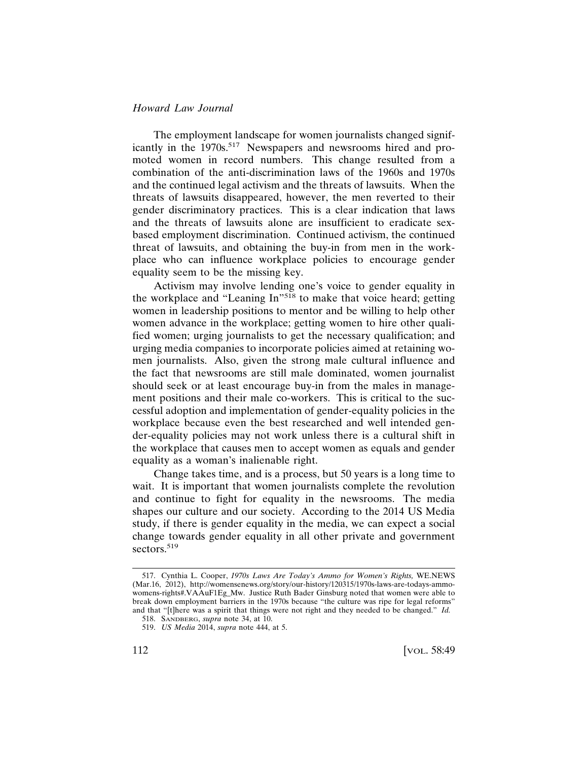The employment landscape for women journalists changed significantly in the 1970s.<sup>517</sup> Newspapers and newsrooms hired and promoted women in record numbers. This change resulted from a combination of the anti-discrimination laws of the 1960s and 1970s and the continued legal activism and the threats of lawsuits. When the threats of lawsuits disappeared, however, the men reverted to their gender discriminatory practices. This is a clear indication that laws and the threats of lawsuits alone are insufficient to eradicate sexbased employment discrimination. Continued activism, the continued threat of lawsuits, and obtaining the buy-in from men in the workplace who can influence workplace policies to encourage gender equality seem to be the missing key.

Activism may involve lending one's voice to gender equality in the workplace and "Leaning In"518 to make that voice heard; getting women in leadership positions to mentor and be willing to help other women advance in the workplace; getting women to hire other qualified women; urging journalists to get the necessary qualification; and urging media companies to incorporate policies aimed at retaining women journalists. Also, given the strong male cultural influence and the fact that newsrooms are still male dominated, women journalist should seek or at least encourage buy-in from the males in management positions and their male co-workers. This is critical to the successful adoption and implementation of gender-equality policies in the workplace because even the best researched and well intended gender-equality policies may not work unless there is a cultural shift in the workplace that causes men to accept women as equals and gender equality as a woman's inalienable right.

Change takes time, and is a process, but 50 years is a long time to wait. It is important that women journalists complete the revolution and continue to fight for equality in the newsrooms. The media shapes our culture and our society. According to the 2014 US Media study, if there is gender equality in the media, we can expect a social change towards gender equality in all other private and government sectors.<sup>519</sup>

<sup>517.</sup> Cynthia L. Cooper, *1970s Laws Are Today's Ammo for Women's Rights,* WE.NEWS (Mar.16, 2012), http://womensenews.org/story/our-history/120315/1970s-laws-are-todays-ammowomens-rights#.VAAuF1Eg\_Mw. Justice Ruth Bader Ginsburg noted that women were able to break down employment barriers in the 1970s because "the culture was ripe for legal reforms" and that "[t]here was a spirit that things were not right and they needed to be changed." *Id.*

<sup>518.</sup> SANDBERG, *supra* note 34, at 10.

<sup>519.</sup> *US Media* 2014, *supra* note 444, at 5.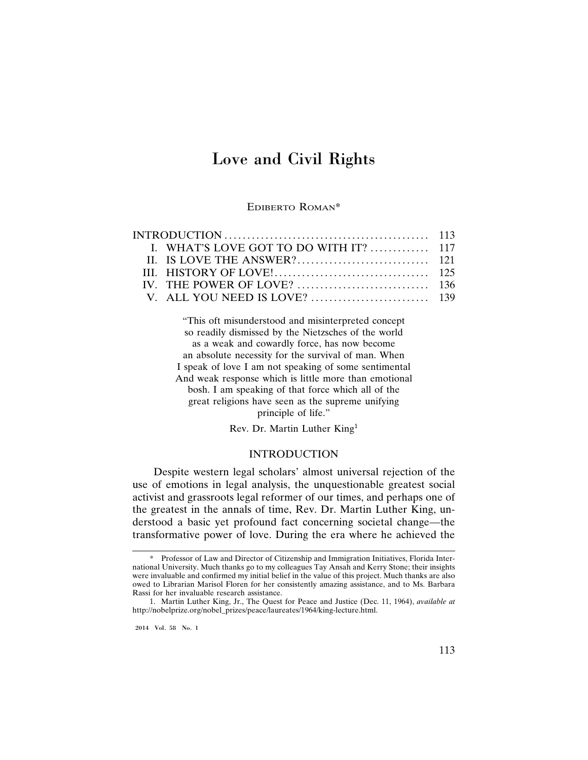# Love and Civil Rights

EDIBERTO ROMAN\*

| I. WHAT'S LOVE GOT TO DO WITH $IT$ ?  117                                 |  |
|---------------------------------------------------------------------------|--|
|                                                                           |  |
|                                                                           |  |
|                                                                           |  |
| V. ALL YOU NEED IS LOVE? $\ldots$ $\ldots$ $\ldots$ $\ldots$ $\ldots$ 139 |  |

"This oft misunderstood and misinterpreted concept so readily dismissed by the Nietzsches of the world as a weak and cowardly force, has now become an absolute necessity for the survival of man. When I speak of love I am not speaking of some sentimental And weak response which is little more than emotional bosh. I am speaking of that force which all of the great religions have seen as the supreme unifying principle of life."

Rev. Dr. Martin Luther King<sup>1</sup>

## INTRODUCTION

Despite western legal scholars' almost universal rejection of the use of emotions in legal analysis, the unquestionable greatest social activist and grassroots legal reformer of our times, and perhaps one of the greatest in the annals of time, Rev. Dr. Martin Luther King, understood a basic yet profound fact concerning societal change—the transformative power of love. During the era where he achieved the

2014 Vol. 58 No. 1

<sup>\*</sup> Professor of Law and Director of Citizenship and Immigration Initiatives, Florida International University. Much thanks go to my colleagues Tay Ansah and Kerry Stone; their insights were invaluable and confirmed my initial belief in the value of this project. Much thanks are also owed to Librarian Marisol Floren for her consistently amazing assistance, and to Ms. Barbara Rassi for her invaluable research assistance.

<sup>1.</sup> Martin Luther King, Jr., The Quest for Peace and Justice (Dec. 11, 1964), *available at* http://nobelprize.org/nobel\_prizes/peace/laureates/1964/king-lecture.html.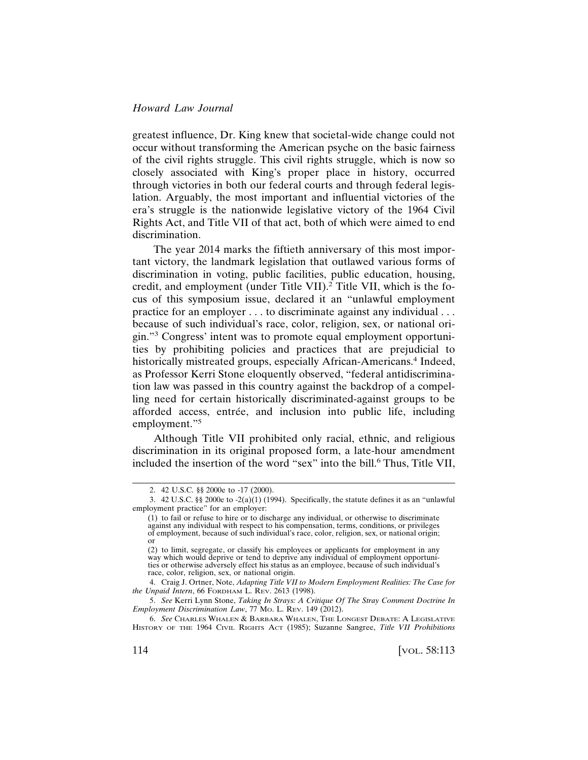greatest influence, Dr. King knew that societal-wide change could not occur without transforming the American psyche on the basic fairness of the civil rights struggle. This civil rights struggle, which is now so closely associated with King's proper place in history, occurred through victories in both our federal courts and through federal legislation. Arguably, the most important and influential victories of the era's struggle is the nationwide legislative victory of the 1964 Civil Rights Act, and Title VII of that act, both of which were aimed to end discrimination.

The year 2014 marks the fiftieth anniversary of this most important victory, the landmark legislation that outlawed various forms of discrimination in voting, public facilities, public education, housing, credit, and employment (under Title VII).<sup>2</sup> Title VII, which is the focus of this symposium issue, declared it an "unlawful employment practice for an employer . . . to discriminate against any individual . . . because of such individual's race, color, religion, sex, or national origin."3 Congress' intent was to promote equal employment opportunities by prohibiting policies and practices that are prejudicial to historically mistreated groups, especially African-Americans.<sup>4</sup> Indeed, as Professor Kerri Stone eloquently observed, "federal antidiscrimination law was passed in this country against the backdrop of a compelling need for certain historically discriminated-against groups to be afforded access, entrée, and inclusion into public life, including employment."<sup>5</sup>

Although Title VII prohibited only racial, ethnic, and religious discrimination in its original proposed form, a late-hour amendment included the insertion of the word "sex" into the bill.<sup>6</sup> Thus, Title VII,

<sup>2. 42</sup> U.S.C. §§ 2000e to -17 (2000).

<sup>3. 42</sup> U.S.C. §§ 2000e to -2(a)(1) (1994). Specifically, the statute defines it as an "unlawful employment practice" for an employer:

<sup>(1)</sup> to fail or refuse to hire or to discharge any individual, or otherwise to discriminate against any individual with respect to his compensation, terms, conditions, or privileges of employment, because of such individual's race, color, religion, sex, or national origin; or

<sup>(2)</sup> to limit, segregate, or classify his employees or applicants for employment in any way which would deprive or tend to deprive any individual of employment opportunities or otherwise adversely effect his status as an employee, because of such individual's race, color, religion, sex, or national origin.

<sup>4.</sup> Craig J. Ortner, Note, *Adapting Title VII to Modern Employment Realities: The Case for the Unpaid Intern*, 66 FORDHAM L. REV. 2613 (1998).

<sup>5.</sup> *See* Kerri Lynn Stone, *Taking In Strays: A Critique Of The Stray Comment Doctrine In Employment Discrimination Law*, 77 MO. L. REV. 149 (2012).

<sup>6.</sup> *See* CHARLES WHALEN & BARBARA WHALEN, THE LONGEST DEBATE: A LEGISLATIVE HISTORY OF THE 1964 CIVIL RIGHTS ACT (1985); Suzanne Sangree, *Title VII Prohibitions*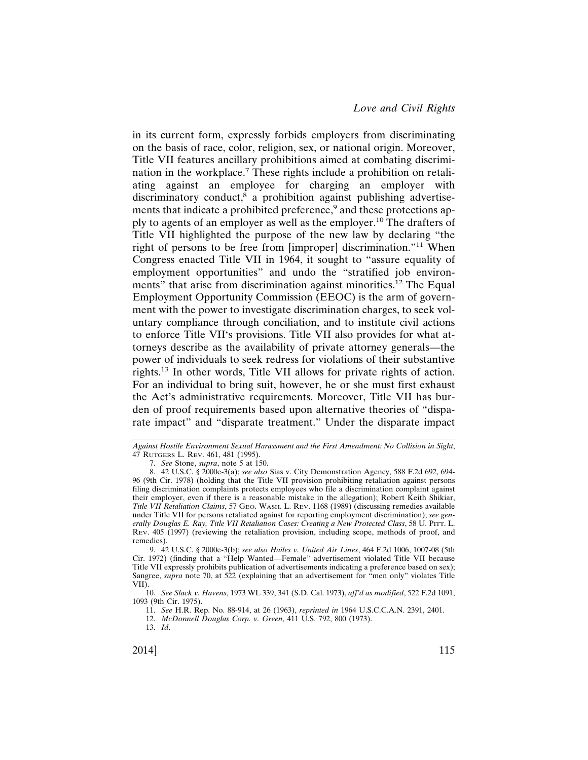in its current form, expressly forbids employers from discriminating on the basis of race, color, religion, sex, or national origin. Moreover, Title VII features ancillary prohibitions aimed at combating discrimination in the workplace.<sup>7</sup> These rights include a prohibition on retaliating against an employee for charging an employer with discriminatory conduct,<sup>8</sup> a prohibition against publishing advertisements that indicate a prohibited preference,<sup>9</sup> and these protections apply to agents of an employer as well as the employer.10 The drafters of Title VII highlighted the purpose of the new law by declaring "the right of persons to be free from [improper] discrimination."11 When Congress enacted Title VII in 1964, it sought to "assure equality of employment opportunities" and undo the "stratified job environments" that arise from discrimination against minorities.<sup>12</sup> The Equal Employment Opportunity Commission (EEOC) is the arm of government with the power to investigate discrimination charges, to seek voluntary compliance through conciliation, and to institute civil actions to enforce Title VII's provisions. Title VII also provides for what attorneys describe as the availability of private attorney generals—the power of individuals to seek redress for violations of their substantive rights.13 In other words, Title VII allows for private rights of action. For an individual to bring suit, however, he or she must first exhaust the Act's administrative requirements. Moreover, Title VII has burden of proof requirements based upon alternative theories of "disparate impact" and "disparate treatment." Under the disparate impact

*Against Hostile Environment Sexual Harassment and the First Amendment: No Collision in Sight*, 47 RUTGERS L. REV. 461, 481 (1995).

<sup>7.</sup> *See* Stone, *supra*, note 5 at 150.

<sup>8. 42</sup> U.S.C. § 2000e-3(a); *see also* Sias v. City Demonstration Agency, 588 F.2d 692, 694- 96 (9th Cir. 1978) (holding that the Title VII provision prohibiting retaliation against persons filing discrimination complaints protects employees who file a discrimination complaint against their employer, even if there is a reasonable mistake in the allegation); Robert Keith Shikiar, *Title VII Retaliation Claims*, 57 GEO. WASH. L. REV. 1168 (1989) (discussing remedies available under Title VII for persons retaliated against for reporting employment discrimination); *see generally Douglas E. Ray, Title VII Retaliation Cases: Creating a New Protected Class*, 58 U. PITT. L. REV. 405 (1997) (reviewing the retaliation provision, including scope, methods of proof, and remedies).

<sup>9. 42</sup> U.S.C. § 2000e-3(b); *see also Hailes v. United Air Lines*, 464 F.2d 1006, 1007-08 (5th Cir. 1972) (finding that a "Help Wanted—Female" advertisement violated Title VII because Title VII expressly prohibits publication of advertisements indicating a preference based on sex); Sangree, *supra* note 70, at 522 (explaining that an advertisement for "men only" violates Title VII).

<sup>10.</sup> *See Slack v. Havens*, 1973 WL 339, 341 (S.D. Cal. 1973), *aff'd as modified*, 522 F.2d 1091, 1093 (9th Cir. 1975).

<sup>11.</sup> *See* H.R. Rep. No. 88-914, at 26 (1963), *reprinted in* 1964 U.S.C.C.A.N. 2391, 2401.

<sup>12.</sup> *McDonnell Douglas Corp. v. Green*, 411 U.S. 792, 800 (1973).

<sup>13.</sup> *Id*.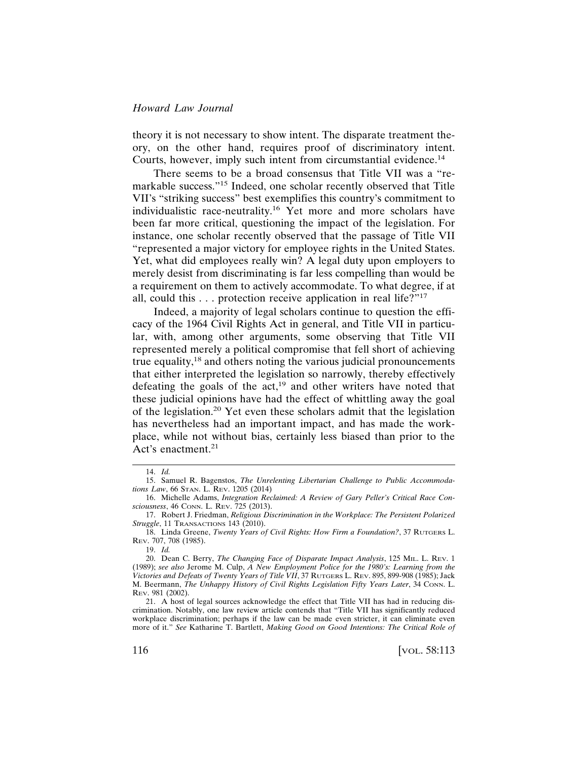theory it is not necessary to show intent. The disparate treatment theory, on the other hand, requires proof of discriminatory intent. Courts, however, imply such intent from circumstantial evidence.<sup>14</sup>

There seems to be a broad consensus that Title VII was a "remarkable success."15 Indeed, one scholar recently observed that Title VII's "striking success" best exemplifies this country's commitment to individualistic race-neutrality.16 Yet more and more scholars have been far more critical, questioning the impact of the legislation. For instance, one scholar recently observed that the passage of Title VII "represented a major victory for employee rights in the United States. Yet, what did employees really win? A legal duty upon employers to merely desist from discriminating is far less compelling than would be a requirement on them to actively accommodate. To what degree, if at all, could this  $\dots$  protection receive application in real life?"<sup>17</sup>

Indeed, a majority of legal scholars continue to question the efficacy of the 1964 Civil Rights Act in general, and Title VII in particular, with, among other arguments, some observing that Title VII represented merely a political compromise that fell short of achieving true equality, $18$  and others noting the various judicial pronouncements that either interpreted the legislation so narrowly, thereby effectively defeating the goals of the  $act<sub>19</sub><sup>19</sup>$  and other writers have noted that these judicial opinions have had the effect of whittling away the goal of the legislation.20 Yet even these scholars admit that the legislation has nevertheless had an important impact, and has made the workplace, while not without bias, certainly less biased than prior to the Act's enactment.<sup>21</sup>

<sup>14.</sup> *Id.*

<sup>15.</sup> Samuel R. Bagenstos, *The Unrelenting Libertarian Challenge to Public Accommodations Law*, 66 STAN. L. REV. 1205 (2014)

<sup>16.</sup> Michelle Adams, *Integration Reclaimed: A Review of Gary Peller's Critical Race Consciousness*, 46 CONN. L. REV. 725 (2013).

<sup>17.</sup> Robert J. Friedman, *Religious Discrimination in the Workplace: The Persistent Polarized Struggle*, 11 TRANSACTIONS 143 (2010).

<sup>18.</sup> Linda Greene, *Twenty Years of Civil Rights: How Firm a Foundation?*, 37 RUTGERS L. REV. 707, 708 (1985).

<sup>19.</sup> *Id.*

<sup>20.</sup> Dean C. Berry, *The Changing Face of Disparate Impact Analysis*, 125 MIL. L. REV. 1 (1989); *see also* Jerome M. Culp, *A New Employment Police for the 1980's: Learning from the Victories and Defeats of Twenty Years of Title VII*, 37 RUTGERS L. REV. 895, 899-908 (1985); Jack M. Beermann, *The Unhappy History of Civil Rights Legislation Fifty Years Later*, 34 CONN. L. REV. 981 (2002).

<sup>21.</sup> A host of legal sources acknowledge the effect that Title VII has had in reducing discrimination. Notably, one law review article contends that "Title VII has significantly reduced workplace discrimination; perhaps if the law can be made even stricter, it can eliminate even more of it." *See* Katharine T. Bartlett, *Making Good on Good Intentions: The Critical Role of*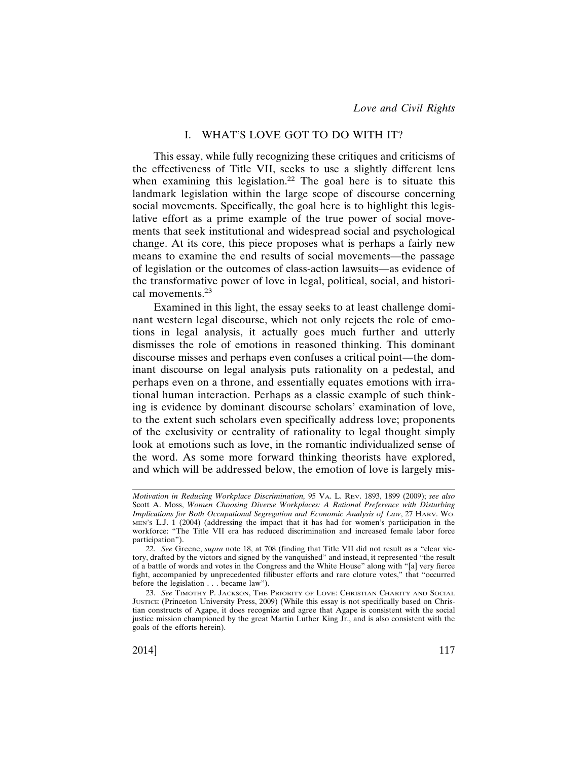#### I. WHAT'S LOVE GOT TO DO WITH IT?

This essay, while fully recognizing these critiques and criticisms of the effectiveness of Title VII, seeks to use a slightly different lens when examining this legislation.<sup>22</sup> The goal here is to situate this landmark legislation within the large scope of discourse concerning social movements. Specifically, the goal here is to highlight this legislative effort as a prime example of the true power of social movements that seek institutional and widespread social and psychological change. At its core, this piece proposes what is perhaps a fairly new means to examine the end results of social movements—the passage of legislation or the outcomes of class-action lawsuits—as evidence of the transformative power of love in legal, political, social, and historical movements.<sup>23</sup>

Examined in this light, the essay seeks to at least challenge dominant western legal discourse, which not only rejects the role of emotions in legal analysis, it actually goes much further and utterly dismisses the role of emotions in reasoned thinking. This dominant discourse misses and perhaps even confuses a critical point—the dominant discourse on legal analysis puts rationality on a pedestal, and perhaps even on a throne, and essentially equates emotions with irrational human interaction. Perhaps as a classic example of such thinking is evidence by dominant discourse scholars' examination of love, to the extent such scholars even specifically address love; proponents of the exclusivity or centrality of rationality to legal thought simply look at emotions such as love, in the romantic individualized sense of the word. As some more forward thinking theorists have explored, and which will be addressed below, the emotion of love is largely mis-

*Motivation in Reducing Workplace Discrimination,* 95 VA. L. REV. 1893, 1899 (2009); *see also* Scott A. Moss, *Women Choosing Diverse Workplaces: A Rational Preference with Disturbing Implications for Both Occupational Segregation and Economic Analysis of Law*, 27 HARV. WO-MEN'S L.J. 1 (2004) (addressing the impact that it has had for women's participation in the workforce: "The Title VII era has reduced discrimination and increased female labor force participation").

<sup>22.</sup> *See* Greene, *supra* note 18, at 708 (finding that Title VII did not result as a "clear victory, drafted by the victors and signed by the vanquished" and instead, it represented "the result of a battle of words and votes in the Congress and the White House" along with "[a] very fierce fight, accompanied by unprecedented filibuster efforts and rare cloture votes," that "occurred before the legislation . . . became law").

<sup>23.</sup> *See* TIMOTHY P. JACKSON, THE PRIORITY OF LOVE: CHRISTIAN CHARITY AND SOCIAL JUSTICE (Princeton University Press, 2009) (While this essay is not specifically based on Christian constructs of Agape, it does recognize and agree that Agape is consistent with the social justice mission championed by the great Martin Luther King Jr., and is also consistent with the goals of the efforts herein).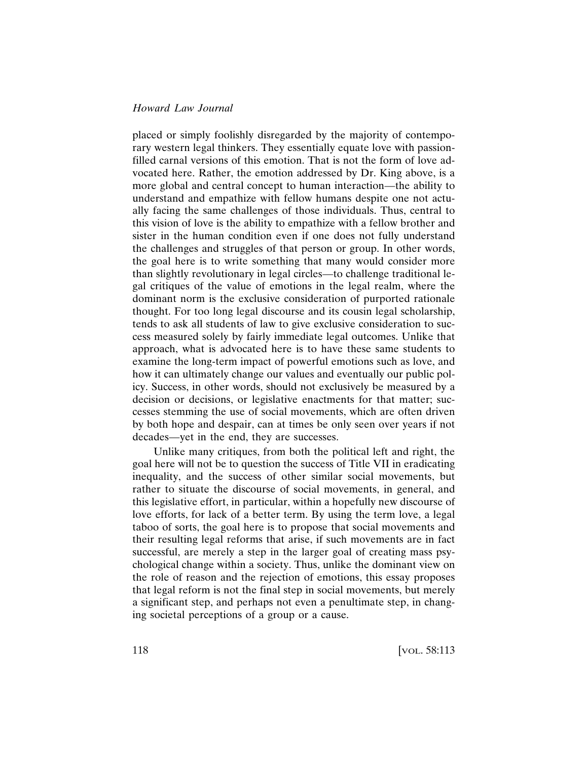placed or simply foolishly disregarded by the majority of contemporary western legal thinkers. They essentially equate love with passionfilled carnal versions of this emotion. That is not the form of love advocated here. Rather, the emotion addressed by Dr. King above, is a more global and central concept to human interaction—the ability to understand and empathize with fellow humans despite one not actually facing the same challenges of those individuals. Thus, central to this vision of love is the ability to empathize with a fellow brother and sister in the human condition even if one does not fully understand the challenges and struggles of that person or group. In other words, the goal here is to write something that many would consider more than slightly revolutionary in legal circles—to challenge traditional legal critiques of the value of emotions in the legal realm, where the dominant norm is the exclusive consideration of purported rationale thought. For too long legal discourse and its cousin legal scholarship, tends to ask all students of law to give exclusive consideration to success measured solely by fairly immediate legal outcomes. Unlike that approach, what is advocated here is to have these same students to examine the long-term impact of powerful emotions such as love, and how it can ultimately change our values and eventually our public policy. Success, in other words, should not exclusively be measured by a decision or decisions, or legislative enactments for that matter; successes stemming the use of social movements, which are often driven by both hope and despair, can at times be only seen over years if not decades—yet in the end, they are successes.

Unlike many critiques, from both the political left and right, the goal here will not be to question the success of Title VII in eradicating inequality, and the success of other similar social movements, but rather to situate the discourse of social movements, in general, and this legislative effort, in particular, within a hopefully new discourse of love efforts, for lack of a better term. By using the term love, a legal taboo of sorts, the goal here is to propose that social movements and their resulting legal reforms that arise, if such movements are in fact successful, are merely a step in the larger goal of creating mass psychological change within a society. Thus, unlike the dominant view on the role of reason and the rejection of emotions, this essay proposes that legal reform is not the final step in social movements, but merely a significant step, and perhaps not even a penultimate step, in changing societal perceptions of a group or a cause.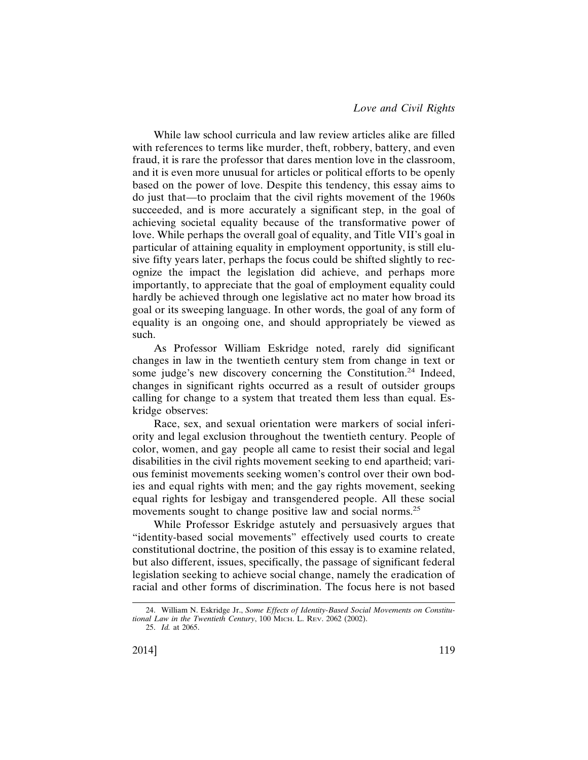## *Love and Civil Rights*

While law school curricula and law review articles alike are filled with references to terms like murder, theft, robbery, battery, and even fraud, it is rare the professor that dares mention love in the classroom, and it is even more unusual for articles or political efforts to be openly based on the power of love. Despite this tendency, this essay aims to do just that—to proclaim that the civil rights movement of the 1960s succeeded, and is more accurately a significant step, in the goal of achieving societal equality because of the transformative power of love. While perhaps the overall goal of equality, and Title VII's goal in particular of attaining equality in employment opportunity, is still elusive fifty years later, perhaps the focus could be shifted slightly to recognize the impact the legislation did achieve, and perhaps more importantly, to appreciate that the goal of employment equality could hardly be achieved through one legislative act no mater how broad its goal or its sweeping language. In other words, the goal of any form of equality is an ongoing one, and should appropriately be viewed as such.

As Professor William Eskridge noted, rarely did significant changes in law in the twentieth century stem from change in text or some judge's new discovery concerning the Constitution.<sup>24</sup> Indeed, changes in significant rights occurred as a result of outsider groups calling for change to a system that treated them less than equal. Eskridge observes:

Race, sex, and sexual orientation were markers of social inferiority and legal exclusion throughout the twentieth century. People of color, women, and gay people all came to resist their social and legal disabilities in the civil rights movement seeking to end apartheid; various feminist movements seeking women's control over their own bodies and equal rights with men; and the gay rights movement, seeking equal rights for lesbigay and transgendered people. All these social movements sought to change positive law and social norms.<sup>25</sup>

While Professor Eskridge astutely and persuasively argues that "identity-based social movements" effectively used courts to create constitutional doctrine, the position of this essay is to examine related, but also different, issues, specifically, the passage of significant federal legislation seeking to achieve social change, namely the eradication of racial and other forms of discrimination. The focus here is not based

<sup>24.</sup> William N. Eskridge Jr., *Some Effects of Identity-Based Social Movements on Constitutional Law in the Twentieth Century*, 100 MICH. L. REV. 2062 (2002). 25. *Id.* at 2065.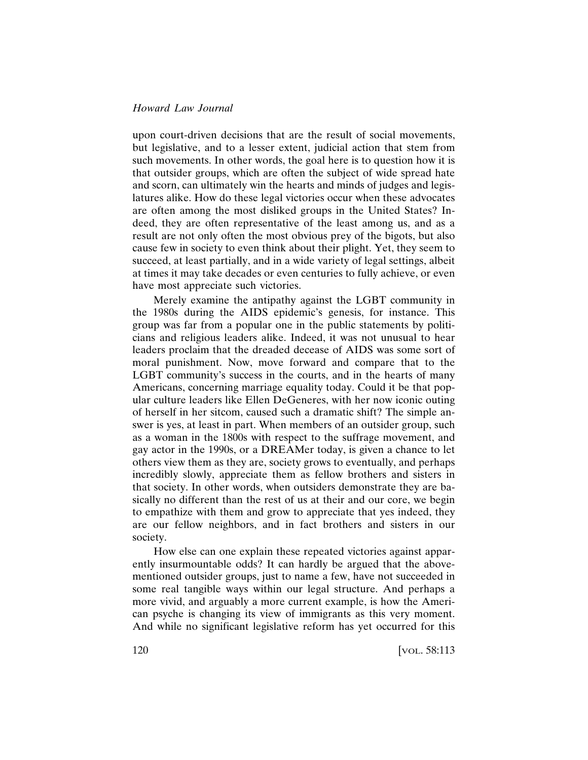upon court-driven decisions that are the result of social movements, but legislative, and to a lesser extent, judicial action that stem from such movements. In other words, the goal here is to question how it is that outsider groups, which are often the subject of wide spread hate and scorn, can ultimately win the hearts and minds of judges and legislatures alike. How do these legal victories occur when these advocates are often among the most disliked groups in the United States? Indeed, they are often representative of the least among us, and as a result are not only often the most obvious prey of the bigots, but also cause few in society to even think about their plight. Yet, they seem to succeed, at least partially, and in a wide variety of legal settings, albeit at times it may take decades or even centuries to fully achieve, or even have most appreciate such victories.

Merely examine the antipathy against the LGBT community in the 1980s during the AIDS epidemic's genesis, for instance. This group was far from a popular one in the public statements by politicians and religious leaders alike. Indeed, it was not unusual to hear leaders proclaim that the dreaded decease of AIDS was some sort of moral punishment. Now, move forward and compare that to the LGBT community's success in the courts, and in the hearts of many Americans, concerning marriage equality today. Could it be that popular culture leaders like Ellen DeGeneres, with her now iconic outing of herself in her sitcom, caused such a dramatic shift? The simple answer is yes, at least in part. When members of an outsider group, such as a woman in the 1800s with respect to the suffrage movement, and gay actor in the 1990s, or a DREAMer today, is given a chance to let others view them as they are, society grows to eventually, and perhaps incredibly slowly, appreciate them as fellow brothers and sisters in that society. In other words, when outsiders demonstrate they are basically no different than the rest of us at their and our core, we begin to empathize with them and grow to appreciate that yes indeed, they are our fellow neighbors, and in fact brothers and sisters in our society.

How else can one explain these repeated victories against apparently insurmountable odds? It can hardly be argued that the abovementioned outsider groups, just to name a few, have not succeeded in some real tangible ways within our legal structure. And perhaps a more vivid, and arguably a more current example, is how the American psyche is changing its view of immigrants as this very moment. And while no significant legislative reform has yet occurred for this

120 **[VOL. 58:113]**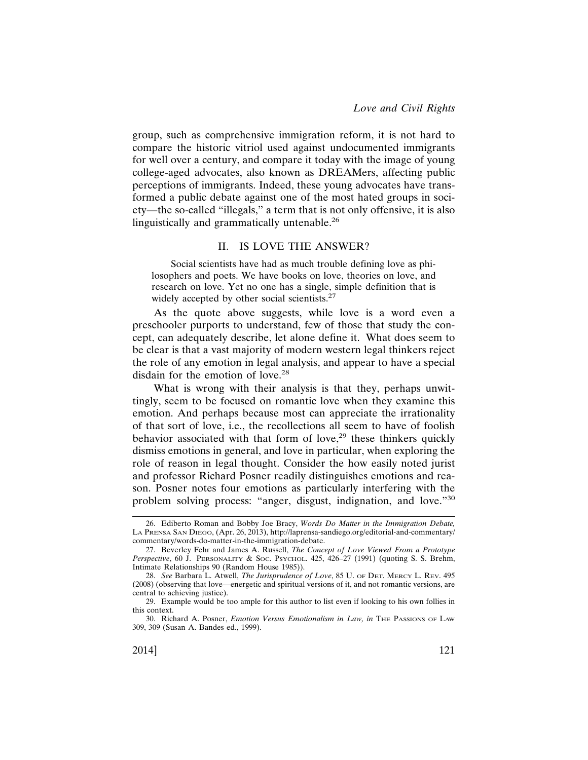group, such as comprehensive immigration reform, it is not hard to compare the historic vitriol used against undocumented immigrants for well over a century, and compare it today with the image of young college-aged advocates, also known as DREAMers, affecting public perceptions of immigrants. Indeed, these young advocates have transformed a public debate against one of the most hated groups in society—the so-called "illegals," a term that is not only offensive, it is also linguistically and grammatically untenable.<sup>26</sup>

#### II. IS LOVE THE ANSWER?

Social scientists have had as much trouble defining love as philosophers and poets. We have books on love, theories on love, and research on love. Yet no one has a single, simple definition that is widely accepted by other social scientists.<sup>27</sup>

As the quote above suggests, while love is a word even a preschooler purports to understand, few of those that study the concept, can adequately describe, let alone define it. What does seem to be clear is that a vast majority of modern western legal thinkers reject the role of any emotion in legal analysis, and appear to have a special disdain for the emotion of love.<sup>28</sup>

What is wrong with their analysis is that they, perhaps unwittingly, seem to be focused on romantic love when they examine this emotion. And perhaps because most can appreciate the irrationality of that sort of love, i.e., the recollections all seem to have of foolish behavior associated with that form of love, $29$  these thinkers quickly dismiss emotions in general, and love in particular, when exploring the role of reason in legal thought. Consider the how easily noted jurist and professor Richard Posner readily distinguishes emotions and reason. Posner notes four emotions as particularly interfering with the problem solving process: "anger, disgust, indignation, and love."<sup>30</sup>

<sup>26.</sup> Ediberto Roman and Bobby Joe Bracy, *Words Do Matter in the Immigration Debate,* LA PRENSA SAN DIEGO, (Apr. 26, 2013), http://laprensa-sandiego.org/editorial-and-commentary/ commentary/words-do-matter-in-the-immigration-debate.

<sup>27.</sup> Beverley Fehr and James A. Russell, *The Concept of Love Viewed From a Prototype Perspective*, 60 J. PERSONALITY & SOC. PSYCHOL. 425, 426–27 (1991) (quoting S. S. Brehm, Intimate Relationships 90 (Random House 1985)).

<sup>28.</sup> *See* Barbara L. Atwell, *The Jurisprudence of Love*, 85 U. OF DET. MERCY L. REV. 495 (2008) (observing that love—energetic and spiritual versions of it, and not romantic versions, are central to achieving justice).

<sup>29.</sup> Example would be too ample for this author to list even if looking to his own follies in this context.

<sup>30.</sup> Richard A. Posner, *Emotion Versus Emotionalism in Law, in* THE PASSIONS OF LAW 309, 309 (Susan A. Bandes ed., 1999).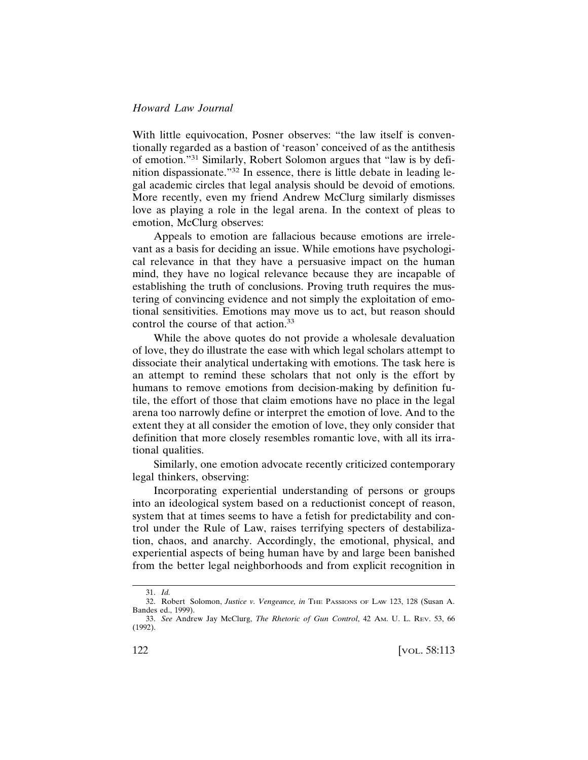With little equivocation, Posner observes: "the law itself is conventionally regarded as a bastion of 'reason' conceived of as the antithesis of emotion."31 Similarly, Robert Solomon argues that "law is by definition dispassionate."32 In essence, there is little debate in leading legal academic circles that legal analysis should be devoid of emotions. More recently, even my friend Andrew McClurg similarly dismisses love as playing a role in the legal arena. In the context of pleas to emotion, McClurg observes:

Appeals to emotion are fallacious because emotions are irrelevant as a basis for deciding an issue. While emotions have psychological relevance in that they have a persuasive impact on the human mind, they have no logical relevance because they are incapable of establishing the truth of conclusions. Proving truth requires the mustering of convincing evidence and not simply the exploitation of emotional sensitivities. Emotions may move us to act, but reason should control the course of that action.<sup>33</sup>

While the above quotes do not provide a wholesale devaluation of love, they do illustrate the ease with which legal scholars attempt to dissociate their analytical undertaking with emotions. The task here is an attempt to remind these scholars that not only is the effort by humans to remove emotions from decision-making by definition futile, the effort of those that claim emotions have no place in the legal arena too narrowly define or interpret the emotion of love. And to the extent they at all consider the emotion of love, they only consider that definition that more closely resembles romantic love, with all its irrational qualities.

Similarly, one emotion advocate recently criticized contemporary legal thinkers, observing:

Incorporating experiential understanding of persons or groups into an ideological system based on a reductionist concept of reason, system that at times seems to have a fetish for predictability and control under the Rule of Law, raises terrifying specters of destabilization, chaos, and anarchy. Accordingly, the emotional, physical, and experiential aspects of being human have by and large been banished from the better legal neighborhoods and from explicit recognition in

<sup>31.</sup> *Id.*

<sup>32.</sup> Robert Solomon, *Justice v. Vengeance*, in The PASSIONS OF LAW 123, 128 (Susan A. Bandes ed., 1999).

<sup>33.</sup> *See* Andrew Jay McClurg, *The Rhetoric of Gun Control*, 42 AM. U. L. REV. 53, 66 (1992).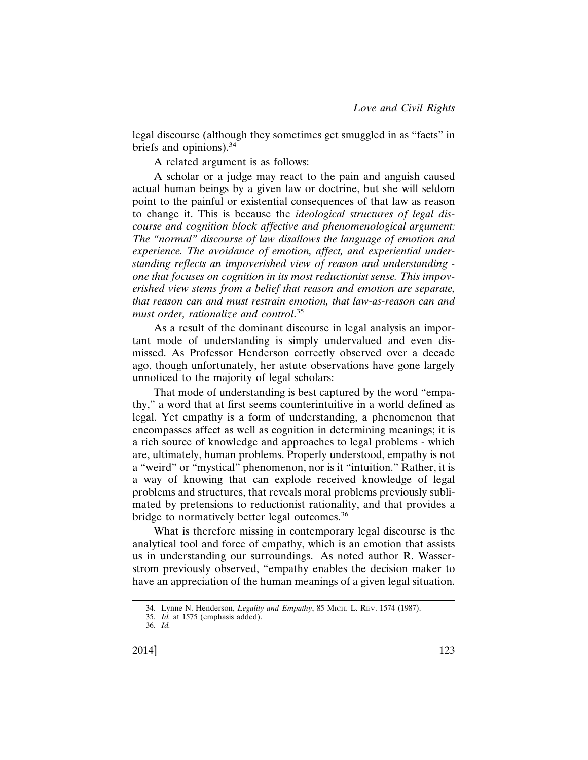legal discourse (although they sometimes get smuggled in as "facts" in briefs and opinions).<sup>34</sup>

A related argument is as follows:

A scholar or a judge may react to the pain and anguish caused actual human beings by a given law or doctrine, but she will seldom point to the painful or existential consequences of that law as reason to change it. This is because the *ideological structures of legal discourse and cognition block affective and phenomenological argument: The "normal" discourse of law disallows the language of emotion and experience. The avoidance of emotion, affect, and experiential understanding reflects an impoverished view of reason and understanding one that focuses on cognition in its most reductionist sense. This impoverished view stems from a belief that reason and emotion are separate, that reason can and must restrain emotion, that law-as-reason can and must order, rationalize and control*. 35

As a result of the dominant discourse in legal analysis an important mode of understanding is simply undervalued and even dismissed. As Professor Henderson correctly observed over a decade ago, though unfortunately, her astute observations have gone largely unnoticed to the majority of legal scholars:

That mode of understanding is best captured by the word "empathy," a word that at first seems counterintuitive in a world defined as legal. Yet empathy is a form of understanding, a phenomenon that encompasses affect as well as cognition in determining meanings; it is a rich source of knowledge and approaches to legal problems - which are, ultimately, human problems. Properly understood, empathy is not a "weird" or "mystical" phenomenon, nor is it "intuition." Rather, it is a way of knowing that can explode received knowledge of legal problems and structures, that reveals moral problems previously sublimated by pretensions to reductionist rationality, and that provides a bridge to normatively better legal outcomes.<sup>36</sup>

What is therefore missing in contemporary legal discourse is the analytical tool and force of empathy, which is an emotion that assists us in understanding our surroundings. As noted author R. Wasserstrom previously observed, "empathy enables the decision maker to have an appreciation of the human meanings of a given legal situation.

<sup>34.</sup> Lynne N. Henderson, *Legality and Empathy*, 85 MICH. L. REV. 1574 (1987).

<sup>35.</sup> *Id.* at 1575 (emphasis added).

<sup>36.</sup> *Id.*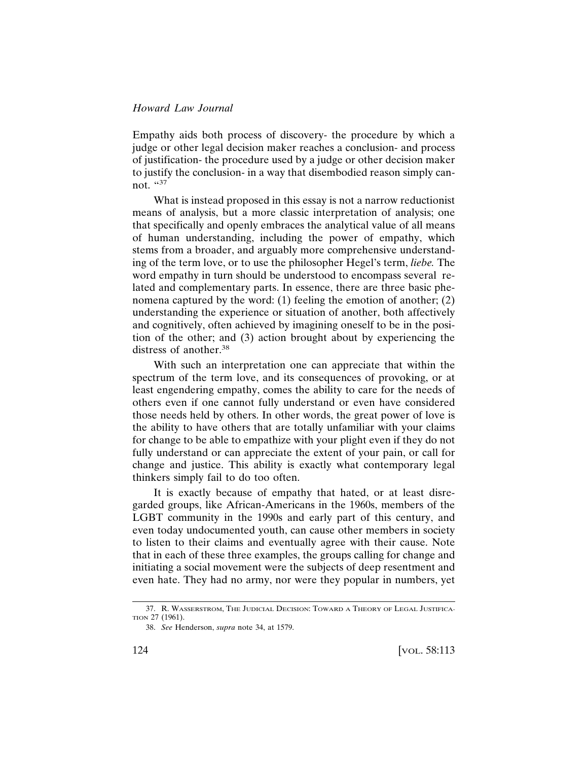Empathy aids both process of discovery- the procedure by which a judge or other legal decision maker reaches a conclusion- and process of justification- the procedure used by a judge or other decision maker to justify the conclusion- in a way that disembodied reason simply cannot. "37

What is instead proposed in this essay is not a narrow reductionist means of analysis, but a more classic interpretation of analysis; one that specifically and openly embraces the analytical value of all means of human understanding, including the power of empathy, which stems from a broader, and arguably more comprehensive understanding of the term love, or to use the philosopher Hegel's term, *liebe.* The word empathy in turn should be understood to encompass several related and complementary parts. In essence, there are three basic phenomena captured by the word: (1) feeling the emotion of another; (2) understanding the experience or situation of another, both affectively and cognitively, often achieved by imagining oneself to be in the position of the other; and (3) action brought about by experiencing the distress of another.<sup>38</sup>

With such an interpretation one can appreciate that within the spectrum of the term love, and its consequences of provoking, or at least engendering empathy, comes the ability to care for the needs of others even if one cannot fully understand or even have considered those needs held by others. In other words, the great power of love is the ability to have others that are totally unfamiliar with your claims for change to be able to empathize with your plight even if they do not fully understand or can appreciate the extent of your pain, or call for change and justice. This ability is exactly what contemporary legal thinkers simply fail to do too often.

It is exactly because of empathy that hated, or at least disregarded groups, like African-Americans in the 1960s, members of the LGBT community in the 1990s and early part of this century, and even today undocumented youth, can cause other members in society to listen to their claims and eventually agree with their cause. Note that in each of these three examples, the groups calling for change and initiating a social movement were the subjects of deep resentment and even hate. They had no army, nor were they popular in numbers, yet

<sup>37.</sup> R. WASSERSTROM, THE JUDICIAL DECISION: TOWARD A THEORY OF LEGAL JUSTIFICA-TION 27 (1961).

<sup>38.</sup> *See* Henderson, *supra* note 34, at 1579.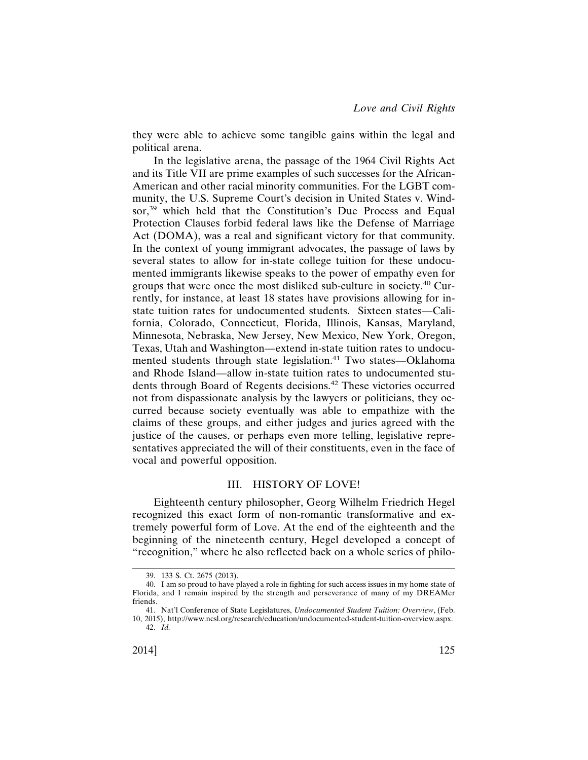they were able to achieve some tangible gains within the legal and political arena.

In the legislative arena, the passage of the 1964 Civil Rights Act and its Title VII are prime examples of such successes for the African-American and other racial minority communities. For the LGBT community, the U.S. Supreme Court's decision in United States v. Windsor,<sup>39</sup> which held that the Constitution's Due Process and Equal Protection Clauses forbid federal laws like the Defense of Marriage Act (DOMA), was a real and significant victory for that community. In the context of young immigrant advocates, the passage of laws by several states to allow for in-state college tuition for these undocumented immigrants likewise speaks to the power of empathy even for groups that were once the most disliked sub-culture in society.40 Currently, for instance, at least 18 states have provisions allowing for instate tuition rates for undocumented students. Sixteen states—California, Colorado, Connecticut, Florida, Illinois, Kansas, Maryland, Minnesota, Nebraska, New Jersey, New Mexico, New York, Oregon, Texas, Utah and Washington—extend in-state tuition rates to undocumented students through state legislation.<sup>41</sup> Two states—Oklahoma and Rhode Island—allow in-state tuition rates to undocumented students through Board of Regents decisions.<sup>42</sup> These victories occurred not from dispassionate analysis by the lawyers or politicians, they occurred because society eventually was able to empathize with the claims of these groups, and either judges and juries agreed with the justice of the causes, or perhaps even more telling, legislative representatives appreciated the will of their constituents, even in the face of vocal and powerful opposition.

#### III. HISTORY OF LOVE!

Eighteenth century philosopher, Georg Wilhelm Friedrich Hegel recognized this exact form of non-romantic transformative and extremely powerful form of Love. At the end of the eighteenth and the beginning of the nineteenth century, Hegel developed a concept of "recognition," where he also reflected back on a whole series of philo-

42. *Id.*

<sup>39. 133</sup> S. Ct. 2675 (2013).

<sup>40.</sup> I am so proud to have played a role in fighting for such access issues in my home state of Florida, and I remain inspired by the strength and perseverance of many of my DREAMer friends.

<sup>41.</sup> Nat'l Conference of State Legislatures, *Undocumented Student Tuition: Overview*, (Feb. 10, 2015), http://www.ncsl.org/research/education/undocumented-student-tuition-overview.aspx.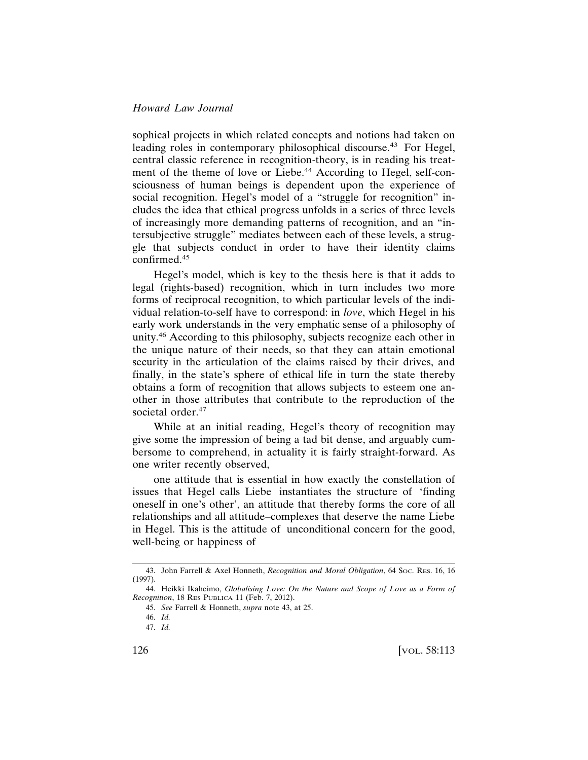sophical projects in which related concepts and notions had taken on leading roles in contemporary philosophical discourse.<sup>43</sup> For Hegel, central classic reference in recognition-theory, is in reading his treatment of the theme of love or Liebe.<sup>44</sup> According to Hegel, self-consciousness of human beings is dependent upon the experience of social recognition. Hegel's model of a "struggle for recognition" includes the idea that ethical progress unfolds in a series of three levels of increasingly more demanding patterns of recognition, and an "intersubjective struggle" mediates between each of these levels, a struggle that subjects conduct in order to have their identity claims confirmed.45

Hegel's model, which is key to the thesis here is that it adds to legal (rights-based) recognition, which in turn includes two more forms of reciprocal recognition, to which particular levels of the individual relation-to-self have to correspond: in *love*, which Hegel in his early work understands in the very emphatic sense of a philosophy of unity.46 According to this philosophy, subjects recognize each other in the unique nature of their needs, so that they can attain emotional security in the articulation of the claims raised by their drives, and finally, in the state's sphere of ethical life in turn the state thereby obtains a form of recognition that allows subjects to esteem one another in those attributes that contribute to the reproduction of the societal order.<sup>47</sup>

While at an initial reading, Hegel's theory of recognition may give some the impression of being a tad bit dense, and arguably cumbersome to comprehend, in actuality it is fairly straight-forward. As one writer recently observed,

one attitude that is essential in how exactly the constellation of issues that Hegel calls Liebe instantiates the structure of 'finding oneself in one's other', an attitude that thereby forms the core of all relationships and all attitude–complexes that deserve the name Liebe in Hegel. This is the attitude of unconditional concern for the good, well-being or happiness of

<sup>43.</sup> John Farrell & Axel Honneth, *Recognition and Moral Obligation*, 64 Soc. REs. 16, 16 (1997).

<sup>44.</sup> Heikki Ikaheimo, *Globalising Love: On the Nature and Scope of Love as a Form of Recognition*, 18 RES PUBLICA 11 (Feb. 7, 2012).

<sup>45.</sup> *See* Farrell & Honneth, *supra* note 43, at 25.

<sup>46.</sup> *Id.*

<sup>47.</sup> *Id.*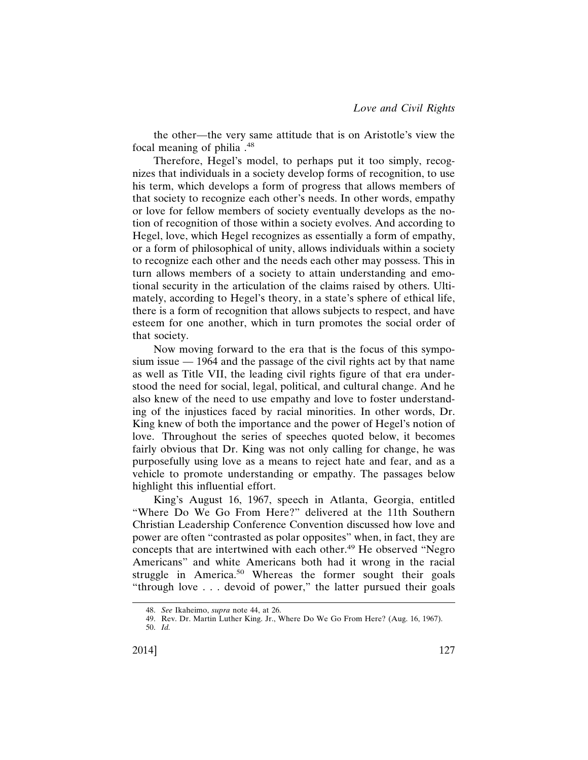the other—the very same attitude that is on Aristotle's view the focal meaning of philia .48

Therefore, Hegel's model, to perhaps put it too simply, recognizes that individuals in a society develop forms of recognition, to use his term, which develops a form of progress that allows members of that society to recognize each other's needs. In other words, empathy or love for fellow members of society eventually develops as the notion of recognition of those within a society evolves. And according to Hegel, love, which Hegel recognizes as essentially a form of empathy, or a form of philosophical of unity, allows individuals within a society to recognize each other and the needs each other may possess. This in turn allows members of a society to attain understanding and emotional security in the articulation of the claims raised by others. Ultimately, according to Hegel's theory, in a state's sphere of ethical life, there is a form of recognition that allows subjects to respect, and have esteem for one another, which in turn promotes the social order of that society.

Now moving forward to the era that is the focus of this symposium issue — 1964 and the passage of the civil rights act by that name as well as Title VII, the leading civil rights figure of that era understood the need for social, legal, political, and cultural change. And he also knew of the need to use empathy and love to foster understanding of the injustices faced by racial minorities. In other words, Dr. King knew of both the importance and the power of Hegel's notion of love. Throughout the series of speeches quoted below, it becomes fairly obvious that Dr. King was not only calling for change, he was purposefully using love as a means to reject hate and fear, and as a vehicle to promote understanding or empathy. The passages below highlight this influential effort.

King's August 16, 1967, speech in Atlanta, Georgia, entitled "Where Do We Go From Here?" delivered at the 11th Southern Christian Leadership Conference Convention discussed how love and power are often "contrasted as polar opposites" when, in fact, they are concepts that are intertwined with each other.<sup>49</sup> He observed "Negro Americans" and white Americans both had it wrong in the racial struggle in America.<sup>50</sup> Whereas the former sought their goals "through love . . . devoid of power," the latter pursued their goals

<sup>48.</sup> *See* Ikaheimo, *supra* note 44, at 26.

<sup>49.</sup> Rev. Dr. Martin Luther King. Jr., Where Do We Go From Here? (Aug. 16, 1967).

<sup>50.</sup> *Id.*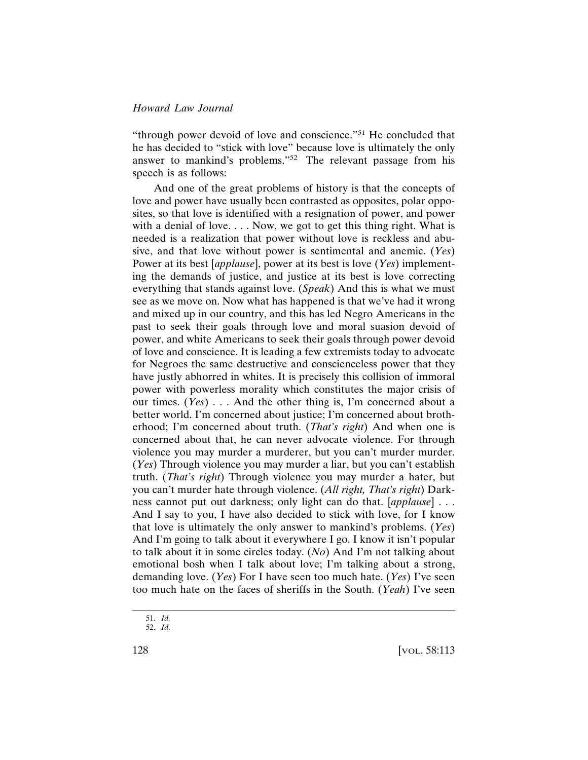"through power devoid of love and conscience."<sup>51</sup> He concluded that he has decided to "stick with love" because love is ultimately the only answer to mankind's problems."52 The relevant passage from his speech is as follows:

And one of the great problems of history is that the concepts of love and power have usually been contrasted as opposites, polar opposites, so that love is identified with a resignation of power, and power with a denial of love. . . . Now, we got to get this thing right. What is needed is a realization that power without love is reckless and abusive, and that love without power is sentimental and anemic. (*Yes*) Power at its best [*applause*], power at its best is love (*Yes*) implementing the demands of justice, and justice at its best is love correcting everything that stands against love. (*Speak*) And this is what we must see as we move on. Now what has happened is that we've had it wrong and mixed up in our country, and this has led Negro Americans in the past to seek their goals through love and moral suasion devoid of power, and white Americans to seek their goals through power devoid of love and conscience. It is leading a few extremists today to advocate for Negroes the same destructive and conscienceless power that they have justly abhorred in whites. It is precisely this collision of immoral power with powerless morality which constitutes the major crisis of our times. (*Yes*) . . . And the other thing is, I'm concerned about a better world. I'm concerned about justice; I'm concerned about brotherhood; I'm concerned about truth. (*That's right*) And when one is concerned about that, he can never advocate violence. For through violence you may murder a murderer, but you can't murder murder. (*Yes*) Through violence you may murder a liar, but you can't establish truth. (*That's right*) Through violence you may murder a hater, but you can't murder hate through violence. (*All right, That's right*) Darkness cannot put out darkness; only light can do that. [*applause*] . . . And I say to you, I have also decided to stick with love, for I know that love is ultimately the only answer to mankind's problems. (*Yes*) And I'm going to talk about it everywhere I go. I know it isn't popular to talk about it in some circles today. (*No*) And I'm not talking about emotional bosh when I talk about love; I'm talking about a strong, demanding love. (*Yes*) For I have seen too much hate. (*Yes*) I've seen too much hate on the faces of sheriffs in the South. (*Yeah*) I've seen

51. *Id.* 52. *Id.*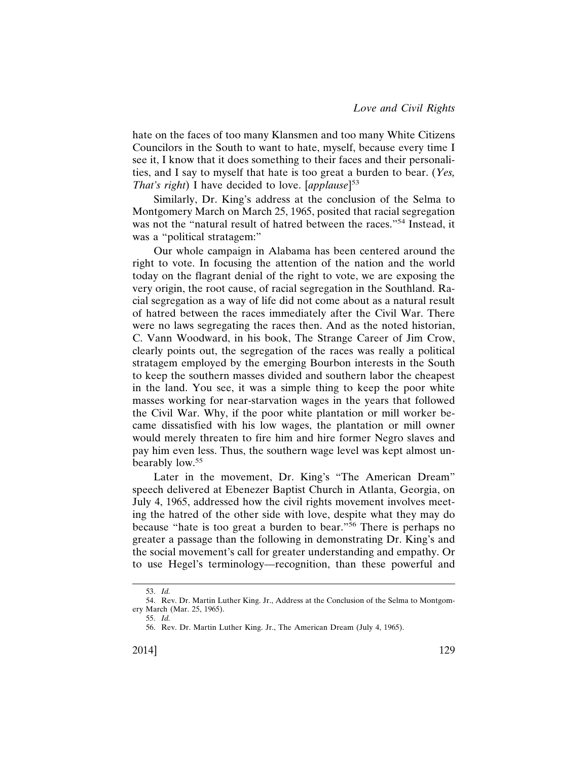hate on the faces of too many Klansmen and too many White Citizens Councilors in the South to want to hate, myself, because every time I see it, I know that it does something to their faces and their personalities, and I say to myself that hate is too great a burden to bear. (*Yes, That's right*) I have decided to love. [*applause*] 53

Similarly, Dr. King's address at the conclusion of the Selma to Montgomery March on March 25, 1965, posited that racial segregation was not the "natural result of hatred between the races."<sup>54</sup> Instead, it was a "political stratagem:"

Our whole campaign in Alabama has been centered around the right to vote. In focusing the attention of the nation and the world today on the flagrant denial of the right to vote, we are exposing the very origin, the root cause, of racial segregation in the Southland. Racial segregation as a way of life did not come about as a natural result of hatred between the races immediately after the Civil War. There were no laws segregating the races then. And as the noted historian, C. Vann Woodward, in his book, The Strange Career of Jim Crow, clearly points out, the segregation of the races was really a political stratagem employed by the emerging Bourbon interests in the South to keep the southern masses divided and southern labor the cheapest in the land. You see, it was a simple thing to keep the poor white masses working for near-starvation wages in the years that followed the Civil War. Why, if the poor white plantation or mill worker became dissatisfied with his low wages, the plantation or mill owner would merely threaten to fire him and hire former Negro slaves and pay him even less. Thus, the southern wage level was kept almost unbearably low.<sup>55</sup>

Later in the movement, Dr. King's "The American Dream" speech delivered at Ebenezer Baptist Church in Atlanta, Georgia, on July 4, 1965, addressed how the civil rights movement involves meeting the hatred of the other side with love, despite what they may do because "hate is too great a burden to bear."56 There is perhaps no greater a passage than the following in demonstrating Dr. King's and the social movement's call for greater understanding and empathy. Or to use Hegel's terminology—recognition, than these powerful and

<sup>53.</sup> *Id.*

<sup>54.</sup> Rev. Dr. Martin Luther King. Jr., Address at the Conclusion of the Selma to Montgomery March (Mar. 25, 1965).

<sup>55.</sup> *Id.*

<sup>56.</sup> Rev. Dr. Martin Luther King. Jr., The American Dream (July 4, 1965).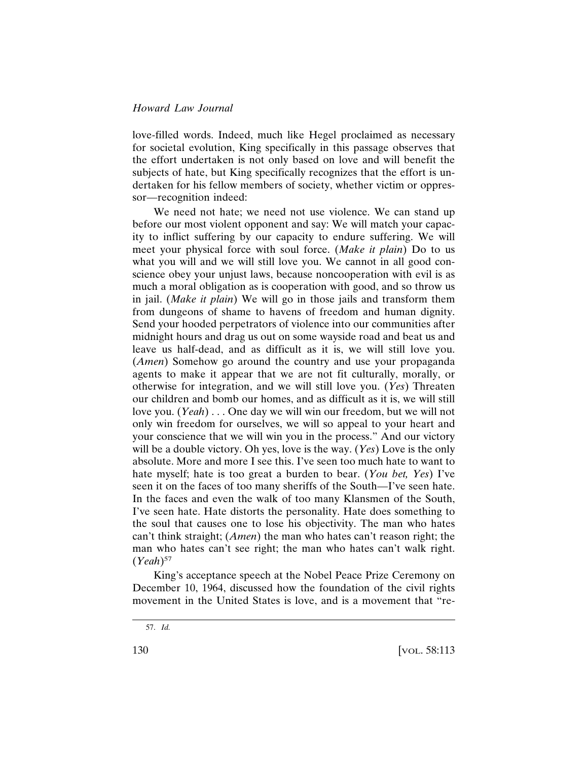love-filled words. Indeed, much like Hegel proclaimed as necessary for societal evolution, King specifically in this passage observes that the effort undertaken is not only based on love and will benefit the subjects of hate, but King specifically recognizes that the effort is undertaken for his fellow members of society, whether victim or oppressor—recognition indeed:

We need not hate; we need not use violence. We can stand up before our most violent opponent and say: We will match your capacity to inflict suffering by our capacity to endure suffering. We will meet your physical force with soul force. (*Make it plain*) Do to us what you will and we will still love you. We cannot in all good conscience obey your unjust laws, because noncooperation with evil is as much a moral obligation as is cooperation with good, and so throw us in jail. (*Make it plain*) We will go in those jails and transform them from dungeons of shame to havens of freedom and human dignity. Send your hooded perpetrators of violence into our communities after midnight hours and drag us out on some wayside road and beat us and leave us half-dead, and as difficult as it is, we will still love you. (*Amen*) Somehow go around the country and use your propaganda agents to make it appear that we are not fit culturally, morally, or otherwise for integration, and we will still love you. (*Yes*) Threaten our children and bomb our homes, and as difficult as it is, we will still love you. (*Yeah*) . . . One day we will win our freedom, but we will not only win freedom for ourselves, we will so appeal to your heart and your conscience that we will win you in the process." And our victory will be a double victory. Oh yes, love is the way. (*Yes*) Love is the only absolute. More and more I see this. I've seen too much hate to want to hate myself; hate is too great a burden to bear. (*You bet, Yes*) I've seen it on the faces of too many sheriffs of the South—I've seen hate. In the faces and even the walk of too many Klansmen of the South, I've seen hate. Hate distorts the personality. Hate does something to the soul that causes one to lose his objectivity. The man who hates can't think straight; (*Amen*) the man who hates can't reason right; the man who hates can't see right; the man who hates can't walk right. (*Yeah*)<sup>57</sup>

King's acceptance speech at the Nobel Peace Prize Ceremony on December 10, 1964, discussed how the foundation of the civil rights movement in the United States is love, and is a movement that "re-

<sup>57.</sup> *Id.*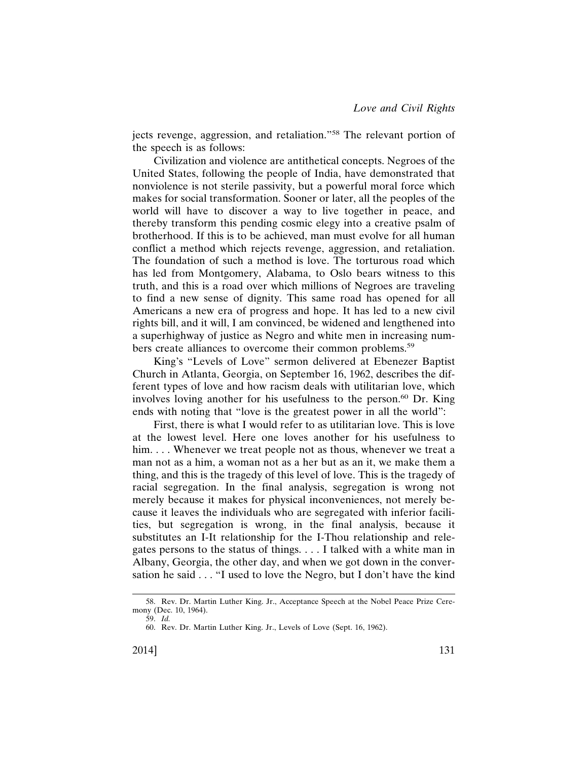jects revenge, aggression, and retaliation."58 The relevant portion of the speech is as follows:

Civilization and violence are antithetical concepts. Negroes of the United States, following the people of India, have demonstrated that nonviolence is not sterile passivity, but a powerful moral force which makes for social transformation. Sooner or later, all the peoples of the world will have to discover a way to live together in peace, and thereby transform this pending cosmic elegy into a creative psalm of brotherhood. If this is to be achieved, man must evolve for all human conflict a method which rejects revenge, aggression, and retaliation. The foundation of such a method is love. The torturous road which has led from Montgomery, Alabama, to Oslo bears witness to this truth, and this is a road over which millions of Negroes are traveling to find a new sense of dignity. This same road has opened for all Americans a new era of progress and hope. It has led to a new civil rights bill, and it will, I am convinced, be widened and lengthened into a superhighway of justice as Negro and white men in increasing numbers create alliances to overcome their common problems.<sup>59</sup>

King's "Levels of Love" sermon delivered at Ebenezer Baptist Church in Atlanta, Georgia, on September 16, 1962, describes the different types of love and how racism deals with utilitarian love, which involves loving another for his usefulness to the person.<sup>60</sup> Dr. King ends with noting that "love is the greatest power in all the world":

First, there is what I would refer to as utilitarian love. This is love at the lowest level. Here one loves another for his usefulness to him. . . . Whenever we treat people not as thous, whenever we treat a man not as a him, a woman not as a her but as an it, we make them a thing, and this is the tragedy of this level of love. This is the tragedy of racial segregation. In the final analysis, segregation is wrong not merely because it makes for physical inconveniences, not merely because it leaves the individuals who are segregated with inferior facilities, but segregation is wrong, in the final analysis, because it substitutes an I-It relationship for the I-Thou relationship and relegates persons to the status of things. . . . I talked with a white man in Albany, Georgia, the other day, and when we got down in the conversation he said . . . "I used to love the Negro, but I don't have the kind

59. *Id.*

<sup>58.</sup> Rev. Dr. Martin Luther King. Jr., Acceptance Speech at the Nobel Peace Prize Ceremony (Dec. 10, 1964).

<sup>60.</sup> Rev. Dr. Martin Luther King. Jr., Levels of Love (Sept. 16, 1962).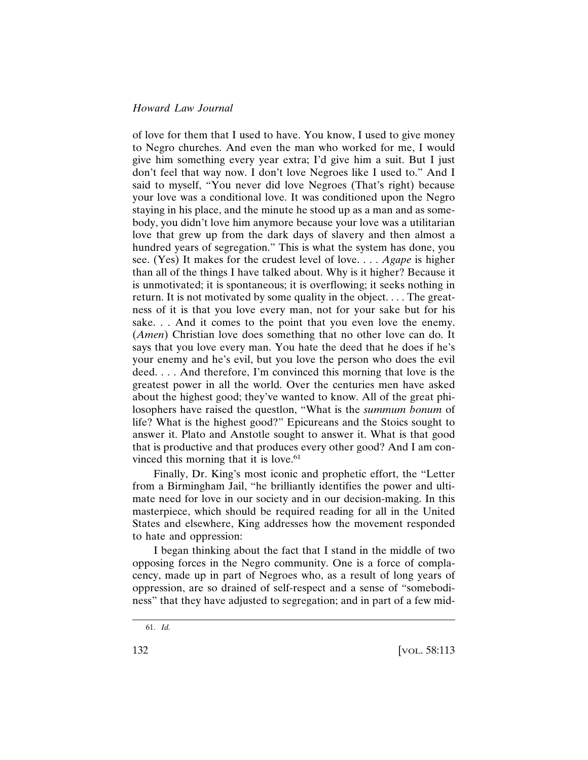of love for them that I used to have. You know, I used to give money to Negro churches. And even the man who worked for me, I would give him something every year extra; I'd give him a suit. But I just don't feel that way now. I don't love Negroes like I used to." And I said to myself, "You never did love Negroes (That's right) because your love was a conditional love. It was conditioned upon the Negro staying in his place, and the minute he stood up as a man and as somebody, you didn't love him anymore because your love was a utilitarian love that grew up from the dark days of slavery and then almost a hundred years of segregation." This is what the system has done, you see. (Yes) It makes for the crudest level of love. . . . *Agape* is higher than all of the things I have talked about. Why is it higher? Because it is unmotivated; it is spontaneous; it is overflowing; it seeks nothing in return. It is not motivated by some quality in the object. . . . The greatness of it is that you love every man, not for your sake but for his sake. . . And it comes to the point that you even love the enemy. (*Amen*) Christian love does something that no other love can do. It says that you love every man. You hate the deed that he does if he's your enemy and he's evil, but you love the person who does the evil deed. . . . And therefore, I'm convinced this morning that love is the greatest power in all the world. Over the centuries men have asked about the highest good; they've wanted to know. All of the great philosophers have raised the questlon, "What is the *summum bonum* of life? What is the highest good?" Epicureans and the Stoics sought to answer it. Plato and Anstotle sought to answer it. What is that good that is productive and that produces every other good? And I am convinced this morning that it is love.<sup>61</sup>

Finally, Dr. King's most iconic and prophetic effort, the "Letter from a Birmingham Jail, "he brilliantly identifies the power and ultimate need for love in our society and in our decision-making. In this masterpiece, which should be required reading for all in the United States and elsewhere, King addresses how the movement responded to hate and oppression:

I began thinking about the fact that I stand in the middle of two opposing forces in the Negro community. One is a force of complacency, made up in part of Negroes who, as a result of long years of oppression, are so drained of self-respect and a sense of "somebodiness" that they have adjusted to segregation; and in part of a few mid-

<sup>61.</sup> *Id.*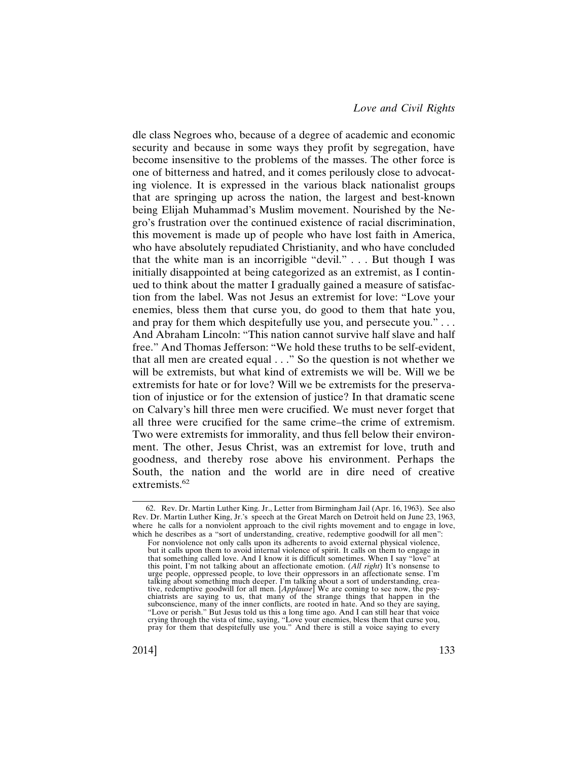## *Love and Civil Rights*

dle class Negroes who, because of a degree of academic and economic security and because in some ways they profit by segregation, have become insensitive to the problems of the masses. The other force is one of bitterness and hatred, and it comes perilously close to advocating violence. It is expressed in the various black nationalist groups that are springing up across the nation, the largest and best-known being Elijah Muhammad's Muslim movement. Nourished by the Negro's frustration over the continued existence of racial discrimination, this movement is made up of people who have lost faith in America, who have absolutely repudiated Christianity, and who have concluded that the white man is an incorrigible "devil." . . . But though I was initially disappointed at being categorized as an extremist, as I continued to think about the matter I gradually gained a measure of satisfaction from the label. Was not Jesus an extremist for love: "Love your enemies, bless them that curse you, do good to them that hate you, and pray for them which despitefully use you, and persecute you." . . . And Abraham Lincoln: "This nation cannot survive half slave and half free." And Thomas Jefferson: "We hold these truths to be self-evident, that all men are created equal . . ." So the question is not whether we will be extremists, but what kind of extremists we will be. Will we be extremists for hate or for love? Will we be extremists for the preservation of injustice or for the extension of justice? In that dramatic scene on Calvary's hill three men were crucified. We must never forget that all three were crucified for the same crime–the crime of extremism. Two were extremists for immorality, and thus fell below their environment. The other, Jesus Christ, was an extremist for love, truth and goodness, and thereby rose above his environment. Perhaps the South, the nation and the world are in dire need of creative extremists.<sup>62</sup>

<sup>62.</sup> Rev. Dr. Martin Luther King. Jr., Letter from Birmingham Jail (Apr. 16, 1963). See also Rev. Dr. Martin Luther King, Jr.'s speech at the Great March on Detroit held on June 23, 1963, where he calls for a nonviolent approach to the civil rights movement and to engage in love, which he describes as a "sort of understanding, creative, redemptive goodwill for all men": For nonviolence not only calls upon its adherents to avoid external physical violence, but it calls upon them to avoid internal violence of spirit. It calls on them to engage in that something called love. And I know it is difficult sometimes. When I say "love" at that something called love. And I know it is difficult sometimes. When I say "love" this point, I'm not talking about an affectionate emotion. (*All right*) It's nonsense to urge people, oppressed people, to love their oppressors in an affectionate sense. I'm talking about something much deeper. I'm talking about a sort of understanding, creative, redemptive goodwill for all men. [*Applause*] We are coming to see now, the psychiatrists are saying to us, that many of the strange things that happen in the subconscience, many of the inner conflicts, are rooted in hate. And so they are saying, "Love or perish." But Jesus told us this a long time ago. And I can still hear that voice crying through the vista of time, saying, "Love your enemies, bless them that curse you, pray for them that despitefully use you." And there is still a voice saying to every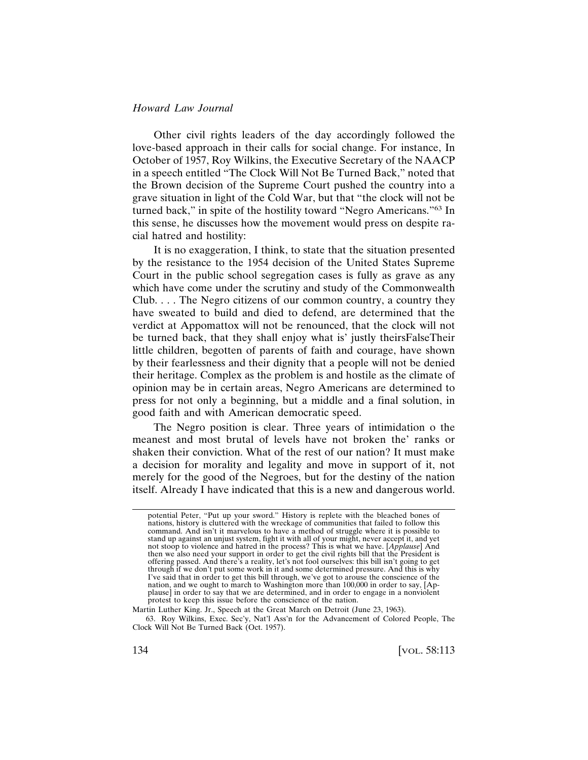Other civil rights leaders of the day accordingly followed the love-based approach in their calls for social change. For instance, In October of 1957, Roy Wilkins, the Executive Secretary of the NAACP in a speech entitled "The Clock Will Not Be Turned Back," noted that the Brown decision of the Supreme Court pushed the country into a grave situation in light of the Cold War, but that "the clock will not be turned back," in spite of the hostility toward "Negro Americans."63 In this sense, he discusses how the movement would press on despite racial hatred and hostility:

It is no exaggeration, I think, to state that the situation presented by the resistance to the 1954 decision of the United States Supreme Court in the public school segregation cases is fully as grave as any which have come under the scrutiny and study of the Commonwealth Club. . . . The Negro citizens of our common country, a country they have sweated to build and died to defend, are determined that the verdict at Appomattox will not be renounced, that the clock will not be turned back, that they shall enjoy what is' justly theirsFalseTheir little children, begotten of parents of faith and courage, have shown by their fearlessness and their dignity that a people will not be denied their heritage. Complex as the problem is and hostile as the climate of opinion may be in certain areas, Negro Americans are determined to press for not only a beginning, but a middle and a final solution, in good faith and with American democratic speed.

The Negro position is clear. Three years of intimidation o the meanest and most brutal of levels have not broken the' ranks or shaken their conviction. What of the rest of our nation? It must make a decision for morality and legality and move in support of it, not merely for the good of the Negroes, but for the destiny of the nation itself. Already I have indicated that this is a new and dangerous world.

potential Peter, "Put up your sword." History is replete with the bleached bones of nations, history is cluttered with the wreckage of communities that failed to follow this command. And isn't it marvelous to have a method of struggle where it is possible to stand up against an unjust system, fight it with all of your might, never accept it, and yet not stoop to violence and hatred in the process? This is what we have. [*Applause*] And then we also need your support in order to get the civil rights bill that the President is offering passed. And there's a reality, let's not fool ourselves: this bill isn't going to get through if we don't put some work in it and some determined pressure. And this is why I've said that in order to get this bill through, we've got to arouse the conscience of the nation, and we ought to march to Washington more than 100,000 in order to say, [Applause] in order to say that we are determined, and in order to engage in a nonviolent protest to keep this issue before the conscience of the nation.

Martin Luther King. Jr., Speech at the Great March on Detroit (June 23, 1963).

<sup>63.</sup> Roy Wilkins, Exec. Sec'y, Nat'l Ass'n for the Advancement of Colored People, The Clock Will Not Be Turned Back (Oct. 1957).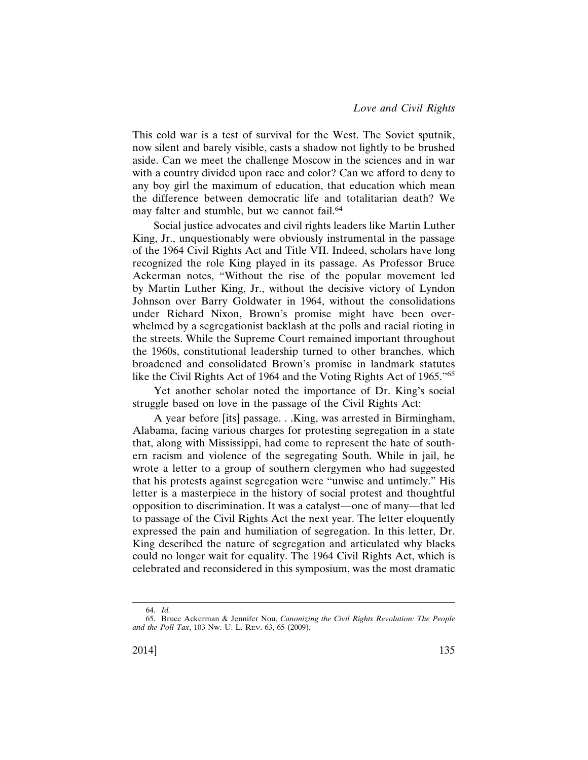#### *Love and Civil Rights*

This cold war is a test of survival for the West. The Soviet sputnik, now silent and barely visible, casts a shadow not lightly to be brushed aside. Can we meet the challenge Moscow in the sciences and in war with a country divided upon race and color? Can we afford to deny to any boy girl the maximum of education, that education which mean the difference between democratic life and totalitarian death? We may falter and stumble, but we cannot fail.<sup>64</sup>

Social justice advocates and civil rights leaders like Martin Luther King, Jr., unquestionably were obviously instrumental in the passage of the 1964 Civil Rights Act and Title VII. Indeed, scholars have long recognized the role King played in its passage. As Professor Bruce Ackerman notes, "Without the rise of the popular movement led by Martin Luther King, Jr., without the decisive victory of Lyndon Johnson over Barry Goldwater in 1964, without the consolidations under Richard Nixon, Brown's promise might have been overwhelmed by a segregationist backlash at the polls and racial rioting in the streets. While the Supreme Court remained important throughout the 1960s, constitutional leadership turned to other branches, which broadened and consolidated Brown's promise in landmark statutes like the Civil Rights Act of 1964 and the Voting Rights Act of 1965."65

Yet another scholar noted the importance of Dr. King's social struggle based on love in the passage of the Civil Rights Act:

A year before [its] passage. . .King, was arrested in Birmingham, Alabama, facing various charges for protesting segregation in a state that, along with Mississippi, had come to represent the hate of southern racism and violence of the segregating South. While in jail, he wrote a letter to a group of southern clergymen who had suggested that his protests against segregation were "unwise and untimely." His letter is a masterpiece in the history of social protest and thoughtful opposition to discrimination. It was a catalyst—one of many—that led to passage of the Civil Rights Act the next year. The letter eloquently expressed the pain and humiliation of segregation. In this letter, Dr. King described the nature of segregation and articulated why blacks could no longer wait for equality. The 1964 Civil Rights Act, which is celebrated and reconsidered in this symposium, was the most dramatic

<sup>64.</sup> *Id.*

<sup>65.</sup> Bruce Ackerman & Jennifer Nou, *Canonizing the Civil Rights Revolution: The People and the Poll Tax*, 103 NW. U. L. REV. 63, 65 (2009).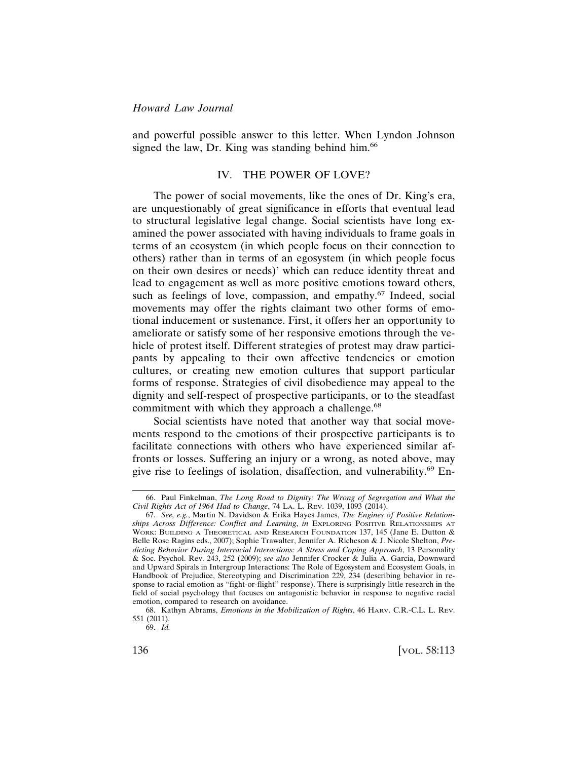and powerful possible answer to this letter. When Lyndon Johnson signed the law, Dr. King was standing behind him.<sup>66</sup>

#### IV. THE POWER OF LOVE?

The power of social movements, like the ones of Dr. King's era, are unquestionably of great significance in efforts that eventual lead to structural legislative legal change. Social scientists have long examined the power associated with having individuals to frame goals in terms of an ecosystem (in which people focus on their connection to others) rather than in terms of an egosystem (in which people focus on their own desires or needs)' which can reduce identity threat and lead to engagement as well as more positive emotions toward others, such as feelings of love, compassion, and empathy.<sup>67</sup> Indeed, social movements may offer the rights claimant two other forms of emotional inducement or sustenance. First, it offers her an opportunity to ameliorate or satisfy some of her responsive emotions through the vehicle of protest itself. Different strategies of protest may draw participants by appealing to their own affective tendencies or emotion cultures, or creating new emotion cultures that support particular forms of response. Strategies of civil disobedience may appeal to the dignity and self-respect of prospective participants, or to the steadfast commitment with which they approach a challenge.<sup>68</sup>

Social scientists have noted that another way that social movements respond to the emotions of their prospective participants is to facilitate connections with others who have experienced similar affronts or losses. Suffering an injury or a wrong, as noted above, may give rise to feelings of isolation, disaffection, and vulnerability.69 En-

<sup>66.</sup> Paul Finkelman, *The Long Road to Dignity: The Wrong of Segregation and What the Civil Rights Act of 1964 Had to Change*, 74 LA. L. REV. 1039, 1093 (2014).

<sup>67.</sup> *See, e.g.*, Martin N. Davidson & Erika Hayes James, *The Engines of Positive Relationships Across Difference: Conflict and Learning*, *in* EXPLORING POSITIVE RELATIONSHIPS AT WORK: BUILDING A THEORETICAL AND RESEARCH FOUNDATION 137, 145 (Jane E. Dutton & Belle Rose Ragins eds., 2007); Sophie Trawalter, Jennifer A. Richeson & J. Nicole Shelton, *Predicting Behavior During Interracial Interactions: A Stress and Coping Approach*, 13 Personality & Soc. Psychol. Rev. 243, 252 (2009); *see also* Jennifer Crocker & Julia A. Garcia, Downward and Upward Spirals in Intergroup Interactions: The Role of Egosystem and Ecosystem Goals, in Handbook of Prejudice, Stereotyping and Discrimination 229, 234 (describing behavior in response to racial emotion as "fight-or-flight" response). There is surprisingly little research in the field of social psychology that focuses on antagonistic behavior in response to negative racial emotion, compared to research on avoidance.

<sup>68.</sup> Kathyn Abrams, *Emotions in the Mobilization of Rights*, 46 HARV. C.R.-C.L. L. REV. 551 (2011).

<sup>69.</sup> *Id.*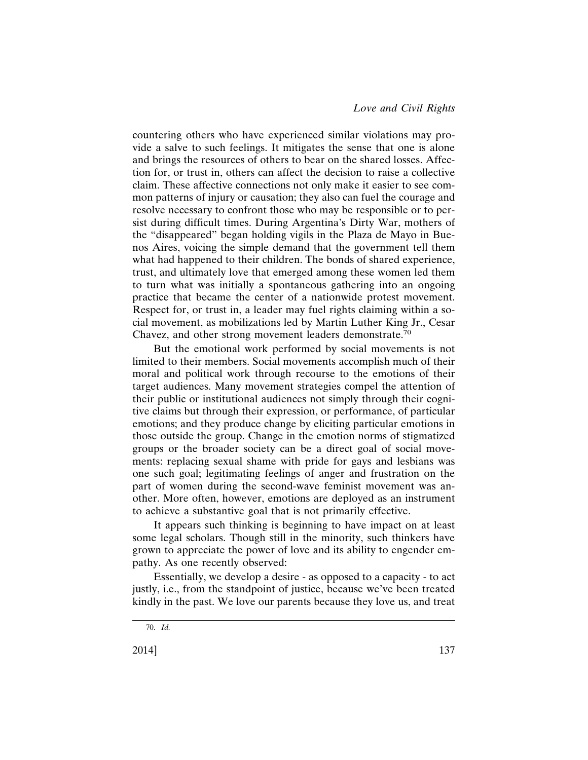countering others who have experienced similar violations may provide a salve to such feelings. It mitigates the sense that one is alone and brings the resources of others to bear on the shared losses. Affection for, or trust in, others can affect the decision to raise a collective claim. These affective connections not only make it easier to see common patterns of injury or causation; they also can fuel the courage and resolve necessary to confront those who may be responsible or to persist during difficult times. During Argentina's Dirty War, mothers of the "disappeared" began holding vigils in the Plaza de Mayo in Buenos Aires, voicing the simple demand that the government tell them what had happened to their children. The bonds of shared experience, trust, and ultimately love that emerged among these women led them to turn what was initially a spontaneous gathering into an ongoing practice that became the center of a nationwide protest movement. Respect for, or trust in, a leader may fuel rights claiming within a social movement, as mobilizations led by Martin Luther King Jr., Cesar Chavez, and other strong movement leaders demonstrate.<sup>70</sup>

But the emotional work performed by social movements is not limited to their members. Social movements accomplish much of their moral and political work through recourse to the emotions of their target audiences. Many movement strategies compel the attention of their public or institutional audiences not simply through their cognitive claims but through their expression, or performance, of particular emotions; and they produce change by eliciting particular emotions in those outside the group. Change in the emotion norms of stigmatized groups or the broader society can be a direct goal of social movements: replacing sexual shame with pride for gays and lesbians was one such goal; legitimating feelings of anger and frustration on the part of women during the second-wave feminist movement was another. More often, however, emotions are deployed as an instrument to achieve a substantive goal that is not primarily effective.

It appears such thinking is beginning to have impact on at least some legal scholars. Though still in the minority, such thinkers have grown to appreciate the power of love and its ability to engender empathy. As one recently observed:

Essentially, we develop a desire - as opposed to a capacity - to act justly, i.e., from the standpoint of justice, because we've been treated kindly in the past. We love our parents because they love us, and treat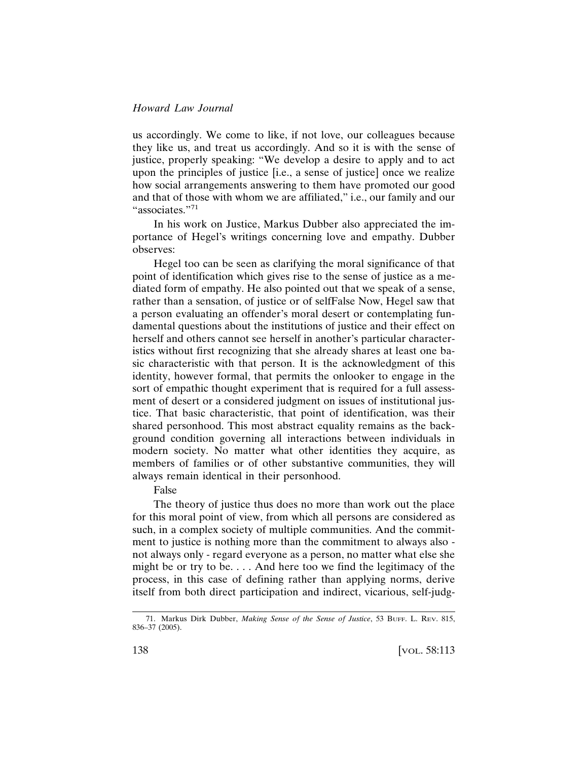us accordingly. We come to like, if not love, our colleagues because they like us, and treat us accordingly. And so it is with the sense of justice, properly speaking: "We develop a desire to apply and to act upon the principles of justice [i.e., a sense of justice] once we realize how social arrangements answering to them have promoted our good and that of those with whom we are affiliated," i.e., our family and our "associates."71

In his work on Justice, Markus Dubber also appreciated the importance of Hegel's writings concerning love and empathy. Dubber observes:

Hegel too can be seen as clarifying the moral significance of that point of identification which gives rise to the sense of justice as a mediated form of empathy. He also pointed out that we speak of a sense, rather than a sensation, of justice or of selfFalse Now, Hegel saw that a person evaluating an offender's moral desert or contemplating fundamental questions about the institutions of justice and their effect on herself and others cannot see herself in another's particular characteristics without first recognizing that she already shares at least one basic characteristic with that person. It is the acknowledgment of this identity, however formal, that permits the onlooker to engage in the sort of empathic thought experiment that is required for a full assessment of desert or a considered judgment on issues of institutional justice. That basic characteristic, that point of identification, was their shared personhood. This most abstract equality remains as the background condition governing all interactions between individuals in modern society. No matter what other identities they acquire, as members of families or of other substantive communities, they will always remain identical in their personhood.

# False

The theory of justice thus does no more than work out the place for this moral point of view, from which all persons are considered as such, in a complex society of multiple communities. And the commitment to justice is nothing more than the commitment to always also not always only - regard everyone as a person, no matter what else she might be or try to be. . . . And here too we find the legitimacy of the process, in this case of defining rather than applying norms, derive itself from both direct participation and indirect, vicarious, self-judg-

<sup>71.</sup> Markus Dirk Dubber, *Making Sense of the Sense of Justice*, 53 BUFF. L. REV. 815, 836–37 (2005).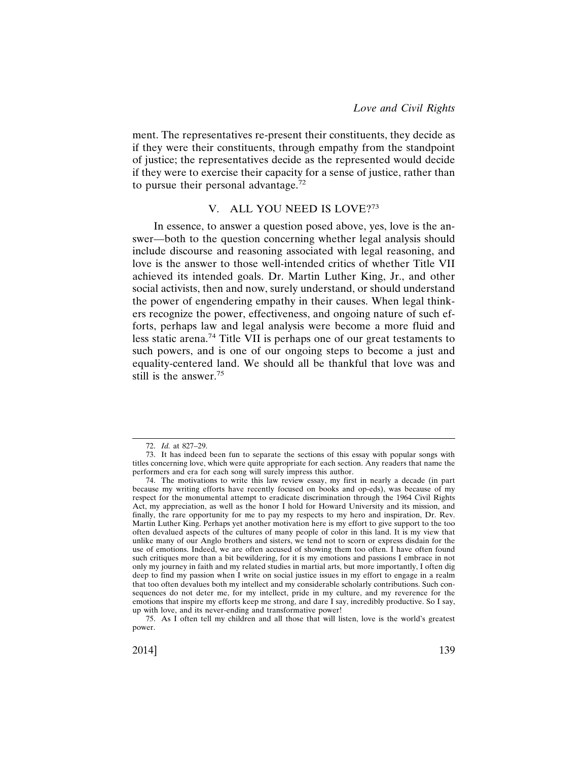ment. The representatives re-present their constituents, they decide as if they were their constituents, through empathy from the standpoint of justice; the representatives decide as the represented would decide if they were to exercise their capacity for a sense of justice, rather than to pursue their personal advantage.72

## V. ALL YOU NEED IS LOVE?<sup>73</sup>

In essence, to answer a question posed above, yes, love is the answer—both to the question concerning whether legal analysis should include discourse and reasoning associated with legal reasoning, and love is the answer to those well-intended critics of whether Title VII achieved its intended goals. Dr. Martin Luther King, Jr., and other social activists, then and now, surely understand, or should understand the power of engendering empathy in their causes. When legal thinkers recognize the power, effectiveness, and ongoing nature of such efforts, perhaps law and legal analysis were become a more fluid and less static arena.74 Title VII is perhaps one of our great testaments to such powers, and is one of our ongoing steps to become a just and equality-centered land. We should all be thankful that love was and still is the answer.<sup>75</sup>

<sup>72.</sup> *Id.* at 827–29.

<sup>73.</sup> It has indeed been fun to separate the sections of this essay with popular songs with titles concerning love, which were quite appropriate for each section. Any readers that name the performers and era for each song will surely impress this author.

<sup>74.</sup> The motivations to write this law review essay, my first in nearly a decade (in part because my writing efforts have recently focused on books and op-eds), was because of my respect for the monumental attempt to eradicate discrimination through the 1964 Civil Rights Act, my appreciation, as well as the honor I hold for Howard University and its mission, and finally, the rare opportunity for me to pay my respects to my hero and inspiration, Dr. Rev. Martin Luther King. Perhaps yet another motivation here is my effort to give support to the too often devalued aspects of the cultures of many people of color in this land. It is my view that unlike many of our Anglo brothers and sisters, we tend not to scorn or express disdain for the use of emotions. Indeed, we are often accused of showing them too often. I have often found such critiques more than a bit bewildering, for it is my emotions and passions I embrace in not only my journey in faith and my related studies in martial arts, but more importantly, I often dig deep to find my passion when I write on social justice issues in my effort to engage in a realm that too often devalues both my intellect and my considerable scholarly contributions. Such consequences do not deter me, for my intellect, pride in my culture, and my reverence for the emotions that inspire my efforts keep me strong, and dare I say, incredibly productive. So I say, up with love, and its never-ending and transformative power!

<sup>75.</sup> As I often tell my children and all those that will listen, love is the world's greatest power.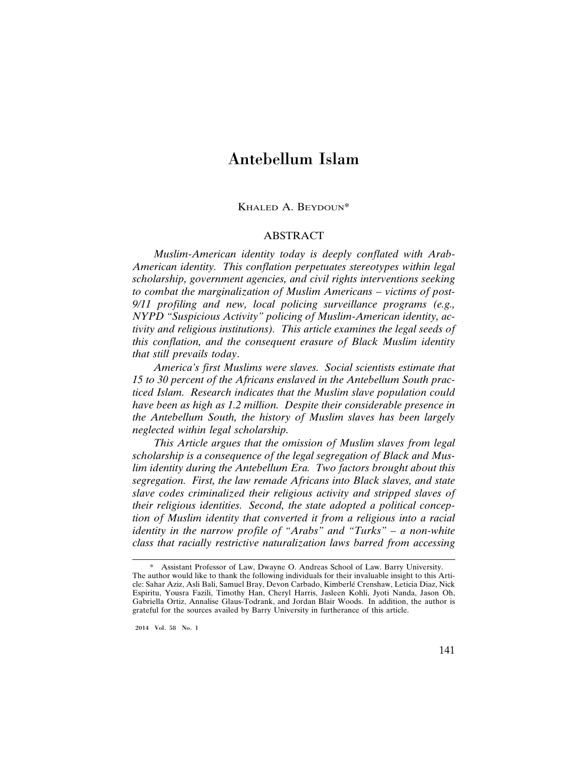# Antebellum Islam

## KHALED A. BEYDOUN\*

#### ABSTRACT

*Muslim-American identity today is deeply conflated with Arab-American identity. This conflation perpetuates stereotypes within legal scholarship, government agencies, and civil rights interventions seeking to combat the marginalization of Muslim Americans – victims of post-9/11 profiling and new, local policing surveillance programs (e.g., NYPD "Suspicious Activity" policing of Muslim-American identity, activity and religious institutions). This article examines the legal seeds of this conflation, and the consequent erasure of Black Muslim identity that still prevails today*.

*America's first Muslims were slaves. Social scientists estimate that 15 to 30 percent of the Africans enslaved in the Antebellum South practiced Islam. Research indicates that the Muslim slave population could have been as high as 1.2 million. Despite their considerable presence in the Antebellum South, the history of Muslim slaves has been largely neglected within legal scholarship.*

*This Article argues that the omission of Muslim slaves from legal scholarship is a consequence of the legal segregation of Black and Muslim identity during the Antebellum Era. Two factors brought about this segregation. First, the law remade Africans into Black slaves, and state slave codes criminalized their religious activity and stripped slaves of their religious identities. Second, the state adopted a political conception of Muslim identity that converted it from a religious into a racial identity in the narrow profile of "Arabs" and "Turks" – a non-white class that racially restrictive naturalization laws barred from accessing*

2014 Vol. 58 No. 1

<sup>\*</sup> Assistant Professor of Law, Dwayne O. Andreas School of Law. Barry University. The author would like to thank the following individuals for their invaluable insight to this Article: Sahar Aziz, Asli Bali, Samuel Bray, Devon Carbado, Kimberlé Crenshaw, Leticia Diaz, Nick Espiritu, Yousra Fazili, Timothy Han, Cheryl Harris, Jasleen Kohli, Jyoti Nanda, Jason Oh, Gabriella Ortiz, Annalise Glaus-Todrank, and Jordan Blair Woods. In addition, the author is grateful for the sources availed by Barry University in furtherance of this article.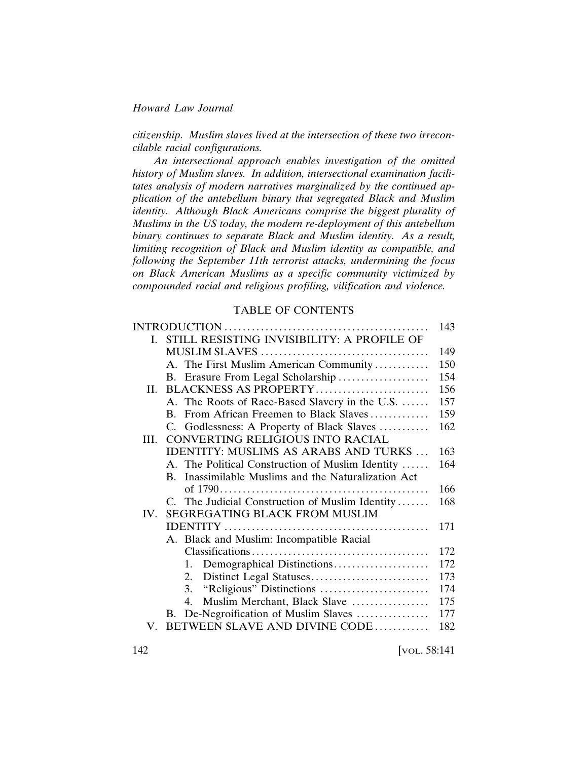*citizenship. Muslim slaves lived at the intersection of these two irreconcilable racial configurations.*

*An intersectional approach enables investigation of the omitted history of Muslim slaves. In addition, intersectional examination facilitates analysis of modern narratives marginalized by the continued application of the antebellum binary that segregated Black and Muslim identity. Although Black Americans comprise the biggest plurality of Muslims in the US today, the modern re-deployment of this antebellum binary continues to separate Black and Muslim identity. As a result, limiting recognition of Black and Muslim identity as compatible, and following the September 11th terrorist attacks, undermining the focus on Black American Muslims as a specific community victimized by compounded racial and religious profiling, vilification and violence.*

## TABLE OF CONTENTS

|     |                                                                    | 143 |
|-----|--------------------------------------------------------------------|-----|
| L.  | STILL RESISTING INVISIBILITY: A PROFILE OF                         |     |
|     |                                                                    | 149 |
|     | A. The First Muslim American Community                             | 150 |
|     | B. Erasure From Legal Scholarship                                  | 154 |
| H.  | BLACKNESS AS PROPERTY                                              | 156 |
|     | A. The Roots of Race-Based Slavery in the U.S.                     | 157 |
|     | From African Freemen to Black Slaves<br><b>B.</b>                  | 159 |
|     | C. Godlessness: A Property of Black Slaves                         | 162 |
| HI. | CONVERTING RELIGIOUS INTO RACIAL                                   |     |
|     | <b>IDENTITY: MUSLIMS AS ARABS AND TURKS</b>                        | 163 |
|     | A. The Political Construction of Muslim Identity                   | 164 |
|     | Inassimilable Muslims and the Naturalization Act<br>$\mathbf{B}$ . |     |
|     |                                                                    | 166 |
|     | C. The Judicial Construction of Muslim Identity                    | 168 |
| IV. | SEGREGATING BLACK FROM MUSLIM                                      |     |
|     |                                                                    | 171 |
|     | A. Black and Muslim: Incompatible Racial                           |     |
|     |                                                                    | 172 |
|     | Demographical Distinctions<br>1.                                   | 172 |
|     | Distinct Legal Statuses<br>2.                                      | 173 |
|     | "Religious" Distinctions<br>3.                                     | 174 |
|     | Muslim Merchant, Black Slave<br>4.                                 | 175 |
|     | B. De-Negroification of Muslim Slaves                              | 177 |
| V.  | BETWEEN SLAVE AND DIVINE CODE                                      | 182 |
|     |                                                                    |     |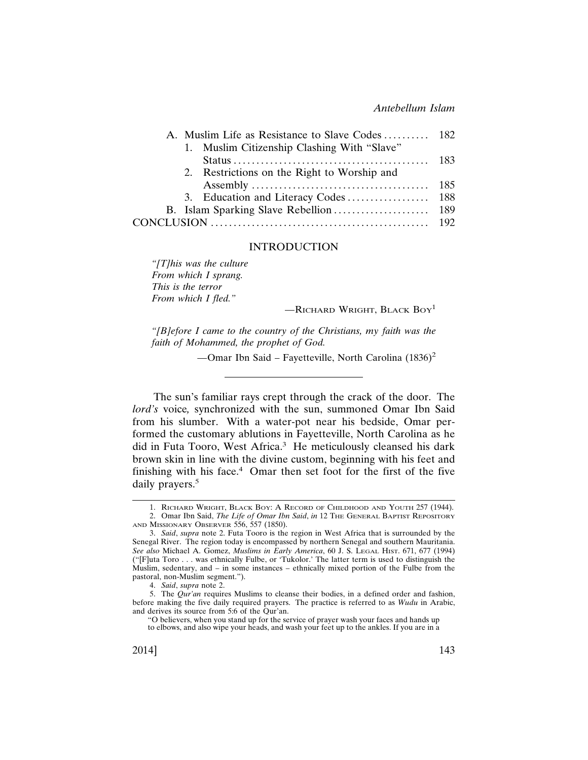| 1. Muslim Citizenship Clashing With "Slave" | A. Muslim Life as Resistance to Slave Codes 182 |
|---------------------------------------------|-------------------------------------------------|
|                                             |                                                 |
|                                             |                                                 |
| 2. Restrictions on the Right to Worship and |                                                 |
|                                             |                                                 |
|                                             |                                                 |
|                                             |                                                 |
|                                             |                                                 |

#### INTRODUCTION

*"[T]his was the culture From which I sprang. This is the terror From which I fled."*

—RICHARD WRIGHT, BLACK BOY<sup>1</sup>

*"[B]efore I came to the country of the Christians, my faith was the faith of Mohammed, the prophet of God.*

—Omar Ibn Said – Fayetteville, North Carolina  $(1836)^2$ 

The sun's familiar rays crept through the crack of the door. The *lord's* voice*,* synchronized with the sun, summoned Omar Ibn Said from his slumber. With a water-pot near his bedside, Omar performed the customary ablutions in Fayetteville, North Carolina as he did in Futa Tooro, West Africa.<sup>3</sup> He meticulously cleansed his dark brown skin in line with the divine custom, beginning with his feet and finishing with his face. $4$  Omar then set foot for the first of the five daily prayers.<sup>5</sup>

<sup>1.</sup> RICHARD WRIGHT, BLACK BOY: A RECORD OF CHILDHOOD AND YOUTH 257 (1944).

<sup>2.</sup> Omar Ibn Said, *The Life of Omar Ibn Said*, *in* 12 The GENERAL BAPTIST REPOSITORY AND MISSIONARY OBSERVER 556, 557 (1850).

<sup>3.</sup> *Said*, *supra* note 2. Futa Tooro is the region in West Africa that is surrounded by the Senegal River. The region today is encompassed by northern Senegal and southern Mauritania. *See also* Michael A. Gomez, *Muslims in Early America*, 60 J. S. LEGAL HIST. 671, 677 (1994) ("[F]uta Toro . . . was ethnically Fulbe, or 'Tukolor.' The latter term is used to distinguish the Muslim, sedentary, and – in some instances – ethnically mixed portion of the Fulbe from the pastoral, non-Muslim segment.").

<sup>4.</sup> *Said*, *supra* note 2.

<sup>5.</sup> The *Qur'an* requires Muslims to cleanse their bodies, in a defined order and fashion, before making the five daily required prayers. The practice is referred to as *Wudu* in Arabic, and derives its source from 5:6 of the Qur'an.

<sup>&</sup>quot;O believers, when you stand up for the service of prayer wash your faces and hands up to elbows, and also wipe your heads, and wash your feet up to the ankles. If you are in a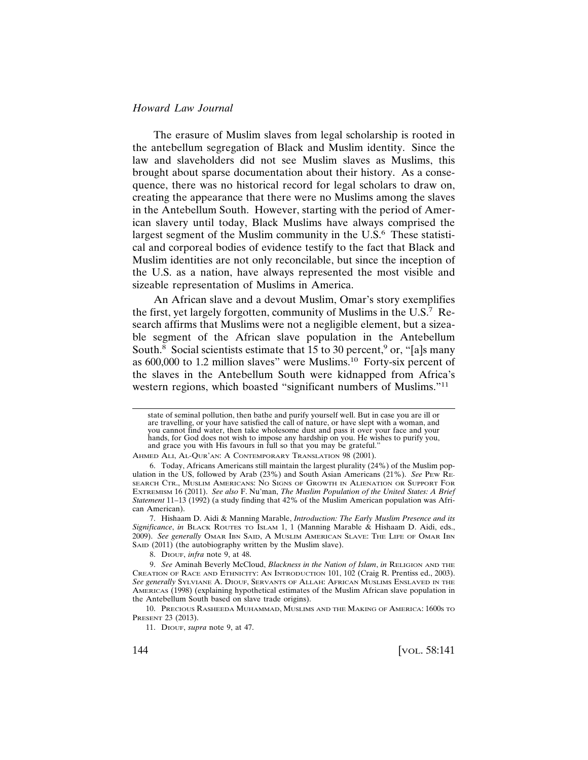The erasure of Muslim slaves from legal scholarship is rooted in the antebellum segregation of Black and Muslim identity. Since the law and slaveholders did not see Muslim slaves as Muslims, this brought about sparse documentation about their history. As a consequence, there was no historical record for legal scholars to draw on, creating the appearance that there were no Muslims among the slaves in the Antebellum South. However, starting with the period of American slavery until today, Black Muslims have always comprised the largest segment of the Muslim community in the U.S.<sup>6</sup> These statistical and corporeal bodies of evidence testify to the fact that Black and Muslim identities are not only reconcilable, but since the inception of the U.S. as a nation, have always represented the most visible and sizeable representation of Muslims in America.

An African slave and a devout Muslim, Omar's story exemplifies the first, yet largely forgotten, community of Muslims in the U.S.7 Research affirms that Muslims were not a negligible element, but a sizeable segment of the African slave population in the Antebellum South.<sup>8</sup> Social scientists estimate that 15 to 30 percent,  $9$  or, "[a]s many as 600,000 to 1.2 million slaves" were Muslims.10 Forty-six percent of the slaves in the Antebellum South were kidnapped from Africa's western regions, which boasted "significant numbers of Muslims."<sup>11</sup>

state of seminal pollution, then bathe and purify yourself well. But in case you are ill or are travelling, or your have satisfied the call of nature, or have slept with a woman, and you cannot find water, then take wholesome dust and pass it over your face and your hands, for God does not wish to impose any hardship on you. He wishes to purify you, and grace you with His favours in full so that you may be grateful."

AHMED ALI, AL-QUR'AN: A CONTEMPORARY TRANSLATION 98 (2001).

<sup>6.</sup> Today, Africans Americans still maintain the largest plurality (24%) of the Muslim population in the US, followed by Arab (23%) and South Asian Americans (21%). *See* PEW RE-SEARCH CTR., MUSLIM AMERICANS: NO SIGNS OF GROWTH IN ALIENATION OR SUPPORT FOR EXTREMISM 16 (2011). *See also* F. Nu'man, *The Muslim Population of the United States: A Brief Statement* 11–13 (1992) (a study finding that 42% of the Muslim American population was African American).

<sup>7.</sup> Hishaam D. Aidi & Manning Marable, *Introduction: The Early Muslim Presence and its Significance*, *in* BLACK ROUTES TO ISLAM 1, 1 (Manning Marable & Hishaam D. Aidi, eds., 2009). *See generally* OMAR IBN SAID, A MUSLIM AMERICAN SLAVE: THE LIFE OF OMAR IBN SAID (2011) (the autobiography written by the Muslim slave).

<sup>8.</sup> DIOUF, *infra* note 9, at 48.

<sup>9.</sup> *See* Aminah Beverly McCloud, *Blackness in the Nation of Islam*, *in* RELIGION AND THE CREATION OF RACE AND ETHNICITY: AN INTRODUCTION 101, 102 (Craig R. Prentiss ed., 2003). *See generally* SYLVIANE A. DIOUF, SERVANTS OF ALLAH: AFRICAN MUSLIMS ENSLAVED IN THE AMERICAS (1998) (explaining hypothetical estimates of the Muslim African slave population in the Antebellum South based on slave trade origins).

<sup>10.</sup> PRECIOUS RASHEEDA MUHAMMAD, MUSLIMS AND THE MAKING OF AMERICA: 1600S TO PRESENT 23 (2013).

<sup>11.</sup> DIOUF, *supra* note 9, at 47.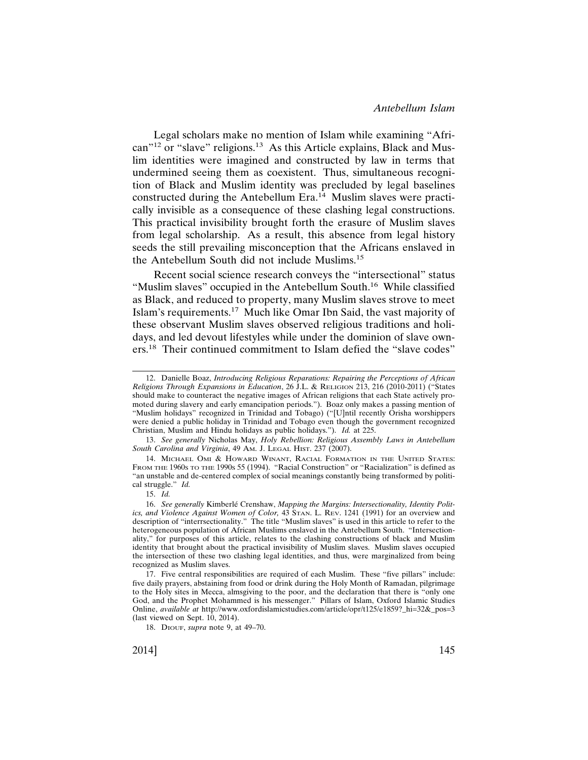Legal scholars make no mention of Islam while examining "African"<sup>12</sup> or "slave" religions.<sup>13</sup> As this Article explains, Black and Muslim identities were imagined and constructed by law in terms that undermined seeing them as coexistent. Thus, simultaneous recognition of Black and Muslim identity was precluded by legal baselines constructed during the Antebellum Era. $14$  Muslim slaves were practically invisible as a consequence of these clashing legal constructions. This practical invisibility brought forth the erasure of Muslim slaves from legal scholarship. As a result, this absence from legal history seeds the still prevailing misconception that the Africans enslaved in the Antebellum South did not include Muslims.<sup>15</sup>

Recent social science research conveys the "intersectional" status "Muslim slaves" occupied in the Antebellum South.<sup>16</sup> While classified as Black, and reduced to property, many Muslim slaves strove to meet Islam's requirements.17 Much like Omar Ibn Said, the vast majority of these observant Muslim slaves observed religious traditions and holidays, and led devout lifestyles while under the dominion of slave owners.18 Their continued commitment to Islam defied the "slave codes"

14. MICHAEL OMI & HOWARD WINANT, RACIAL FORMATION IN THE UNITED STATES: FROM THE 1960s TO THE 1990s 55 (1994). "Racial Construction" or "Racialization" is defined as "an unstable and de-centered complex of social meanings constantly being transformed by political struggle." *Id.*

17. Five central responsibilities are required of each Muslim. These "five pillars" include: five daily prayers, abstaining from food or drink during the Holy Month of Ramadan, pilgrimage to the Holy sites in Mecca, almsgiving to the poor, and the declaration that there is "only one God, and the Prophet Mohammed is his messenger." Pillars of Islam, Oxford Islamic Studies Online, *available at* http://www.oxfordislamicstudies.com/article/opr/t125/e1859?\_hi=32&\_pos=3 (last viewed on Sept. 10, 2014).

<sup>12.</sup> Danielle Boaz, *Introducing Religious Reparations: Repairing the Perceptions of African Religions Through Expansions in Education*, 26 J.L. & RELIGION 213, 216 (2010-2011) ("States should make to counteract the negative images of African religions that each State actively promoted during slavery and early emancipation periods."). Boaz only makes a passing mention of "Muslim holidays" recognized in Trinidad and Tobago) ("[U]ntil recently Orisha worshippers were denied a public holiday in Trinidad and Tobago even though the government recognized Christian, Muslim and Hindu holidays as public holidays."). *Id.* at 225.

<sup>13.</sup> *See generally* Nicholas May, *Holy Rebellion: Religious Assembly Laws in Antebellum South Carolina and Virginia*, 49 AM. J. LEGAL HIST. 237 (2007).

<sup>15.</sup> *Id.*

<sup>16.</sup> See generally Kimberlé Crenshaw, *Mapping the Margins: Intersectionality*, *Identity Politics, and Violence Against Women of Color,* 43 STAN. L. REV. 1241 (1991) for an overview and description of "interrsectionality." The title "Muslim slaves" is used in this article to refer to the heterogeneous population of African Muslims enslaved in the Antebellum South. "Intersectionality," for purposes of this article, relates to the clashing constructions of black and Muslim identity that brought about the practical invisibility of Muslim slaves. Muslim slaves occupied the intersection of these two clashing legal identities, and thus, were marginalized from being recognized as Muslim slaves.

<sup>18.</sup> DIOUF, *supra* note 9, at 49–70.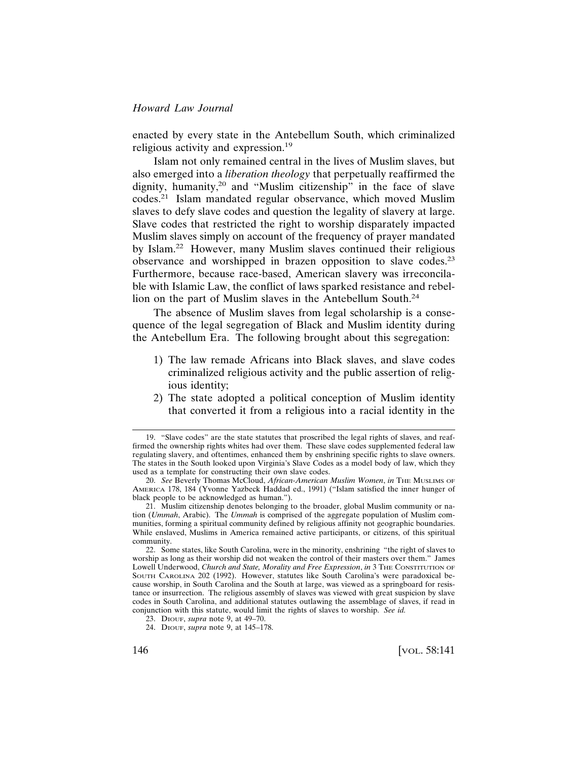enacted by every state in the Antebellum South, which criminalized religious activity and expression.19

Islam not only remained central in the lives of Muslim slaves, but also emerged into a *liberation theology* that perpetually reaffirmed the dignity, humanity,20 and "Muslim citizenship" in the face of slave codes.21 Islam mandated regular observance, which moved Muslim slaves to defy slave codes and question the legality of slavery at large. Slave codes that restricted the right to worship disparately impacted Muslim slaves simply on account of the frequency of prayer mandated by Islam.22 However, many Muslim slaves continued their religious observance and worshipped in brazen opposition to slave codes.23 Furthermore, because race-based, American slavery was irreconcilable with Islamic Law, the conflict of laws sparked resistance and rebellion on the part of Muslim slaves in the Antebellum South.<sup>24</sup>

The absence of Muslim slaves from legal scholarship is a consequence of the legal segregation of Black and Muslim identity during the Antebellum Era. The following brought about this segregation:

- 1) The law remade Africans into Black slaves, and slave codes criminalized religious activity and the public assertion of religious identity;
- 2) The state adopted a political conception of Muslim identity that converted it from a religious into a racial identity in the

<sup>19. &</sup>quot;Slave codes" are the state statutes that proscribed the legal rights of slaves, and reaffirmed the ownership rights whites had over them. These slave codes supplemented federal law regulating slavery, and oftentimes, enhanced them by enshrining specific rights to slave owners. The states in the South looked upon Virginia's Slave Codes as a model body of law, which they used as a template for constructing their own slave codes.

<sup>20.</sup> *See* Beverly Thomas McCloud, *African-American Muslim Women*, *in* THE MUSLIMS OF AMERICA 178, 184 (Yvonne Yazbeck Haddad ed., 1991) ("Islam satisfied the inner hunger of black people to be acknowledged as human.").

<sup>21.</sup> Muslim citizenship denotes belonging to the broader, global Muslim community or nation (*Ummah*, Arabic). The *Ummah* is comprised of the aggregate population of Muslim communities, forming a spiritual community defined by religious affinity not geographic boundaries. While enslaved, Muslims in America remained active participants, or citizens, of this spiritual community.

<sup>22.</sup> Some states, like South Carolina, were in the minority, enshrining "the right of slaves to worship as long as their worship did not weaken the control of their masters over them." James Lowell Underwood, *Church and State, Morality and Free Expression*, *in* 3 THE CONSTITUTION OF SOUTH CAROLINA 202 (1992). However, statutes like South Carolina's were paradoxical because worship, in South Carolina and the South at large, was viewed as a springboard for resistance or insurrection. The religious assembly of slaves was viewed with great suspicion by slave codes in South Carolina, and additional statutes outlawing the assemblage of slaves, if read in conjunction with this statute, would limit the rights of slaves to worship. *See id.*

<sup>23.</sup> DIOUF, *supra* note 9, at 49–70.

<sup>24.</sup> DIOUF, *supra* note 9, at 145–178.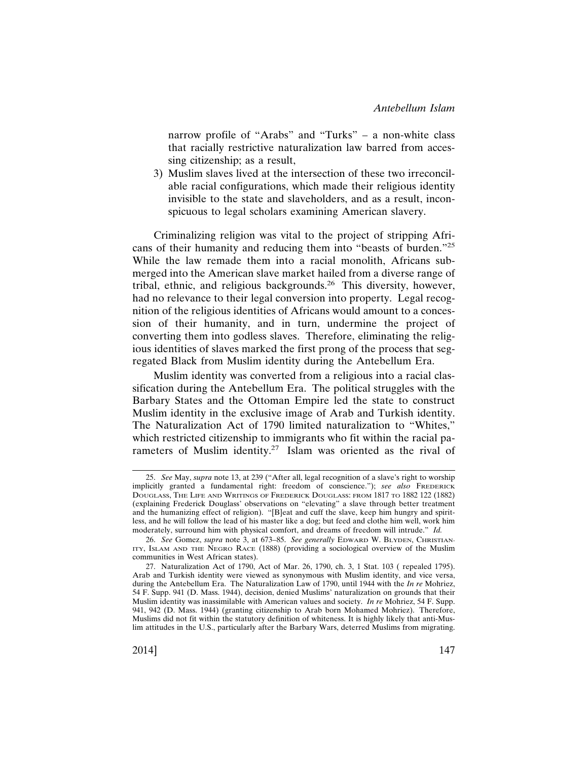narrow profile of "Arabs" and "Turks" – a non-white class that racially restrictive naturalization law barred from accessing citizenship; as a result,

3) Muslim slaves lived at the intersection of these two irreconcilable racial configurations, which made their religious identity invisible to the state and slaveholders, and as a result, inconspicuous to legal scholars examining American slavery.

Criminalizing religion was vital to the project of stripping Africans of their humanity and reducing them into "beasts of burden."25 While the law remade them into a racial monolith, Africans submerged into the American slave market hailed from a diverse range of tribal, ethnic, and religious backgrounds.26 This diversity, however, had no relevance to their legal conversion into property. Legal recognition of the religious identities of Africans would amount to a concession of their humanity, and in turn, undermine the project of converting them into godless slaves. Therefore, eliminating the religious identities of slaves marked the first prong of the process that segregated Black from Muslim identity during the Antebellum Era.

Muslim identity was converted from a religious into a racial classification during the Antebellum Era. The political struggles with the Barbary States and the Ottoman Empire led the state to construct Muslim identity in the exclusive image of Arab and Turkish identity. The Naturalization Act of 1790 limited naturalization to "Whites," which restricted citizenship to immigrants who fit within the racial parameters of Muslim identity.<sup>27</sup> Islam was oriented as the rival of

<sup>25.</sup> *See* May, *supra* note 13, at 239 ("After all, legal recognition of a slave's right to worship implicitly granted a fundamental right: freedom of conscience."); *see also* FREDERICK DOUGLASS, THE LIFE AND WRITINGS OF FREDERICK DOUGLASS: FROM 1817 TO 1882 122 (1882) (explaining Frederick Douglass' observations on "elevating" a slave through better treatment and the humanizing effect of religion). "[B]eat and cuff the slave, keep him hungry and spiritless, and he will follow the lead of his master like a dog; but feed and clothe him well, work him moderately, surround him with physical comfort, and dreams of freedom will intrude." *Id.*

<sup>26.</sup> *See* Gomez, *supra* note 3, at 673–85. *See generally* EDWARD W. BLYDEN, CHRISTIAN-ITY, ISLAM AND THE NEGRO RACE (1888) (providing a sociological overview of the Muslim communities in West African states).

<sup>27.</sup> Naturalization Act of 1790, Act of Mar. 26, 1790, ch. 3, 1 Stat. 103 ( repealed 1795). Arab and Turkish identity were viewed as synonymous with Muslim identity, and vice versa, during the Antebellum Era. The Naturalization Law of 1790, until 1944 with the *In re* Mohriez, 54 F. Supp. 941 (D. Mass. 1944), decision, denied Muslims' naturalization on grounds that their Muslim identity was inassimilable with American values and society. *In re* Mohriez, 54 F. Supp. 941, 942 (D. Mass. 1944) (granting citizenship to Arab born Mohamed Mohriez). Therefore, Muslims did not fit within the statutory definition of whiteness. It is highly likely that anti-Muslim attitudes in the U.S., particularly after the Barbary Wars, deterred Muslims from migrating.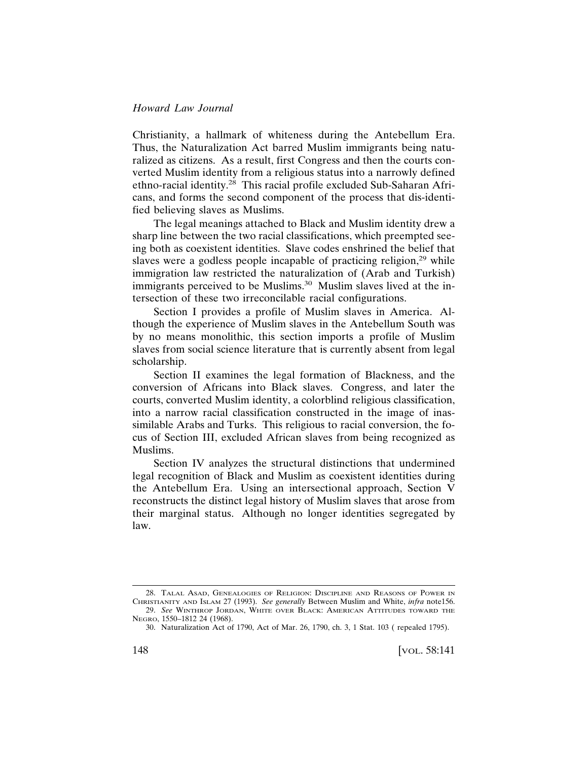Christianity, a hallmark of whiteness during the Antebellum Era. Thus, the Naturalization Act barred Muslim immigrants being naturalized as citizens. As a result, first Congress and then the courts converted Muslim identity from a religious status into a narrowly defined ethno-racial identity.28 This racial profile excluded Sub-Saharan Africans, and forms the second component of the process that dis-identified believing slaves as Muslims.

The legal meanings attached to Black and Muslim identity drew a sharp line between the two racial classifications, which preempted seeing both as coexistent identities. Slave codes enshrined the belief that slaves were a godless people incapable of practicing religion, $29$  while immigration law restricted the naturalization of (Arab and Turkish) immigrants perceived to be Muslims.<sup>30</sup> Muslim slaves lived at the intersection of these two irreconcilable racial configurations.

Section I provides a profile of Muslim slaves in America. Although the experience of Muslim slaves in the Antebellum South was by no means monolithic, this section imports a profile of Muslim slaves from social science literature that is currently absent from legal scholarship.

Section II examines the legal formation of Blackness, and the conversion of Africans into Black slaves. Congress, and later the courts, converted Muslim identity, a colorblind religious classification, into a narrow racial classification constructed in the image of inassimilable Arabs and Turks. This religious to racial conversion, the focus of Section III, excluded African slaves from being recognized as Muslims.

Section IV analyzes the structural distinctions that undermined legal recognition of Black and Muslim as coexistent identities during the Antebellum Era. Using an intersectional approach, Section V reconstructs the distinct legal history of Muslim slaves that arose from their marginal status. Although no longer identities segregated by law.

<sup>28.</sup> TALAL ASAD, GENEALOGIES OF RELIGION: DISCIPLINE AND REASONS OF POWER IN CHRISTIANITY AND ISLAM 27 (1993). *See generally* Between Muslim and White, *infra* note156.

<sup>29.</sup> *See* WINTHROP JORDAN, WHITE OVER BLACK: AMERICAN ATTITUDES TOWARD THE NEGRO, 1550–1812 24 (1968).

<sup>30.</sup> Naturalization Act of 1790, Act of Mar. 26, 1790, ch. 3, 1 Stat. 103 ( repealed 1795).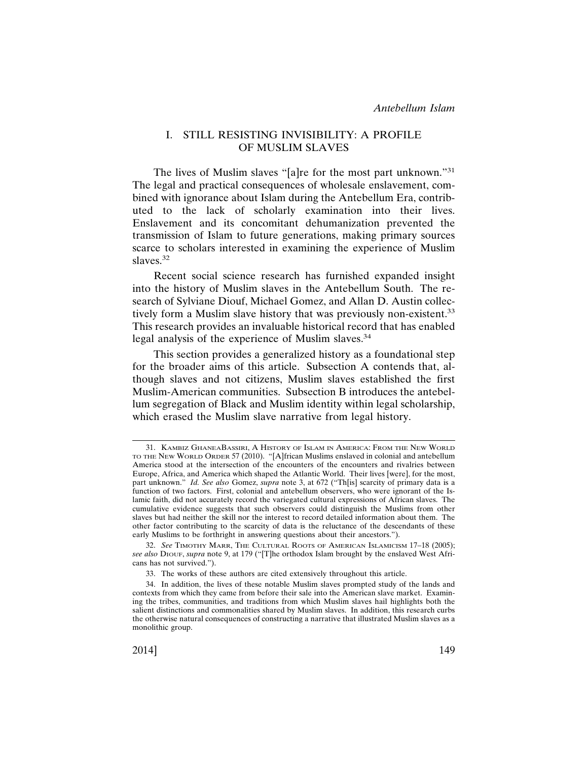# I. STILL RESISTING INVISIBILITY: A PROFILE OF MUSLIM SLAVES

The lives of Muslim slaves "[a]re for the most part unknown."<sup>31</sup> The legal and practical consequences of wholesale enslavement, combined with ignorance about Islam during the Antebellum Era, contributed to the lack of scholarly examination into their lives. Enslavement and its concomitant dehumanization prevented the transmission of Islam to future generations, making primary sources scarce to scholars interested in examining the experience of Muslim slaves.32

Recent social science research has furnished expanded insight into the history of Muslim slaves in the Antebellum South. The research of Sylviane Diouf, Michael Gomez, and Allan D. Austin collectively form a Muslim slave history that was previously non-existent.<sup>33</sup> This research provides an invaluable historical record that has enabled legal analysis of the experience of Muslim slaves.<sup>34</sup>

This section provides a generalized history as a foundational step for the broader aims of this article. Subsection A contends that, although slaves and not citizens, Muslim slaves established the first Muslim-American communities. Subsection B introduces the antebellum segregation of Black and Muslim identity within legal scholarship, which erased the Muslim slave narrative from legal history.

<sup>31.</sup> KAMBIZ GHANEABASSIRI, A HISTORY OF ISLAM IN AMERICA: FROM THE NEW WORLD TO THE NEW WORLD ORDER 57 (2010). "[A]frican Muslims enslaved in colonial and antebellum America stood at the intersection of the encounters of the encounters and rivalries between Europe, Africa, and America which shaped the Atlantic World. Their lives [were], for the most, part unknown." *Id. See also* Gomez, *supra* note 3, at 672 ("Th[is] scarcity of primary data is a function of two factors. First, colonial and antebellum observers, who were ignorant of the Islamic faith, did not accurately record the variegated cultural expressions of African slaves. The cumulative evidence suggests that such observers could distinguish the Muslims from other slaves but had neither the skill nor the interest to record detailed information about them. The other factor contributing to the scarcity of data is the reluctance of the descendants of these early Muslims to be forthright in answering questions about their ancestors.").

<sup>32.</sup> *See* TIMOTHY MARR, THE CULTURAL ROOTS OF AMERICAN ISLAMICISM 17–18 (2005); *see also* DIOUF, *supra* note 9, at 179 ("[T]he orthodox Islam brought by the enslaved West Africans has not survived.").

<sup>33.</sup> The works of these authors are cited extensively throughout this article.

<sup>34.</sup> In addition, the lives of these notable Muslim slaves prompted study of the lands and contexts from which they came from before their sale into the American slave market. Examining the tribes, communities, and traditions from which Muslim slaves hail highlights both the salient distinctions and commonalities shared by Muslim slaves. In addition, this research curbs the otherwise natural consequences of constructing a narrative that illustrated Muslim slaves as a monolithic group.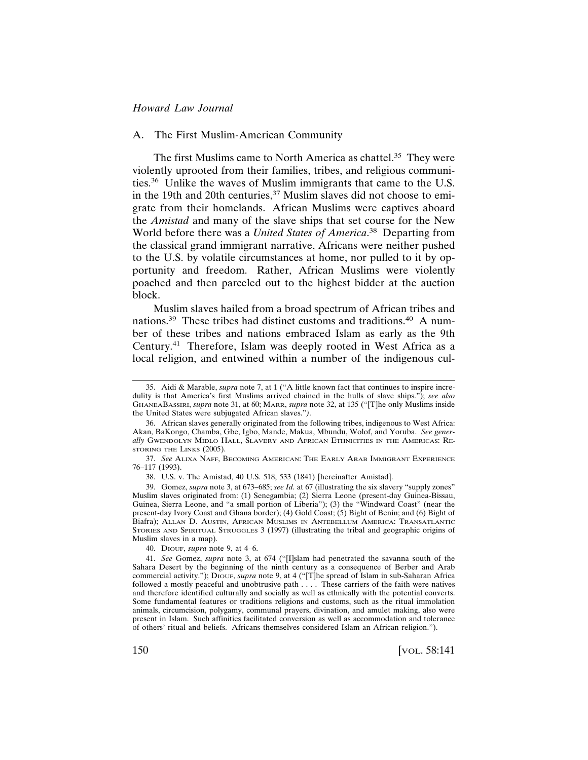## A. The First Muslim-American Community

The first Muslims came to North America as chattel.<sup>35</sup> They were violently uprooted from their families, tribes, and religious communities.36 Unlike the waves of Muslim immigrants that came to the U.S. in the 19th and 20th centuries, $37$  Muslim slaves did not choose to emigrate from their homelands. African Muslims were captives aboard the *Amistad* and many of the slave ships that set course for the New World before there was a *United States of America*. 38 Departing from the classical grand immigrant narrative, Africans were neither pushed to the U.S. by volatile circumstances at home, nor pulled to it by opportunity and freedom. Rather, African Muslims were violently poached and then parceled out to the highest bidder at the auction block.

Muslim slaves hailed from a broad spectrum of African tribes and nations.<sup>39</sup> These tribes had distinct customs and traditions.<sup>40</sup> A number of these tribes and nations embraced Islam as early as the 9th Century.41 Therefore, Islam was deeply rooted in West Africa as a local religion, and entwined within a number of the indigenous cul-

40. DIOUF, *supra* note 9, at 4–6.

41. *See* Gomez, *supra* note 3, at 674 ("[I]slam had penetrated the savanna south of the Sahara Desert by the beginning of the ninth century as a consequence of Berber and Arab commercial activity."); DIOUF, *supra* note 9, at 4 ("[T]he spread of Islam in sub-Saharan Africa followed a mostly peaceful and unobtrusive path . . . . These carriers of the faith were natives and therefore identified culturally and socially as well as ethnically with the potential converts. Some fundamental features or traditions religions and customs, such as the ritual immolation animals, circumcision, polygamy, communal prayers, divination, and amulet making, also were present in Islam. Such affinities facilitated conversion as well as accommodation and tolerance of others' ritual and beliefs. Africans themselves considered Islam an African religion.").

<sup>35.</sup> Aidi & Marable, *supra* note 7, at 1 ("A little known fact that continues to inspire incredulity is that America's first Muslims arrived chained in the hulls of slave ships."); *see also* GHANEABASSIRI, *supra* note 31, at 60; MARR, *supra* note 32, at 135 ("[T]he only Muslims inside the United States were subjugated African slaves."*)*.

<sup>36.</sup> African slaves generally originated from the following tribes, indigenous to West Africa: Akan, BaKongo, Chamba, Gbe, Igbo, Mande, Makua, Mbundu, Wolof, and Yoruba. *See generally* GWENDOLYN MIDLO HALL, SLAVERY AND AFRICAN ETHNICITIES IN THE AMERICAS: RE-STORING THE LINKS (2005).

<sup>37.</sup> *See* ALIXA NAFF, BECOMING AMERICAN: THE EARLY ARAB IMMIGRANT EXPERIENCE 76–117 (1993).

<sup>38.</sup> U.S. v. The Amistad, 40 U.S. 518, 533 (1841) [hereinafter Amistad].

<sup>39.</sup> Gomez, *supra* note 3, at 673–685; *see Id.* at 67 (illustrating the six slavery "supply zones" Muslim slaves originated from: (1) Senegambia; (2) Sierra Leone (present-day Guinea-Bissau, Guinea, Sierra Leone, and "a small portion of Liberia"); (3) the "Windward Coast" (near the present-day Ivory Coast and Ghana border); (4) Gold Coast; (5) Bight of Benin; and (6) Bight of Biafra); ALLAN D. AUSTIN, AFRICAN MUSLIMS IN ANTEBELLUM AMERICA: TRANSATLANTIC STORIES AND SPIRITUAL STRUGGLES 3 (1997) (illustrating the tribal and geographic origins of Muslim slaves in a map).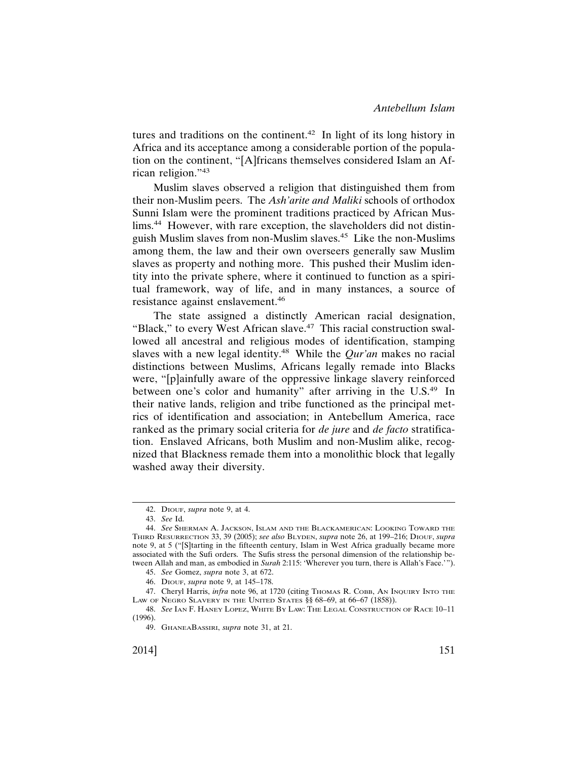tures and traditions on the continent.<sup>42</sup> In light of its long history in Africa and its acceptance among a considerable portion of the population on the continent, "[A]fricans themselves considered Islam an African religion."<sup>43</sup>

Muslim slaves observed a religion that distinguished them from their non-Muslim peers. The *Ash'arite and Maliki* schools of orthodox Sunni Islam were the prominent traditions practiced by African Muslims.<sup>44</sup> However, with rare exception, the slaveholders did not distinguish Muslim slaves from non-Muslim slaves.45 Like the non-Muslims among them, the law and their own overseers generally saw Muslim slaves as property and nothing more. This pushed their Muslim identity into the private sphere, where it continued to function as a spiritual framework, way of life, and in many instances, a source of resistance against enslavement.<sup>46</sup>

The state assigned a distinctly American racial designation, "Black," to every West African slave.<sup>47</sup> This racial construction swallowed all ancestral and religious modes of identification, stamping slaves with a new legal identity.48 While the *Qur'an* makes no racial distinctions between Muslims, Africans legally remade into Blacks were, "[p]ainfully aware of the oppressive linkage slavery reinforced between one's color and humanity" after arriving in the U.S.<sup>49</sup> In their native lands, religion and tribe functioned as the principal metrics of identification and association; in Antebellum America, race ranked as the primary social criteria for *de jure* and *de facto* stratification. Enslaved Africans, both Muslim and non-Muslim alike, recognized that Blackness remade them into a monolithic block that legally washed away their diversity.

<sup>42.</sup> DIOUF, *supra* note 9, at 4.

<sup>43.</sup> *See* Id.

<sup>44.</sup> *See* SHERMAN A. JACKSON, ISLAM AND THE BLACKAMERICAN: LOOKING TOWARD THE THIRD RESURRECTION 33, 39 (2005); *see also* BLYDEN, *supra* note 26, at 199–216; DIOUF, *supra* note 9, at 5 ("[S]tarting in the fifteenth century, Islam in West Africa gradually became more associated with the Sufi orders. The Sufis stress the personal dimension of the relationship between Allah and man, as embodied in *Surah* 2:115: 'Wherever you turn, there is Allah's Face.'").

<sup>45.</sup> *See* Gomez, *supra* note 3, at 672.

<sup>46.</sup> DIOUF, *supra* note 9, at 145–178.

<sup>47.</sup> Cheryl Harris, *infra* note 96, at 1720 (citing THOMAS R. COBB, AN INQUIRY INTO THE LAW OF NEGRO SLAVERY IN THE UNITED STATES §§ 68-69, at 66-67 (1858)).

<sup>48.</sup> *See* IAN F. HANEY LOPEZ, WHITE BY LAW: THE LEGAL CONSTRUCTION OF RACE 10–11 (1996).

<sup>49.</sup> GHANEABASSIRI, *supra* note 31, at 21.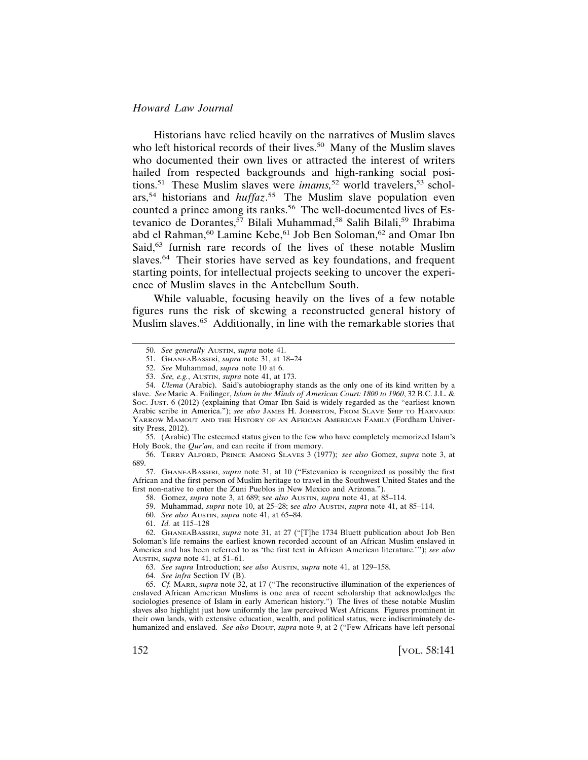Historians have relied heavily on the narratives of Muslim slaves who left historical records of their lives.<sup>50</sup> Many of the Muslim slaves who documented their own lives or attracted the interest of writers hailed from respected backgrounds and high-ranking social positions.<sup>51</sup> These Muslim slaves were *imams*,<sup>52</sup> world travelers,<sup>53</sup> scholars,54 historians and *huffaz*. 55 The Muslim slave population even counted a prince among its ranks.<sup>56</sup> The well-documented lives of Estevanico de Dorantes,<sup>57</sup> Bilali Muhammad,<sup>58</sup> Salih Bilali,<sup>59</sup> Ihrabima abd el Rahman,<sup>60</sup> Lamine Kebe,<sup>61</sup> Job Ben Soloman,<sup>62</sup> and Omar Ibn Said,<sup>63</sup> furnish rare records of the lives of these notable Muslim slaves.<sup>64</sup> Their stories have served as key foundations, and frequent starting points, for intellectual projects seeking to uncover the experience of Muslim slaves in the Antebellum South.

While valuable, focusing heavily on the lives of a few notable figures runs the risk of skewing a reconstructed general history of Muslim slaves.65 Additionally, in line with the remarkable stories that

55. (Arabic) The esteemed status given to the few who have completely memorized Islam's Holy Book, the *Qur'an*, and can recite if from memory.

56. TERRY ALFORD, PRINCE AMONG SLAVES 3 (1977); *see also* Gomez, *supra* note 3, at 689.

57. GHANEABASSIRI, *supra* note 31, at 10 ("Estevanico is recognized as possibly the first African and the first person of Muslim heritage to travel in the Southwest United States and the first non-native to enter the Zuni Pueblos in New Mexico and Arizona.").

- 58. Gomez, *supra* note 3, at 689; s*ee also* AUSTIN, *supra* note 41, at 85–114.
- 59. Muhammad, *supra* note 10, at 25–28; s*ee also* AUSTIN, *supra* note 41, at 85–114.
- 60. *See also* AUSTIN, *supra* note 41, at 65–84.
- 61. *Id.* at 115–128

62. GHANEABASSIRI, *supra* note 31, at 27 ("[T]he 1734 Bluett publication about Job Ben Soloman's life remains the earliest known recorded account of an African Muslim enslaved in America and has been referred to as 'the first text in African American literature.'"); *see also* AUSTIN, *supra* note 41, at 51–61.

63. *See supra* Introduction; s*ee also* AUSTIN, *supra* note 41, at 129–158.

64. *See infra* Section IV (B).

65. *Cf.* MARR, *supra* note 32, at 17 ("The reconstructive illumination of the experiences of enslaved African American Muslims is one area of recent scholarship that acknowledges the sociologies presence of Islam in early American history.") The lives of these notable Muslim slaves also highlight just how uniformly the law perceived West Africans. Figures prominent in their own lands, with extensive education, wealth, and political status, were indiscriminately dehumanized and enslaved. *See also* DIOUF, *supra* note 9, at 2 ("Few Africans have left personal

<sup>50.</sup> *See generally* AUSTIN, *supra* note 41.

<sup>51.</sup> GHANEABASSIRi, *supra* note 31, at 18–24

<sup>52.</sup> *See* Muhammad, *supra* note 10 at 6.

<sup>53.</sup> *See, e.g.*, AUSTIN, *supra* note 41, at 173.

<sup>54.</sup> *Ulema* (Arabic). Said's autobiography stands as the only one of its kind written by a slave. *See* Marie A. Failinger, *Islam in the Minds of American Court: 1800 to 1960*, 32 B.C. J.L. & SOC. JUST. 6 (2012) (explaining that Omar Ibn Said is widely regarded as the "earliest known Arabic scribe in America."); *see also* JAMES H. JOHNSTON, FROM SLAVE SHIP TO HARVARD: YARROW MAMOUT AND THE HISTORY OF AN AFRICAN AMERICAN FAMILY (Fordham University Press, 2012).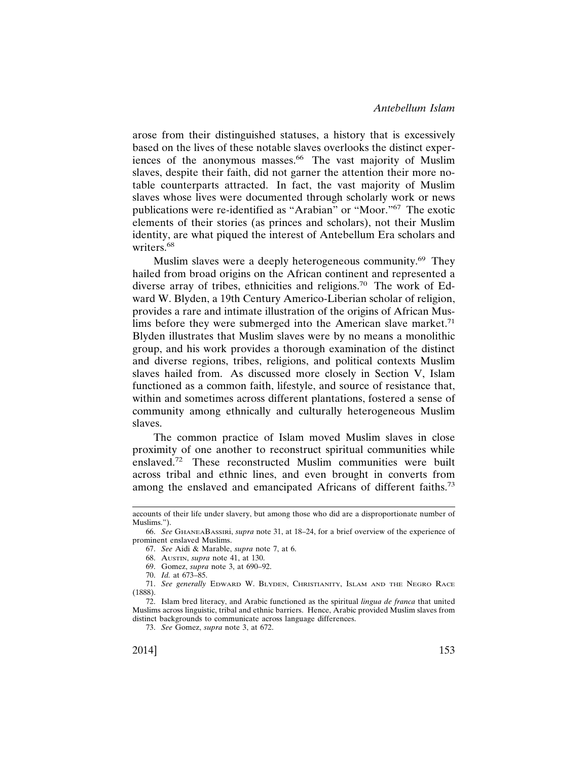arose from their distinguished statuses, a history that is excessively based on the lives of these notable slaves overlooks the distinct experiences of the anonymous masses.<sup>66</sup> The vast majority of Muslim slaves, despite their faith, did not garner the attention their more notable counterparts attracted. In fact, the vast majority of Muslim slaves whose lives were documented through scholarly work or news publications were re-identified as "Arabian" or "Moor."67 The exotic elements of their stories (as princes and scholars), not their Muslim identity, are what piqued the interest of Antebellum Era scholars and writers.<sup>68</sup>

Muslim slaves were a deeply heterogeneous community.<sup>69</sup> They hailed from broad origins on the African continent and represented a diverse array of tribes, ethnicities and religions.70 The work of Edward W. Blyden, a 19th Century Americo-Liberian scholar of religion, provides a rare and intimate illustration of the origins of African Muslims before they were submerged into the American slave market.<sup>71</sup> Blyden illustrates that Muslim slaves were by no means a monolithic group, and his work provides a thorough examination of the distinct and diverse regions, tribes, religions, and political contexts Muslim slaves hailed from. As discussed more closely in Section V, Islam functioned as a common faith, lifestyle, and source of resistance that, within and sometimes across different plantations, fostered a sense of community among ethnically and culturally heterogeneous Muslim slaves.

The common practice of Islam moved Muslim slaves in close proximity of one another to reconstruct spiritual communities while enslaved.72 These reconstructed Muslim communities were built across tribal and ethnic lines, and even brought in converts from among the enslaved and emancipated Africans of different faiths.<sup>73</sup>

accounts of their life under slavery, but among those who did are a disproportionate number of Muslims.").

<sup>66.</sup> *See* GHANEABASSIRi, *supra* note 31, at 18–24, for a brief overview of the experience of prominent enslaved Muslims.

<sup>67.</sup> *See* Aidi & Marable, *supra* note 7, at 6.

<sup>68.</sup> AUSTIN, *supra* note 41, at 130.

<sup>69.</sup> Gomez, *supra* note 3, at 690–92.

<sup>70.</sup> *Id.* at 673–85.

<sup>71.</sup> *See generally* EDWARD W. BLYDEN, CHRISTIANITY, ISLAM AND THE NEGRO RACE (1888).

<sup>72.</sup> Islam bred literacy, and Arabic functioned as the spiritual *lingua de franca* that united Muslims across linguistic, tribal and ethnic barriers. Hence, Arabic provided Muslim slaves from distinct backgrounds to communicate across language differences.

<sup>73.</sup> *See* Gomez, *supra* note 3, at 672.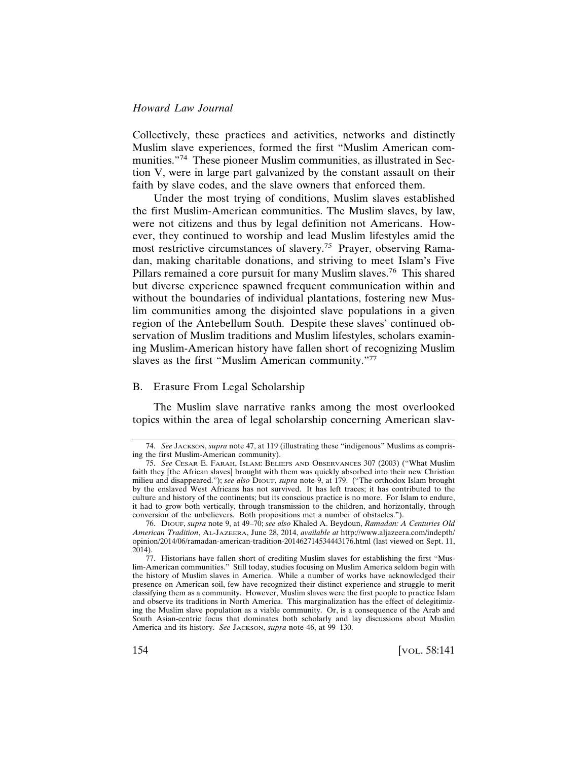Collectively, these practices and activities, networks and distinctly Muslim slave experiences, formed the first "Muslim American communities."<sup>74</sup> These pioneer Muslim communities, as illustrated in Section V, were in large part galvanized by the constant assault on their faith by slave codes, and the slave owners that enforced them.

Under the most trying of conditions, Muslim slaves established the first Muslim-American communities. The Muslim slaves, by law, were not citizens and thus by legal definition not Americans. However, they continued to worship and lead Muslim lifestyles amid the most restrictive circumstances of slavery.75 Prayer, observing Ramadan, making charitable donations, and striving to meet Islam's Five Pillars remained a core pursuit for many Muslim slaves.<sup>76</sup> This shared but diverse experience spawned frequent communication within and without the boundaries of individual plantations, fostering new Muslim communities among the disjointed slave populations in a given region of the Antebellum South. Despite these slaves' continued observation of Muslim traditions and Muslim lifestyles, scholars examining Muslim-American history have fallen short of recognizing Muslim slaves as the first "Muslim American community."<sup>77</sup>

## B. Erasure From Legal Scholarship

The Muslim slave narrative ranks among the most overlooked topics within the area of legal scholarship concerning American slav-

<sup>74.</sup> *See* JACKSON, *supra* note 47, at 119 (illustrating these "indigenous" Muslims as comprising the first Muslim-American community).

<sup>75.</sup> *See* CESAR E. FARAH, ISLAM: BELIEFS AND OBSERVANCES 307 (2003) ("What Muslim faith they [the African slaves] brought with them was quickly absorbed into their new Christian milieu and disappeared."); *see also* DIOUF, *supra* note 9, at 179. ("The orthodox Islam brought by the enslaved West Africans has not survived. It has left traces; it has contributed to the culture and history of the continents; but its conscious practice is no more. For Islam to endure, it had to grow both vertically, through transmission to the children, and horizontally, through conversion of the unbelievers. Both propositions met a number of obstacles.").

<sup>76.</sup> DIOUF, *supra* note 9, at 49–70; *see also* Khaled A. Beydoun, *Ramadan: A Centuries Old American Tradition*, AL-JAZEERA, June 28, 2014, *available at* http://www.aljazeera.com/indepth/ opinion/2014/06/ramadan-american-tradition-201462714534443176.html (last viewed on Sept. 11, 2014).

<sup>77.</sup> Historians have fallen short of crediting Muslim slaves for establishing the first "Muslim-American communities." Still today, studies focusing on Muslim America seldom begin with the history of Muslim slaves in America. While a number of works have acknowledged their presence on American soil, few have recognized their distinct experience and struggle to merit classifying them as a community. However, Muslim slaves were the first people to practice Islam and observe its traditions in North America. This marginalization has the effect of delegitimizing the Muslim slave population as a viable community. Or, is a consequence of the Arab and South Asian-centric focus that dominates both scholarly and lay discussions about Muslim America and its history. *See* JACKSON, *supra* note 46, at 99-130.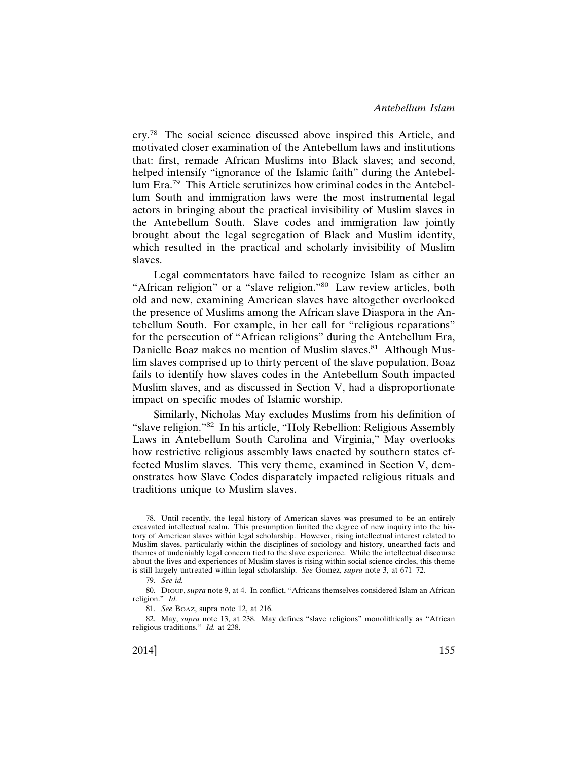ery.78 The social science discussed above inspired this Article, and motivated closer examination of the Antebellum laws and institutions that: first, remade African Muslims into Black slaves; and second, helped intensify "ignorance of the Islamic faith" during the Antebellum Era.79 This Article scrutinizes how criminal codes in the Antebellum South and immigration laws were the most instrumental legal actors in bringing about the practical invisibility of Muslim slaves in the Antebellum South. Slave codes and immigration law jointly brought about the legal segregation of Black and Muslim identity, which resulted in the practical and scholarly invisibility of Muslim slaves.

Legal commentators have failed to recognize Islam as either an "African religion" or a "slave religion."<sup>80</sup> Law review articles, both old and new, examining American slaves have altogether overlooked the presence of Muslims among the African slave Diaspora in the Antebellum South. For example, in her call for "religious reparations" for the persecution of "African religions" during the Antebellum Era, Danielle Boaz makes no mention of Muslim slaves.<sup>81</sup> Although Muslim slaves comprised up to thirty percent of the slave population, Boaz fails to identify how slaves codes in the Antebellum South impacted Muslim slaves, and as discussed in Section V, had a disproportionate impact on specific modes of Islamic worship.

Similarly, Nicholas May excludes Muslims from his definition of "slave religion."82 In his article, "Holy Rebellion: Religious Assembly Laws in Antebellum South Carolina and Virginia," May overlooks how restrictive religious assembly laws enacted by southern states effected Muslim slaves. This very theme, examined in Section V, demonstrates how Slave Codes disparately impacted religious rituals and traditions unique to Muslim slaves.

<sup>78.</sup> Until recently, the legal history of American slaves was presumed to be an entirely excavated intellectual realm. This presumption limited the degree of new inquiry into the history of American slaves within legal scholarship. However, rising intellectual interest related to Muslim slaves, particularly within the disciplines of sociology and history, unearthed facts and themes of undeniably legal concern tied to the slave experience. While the intellectual discourse about the lives and experiences of Muslim slaves is rising within social science circles, this theme is still largely untreated within legal scholarship. *See* Gomez, *supra* note 3, at 671–72.

<sup>79.</sup> *See id.*

<sup>80.</sup> DIOUF, *supra* note 9, at 4. In conflict, "Africans themselves considered Islam an African religion." *Id.*

<sup>81.</sup> *See* BOAZ, supra note 12, at 216.

<sup>82.</sup> May, *supra* note 13, at 238. May defines "slave religions" monolithically as "African religious traditions." *Id.* at 238.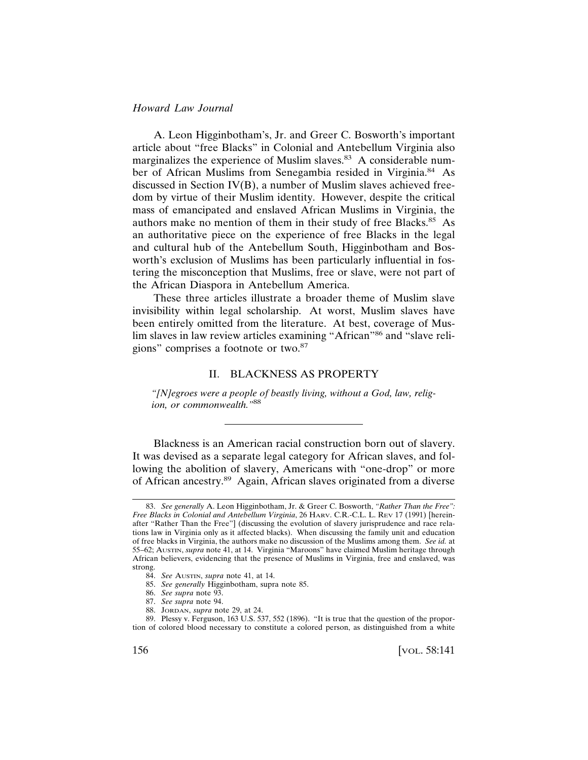A. Leon Higginbotham's, Jr. and Greer C. Bosworth's important article about "free Blacks" in Colonial and Antebellum Virginia also marginalizes the experience of Muslim slaves.<sup>83</sup> A considerable number of African Muslims from Senegambia resided in Virginia.<sup>84</sup> As discussed in Section IV(B), a number of Muslim slaves achieved freedom by virtue of their Muslim identity. However, despite the critical mass of emancipated and enslaved African Muslims in Virginia, the authors make no mention of them in their study of free Blacks.<sup>85</sup> As an authoritative piece on the experience of free Blacks in the legal and cultural hub of the Antebellum South, Higginbotham and Bosworth's exclusion of Muslims has been particularly influential in fostering the misconception that Muslims, free or slave, were not part of the African Diaspora in Antebellum America.

These three articles illustrate a broader theme of Muslim slave invisibility within legal scholarship. At worst, Muslim slaves have been entirely omitted from the literature. At best, coverage of Muslim slaves in law review articles examining "African"<sup>86</sup> and "slave religions" comprises a footnote or two.<sup>87</sup>

# II. BLACKNESS AS PROPERTY

*"[N]egroes were a people of beastly living, without a God, law, religion, or commonwealth."*<sup>88</sup>

Blackness is an American racial construction born out of slavery. It was devised as a separate legal category for African slaves, and following the abolition of slavery, Americans with "one-drop" or more of African ancestry.89 Again, African slaves originated from a diverse

88. JORDAN, *supra* note 29, at 24.

<sup>83.</sup> *See generally* A. Leon Higginbotham, Jr. & Greer C. Bosworth, *"Rather Than the Free": Free Blacks in Colonial and Antebellum Virginia*, 26 HARV. C.R.-C.L. L. REV 17 (1991) [hereinafter "Rather Than the Free"] (discussing the evolution of slavery jurisprudence and race relations law in Virginia only as it affected blacks). When discussing the family unit and education of free blacks in Virginia, the authors make no discussion of the Muslims among them. *See id.* at 55–62; AUSTIN, *supra* note 41, at 14. Virginia "Maroons" have claimed Muslim heritage through African believers, evidencing that the presence of Muslims in Virginia, free and enslaved, was strong.

<sup>84.</sup> *See* AUSTIN, *supra* note 41, at 14.

<sup>85.</sup> *See generally* Higginbotham, supra note 85.

<sup>86.</sup> *See supra* note 93.

<sup>87.</sup> *See supra* note 94.

<sup>89.</sup> Plessy v. Ferguson, 163 U.S. 537, 552 (1896). "It is true that the question of the proportion of colored blood necessary to constitute a colored person, as distinguished from a white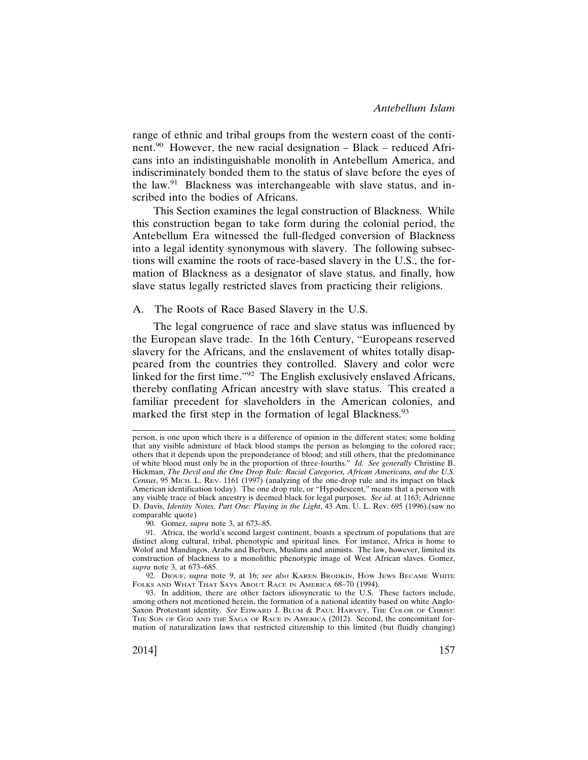range of ethnic and tribal groups from the western coast of the continent.90 However, the new racial designation – Black – reduced Africans into an indistinguishable monolith in Antebellum America, and indiscriminately bonded them to the status of slave before the eyes of the law.91 Blackness was interchangeable with slave status, and inscribed into the bodies of Africans.

This Section examines the legal construction of Blackness. While this construction began to take form during the colonial period, the Antebellum Era witnessed the full-fledged conversion of Blackness into a legal identity synonymous with slavery. The following subsections will examine the roots of race-based slavery in the U.S., the formation of Blackness as a designator of slave status, and finally, how slave status legally restricted slaves from practicing their religions.

A. The Roots of Race Based Slavery in the U.S.

The legal congruence of race and slave status was influenced by the European slave trade. In the 16th Century, "Europeans reserved slavery for the Africans, and the enslavement of whites totally disappeared from the countries they controlled. Slavery and color were linked for the first time."92 The English exclusively enslaved Africans, thereby conflating African ancestry with slave status. This created a familiar precedent for slaveholders in the American colonies, and marked the first step in the formation of legal Blackness.<sup>93</sup>

90. Gomez, *supra* note 3, at 673–85.

person, is one upon which there is a difference of opinion in the different states; some holding that any visible admixture of black blood stamps the person as belonging to the colored race; others that it depends upon the preponderance of blood; and still others, that the predominance of white blood must only be in the proportion of three-fourths." *Id. See generally* Christine B. Hickman, *The Devil and the One Drop Rule: Racial Categories, African Americans, and the U.S. Census*, 95 MICH. L. REV. 1161 (1997) (analyzing of the one-drop rule and its impact on black American identification today). The one drop rule, or "Hypodescent," means that a person with any visible trace of black ancestry is deemed black for legal purposes. *See id.* at 1163; Adrienne D. Davis, *Identity Notes, Part One: Playing in the Light*, 43 Am. U. L. Rev. 695 (1996).(saw no comparable quote)

<sup>91.</sup> Africa, the world's second largest continent, boasts a spectrum of populations that are distinct along cultural, tribal, phenotypic and spiritual lines. For instance, Africa is home to Wolof and Mandingos, Arabs and Berbers, Muslims and animists. The law, however, limited its construction of blackness to a monolithic phenotypic image of West African slaves. Gomez, *supra* note 3, at 673–685.

<sup>92.</sup> DIOUF, *supra* note 9, at 16; *see also* KAREN BRODKIN, HOW JEWS BECAME WHITE FOLKS AND WHAT THAT SAYS ABOUT RACE IN AMERICA 68–70 (1994).

<sup>93.</sup> In addition, there are other factors idiosyncratic to the U.S. These factors include, among others not mentioned herein, the formation of a national identity based on white Anglo-Saxon Protestant identity. *See* EDWARD J. BLUM & PAUL HARVEY, THE COLOR OF CHRIST: THE SON OF GOD AND THE SAGA OF RACE IN AMERICA (2012). Second, the concomitant formation of naturalization laws that restricted citizenship to this limited (but fluidly changing)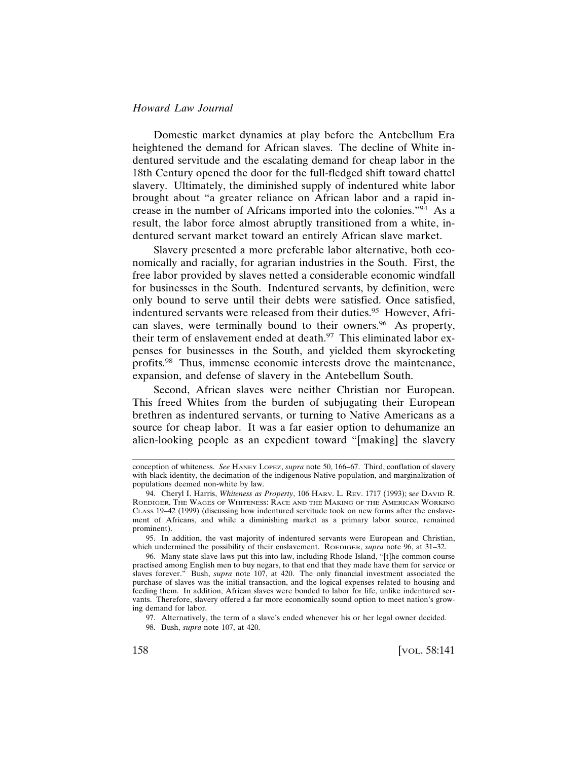Domestic market dynamics at play before the Antebellum Era heightened the demand for African slaves. The decline of White indentured servitude and the escalating demand for cheap labor in the 18th Century opened the door for the full-fledged shift toward chattel slavery. Ultimately, the diminished supply of indentured white labor brought about "a greater reliance on African labor and a rapid increase in the number of Africans imported into the colonies."94 As a result, the labor force almost abruptly transitioned from a white, indentured servant market toward an entirely African slave market.

Slavery presented a more preferable labor alternative, both economically and racially, for agrarian industries in the South. First, the free labor provided by slaves netted a considerable economic windfall for businesses in the South. Indentured servants, by definition, were only bound to serve until their debts were satisfied. Once satisfied, indentured servants were released from their duties.<sup>95</sup> However, African slaves, were terminally bound to their owners.<sup>96</sup> As property, their term of enslavement ended at death. $97$  This eliminated labor expenses for businesses in the South, and yielded them skyrocketing profits.98 Thus, immense economic interests drove the maintenance, expansion, and defense of slavery in the Antebellum South.

Second, African slaves were neither Christian nor European. This freed Whites from the burden of subjugating their European brethren as indentured servants, or turning to Native Americans as a source for cheap labor. It was a far easier option to dehumanize an alien-looking people as an expedient toward "[making] the slavery

conception of whiteness. *See* HANEY LOPEZ, *supra* note 50, 166–67. Third, conflation of slavery with black identity, the decimation of the indigenous Native population, and marginalization of populations deemed non-white by law.

<sup>94.</sup> Cheryl I. Harris, *Whiteness as Property*, 106 HARV. L. REV. 1717 (1993); s*ee* DAVID R. ROEDIGER, THE WAGES OF WHITENESS: RACE AND THE MAKING OF THE AMERICAN WORKING CLASS 19–42 (1999) (discussing how indentured servitude took on new forms after the enslavement of Africans, and while a diminishing market as a primary labor source, remained prominent).

<sup>95.</sup> In addition, the vast majority of indentured servants were European and Christian, which undermined the possibility of their enslavement. ROEDIGER, *supra* note 96, at 31–32.

<sup>96.</sup> Many state slave laws put this into law, including Rhode Island, "[t]he common course practised among English men to buy negars, to that end that they made have them for service or slaves forever." Bush, *supra* note 107, at 420. The only financial investment associated the purchase of slaves was the initial transaction, and the logical expenses related to housing and feeding them. In addition, African slaves were bonded to labor for life, unlike indentured servants. Therefore, slavery offered a far more economically sound option to meet nation's growing demand for labor.

<sup>97.</sup> Alternatively, the term of a slave's ended whenever his or her legal owner decided.

<sup>98.</sup> Bush, *supra* note 107, at 420.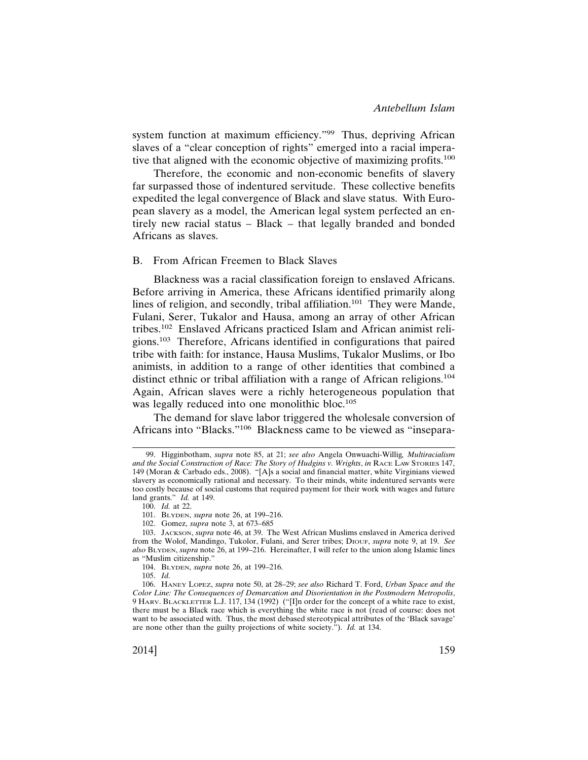system function at maximum efficiency."99 Thus, depriving African slaves of a "clear conception of rights" emerged into a racial imperative that aligned with the economic objective of maximizing profits.100

Therefore, the economic and non-economic benefits of slavery far surpassed those of indentured servitude. These collective benefits expedited the legal convergence of Black and slave status. With European slavery as a model, the American legal system perfected an entirely new racial status – Black – that legally branded and bonded Africans as slaves.

## B. From African Freemen to Black Slaves

Blackness was a racial classification foreign to enslaved Africans. Before arriving in America, these Africans identified primarily along lines of religion, and secondly, tribal affiliation.<sup>101</sup> They were Mande, Fulani, Serer, Tukalor and Hausa, among an array of other African tribes.102 Enslaved Africans practiced Islam and African animist religions.103 Therefore, Africans identified in configurations that paired tribe with faith: for instance, Hausa Muslims, Tukalor Muslims, or Ibo animists, in addition to a range of other identities that combined a distinct ethnic or tribal affiliation with a range of African religions.<sup>104</sup> Again, African slaves were a richly heterogeneous population that was legally reduced into one monolithic bloc.<sup>105</sup>

The demand for slave labor triggered the wholesale conversion of Africans into "Blacks."106 Blackness came to be viewed as "insepara-

102. Gomez, *supra* note 3, at 673–685

<sup>99.</sup> Higginbotham, *supra* note 85, at 21; *see also* Angela Onwuachi-Willig*, Multiracialism and the Social Construction of Race: The Story of Hudgins v. Wrights*, *in* RACE LAW STORIES 147, 149 (Moran & Carbado eds., 2008). "[A]s a social and financial matter, white Virginians viewed slavery as economically rational and necessary. To their minds, white indentured servants were too costly because of social customs that required payment for their work with wages and future land grants." *Id.* at 149.

<sup>100.</sup> *Id.* at 22.

<sup>101.</sup> BLYDEN, *supra* note 26, at 199–216.

<sup>103.</sup> JACKSON, *supra* note 46, at 39. The West African Muslims enslaved in America derived from the Wolof, Mandingo, Tukolor, Fulani, and Serer tribes; DIOUF, *supra* note 9, at 19. *See also* BLYDEN, *supra* note 26, at 199–216. Hereinafter, I will refer to the union along Islamic lines as "Muslim citizenship."

<sup>104.</sup> BLYDEN, *supra* note 26, at 199–216.

<sup>105.</sup> *Id.*

<sup>106.</sup> HANEY LOPEZ, *supra* note 50, at 28–29; *see also* Richard T. Ford, *Urban Space and the Color Line: The Consequences of Demarcation and Disorientation in the Postmodern Metropolis*, 9 HARV. BLACKLETTER L.J. 117, 134 (1992) ("[I]n order for the concept of a white race to exist, there must be a Black race which is everything the white race is not (read of course: does not want to be associated with. Thus, the most debased stereotypical attributes of the 'Black savage' are none other than the guilty projections of white society."). *Id.* at 134.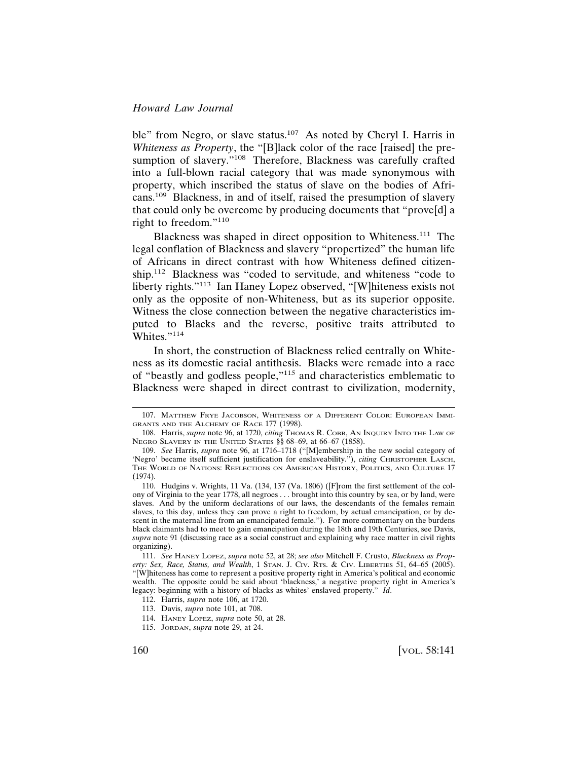ble" from Negro, or slave status.<sup>107</sup> As noted by Cheryl I. Harris in *Whiteness as Property*, the "[B]lack color of the race [raised] the presumption of slavery."<sup>108</sup> Therefore, Blackness was carefully crafted into a full-blown racial category that was made synonymous with property, which inscribed the status of slave on the bodies of Africans.109 Blackness, in and of itself, raised the presumption of slavery that could only be overcome by producing documents that "prove[d] a right to freedom."<sup>110</sup>

Blackness was shaped in direct opposition to Whiteness.<sup>111</sup> The legal conflation of Blackness and slavery "propertized" the human life of Africans in direct contrast with how Whiteness defined citizenship.112 Blackness was "coded to servitude, and whiteness "code to liberty rights."113 Ian Haney Lopez observed, "[W]hiteness exists not only as the opposite of non-Whiteness, but as its superior opposite. Witness the close connection between the negative characteristics imputed to Blacks and the reverse, positive traits attributed to Whites."<sup>114</sup>

In short, the construction of Blackness relied centrally on Whiteness as its domestic racial antithesis. Blacks were remade into a race of "beastly and godless people,"115 and characteristics emblematic to Blackness were shaped in direct contrast to civilization, modernity,

<sup>107.</sup> MATTHEW FRYE JACOBSON, WHITENESS OF A DIFFERENT COLOR: EUROPEAN IMMI-GRANTS AND THE ALCHEMY OF RACE 177 (1998).

<sup>108.</sup> Harris, *supra* note 96, at 1720, *citing* THOMAS R. COBB, AN INQUIRY INTO THE LAW OF NEGRO SLAVERY IN THE UNITED STATES §§ 68–69, at 66–67 (1858).

<sup>109.</sup> *See* Harris, *supra* note 96, at 1716–1718 ("[M]embership in the new social category of 'Negro' became itself sufficient justification for enslaveability."), *citing* CHRISTOPHER LASCH, THE WORLD OF NATIONS: REFLECTIONS ON AMERICAN HISTORY, POLITICS, AND CULTURE 17 (1974).

<sup>110.</sup> Hudgins v. Wrights, 11 Va. (134, 137 (Va. 1806) ([F]rom the first settlement of the colony of Virginia to the year 1778, all negroes . . . brought into this country by sea, or by land, were slaves. And by the uniform declarations of our laws, the descendants of the females remain slaves, to this day, unless they can prove a right to freedom, by actual emancipation, or by descent in the maternal line from an emancipated female."). For more commentary on the burdens black claimants had to meet to gain emancipation during the 18th and 19th Centuries, see Davis, *supra* note 91 (discussing race as a social construct and explaining why race matter in civil rights organizing).

<sup>111.</sup> *See* HANEY LOPEZ, *supra* note 52, at 28; *see also* Mitchell F. Crusto, *Blackness as Property: Sex, Race, Status, and Wealth*, 1 STAN. J. CIV. RTS. & CIV. LIBERTIES 51, 64–65 (2005). "[W]hiteness has come to represent a positive property right in America's political and economic wealth. The opposite could be said about 'blackness,' a negative property right in America's legacy: beginning with a history of blacks as whites' enslaved property." *Id*.

<sup>112.</sup> Harris, *supra* note 106, at 1720.

<sup>113.</sup> Davis, *supra* note 101, at 708.

<sup>114.</sup> HANEY LOPEZ, *supra* note 50, at 28.

<sup>115.</sup> JORDAN, *supra* note 29, at 24.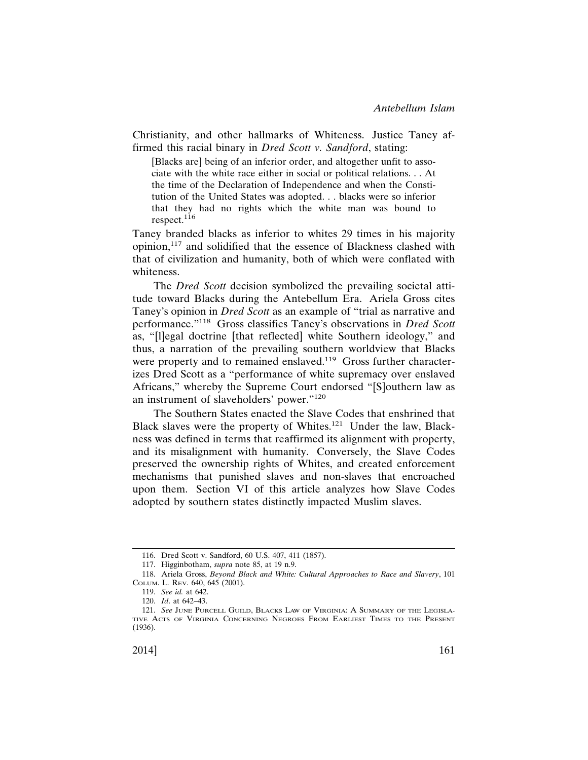Christianity, and other hallmarks of Whiteness. Justice Taney affirmed this racial binary in *Dred Scott v. Sandford*, stating:

[Blacks are] being of an inferior order, and altogether unfit to associate with the white race either in social or political relations. . . At the time of the Declaration of Independence and when the Constitution of the United States was adopted. . . blacks were so inferior that they had no rights which the white man was bound to respect.<sup>116</sup>

Taney branded blacks as inferior to whites 29 times in his majority opinion,<sup>117</sup> and solidified that the essence of Blackness clashed with that of civilization and humanity, both of which were conflated with whiteness.

The *Dred Scott* decision symbolized the prevailing societal attitude toward Blacks during the Antebellum Era. Ariela Gross cites Taney's opinion in *Dred Scott* as an example of "trial as narrative and performance."118 Gross classifies Taney's observations in *Dred Scott* as, "[l]egal doctrine [that reflected] white Southern ideology," and thus, a narration of the prevailing southern worldview that Blacks were property and to remained enslaved.<sup>119</sup> Gross further characterizes Dred Scott as a "performance of white supremacy over enslaved Africans," whereby the Supreme Court endorsed "[S]outhern law as an instrument of slaveholders' power."<sup>120</sup>

The Southern States enacted the Slave Codes that enshrined that Black slaves were the property of Whites.<sup>121</sup> Under the law, Blackness was defined in terms that reaffirmed its alignment with property, and its misalignment with humanity. Conversely, the Slave Codes preserved the ownership rights of Whites, and created enforcement mechanisms that punished slaves and non-slaves that encroached upon them. Section VI of this article analyzes how Slave Codes adopted by southern states distinctly impacted Muslim slaves.

<sup>116.</sup> Dred Scott v. Sandford, 60 U.S. 407, 411 (1857).

<sup>117.</sup> Higginbotham, *supra* note 85, at 19 n.9.

<sup>118.</sup> Ariela Gross, *Beyond Black and White: Cultural Approaches to Race and Slavery*, 101 COLUM. L. REV. 640, 645 (2001).

<sup>119.</sup> *See id.* at 642.

<sup>120.</sup> *Id*. at 642–43.

<sup>121.</sup> *See* JUNE PURCELL GUILD, BLACKS LAW OF VIRGINIA: A SUMMARY OF THE LEGISLA-TIVE ACTS OF VIRGINIA CONCERNING NEGROES FROM EARLIEST TIMES TO THE PRESENT (1936).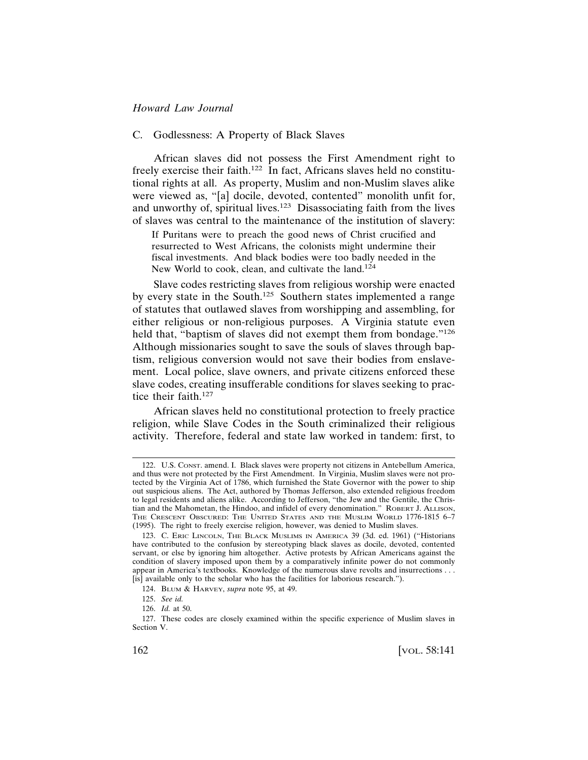## C. Godlessness: A Property of Black Slaves

African slaves did not possess the First Amendment right to freely exercise their faith.122 In fact, Africans slaves held no constitutional rights at all. As property, Muslim and non-Muslim slaves alike were viewed as, "[a] docile, devoted, contented" monolith unfit for, and unworthy of, spiritual lives.123 Disassociating faith from the lives of slaves was central to the maintenance of the institution of slavery:

If Puritans were to preach the good news of Christ crucified and resurrected to West Africans, the colonists might undermine their fiscal investments. And black bodies were too badly needed in the New World to cook, clean, and cultivate the land.<sup>124</sup>

Slave codes restricting slaves from religious worship were enacted by every state in the South.125 Southern states implemented a range of statutes that outlawed slaves from worshipping and assembling, for either religious or non-religious purposes. A Virginia statute even held that, "baptism of slaves did not exempt them from bondage."<sup>126</sup> Although missionaries sought to save the souls of slaves through baptism, religious conversion would not save their bodies from enslavement. Local police, slave owners, and private citizens enforced these slave codes, creating insufferable conditions for slaves seeking to practice their faith.<sup>127</sup>

African slaves held no constitutional protection to freely practice religion, while Slave Codes in the South criminalized their religious activity. Therefore, federal and state law worked in tandem: first, to

<sup>122.</sup> U.S. CONST. amend. I. Black slaves were property not citizens in Antebellum America, and thus were not protected by the First Amendment. In Virginia, Muslim slaves were not protected by the Virginia Act of 1786, which furnished the State Governor with the power to ship out suspicious aliens. The Act, authored by Thomas Jefferson, also extended religious freedom to legal residents and aliens alike. According to Jefferson, "the Jew and the Gentile, the Christian and the Mahometan, the Hindoo, and infidel of every denomination." ROBERT J. ALLISON, THE CRESCENT OBSCURED: THE UNITED STATES AND THE MUSLIM WORLD 1776-1815 6–7 (1995). The right to freely exercise religion, however, was denied to Muslim slaves.

<sup>123.</sup> C. ERIC LINCOLN, THE BLACK MUSLIMS IN AMERICA 39 (3d. ed. 1961) ("Historians have contributed to the confusion by stereotyping black slaves as docile, devoted, contented servant, or else by ignoring him altogether. Active protests by African Americans against the condition of slavery imposed upon them by a comparatively infinite power do not commonly appear in America's textbooks. Knowledge of the numerous slave revolts and insurrections . . . [is] available only to the scholar who has the facilities for laborious research.").

<sup>124.</sup> BLUM & HARVEY, *supra* note 95, at 49.

<sup>125.</sup> *See id.*

<sup>126.</sup> *Id.* at 50.

<sup>127.</sup> These codes are closely examined within the specific experience of Muslim slaves in Section V.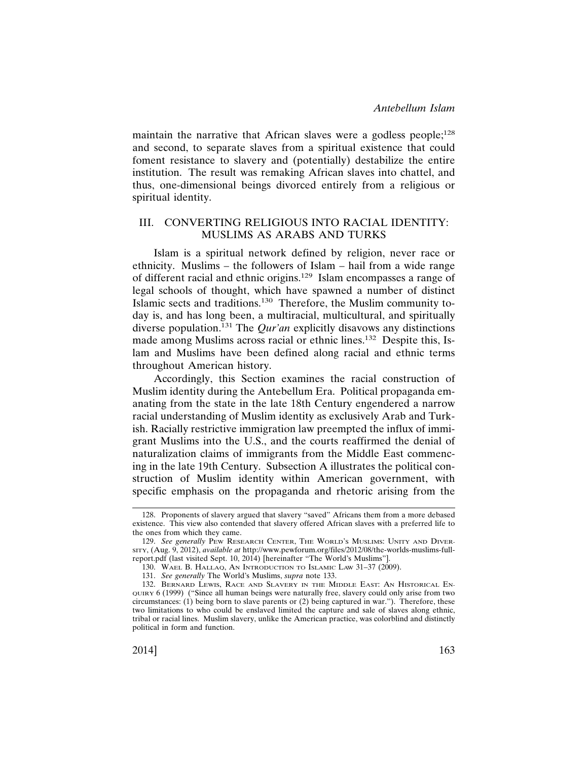maintain the narrative that African slaves were a godless people;<sup>128</sup> and second, to separate slaves from a spiritual existence that could foment resistance to slavery and (potentially) destabilize the entire institution. The result was remaking African slaves into chattel, and thus, one-dimensional beings divorced entirely from a religious or spiritual identity.

# III. CONVERTING RELIGIOUS INTO RACIAL IDENTITY: MUSLIMS AS ARABS AND TURKS

Islam is a spiritual network defined by religion, never race or ethnicity. Muslims – the followers of Islam – hail from a wide range of different racial and ethnic origins.129 Islam encompasses a range of legal schools of thought, which have spawned a number of distinct Islamic sects and traditions.130 Therefore, the Muslim community today is, and has long been, a multiracial, multicultural, and spiritually diverse population.131 The *Qur'an* explicitly disavows any distinctions made among Muslims across racial or ethnic lines.132 Despite this, Islam and Muslims have been defined along racial and ethnic terms throughout American history.

Accordingly, this Section examines the racial construction of Muslim identity during the Antebellum Era. Political propaganda emanating from the state in the late 18th Century engendered a narrow racial understanding of Muslim identity as exclusively Arab and Turkish. Racially restrictive immigration law preempted the influx of immigrant Muslims into the U.S., and the courts reaffirmed the denial of naturalization claims of immigrants from the Middle East commencing in the late 19th Century. Subsection A illustrates the political construction of Muslim identity within American government, with specific emphasis on the propaganda and rhetoric arising from the

<sup>128.</sup> Proponents of slavery argued that slavery "saved" Africans them from a more debased existence. This view also contended that slavery offered African slaves with a preferred life to the ones from which they came.

<sup>129.</sup> *See generally* PEW RESEARCH CENTER, THE WORLD'S MUSLIMS: UNITY AND DIVER-SITY, (Aug. 9, 2012), *available at* http://www.pewforum.org/files/2012/08/the-worlds-muslims-fullreport.pdf (last visited Sept. 10, 2014) [hereinafter "The World's Muslims"].

<sup>130.</sup> WAEL B. HALLAQ, AN INTRODUCTION TO ISLAMIC LAW 31–37 (2009).

<sup>131.</sup> *See generally* The World's Muslims, *supra* note 133.

<sup>132.</sup> BERNARD LEWIS, RACE AND SLAVERY IN THE MIDDLE EAST: AN HISTORICAL EN-QUIRY 6 (1999) ("Since all human beings were naturally free, slavery could only arise from two circumstances: (1) being born to slave parents or (2) being captured in war."). Therefore, these two limitations to who could be enslaved limited the capture and sale of slaves along ethnic, tribal or racial lines. Muslim slavery, unlike the American practice, was colorblind and distinctly political in form and function.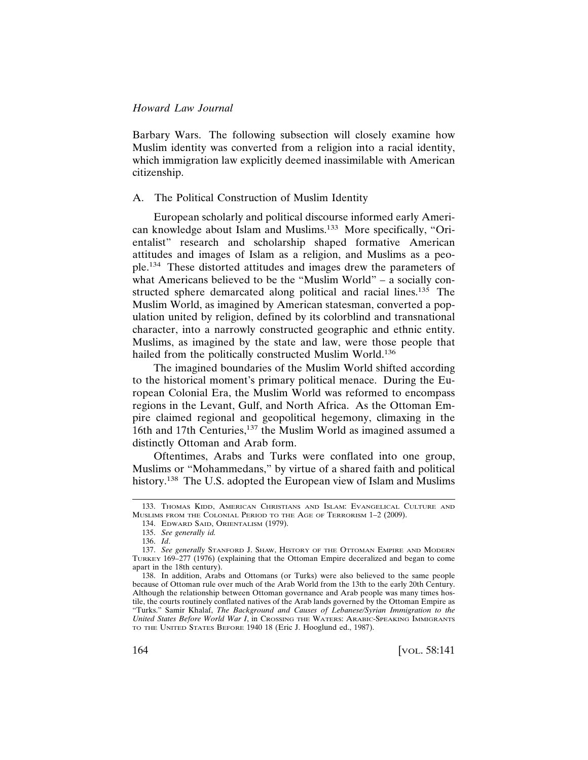Barbary Wars. The following subsection will closely examine how Muslim identity was converted from a religion into a racial identity, which immigration law explicitly deemed inassimilable with American citizenship.

#### A. The Political Construction of Muslim Identity

European scholarly and political discourse informed early American knowledge about Islam and Muslims.133 More specifically, "Orientalist" research and scholarship shaped formative American attitudes and images of Islam as a religion, and Muslims as a people.134 These distorted attitudes and images drew the parameters of what Americans believed to be the "Muslim World" – a socially constructed sphere demarcated along political and racial lines.<sup>135</sup> The Muslim World, as imagined by American statesman, converted a population united by religion, defined by its colorblind and transnational character, into a narrowly constructed geographic and ethnic entity. Muslims, as imagined by the state and law, were those people that hailed from the politically constructed Muslim World.<sup>136</sup>

The imagined boundaries of the Muslim World shifted according to the historical moment's primary political menace. During the European Colonial Era, the Muslim World was reformed to encompass regions in the Levant, Gulf, and North Africa. As the Ottoman Empire claimed regional and geopolitical hegemony, climaxing in the 16th and 17th Centuries,<sup>137</sup> the Muslim World as imagined assumed a distinctly Ottoman and Arab form.

Oftentimes, Arabs and Turks were conflated into one group, Muslims or "Mohammedans," by virtue of a shared faith and political history.<sup>138</sup> The U.S. adopted the European view of Islam and Muslims

<sup>133.</sup> THOMAS KIDD, AMERICAN CHRISTIANS AND ISLAM: EVANGELICAL CULTURE AND MUSLIMS FROM THE COLONIAL PERIOD TO THE AGE OF TERRORISM 1–2 (2009).

<sup>134.</sup> EDWARD SAID, ORIENTALISM (1979).

<sup>135.</sup> *See generally id.*

<sup>136.</sup> *Id*.

<sup>137.</sup> *See generally* STANFORD J. SHAW, HISTORY OF THE OTTOMAN EMPIRE AND MODERN TURKEY 169–277 (1976) (explaining that the Ottoman Empire deceralized and began to come apart in the 18th century).

<sup>138.</sup> In addition, Arabs and Ottomans (or Turks) were also believed to the same people because of Ottoman rule over much of the Arab World from the 13th to the early 20th Century. Although the relationship between Ottoman governance and Arab people was many times hostile, the courts routinely conflated natives of the Arab lands governed by the Ottoman Empire as "Turks." Samir Khalaf, *The Background and Causes of Lebanese/Syrian Immigration to the United States Before World War I*, in CROSSING THE WATERS: ARABIC-SPEAKING IMMIGRANTS TO THE UNITED STATES BEFORE 1940 18 (Eric J. Hooglund ed., 1987).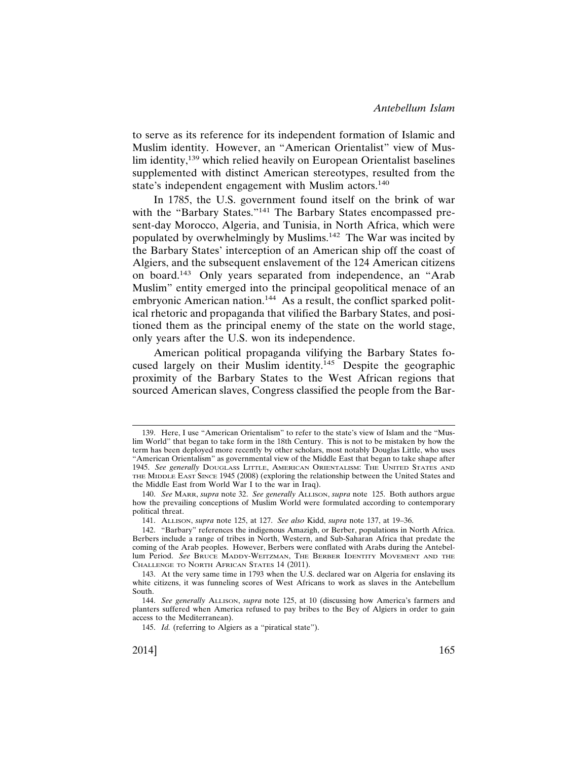to serve as its reference for its independent formation of Islamic and Muslim identity. However, an "American Orientalist" view of Muslim identity,<sup>139</sup> which relied heavily on European Orientalist baselines supplemented with distinct American stereotypes, resulted from the state's independent engagement with Muslim actors.<sup>140</sup>

In 1785, the U.S. government found itself on the brink of war with the "Barbary States."<sup>141</sup> The Barbary States encompassed present-day Morocco, Algeria, and Tunisia, in North Africa, which were populated by overwhelmingly by Muslims.142 The War was incited by the Barbary States' interception of an American ship off the coast of Algiers, and the subsequent enslavement of the 124 American citizens on board.143 Only years separated from independence, an "Arab Muslim" entity emerged into the principal geopolitical menace of an embryonic American nation.<sup>144</sup> As a result, the conflict sparked political rhetoric and propaganda that vilified the Barbary States, and positioned them as the principal enemy of the state on the world stage, only years after the U.S. won its independence.

American political propaganda vilifying the Barbary States focused largely on their Muslim identity.145 Despite the geographic proximity of the Barbary States to the West African regions that sourced American slaves, Congress classified the people from the Bar-

<sup>139.</sup> Here, I use "American Orientalism" to refer to the state's view of Islam and the "Muslim World" that began to take form in the 18th Century. This is not to be mistaken by how the term has been deployed more recently by other scholars, most notably Douglas Little, who uses "American Orientalism" as governmental view of the Middle East that began to take shape after 1945. *See generally* DOUGLASS LITTLE, AMERICAN ORIENTALISM: THE UNITED STATES AND THE MIDDLE EAST SINCE 1945 (2008) (exploring the relationship between the United States and the Middle East from World War I to the war in Iraq).

<sup>140.</sup> *See* MARR, *supra* note 32. *See generally* ALLISON, *supra* note 125. Both authors argue how the prevailing conceptions of Muslim World were formulated according to contemporary political threat.

<sup>141.</sup> ALLISON, *supra* note 125, at 127. *See also* Kidd, *supra* note 137, at 19–36.

<sup>142. &</sup>quot;Barbary" references the indigenous Amazigh, or Berber, populations in North Africa. Berbers include a range of tribes in North, Western, and Sub-Saharan Africa that predate the coming of the Arab peoples. However, Berbers were conflated with Arabs during the Antebellum Period. *See* BRUCE MADDY-WEITZMAN, THE BERBER IDENTITY MOVEMENT AND THE CHALLENGE TO NORTH AFRICAN STATES 14 (2011).

<sup>143.</sup> At the very same time in 1793 when the U.S. declared war on Algeria for enslaving its white citizens, it was funneling scores of West Africans to work as slaves in the Antebellum South.

<sup>144.</sup> *See generally* ALLISON, *supra* note 125, at 10 (discussing how America's farmers and planters suffered when America refused to pay bribes to the Bey of Algiers in order to gain access to the Mediterranean).

<sup>145.</sup> *Id.* (referring to Algiers as a "piratical state").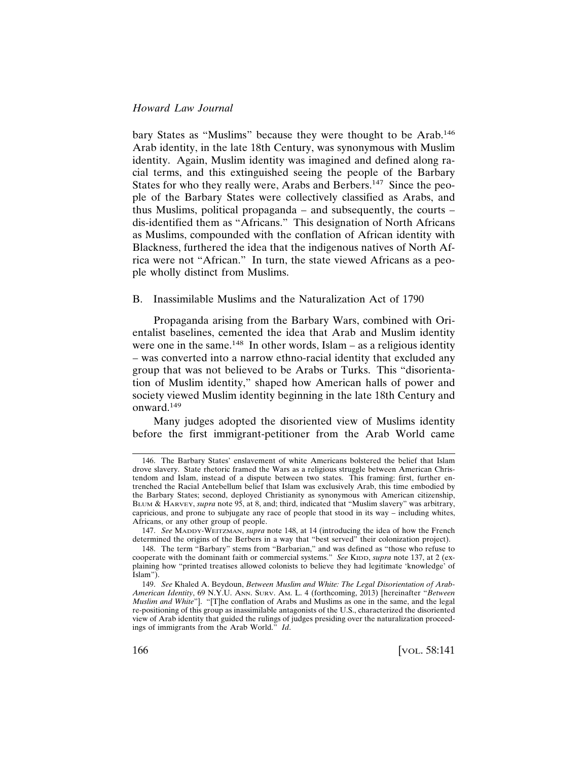bary States as "Muslims" because they were thought to be Arab.146 Arab identity, in the late 18th Century, was synonymous with Muslim identity. Again, Muslim identity was imagined and defined along racial terms, and this extinguished seeing the people of the Barbary States for who they really were, Arabs and Berbers.<sup>147</sup> Since the people of the Barbary States were collectively classified as Arabs, and thus Muslims, political propaganda – and subsequently, the courts – dis-identified them as "Africans." This designation of North Africans as Muslims, compounded with the conflation of African identity with Blackness, furthered the idea that the indigenous natives of North Africa were not "African." In turn, the state viewed Africans as a people wholly distinct from Muslims.

#### B. Inassimilable Muslims and the Naturalization Act of 1790

Propaganda arising from the Barbary Wars, combined with Orientalist baselines, cemented the idea that Arab and Muslim identity were one in the same.<sup>148</sup> In other words, Islam – as a religious identity – was converted into a narrow ethno-racial identity that excluded any group that was not believed to be Arabs or Turks. This "disorientation of Muslim identity," shaped how American halls of power and society viewed Muslim identity beginning in the late 18th Century and onward.149

Many judges adopted the disoriented view of Muslims identity before the first immigrant-petitioner from the Arab World came

<sup>146.</sup> The Barbary States' enslavement of white Americans bolstered the belief that Islam drove slavery. State rhetoric framed the Wars as a religious struggle between American Christendom and Islam, instead of a dispute between two states. This framing: first, further entrenched the Racial Antebellum belief that Islam was exclusively Arab, this time embodied by the Barbary States; second, deployed Christianity as synonymous with American citizenship, BLUM & HARVEY, *supra* note 95, at 8, and; third, indicated that "Muslim slavery" was arbitrary, capricious, and prone to subjugate any race of people that stood in its way – including whites, Africans, or any other group of people.

<sup>147.</sup> *See* MADDY-WEITZMAN, *supra* note 148, at 14 (introducing the idea of how the French determined the origins of the Berbers in a way that "best served" their colonization project).

<sup>148.</sup> The term "Barbary" stems from "Barbarian," and was defined as "those who refuse to cooperate with the dominant faith or commercial systems." *See* KIDD, *supra* note 137, at 2 (explaining how "printed treatises allowed colonists to believe they had legitimate 'knowledge' of Islam").

<sup>149.</sup> *See* Khaled A. Beydoun, *Between Muslim and White: The Legal Disorientation of Arab-American Identity*, 69 N.Y.U. ANN. SURV. AM. L. 4 (forthcoming, 2013) [hereinafter "*Between Muslim and White*"]. "[T]he conflation of Arabs and Muslims as one in the same, and the legal re-positioning of this group as inassimilable antagonists of the U.S., characterized the disoriented view of Arab identity that guided the rulings of judges presiding over the naturalization proceedings of immigrants from the Arab World." *Id*.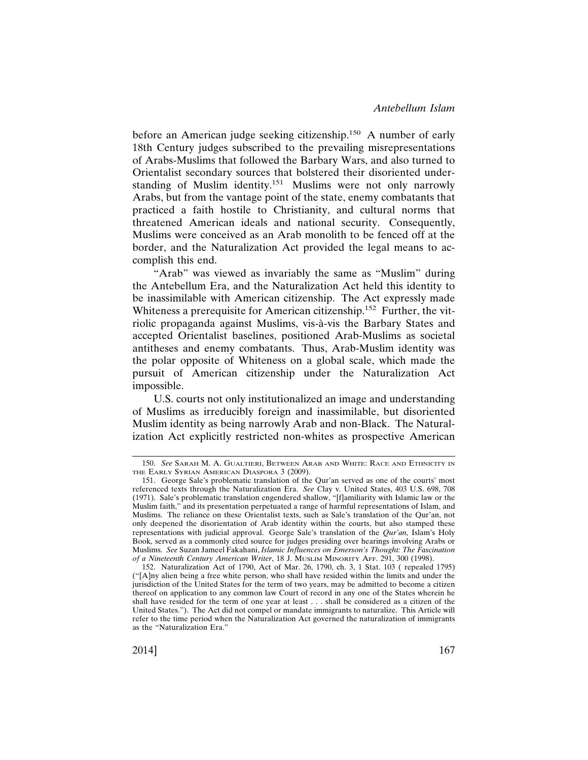before an American judge seeking citizenship.150 A number of early 18th Century judges subscribed to the prevailing misrepresentations of Arabs-Muslims that followed the Barbary Wars, and also turned to Orientalist secondary sources that bolstered their disoriented understanding of Muslim identity.<sup>151</sup> Muslims were not only narrowly Arabs, but from the vantage point of the state, enemy combatants that practiced a faith hostile to Christianity, and cultural norms that threatened American ideals and national security. Consequently, Muslims were conceived as an Arab monolith to be fenced off at the border, and the Naturalization Act provided the legal means to accomplish this end.

"Arab" was viewed as invariably the same as "Muslim" during the Antebellum Era, and the Naturalization Act held this identity to be inassimilable with American citizenship. The Act expressly made Whiteness a prerequisite for American citizenship.<sup>152</sup> Further, the vitriolic propaganda against Muslims, vis-à-vis the Barbary States and accepted Orientalist baselines, positioned Arab-Muslims as societal antitheses and enemy combatants. Thus, Arab-Muslim identity was the polar opposite of Whiteness on a global scale, which made the pursuit of American citizenship under the Naturalization Act impossible.

U.S. courts not only institutionalized an image and understanding of Muslims as irreducibly foreign and inassimilable, but disoriented Muslim identity as being narrowly Arab and non-Black. The Naturalization Act explicitly restricted non-whites as prospective American

<sup>150.</sup> *See* SARAH M. A. GUALTIERI, BETWEEN ARAB AND WHITE: RACE AND ETHNICITY IN THE EARLY SYRIAN AMERICAN DIASPORA 3 (2009).

<sup>151.</sup> George Sale's problematic translation of the Qur'an served as one of the courts' most referenced texts through the Naturalization Era. *See* Clay v. United States, 403 U.S. 698, 708 (1971). Sale's problematic translation engendered shallow, "[f]amiliarity with Islamic law or the Muslim faith," and its presentation perpetuated a range of harmful representations of Islam, and Muslims. The reliance on these Orientalist texts, such as Sale's translation of the Qur'an, not only deepened the disorientation of Arab identity within the courts, but also stamped these representations with judicial approval. George Sale's translation of the *Qur'an,* Islam's Holy Book*,* served as a commonly cited source for judges presiding over hearings involving Arabs or Muslims. *See* Suzan Jameel Fakahani, *Islamic Influences on Emerson's Thought: The Fascination of a Nineteenth Century American Writer*, 18 J. MUSLIM MINORITY AFF. 291, 300 (1998).

<sup>152.</sup> Naturalization Act of 1790, Act of Mar. 26, 1790, ch. 3, 1 Stat. 103 ( repealed 1795) ("[A]ny alien being a free white person, who shall have resided within the limits and under the jurisdiction of the United States for the term of two years, may be admitted to become a citizen thereof on application to any common law Court of record in any one of the States wherein he shall have resided for the term of one year at least . . . shall be considered as a citizen of the United States."). The Act did not compel or mandate immigrants to naturalize. This Article will refer to the time period when the Naturalization Act governed the naturalization of immigrants as the "Naturalization Era."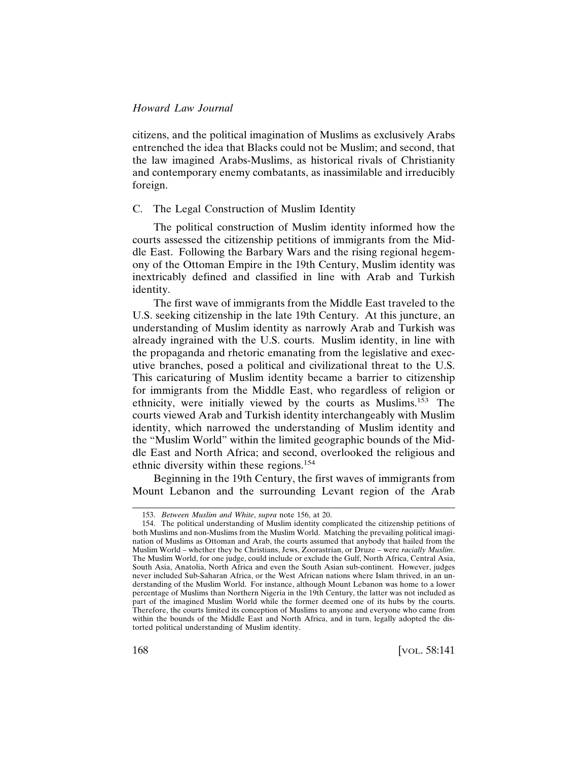citizens, and the political imagination of Muslims as exclusively Arabs entrenched the idea that Blacks could not be Muslim; and second, that the law imagined Arabs-Muslims, as historical rivals of Christianity and contemporary enemy combatants, as inassimilable and irreducibly foreign.

## C. The Legal Construction of Muslim Identity

The political construction of Muslim identity informed how the courts assessed the citizenship petitions of immigrants from the Middle East. Following the Barbary Wars and the rising regional hegemony of the Ottoman Empire in the 19th Century, Muslim identity was inextricably defined and classified in line with Arab and Turkish identity.

The first wave of immigrants from the Middle East traveled to the U.S. seeking citizenship in the late 19th Century. At this juncture, an understanding of Muslim identity as narrowly Arab and Turkish was already ingrained with the U.S. courts. Muslim identity, in line with the propaganda and rhetoric emanating from the legislative and executive branches, posed a political and civilizational threat to the U.S. This caricaturing of Muslim identity became a barrier to citizenship for immigrants from the Middle East, who regardless of religion or ethnicity, were initially viewed by the courts as Muslims.<sup>153</sup> The courts viewed Arab and Turkish identity interchangeably with Muslim identity, which narrowed the understanding of Muslim identity and the "Muslim World" within the limited geographic bounds of the Middle East and North Africa; and second, overlooked the religious and ethnic diversity within these regions.<sup>154</sup>

Beginning in the 19th Century, the first waves of immigrants from Mount Lebanon and the surrounding Levant region of the Arab

<sup>153.</sup> *Between Muslim and White*, *supra* note 156, at 20.

<sup>154.</sup> The political understanding of Muslim identity complicated the citizenship petitions of both Muslims and non-Muslims from the Muslim World. Matching the prevailing political imagination of Muslims as Ottoman and Arab, the courts assumed that anybody that hailed from the Muslim World – whether they be Christians, Jews, Zoorastrian, or Druze – were *racially Muslim*. The Muslim World, for one judge, could include or exclude the Gulf, North Africa, Central Asia, South Asia, Anatolia, North Africa and even the South Asian sub-continent. However, judges never included Sub-Saharan Africa, or the West African nations where Islam thrived, in an understanding of the Muslim World. For instance, although Mount Lebanon was home to a lower percentage of Muslims than Northern Nigeria in the 19th Century, the latter was not included as part of the imagined Muslim World while the former deemed one of its hubs by the courts. Therefore, the courts limited its conception of Muslims to anyone and everyone who came from within the bounds of the Middle East and North Africa, and in turn, legally adopted the distorted political understanding of Muslim identity.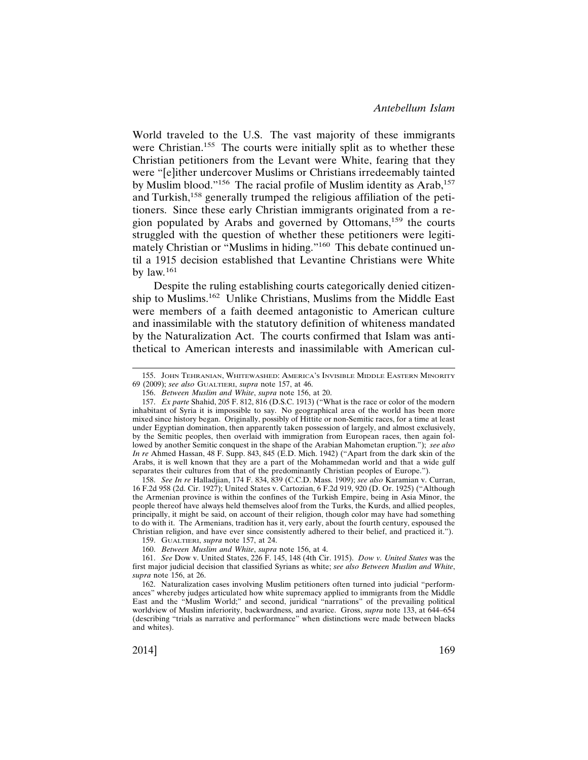World traveled to the U.S. The vast majority of these immigrants were Christian.<sup>155</sup> The courts were initially split as to whether these Christian petitioners from the Levant were White, fearing that they were "[e]ither undercover Muslims or Christians irredeemably tainted by Muslim blood."<sup>156</sup> The racial profile of Muslim identity as Arab,<sup>157</sup> and Turkish,<sup>158</sup> generally trumped the religious affiliation of the petitioners. Since these early Christian immigrants originated from a region populated by Arabs and governed by Ottomans,159 the courts struggled with the question of whether these petitioners were legitimately Christian or "Muslims in hiding."<sup>160</sup> This debate continued until a 1915 decision established that Levantine Christians were White by law*.* 161

Despite the ruling establishing courts categorically denied citizenship to Muslims.162 Unlike Christians, Muslims from the Middle East were members of a faith deemed antagonistic to American culture and inassimilable with the statutory definition of whiteness mandated by the Naturalization Act. The courts confirmed that Islam was antithetical to American interests and inassimilable with American cul-

158. *See In re* Halladjian, 174 F. 834, 839 (C.C.D. Mass. 1909); *see also* Karamian v. Curran, 16 F.2d 958 (2d. Cir. 1927); United States v. Cartozian, 6 F.2d 919, 920 (D. Or. 1925) ("Although the Armenian province is within the confines of the Turkish Empire, being in Asia Minor, the people thereof have always held themselves aloof from the Turks, the Kurds, and allied peoples, principally, it might be said, on account of their religion, though color may have had something to do with it. The Armenians, tradition has it, very early, about the fourth century, espoused the Christian religion, and have ever since consistently adhered to their belief, and practiced it.").

<sup>155.</sup> JOHN TEHRANIAN, WHITEWASHED: AMERICA'S INVISIBLE MIDDLE EASTERN MINORITY 69 (2009); *see also* GUALTIERI, *supra* note 157, at 46.

<sup>156.</sup> *Between Muslim and White*, *supra* note 156, at 20.

<sup>157.</sup> *Ex parte* Shahid, 205 F. 812, 816 (D.S.C. 1913) ("What is the race or color of the modern inhabitant of Syria it is impossible to say. No geographical area of the world has been more mixed since history began. Originally, possibly of Hittite or non-Semitic races, for a time at least under Egyptian domination, then apparently taken possession of largely, and almost exclusively, by the Semitic peoples, then overlaid with immigration from European races, then again followed by another Semitic conquest in the shape of the Arabian Mahometan eruption."); *see also In re* Ahmed Hassan, 48 F. Supp. 843, 845 (E.D. Mich. 1942) ("Apart from the dark skin of the Arabs, it is well known that they are a part of the Mohammedan world and that a wide gulf separates their cultures from that of the predominantly Christian peoples of Europe.").

<sup>159.</sup> GUALTIERI, *supra* note 157, at 24.

<sup>160.</sup> *Between Muslim and White*, *supra* note 156, at 4.

<sup>161.</sup> *See* Dow v. United States, 226 F. 145, 148 (4th Cir. 1915). *Dow v. United States* was the first major judicial decision that classified Syrians as white; *see also Between Muslim and White*, *supra* note 156, at 26.

<sup>162.</sup> Naturalization cases involving Muslim petitioners often turned into judicial "performances" whereby judges articulated how white supremacy applied to immigrants from the Middle East and the "Muslim World;" and second, juridical "narrations" of the prevailing political worldview of Muslim inferiority, backwardness, and avarice. Gross, *supra* note 133, at 644–654 (describing "trials as narrative and performance" when distinctions were made between blacks and whites).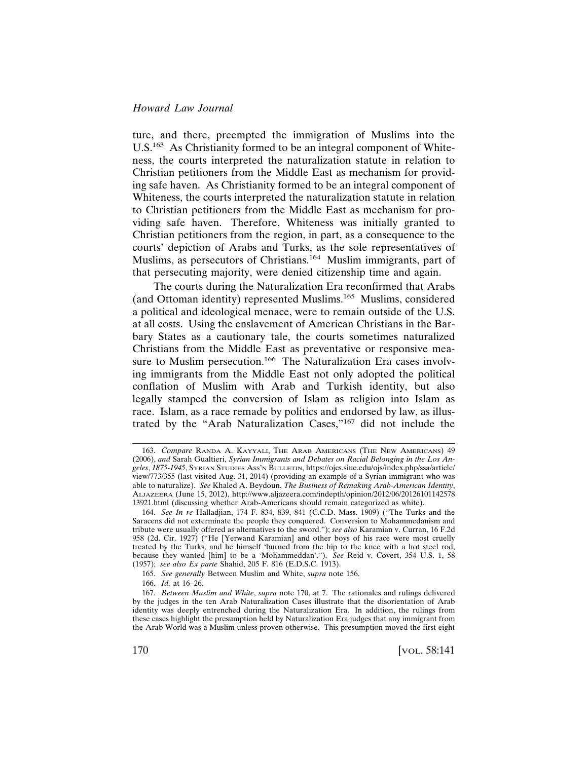ture, and there, preempted the immigration of Muslims into the U.S.163 As Christianity formed to be an integral component of Whiteness, the courts interpreted the naturalization statute in relation to Christian petitioners from the Middle East as mechanism for providing safe haven. As Christianity formed to be an integral component of Whiteness, the courts interpreted the naturalization statute in relation to Christian petitioners from the Middle East as mechanism for providing safe haven. Therefore, Whiteness was initially granted to Christian petitioners from the region, in part, as a consequence to the courts' depiction of Arabs and Turks, as the sole representatives of Muslims, as persecutors of Christians.164 Muslim immigrants, part of that persecuting majority, were denied citizenship time and again.

The courts during the Naturalization Era reconfirmed that Arabs (and Ottoman identity) represented Muslims.165 Muslims, considered a political and ideological menace, were to remain outside of the U.S. at all costs. Using the enslavement of American Christians in the Barbary States as a cautionary tale, the courts sometimes naturalized Christians from the Middle East as preventative or responsive measure to Muslim persecution.<sup>166</sup> The Naturalization Era cases involving immigrants from the Middle East not only adopted the political conflation of Muslim with Arab and Turkish identity, but also legally stamped the conversion of Islam as religion into Islam as race. Islam, as a race remade by politics and endorsed by law, as illustrated by the "Arab Naturalization Cases,"167 did not include the

<sup>163.</sup> *Compare* RANDA A. KAYYALI, THE ARAB AMERICANS (THE NEW AMERICANS) 49 (2006), *and* Sarah Gualtieri, *Syrian Immigrants and Debates on Racial Belonging in the Los Angeles*, *1875-1945*, SYRIAN STUDIES ASS'N BULLETIN, https://ojcs.siue.edu/ojs/index.php/ssa/article/ view/773/355 (last visited Aug. 31, 2014) (providing an example of a Syrian immigrant who was able to naturalize). *See* Khaled A. Beydoun, *The Business of Remaking Arab-American Identity*, ALJAZEERA (June 15, 2012), http://www.aljazeera.com/indepth/opinion/2012/06/20126101142578 13921.html (discussing whether Arab-Americans should remain categorized as white).

<sup>164.</sup> *See In re* Halladjian, 174 F. 834, 839, 841 (C.C.D. Mass. 1909) ("The Turks and the Saracens did not exterminate the people they conquered. Conversion to Mohammedanism and tribute were usually offered as alternatives to the sword."); *see also* Karamian v. Curran, 16 F.2d 958 (2d. Cir. 1927) ("He [Yerwand Karamian] and other boys of his race were most cruelly treated by the Turks, and he himself 'burned from the hip to the knee with a hot steel rod, because they wanted [him] to be a 'Mohammeddan'."). *See* Reid v. Covert, 354 U.S. 1, 58 (1957); *see also Ex parte* Shahid, 205 F. 816 (E.D.S.C. 1913).

<sup>165.</sup> *See generally* Between Muslim and White, *supra* note 156.

<sup>166.</sup> *Id.* at 16–26.

<sup>167.</sup> *Between Muslim and White*, *supra* note 170, at 7. The rationales and rulings delivered by the judges in the ten Arab Naturalization Cases illustrate that the disorientation of Arab identity was deeply entrenched during the Naturalization Era. In addition, the rulings from these cases highlight the presumption held by Naturalization Era judges that any immigrant from the Arab World was a Muslim unless proven otherwise. This presumption moved the first eight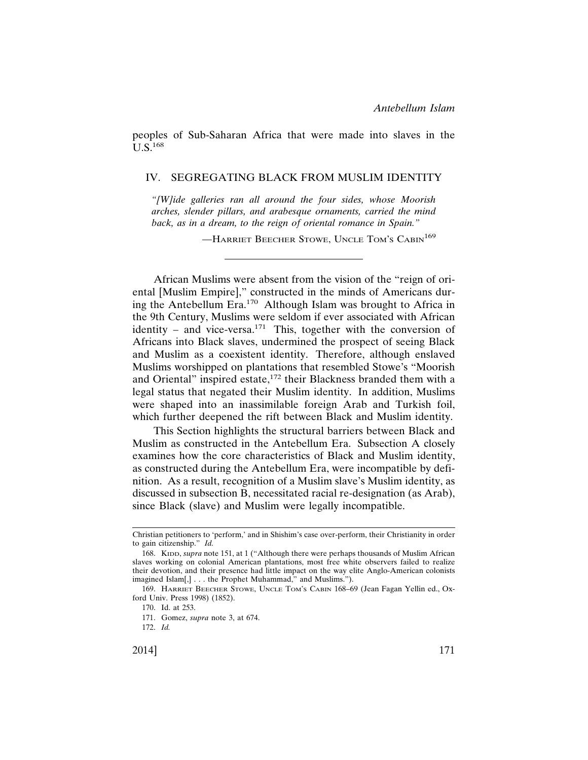peoples of Sub-Saharan Africa that were made into slaves in the U.S.168

#### IV. SEGREGATING BLACK FROM MUSLIM IDENTITY

*"[W]ide galleries ran all around the four sides, whose Moorish arches, slender pillars, and arabesque ornaments, carried the mind back, as in a dream, to the reign of oriental romance in Spain."*

-HARRIET BEECHER STOWE, UNCLE TOM'S CABIN<sup>169</sup>

African Muslims were absent from the vision of the "reign of oriental [Muslim Empire]," constructed in the minds of Americans during the Antebellum Era.170 Although Islam was brought to Africa in the 9th Century, Muslims were seldom if ever associated with African identity – and vice-versa.<sup>171</sup> This, together with the conversion of Africans into Black slaves, undermined the prospect of seeing Black and Muslim as a coexistent identity. Therefore, although enslaved Muslims worshipped on plantations that resembled Stowe's "Moorish and Oriental" inspired estate,<sup>172</sup> their Blackness branded them with a legal status that negated their Muslim identity. In addition, Muslims were shaped into an inassimilable foreign Arab and Turkish foil, which further deepened the rift between Black and Muslim identity.

This Section highlights the structural barriers between Black and Muslim as constructed in the Antebellum Era. Subsection A closely examines how the core characteristics of Black and Muslim identity, as constructed during the Antebellum Era, were incompatible by definition. As a result, recognition of a Muslim slave's Muslim identity, as discussed in subsection B, necessitated racial re-designation (as Arab), since Black (slave) and Muslim were legally incompatible.

Christian petitioners to 'perform,' and in Shishim's case over-perform, their Christianity in order to gain citizenship." *Id.*

<sup>168.</sup> KIDD, *supra* note 151, at 1 ("Although there were perhaps thousands of Muslim African slaves working on colonial American plantations, most free white observers failed to realize their devotion, and their presence had little impact on the way elite Anglo-American colonists imagined Islam[,] . . . the Prophet Muhammad," and Muslims.").

<sup>169.</sup> HARRIET BEECHER STOWE, UNCLE TOM'S CABIN 168–69 (Jean Fagan Yellin ed., Oxford Univ. Press 1998) (1852).

<sup>170.</sup> Id. at 253.

<sup>171.</sup> Gomez, *supra* note 3, at 674.

<sup>172.</sup> *Id.*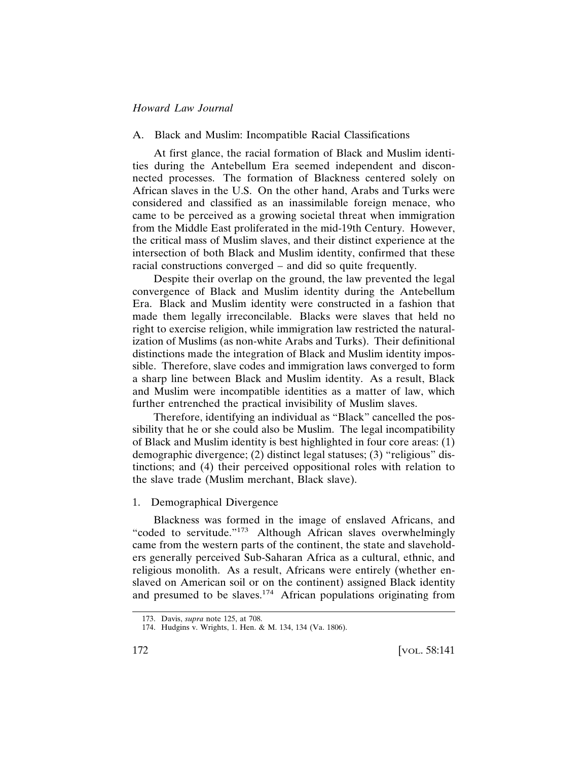## A. Black and Muslim: Incompatible Racial Classifications

At first glance, the racial formation of Black and Muslim identities during the Antebellum Era seemed independent and disconnected processes. The formation of Blackness centered solely on African slaves in the U.S. On the other hand, Arabs and Turks were considered and classified as an inassimilable foreign menace, who came to be perceived as a growing societal threat when immigration from the Middle East proliferated in the mid-19th Century. However, the critical mass of Muslim slaves, and their distinct experience at the intersection of both Black and Muslim identity, confirmed that these racial constructions converged – and did so quite frequently.

Despite their overlap on the ground, the law prevented the legal convergence of Black and Muslim identity during the Antebellum Era. Black and Muslim identity were constructed in a fashion that made them legally irreconcilable. Blacks were slaves that held no right to exercise religion, while immigration law restricted the naturalization of Muslims (as non-white Arabs and Turks). Their definitional distinctions made the integration of Black and Muslim identity impossible. Therefore, slave codes and immigration laws converged to form a sharp line between Black and Muslim identity. As a result, Black and Muslim were incompatible identities as a matter of law, which further entrenched the practical invisibility of Muslim slaves.

Therefore, identifying an individual as "Black" cancelled the possibility that he or she could also be Muslim. The legal incompatibility of Black and Muslim identity is best highlighted in four core areas: (1) demographic divergence; (2) distinct legal statuses; (3) "religious" distinctions; and (4) their perceived oppositional roles with relation to the slave trade (Muslim merchant, Black slave).

## 1. Demographical Divergence

Blackness was formed in the image of enslaved Africans, and "coded to servitude."173 Although African slaves overwhelmingly came from the western parts of the continent, the state and slaveholders generally perceived Sub-Saharan Africa as a cultural, ethnic, and religious monolith. As a result, Africans were entirely (whether enslaved on American soil or on the continent) assigned Black identity and presumed to be slaves.174 African populations originating from

<sup>173.</sup> Davis, *supra* note 125, at 708.

<sup>174.</sup> Hudgins v. Wrights, 1. Hen. & M. 134, 134 (Va. 1806).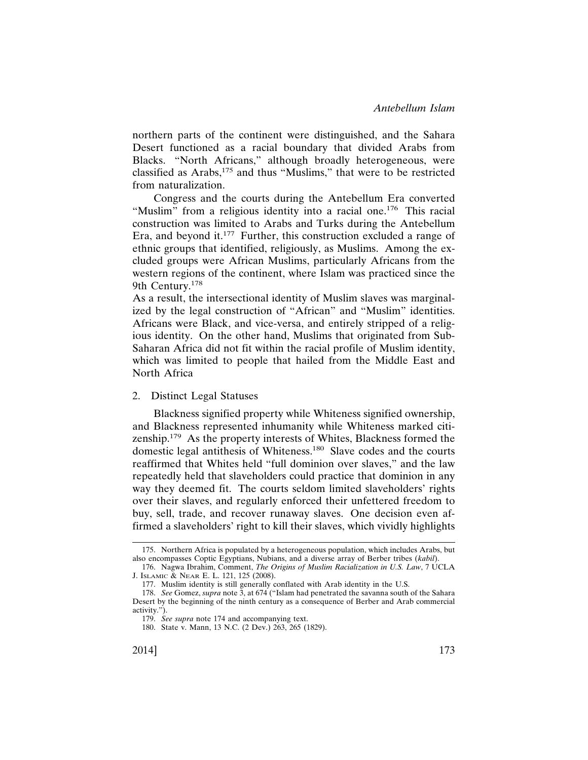northern parts of the continent were distinguished, and the Sahara Desert functioned as a racial boundary that divided Arabs from Blacks. "North Africans," although broadly heterogeneous, were classified as Arabs,<sup>175</sup> and thus "Muslims," that were to be restricted from naturalization.

Congress and the courts during the Antebellum Era converted "Muslim" from a religious identity into a racial one.<sup>176</sup> This racial construction was limited to Arabs and Turks during the Antebellum Era, and beyond it. $177$  Further, this construction excluded a range of ethnic groups that identified, religiously, as Muslims. Among the excluded groups were African Muslims, particularly Africans from the western regions of the continent, where Islam was practiced since the 9th Century.178

As a result, the intersectional identity of Muslim slaves was marginalized by the legal construction of "African" and "Muslim" identities. Africans were Black, and vice-versa, and entirely stripped of a religious identity. On the other hand, Muslims that originated from Sub-Saharan Africa did not fit within the racial profile of Muslim identity, which was limited to people that hailed from the Middle East and North Africa

## 2. Distinct Legal Statuses

Blackness signified property while Whiteness signified ownership, and Blackness represented inhumanity while Whiteness marked citizenship.179 As the property interests of Whites, Blackness formed the domestic legal antithesis of Whiteness.<sup>180</sup> Slave codes and the courts reaffirmed that Whites held "full dominion over slaves," and the law repeatedly held that slaveholders could practice that dominion in any way they deemed fit. The courts seldom limited slaveholders' rights over their slaves, and regularly enforced their unfettered freedom to buy, sell, trade, and recover runaway slaves. One decision even affirmed a slaveholders' right to kill their slaves, which vividly highlights

<sup>175.</sup> Northern Africa is populated by a heterogeneous population, which includes Arabs, but also encompasses Coptic Egyptians, Nubians, and a diverse array of Berber tribes (*kabil*).

<sup>176.</sup> Nagwa Ibrahim, Comment, *The Origins of Muslim Racialization in U.S. Law*, 7 UCLA J. ISLAMIC & NEAR E. L. 121, 125 (2008).

<sup>177.</sup> Muslim identity is still generally conflated with Arab identity in the U.S.

<sup>178.</sup> *See* Gomez, *supra* note 3, at 674 ("Islam had penetrated the savanna south of the Sahara Desert by the beginning of the ninth century as a consequence of Berber and Arab commercial activity.").

<sup>179.</sup> *See supra* note 174 and accompanying text.

<sup>180.</sup> State v. Mann, 13 N.C. (2 Dev.) 263, 265 (1829).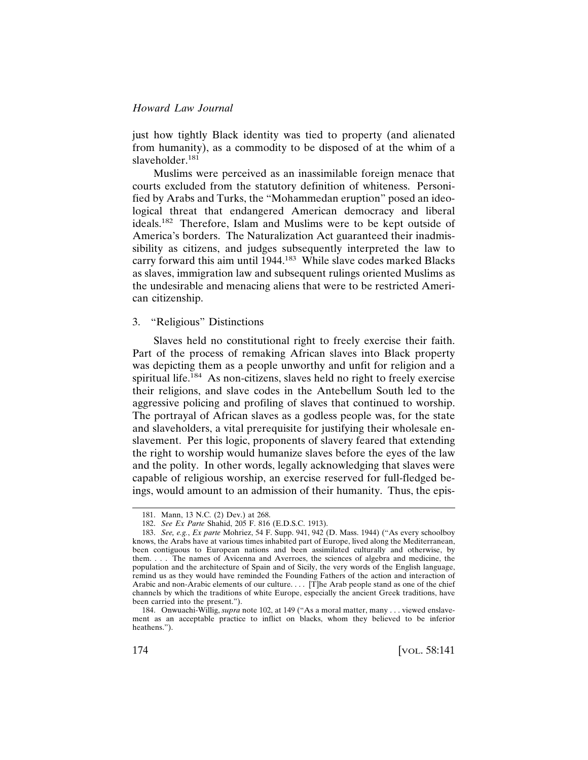just how tightly Black identity was tied to property (and alienated from humanity), as a commodity to be disposed of at the whim of a slaveholder.<sup>181</sup>

Muslims were perceived as an inassimilable foreign menace that courts excluded from the statutory definition of whiteness. Personified by Arabs and Turks, the "Mohammedan eruption" posed an ideological threat that endangered American democracy and liberal ideals.182 Therefore, Islam and Muslims were to be kept outside of America's borders. The Naturalization Act guaranteed their inadmissibility as citizens, and judges subsequently interpreted the law to carry forward this aim until 1944.183 While slave codes marked Blacks as slaves, immigration law and subsequent rulings oriented Muslims as the undesirable and menacing aliens that were to be restricted American citizenship.

# 3. "Religious" Distinctions

Slaves held no constitutional right to freely exercise their faith. Part of the process of remaking African slaves into Black property was depicting them as a people unworthy and unfit for religion and a spiritual life.<sup>184</sup> As non-citizens, slaves held no right to freely exercise their religions, and slave codes in the Antebellum South led to the aggressive policing and profiling of slaves that continued to worship. The portrayal of African slaves as a godless people was, for the state and slaveholders, a vital prerequisite for justifying their wholesale enslavement. Per this logic, proponents of slavery feared that extending the right to worship would humanize slaves before the eyes of the law and the polity. In other words, legally acknowledging that slaves were capable of religious worship, an exercise reserved for full-fledged beings, would amount to an admission of their humanity. Thus, the epis-

<sup>181.</sup> Mann, 13 N.C. (2) Dev.) at 268.

<sup>182.</sup> *See Ex Parte* Shahid, 205 F. 816 (E.D.S.C. 1913).

<sup>183.</sup> *See, e.g.*, *Ex parte* Mohriez, 54 F. Supp. 941, 942 (D. Mass. 1944) ("As every schoolboy knows, the Arabs have at various times inhabited part of Europe, lived along the Mediterranean, been contiguous to European nations and been assimilated culturally and otherwise, by them. . . . The names of Avicenna and Averroes, the sciences of algebra and medicine, the population and the architecture of Spain and of Sicily, the very words of the English language, remind us as they would have reminded the Founding Fathers of the action and interaction of Arabic and non-Arabic elements of our culture. . . . [T]he Arab people stand as one of the chief channels by which the traditions of white Europe, especially the ancient Greek traditions, have been carried into the present.").

<sup>184.</sup> Onwuachi-Willig, *supra* note 102, at 149 ("As a moral matter, many . . . viewed enslavement as an acceptable practice to inflict on blacks, whom they believed to be inferior heathens.").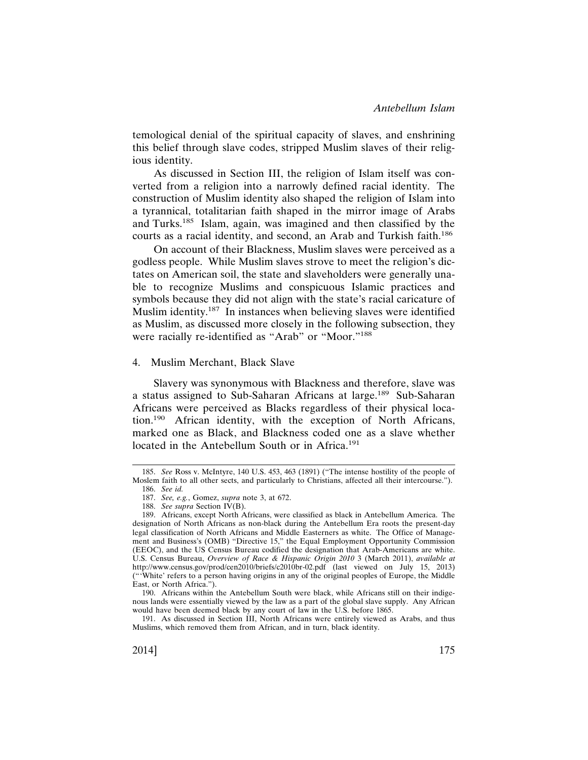temological denial of the spiritual capacity of slaves, and enshrining this belief through slave codes, stripped Muslim slaves of their religious identity.

As discussed in Section III, the religion of Islam itself was converted from a religion into a narrowly defined racial identity. The construction of Muslim identity also shaped the religion of Islam into a tyrannical, totalitarian faith shaped in the mirror image of Arabs and Turks.185 Islam, again, was imagined and then classified by the courts as a racial identity, and second, an Arab and Turkish faith.<sup>186</sup>

On account of their Blackness, Muslim slaves were perceived as a godless people. While Muslim slaves strove to meet the religion's dictates on American soil, the state and slaveholders were generally unable to recognize Muslims and conspicuous Islamic practices and symbols because they did not align with the state's racial caricature of Muslim identity.<sup>187</sup> In instances when believing slaves were identified as Muslim, as discussed more closely in the following subsection, they were racially re-identified as "Arab" or "Moor."188

#### 4. Muslim Merchant, Black Slave

Slavery was synonymous with Blackness and therefore, slave was a status assigned to Sub-Saharan Africans at large.<sup>189</sup> Sub-Saharan Africans were perceived as Blacks regardless of their physical location.190 African identity, with the exception of North Africans, marked one as Black, and Blackness coded one as a slave whether located in the Antebellum South or in Africa.<sup>191</sup>

<sup>185.</sup> *See* Ross v. McIntyre, 140 U.S. 453, 463 (1891) ("The intense hostility of the people of Moslem faith to all other sects, and particularly to Christians, affected all their intercourse."). 186. *See id.*

<sup>187.</sup> *See, e.g.*, Gomez, *supra* note 3, at 672.

<sup>188.</sup> See supra Section IV(B).

<sup>189.</sup> Africans, except North Africans, were classified as black in Antebellum America. The designation of North Africans as non-black during the Antebellum Era roots the present-day legal classification of North Africans and Middle Easterners as white. The Office of Management and Business's (OMB) "Directive 15," the Equal Employment Opportunity Commission (EEOC), and the US Census Bureau codified the designation that Arab-Americans are white. U.S. Census Bureau, *Overview of Race & Hispanic Origin 2010* 3 (March 2011), *available at* http://www.census.gov/prod/cen2010/briefs/c2010br-02.pdf (last viewed on July 15, 2013) ("'White' refers to a person having origins in any of the original peoples of Europe, the Middle East, or North Africa.").

<sup>190.</sup> Africans within the Antebellum South were black, while Africans still on their indigenous lands were essentially viewed by the law as a part of the global slave supply. Any African would have been deemed black by any court of law in the U.S. before 1865.

<sup>191.</sup> As discussed in Section III, North Africans were entirely viewed as Arabs, and thus Muslims, which removed them from African, and in turn, black identity.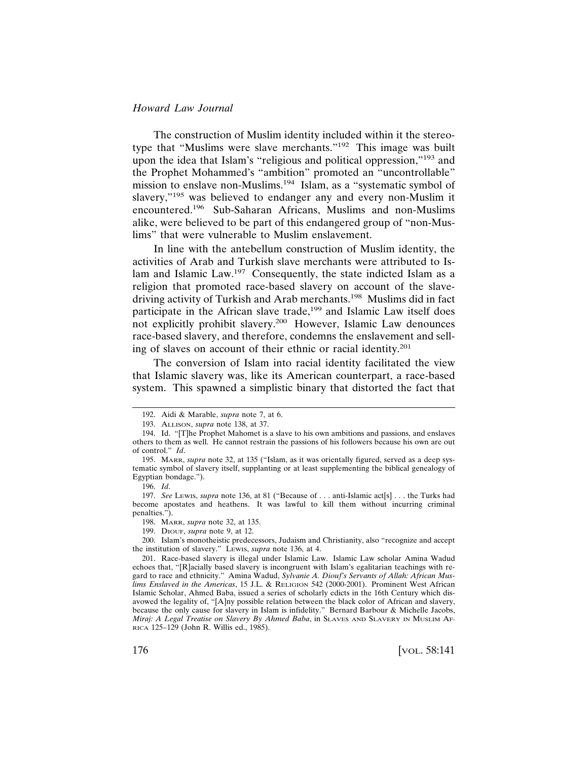The construction of Muslim identity included within it the stereotype that "Muslims were slave merchants."192 This image was built upon the idea that Islam's "religious and political oppression,"193 and the Prophet Mohammed's "ambition" promoted an "uncontrollable" mission to enslave non-Muslims.194 Islam, as a "systematic symbol of slavery,"<sup>195</sup> was believed to endanger any and every non-Muslim it encountered.196 Sub-Saharan Africans, Muslims and non-Muslims alike, were believed to be part of this endangered group of "non-Muslims" that were vulnerable to Muslim enslavement.

In line with the antebellum construction of Muslim identity, the activities of Arab and Turkish slave merchants were attributed to Islam and Islamic Law.197 Consequently, the state indicted Islam as a religion that promoted race-based slavery on account of the slavedriving activity of Turkish and Arab merchants.198 Muslims did in fact participate in the African slave trade,<sup>199</sup> and Islamic Law itself does not explicitly prohibit slavery.200 However, Islamic Law denounces race-based slavery, and therefore, condemns the enslavement and selling of slaves on account of their ethnic or racial identity.<sup>201</sup>

The conversion of Islam into racial identity facilitated the view that Islamic slavery was, like its American counterpart, a race-based system. This spawned a simplistic binary that distorted the fact that

<sup>192.</sup> Aidi & Marable, *supra* note 7, at 6.

<sup>193.</sup> ALLISON, *supra* note 138, at 37.

<sup>194.</sup> Id. "[T]he Prophet Mahomet is a slave to his own ambitions and passions, and enslaves others to them as well. He cannot restrain the passions of his followers because his own are out of control." *Id*.

<sup>195.</sup> MARR, *supra* note 32, at 135 ("Islam, as it was orientally figured, served as a deep systematic symbol of slavery itself, supplanting or at least supplementing the biblical genealogy of Egyptian bondage.").

<sup>196.</sup> *Id*.

<sup>197.</sup> *See* LEWIS, *supra* note 136, at 81 ("Because of . . . anti-Islamic act[s] . . . the Turks had become apostates and heathens. It was lawful to kill them without incurring criminal penalties.").

<sup>198.</sup> MARR, *supra* note 32, at 135.

<sup>199.</sup> DIOUF, *supra* note 9, at 12.

<sup>200.</sup> Islam's monotheistic predecessors, Judaism and Christianity, also "recognize and accept the institution of slavery." LEWIS, *supra* note 136, at 4.

<sup>201.</sup> Race-based slavery is illegal under Islamic Law. Islamic Law scholar Amina Wadud echoes that, "[R]acially based slavery is incongruent with Islam's egalitarian teachings with regard to race and ethnicity." Amina Wadud, *Sylvanie A. Diouf's Servants of Allah: African Muslims Enslaved in the Americas*, 15 J.L. & RELIGION 542 (2000-2001). Prominent West African Islamic Scholar, Ahmed Baba, issued a series of scholarly edicts in the 16th Century which disavowed the legality of, "[A]ny possible relation between the black color of African and slavery, because the only cause for slavery in Islam is infidelity." Bernard Barbour & Michelle Jacobs, *Miraj: A Legal Treatise on Slavery By Ahmed Baba*, in SLAVES AND SLAVERY IN MUSLIM AF-RICA 125–129 (John R. Willis ed., 1985).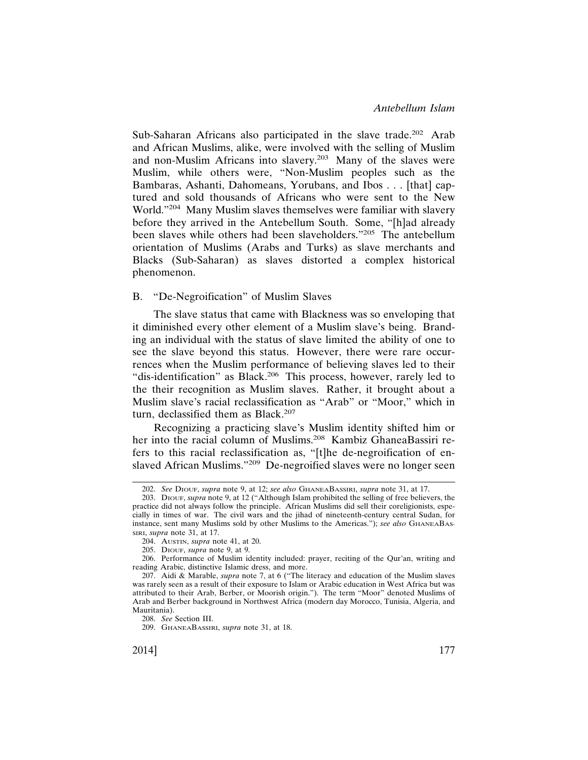Sub-Saharan Africans also participated in the slave trade.<sup>202</sup> Arab and African Muslims, alike, were involved with the selling of Muslim and non-Muslim Africans into slavery.203 Many of the slaves were Muslim, while others were, "Non-Muslim peoples such as the Bambaras, Ashanti, Dahomeans, Yorubans, and Ibos . . . [that] captured and sold thousands of Africans who were sent to the New World."<sup>204</sup> Many Muslim slaves themselves were familiar with slavery before they arrived in the Antebellum South. Some, "[h]ad already been slaves while others had been slaveholders."205 The antebellum orientation of Muslims (Arabs and Turks) as slave merchants and Blacks (Sub-Saharan) as slaves distorted a complex historical phenomenon.

#### B. "De-Negroification" of Muslim Slaves

The slave status that came with Blackness was so enveloping that it diminished every other element of a Muslim slave's being. Branding an individual with the status of slave limited the ability of one to see the slave beyond this status. However, there were rare occurrences when the Muslim performance of believing slaves led to their "dis-identification" as Black.206 This process, however, rarely led to the their recognition as Muslim slaves. Rather, it brought about a Muslim slave's racial reclassification as "Arab" or "Moor," which in turn, declassified them as Black.<sup>207</sup>

Recognizing a practicing slave's Muslim identity shifted him or her into the racial column of Muslims.208 Kambiz GhaneaBassiri refers to this racial reclassification as, "[t]he de-negroification of enslaved African Muslims."209 De-negroified slaves were no longer seen

<sup>202.</sup> *See* DIOUF, *supra* note 9, at 12; *see also* GHANEABASSIRI, *supra* note 31, at 17.

<sup>203.</sup> DIOUF, *supra* note 9, at 12 ("Although Islam prohibited the selling of free believers, the practice did not always follow the principle. African Muslims did sell their coreligionists, especially in times of war. The civil wars and the jihad of nineteenth-century central Sudan, for instance, sent many Muslims sold by other Muslims to the Americas."); *see also* GHANEABAS-SIRI, *supra* note 31, at 17.

<sup>204.</sup> AUSTIN, *supra* note 41, at 20.

<sup>205.</sup> DIOUF, *supra* note 9, at 9.

<sup>206.</sup> Performance of Muslim identity included: prayer, reciting of the Qur'an, writing and reading Arabic, distinctive Islamic dress, and more.

<sup>207.</sup> Aidi & Marable, *supra* note 7, at 6 ("The literacy and education of the Muslim slaves was rarely seen as a result of their exposure to Islam or Arabic education in West Africa but was attributed to their Arab, Berber, or Moorish origin."). The term "Moor" denoted Muslims of Arab and Berber background in Northwest Africa (modern day Morocco, Tunisia, Algeria, and Mauritania).

<sup>208.</sup> *See* Section III.

<sup>209.</sup> GHANEABASSIRI, *supra* note 31, at 18.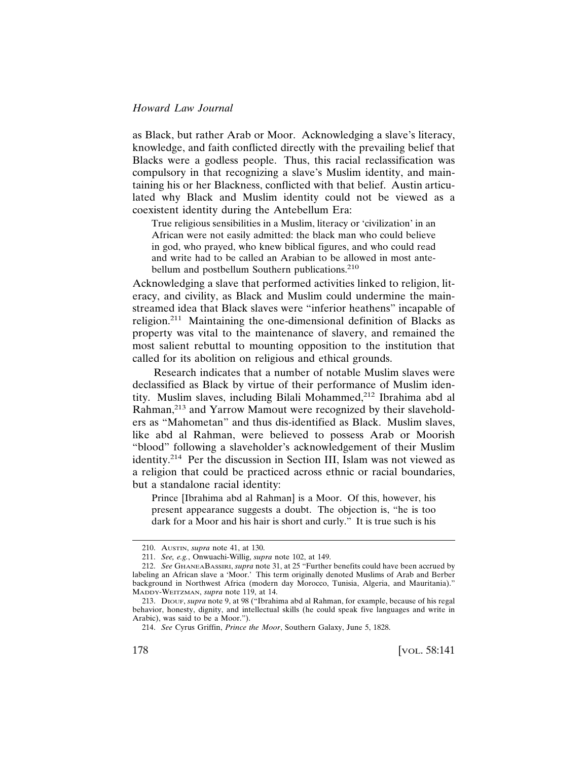as Black, but rather Arab or Moor. Acknowledging a slave's literacy, knowledge, and faith conflicted directly with the prevailing belief that Blacks were a godless people. Thus, this racial reclassification was compulsory in that recognizing a slave's Muslim identity, and maintaining his or her Blackness, conflicted with that belief. Austin articulated why Black and Muslim identity could not be viewed as a coexistent identity during the Antebellum Era:

True religious sensibilities in a Muslim, literacy or 'civilization' in an African were not easily admitted: the black man who could believe in god, who prayed, who knew biblical figures, and who could read and write had to be called an Arabian to be allowed in most antebellum and postbellum Southern publications.<sup>210</sup>

Acknowledging a slave that performed activities linked to religion, literacy, and civility, as Black and Muslim could undermine the mainstreamed idea that Black slaves were "inferior heathens" incapable of religion.211 Maintaining the one-dimensional definition of Blacks as property was vital to the maintenance of slavery, and remained the most salient rebuttal to mounting opposition to the institution that called for its abolition on religious and ethical grounds.

Research indicates that a number of notable Muslim slaves were declassified as Black by virtue of their performance of Muslim identity. Muslim slaves, including Bilali Mohammed,<sup>212</sup> Ibrahima abd al Rahman,<sup>213</sup> and Yarrow Mamout were recognized by their slaveholders as "Mahometan" and thus dis-identified as Black. Muslim slaves, like abd al Rahman, were believed to possess Arab or Moorish "blood" following a slaveholder's acknowledgement of their Muslim identity.214 Per the discussion in Section III, Islam was not viewed as a religion that could be practiced across ethnic or racial boundaries, but a standalone racial identity:

Prince [Ibrahima abd al Rahman] is a Moor. Of this, however, his present appearance suggests a doubt. The objection is, "he is too dark for a Moor and his hair is short and curly." It is true such is his

<sup>210.</sup> AUSTIN, *supra* note 41, at 130.

<sup>211.</sup> *See, e.g.*, Onwuachi-Willig, *supra* note 102, at 149.

<sup>212.</sup> *See* GHANEABASSIRI, *supra* note 31, at 25 "Further benefits could have been accrued by labeling an African slave a 'Moor.' This term originally denoted Muslims of Arab and Berber background in Northwest Africa (modern day Morocco, Tunisia, Algeria, and Mauritania)." MADDY-WEITZMAN, *supra* note 119, at 14.

<sup>213.</sup> DIOUF, *supra* note 9, at 98 ("Ibrahima abd al Rahman, for example, because of his regal behavior, honesty, dignity, and intellectual skills (he could speak five languages and write in Arabic), was said to be a Moor.").

<sup>214.</sup> *See* Cyrus Griffin, *Prince the Moor*, Southern Galaxy, June 5, 1828.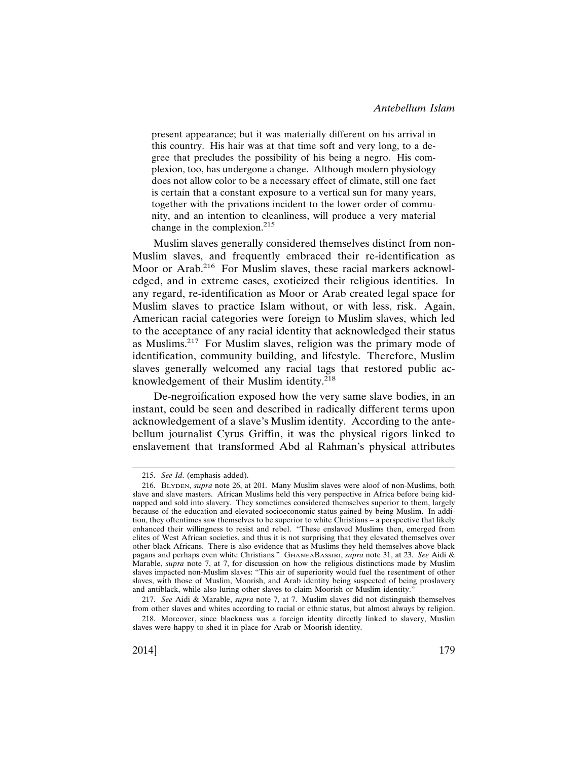#### *Antebellum Islam*

present appearance; but it was materially different on his arrival in this country. His hair was at that time soft and very long, to a degree that precludes the possibility of his being a negro. His complexion, too, has undergone a change. Although modern physiology does not allow color to be a necessary effect of climate, still one fact is certain that a constant exposure to a vertical sun for many years, together with the privations incident to the lower order of community, and an intention to cleanliness, will produce a very material change in the complexion.<sup>215</sup>

Muslim slaves generally considered themselves distinct from non-Muslim slaves, and frequently embraced their re-identification as Moor or Arab.<sup>216</sup> For Muslim slaves, these racial markers acknowledged, and in extreme cases, exoticized their religious identities. In any regard, re-identification as Moor or Arab created legal space for Muslim slaves to practice Islam without, or with less, risk. Again, American racial categories were foreign to Muslim slaves, which led to the acceptance of any racial identity that acknowledged their status as Muslims.217 For Muslim slaves, religion was the primary mode of identification, community building, and lifestyle. Therefore, Muslim slaves generally welcomed any racial tags that restored public acknowledgement of their Muslim identity.<sup>218</sup>

De-negroification exposed how the very same slave bodies, in an instant, could be seen and described in radically different terms upon acknowledgement of a slave's Muslim identity. According to the antebellum journalist Cyrus Griffin, it was the physical rigors linked to enslavement that transformed Abd al Rahman's physical attributes

<sup>215.</sup> *See Id*. (emphasis added).

<sup>216.</sup> BLYDEN, *supra* note 26, at 201. Many Muslim slaves were aloof of non-Muslims, both slave and slave masters. African Muslims held this very perspective in Africa before being kidnapped and sold into slavery. They sometimes considered themselves superior to them, largely because of the education and elevated socioeconomic status gained by being Muslim. In addition, they oftentimes saw themselves to be superior to white Christians – a perspective that likely enhanced their willingness to resist and rebel. "These enslaved Muslims then, emerged from elites of West African societies, and thus it is not surprising that they elevated themselves over other black Africans. There is also evidence that as Muslims they held themselves above black pagans and perhaps even white Christians." GHANEABASSIRI, *supra* note 31, at 23. *See* Aidi & Marable, *supra* note 7, at 7, for discussion on how the religious distinctions made by Muslim slaves impacted non-Muslim slaves: "This air of superiority would fuel the resentment of other slaves, with those of Muslim, Moorish, and Arab identity being suspected of being proslavery and antiblack, while also luring other slaves to claim Moorish or Muslim identity.'

<sup>217.</sup> *See* Aidi & Marable, *supra* note 7, at 7. Muslim slaves did not distinguish themselves from other slaves and whites according to racial or ethnic status, but almost always by religion.

<sup>218.</sup> Moreover, since blackness was a foreign identity directly linked to slavery, Muslim slaves were happy to shed it in place for Arab or Moorish identity.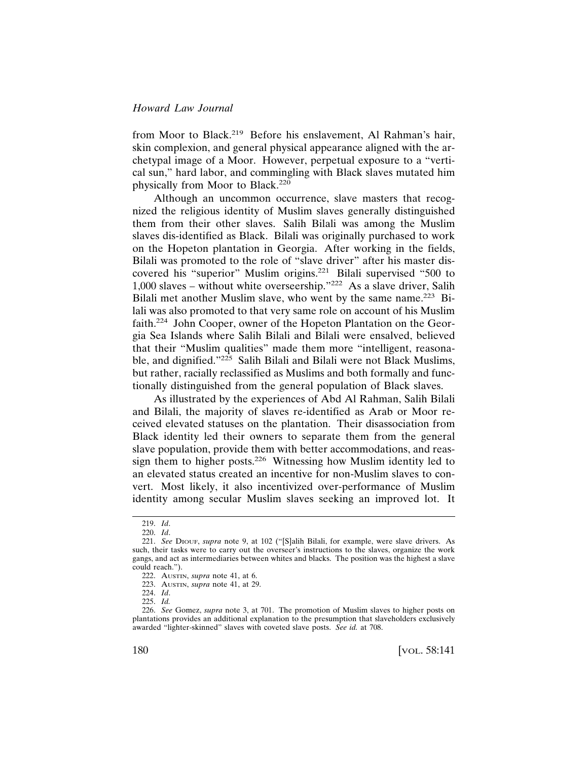from Moor to Black.<sup>219</sup> Before his enslavement, Al Rahman's hair, skin complexion, and general physical appearance aligned with the archetypal image of a Moor. However, perpetual exposure to a "vertical sun," hard labor, and commingling with Black slaves mutated him physically from Moor to Black.220

Although an uncommon occurrence, slave masters that recognized the religious identity of Muslim slaves generally distinguished them from their other slaves. Salih Bilali was among the Muslim slaves dis-identified as Black. Bilali was originally purchased to work on the Hopeton plantation in Georgia. After working in the fields, Bilali was promoted to the role of "slave driver" after his master discovered his "superior" Muslim origins.<sup>221</sup> Bilali supervised "500 to 1,000 slaves – without white overseership."222 As a slave driver, Salih Bilali met another Muslim slave, who went by the same name.<sup>223</sup> Bilali was also promoted to that very same role on account of his Muslim faith.224 John Cooper, owner of the Hopeton Plantation on the Georgia Sea Islands where Salih Bilali and Bilali were ensalved, believed that their "Muslim qualities" made them more "intelligent, reasonable, and dignified."225 Salih Bilali and Bilali were not Black Muslims, but rather, racially reclassified as Muslims and both formally and functionally distinguished from the general population of Black slaves.

As illustrated by the experiences of Abd Al Rahman, Salih Bilali and Bilali, the majority of slaves re-identified as Arab or Moor received elevated statuses on the plantation. Their disassociation from Black identity led their owners to separate them from the general slave population, provide them with better accommodations, and reassign them to higher posts.226 Witnessing how Muslim identity led to an elevated status created an incentive for non-Muslim slaves to convert. Most likely, it also incentivized over-performance of Muslim identity among secular Muslim slaves seeking an improved lot. It

<sup>219.</sup> *Id*.

<sup>220.</sup> *Id*.

<sup>221.</sup> *See* DIOUF, *supra* note 9, at 102 ("[S]alih Bilali, for example, were slave drivers. As such, their tasks were to carry out the overseer's instructions to the slaves, organize the work gangs, and act as intermediaries between whites and blacks. The position was the highest a slave could reach.").

<sup>222.</sup> AUSTIN, *supra* note 41, at 6.

<sup>223.</sup> AUSTIN, *supra* note 41, at 29.

<sup>224.</sup> *Id*.

<sup>225.</sup> *Id.*

<sup>226.</sup> *See* Gomez, *supra* note 3, at 701. The promotion of Muslim slaves to higher posts on plantations provides an additional explanation to the presumption that slaveholders exclusively awarded "lighter-skinned" slaves with coveted slave posts. *See id.* at 708.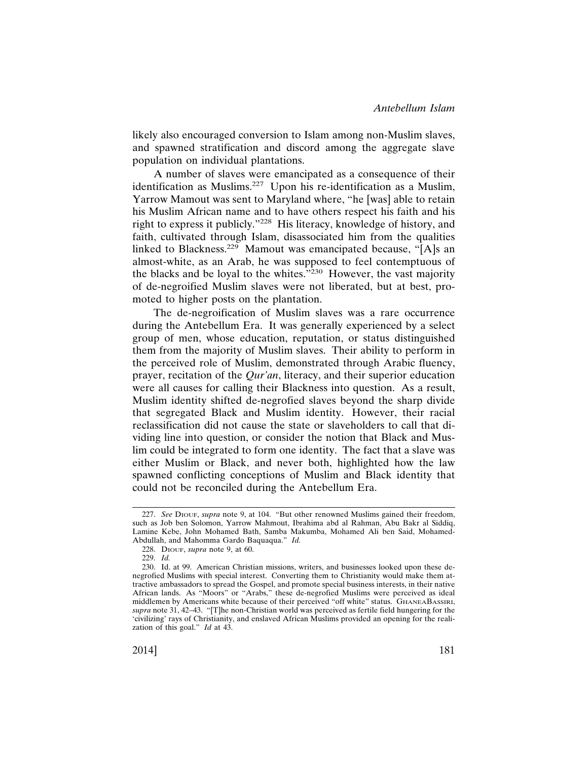likely also encouraged conversion to Islam among non-Muslim slaves, and spawned stratification and discord among the aggregate slave population on individual plantations.

A number of slaves were emancipated as a consequence of their identification as Muslims.<sup>227</sup> Upon his re-identification as a Muslim, Yarrow Mamout was sent to Maryland where, "he [was] able to retain his Muslim African name and to have others respect his faith and his right to express it publicly."228 His literacy, knowledge of history, and faith, cultivated through Islam, disassociated him from the qualities linked to Blackness.<sup>229</sup> Mamout was emancipated because, "[A]s an almost-white, as an Arab, he was supposed to feel contemptuous of the blacks and be loyal to the whites. $\frac{1}{2}$ <sup>230</sup> However, the vast majority of de-negroified Muslim slaves were not liberated, but at best, promoted to higher posts on the plantation.

The de-negroification of Muslim slaves was a rare occurrence during the Antebellum Era. It was generally experienced by a select group of men, whose education, reputation, or status distinguished them from the majority of Muslim slaves. Their ability to perform in the perceived role of Muslim, demonstrated through Arabic fluency, prayer, recitation of the *Qur'an*, literacy, and their superior education were all causes for calling their Blackness into question. As a result, Muslim identity shifted de-negrofied slaves beyond the sharp divide that segregated Black and Muslim identity. However, their racial reclassification did not cause the state or slaveholders to call that dividing line into question, or consider the notion that Black and Muslim could be integrated to form one identity. The fact that a slave was either Muslim or Black, and never both, highlighted how the law spawned conflicting conceptions of Muslim and Black identity that could not be reconciled during the Antebellum Era.

<sup>227.</sup> *See* DIOUF, *supra* note 9, at 104. "But other renowned Muslims gained their freedom, such as Job ben Solomon, Yarrow Mahmout, Ibrahima abd al Rahman, Abu Bakr al Siddiq, Lamine Kebe, John Mohamed Bath, Samba Makumba, Mohamed Ali ben Said, Mohamed-Abdullah, and Mahomma Gardo Baquaqua." *Id.*

<sup>228.</sup> DIOUF, *supra* note 9, at 60.

<sup>229.</sup> *Id.*

<sup>230.</sup> Id. at 99. American Christian missions, writers, and businesses looked upon these denegrofied Muslims with special interest. Converting them to Christianity would make them attractive ambassadors to spread the Gospel, and promote special business interests, in their native African lands. As "Moors" or "Arabs," these de-negrofied Muslims were perceived as ideal middlemen by Americans white because of their perceived "off white" status. GHANEABASSIRI, *supra* note 31, 42–43. "[T]he non-Christian world was perceived as fertile field hungering for the 'civilizing' rays of Christianity, and enslaved African Muslims provided an opening for the realization of this goal." *Id* at 43.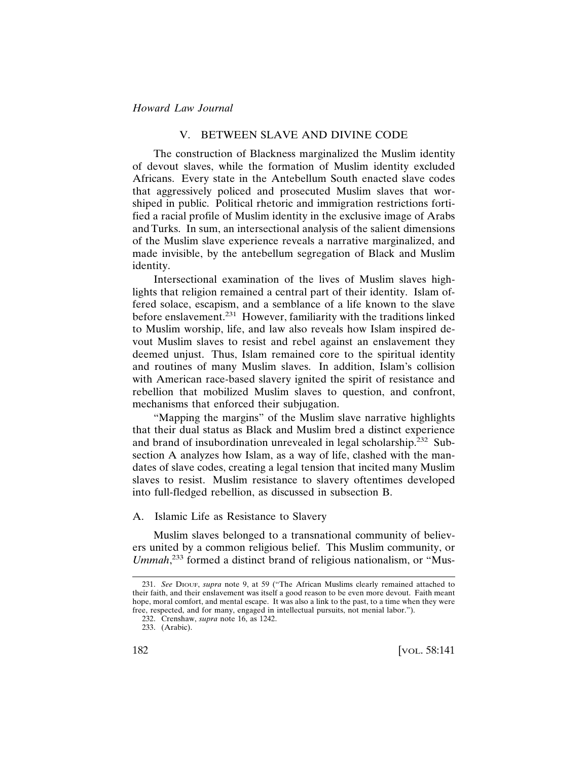#### V. BETWEEN SLAVE AND DIVINE CODE

The construction of Blackness marginalized the Muslim identity of devout slaves, while the formation of Muslim identity excluded Africans. Every state in the Antebellum South enacted slave codes that aggressively policed and prosecuted Muslim slaves that worshiped in public. Political rhetoric and immigration restrictions fortified a racial profile of Muslim identity in the exclusive image of Arabs and Turks. In sum, an intersectional analysis of the salient dimensions of the Muslim slave experience reveals a narrative marginalized, and made invisible, by the antebellum segregation of Black and Muslim identity.

Intersectional examination of the lives of Muslim slaves highlights that religion remained a central part of their identity. Islam offered solace, escapism, and a semblance of a life known to the slave before enslavement.<sup>231</sup> However, familiarity with the traditions linked to Muslim worship, life, and law also reveals how Islam inspired devout Muslim slaves to resist and rebel against an enslavement they deemed unjust. Thus, Islam remained core to the spiritual identity and routines of many Muslim slaves. In addition, Islam's collision with American race-based slavery ignited the spirit of resistance and rebellion that mobilized Muslim slaves to question, and confront, mechanisms that enforced their subjugation.

"Mapping the margins" of the Muslim slave narrative highlights that their dual status as Black and Muslim bred a distinct experience and brand of insubordination unrevealed in legal scholarship.232 Subsection A analyzes how Islam, as a way of life, clashed with the mandates of slave codes, creating a legal tension that incited many Muslim slaves to resist. Muslim resistance to slavery oftentimes developed into full-fledged rebellion, as discussed in subsection B.

## A. Islamic Life as Resistance to Slavery

Muslim slaves belonged to a transnational community of believers united by a common religious belief. This Muslim community, or *Ummah*, 233 formed a distinct brand of religious nationalism, or "Mus-

<sup>231.</sup> *See* DIOUF, *supra* note 9, at 59 ("The African Muslims clearly remained attached to their faith, and their enslavement was itself a good reason to be even more devout. Faith meant hope, moral comfort, and mental escape. It was also a link to the past, to a time when they were free, respected, and for many, engaged in intellectual pursuits, not menial labor.").

<sup>232.</sup> Crenshaw, *supra* note 16, as 1242.

<sup>233. (</sup>Arabic).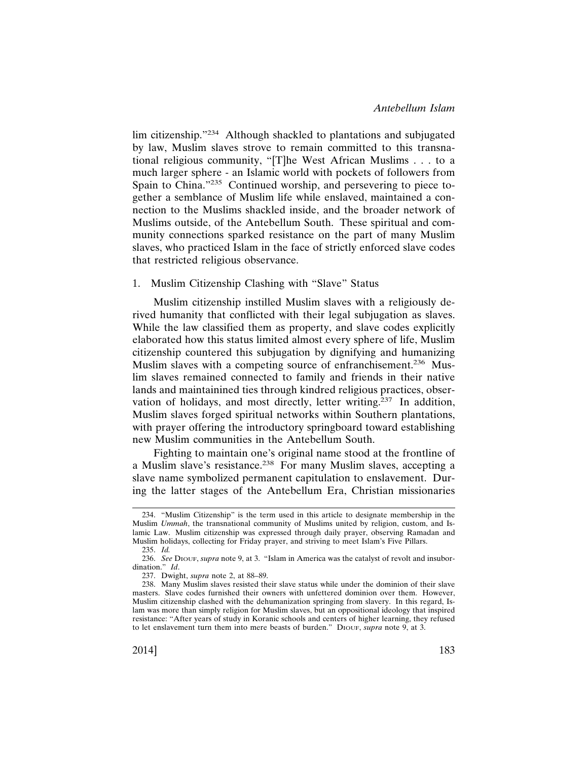lim citizenship."234 Although shackled to plantations and subjugated by law, Muslim slaves strove to remain committed to this transnational religious community, "[T]he West African Muslims . . . to a much larger sphere - an Islamic world with pockets of followers from Spain to China."235 Continued worship, and persevering to piece together a semblance of Muslim life while enslaved, maintained a connection to the Muslims shackled inside, and the broader network of Muslims outside, of the Antebellum South. These spiritual and community connections sparked resistance on the part of many Muslim slaves, who practiced Islam in the face of strictly enforced slave codes that restricted religious observance.

#### 1. Muslim Citizenship Clashing with "Slave" Status

Muslim citizenship instilled Muslim slaves with a religiously derived humanity that conflicted with their legal subjugation as slaves. While the law classified them as property, and slave codes explicitly elaborated how this status limited almost every sphere of life, Muslim citizenship countered this subjugation by dignifying and humanizing Muslim slaves with a competing source of enfranchisement.<sup>236</sup> Muslim slaves remained connected to family and friends in their native lands and maintainined ties through kindred religious practices, observation of holidays, and most directly, letter writing.<sup>237</sup> In addition, Muslim slaves forged spiritual networks within Southern plantations, with prayer offering the introductory springboard toward establishing new Muslim communities in the Antebellum South.

Fighting to maintain one's original name stood at the frontline of a Muslim slave's resistance.238 For many Muslim slaves, accepting a slave name symbolized permanent capitulation to enslavement. During the latter stages of the Antebellum Era, Christian missionaries

<sup>234. &</sup>quot;Muslim Citizenship" is the term used in this article to designate membership in the Muslim *Ummah*, the transnational community of Muslims united by religion, custom, and Islamic Law. Muslim citizenship was expressed through daily prayer, observing Ramadan and Muslim holidays, collecting for Friday prayer, and striving to meet Islam's Five Pillars.

<sup>235.</sup> *Id.*

<sup>236.</sup> *See* DIOUF, *supra* note 9, at 3. "Islam in America was the catalyst of revolt and insubordination." *Id*.

<sup>237.</sup> Dwight, *supra* note 2, at 88–89.

<sup>238.</sup> Many Muslim slaves resisted their slave status while under the dominion of their slave masters. Slave codes furnished their owners with unfettered dominion over them. However, Muslim citizenship clashed with the dehumanization springing from slavery. In this regard, Islam was more than simply religion for Muslim slaves, but an oppositional ideology that inspired resistance: "After years of study in Koranic schools and centers of higher learning, they refused to let enslavement turn them into mere beasts of burden." DIOUF, *supra* note 9, at 3.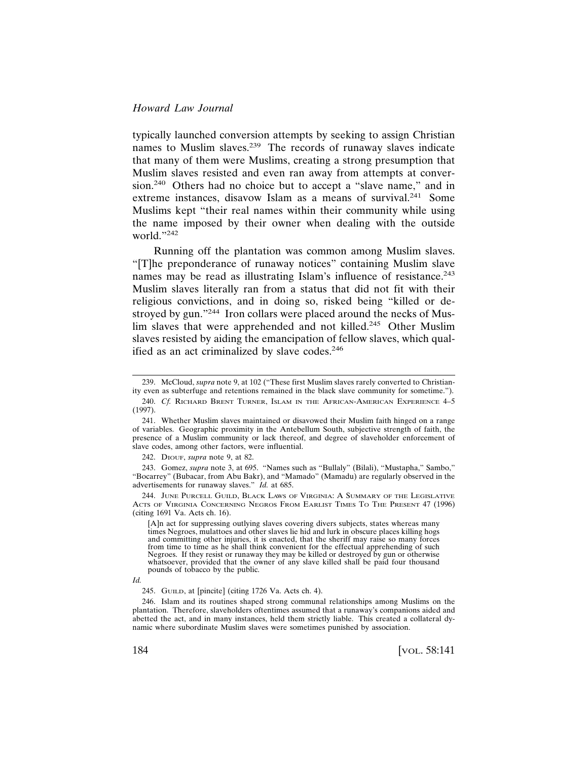typically launched conversion attempts by seeking to assign Christian names to Muslim slaves.<sup>239</sup> The records of runaway slaves indicate that many of them were Muslims, creating a strong presumption that Muslim slaves resisted and even ran away from attempts at conversion.<sup>240</sup> Others had no choice but to accept a "slave name," and in extreme instances, disavow Islam as a means of survival.<sup>241</sup> Some Muslims kept "their real names within their community while using the name imposed by their owner when dealing with the outside world."<sup>242</sup>

Running off the plantation was common among Muslim slaves. "[T]he preponderance of runaway notices" containing Muslim slave names may be read as illustrating Islam's influence of resistance.<sup>243</sup> Muslim slaves literally ran from a status that did not fit with their religious convictions, and in doing so, risked being "killed or destroyed by gun."<sup>244</sup> Iron collars were placed around the necks of Muslim slaves that were apprehended and not killed.<sup>245</sup> Other Muslim slaves resisted by aiding the emancipation of fellow slaves, which qualified as an act criminalized by slave codes.<sup>246</sup>

242. DIOUF, *supra* note 9, at 82.

243. Gomez, *supra* note 3, at 695. "Names such as "Bullaly" (Bilali), "Mustapha," Sambo," "Bocarrey" (Bubacar, from Abu Bakr), and "Mamado" (Mamadu) are regularly observed in the advertisements for runaway slaves." *Id.* at 685.

244. JUNE PURCELL GUILD, BLACK LAWS OF VIRGINIA: A SUMMARY OF THE LEGISLATIVE ACTS OF VIRGINIA CONCERNING NEGROS FROM EARLIST TIMES TO THE PRESENT 47 (1996) (citing 1691 Va. Acts ch. 16).

[A]n act for suppressing outlying slaves covering divers subjects, states whereas many times Negroes, mulattoes and other slaves lie hid and lurk in obscure places killing hogs and committing other injuries, it is enacted, that the sheriff may raise so many forces from time to time as he shall think convenient for the effectual apprehending of such Negroes. If they resist or runaway they may be killed or destroyed by gun or otherwise whatsoever, provided that the owner of any slave killed shall be paid four thousand pounds of tobacco by the public.

*Id.*

<sup>239.</sup> McCloud, *supra* note 9, at 102 ("These first Muslim slaves rarely converted to Christianity even as subterfuge and retentions remained in the black slave community for sometime.").

<sup>240.</sup> *Cf.* RICHARD BRENT TURNER, ISLAM IN THE AFRICAN-AMERICAN EXPERIENCE 4–5 (1997).

<sup>241.</sup> Whether Muslim slaves maintained or disavowed their Muslim faith hinged on a range of variables. Geographic proximity in the Antebellum South, subjective strength of faith, the presence of a Muslim community or lack thereof, and degree of slaveholder enforcement of slave codes, among other factors, were influential.

<sup>245.</sup> GUILD, at [pincite] (citing 1726 Va. Acts ch. 4).

<sup>246.</sup> Islam and its routines shaped strong communal relationships among Muslims on the plantation. Therefore, slaveholders oftentimes assumed that a runaway's companions aided and abetted the act, and in many instances, held them strictly liable. This created a collateral dynamic where subordinate Muslim slaves were sometimes punished by association.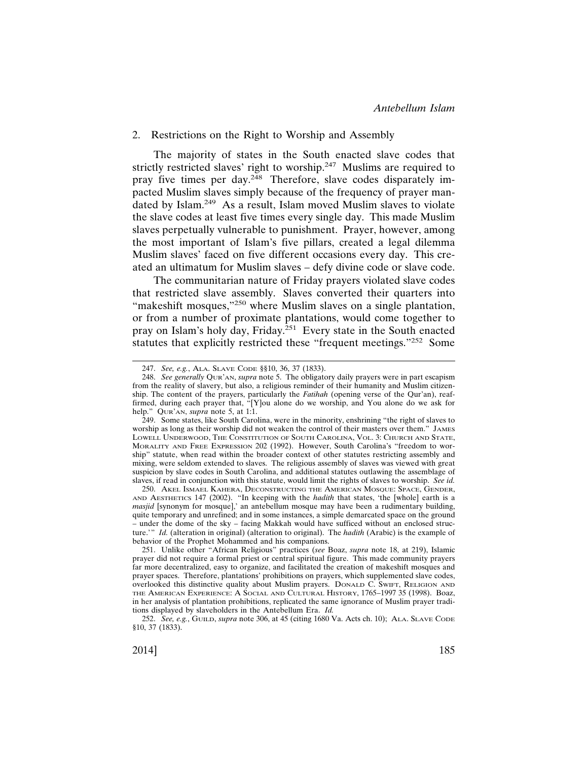#### 2. Restrictions on the Right to Worship and Assembly

The majority of states in the South enacted slave codes that strictly restricted slaves' right to worship.<sup>247</sup> Muslims are required to pray five times per day.248 Therefore, slave codes disparately impacted Muslim slaves simply because of the frequency of prayer mandated by Islam.249 As a result, Islam moved Muslim slaves to violate the slave codes at least five times every single day. This made Muslim slaves perpetually vulnerable to punishment. Prayer, however, among the most important of Islam's five pillars, created a legal dilemma Muslim slaves' faced on five different occasions every day. This created an ultimatum for Muslim slaves – defy divine code or slave code.

The communitarian nature of Friday prayers violated slave codes that restricted slave assembly. Slaves converted their quarters into "makeshift mosques,"<sup>250</sup> where Muslim slaves on a single plantation, or from a number of proximate plantations, would come together to pray on Islam's holy day, Friday.<sup>251</sup> Every state in the South enacted statutes that explicitly restricted these "frequent meetings."252 Some

<sup>247.</sup> *See, e.g.*, ALA. SLAVE CODE §§10, 36, 37 (1833).

<sup>248.</sup> *See generally* QUR'AN, *supra* note 5. The obligatory daily prayers were in part escapism from the reality of slavery, but also, a religious reminder of their humanity and Muslim citizenship. The content of the prayers, particularly the *Fatihah* (opening verse of the Qur'an), reaffirmed, during each prayer that, "[Y]ou alone do we worship, and You alone do we ask for help." QUR'AN, *supra* note 5, at 1:1.

<sup>249.</sup> Some states, like South Carolina, were in the minority, enshrining "the right of slaves to worship as long as their worship did not weaken the control of their masters over them." JAMES LOWELL UNDERWOOD, THE CONSTITUTION OF SOUTH CAROLINA, VOL. 3: CHURCH AND STATE, MORALITY AND FREE EXPRESSION 202 (1992). However, South Carolina's "freedom to worship" statute, when read within the broader context of other statutes restricting assembly and mixing, were seldom extended to slaves. The religious assembly of slaves was viewed with great suspicion by slave codes in South Carolina, and additional statutes outlawing the assemblage of slaves, if read in conjunction with this statute, would limit the rights of slaves to worship. *See id.*

<sup>250.</sup> AKEL ISMAEL KAHERA, DECONSTRUCTING THE AMERICAN MOSQUE: SPACE, GENDER, AND AESTHETICS 147 (2002). "In keeping with the *hadith* that states, 'the [whole] earth is a *masjid* [synonym for mosque],' an antebellum mosque may have been a rudimentary building, quite temporary and unrefined; and in some instances, a simple demarcated space on the ground – under the dome of the sky – facing Makkah would have sufficed without an enclosed structure.'" *Id.* (alteration in original) (alteration to original). The *hadith* (Arabic) is the example of behavior of the Prophet Mohammed and his companions.

<sup>251.</sup> Unlike other "African Religious" practices (*see* Boaz, *supra* note 18, at 219), Islamic prayer did not require a formal priest or central spiritual figure. This made community prayers far more decentralized, easy to organize, and facilitated the creation of makeshift mosques and prayer spaces. Therefore, plantations' prohibitions on prayers, which supplemented slave codes, overlooked this distinctive quality about Muslim prayers. DONALD C. SWIFT, RELIGION AND THE AMERICAN EXPERIENCE: A SOCIAL AND CULTURAL HISTORY, 1765–1997 35 (1998). Boaz, in her analysis of plantation prohibitions, replicated the same ignorance of Muslim prayer traditions displayed by slaveholders in the Antebellum Era. *Id.*

<sup>252.</sup> *See, e.g.*, GUILD, *supra* note 306, at 45 (citing 1680 Va. Acts ch. 10); ALA. SLAVE CODE §10, 37 (1833).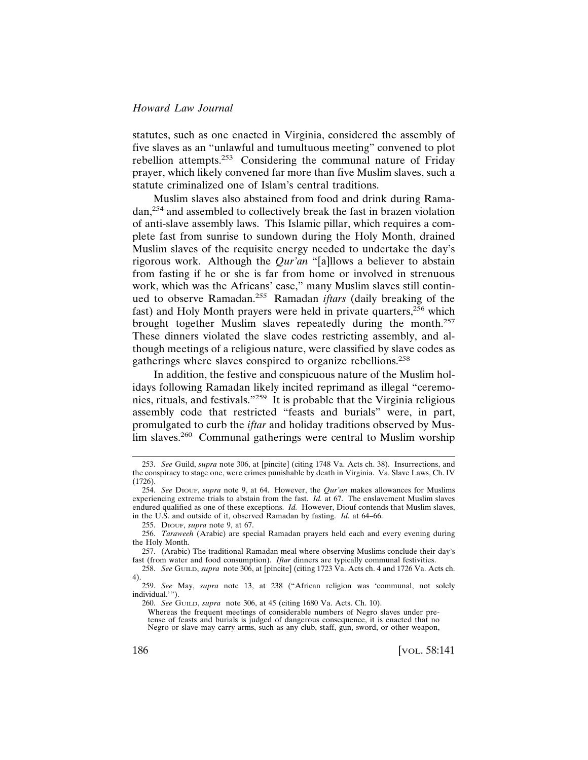statutes, such as one enacted in Virginia, considered the assembly of five slaves as an "unlawful and tumultuous meeting" convened to plot rebellion attempts.253 Considering the communal nature of Friday prayer, which likely convened far more than five Muslim slaves, such a statute criminalized one of Islam's central traditions.

Muslim slaves also abstained from food and drink during Ramadan,254 and assembled to collectively break the fast in brazen violation of anti-slave assembly laws. This Islamic pillar, which requires a complete fast from sunrise to sundown during the Holy Month, drained Muslim slaves of the requisite energy needed to undertake the day's rigorous work. Although the *Qur'an* "[a]llows a believer to abstain from fasting if he or she is far from home or involved in strenuous work, which was the Africans' case," many Muslim slaves still continued to observe Ramadan.255 Ramadan *iftars* (daily breaking of the fast) and Holy Month prayers were held in private quarters,<sup>256</sup> which brought together Muslim slaves repeatedly during the month.<sup>257</sup> These dinners violated the slave codes restricting assembly, and although meetings of a religious nature, were classified by slave codes as gatherings where slaves conspired to organize rebellions.258

In addition, the festive and conspicuous nature of the Muslim holidays following Ramadan likely incited reprimand as illegal "ceremonies, rituals, and festivals."259 It is probable that the Virginia religious assembly code that restricted "feasts and burials" were, in part, promulgated to curb the *iftar* and holiday traditions observed by Muslim slaves.<sup>260</sup> Communal gatherings were central to Muslim worship

<sup>253.</sup> *See* Guild, *supra* note 306, at [pincite] (citing 1748 Va. Acts ch. 38). Insurrections, and the conspiracy to stage one, were crimes punishable by death in Virginia. Va. Slave Laws, Ch. IV (1726).

<sup>254.</sup> *See* DIOUF, *supra* note 9, at 64. However, the *Qur'an* makes allowances for Muslims experiencing extreme trials to abstain from the fast. *Id.* at 67. The enslavement Muslim slaves endured qualified as one of these exceptions. *Id.* However, Diouf contends that Muslim slaves, in the U.S. and outside of it, observed Ramadan by fasting. *Id.* at 64–66.

<sup>255.</sup> DIOUF, *supra* note 9, at 67.

<sup>256.</sup> *Taraweeh* (Arabic) are special Ramadan prayers held each and every evening during the Holy Month.

<sup>257. (</sup>Arabic) The traditional Ramadan meal where observing Muslims conclude their day's fast (from water and food consumption). *Iftar* dinners are typically communal festivities.

<sup>258.</sup> *See* GUILD, *supra* note 306, at [pincite] (citing 1723 Va. Acts ch. 4 and 1726 Va. Acts ch. 4).

<sup>259.</sup> *See* May, *supra* note 13, at 238 ("African religion was 'communal, not solely individual.'").

<sup>260.</sup> *See* GUILD, *supra* note 306, at 45 (citing 1680 Va. Acts. Ch. 10).

Whereas the frequent meetings of considerable numbers of Negro slaves under pretense of feasts and burials is judged of dangerous consequence, it is enacted that no Negro or slave may carry arms, such as any club, staff, gun, sword, or other weapon,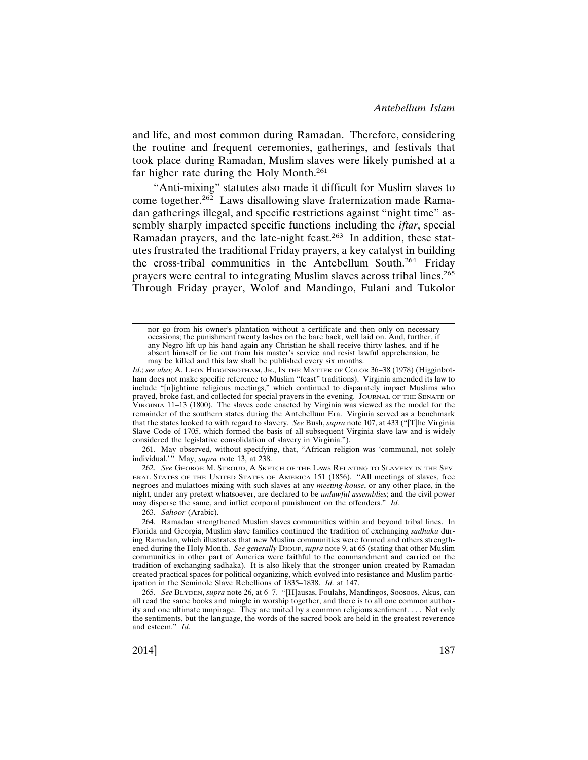and life, and most common during Ramadan. Therefore, considering the routine and frequent ceremonies, gatherings, and festivals that took place during Ramadan, Muslim slaves were likely punished at a far higher rate during the Holy Month.<sup>261</sup>

"Anti-mixing" statutes also made it difficult for Muslim slaves to come together.<sup>262</sup> Laws disallowing slave fraternization made Ramadan gatherings illegal, and specific restrictions against "night time" assembly sharply impacted specific functions including the *iftar*, special Ramadan prayers, and the late-night feast.<sup>263</sup> In addition, these statutes frustrated the traditional Friday prayers, a key catalyst in building the cross-tribal communities in the Antebellum South.264 Friday prayers were central to integrating Muslim slaves across tribal lines.<sup>265</sup> Through Friday prayer, Wolof and Mandingo, Fulani and Tukolor

261. May observed, without specifying, that, "African religion was 'communal, not solely individual.'" May, *supra* note 13, at 238.

262. *See* GEORGE M. STROUD, A SKETCH OF THE LAWS RELATING TO SLAVERY IN THE SEV-ERAL STATES OF THE UNITED STATES OF AMERICA 151 (1856). "All meetings of slaves, free negroes and mulattoes mixing with such slaves at any *meeting-house*, or any other place, in the night, under any pretext whatsoever, are declared to be *unlawful assemblies*; and the civil power may disperse the same, and inflict corporal punishment on the offenders." *Id.*

263. *Sahoor* (Arabic).

nor go from his owner's plantation without a certificate and then only on necessary occasions; the punishment twenty lashes on the bare back, well laid on. And, further, if any Negro lift up his hand again any Christian he shall receive thirty lashes, and if he absent himself or lie out from his master's service and resist lawful apprehension, he may be killed and this law shall be published every six months.

Id.; see also; A. LEON HIGGINBOTHAM, JR., IN THE MATTER OF COLOR 36-38 (1978) (Higginbotham does not make specific reference to Muslim "feast" traditions). Virginia amended its law to include "[n]ightime religious meetings," which continued to disparately impact Muslims who prayed, broke fast, and collected for special prayers in the evening. JOURNAL OF THE SENATE OF VIRGINIA 11–13 (1800). The slaves code enacted by Virginia was viewed as the model for the remainder of the southern states during the Antebellum Era. Virginia served as a benchmark that the states looked to with regard to slavery. *See* Bush, *supra* note 107, at 433 ("[T]he Virginia Slave Code of 1705, which formed the basis of all subsequent Virginia slave law and is widely considered the legislative consolidation of slavery in Virginia.").

<sup>264.</sup> Ramadan strengthened Muslim slaves communities within and beyond tribal lines. In Florida and Georgia, Muslim slave families continued the tradition of exchanging *sadhaka* during Ramadan, which illustrates that new Muslim communities were formed and others strengthened during the Holy Month. *See generally* DIOUF, *supra* note 9, at 65 (stating that other Muslim communities in other part of America were faithful to the commandment and carried on the tradition of exchanging sadhaka). It is also likely that the stronger union created by Ramadan created practical spaces for political organizing, which evolved into resistance and Muslim participation in the Seminole Slave Rebellions of 1835–1838. *Id.* at 147.

<sup>265.</sup> *See* BLYDEN, *supra* note 26, at 6–7. "[H]ausas, Foulahs, Mandingos, Soosoos, Akus, can all read the same books and mingle in worship together, and there is to all one common authority and one ultimate umpirage. They are united by a common religious sentiment. . . . Not only the sentiments, but the language, the words of the sacred book are held in the greatest reverence and esteem." *Id.*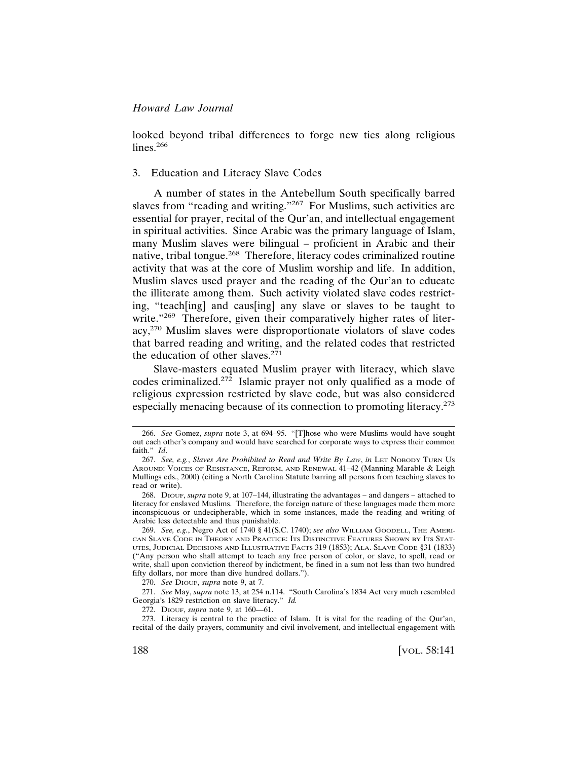looked beyond tribal differences to forge new ties along religious lines.<sup>266</sup>

#### 3. Education and Literacy Slave Codes

A number of states in the Antebellum South specifically barred slaves from "reading and writing."<sup>267</sup> For Muslims, such activities are essential for prayer, recital of the Qur'an, and intellectual engagement in spiritual activities. Since Arabic was the primary language of Islam, many Muslim slaves were bilingual – proficient in Arabic and their native, tribal tongue.268 Therefore, literacy codes criminalized routine activity that was at the core of Muslim worship and life. In addition, Muslim slaves used prayer and the reading of the Qur'an to educate the illiterate among them. Such activity violated slave codes restricting, "teach[ing] and caus[ing] any slave or slaves to be taught to write."<sup>269</sup> Therefore, given their comparatively higher rates of literacy,270 Muslim slaves were disproportionate violators of slave codes that barred reading and writing, and the related codes that restricted the education of other slaves.<sup>271</sup>

Slave-masters equated Muslim prayer with literacy, which slave codes criminalized.272 Islamic prayer not only qualified as a mode of religious expression restricted by slave code, but was also considered especially menacing because of its connection to promoting literacy.<sup>273</sup>

<sup>266.</sup> *See* Gomez, *supra* note 3, at 694–95. "[T]hose who were Muslims would have sought out each other's company and would have searched for corporate ways to express their common faith." *Id*.

<sup>267.</sup> *See, e.g.*, *Slaves Are Prohibited to Read and Write By Law*, *in* LET NOBODY TURN US AROUND: VOICES OF RESISTANCE, REFORM, AND RENEWAL 41–42 (Manning Marable & Leigh Mullings eds., 2000) (citing a North Carolina Statute barring all persons from teaching slaves to read or write).

<sup>268.</sup> DIOUF, *supra* note 9, at 107–144, illustrating the advantages – and dangers – attached to literacy for enslaved Muslims. Therefore, the foreign nature of these languages made them more inconspicuous or undecipherable, which in some instances, made the reading and writing of Arabic less detectable and thus punishable.

<sup>269.</sup> *See, e.g.*, Negro Act of 1740 § 41(S.C. 1740); *see also* WILLIAM GOODELL, THE AMERI-CAN SLAVE CODE IN THEORY AND PRACTICE: ITS DISTINCTIVE FEATURES SHOWN BY ITS STAT-UTES, JUDICIAL DECISIONS AND ILLUSTRATIVE FACTS 319 (1853); ALA. SLAVE CODE §31 (1833) ("Any person who shall attempt to teach any free person of color, or slave, to spell, read or write, shall upon conviction thereof by indictment, be fined in a sum not less than two hundred fifty dollars, nor more than dive hundred dollars.").

<sup>270.</sup> *See* DIOUF, *supra* note 9, at 7.

<sup>271.</sup> *See* May, *supra* note 13, at 254 n.114. "South Carolina's 1834 Act very much resembled Georgia's 1829 restriction on slave literacy." *Id.*

<sup>272.</sup> DIOUF, *supra* note 9, at 160—61.

<sup>273.</sup> Literacy is central to the practice of Islam. It is vital for the reading of the Qur'an, recital of the daily prayers, community and civil involvement, and intellectual engagement with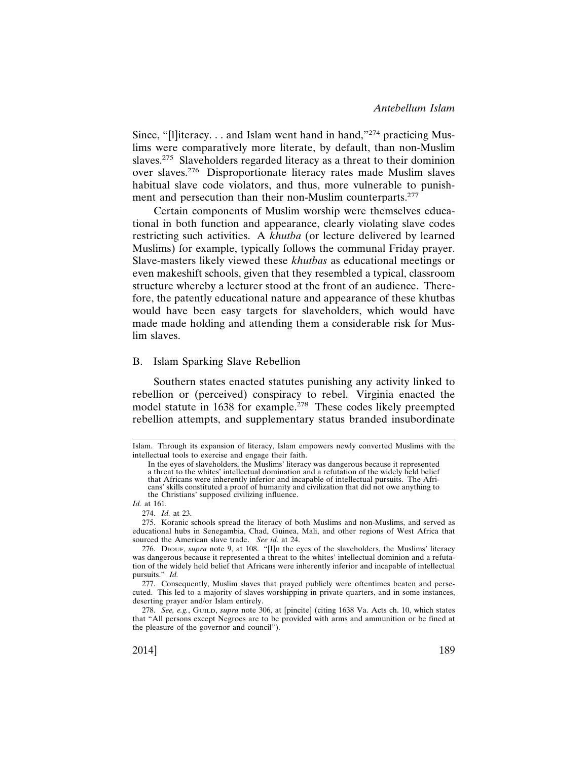Since, "[l]iteracy... and Islam went hand in hand," $274$  practicing Muslims were comparatively more literate, by default, than non-Muslim slaves.<sup>275</sup> Slaveholders regarded literacy as a threat to their dominion over slaves.276 Disproportionate literacy rates made Muslim slaves habitual slave code violators, and thus, more vulnerable to punishment and persecution than their non-Muslim counterparts.<sup>277</sup>

Certain components of Muslim worship were themselves educational in both function and appearance, clearly violating slave codes restricting such activities. A *khutba* (or lecture delivered by learned Muslims) for example, typically follows the communal Friday prayer. Slave-masters likely viewed these *khutbas* as educational meetings or even makeshift schools, given that they resembled a typical, classroom structure whereby a lecturer stood at the front of an audience. Therefore, the patently educational nature and appearance of these khutbas would have been easy targets for slaveholders, which would have made made holding and attending them a considerable risk for Muslim slaves.

#### B. Islam Sparking Slave Rebellion

Southern states enacted statutes punishing any activity linked to rebellion or (perceived) conspiracy to rebel. Virginia enacted the model statute in 1638 for example.<sup>278</sup> These codes likely preempted rebellion attempts, and supplementary status branded insubordinate

Islam. Through its expansion of literacy, Islam empowers newly converted Muslims with the intellectual tools to exercise and engage their faith.

In the eyes of slaveholders, the Muslims' literacy was dangerous because it represented a threat to the whites' intellectual domination and a refutation of the widely held belief that Africans were inherently inferior and incapable of intellectual pursuits. The Africans' skills constituted a proof of humanity and civilization that did not owe anything to the Christians' supposed civilizing influence.

*Id.* at 161.

<sup>274.</sup> *Id.* at 23.

<sup>275.</sup> Koranic schools spread the literacy of both Muslims and non-Muslims, and served as educational hubs in Senegambia, Chad, Guinea, Mali, and other regions of West Africa that sourced the American slave trade. *See id.* at 24.

<sup>276.</sup> DIOUF, *supra* note 9, at 108. "[I]n the eyes of the slaveholders, the Muslims' literacy was dangerous because it represented a threat to the whites' intellectual dominion and a refutation of the widely held belief that Africans were inherently inferior and incapable of intellectual pursuits." *Id.*

<sup>277.</sup> Consequently, Muslim slaves that prayed publicly were oftentimes beaten and persecuted. This led to a majority of slaves worshipping in private quarters, and in some instances, deserting prayer and/or Islam entirely.

<sup>278.</sup> *See, e.g.*, GUILD, *supra* note 306, at [pincite] (citing 1638 Va. Acts ch. 10, which states that "All persons except Negroes are to be provided with arms and ammunition or be fined at the pleasure of the governor and council").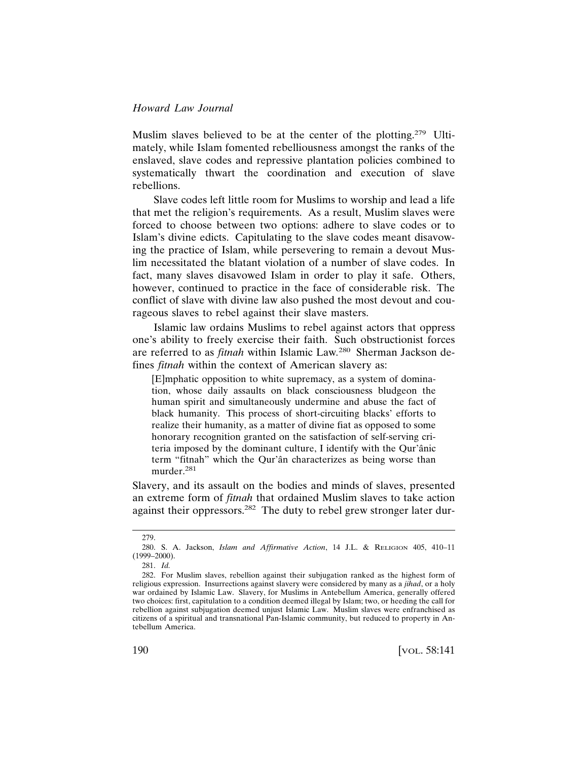Muslim slaves believed to be at the center of the plotting.<sup>279</sup> Ultimately, while Islam fomented rebelliousness amongst the ranks of the enslaved, slave codes and repressive plantation policies combined to systematically thwart the coordination and execution of slave rebellions.

Slave codes left little room for Muslims to worship and lead a life that met the religion's requirements. As a result, Muslim slaves were forced to choose between two options: adhere to slave codes or to Islam's divine edicts. Capitulating to the slave codes meant disavowing the practice of Islam, while persevering to remain a devout Muslim necessitated the blatant violation of a number of slave codes. In fact, many slaves disavowed Islam in order to play it safe. Others, however, continued to practice in the face of considerable risk. The conflict of slave with divine law also pushed the most devout and courageous slaves to rebel against their slave masters.

Islamic law ordains Muslims to rebel against actors that oppress one's ability to freely exercise their faith. Such obstructionist forces are referred to as *fitnah* within Islamic Law*.* 280 Sherman Jackson defines *fitnah* within the context of American slavery as:

[E]mphatic opposition to white supremacy, as a system of domination, whose daily assaults on black consciousness bludgeon the human spirit and simultaneously undermine and abuse the fact of black humanity. This process of short-circuiting blacks' efforts to realize their humanity, as a matter of divine fiat as opposed to some honorary recognition granted on the satisfaction of self-serving criteria imposed by the dominant culture, I identify with the Our'anic term "fitnah" which the Qur'ân characterizes as being worse than murder.281

Slavery, and its assault on the bodies and minds of slaves, presented an extreme form of *fitnah* that ordained Muslim slaves to take action against their oppressors.<sup>282</sup> The duty to rebel grew stronger later dur-

<sup>279.</sup>

<sup>280.</sup> S. A. Jackson, *Islam and Affirmative Action*, 14 J.L. & RELIGION 405, 410–11 (1999–2000).

<sup>281.</sup> *Id.*

<sup>282.</sup> For Muslim slaves, rebellion against their subjugation ranked as the highest form of religious expression. Insurrections against slavery were considered by many as a *jihad*, or a holy war ordained by Islamic Law. Slavery, for Muslims in Antebellum America, generally offered two choices: first, capitulation to a condition deemed illegal by Islam; two, or heeding the call for rebellion against subjugation deemed unjust Islamic Law. Muslim slaves were enfranchised as citizens of a spiritual and transnational Pan-Islamic community, but reduced to property in Antebellum America.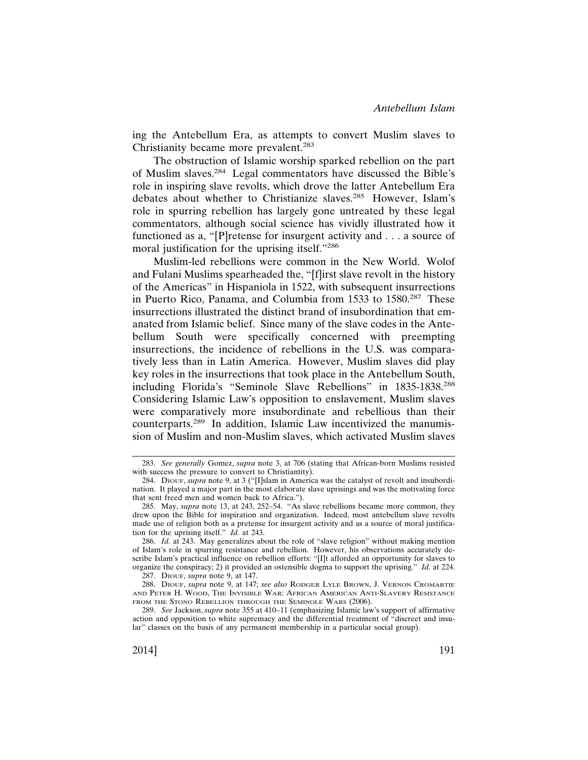ing the Antebellum Era, as attempts to convert Muslim slaves to Christianity became more prevalent.283

The obstruction of Islamic worship sparked rebellion on the part of Muslim slaves.284 Legal commentators have discussed the Bible's role in inspiring slave revolts, which drove the latter Antebellum Era debates about whether to Christianize slaves.285 However, Islam's role in spurring rebellion has largely gone untreated by these legal commentators, although social science has vividly illustrated how it functioned as a, "[P]retense for insurgent activity and . . . a source of moral justification for the uprising itself."<sup>286</sup>

Muslim-led rebellions were common in the New World. Wolof and Fulani Muslims spearheaded the, "[f]irst slave revolt in the history of the Americas" in Hispaniola in 1522, with subsequent insurrections in Puerto Rico, Panama, and Columbia from 1533 to 1580.<sup>287</sup> These insurrections illustrated the distinct brand of insubordination that emanated from Islamic belief. Since many of the slave codes in the Antebellum South were specifically concerned with preempting insurrections, the incidence of rebellions in the U.S. was comparatively less than in Latin America. However, Muslim slaves did play key roles in the insurrections that took place in the Antebellum South, including Florida's "Seminole Slave Rebellions" in 1835-1838.<sup>288</sup> Considering Islamic Law's opposition to enslavement, Muslim slaves were comparatively more insubordinate and rebellious than their counterparts.289 In addition, Islamic Law incentivized the manumission of Muslim and non-Muslim slaves, which activated Muslim slaves

<sup>283.</sup> *See generally* Gomez, *supra* note 3, at 706 (stating that African-born Muslims resisted with success the pressure to convert to Christiantity).

<sup>284.</sup> DIOUF, *supra* note 9, at 3 ("[I]slam in America was the catalyst of revolt and insubordination. It played a major part in the most elaborate slave uprisings and was the motivating force that sent freed men and women back to Africa.").

<sup>285.</sup> May, *supra* note 13, at 243, 252–54. "As slave rebellions became more common, they drew upon the Bible for inspiration and organization. Indeed, most antebellum slave revolts made use of religion both as a pretense for insurgent activity and as a source of moral justification for the uprising itself." *Id.* at 243.

<sup>286.</sup> *Id.* at 243. May generalizes about the role of "slave religion" without making mention of Islam's role in spurring resistance and rebellion. However, his observations accurately describe Islam's practical influence on rebellion efforts: "[I]t afforded an opportunity for slaves to organize the conspiracy; 2) it provided an ostensible dogma to support the uprising." *Id.* at 224. 287. DIOUF, *supra* note 9, at 147.

<sup>288.</sup> DIOUF, *supra* note 9, at 147; *see also* RODGER LYLE BROWN, J. VERNON CROMARTIE AND PETER H. WOOD, THE INVISIBLE WAR: AFRICAN AMERICAN ANTI-SLAVERY RESISTANCE FROM THE STONO REBELLION THROUGH THE SEMINOLE WARS (2006).

<sup>289.</sup> *See* Jackson, *supra* note 355 at 410–11 (emphasizing Islamic law's support of affirmative action and opposition to white supremacy and the differential treatment of "discreet and insular" classes on the basis of any permanent membership in a particular social group).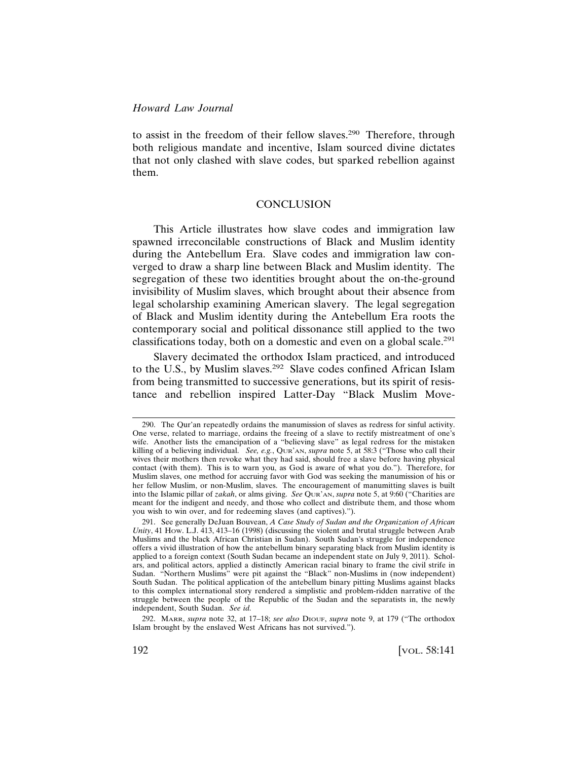to assist in the freedom of their fellow slaves.<sup>290</sup> Therefore, through both religious mandate and incentive, Islam sourced divine dictates that not only clashed with slave codes, but sparked rebellion against them.

#### **CONCLUSION**

This Article illustrates how slave codes and immigration law spawned irreconcilable constructions of Black and Muslim identity during the Antebellum Era. Slave codes and immigration law converged to draw a sharp line between Black and Muslim identity. The segregation of these two identities brought about the on-the-ground invisibility of Muslim slaves, which brought about their absence from legal scholarship examining American slavery. The legal segregation of Black and Muslim identity during the Antebellum Era roots the contemporary social and political dissonance still applied to the two classifications today, both on a domestic and even on a global scale.<sup>291</sup>

Slavery decimated the orthodox Islam practiced, and introduced to the U.S., by Muslim slaves.<sup>292</sup> Slave codes confined African Islam from being transmitted to successive generations, but its spirit of resistance and rebellion inspired Latter-Day "Black Muslim Move-

<sup>290.</sup> The Qur'an repeatedly ordains the manumission of slaves as redress for sinful activity. One verse, related to marriage, ordains the freeing of a slave to rectify mistreatment of one's wife. Another lists the emancipation of a "believing slave" as legal redress for the mistaken killing of a believing individual. *See, e.g.*, QUR'AN, *supra* note 5, at 58:3 ("Those who call their wives their mothers then revoke what they had said, should free a slave before having physical contact (with them). This is to warn you, as God is aware of what you do."). Therefore, for Muslim slaves, one method for accruing favor with God was seeking the manumission of his or her fellow Muslim, or non-Muslim, slaves. The encouragement of manumitting slaves is built into the Islamic pillar of *zakah*, or alms giving. *See* QUR'AN, *supra* note 5, at 9:60 ("Charities are meant for the indigent and needy, and those who collect and distribute them, and those whom you wish to win over, and for redeeming slaves (and captives).").

<sup>291.</sup> See generally DeJuan Bouvean, *A Case Study of Sudan and the Organization of African Unity*, 41 HOW. L.J. 413, 413–16 (1998) (discussing the violent and brutal struggle between Arab Muslims and the black African Christian in Sudan). South Sudan's struggle for independence offers a vivid illustration of how the antebellum binary separating black from Muslim identity is applied to a foreign context (South Sudan became an independent state on July 9, 2011). Scholars, and political actors, applied a distinctly American racial binary to frame the civil strife in Sudan. "Northern Muslims" were pit against the "Black" non-Muslims in (now independent) South Sudan. The political application of the antebellum binary pitting Muslims against blacks to this complex international story rendered a simplistic and problem-ridden narrative of the struggle between the people of the Republic of the Sudan and the separatists in, the newly independent, South Sudan. *See id.*

<sup>292.</sup> MARR, *supra* note 32, at 17–18; *see also* DIOUF, *supra* note 9, at 179 ("The orthodox Islam brought by the enslaved West Africans has not survived.").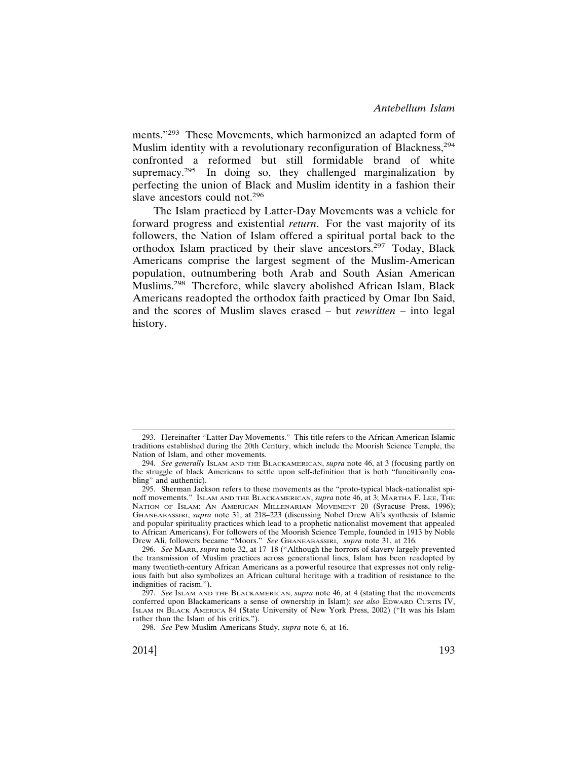ments."293 These Movements, which harmonized an adapted form of Muslim identity with a revolutionary reconfiguration of Blackness,<sup>294</sup> confronted a reformed but still formidable brand of white supremacy. $295$  In doing so, they challenged marginalization by perfecting the union of Black and Muslim identity in a fashion their slave ancestors could not.<sup>296</sup>

The Islam practiced by Latter-Day Movements was a vehicle for forward progress and existential *return*. For the vast majority of its followers, the Nation of Islam offered a spiritual portal back to the orthodox Islam practiced by their slave ancestors.297 Today, Black Americans comprise the largest segment of the Muslim-American population, outnumbering both Arab and South Asian American Muslims.298 Therefore, while slavery abolished African Islam, Black Americans readopted the orthodox faith practiced by Omar Ibn Said, and the scores of Muslim slaves erased – but *rewritten* – into legal history.

<sup>293.</sup> Hereinafter "Latter Day Movements." This title refers to the African American Islamic traditions established during the 20th Century, which include the Moorish Science Temple, the Nation of Islam, and other movements.

<sup>294.</sup> *See generally* ISLAM AND THE BLACKAMERICAN, *supra* note 46, at 3 (focusing partly on the struggle of black Americans to settle upon self-definition that is both "funcitioanlly enabling" and authentic).

<sup>295.</sup> Sherman Jackson refers to these movements as the "proto-typical black-nationalist spinoff movements." ISLAM AND THE BLACKAMERICAN, *supra* note 46, at 3; MARTHA F. LEE, THE NATION OF ISLAM: AN AMERICAN MILLENARIAN MOVEMENT 20 (Syracuse Press, 1996); GHANEABASSIRI, *supra* note 31, at 218–223 (discussing Nobel Drew Ali's synthesis of Islamic and popular spirituality practices which lead to a prophetic nationalist movement that appealed to African Americans). For followers of the Moorish Science Temple, founded in 1913 by Noble Drew Ali, followers became "Moors." *See* GHANEABASSIRI, *supra* note 31, at 216.

<sup>296.</sup> *See* MARR, *supra* note 32, at 17–18 ("Although the horrors of slavery largely prevented the transmission of Muslim practices across generational lines, Islam has been readopted by many twentieth-century African Americans as a powerful resource that expresses not only religious faith but also symbolizes an African cultural heritage with a tradition of resistance to the indignities of racism.").

<sup>297.</sup> *See* ISLAM AND THE BLACKAMERICAN, *supra* note 46, at 4 (stating that the movements conferred upon Blackamericans a sense of ownership in Islam); *see also* EDWARD CURTIS IV, ISLAM IN BLACK AMERICA 84 (State University of New York Press, 2002) ("It was his Islam rather than the Islam of his critics.").

<sup>298.</sup> *See* Pew Muslim Americans Study, *supra* note 6, at 16.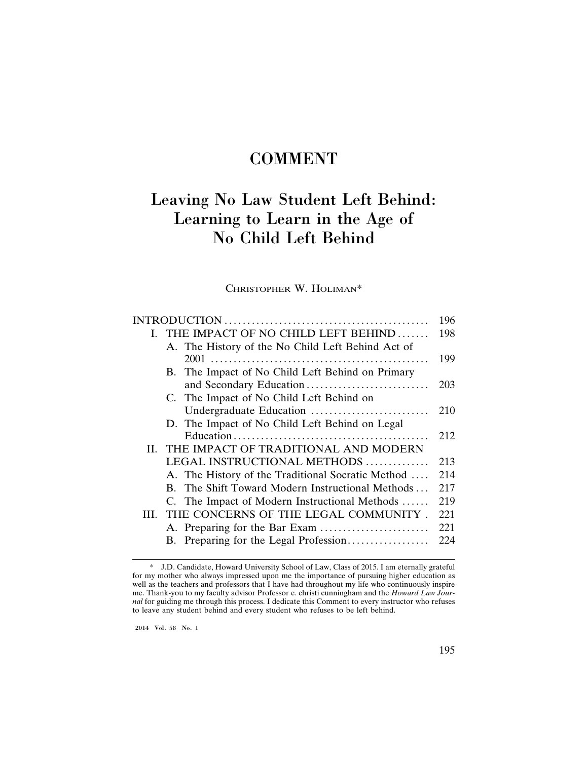## COMMENT

# Leaving No Law Student Left Behind: Learning to Learn in the Age of No Child Left Behind

CHRISTOPHER W. HOLIMAN\*

| 196 |                                       |                                                   |     |
|-----|---------------------------------------|---------------------------------------------------|-----|
|     | I. THE IMPACT OF NO CHILD LEFT BEHIND |                                                   | 198 |
|     |                                       | A. The History of the No Child Left Behind Act of |     |
|     |                                       |                                                   | 199 |
|     |                                       | B. The Impact of No Child Left Behind on Primary  |     |
|     |                                       |                                                   | 203 |
|     |                                       | C. The Impact of No Child Left Behind on          |     |
|     |                                       | Undergraduate Education                           | 210 |
|     |                                       | D. The Impact of No Child Left Behind on Legal    |     |
|     |                                       |                                                   | 212 |
|     |                                       | II. THE IMPACT OF TRADITIONAL AND MODERN          |     |
|     |                                       | LEGAL INSTRUCTIONAL METHODS                       | 213 |
|     |                                       | A. The History of the Traditional Socratic Method | 214 |
|     |                                       | B. The Shift Toward Modern Instructional Methods  | 217 |
|     |                                       | C. The Impact of Modern Instructional Methods     | 219 |
|     |                                       | III. THE CONCERNS OF THE LEGAL COMMUNITY.         | 221 |
|     |                                       | A. Preparing for the Bar Exam                     | 221 |
|     |                                       | B. Preparing for the Legal Profession             | 224 |

2014 Vol. 58 No. 1

<sup>\*</sup> J.D. Candidate, Howard University School of Law, Class of 2015. I am eternally grateful for my mother who always impressed upon me the importance of pursuing higher education as well as the teachers and professors that I have had throughout my life who continuously inspire me. Thank-you to my faculty advisor Professor e. christi cunningham and the *Howard Law Journal* for guiding me through this process. I dedicate this Comment to every instructor who refuses to leave any student behind and every student who refuses to be left behind.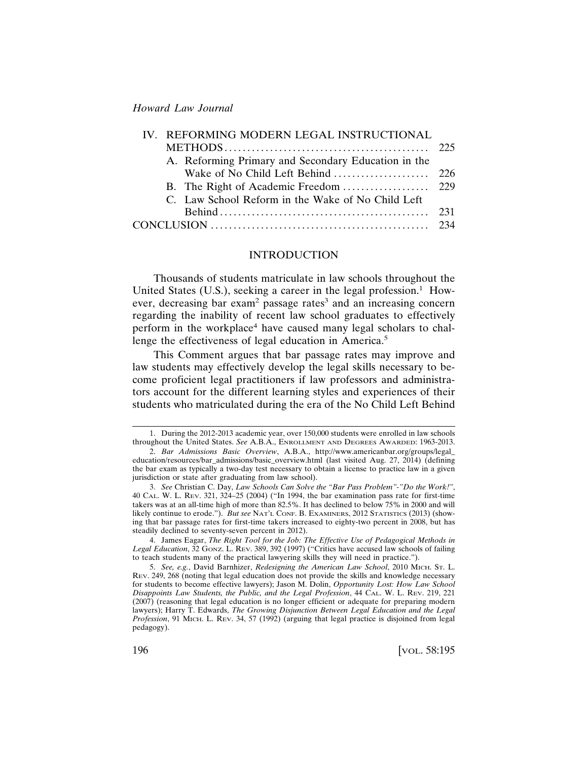| IV. REFORMING MODERN LEGAL INSTRUCTIONAL            |  |  |
|-----------------------------------------------------|--|--|
|                                                     |  |  |
| A. Reforming Primary and Secondary Education in the |  |  |
|                                                     |  |  |
|                                                     |  |  |
| C. Law School Reform in the Wake of No Child Left   |  |  |
|                                                     |  |  |
|                                                     |  |  |
|                                                     |  |  |

#### INTRODUCTION

Thousands of students matriculate in law schools throughout the United States (U.S.), seeking a career in the legal profession.<sup>1</sup> However, decreasing bar exam<sup>2</sup> passage rates<sup>3</sup> and an increasing concern regarding the inability of recent law school graduates to effectively perform in the workplace<sup>4</sup> have caused many legal scholars to challenge the effectiveness of legal education in America.<sup>5</sup>

This Comment argues that bar passage rates may improve and law students may effectively develop the legal skills necessary to become proficient legal practitioners if law professors and administrators account for the different learning styles and experiences of their students who matriculated during the era of the No Child Left Behind

<sup>1.</sup> During the 2012-2013 academic year, over 150,000 students were enrolled in law schools throughout the United States. *See* A.B.A., ENROLLMENT AND DEGREES AWARDED: 1963-2013.

<sup>2.</sup> *Bar Admissions Basic Overview*, A.B.A., http://www.americanbar.org/groups/legal\_ education/resources/bar\_admissions/basic\_overview.html (last visited Aug. 27, 2014) (defining the bar exam as typically a two-day test necessary to obtain a license to practice law in a given jurisdiction or state after graduating from law school).

<sup>3.</sup> *See* Christian C. Day, *Law Schools Can Solve the "Bar Pass Problem"-"Do the Work!"*, 40 CAL. W. L. REV. 321, 324–25 (2004) ("In 1994, the bar examination pass rate for first-time takers was at an all-time high of more than 82.5%. It has declined to below 75% in 2000 and will likely continue to erode."). *But see* NAT'L CONF. B. EXAMINERS, 2012 STATISTICS (2013) (showing that bar passage rates for first-time takers increased to eighty-two percent in 2008, but has steadily declined to seventy-seven percent in 2012).

<sup>4.</sup> James Eagar, *The Right Tool for the Job: The Effective Use of Pedagogical Methods in Legal Education*, 32 GONZ. L. REV. 389, 392 (1997) ("Critics have accused law schools of failing to teach students many of the practical lawyering skills they will need in practice.").

<sup>5.</sup> *See, e.g.*, David Barnhizer, *Redesigning the American Law School*, 2010 MICH. ST. L. REV. 249, 268 (noting that legal education does not provide the skills and knowledge necessary for students to become effective lawyers); Jason M. Dolin, *Opportunity Lost: How Law School Disappoints Law Students, the Public, and the Legal Profession*, 44 CAL. W. L. REV. 219, 221  $(2007)$  (reasoning that legal education is no longer efficient or adequate for preparing modern lawyers); Harry T. Edwards, *The Growing Disjunction Between Legal Education and the Legal Profession*, 91 MICH. L. REV. 34, 57 (1992) (arguing that legal practice is disjoined from legal pedagogy).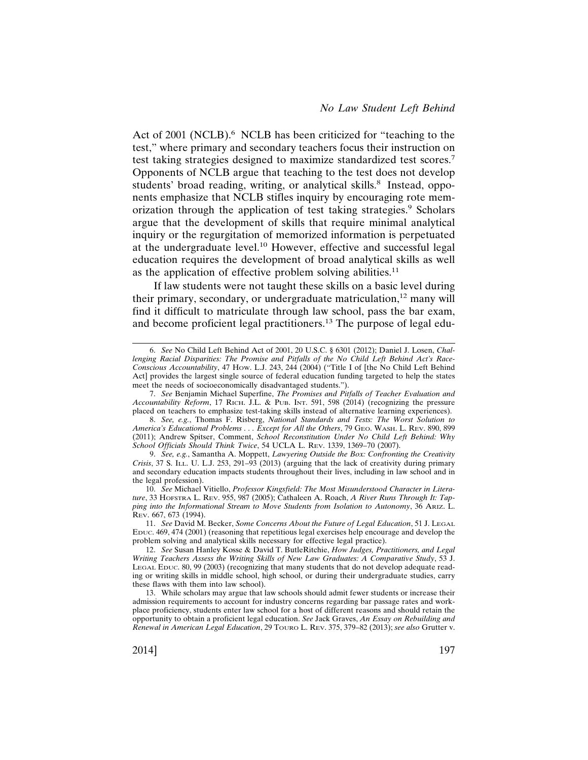Act of 2001 (NCLB).<sup>6</sup> NCLB has been criticized for "teaching to the test," where primary and secondary teachers focus their instruction on test taking strategies designed to maximize standardized test scores.7 Opponents of NCLB argue that teaching to the test does not develop students' broad reading, writing, or analytical skills.<sup>8</sup> Instead, opponents emphasize that NCLB stifles inquiry by encouraging rote memorization through the application of test taking strategies.<sup>9</sup> Scholars argue that the development of skills that require minimal analytical inquiry or the regurgitation of memorized information is perpetuated at the undergraduate level.10 However, effective and successful legal education requires the development of broad analytical skills as well as the application of effective problem solving abilities.<sup>11</sup>

If law students were not taught these skills on a basic level during their primary, secondary, or undergraduate matriculation, $12$  many will find it difficult to matriculate through law school, pass the bar exam, and become proficient legal practitioners.13 The purpose of legal edu-

<sup>6.</sup> *See* No Child Left Behind Act of 2001, 20 U.S.C. § 6301 (2012); Daniel J. Losen, *Challenging Racial Disparities: The Promise and Pitfalls of the No Child Left Behind Act's Race-Conscious Accountability*, 47 HOW. L.J. 243, 244 (2004) ("Title I of [the No Child Left Behind Act] provides the largest single source of federal education funding targeted to help the states meet the needs of socioeconomically disadvantaged students.").

<sup>7.</sup> *See* Benjamin Michael Superfine, *The Promises and Pitfalls of Teacher Evaluation and Accountability Reform*, 17 RICH. J.L. & PUB. INT. 591, 598 (2014) (recognizing the pressure placed on teachers to emphasize test-taking skills instead of alternative learning experiences).

<sup>8.</sup> *See, e.g.*, Thomas F. Risberg, *National Standards and Tests: The Worst Solution to America's Educational Problems . . . Except for All the Others*, 79 GEO. WASH. L. REV. 890, 899 (2011); Andrew Spitser, Comment, *School Reconstitution Under No Child Left Behind: Why School Officials Should Think Twice*, 54 UCLA L. REV. 1339, 1369–70 (2007).

<sup>9.</sup> *See, e.g.*, Samantha A. Moppett, *Lawyering Outside the Box: Confronting the Creativity Crisis*, 37 S. ILL. U. L.J. 253, 291–93 (2013) (arguing that the lack of creativity during primary and secondary education impacts students throughout their lives, including in law school and in the legal profession).

<sup>10.</sup> *See* Michael Vitiello, *Professor Kingsfield: The Most Misunderstood Character in Literature*, 33 HOFSTRA L. REV. 955, 987 (2005); Cathaleen A. Roach, *A River Runs Through It: Tapping into the Informational Stream to Move Students from Isolation to Autonomy*, 36 ARIZ. L. REV. 667, 673 (1994).

<sup>11.</sup> *See* David M. Becker, *Some Concerns About the Future of Legal Education*, 51 J. LEGAL EDUC. 469, 474 (2001) (reasoning that repetitious legal exercises help encourage and develop the problem solving and analytical skills necessary for effective legal practice).

<sup>12.</sup> *See* Susan Hanley Kosse & David T. ButleRitchie, *How Judges, Practitioners, and Legal Writing Teachers Assess the Writing Skills of New Law Graduates: A Comparative Study*, 53 J. LEGAL EDUC. 80, 99 (2003) (recognizing that many students that do not develop adequate reading or writing skills in middle school, high school, or during their undergraduate studies, carry these flaws with them into law school).

<sup>13.</sup> While scholars may argue that law schools should admit fewer students or increase their admission requirements to account for industry concerns regarding bar passage rates and workplace proficiency, students enter law school for a host of different reasons and should retain the opportunity to obtain a proficient legal education. *See* Jack Graves, *An Essay on Rebuilding and Renewal in American Legal Education*, 29 TOURO L. REV. 375, 379–82 (2013); *see also* Grutter v.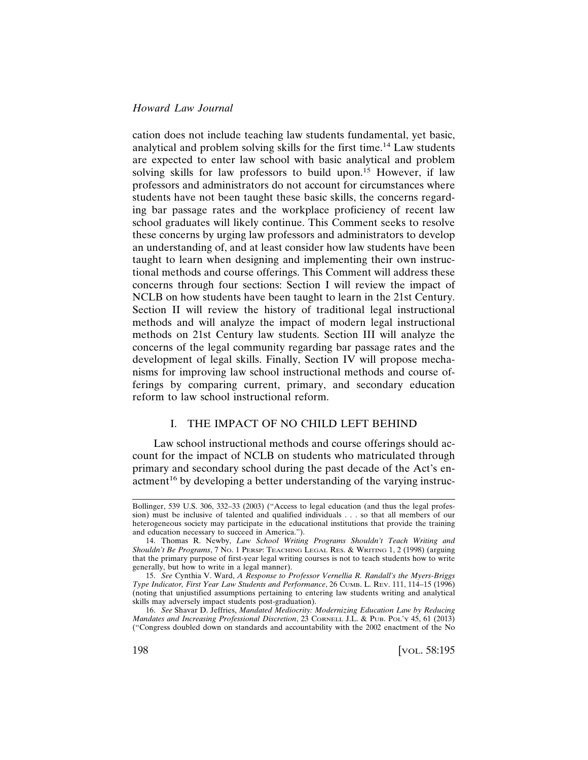cation does not include teaching law students fundamental, yet basic, analytical and problem solving skills for the first time.14 Law students are expected to enter law school with basic analytical and problem solving skills for law professors to build upon.<sup>15</sup> However, if law professors and administrators do not account for circumstances where students have not been taught these basic skills, the concerns regarding bar passage rates and the workplace proficiency of recent law school graduates will likely continue. This Comment seeks to resolve these concerns by urging law professors and administrators to develop an understanding of, and at least consider how law students have been taught to learn when designing and implementing their own instructional methods and course offerings. This Comment will address these concerns through four sections: Section I will review the impact of NCLB on how students have been taught to learn in the 21st Century. Section II will review the history of traditional legal instructional methods and will analyze the impact of modern legal instructional methods on 21st Century law students. Section III will analyze the concerns of the legal community regarding bar passage rates and the development of legal skills. Finally, Section IV will propose mechanisms for improving law school instructional methods and course offerings by comparing current, primary, and secondary education reform to law school instructional reform.

## I. THE IMPACT OF NO CHILD LEFT BEHIND

Law school instructional methods and course offerings should account for the impact of NCLB on students who matriculated through primary and secondary school during the past decade of the Act's en- $\alpha$  actment<sup>16</sup> by developing a better understanding of the varying instruc-

Bollinger, 539 U.S. 306, 332–33 (2003) ("Access to legal education (and thus the legal profession) must be inclusive of talented and qualified individuals . . . so that all members of our heterogeneous society may participate in the educational institutions that provide the training and education necessary to succeed in America.").

<sup>14.</sup> Thomas R. Newby, *Law School Writing Programs Shouldn't Teach Writing and Shouldn't Be Programs*, 7 NO. 1 PERSP: TEACHING LEGAL RES. & WRITING 1, 2 (1998) (arguing that the primary purpose of first-year legal writing courses is not to teach students how to write generally, but how to write in a legal manner).

<sup>15.</sup> *See* Cynthia V. Ward, *A Response to Professor Vernellia R. Randall's the Myers-Briggs Type Indicator, First Year Law Students and Performance*, 26 CUMB. L. REV. 111, 114–15 (1996) (noting that unjustified assumptions pertaining to entering law students writing and analytical skills may adversely impact students post-graduation).

<sup>16.</sup> *See* Shavar D. Jeffries, *Mandated Mediocrity: Modernizing Education Law by Reducing Mandates and Increasing Professional Discretion*, 23 CORNELL J.L. & PUB. POL'Y 45, 61 (2013) ("Congress doubled down on standards and accountability with the 2002 enactment of the No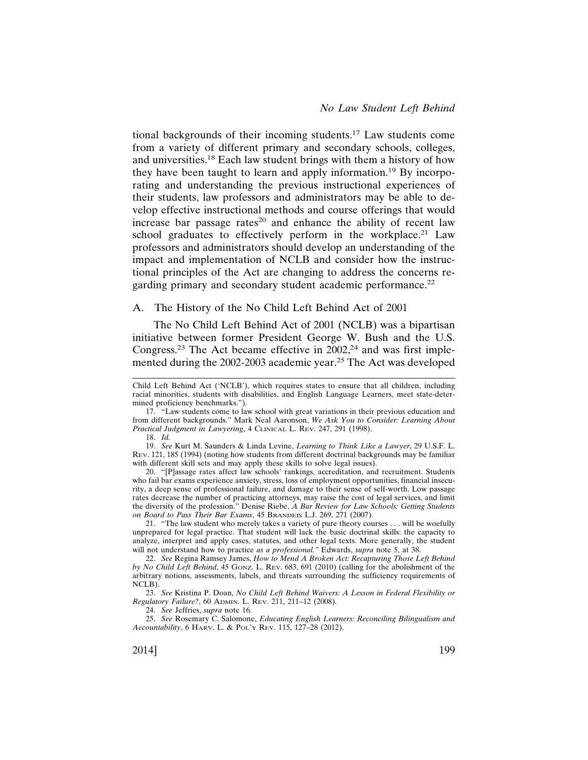tional backgrounds of their incoming students.17 Law students come from a variety of different primary and secondary schools, colleges, and universities.18 Each law student brings with them a history of how they have been taught to learn and apply information.<sup>19</sup> By incorporating and understanding the previous instructional experiences of their students, law professors and administrators may be able to develop effective instructional methods and course offerings that would increase bar passage rates<sup>20</sup> and enhance the ability of recent law school graduates to effectively perform in the workplace.<sup>21</sup> Law professors and administrators should develop an understanding of the impact and implementation of NCLB and consider how the instructional principles of the Act are changing to address the concerns regarding primary and secondary student academic performance.<sup>22</sup>

#### A. The History of the No Child Left Behind Act of 2001

The No Child Left Behind Act of 2001 (NCLB) was a bipartisan initiative between former President George W. Bush and the U.S. Congress.<sup>23</sup> The Act became effective in  $2002$ ,<sup>24</sup> and was first implemented during the 2002-2003 academic year.25 The Act was developed

20. "[P]assage rates affect law schools' rankings, accreditation, and recruitment. Students who fail bar exams experience anxiety, stress, loss of employment opportunities, financial insecurity, a deep sense of professional failure, and damage to their sense of self-worth. Low passage rates decrease the number of practicing attorneys, may raise the cost of legal services, and limit the diversity of the profession." Denise Riebe, *A Bar Review for Law Schools: Getting Students on Board to Pass Their Bar Exams*, 45 BRANDEIS L.J. 269, 271 (2007).

21. "The law student who merely takes a variety of pure theory courses . . . will be woefully unprepared for legal practice. That student will lack the basic doctrinal skills: the capacity to analyze, interpret and apply cases, statutes, and other legal texts. More generally, the student will not understand how to practice *as a professional."* Edwards, *supra* note 5, at 38.

22. *See* Regina Ramsey James, *How to Mend A Broken Act: Recapturing Those Left Behind by No Child Left Behind*, 45 GONZ. L. REV. 683, 691 (2010) (calling for the abolishment of the arbitrary notions, assessments, labels, and threats surrounding the sufficiency requirements of NCLB).

23. *See* Kristina P. Doan, *No Child Left Behind Waivers: A Lesson in Federal Flexibility or Regulatory Failure?*, 60 ADMIN. L. REV. 211, 211–12 (2008).

24. *See* Jeffries, *supra* note 16.

25. *See* Rosemary C. Salomone, *Educating English Learners: Reconciling Bilingualism and Accountability*, 6 HARV. L. & POL'Y REV. 115, 127–28 (2012).

Child Left Behind Act ('NCLB'), which requires states to ensure that all children, including racial minorities, students with disabilities, and English Language Learners, meet state-determined proficiency benchmarks.").

<sup>17. &</sup>quot;Law students come to law school with great variations in their previous education and from different backgrounds." Mark Neal Aaronson, *We Ask You to Consider: Learning About Practical Judgment in Lawyering*, 4 CLINICAL L. REV. 247, 291 (1998).

<sup>18.</sup> *Id.*

<sup>19.</sup> *See* Kurt M. Saunders & Linda Levine, *Learning to Think Like a Lawyer*, 29 U.S.F. L. REV. 121, 185 (1994) (noting how students from different doctrinal backgrounds may be familiar with different skill sets and may apply these skills to solve legal issues).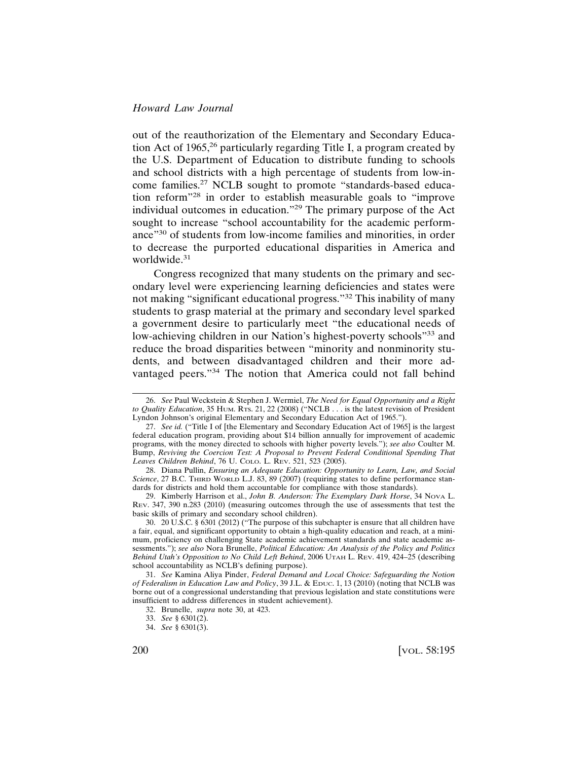out of the reauthorization of the Elementary and Secondary Education Act of  $1965<sup>26</sup>$  particularly regarding Title I, a program created by the U.S. Department of Education to distribute funding to schools and school districts with a high percentage of students from low-income families.27 NCLB sought to promote "standards-based education reform"28 in order to establish measurable goals to "improve individual outcomes in education."29 The primary purpose of the Act sought to increase "school accountability for the academic performance"30 of students from low-income families and minorities, in order to decrease the purported educational disparities in America and worldwide.<sup>31</sup>

Congress recognized that many students on the primary and secondary level were experiencing learning deficiencies and states were not making "significant educational progress."32 This inability of many students to grasp material at the primary and secondary level sparked a government desire to particularly meet "the educational needs of low-achieving children in our Nation's highest-poverty schools<sup>"33</sup> and reduce the broad disparities between "minority and nonminority students, and between disadvantaged children and their more advantaged peers."34 The notion that America could not fall behind

29. Kimberly Harrison et al., *John B. Anderson: The Exemplary Dark Horse*, 34 NOVA L. REV. 347, 390 n.283 (2010) (measuring outcomes through the use of assessments that test the basic skills of primary and secondary school children).

<sup>26.</sup> *See* Paul Weckstein & Stephen J. Wermiel, *The Need for Equal Opportunity and a Right* to Quality Education, 35 HUM. RTs. 21, 22 (2008) ("NCLB . . . is the latest revision of President Lyndon Johnson's original Elementary and Secondary Education Act of 1965.").

<sup>27.</sup> *See id.* ("Title I of [the Elementary and Secondary Education Act of 1965] is the largest federal education program, providing about \$14 billion annually for improvement of academic programs, with the money directed to schools with higher poverty levels."); *see also* Coulter M. Bump, *Reviving the Coercion Test: A Proposal to Prevent Federal Conditional Spending That Leaves Children Behind*, 76 U. COLO. L. REV. 521, 523 (2005).

<sup>28.</sup> Diana Pullin, *Ensuring an Adequate Education: Opportunity to Learn, Law, and Social Science*, 27 B.C. THIRD WORLD L.J. 83, 89 (2007) (requiring states to define performance standards for districts and hold them accountable for compliance with those standards).

<sup>30. 20</sup> U.S.C. § 6301 (2012) ("The purpose of this subchapter is ensure that all children have a fair, equal, and significant opportunity to obtain a high-quality education and reach, at a minimum, proficiency on challenging State academic achievement standards and state academic assessments."); *see also* Nora Brunelle, *Political Education: An Analysis of the Policy and Politics Behind Utah's Opposition to No Child Left Behind*, 2006 UTAH L. REV. 419, 424–25 (describing school accountability as NCLB's defining purpose).

<sup>31.</sup> *See* Kamina Aliya Pinder, *Federal Demand and Local Choice: Safeguarding the Notion of Federalism in Education Law and Policy*, 39 J.L. & EDUC. 1, 13 (2010) (noting that NCLB was borne out of a congressional understanding that previous legislation and state constitutions were insufficient to address differences in student achievement).

<sup>32.</sup> Brunelle, *supra* note 30, at 423.

<sup>33.</sup> *See* § 6301(2).

<sup>34.</sup> *See* § 6301(3).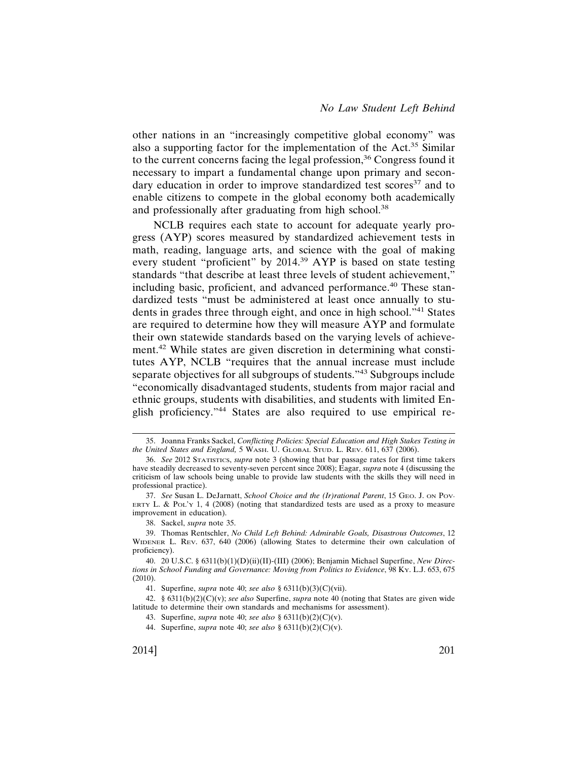other nations in an "increasingly competitive global economy" was also a supporting factor for the implementation of the Act.<sup>35</sup> Similar to the current concerns facing the legal profession,<sup>36</sup> Congress found it necessary to impart a fundamental change upon primary and secondary education in order to improve standardized test scores<sup>37</sup> and to enable citizens to compete in the global economy both academically and professionally after graduating from high school.<sup>38</sup>

NCLB requires each state to account for adequate yearly progress (AYP) scores measured by standardized achievement tests in math, reading, language arts, and science with the goal of making every student "proficient" by 2014.<sup>39</sup> AYP is based on state testing standards "that describe at least three levels of student achievement," including basic, proficient, and advanced performance.<sup>40</sup> These standardized tests "must be administered at least once annually to students in grades three through eight, and once in high school."41 States are required to determine how they will measure AYP and formulate their own statewide standards based on the varying levels of achievement.<sup>42</sup> While states are given discretion in determining what constitutes AYP, NCLB "requires that the annual increase must include separate objectives for all subgroups of students."43 Subgroups include "economically disadvantaged students, students from major racial and ethnic groups, students with disabilities, and students with limited English proficiency."44 States are also required to use empirical re-

42. § 6311(b)(2)(C)(v); *see also* Superfine, *supra* note 40 (noting that States are given wide latitude to determine their own standards and mechanisms for assessment).

<sup>35.</sup> Joanna Franks Sackel, *Conflicting Policies: Special Education and High Stakes Testing in the United States and England,* 5 WASH. U. GLOBAL STUD. L. REV. 611, 637 (2006).

<sup>36.</sup> *See* 2012 STATISTICS, *supra* note 3 (showing that bar passage rates for first time takers have steadily decreased to seventy-seven percent since 2008); Eagar, *supra* note 4 (discussing the criticism of law schools being unable to provide law students with the skills they will need in professional practice).

<sup>37.</sup> *See* Susan L. DeJarnatt, *School Choice and the (Ir)rational Parent*, 15 GEO. J. ON POV-ERTY L. & POL'Y 1, 4 (2008) (noting that standardized tests are used as a proxy to measure improvement in education).

<sup>38.</sup> Sackel, *supra* note 35.

<sup>39.</sup> Thomas Rentschler, *No Child Left Behind: Admirable Goals, Disastrous Outcomes*, 12 WIDENER L. REV. 637, 640 (2006) (allowing States to determine their own calculation of proficiency).

<sup>40. 20</sup> U.S.C. § 6311(b)(1)(D)(ii)(II)-(III) (2006); Benjamin Michael Superfine, *New Directions in School Funding and Governance: Moving from Politics to Evidence*, 98 KY. L.J. 653, 675 (2010).

<sup>41.</sup> Superfine, *supra* note 40; *see also* § 6311(b)(3)(C)(vii).

<sup>43.</sup> Superfine, *supra* note 40; *see also* § 6311(b)(2)(C)(v).

<sup>44.</sup> Superfine, *supra* note 40; *see also* § 6311(b)(2)(C)(v).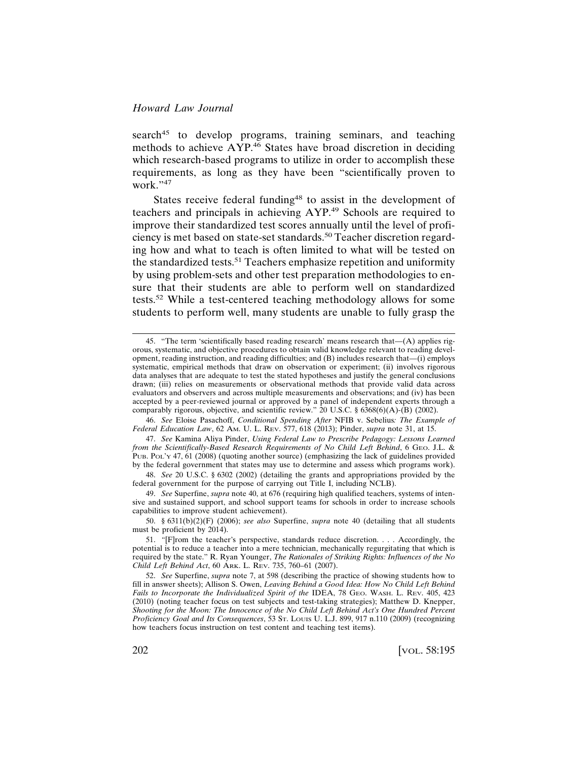search<sup>45</sup> to develop programs, training seminars, and teaching methods to achieve AYP.<sup>46</sup> States have broad discretion in deciding which research-based programs to utilize in order to accomplish these requirements, as long as they have been "scientifically proven to work."<sup>47</sup>

States receive federal funding<sup>48</sup> to assist in the development of teachers and principals in achieving AYP.49 Schools are required to improve their standardized test scores annually until the level of proficiency is met based on state-set standards.<sup>50</sup> Teacher discretion regarding how and what to teach is often limited to what will be tested on the standardized tests.<sup>51</sup> Teachers emphasize repetition and uniformity by using problem-sets and other test preparation methodologies to ensure that their students are able to perform well on standardized tests.52 While a test-centered teaching methodology allows for some students to perform well, many students are unable to fully grasp the

46. *See* Eloise Pasachoff, *Conditional Spending After* NFIB v. Sebelius*: The Example of Federal Education Law*, 62 AM. U. L. REV. 577, 618 (2013); Pinder, *supra* note 31, at 15.

47. *See* Kamina Aliya Pinder, *Using Federal Law to Prescribe Pedagogy: Lessons Learned from the Scientifically-Based Research Requirements of No Child Left Behind*, 6 GEO. J.L. & PUB. POL'Y 47, 61 (2008) (quoting another source) (emphasizing the lack of guidelines provided by the federal government that states may use to determine and assess which programs work).

48. *See* 20 U.S.C. § 6302 (2002) (detailing the grants and appropriations provided by the federal government for the purpose of carrying out Title I, including NCLB).

49. *See* Superfine, *supra* note 40, at 676 (requiring high qualified teachers, systems of intensive and sustained support, and school support teams for schools in order to increase schools capabilities to improve student achievement).

50. § 6311(b)(2)(F) (2006); *see also* Superfine, *supra* note 40 (detailing that all students must be proficient by 2014).

<sup>45. &</sup>quot;The term 'scientifically based reading research' means research that—(A) applies rigorous, systematic, and objective procedures to obtain valid knowledge relevant to reading development, reading instruction, and reading difficulties; and (B) includes research that—(i) employs systematic, empirical methods that draw on observation or experiment; (ii) involves rigorous data analyses that are adequate to test the stated hypotheses and justify the general conclusions drawn; (iii) relies on measurements or observational methods that provide valid data across evaluators and observers and across multiple measurements and observations; and (iv) has been accepted by a peer-reviewed journal or approved by a panel of independent experts through a comparably rigorous, objective, and scientific review." 20 U.S.C. § 6368(6)(A)-(B) (2002).

<sup>51.</sup> *"*[F]rom the teacher's perspective, standards reduce discretion. . . . Accordingly, the potential is to reduce a teacher into a mere technician, mechanically regurgitating that which is required by the state." R. Ryan Younger, *The Rationales of Striking Rights: Influences of the No Child Left Behind Act*, 60 ARK. L. REV. 735, 760–61 (2007).

<sup>52.</sup> *See* Superfine, *supra* note 7, at 598 (describing the practice of showing students how to fill in answer sheets); Allison S. Owen, *Leaving Behind a Good Idea: How No Child Left Behind Fails to Incorporate the Individualized Spirit of the IDEA, 78 GEO. WASH. L. REV. 405, 423* (2010) (noting teacher focus on test subjects and test-taking strategies); Matthew D. Knepper, *Shooting for the Moon: The Innocence of the No Child Left Behind Act's One Hundred Percent Proficiency Goal and Its Consequences*, 53 St. Louis U. L.J. 899, 917 n.110 (2009) (recognizing how teachers focus instruction on test content and teaching test items).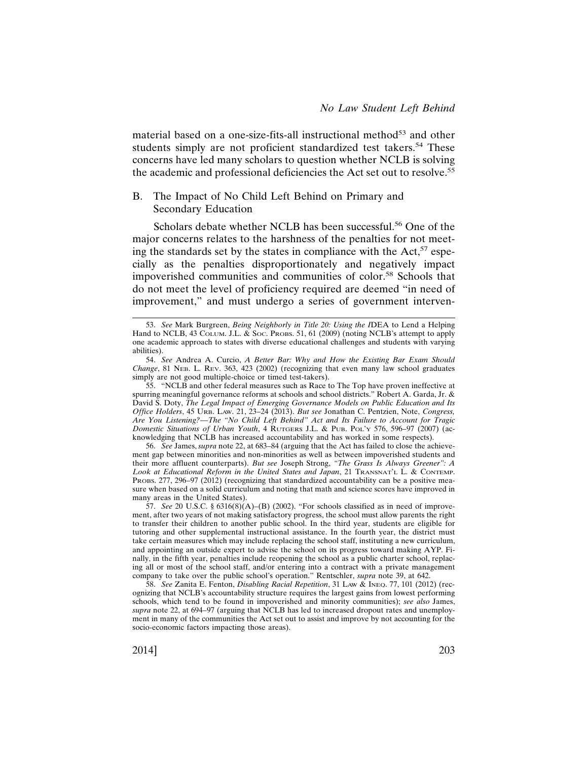material based on a one-size-fits-all instructional method<sup>53</sup> and other students simply are not proficient standardized test takers.<sup>54</sup> These concerns have led many scholars to question whether NCLB is solving the academic and professional deficiencies the Act set out to resolve.<sup>55</sup>

## B. The Impact of No Child Left Behind on Primary and Secondary Education

Scholars debate whether NCLB has been successful.<sup>56</sup> One of the major concerns relates to the harshness of the penalties for not meeting the standards set by the states in compliance with the  $Act<sub>57</sub>$  especially as the penalties disproportionately and negatively impact impoverished communities and communities of color.58 Schools that do not meet the level of proficiency required are deemed "in need of improvement," and must undergo a series of government interven-

56. *See* James,*supra* note 22, at 683–84 (arguing that the Act has failed to close the achievement gap between minorities and non-minorities as well as between impoverished students and their more affluent counterparts). *But see* Joseph Strong, *"The Grass Is Always Greener": A Look at Educational Reform in the United States and Japan*, 21 TRANSNAT'L L. & CONTEMP. PROBS. 277, 296–97 (2012) (recognizing that standardized accountability can be a positive measure when based on a solid curriculum and noting that math and science scores have improved in many areas in the United States).

<sup>53.</sup> *See* Mark Burgreen, *Being Neighborly in Title 20: Using the I*DEA to Lend a Helping Hand to NCLB, 43 COLUM. J.L. & Soc. Probs. 51, 61 (2009) (noting NCLB's attempt to apply one academic approach to states with diverse educational challenges and students with varying abilities).

<sup>54.</sup> *See* Andrea A. Curcio, *A Better Bar: Why and How the Existing Bar Exam Should Change*, 81 NEB. L. REV. 363, 423 (2002) (recognizing that even many law school graduates simply are not good multiple-choice or timed test-takers).

<sup>55. &</sup>quot;NCLB and other federal measures such as Race to The Top have proven ineffective at spurring meaningful governance reforms at schools and school districts." Robert A. Garda, Jr. & David S. Doty, *The Legal Impact of Emerging Governance Models on Public Education and Its Office Holders*, 45 URB. LAW. 21, 23–24 (2013). *But see* Jonathan C. Pentzien, Note, *Congress, Are You Listening?—The "No Child Left Behind" Act and Its Failure to Account for Tragic Domestic Situations of Urban Youth*, 4 RUTGERS J.L. & PUB. POL'Y 576, 596–97 (2007) (acknowledging that NCLB has increased accountability and has worked in some respects).

<sup>57.</sup> *See* 20 U.S.C. § 6316(8)(A)–(B) (2002). "For schools classified as in need of improvement, after two years of not making satisfactory progress, the school must allow parents the right to transfer their children to another public school. In the third year, students are eligible for tutoring and other supplemental instructional assistance. In the fourth year, the district must take certain measures which may include replacing the school staff, instituting a new curriculum, and appointing an outside expert to advise the school on its progress toward making AYP. Finally, in the fifth year, penalties include reopening the school as a public charter school, replacing all or most of the school staff, and/or entering into a contract with a private management company to take over the public school's operation." Rentschler, *supra* note 39, at 642.

<sup>58.</sup> *See* Zanita E. Fenton, *Disabling Racial Repetition*, 31 LAW & INEQ. 77, 101 (2012) (recognizing that NCLB's accountability structure requires the largest gains from lowest performing schools, which tend to be found in impoverished and minority communities); *see also* James, *supra* note 22, at 694–97 (arguing that NCLB has led to increased dropout rates and unemployment in many of the communities the Act set out to assist and improve by not accounting for the socio-economic factors impacting those areas).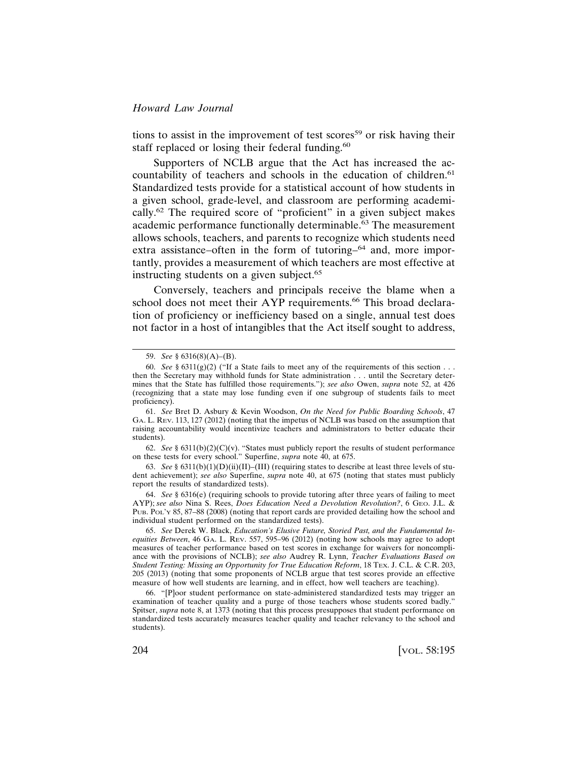tions to assist in the improvement of test scores<sup>59</sup> or risk having their staff replaced or losing their federal funding.<sup>60</sup>

Supporters of NCLB argue that the Act has increased the accountability of teachers and schools in the education of children.<sup>61</sup> Standardized tests provide for a statistical account of how students in a given school, grade-level, and classroom are performing academically.62 The required score of "proficient" in a given subject makes academic performance functionally determinable.63 The measurement allows schools, teachers, and parents to recognize which students need extra assistance–often in the form of tutoring–64 and, more importantly, provides a measurement of which teachers are most effective at instructing students on a given subject.<sup>65</sup>

Conversely, teachers and principals receive the blame when a school does not meet their AYP requirements.<sup>66</sup> This broad declaration of proficiency or inefficiency based on a single, annual test does not factor in a host of intangibles that the Act itself sought to address,

62. *See* § 6311(b)(2)(C)(v). "States must publicly report the results of student performance on these tests for every school." Superfine, *supra* note 40, at 675.

63. *See* § 6311(b)(1)(D)(ii)(II)–(III) (requiring states to describe at least three levels of student achievement); *see also* Superfine, *supra* note 40, at 675 (noting that states must publicly report the results of standardized tests).

64. *See* § 6316(e) (requiring schools to provide tutoring after three years of failing to meet AYP); *see also* Nina S. Rees, *Does Education Need a Devolution Revolution?*, 6 GEO. J.L. & PUB. POL'Y 85, 87–88 (2008) (noting that report cards are provided detailing how the school and individual student performed on the standardized tests).

65. *See* Derek W. Black, *Education's Elusive Future, Storied Past, and the Fundamental Inequities Between*, 46 GA. L. REV. 557, 595–96 (2012) (noting how schools may agree to adopt measures of teacher performance based on test scores in exchange for waivers for noncompliance with the provisions of NCLB); *see also* Audrey R. Lynn, *Teacher Evaluations Based on Student Testing: Missing an Opportunity for True Education Reform*, 18 TEX. J. C.L. & C.R. 203, 205 (2013) (noting that some proponents of NCLB argue that test scores provide an effective measure of how well students are learning, and in effect, how well teachers are teaching).

66. "[P]oor student performance on state-administered standardized tests may trigger an examination of teacher quality and a purge of those teachers whose students scored badly." Spitser, *supra* note 8, at 1373 (noting that this process presupposes that student performance on standardized tests accurately measures teacher quality and teacher relevancy to the school and students).

<sup>59.</sup> *See* § 6316(8)(A)–(B).

<sup>60.</sup> *See* § 6311(g)(2) ("If a State fails to meet any of the requirements of this section  $\dots$ then the Secretary may withhold funds for State administration . . . until the Secretary determines that the State has fulfilled those requirements."); *see also* Owen, *supra* note 52, at 426 (recognizing that a state may lose funding even if one subgroup of students fails to meet proficiency).

<sup>61.</sup> *See* Bret D. Asbury & Kevin Woodson, *On the Need for Public Boarding Schools*, 47 GA. L. REV. 113, 127 (2012) (noting that the impetus of NCLB was based on the assumption that raising accountability would incentivize teachers and administrators to better educate their students).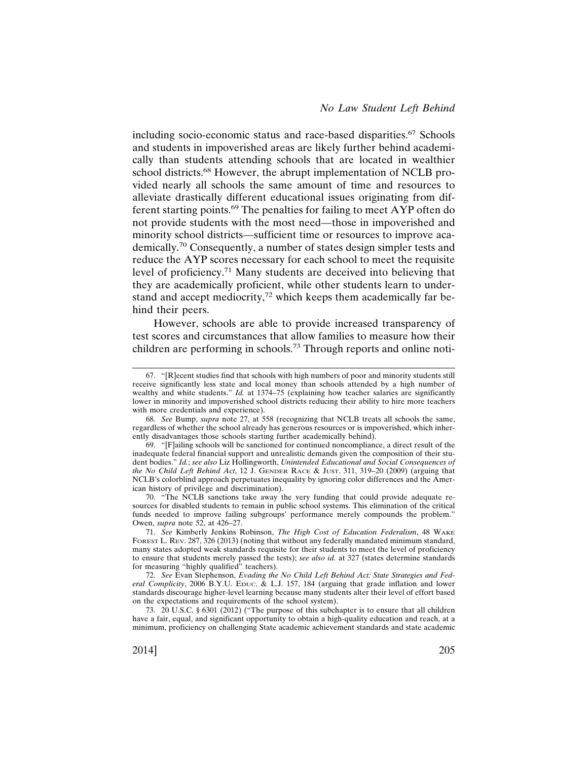including socio-economic status and race-based disparities.<sup>67</sup> Schools and students in impoverished areas are likely further behind academically than students attending schools that are located in wealthier school districts.<sup>68</sup> However, the abrupt implementation of NCLB provided nearly all schools the same amount of time and resources to alleviate drastically different educational issues originating from different starting points.69 The penalties for failing to meet AYP often do not provide students with the most need—those in impoverished and minority school districts—sufficient time or resources to improve academically.70 Consequently, a number of states design simpler tests and reduce the AYP scores necessary for each school to meet the requisite level of proficiency.71 Many students are deceived into believing that they are academically proficient, while other students learn to understand and accept mediocrity,<sup>72</sup> which keeps them academically far behind their peers.

However, schools are able to provide increased transparency of test scores and circumstances that allow families to measure how their children are performing in schools.73 Through reports and online noti-

<sup>67. &</sup>quot;[R]ecent studies find that schools with high numbers of poor and minority students still receive significantly less state and local money than schools attended by a high number of wealthy and white students." *Id.* at 1374–75 (explaining how teacher salaries are significantly lower in minority and impoverished school districts reducing their ability to hire more teachers with more credentials and experience).

<sup>68.</sup> *See* Bump, *supra* note 27, at 558 (recognizing that NCLB treats all schools the same, regardless of whether the school already has generous resources or is impoverished, which inherently disadvantages those schools starting further academically behind).

<sup>69. &</sup>quot;[F]ailing schools will be sanctioned for continued noncompliance, a direct result of the inadequate federal financial support and unrealistic demands given the composition of their student bodies." *Id.*; *see also* Liz Hollingworth, *Unintended Educational and Social Consequences of the No Child Left Behind Act*, 12 J. GENDER RACE & JUST. 311, 319–20 (2009) (arguing that NCLB's colorblind approach perpetuates inequality by ignoring color differences and the American history of privilege and discrimination).

<sup>70. &</sup>quot;The NCLB sanctions take away the very funding that could provide adequate resources for disabled students to remain in public school systems. This elimination of the critical funds needed to improve failing subgroups' performance merely compounds the problem." Owen, *supra* note 52, at 426–27.

<sup>71.</sup> *See* Kimberly Jenkins Robinson, *The High Cost of Education Federalism*, 48 WAKE FOREST L. REV. 287, 326 (2013) (noting that without any federally mandated minimum standard, many states adopted weak standards requisite for their students to meet the level of proficiency to ensure that students merely passed the tests); *see also id.* at 327 (states determine standards for measuring "highly qualified" teachers).

<sup>72.</sup> *See* Evan Stephenson, *Evading the No Child Left Behind Act: State Strategies and Federal Complicity*, 2006 B.Y.U. EDUC. & L.J. 157, 184 (arguing that grade inflation and lower standards discourage higher-level learning because many students alter their level of effort based on the expectations and requirements of the school system).

<sup>73. 20</sup> U.S.C. § 6301 (2012) ("The purpose of this subchapter is to ensure that all children have a fair, equal, and significant opportunity to obtain a high-quality education and reach, at a minimum, proficiency on challenging State academic achievement standards and state academic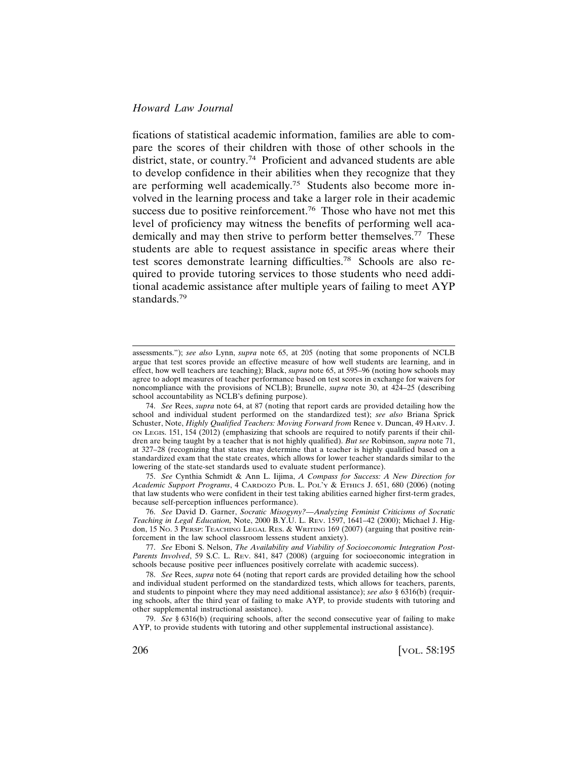fications of statistical academic information, families are able to compare the scores of their children with those of other schools in the district, state, or country.<sup>74</sup> Proficient and advanced students are able to develop confidence in their abilities when they recognize that they are performing well academically.75 Students also become more involved in the learning process and take a larger role in their academic success due to positive reinforcement.<sup>76</sup> Those who have not met this level of proficiency may witness the benefits of performing well academically and may then strive to perform better themselves.<sup>77</sup> These students are able to request assistance in specific areas where their test scores demonstrate learning difficulties.78 Schools are also required to provide tutoring services to those students who need additional academic assistance after multiple years of failing to meet AYP standards.79

75. *See* Cynthia Schmidt & Ann L. Iijima, *A Compass for Success: A New Direction for Academic Support Programs*, 4 CARDOZO PUB. L. POL'Y & ETHICS J. 651, 680 (2006) (noting that law students who were confident in their test taking abilities earned higher first-term grades, because self-perception influences performance).

79. *See* § 6316(b) (requiring schools, after the second consecutive year of failing to make AYP, to provide students with tutoring and other supplemental instructional assistance).

assessments."); *see also* Lynn, *supra* note 65, at 205 (noting that some proponents of NCLB argue that test scores provide an effective measure of how well students are learning, and in effect, how well teachers are teaching); Black, *supra* note 65, at 595–96 (noting how schools may agree to adopt measures of teacher performance based on test scores in exchange for waivers for noncompliance with the provisions of NCLB); Brunelle, *supra* note 30, at 424–25 (describing school accountability as NCLB's defining purpose).

<sup>74.</sup> *See* Rees, *supra* note 64, at 87 (noting that report cards are provided detailing how the school and individual student performed on the standardized test); *see also* Briana Sprick Schuster, Note, *Highly Qualified Teachers: Moving Forward from* Renee v. Duncan, 49 HARV. J. ON LEGIS. 151, 154 (2012) (emphasizing that schools are required to notify parents if their children are being taught by a teacher that is not highly qualified). *But see* Robinson, *supra* note 71, at 327–28 (recognizing that states may determine that a teacher is highly qualified based on a standardized exam that the state creates, which allows for lower teacher standards similar to the lowering of the state-set standards used to evaluate student performance).

<sup>76.</sup> *See* David D. Garner, *Socratic Misogyny?—Analyzing Feminist Criticisms of Socratic Teaching in Legal Education,* Note, 2000 B.Y.U. L. REV. 1597, 1641–42 (2000); Michael J. Higdon, 15 NO. 3 PERSP: TEACHING LEGAL RES. & WRITING 169 (2007) (arguing that positive reinforcement in the law school classroom lessens student anxiety).

<sup>77.</sup> *See* Eboni S. Nelson, *The Availability and Viability of Socioeconomic Integration Post-Parents Involved*, 59 S.C. L. REV. 841, 847 (2008) (arguing for socioeconomic integration in schools because positive peer influences positively correlate with academic success).

<sup>78.</sup> *See* Rees, *supra* note 64 (noting that report cards are provided detailing how the school and individual student performed on the standardized tests, which allows for teachers, parents, and students to pinpoint where they may need additional assistance); *see also* § 6316(b) (requiring schools, after the third year of failing to make AYP, to provide students with tutoring and other supplemental instructional assistance).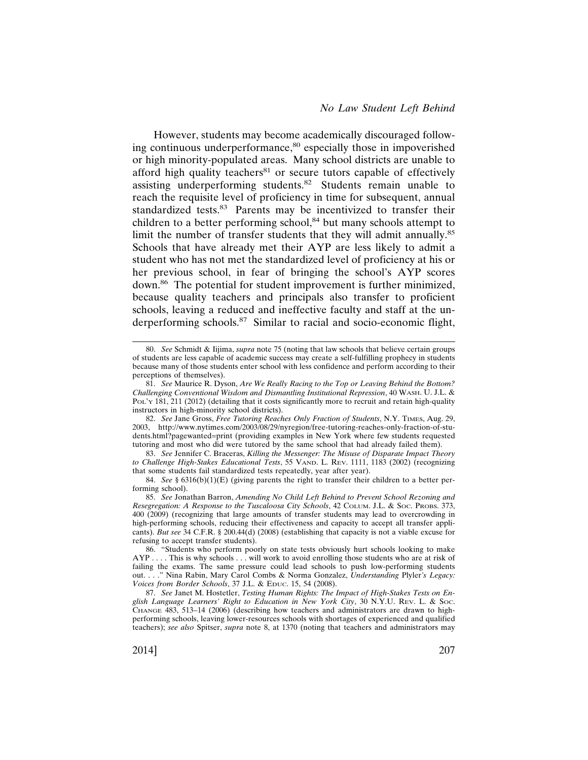However, students may become academically discouraged following continuous underperformance,<sup>80</sup> especially those in impoverished or high minority-populated areas. Many school districts are unable to afford high quality teachers $81$  or secure tutors capable of effectively assisting underperforming students.82 Students remain unable to reach the requisite level of proficiency in time for subsequent, annual standardized tests.<sup>83</sup> Parents may be incentivized to transfer their children to a better performing school,<sup>84</sup> but many schools attempt to limit the number of transfer students that they will admit annually.<sup>85</sup> Schools that have already met their AYP are less likely to admit a student who has not met the standardized level of proficiency at his or her previous school, in fear of bringing the school's AYP scores down.86 The potential for student improvement is further minimized, because quality teachers and principals also transfer to proficient schools, leaving a reduced and ineffective faculty and staff at the underperforming schools.87 Similar to racial and socio-economic flight,

<sup>80.</sup> *See* Schmidt & Iijima, *supra* note 75 (noting that law schools that believe certain groups of students are less capable of academic success may create a self-fulfilling prophecy in students because many of those students enter school with less confidence and perform according to their perceptions of themselves).

<sup>81.</sup> *See* Maurice R. Dyson, *Are We Really Racing to the Top or Leaving Behind the Bottom? Challenging Conventional Wisdom and Dismantling Institutional Repression*, 40 WASH. U. J.L. & Pol.'  $\gamma$  181, 211 (2012) (detailing that it costs significantly more to recruit and retain high-quality instructors in high-minority school districts).

<sup>82.</sup> *See* Jane Gross, *Free Tutoring Reaches Only Fraction of Students*, N.Y. TIMES, Aug. 29, 2003, http://www.nytimes.com/2003/08/29/nyregion/free-tutoring-reaches-only-fraction-of-students.html?pagewanted=print (providing examples in New York where few students requested tutoring and most who did were tutored by the same school that had already failed them).

<sup>83.</sup> *See* Jennifer C. Braceras, *Killing the Messenger: The Misuse of Disparate Impact Theory to Challenge High-Stakes Educational Tests*, 55 VAND. L. REV. 1111, 1183 (2002) (recognizing that some students fail standardized tests repeatedly, year after year).

<sup>84.</sup> *See* § 6316(b)(1)(E) (giving parents the right to transfer their children to a better performing school).

<sup>85.</sup> *See* Jonathan Barron, *Amending No Child Left Behind to Prevent School Rezoning and Resegregation: A Response to the Tuscaloosa City Schools*, 42 COLUM. J.L. & SOC. PROBS. 373, 400 (2009) (recognizing that large amounts of transfer students may lead to overcrowding in high-performing schools, reducing their effectiveness and capacity to accept all transfer applicants). *But see* 34 C.F.R. § 200.44(d) (2008) (establishing that capacity is not a viable excuse for refusing to accept transfer students).

<sup>86. &</sup>quot;Students who perform poorly on state tests obviously hurt schools looking to make AYP . . . . This is why schools . . . will work to avoid enrolling those students who are at risk of failing the exams. The same pressure could lead schools to push low-performing students out. . . ." Nina Rabin, Mary Carol Combs & Norma Gonzalez, *Understanding* Plyler*'s Legacy: Voices from Border Schools*, 37 J.L. & EDUC. 15, 54 (2008).

<sup>87.</sup> *See* Janet M. Hostetler, *Testing Human Rights: The Impact of High-Stakes Tests on English Language Learners' Right to Education in New York City*, 30 N.Y.U. REV. L. & SOC. CHANGE 483, 513–14 (2006) (describing how teachers and administrators are drawn to highperforming schools, leaving lower-resources schools with shortages of experienced and qualified teachers); *see also* Spitser, *supra* note 8, at 1370 (noting that teachers and administrators may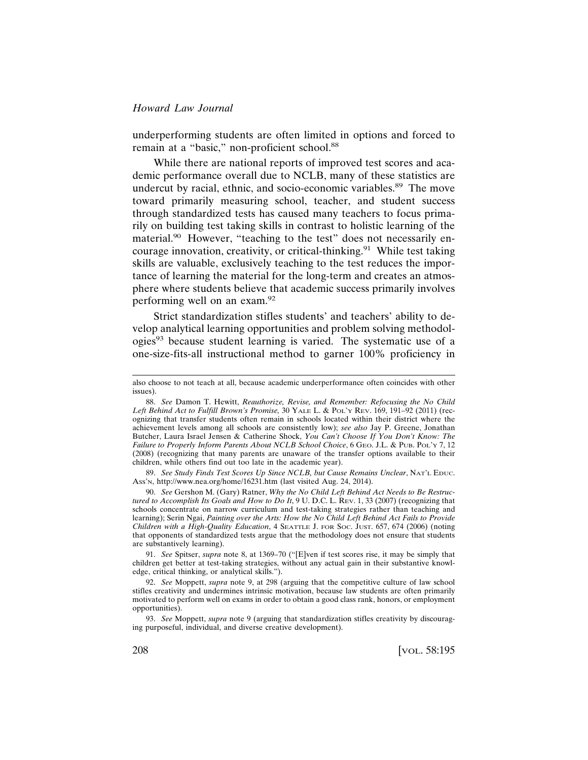underperforming students are often limited in options and forced to remain at a "basic," non-proficient school.<sup>88</sup>

While there are national reports of improved test scores and academic performance overall due to NCLB, many of these statistics are undercut by racial, ethnic, and socio-economic variables.<sup>89</sup> The move toward primarily measuring school, teacher, and student success through standardized tests has caused many teachers to focus primarily on building test taking skills in contrast to holistic learning of the material.<sup>90</sup> However, "teaching to the test" does not necessarily encourage innovation, creativity, or critical-thinking.<sup>91</sup> While test taking skills are valuable, exclusively teaching to the test reduces the importance of learning the material for the long-term and creates an atmosphere where students believe that academic success primarily involves performing well on an exam.<sup>92</sup>

Strict standardization stifles students' and teachers' ability to develop analytical learning opportunities and problem solving methodologies<sup>93</sup> because student learning is varied. The systematic use of a one-size-fits-all instructional method to garner 100% proficiency in

89. *See Study Finds Test Scores Up Since NCLB, but Cause Remains Unclear*, NAT'L EDUC. ASS'N, http://www.nea.org/home/16231.htm (last visited Aug. 24, 2014).

90. *See* Gershon M. (Gary) Ratner, *Why the No Child Left Behind Act Needs to Be Restructured to Accomplish Its Goals and How to Do It*, 9 U. D.C. L. REV. 1, 33 (2007) (recognizing that schools concentrate on narrow curriculum and test-taking strategies rather than teaching and learning); Serin Ngai, *Painting over the Arts: How the No Child Left Behind Act Fails to Provide Children with a High-Quality Education*, 4 SEATTLE J. FOR SOC. JUST. 657, 674 (2006) (noting that opponents of standardized tests argue that the methodology does not ensure that students are substantively learning).

91. *See* Spitser, *supra* note 8, at 1369–70 ("[E]ven if test scores rise, it may be simply that children get better at test-taking strategies, without any actual gain in their substantive knowledge, critical thinking, or analytical skills.").

92. *See* Moppett, *supra* note 9, at 298 (arguing that the competitive culture of law school stifles creativity and undermines intrinsic motivation, because law students are often primarily motivated to perform well on exams in order to obtain a good class rank, honors, or employment opportunities).

93. *See* Moppett, *supra* note 9 (arguing that standardization stifles creativity by discouraging purposeful, individual, and diverse creative development).

also choose to not teach at all, because academic underperformance often coincides with other issues).

<sup>88.</sup> *See* Damon T. Hewitt, *Reauthorize, Revise, and Remember: Refocusing the No Child Left Behind Act to Fulfill Brown's Promise,* 30 YALE L. & POL'Y REV. 169, 191–92 (2011) (recognizing that transfer students often remain in schools located within their district where the achievement levels among all schools are consistently low); *see also* Jay P. Greene, Jonathan Butcher, Laura Israel Jensen & Catherine Shock, *You Can't Choose If You Don't Know: The Failure to Properly Inform Parents About NCLB School Choice*, 6 GEO. J.L. & PUB. POL'Y 7, 12 (2008) (recognizing that many parents are unaware of the transfer options available to their children, while others find out too late in the academic year).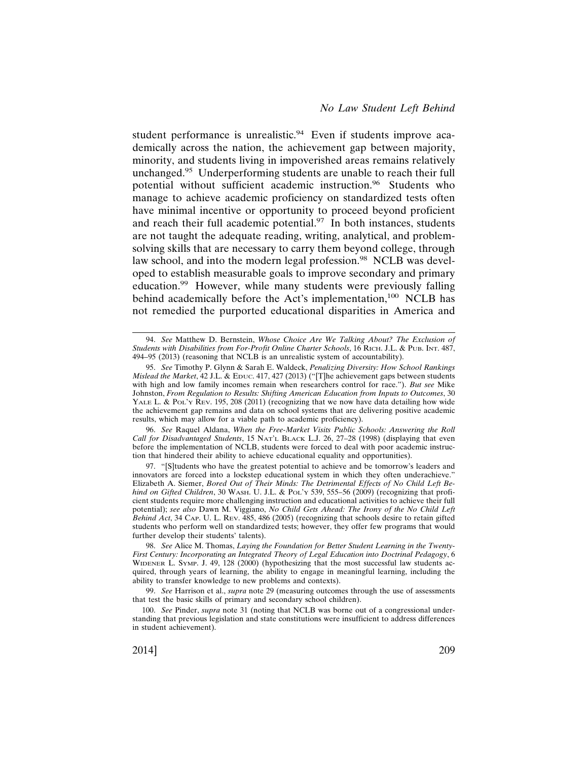student performance is unrealistic.<sup>94</sup> Even if students improve academically across the nation, the achievement gap between majority, minority, and students living in impoverished areas remains relatively unchanged.95 Underperforming students are unable to reach their full potential without sufficient academic instruction.96 Students who manage to achieve academic proficiency on standardized tests often have minimal incentive or opportunity to proceed beyond proficient and reach their full academic potential. $97$  In both instances, students are not taught the adequate reading, writing, analytical, and problemsolving skills that are necessary to carry them beyond college, through law school, and into the modern legal profession.<sup>98</sup> NCLB was developed to establish measurable goals to improve secondary and primary education.99 However, while many students were previously falling behind academically before the Act's implementation,<sup>100</sup> NCLB has not remedied the purported educational disparities in America and

96. *See* Raquel Aldana, *When the Free-Market Visits Public Schools: Answering the Roll* Call for Disadvantaged Students, 15 NAT'L BLACK L.J. 26, 27-28 (1998) (displaying that even before the implementation of NCLB, students were forced to deal with poor academic instruction that hindered their ability to achieve educational equality and opportunities).

97. "[S]tudents who have the greatest potential to achieve and be tomorrow's leaders and innovators are forced into a lockstep educational system in which they often underachieve." Elizabeth A. Siemer, *Bored Out of Their Minds: The Detrimental Effects of No Child Left Behind on Gifted Children*, 30 WASH. U. J.L. & POL'Y 539, 555–56 (2009) (recognizing that proficient students require more challenging instruction and educational activities to achieve their full potential); *see also* Dawn M. Viggiano, *No Child Gets Ahead: The Irony of the No Child Left Behind Act*, 34 CAP. U. L. REV. 485, 486 (2005) (recognizing that schools desire to retain gifted students who perform well on standardized tests; however, they offer few programs that would further develop their students' talents).

98. *See* Alice M. Thomas, *Laying the Foundation for Better Student Learning in the Twenty-First Century: Incorporating an Integrated Theory of Legal Education into Doctrinal Pedagogy*, 6 WIDENER L. SYMP. J. 49, 128 (2000) (hypothesizing that the most successful law students acquired, through years of learning, the ability to engage in meaningful learning, including the ability to transfer knowledge to new problems and contexts).

99. *See* Harrison et al., *supra* note 29 (measuring outcomes through the use of assessments that test the basic skills of primary and secondary school children).

100. *See* Pinder, *supra* note 31 (noting that NCLB was borne out of a congressional understanding that previous legislation and state constitutions were insufficient to address differences in student achievement).

<sup>94.</sup> *See* Matthew D. Bernstein, *Whose Choice Are We Talking About? The Exclusion of Students with Disabilities from For-Profit Online Charter Schools*, 16 RICH. J.L. & PUB. INT. 487, 494–95 (2013) (reasoning that NCLB is an unrealistic system of accountability).

<sup>95.</sup> *See* Timothy P. Glynn & Sarah E. Waldeck, *Penalizing Diversity: How School Rankings Mislead the Market*, 42 J.L. & EDUC. 417, 427 (2013) ("[T]he achievement gaps between students with high and low family incomes remain when researchers control for race."). *But see* Mike Johnston, *From Regulation to Results: Shifting American Education from Inputs to Outcomes*, 30 YALE L. & POL'Y REV. 195, 208 (2011) (recognizing that we now have data detailing how wide the achievement gap remains and data on school systems that are delivering positive academic results, which may allow for a viable path to academic proficiency).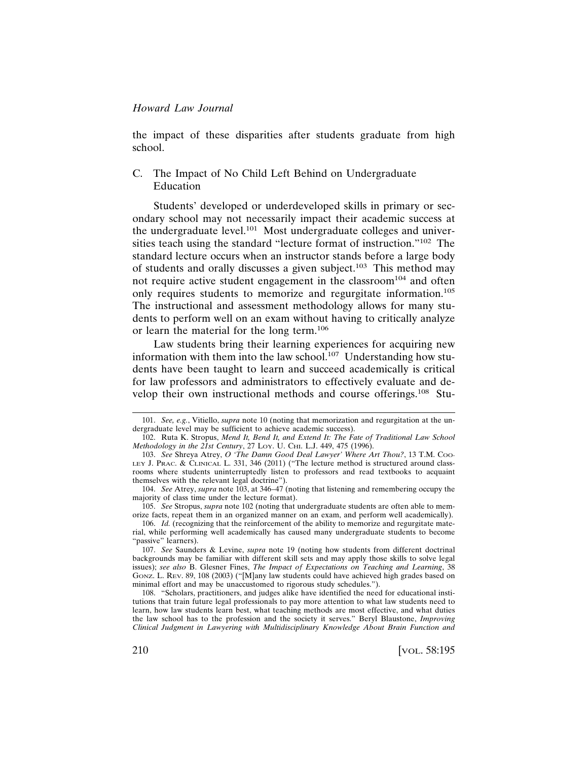the impact of these disparities after students graduate from high school.

## C. The Impact of No Child Left Behind on Undergraduate Education

Students' developed or underdeveloped skills in primary or secondary school may not necessarily impact their academic success at the undergraduate level.<sup>101</sup> Most undergraduate colleges and universities teach using the standard "lecture format of instruction."102 The standard lecture occurs when an instructor stands before a large body of students and orally discusses a given subject.<sup>103</sup> This method may not require active student engagement in the classroom<sup>104</sup> and often only requires students to memorize and regurgitate information.<sup>105</sup> The instructional and assessment methodology allows for many students to perform well on an exam without having to critically analyze or learn the material for the long term.106

Law students bring their learning experiences for acquiring new information with them into the law school.<sup>107</sup> Understanding how students have been taught to learn and succeed academically is critical for law professors and administrators to effectively evaluate and develop their own instructional methods and course offerings.108 Stu-

<sup>101.</sup> *See, e.g.*, Vitiello, *supra* note 10 (noting that memorization and regurgitation at the undergraduate level may be sufficient to achieve academic success).

<sup>102.</sup> Ruta K. Stropus, *Mend It, Bend It, and Extend It: The Fate of Traditional Law School Methodology in the 21st Century*, 27 LOY. U. CHI. L.J. 449, 475 (1996).

<sup>103.</sup> *See* Shreya Atrey, *O 'The Damn Good Deal Lawyer' Where Art Thou?*, 13 T.M. COO-LEY J. PRAC. & CLINICAL L. 331, 346 (2011) ("The lecture method is structured around classrooms where students uninterruptedly listen to professors and read textbooks to acquaint themselves with the relevant legal doctrine").

<sup>104.</sup> *See* Atrey, *supra* note 103, at 346–47 (noting that listening and remembering occupy the majority of class time under the lecture format).

<sup>105.</sup> *See* Stropus, *supra* note 102 (noting that undergraduate students are often able to memorize facts, repeat them in an organized manner on an exam, and perform well academically).

<sup>106.</sup> *Id.* (recognizing that the reinforcement of the ability to memorize and regurgitate material, while performing well academically has caused many undergraduate students to become "passive" learners).

<sup>107.</sup> *See* Saunders & Levine, *supra* note 19 (noting how students from different doctrinal backgrounds may be familiar with different skill sets and may apply those skills to solve legal issues); *see also* B. Glesner Fines, *The Impact of Expectations on Teaching and Learning*, 38 Gonz. L. Rev. 89, 108 (2003) ("[M]any law students could have achieved high grades based on minimal effort and may be unaccustomed to rigorous study schedules.").

<sup>108. &</sup>quot;Scholars, practitioners, and judges alike have identified the need for educational institutions that train future legal professionals to pay more attention to what law students need to learn, how law students learn best, what teaching methods are most effective, and what duties the law school has to the profession and the society it serves." Beryl Blaustone, *Improving Clinical Judgment in Lawyering with Multidisciplinary Knowledge About Brain Function and*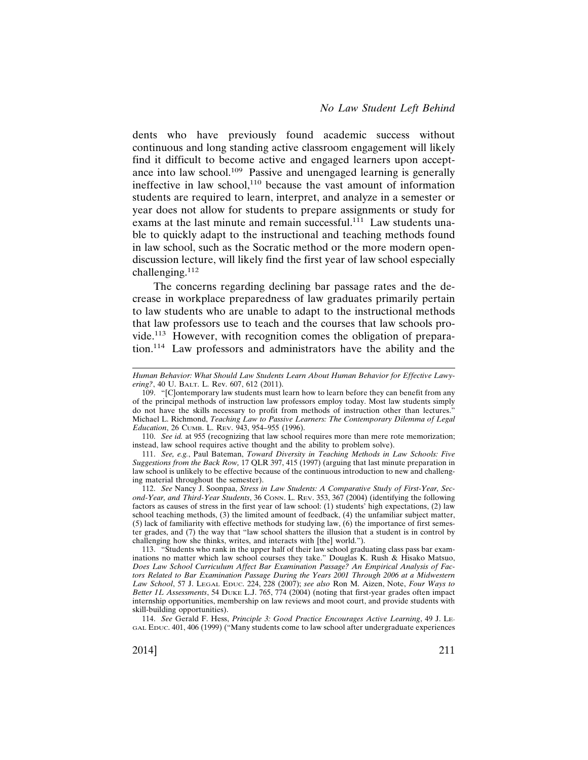dents who have previously found academic success without continuous and long standing active classroom engagement will likely find it difficult to become active and engaged learners upon acceptance into law school.<sup>109</sup> Passive and unengaged learning is generally ineffective in law school,110 because the vast amount of information students are required to learn, interpret, and analyze in a semester or year does not allow for students to prepare assignments or study for exams at the last minute and remain successful.<sup>111</sup> Law students unable to quickly adapt to the instructional and teaching methods found in law school, such as the Socratic method or the more modern opendiscussion lecture, will likely find the first year of law school especially challenging.<sup>112</sup>

The concerns regarding declining bar passage rates and the decrease in workplace preparedness of law graduates primarily pertain to law students who are unable to adapt to the instructional methods that law professors use to teach and the courses that law schools provide.113 However, with recognition comes the obligation of preparation.114 Law professors and administrators have the ability and the

110. *See id.* at 955 (recognizing that law school requires more than mere rote memorization; instead, law school requires active thought and the ability to problem solve).

114. *See* Gerald F. Hess, *Principle 3: Good Practice Encourages Active Learning*, 49 J. LE-GAL EDUC. 401, 406 (1999) ("Many students come to law school after undergraduate experiences

*Human Behavior: What Should Law Students Learn About Human Behavior for Effective Lawyering?*, 40 U. BALT. L. Rev. 607, 612 (2011).

<sup>109. &</sup>quot;[C]ontemporary law students must learn how to learn before they can benefit from any of the principal methods of instruction law professors employ today. Most law students simply do not have the skills necessary to profit from methods of instruction other than lectures." Michael L. Richmond, *Teaching Law to Passive Learners: The Contemporary Dilemma of Legal Education*, 26 CUMB. L. REV. 943, 954–955 (1996).

<sup>111.</sup> *See, e.g.*, Paul Bateman, *Toward Diversity in Teaching Methods in Law Schools: Five Suggestions from the Back Row,* 17 QLR 397, 415 (1997) (arguing that last minute preparation in law school is unlikely to be effective because of the continuous introduction to new and challenging material throughout the semester).

<sup>112.</sup> *See* Nancy J. Soonpaa, *Stress in Law Students: A Comparative Study of First-Year, Second-Year, and Third-Year Students*, 36 CONN. L. REV. 353, 367 (2004) (identifying the following factors as causes of stress in the first year of law school: (1) students' high expectations, (2) law school teaching methods, (3) the limited amount of feedback, (4) the unfamiliar subject matter, (5) lack of familiarity with effective methods for studying law, (6) the importance of first semester grades, and (7) the way that "law school shatters the illusion that a student is in control by challenging how she thinks, writes, and interacts with [the] world.").

<sup>113. &</sup>quot;Students who rank in the upper half of their law school graduating class pass bar examinations no matter which law school courses they take." Douglas K. Rush & Hisako Matsuo, *Does Law School Curriculum Affect Bar Examination Passage? An Empirical Analysis of Factors Related to Bar Examination Passage During the Years 2001 Through 2006 at a Midwestern Law School*, 57 J. LEGAL EDUC. 224, 228 (2007); *see also* Ron M. Aizen, Note, *Four Ways to Better 1L Assessments*, 54 DUKE L.J. 765, 774 (2004) (noting that first-year grades often impact internship opportunities, membership on law reviews and moot court, and provide students with skill-building opportunities).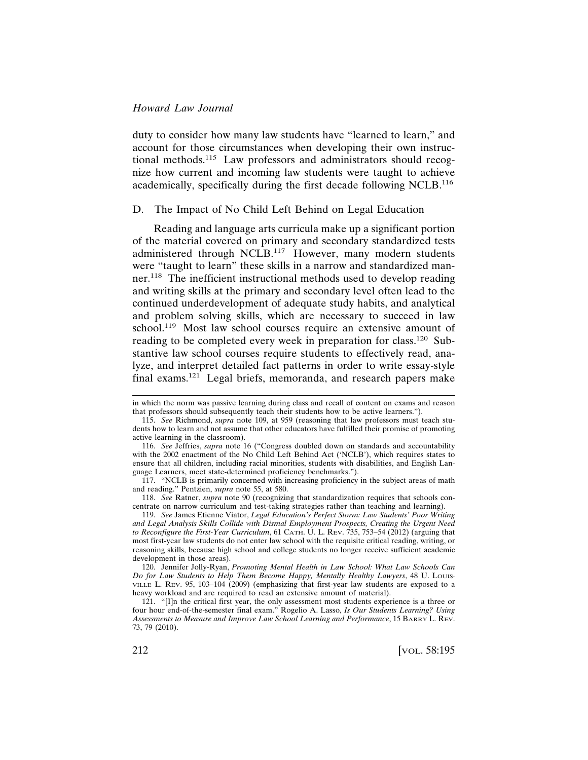duty to consider how many law students have "learned to learn," and account for those circumstances when developing their own instructional methods.115 Law professors and administrators should recognize how current and incoming law students were taught to achieve academically, specifically during the first decade following NCLB.<sup>116</sup>

#### D. The Impact of No Child Left Behind on Legal Education

Reading and language arts curricula make up a significant portion of the material covered on primary and secondary standardized tests administered through NCLB.117 However, many modern students were "taught to learn" these skills in a narrow and standardized manner.<sup>118</sup> The inefficient instructional methods used to develop reading and writing skills at the primary and secondary level often lead to the continued underdevelopment of adequate study habits, and analytical and problem solving skills, which are necessary to succeed in law school.<sup>119</sup> Most law school courses require an extensive amount of reading to be completed every week in preparation for class.120 Substantive law school courses require students to effectively read, analyze, and interpret detailed fact patterns in order to write essay-style final exams.121 Legal briefs, memoranda, and research papers make

in which the norm was passive learning during class and recall of content on exams and reason that professors should subsequently teach their students how to be active learners.").

<sup>115.</sup> *See* Richmond, *supra* note 109, at 959 (reasoning that law professors must teach students how to learn and not assume that other educators have fulfilled their promise of promoting active learning in the classroom).

<sup>116.</sup> *See* Jeffries, *supra* note 16 ("Congress doubled down on standards and accountability with the 2002 enactment of the No Child Left Behind Act ('NCLB'), which requires states to ensure that all children, including racial minorities, students with disabilities, and English Language Learners, meet state-determined proficiency benchmarks.").

<sup>117. &</sup>quot;NCLB is primarily concerned with increasing proficiency in the subject areas of math and reading." Pentzien, *supra* note 55, at 580.

<sup>118.</sup> *See* Ratner, *supra* note 90 (recognizing that standardization requires that schools concentrate on narrow curriculum and test-taking strategies rather than teaching and learning).

<sup>119.</sup> *See* James Etienne Viator, *Legal Education's Perfect Storm: Law Students' Poor Writing and Legal Analysis Skills Collide with Dismal Employment Prospects, Creating the Urgent Need to Reconfigure the First-Year Curriculum*, 61 CATH. U. L. REV. 735, 753–54 (2012) (arguing that most first-year law students do not enter law school with the requisite critical reading, writing, or reasoning skills, because high school and college students no longer receive sufficient academic development in those areas).

<sup>120.</sup> Jennifer Jolly-Ryan, *Promoting Mental Health in Law School: What Law Schools Can Do for Law Students to Help Them Become Happy, Mentally Healthy Lawyers*, 48 U. LOUIS-VILLE L. REV. 95, 103–104 (2009) (emphasizing that first-year law students are exposed to a heavy workload and are required to read an extensive amount of material).

<sup>121. &</sup>quot;[I]n the critical first year, the only assessment most students experience is a three or four hour end-of-the-semester final exam." Rogelio A. Lasso, *Is Our Students Learning? Using Assessments to Measure and Improve Law School Learning and Performance*, 15 BARRY L. REV. 73, 79 (2010).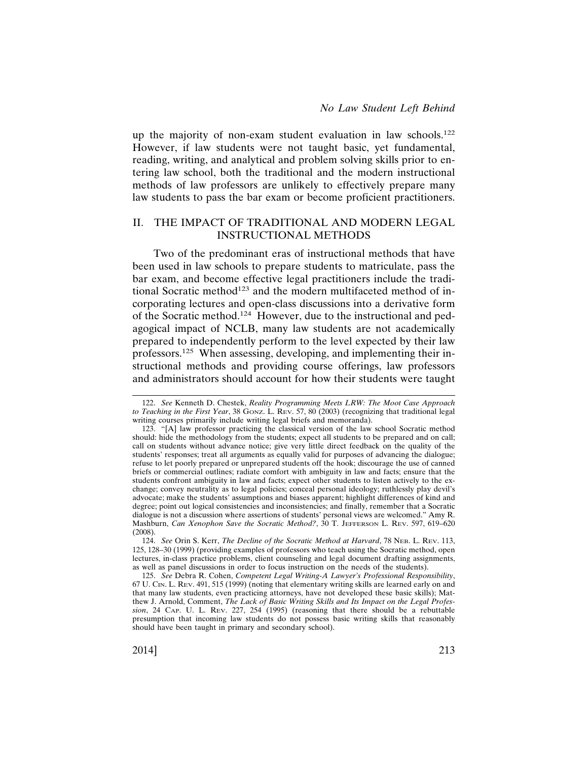up the majority of non-exam student evaluation in law schools.<sup>122</sup> However, if law students were not taught basic, yet fundamental, reading, writing, and analytical and problem solving skills prior to entering law school, both the traditional and the modern instructional methods of law professors are unlikely to effectively prepare many law students to pass the bar exam or become proficient practitioners.

## II. THE IMPACT OF TRADITIONAL AND MODERN LEGAL INSTRUCTIONAL METHODS

Two of the predominant eras of instructional methods that have been used in law schools to prepare students to matriculate, pass the bar exam, and become effective legal practitioners include the traditional Socratic method<sup>123</sup> and the modern multifaceted method of incorporating lectures and open-class discussions into a derivative form of the Socratic method.124 However, due to the instructional and pedagogical impact of NCLB, many law students are not academically prepared to independently perform to the level expected by their law professors.125 When assessing, developing, and implementing their instructional methods and providing course offerings, law professors and administrators should account for how their students were taught

<sup>122.</sup> *See* Kenneth D. Chestek, *Reality Programming Meets LRW: The Moot Case Approach to Teaching in the First Year*, 38 GONZ. L. REV. 57, 80 (2003) (recognizing that traditional legal writing courses primarily include writing legal briefs and memoranda).

<sup>123. &</sup>quot;[A] law professor practicing the classical version of the law school Socratic method should: hide the methodology from the students; expect all students to be prepared and on call; call on students without advance notice; give very little direct feedback on the quality of the students' responses; treat all arguments as equally valid for purposes of advancing the dialogue; refuse to let poorly prepared or unprepared students off the hook; discourage the use of canned briefs or commercial outlines; radiate comfort with ambiguity in law and facts; ensure that the students confront ambiguity in law and facts; expect other students to listen actively to the exchange; convey neutrality as to legal policies; conceal personal ideology; ruthlessly play devil's advocate; make the students' assumptions and biases apparent; highlight differences of kind and degree; point out logical consistencies and inconsistencies; and finally, remember that a Socratic dialogue is not a discussion where assertions of students' personal views are welcomed." Amy R. Mashburn, *Can Xenophon Save the Socratic Method?*, 30 T. JEFFERSON L. REV. 597, 619–620 (2008).

<sup>124.</sup> *See* Orin S. Kerr, *The Decline of the Socratic Method at Harvard*, 78 NEB. L. REV. 113, 125, 128–30 (1999) (providing examples of professors who teach using the Socratic method, open lectures, in-class practice problems, client counseling and legal document drafting assignments, as well as panel discussions in order to focus instruction on the needs of the students).

<sup>125.</sup> *See* Debra R. Cohen, *Competent Legal Writing-A Lawyer's Professional Responsibility*, 67 U. CIN. L. REV. 491, 515 (1999) (noting that elementary writing skills are learned early on and that many law students, even practicing attorneys, have not developed these basic skills); Matthew J. Arnold, Comment, *The Lack of Basic Writing Skills and Its Impact on the Legal Profession*, 24 CAP. U. L. REV. 227, 254 (1995) (reasoning that there should be a rebuttable presumption that incoming law students do not possess basic writing skills that reasonably should have been taught in primary and secondary school).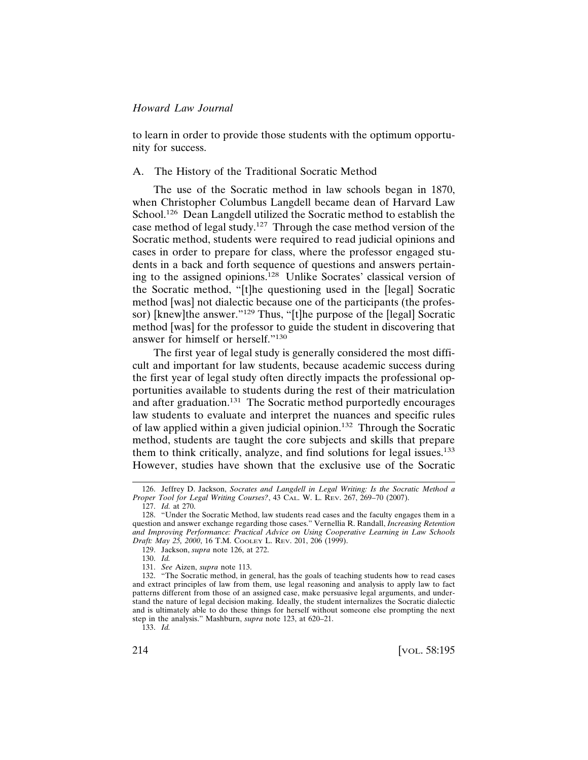to learn in order to provide those students with the optimum opportunity for success.

#### A. The History of the Traditional Socratic Method

The use of the Socratic method in law schools began in 1870, when Christopher Columbus Langdell became dean of Harvard Law School.<sup>126</sup> Dean Langdell utilized the Socratic method to establish the case method of legal study.127 Through the case method version of the Socratic method, students were required to read judicial opinions and cases in order to prepare for class, where the professor engaged students in a back and forth sequence of questions and answers pertaining to the assigned opinions.128 Unlike Socrates' classical version of the Socratic method, "[t]he questioning used in the [legal] Socratic method [was] not dialectic because one of the participants (the professor) [knew]the answer."129 Thus, "[t]he purpose of the [legal] Socratic method [was] for the professor to guide the student in discovering that answer for himself or herself."<sup>130</sup>

The first year of legal study is generally considered the most difficult and important for law students, because academic success during the first year of legal study often directly impacts the professional opportunities available to students during the rest of their matriculation and after graduation.<sup>131</sup> The Socratic method purportedly encourages law students to evaluate and interpret the nuances and specific rules of law applied within a given judicial opinion.132 Through the Socratic method, students are taught the core subjects and skills that prepare them to think critically, analyze, and find solutions for legal issues.<sup>133</sup> However, studies have shown that the exclusive use of the Socratic

<sup>126.</sup> Jeffrey D. Jackson, *Socrates and Langdell in Legal Writing: Is the Socratic Method a Proper Tool for Legal Writing Courses?*, 43 CAL. W. L. REV. 267, 269–70 (2007).

<sup>127.</sup> *Id.* at 270.

<sup>128. &</sup>quot;Under the Socratic Method, law students read cases and the faculty engages them in a question and answer exchange regarding those cases." Vernellia R. Randall, *Increasing Retention and Improving Performance: Practical Advice on Using Cooperative Learning in Law Schools Draft: May 25, 2000*, 16 T.M. COOLEY L. REV. 201, 206 (1999).

<sup>129.</sup> Jackson, *supra* note 126, at 272.

<sup>130.</sup> *Id.*

<sup>131.</sup> *See* Aizen, *supra* note 113.

<sup>132. &</sup>quot;The Socratic method, in general, has the goals of teaching students how to read cases and extract principles of law from them, use legal reasoning and analysis to apply law to fact patterns different from those of an assigned case, make persuasive legal arguments, and understand the nature of legal decision making. Ideally, the student internalizes the Socratic dialectic and is ultimately able to do these things for herself without someone else prompting the next step in the analysis." Mashburn, *supra* note 123, at 620–21.

<sup>133.</sup> *Id.*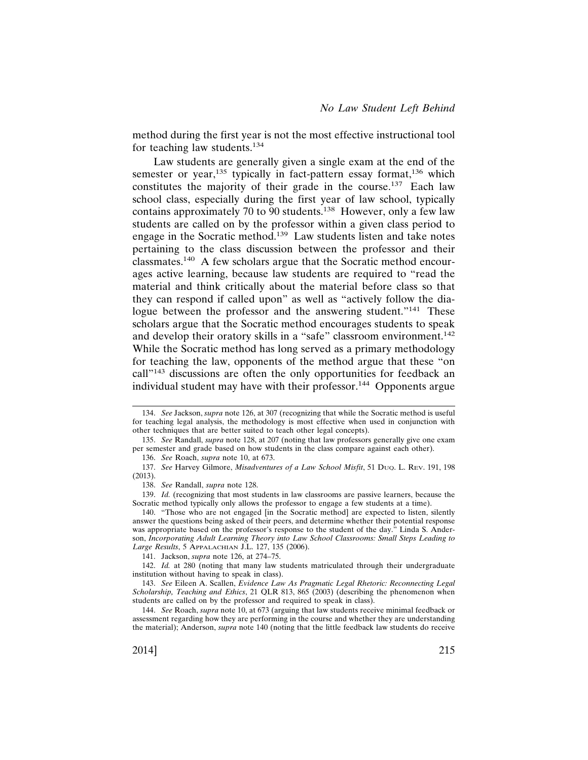method during the first year is not the most effective instructional tool for teaching law students.<sup>134</sup>

Law students are generally given a single exam at the end of the semester or year,<sup>135</sup> typically in fact-pattern essay format,<sup>136</sup> which constitutes the majority of their grade in the course.<sup>137</sup> Each law school class, especially during the first year of law school, typically contains approximately 70 to 90 students.138 However, only a few law students are called on by the professor within a given class period to engage in the Socratic method.139 Law students listen and take notes pertaining to the class discussion between the professor and their classmates.140 A few scholars argue that the Socratic method encourages active learning, because law students are required to "read the material and think critically about the material before class so that they can respond if called upon" as well as "actively follow the dialogue between the professor and the answering student."<sup>141</sup> These scholars argue that the Socratic method encourages students to speak and develop their oratory skills in a "safe" classroom environment.<sup>142</sup> While the Socratic method has long served as a primary methodology for teaching the law, opponents of the method argue that these "on call"143 discussions are often the only opportunities for feedback an individual student may have with their professor.<sup>144</sup> Opponents argue

<sup>134.</sup> *See* Jackson, *supra* note 126, at 307 (recognizing that while the Socratic method is useful for teaching legal analysis, the methodology is most effective when used in conjunction with other techniques that are better suited to teach other legal concepts).

<sup>135.</sup> *See* Randall, *supra* note 128, at 207 (noting that law professors generally give one exam per semester and grade based on how students in the class compare against each other).

<sup>136.</sup> *See* Roach, *supra* note 10, at 673.

<sup>137.</sup> *See* Harvey Gilmore, *Misadventures of a Law School Misfit*, 51 DUQ. L. REV. 191, 198 (2013).

<sup>138.</sup> *See* Randall, *supra* note 128.

<sup>139.</sup> *Id.* (recognizing that most students in law classrooms are passive learners, because the Socratic method typically only allows the professor to engage a few students at a time).

<sup>140. &</sup>quot;Those who are not engaged [in the Socratic method] are expected to listen, silently answer the questions being asked of their peers, and determine whether their potential response was appropriate based on the professor's response to the student of the day." Linda S. Anderson, *Incorporating Adult Learning Theory into Law School Classrooms: Small Steps Leading to Large Results*, 5 APPALACHIAN J.L. 127, 135 (2006).

<sup>141.</sup> Jackson, *supra* note 126, at 274–75.

<sup>142.</sup> *Id.* at 280 (noting that many law students matriculated through their undergraduate institution without having to speak in class).

<sup>143.</sup> *See* Eileen A. Scallen, *Evidence Law As Pragmatic Legal Rhetoric: Reconnecting Legal Scholarship, Teaching and Ethics*, 21 QLR 813, 865 (2003) (describing the phenomenon when students are called on by the professor and required to speak in class).

<sup>144.</sup> *See* Roach, *supra* note 10, at 673 (arguing that law students receive minimal feedback or assessment regarding how they are performing in the course and whether they are understanding the material); Anderson, *supra* note 140 (noting that the little feedback law students do receive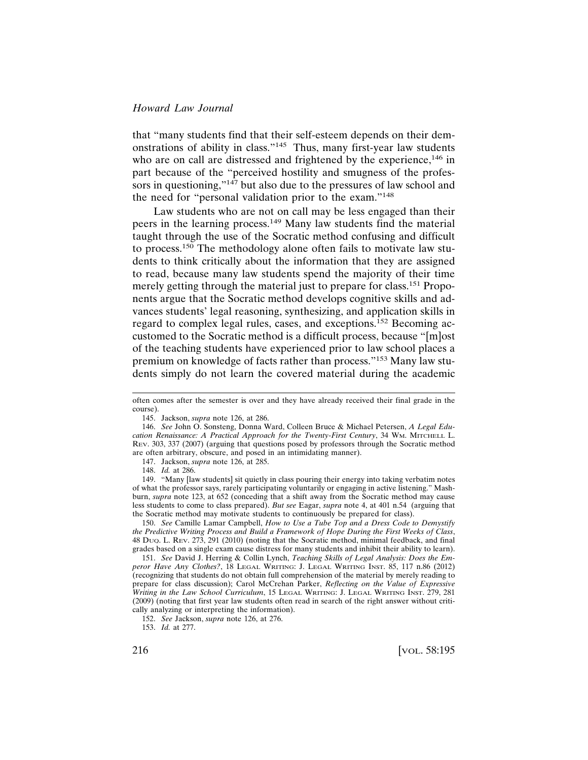that "many students find that their self-esteem depends on their demonstrations of ability in class."145 Thus, many first-year law students who are on call are distressed and frightened by the experience,  $146$  in part because of the "perceived hostility and smugness of the professors in questioning,"<sup>147</sup> but also due to the pressures of law school and the need for "personal validation prior to the exam."<sup>148</sup>

Law students who are not on call may be less engaged than their peers in the learning process.149 Many law students find the material taught through the use of the Socratic method confusing and difficult to process.150 The methodology alone often fails to motivate law students to think critically about the information that they are assigned to read, because many law students spend the majority of their time merely getting through the material just to prepare for class.151 Proponents argue that the Socratic method develops cognitive skills and advances students' legal reasoning, synthesizing, and application skills in regard to complex legal rules, cases, and exceptions.152 Becoming accustomed to the Socratic method is a difficult process, because "[m]ost of the teaching students have experienced prior to law school places a premium on knowledge of facts rather than process."153 Many law students simply do not learn the covered material during the academic

147. Jackson, *supra* note 126, at 285.

149. "Many [law students] sit quietly in class pouring their energy into taking verbatim notes of what the professor says, rarely participating voluntarily or engaging in active listening." Mashburn, *supra* note 123, at 652 (conceding that a shift away from the Socratic method may cause less students to come to class prepared). *But see* Eagar, *supra* note 4, at 401 n.54 (arguing that the Socratic method may motivate students to continuously be prepared for class).

150. *See* Camille Lamar Campbell, *How to Use a Tube Top and a Dress Code to Demystify the Predictive Writing Process and Build a Framework of Hope During the First Weeks of Class*, 48 DUQ. L. REV. 273, 291 (2010) (noting that the Socratic method, minimal feedback, and final grades based on a single exam cause distress for many students and inhibit their ability to learn).

151. *See* David J. Herring & Collin Lynch, *Teaching Skills of Legal Analysis: Does the Emperor Have Any Clothes?*, 18 LEGAL WRITING: J. LEGAL WRITING INST. 85, 117 n.86 (2012) (recognizing that students do not obtain full comprehension of the material by merely reading to prepare for class discussion); Carol McCrehan Parker, *Reflecting on the Value of Expressive Writing in the Law School Curriculum*, 15 LEGAL WRITING: J. LEGAL WRITING INST. 279, 281 (2009) (noting that first year law students often read in search of the right answer without critically analyzing or interpreting the information).

152. *See* Jackson, *supra* note 126, at 276.

often comes after the semester is over and they have already received their final grade in the course).

<sup>145.</sup> Jackson, *supra* note 126, at 286.

<sup>146.</sup> *See* John O. Sonsteng, Donna Ward, Colleen Bruce & Michael Petersen, *A Legal Education Renaissance: A Practical Approach for the Twenty-First Century*, 34 WM. MITCHELL L. REV. 303, 337 (2007) (arguing that questions posed by professors through the Socratic method are often arbitrary, obscure, and posed in an intimidating manner).

<sup>148.</sup> *Id.* at 286.

<sup>153.</sup> *Id.* at 277.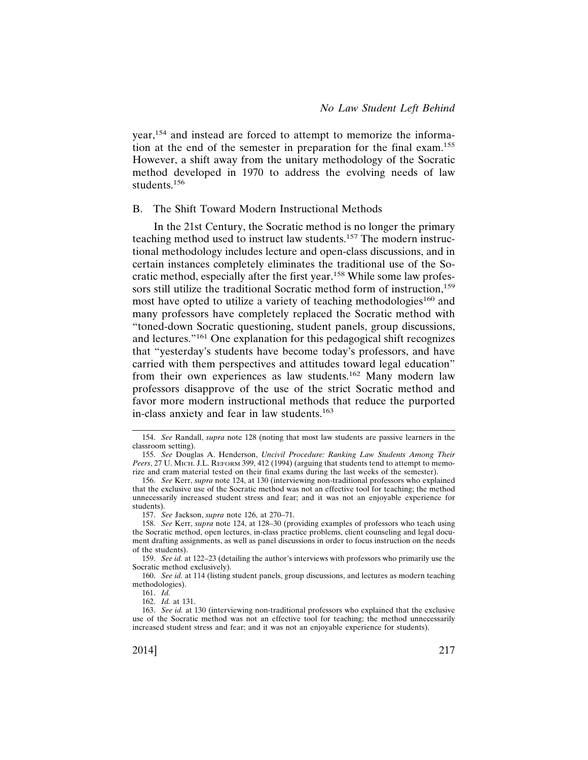year,154 and instead are forced to attempt to memorize the information at the end of the semester in preparation for the final exam.<sup>155</sup> However, a shift away from the unitary methodology of the Socratic method developed in 1970 to address the evolving needs of law students.156

#### B. The Shift Toward Modern Instructional Methods

In the 21st Century, the Socratic method is no longer the primary teaching method used to instruct law students.157 The modern instructional methodology includes lecture and open-class discussions, and in certain instances completely eliminates the traditional use of the Socratic method, especially after the first year.158 While some law professors still utilize the traditional Socratic method form of instruction,<sup>159</sup> most have opted to utilize a variety of teaching methodologies<sup>160</sup> and many professors have completely replaced the Socratic method with "toned-down Socratic questioning, student panels, group discussions, and lectures."161 One explanation for this pedagogical shift recognizes that "yesterday's students have become today's professors, and have carried with them perspectives and attitudes toward legal education" from their own experiences as law students.162 Many modern law professors disapprove of the use of the strict Socratic method and favor more modern instructional methods that reduce the purported in-class anxiety and fear in law students.<sup>163</sup>

<sup>154.</sup> *See* Randall, *supra* note 128 (noting that most law students are passive learners in the classroom setting).

<sup>155.</sup> *See* Douglas A. Henderson, *Uncivil Procedure: Ranking Law Students Among Their Peers*, 27 U. MICH. J.L. REFORM 399, 412 (1994) (arguing that students tend to attempt to memorize and cram material tested on their final exams during the last weeks of the semester).

<sup>156.</sup> *See* Kerr, *supra* note 124, at 130 (interviewing non-traditional professors who explained that the exclusive use of the Socratic method was not an effective tool for teaching; the method unnecessarily increased student stress and fear; and it was not an enjoyable experience for students).

<sup>157.</sup> *See* Jackson, *supra* note 126, at 270–71.

<sup>158.</sup> *See* Kerr, *supra* note 124, at 128–30 (providing examples of professors who teach using the Socratic method, open lectures, in-class practice problems, client counseling and legal document drafting assignments, as well as panel discussions in order to focus instruction on the needs of the students).

<sup>159.</sup> *See id.* at 122–23 (detailing the author's interviews with professors who primarily use the Socratic method exclusively).

<sup>160.</sup> *See id.* at 114 (listing student panels, group discussions, and lectures as modern teaching methodologies).

<sup>161.</sup> *Id.*

<sup>162.</sup> *Id.* at 131.

<sup>163.</sup> *See id.* at 130 (interviewing non-traditional professors who explained that the exclusive use of the Socratic method was not an effective tool for teaching; the method unnecessarily increased student stress and fear; and it was not an enjoyable experience for students).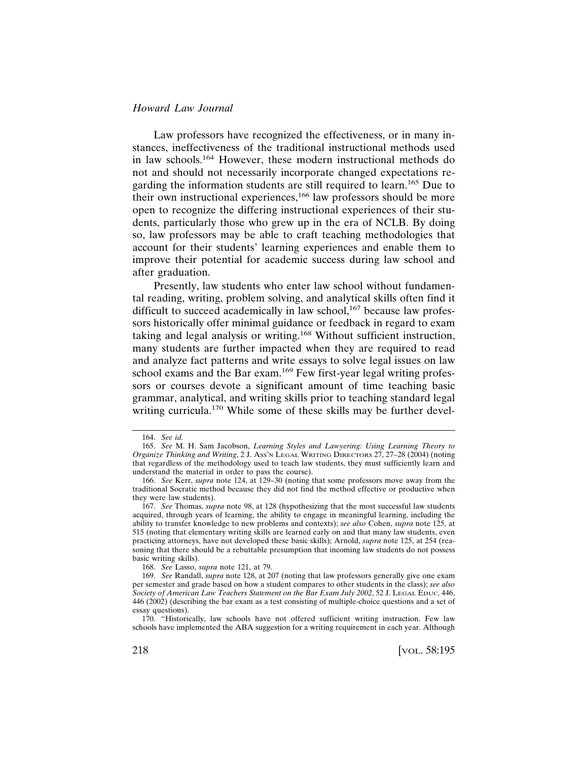Law professors have recognized the effectiveness, or in many instances, ineffectiveness of the traditional instructional methods used in law schools.164 However, these modern instructional methods do not and should not necessarily incorporate changed expectations regarding the information students are still required to learn.<sup>165</sup> Due to their own instructional experiences,<sup>166</sup> law professors should be more open to recognize the differing instructional experiences of their students, particularly those who grew up in the era of NCLB. By doing so, law professors may be able to craft teaching methodologies that account for their students' learning experiences and enable them to improve their potential for academic success during law school and after graduation.

Presently, law students who enter law school without fundamental reading, writing, problem solving, and analytical skills often find it difficult to succeed academically in law school, $167$  because law professors historically offer minimal guidance or feedback in regard to exam taking and legal analysis or writing.168 Without sufficient instruction, many students are further impacted when they are required to read and analyze fact patterns and write essays to solve legal issues on law school exams and the Bar exam.<sup>169</sup> Few first-year legal writing professors or courses devote a significant amount of time teaching basic grammar, analytical, and writing skills prior to teaching standard legal writing curricula.<sup>170</sup> While some of these skills may be further devel-

<sup>164.</sup> *See id.*

<sup>165.</sup> *See* M. H. Sam Jacobson, *Learning Styles and Lawyering: Using Learning Theory to Organize Thinking and Writing*, 2 J. Ass'n LEGAL WRITING DIRECTORS 27, 27-28 (2004) (noting that regardless of the methodology used to teach law students, they must sufficiently learn and understand the material in order to pass the course).

<sup>166.</sup> *See* Kerr, *supra* note 124, at 129–30 (noting that some professors move away from the traditional Socratic method because they did not find the method effective or productive when they were law students).

<sup>167.</sup> *See* Thomas, *supra* note 98, at 128 (hypothesizing that the most successful law students acquired, through years of learning, the ability to engage in meaningful learning, including the ability to transfer knowledge to new problems and contexts); *see also* Cohen, *supra* note 125, at 515 (noting that elementary writing skills are learned early on and that many law students, even practicing attorneys, have not developed these basic skills); Arnold, *supra* note 125, at 254 (reasoning that there should be a rebuttable presumption that incoming law students do not possess basic writing skills).

<sup>168.</sup> *See* Lasso, *supra* note 121, at 79.

<sup>169.</sup> *See* Randall, *supra* note 128, at 207 (noting that law professors generally give one exam per semester and grade based on how a student compares to other students in the class); *see also Society of American Law Teachers Statement on the Bar Exam July 2002*, 52 J. LEGAL EDUC. 446, 446 (2002) (describing the bar exam as a test consisting of multiple-choice questions and a set of essay questions).

<sup>170. &</sup>quot;Historically, law schools have not offered sufficient writing instruction. Few law schools have implemented the ABA suggestion for a writing requirement in each year. Although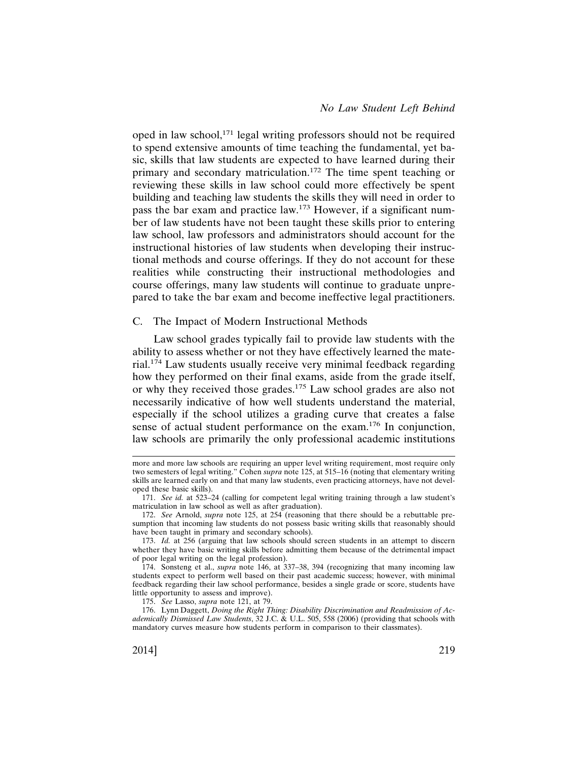oped in law school,<sup>171</sup> legal writing professors should not be required to spend extensive amounts of time teaching the fundamental, yet basic, skills that law students are expected to have learned during their primary and secondary matriculation.<sup>172</sup> The time spent teaching or reviewing these skills in law school could more effectively be spent building and teaching law students the skills they will need in order to pass the bar exam and practice law.173 However, if a significant number of law students have not been taught these skills prior to entering law school, law professors and administrators should account for the instructional histories of law students when developing their instructional methods and course offerings. If they do not account for these realities while constructing their instructional methodologies and course offerings, many law students will continue to graduate unprepared to take the bar exam and become ineffective legal practitioners.

#### C. The Impact of Modern Instructional Methods

Law school grades typically fail to provide law students with the ability to assess whether or not they have effectively learned the material.<sup>174</sup> Law students usually receive very minimal feedback regarding how they performed on their final exams, aside from the grade itself, or why they received those grades.175 Law school grades are also not necessarily indicative of how well students understand the material, especially if the school utilizes a grading curve that creates a false sense of actual student performance on the exam.176 In conjunction, law schools are primarily the only professional academic institutions

more and more law schools are requiring an upper level writing requirement, most require only two semesters of legal writing." Cohen *supra* note 125, at 515–16 (noting that elementary writing skills are learned early on and that many law students, even practicing attorneys, have not developed these basic skills).

<sup>171.</sup> *See id.* at 523–24 (calling for competent legal writing training through a law student's matriculation in law school as well as after graduation).

<sup>172.</sup> *See* Arnold, *supra* note 125, at 254 (reasoning that there should be a rebuttable presumption that incoming law students do not possess basic writing skills that reasonably should have been taught in primary and secondary schools).

<sup>173.</sup> *Id.* at 256 (arguing that law schools should screen students in an attempt to discern whether they have basic writing skills before admitting them because of the detrimental impact of poor legal writing on the legal profession).

<sup>174.</sup> Sonsteng et al., *supra* note 146, at 337–38, 394 (recognizing that many incoming law students expect to perform well based on their past academic success; however, with minimal feedback regarding their law school performance, besides a single grade or score, students have little opportunity to assess and improve).

<sup>175.</sup> *See* Lasso, *supra* note 121, at 79.

<sup>176.</sup> Lynn Daggett, *Doing the Right Thing: Disability Discrimination and Readmission of Academically Dismissed Law Students*, 32 J.C. & U.L. 505, 558 (2006) (providing that schools with mandatory curves measure how students perform in comparison to their classmates).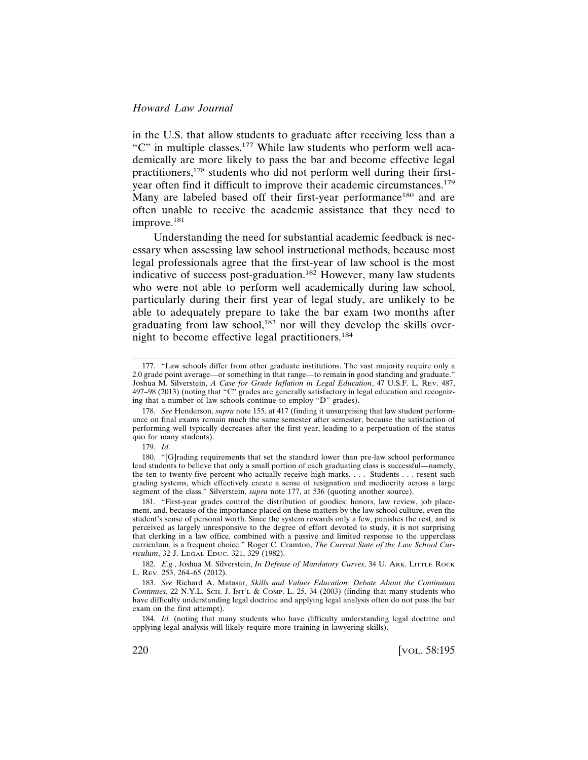in the U.S. that allow students to graduate after receiving less than a "C" in multiple classes.<sup>177</sup> While law students who perform well academically are more likely to pass the bar and become effective legal practitioners,<sup>178</sup> students who did not perform well during their firstyear often find it difficult to improve their academic circumstances.<sup>179</sup> Many are labeled based off their first-year performance<sup>180</sup> and are often unable to receive the academic assistance that they need to improve.<sup>181</sup>

Understanding the need for substantial academic feedback is necessary when assessing law school instructional methods, because most legal professionals agree that the first-year of law school is the most indicative of success post-graduation.<sup>182</sup> However, many law students who were not able to perform well academically during law school, particularly during their first year of legal study, are unlikely to be able to adequately prepare to take the bar exam two months after graduating from law school, $183$  nor will they develop the skills overnight to become effective legal practitioners.184

<sup>177. &</sup>quot;Law schools differ from other graduate institutions. The vast majority require only a 2.0 grade point average—or something in that range—to remain in good standing and graduate." Joshua M. Silverstein, *A Case for Grade Inflation in Legal Education*, 47 U.S.F. L. REV. 487, 497–98 (2013) (noting that "C" grades are generally satisfactory in legal education and recognizing that a number of law schools continue to employ "D" grades).

<sup>178.</sup> *See* Henderson, *supra* note 155, at 417 (finding it unsurprising that law student performance on final exams remain much the same semester after semester, because the satisfaction of performing well typically decreases after the first year, leading to a perpetuation of the status quo for many students).

<sup>179.</sup> *Id.*

<sup>180. &</sup>quot;[G]rading requirements that set the standard lower than pre-law school performance lead students to believe that only a small portion of each graduating class is successful—namely, the ten to twenty-five percent who actually receive high marks. . . . Students . . . resent such grading systems, which effectively create a sense of resignation and mediocrity across a large segment of the class." Silverstein, *supra* note 177, at 536 (quoting another source).

<sup>181. &</sup>quot;First-year grades control the distribution of goodies: honors, law review, job placement, and, because of the importance placed on these matters by the law school culture, even the student's sense of personal worth. Since the system rewards only a few, punishes the rest, and is perceived as largely unresponsive to the degree of effort devoted to study, it is not surprising that clerking in a law office, combined with a passive and limited response to the upperclass curriculum, is a frequent choice." Roger C. Cramton, *The Current State of the Law School Curriculum*, 32 J. LEGAL EDUC. 321, 329 (1982).

<sup>182.</sup> *E.g.*, Joshua M. Silverstein, *In Defense of Mandatory Curves*, 34 U. ARK. LITTLE ROCK L. REV. 253, 264–65 (2012).

<sup>183.</sup> *See* Richard A. Matasar, *Skills and Values Education: Debate About the Continuum Continues*, 22 N.Y.L. SCH. J. INT'L & COMP. L. 25, 34 (2003) (finding that many students who have difficulty understanding legal doctrine and applying legal analysis often do not pass the bar exam on the first attempt).

<sup>184.</sup> *Id.* (noting that many students who have difficulty understanding legal doctrine and applying legal analysis will likely require more training in lawyering skills).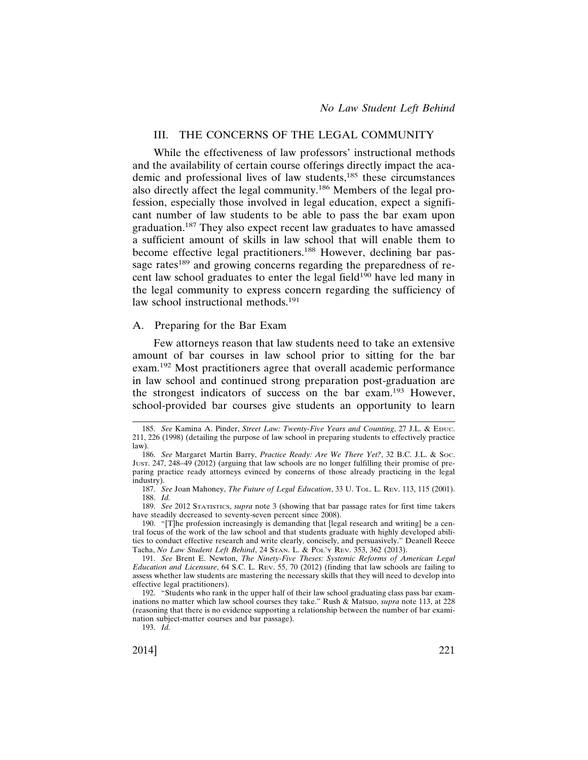#### III. THE CONCERNS OF THE LEGAL COMMUNITY

While the effectiveness of law professors' instructional methods and the availability of certain course offerings directly impact the academic and professional lives of law students,185 these circumstances also directly affect the legal community.186 Members of the legal profession, especially those involved in legal education, expect a significant number of law students to be able to pass the bar exam upon graduation.187 They also expect recent law graduates to have amassed a sufficient amount of skills in law school that will enable them to become effective legal practitioners.<sup>188</sup> However, declining bar passage rates<sup>189</sup> and growing concerns regarding the preparedness of recent law school graduates to enter the legal field $190$  have led many in the legal community to express concern regarding the sufficiency of law school instructional methods.<sup>191</sup>

#### A. Preparing for the Bar Exam

Few attorneys reason that law students need to take an extensive amount of bar courses in law school prior to sitting for the bar exam.192 Most practitioners agree that overall academic performance in law school and continued strong preparation post-graduation are the strongest indicators of success on the bar exam.193 However, school-provided bar courses give students an opportunity to learn

<sup>185.</sup> *See* Kamina A. Pinder, *Street Law: Twenty-Five Years and Counting*, 27 J.L. & EDUC. 211, 226 (1998) (detailing the purpose of law school in preparing students to effectively practice law).

<sup>186.</sup> *See* Margaret Martin Barry, *Practice Ready: Are We There Yet?*, 32 B.C. J.L. & SOC. JUST. 247, 248–49 (2012) (arguing that law schools are no longer fulfilling their promise of preparing practice ready attorneys evinced by concerns of those already practicing in the legal industry).

<sup>187.</sup> *See* Joan Mahoney, *The Future of Legal Education*, 33 U. TOL. L. REV. 113, 115 (2001). 188. *Id.*

<sup>189.</sup> *See* 2012 STATISTICS, *supra* note 3 (showing that bar passage rates for first time takers have steadily decreased to seventy-seven percent since 2008).

<sup>190. &</sup>quot;[T]he profession increasingly is demanding that [legal research and writing] be a central focus of the work of the law school and that students graduate with highly developed abilities to conduct effective research and write clearly, concisely, and persuasively." Deanell Reece Tacha, *No Law Student Left Behind*, 24 STAN. L. & POL'Y REV. 353, 362 (2013).

<sup>191.</sup> *See* Brent E. Newton, *The Ninety-Five Theses: Systemic Reforms of American Legal Education and Licensure*, 64 S.C. L. REV. 55, 70 (2012) (finding that law schools are failing to assess whether law students are mastering the necessary skills that they will need to develop into effective legal practitioners).

<sup>192. &</sup>quot;Students who rank in the upper half of their law school graduating class pass bar examinations no matter which law school courses they take." Rush & Matsuo, *supra* note 113, at 228 (reasoning that there is no evidence supporting a relationship between the number of bar examination subject-matter courses and bar passage).

<sup>193.</sup> *Id.*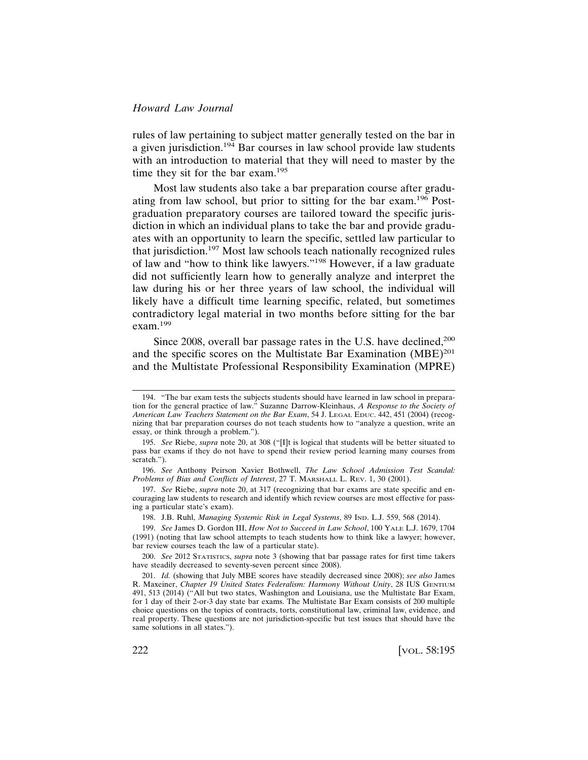rules of law pertaining to subject matter generally tested on the bar in a given jurisdiction.194 Bar courses in law school provide law students with an introduction to material that they will need to master by the time they sit for the bar exam.<sup>195</sup>

Most law students also take a bar preparation course after graduating from law school, but prior to sitting for the bar exam.196 Postgraduation preparatory courses are tailored toward the specific jurisdiction in which an individual plans to take the bar and provide graduates with an opportunity to learn the specific, settled law particular to that jurisdiction.197 Most law schools teach nationally recognized rules of law and "how to think like lawyers."198 However, if a law graduate did not sufficiently learn how to generally analyze and interpret the law during his or her three years of law school, the individual will likely have a difficult time learning specific, related, but sometimes contradictory legal material in two months before sitting for the bar exam.199

Since 2008, overall bar passage rates in the U.S. have declined,<sup>200</sup> and the specific scores on the Multistate Bar Examination (MBE)<sup>201</sup> and the Multistate Professional Responsibility Examination (MPRE)

<sup>194. &</sup>quot;The bar exam tests the subjects students should have learned in law school in preparation for the general practice of law." Suzanne Darrow-Kleinhaus, *A Response to the Society of American Law Teachers Statement on the Bar Exam*, 54 J. LEGAL EDUC. 442, 451 (2004) (recognizing that bar preparation courses do not teach students how to "analyze a question, write an essay, or think through a problem.").

<sup>195.</sup> *See* Riebe, *supra* note 20, at 308 ("[I]t is logical that students will be better situated to pass bar exams if they do not have to spend their review period learning many courses from scratch.").

<sup>196.</sup> *See* Anthony Peirson Xavier Bothwell, *The Law School Admission Test Scandal: Problems of Bias and Conflicts of Interest*, 27 T. MARSHALL L. REV. 1, 30 (2001).

<sup>197.</sup> *See* Riebe, *supra* note 20, at 317 (recognizing that bar exams are state specific and encouraging law students to research and identify which review courses are most effective for passing a particular state's exam).

<sup>198.</sup> J.B. Ruhl, *Managing Systemic Risk in Legal Systems*, 89 IND. L.J. 559, 568 (2014).

<sup>199.</sup> *See* James D. Gordon III, *How Not to Succeed in Law School*, 100 YALE L.J. 1679, 1704 (1991) (noting that law school attempts to teach students how to think like a lawyer; however, bar review courses teach the law of a particular state).

<sup>200.</sup> *See* 2012 STATISTICS, *supra* note 3 (showing that bar passage rates for first time takers have steadily decreased to seventy-seven percent since 2008).

<sup>201.</sup> *Id.* (showing that July MBE scores have steadily decreased since 2008); *see also* James R. Maxeiner, *Chapter 19 United States Federalism: Harmony Without Unity*, 28 IUS GENTIUM 491, 513 (2014) ("All but two states, Washington and Louisiana, use the Multistate Bar Exam, for 1 day of their 2-or-3 day state bar exams. The Multistate Bar Exam consists of 200 multiple choice questions on the topics of contracts, torts, constitutional law, criminal law, evidence, and real property. These questions are not jurisdiction-specific but test issues that should have the same solutions in all states.").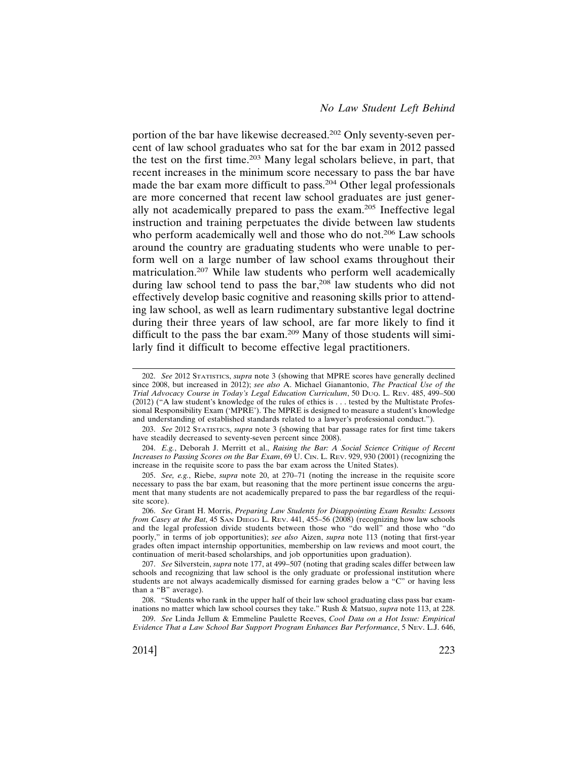portion of the bar have likewise decreased.202 Only seventy-seven percent of law school graduates who sat for the bar exam in 2012 passed the test on the first time.<sup>203</sup> Many legal scholars believe, in part, that recent increases in the minimum score necessary to pass the bar have made the bar exam more difficult to pass.204 Other legal professionals are more concerned that recent law school graduates are just generally not academically prepared to pass the exam.205 Ineffective legal instruction and training perpetuates the divide between law students who perform academically well and those who do not.<sup>206</sup> Law schools around the country are graduating students who were unable to perform well on a large number of law school exams throughout their matriculation.207 While law students who perform well academically during law school tend to pass the bar,<sup>208</sup> law students who did not effectively develop basic cognitive and reasoning skills prior to attending law school, as well as learn rudimentary substantive legal doctrine during their three years of law school, are far more likely to find it difficult to the pass the bar exam.209 Many of those students will similarly find it difficult to become effective legal practitioners.

<sup>202.</sup> *See* 2012 STATISTICS, *supra* note 3 (showing that MPRE scores have generally declined since 2008, but increased in 2012); *see also* A. Michael Gianantonio, *The Practical Use of the Trial Advocacy Course in Today's Legal Education Curriculum*, 50 DUQ. L. REV. 485, 499–500 (2012) ("A law student's knowledge of the rules of ethics is . . . tested by the Multistate Professional Responsibility Exam ('MPRE'). The MPRE is designed to measure a student's knowledge and understanding of established standards related to a lawyer's professional conduct.").

<sup>203.</sup> *See* 2012 STATISTICS, *supra* note 3 (showing that bar passage rates for first time takers have steadily decreased to seventy-seven percent since 2008).

<sup>204.</sup> *E.g.*, Deborah J. Merritt et al., *Raising the Bar: A Social Science Critique of Recent Increases to Passing Scores on the Bar Exam*, 69 U. CIN. L. REV. 929, 930 (2001) (recognizing the increase in the requisite score to pass the bar exam across the United States).

<sup>205.</sup> *See, e.g.*, Riebe, *supra* note 20, at 270–71 (noting the increase in the requisite score necessary to pass the bar exam, but reasoning that the more pertinent issue concerns the argument that many students are not academically prepared to pass the bar regardless of the requisite score).

<sup>206.</sup> *See* Grant H. Morris, *Preparing Law Students for Disappointing Exam Results: Lessons from Casey at the Bat*, 45 SAN DIEGO L. REV. 441, 455–56 (2008) (recognizing how law schools and the legal profession divide students between those who "do well" and those who "do poorly," in terms of job opportunities); *see also* Aizen, *supra* note 113 (noting that first-year grades often impact internship opportunities, membership on law reviews and moot court, the continuation of merit-based scholarships, and job opportunities upon graduation).

<sup>207.</sup> *See* Silverstein, *supra* note 177, at 499–507 (noting that grading scales differ between law schools and recognizing that law school is the only graduate or professional institution where students are not always academically dismissed for earning grades below a "C" or having less than a "B" average).

<sup>208. &</sup>quot;Students who rank in the upper half of their law school graduating class pass bar examinations no matter which law school courses they take." Rush & Matsuo, *supra* note 113, at 228.

<sup>209.</sup> *See* Linda Jellum & Emmeline Paulette Reeves, *Cool Data on a Hot Issue: Empirical Evidence That a Law School Bar Support Program Enhances Bar Performance*, 5 NEV. L.J. 646,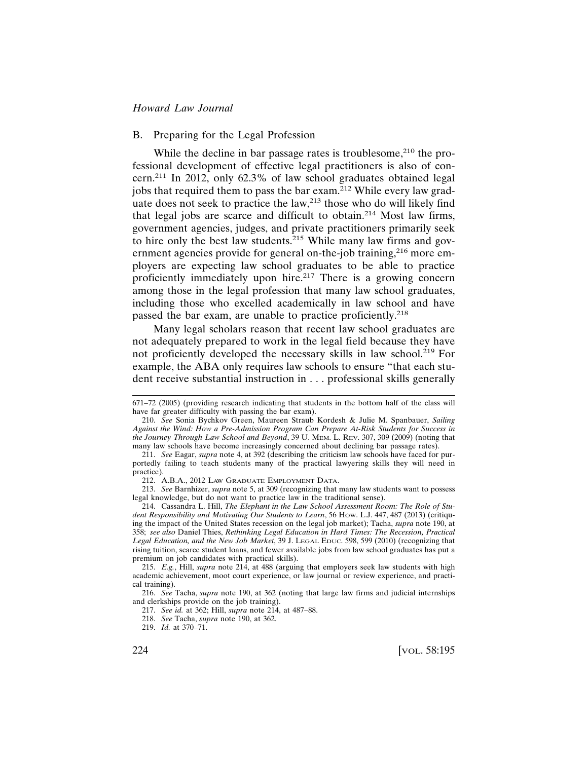#### B. Preparing for the Legal Profession

While the decline in bar passage rates is troublesome, $210$  the professional development of effective legal practitioners is also of concern.211 In 2012, only 62.3% of law school graduates obtained legal jobs that required them to pass the bar exam.212 While every law graduate does not seek to practice the  $law<sub>,213</sub>$  those who do will likely find that legal jobs are scarce and difficult to obtain.214 Most law firms, government agencies, judges, and private practitioners primarily seek to hire only the best law students.<sup>215</sup> While many law firms and government agencies provide for general on-the-job training,<sup>216</sup> more employers are expecting law school graduates to be able to practice proficiently immediately upon hire.<sup>217</sup> There is a growing concern among those in the legal profession that many law school graduates, including those who excelled academically in law school and have passed the bar exam, are unable to practice proficiently.<sup>218</sup>

Many legal scholars reason that recent law school graduates are not adequately prepared to work in the legal field because they have not proficiently developed the necessary skills in law school.219 For example, the ABA only requires law schools to ensure "that each student receive substantial instruction in . . . professional skills generally

<sup>671–72 (2005) (</sup>providing research indicating that students in the bottom half of the class will have far greater difficulty with passing the bar exam).

<sup>210.</sup> *See* Sonia Bychkov Green, Maureen Straub Kordesh & Julie M. Spanbauer, *Sailing Against the Wind: How a Pre-Admission Program Can Prepare At-Risk Students for Success in the Journey Through Law School and Beyond*, 39 U. MEM. L. REV. 307, 309 (2009) (noting that many law schools have become increasingly concerned about declining bar passage rates).

<sup>211.</sup> *See* Eagar, *supra* note 4, at 392 (describing the criticism law schools have faced for purportedly failing to teach students many of the practical lawyering skills they will need in practice).

<sup>212.</sup> A.B.A., 2012 LAW GRADUATE EMPLOYMENT DATA.

<sup>213.</sup> *See* Barnhizer, *supra* note 5, at 309 (recognizing that many law students want to possess legal knowledge, but do not want to practice law in the traditional sense).

<sup>214.</sup> Cassandra L. Hill, *The Elephant in the Law School Assessment Room: The Role of Student Responsibility and Motivating Our Students to Learn*, 56 HOW. L.J. 447, 487 (2013) (critiquing the impact of the United States recession on the legal job market); Tacha, *supra* note 190, at 358; *see also* Daniel Thies, *Rethinking Legal Education in Hard Times: The Recession, Practical Legal Education, and the New Job Market*, 39 J. LEGAL EDUC. 598, 599 (2010) (recognizing that rising tuition, scarce student loans, and fewer available jobs from law school graduates has put a premium on job candidates with practical skills).

<sup>215.</sup> *E.g.*, Hill, *supra* note 214, at 488 (arguing that employers seek law students with high academic achievement, moot court experience, or law journal or review experience, and practical training).

<sup>216.</sup> *See* Tacha, *supra* note 190, at 362 (noting that large law firms and judicial internships and clerkships provide on the job training).

<sup>217.</sup> *See id.* at 362; Hill, *supra* note 214, at 487–88.

<sup>218.</sup> *See* Tacha, *supra* note 190, at 362.

<sup>219.</sup> *Id.* at 370–71.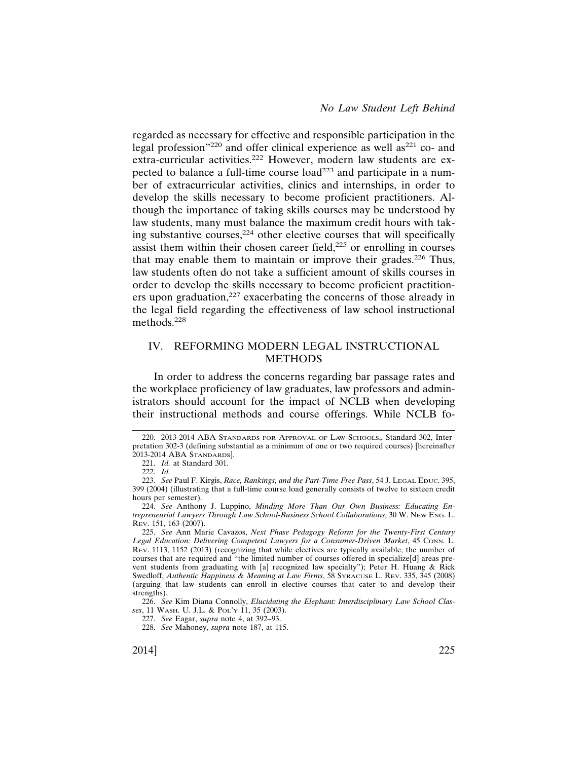regarded as necessary for effective and responsible participation in the legal profession"<sup>220</sup> and offer clinical experience as well as<sup>221</sup> co- and extra-curricular activities.<sup>222</sup> However, modern law students are expected to balance a full-time course load<sup>223</sup> and participate in a number of extracurricular activities, clinics and internships, in order to develop the skills necessary to become proficient practitioners. Although the importance of taking skills courses may be understood by law students, many must balance the maximum credit hours with taking substantive courses,  $224$  other elective courses that will specifically assist them within their chosen career field,<sup>225</sup> or enrolling in courses that may enable them to maintain or improve their grades.<sup>226</sup> Thus, law students often do not take a sufficient amount of skills courses in order to develop the skills necessary to become proficient practitioners upon graduation, $227$  exacerbating the concerns of those already in the legal field regarding the effectiveness of law school instructional methods.228

## IV. REFORMING MODERN LEGAL INSTRUCTIONAL METHODS

In order to address the concerns regarding bar passage rates and the workplace proficiency of law graduates, law professors and administrators should account for the impact of NCLB when developing their instructional methods and course offerings. While NCLB fo-

226. *See* Kim Diana Connolly, *Elucidating the Elephant: Interdisciplinary Law School Classes*, 11 WASH. U. J.L. & POL'Y 11, 35 (2003).

2014] 225

<sup>220. 2013-2014</sup> ABA STANDARDS FOR APPROVAL OF LAW SCHOOLS,, Standard 302, Interpretation 302-3 (defining substantial as a minimum of one or two required courses) [hereinafter 2013-2014 ABA STANDARDS].

<sup>221.</sup> *Id.* at Standard 301.

<sup>222.</sup> *Id.*

<sup>223.</sup> *See* Paul F. Kirgis, *Race, Rankings, and the Part-Time Free Pass*, 54 J. LEGAL EDUC. 395, 399 (2004) (illustrating that a full-time course load generally consists of twelve to sixteen credit hours per semester).

<sup>224.</sup> *See* Anthony J. Luppino, *Minding More Than Our Own Business: Educating Entrepreneurial Lawyers Through Law School-Business School Collaborations*, 30 W. NEW ENG. L. REV. 151, 163 (2007).

<sup>225.</sup> *See* Ann Marie Cavazos, *Next Phase Pedagogy Reform for the Twenty-First Century* Legal Education: Delivering Competent Lawyers for a Consumer-Driven Market, 45 CONN. L. REV. 1113, 1152 (2013) (recognizing that while electives are typically available, the number of courses that are required and "the limited number of courses offered in specialize[d] areas prevent students from graduating with [a] recognized law specialty"); Peter H. Huang & Rick Swedloff, *Authentic Happiness & Meaning at Law Firms*, 58 SYRACUSE L. REV. 335, 345 (2008) (arguing that law students can enroll in elective courses that cater to and develop their strengths).

<sup>227.</sup> *See* Eagar, *supra* note 4, at 392–93.

<sup>228.</sup> *See* Mahoney, *supra* note 187, at 115.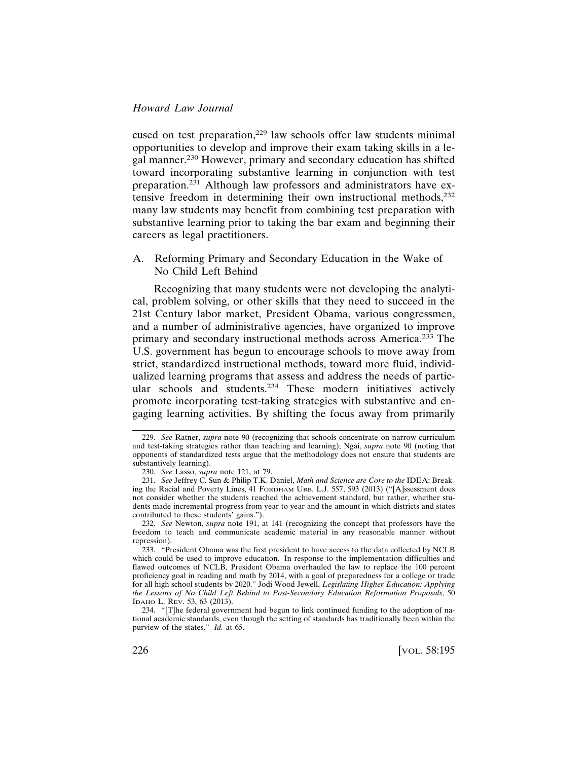cused on test preparation,<sup>229</sup> law schools offer law students minimal opportunities to develop and improve their exam taking skills in a legal manner.230 However, primary and secondary education has shifted toward incorporating substantive learning in conjunction with test preparation.231 Although law professors and administrators have extensive freedom in determining their own instructional methods,<sup>232</sup> many law students may benefit from combining test preparation with substantive learning prior to taking the bar exam and beginning their careers as legal practitioners.

A. Reforming Primary and Secondary Education in the Wake of No Child Left Behind

Recognizing that many students were not developing the analytical, problem solving, or other skills that they need to succeed in the 21st Century labor market, President Obama, various congressmen, and a number of administrative agencies, have organized to improve primary and secondary instructional methods across America.233 The U.S. government has begun to encourage schools to move away from strict, standardized instructional methods, toward more fluid, individualized learning programs that assess and address the needs of particular schools and students.234 These modern initiatives actively promote incorporating test-taking strategies with substantive and engaging learning activities. By shifting the focus away from primarily

<sup>229.</sup> *See* Ratner, *supra* note 90 (recognizing that schools concentrate on narrow curriculum and test-taking strategies rather than teaching and learning); Ngai, *supra* note 90 (noting that opponents of standardized tests argue that the methodology does not ensure that students are substantively learning).

<sup>230.</sup> *See* Lasso, *supra* note 121, at 79.

<sup>231.</sup> *See* Jeffrey C. Sun & Philip T.K. Daniel, *Math and Science are Core to the* IDEA: Breaking the Racial and Poverty Lines, 41 FORDHAM URB. L.J. 557, 593 (2013) ("[A]ssessment does not consider whether the students reached the achievement standard, but rather, whether students made incremental progress from year to year and the amount in which districts and states contributed to these students' gains.").

<sup>232.</sup> *See* Newton, *supra* note 191, at 141 (recognizing the concept that professors have the freedom to teach and communicate academic material in any reasonable manner without repression).

<sup>233. &</sup>quot;President Obama was the first president to have access to the data collected by NCLB which could be used to improve education. In response to the implementation difficulties and flawed outcomes of NCLB, President Obama overhauled the law to replace the 100 percent proficiency goal in reading and math by 2014, with a goal of preparedness for a college or trade for all high school students by 2020." Jodi Wood Jewell, *Legislating Higher Education: Applying the Lessons of No Child Left Behind to Post-Secondary Education Reformation Proposals*, 50 IDAHO L. REV. 53, 63 (2013).

<sup>234. &</sup>quot;[T]he federal government had begun to link continued funding to the adoption of national academic standards, even though the setting of standards has traditionally been within the purview of the states." *Id.* at 65.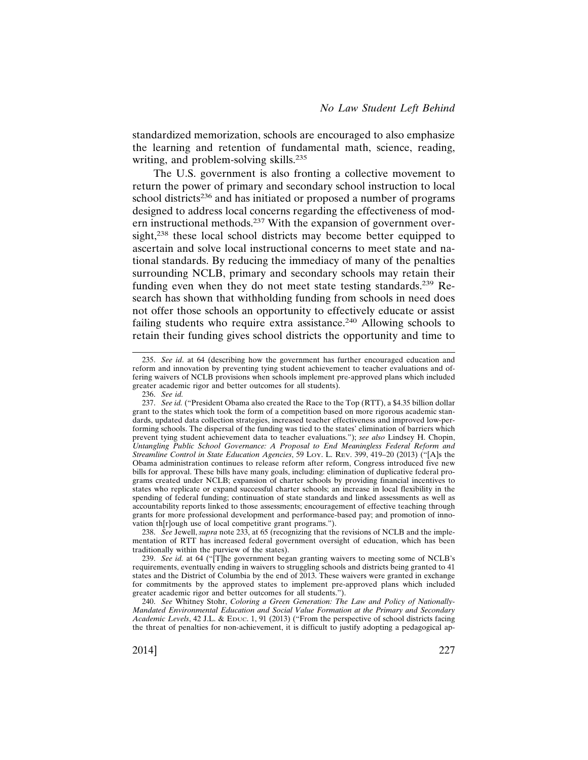standardized memorization, schools are encouraged to also emphasize the learning and retention of fundamental math, science, reading, writing, and problem-solving skills.<sup>235</sup>

The U.S. government is also fronting a collective movement to return the power of primary and secondary school instruction to local school districts<sup>236</sup> and has initiated or proposed a number of programs designed to address local concerns regarding the effectiveness of modern instructional methods.<sup>237</sup> With the expansion of government oversight,<sup>238</sup> these local school districts may become better equipped to ascertain and solve local instructional concerns to meet state and national standards. By reducing the immediacy of many of the penalties surrounding NCLB, primary and secondary schools may retain their funding even when they do not meet state testing standards.<sup>239</sup> Research has shown that withholding funding from schools in need does not offer those schools an opportunity to effectively educate or assist failing students who require extra assistance.<sup>240</sup> Allowing schools to retain their funding gives school districts the opportunity and time to

<sup>235.</sup> *See id*. at 64 (describing how the government has further encouraged education and reform and innovation by preventing tying student achievement to teacher evaluations and offering waivers of NCLB provisions when schools implement pre-approved plans which included greater academic rigor and better outcomes for all students).

<sup>236.</sup> *See id.*

<sup>237.</sup> *See id.* ("President Obama also created the Race to the Top (RTT), a \$4.35 billion dollar grant to the states which took the form of a competition based on more rigorous academic standards, updated data collection strategies, increased teacher effectiveness and improved low-performing schools. The dispersal of the funding was tied to the states' elimination of barriers which prevent tying student achievement data to teacher evaluations."); *see also* Lindsey H. Chopin, *Untangling Public School Governance: A Proposal to End Meaningless Federal Reform and Streamline Control in State Education Agencies*, 59 LOY. L. REV. 399, 419–20 (2013) ("[A]s the Obama administration continues to release reform after reform, Congress introduced five new bills for approval. These bills have many goals, including: elimination of duplicative federal programs created under NCLB; expansion of charter schools by providing financial incentives to states who replicate or expand successful charter schools; an increase in local flexibility in the spending of federal funding; continuation of state standards and linked assessments as well as accountability reports linked to those assessments; encouragement of effective teaching through grants for more professional development and performance-based pay; and promotion of innovation th[r]ough use of local competitive grant programs.").

<sup>238.</sup> *See* Jewell, *supra* note 233, at 65 (recognizing that the revisions of NCLB and the implementation of RTT has increased federal government oversight of education, which has been traditionally within the purview of the states).

<sup>239.</sup> *See id.* at 64 ("[T]he government began granting waivers to meeting some of NCLB's requirements, eventually ending in waivers to struggling schools and districts being granted to 41 states and the District of Columbia by the end of 2013. These waivers were granted in exchange for commitments by the approved states to implement pre-approved plans which included greater academic rigor and better outcomes for all students.").

<sup>240.</sup> *See* Whitney Stohr, *Coloring a Green Generation: The Law and Policy of Nationally-Mandated Environmental Education and Social Value Formation at the Primary and Secondary Academic Levels*, 42 J.L. & EDUC. 1, 91 (2013) ("From the perspective of school districts facing the threat of penalties for non-achievement, it is difficult to justify adopting a pedagogical ap-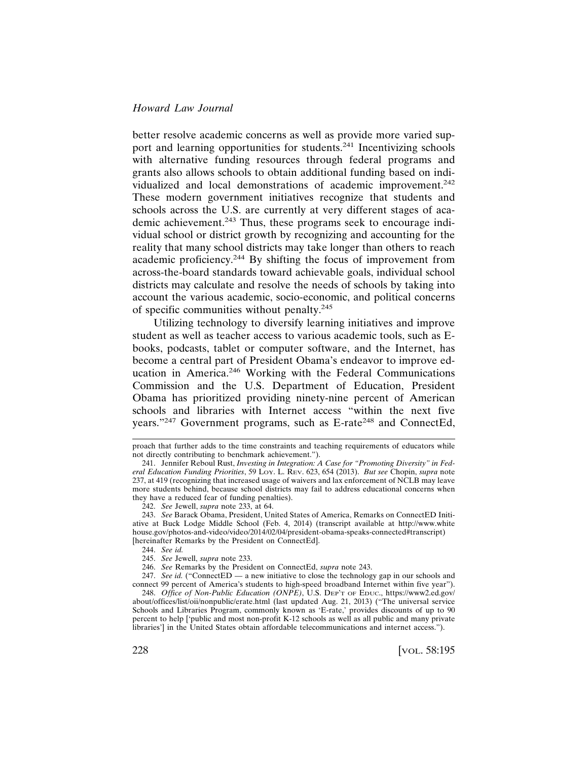better resolve academic concerns as well as provide more varied support and learning opportunities for students.<sup>241</sup> Incentivizing schools with alternative funding resources through federal programs and grants also allows schools to obtain additional funding based on individualized and local demonstrations of academic improvement.<sup>242</sup> These modern government initiatives recognize that students and schools across the U.S. are currently at very different stages of academic achievement.<sup>243</sup> Thus, these programs seek to encourage individual school or district growth by recognizing and accounting for the reality that many school districts may take longer than others to reach academic proficiency.244 By shifting the focus of improvement from across-the-board standards toward achievable goals, individual school districts may calculate and resolve the needs of schools by taking into account the various academic, socio-economic, and political concerns of specific communities without penalty.<sup>245</sup>

Utilizing technology to diversify learning initiatives and improve student as well as teacher access to various academic tools, such as Ebooks, podcasts, tablet or computer software, and the Internet, has become a central part of President Obama's endeavor to improve education in America.246 Working with the Federal Communications Commission and the U.S. Department of Education, President Obama has prioritized providing ninety-nine percent of American schools and libraries with Internet access "within the next five years."<sup>247</sup> Government programs, such as E-rate<sup>248</sup> and ConnectEd,

proach that further adds to the time constraints and teaching requirements of educators while not directly contributing to benchmark achievement.").

<sup>241.</sup> Jennifer Reboul Rust, *Investing in Integration: A Case for "Promoting Diversity" in Federal Education Funding Priorities*, 59 LOY. L. REV. 623, 654 (2013). *But see* Chopin, *supra* note 237, at 419 (recognizing that increased usage of waivers and lax enforcement of NCLB may leave more students behind, because school districts may fail to address educational concerns when they have a reduced fear of funding penalties).

<sup>242.</sup> *See* Jewell, *supra* note 233, at 64.

<sup>243.</sup> *See* Barack Obama, President, United States of America, Remarks on ConnectED Initiative at Buck Lodge Middle School (Feb. 4, 2014) (transcript available at http://www.white house.gov/photos-and-video/video/2014/02/04/president-obama-speaks-connected#transcript) [hereinafter Remarks by the President on ConnectEd].

<sup>244.</sup> *See id.*

<sup>245.</sup> *See* Jewell, *supra* note 233.

<sup>246.</sup> *See* Remarks by the President on ConnectEd, *supra* note 243.

<sup>247.</sup> *See id.* ("ConnectED — a new initiative to close the technology gap in our schools and connect 99 percent of America's students to high-speed broadband Internet within five year").

<sup>248.</sup> *Office of Non-Public Education (ONPE)*, U.S. DEP'T OF EDUC., https://www2.ed.gov/ about/offices/list/oii/nonpublic/erate.html (last updated Aug. 21, 2013) ("The universal service Schools and Libraries Program, commonly known as 'E-rate,' provides discounts of up to 90 percent to help ['public and most non-profit K-12 schools as well as all public and many private libraries'] in the United States obtain affordable telecommunications and internet access.").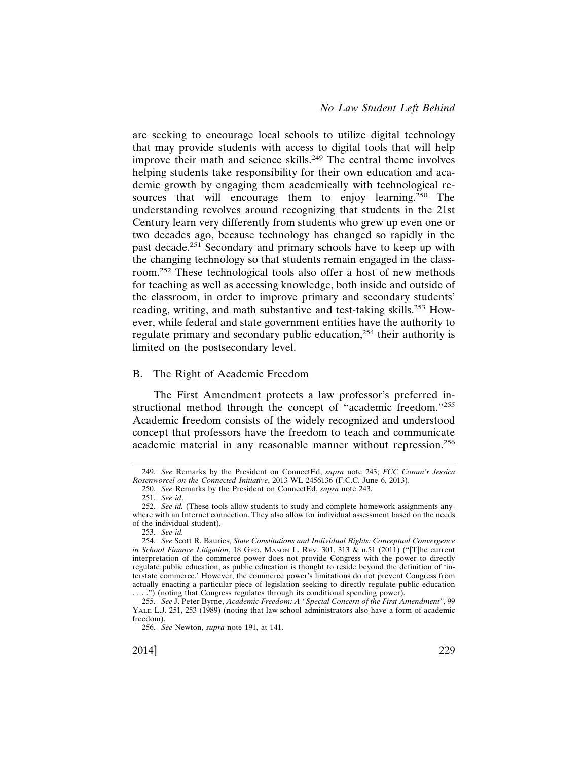are seeking to encourage local schools to utilize digital technology that may provide students with access to digital tools that will help improve their math and science skills.<sup>249</sup> The central theme involves helping students take responsibility for their own education and academic growth by engaging them academically with technological resources that will encourage them to enjoy learning.<sup>250</sup> The understanding revolves around recognizing that students in the 21st Century learn very differently from students who grew up even one or two decades ago, because technology has changed so rapidly in the past decade.251 Secondary and primary schools have to keep up with the changing technology so that students remain engaged in the classroom.252 These technological tools also offer a host of new methods for teaching as well as accessing knowledge, both inside and outside of the classroom, in order to improve primary and secondary students' reading, writing, and math substantive and test-taking skills.253 However, while federal and state government entities have the authority to regulate primary and secondary public education, $254$  their authority is limited on the postsecondary level.

#### B. The Right of Academic Freedom

The First Amendment protects a law professor's preferred instructional method through the concept of "academic freedom."<sup>255</sup> Academic freedom consists of the widely recognized and understood concept that professors have the freedom to teach and communicate academic material in any reasonable manner without repression.<sup>256</sup>

<sup>249.</sup> *See* Remarks by the President on ConnectEd, *supra* note 243; *FCC Comm'r Jessica Rosenworcel on the Connected Initiative*, 2013 WL 2456136 (F.C.C. June 6, 2013).

<sup>250.</sup> *See* Remarks by the President on ConnectEd, *supra* note 243.

<sup>251.</sup> *See id*.

<sup>252.</sup> *See id.* (These tools allow students to study and complete homework assignments anywhere with an Internet connection. They also allow for individual assessment based on the needs of the individual student).

<sup>253.</sup> *See id.*

<sup>254.</sup> *See* Scott R. Bauries, *State Constitutions and Individual Rights: Conceptual Convergence in School Finance Litigation*, 18 GEO. MASON L. REV. 301, 313 & n.51 (2011) ("[T]he current interpretation of the commerce power does not provide Congress with the power to directly regulate public education, as public education is thought to reside beyond the definition of 'interstate commerce.' However, the commerce power's limitations do not prevent Congress from actually enacting a particular piece of legislation seeking to directly regulate public education . . . .") (noting that Congress regulates through its conditional spending power).

<sup>255.</sup> *See* J. Peter Byrne, *Academic Freedom: A "Special Concern of the First Amendment"*, 99 YALE L.J. 251, 253 (1989) (noting that law school administrators also have a form of academic freedom).

<sup>256.</sup> *See* Newton, *supra* note 191, at 141.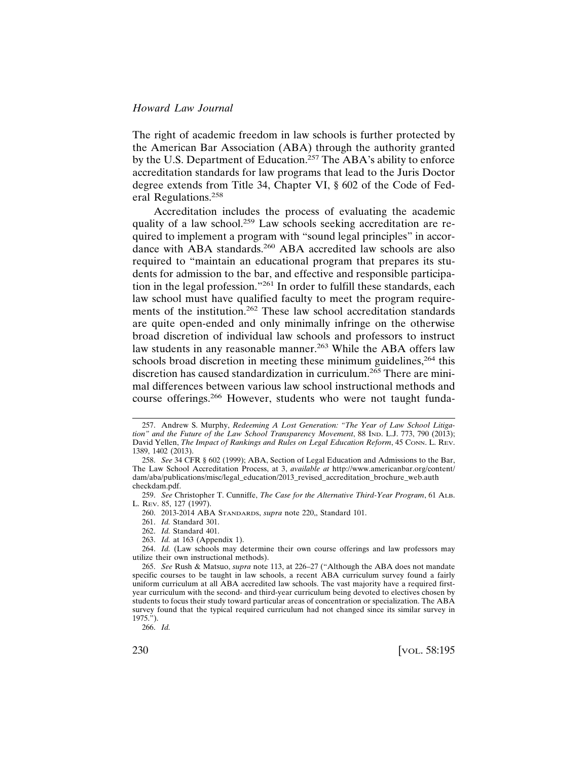The right of academic freedom in law schools is further protected by the American Bar Association (ABA) through the authority granted by the U.S. Department of Education.<sup>257</sup> The ABA's ability to enforce accreditation standards for law programs that lead to the Juris Doctor degree extends from Title 34, Chapter VI, § 602 of the Code of Federal Regulations.<sup>258</sup>

Accreditation includes the process of evaluating the academic quality of a law school.<sup>259</sup> Law schools seeking accreditation are required to implement a program with "sound legal principles" in accordance with ABA standards.<sup>260</sup> ABA accredited law schools are also required to "maintain an educational program that prepares its students for admission to the bar, and effective and responsible participation in the legal profession."261 In order to fulfill these standards, each law school must have qualified faculty to meet the program requirements of the institution.<sup>262</sup> These law school accreditation standards are quite open-ended and only minimally infringe on the otherwise broad discretion of individual law schools and professors to instruct law students in any reasonable manner.<sup>263</sup> While the ABA offers law schools broad discretion in meeting these minimum guidelines,<sup>264</sup> this discretion has caused standardization in curriculum.265 There are minimal differences between various law school instructional methods and course offerings.266 However, students who were not taught funda-

263. *Id.* at 163 (Appendix 1).

<sup>257.</sup> Andrew S. Murphy, *Redeeming A Lost Generation: "The Year of Law School Litigation" and the Future of the Law School Transparency Movement*, 88 IND. L.J. 773, 790 (2013); David Yellen, *The Impact of Rankings and Rules on Legal Education Reform*, 45 CONN. L. REV. 1389, 1402 (2013).

<sup>258.</sup> *See* 34 CFR § 602 (1999); ABA, Section of Legal Education and Admissions to the Bar, The Law School Accreditation Process, at 3, *available at* http://www.americanbar.org/content/ dam/aba/publications/misc/legal\_education/2013\_revised\_accreditation\_brochure\_web.auth checkdam.pdf.

<sup>259.</sup> *See* Christopher T. Cunniffe, *The Case for the Alternative Third-Year Program*, 61 ALB. L. REV. 85, 127 (1997).

<sup>260. 2013-2014</sup> ABA STANDARDS, *supra* note 220,, Standard 101.

<sup>261.</sup> *Id.* Standard 301.

<sup>262.</sup> *Id.* Standard 401.

<sup>264.</sup> *Id.* (Law schools may determine their own course offerings and law professors may utilize their own instructional methods).

<sup>265.</sup> *See* Rush & Matsuo, *supra* note 113, at 226–27 ("Although the ABA does not mandate specific courses to be taught in law schools, a recent ABA curriculum survey found a fairly uniform curriculum at all ABA accredited law schools. The vast majority have a required firstyear curriculum with the second- and third-year curriculum being devoted to electives chosen by students to focus their study toward particular areas of concentration or specialization. The ABA survey found that the typical required curriculum had not changed since its similar survey in  $1975."$ ).

<sup>266.</sup> *Id.*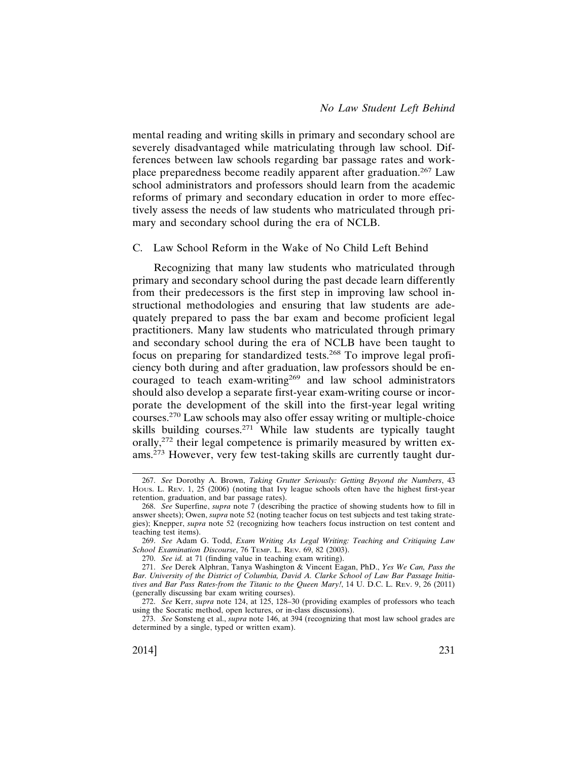mental reading and writing skills in primary and secondary school are severely disadvantaged while matriculating through law school. Differences between law schools regarding bar passage rates and workplace preparedness become readily apparent after graduation.267 Law school administrators and professors should learn from the academic reforms of primary and secondary education in order to more effectively assess the needs of law students who matriculated through primary and secondary school during the era of NCLB.

#### C. Law School Reform in the Wake of No Child Left Behind

Recognizing that many law students who matriculated through primary and secondary school during the past decade learn differently from their predecessors is the first step in improving law school instructional methodologies and ensuring that law students are adequately prepared to pass the bar exam and become proficient legal practitioners. Many law students who matriculated through primary and secondary school during the era of NCLB have been taught to focus on preparing for standardized tests.268 To improve legal proficiency both during and after graduation, law professors should be encouraged to teach exam-writing<sup>269</sup> and law school administrators should also develop a separate first-year exam-writing course or incorporate the development of the skill into the first-year legal writing courses.270 Law schools may also offer essay writing or multiple-choice skills building courses.<sup>271</sup> While law students are typically taught orally,<sup>272</sup> their legal competence is primarily measured by written exams.<sup>273</sup> However, very few test-taking skills are currently taught dur-

<sup>267.</sup> *See* Dorothy A. Brown, *Taking Grutter Seriously: Getting Beyond the Numbers*, 43 HOUS. L. REV. 1, 25 (2006) (noting that Ivy league schools often have the highest first-year retention, graduation, and bar passage rates).

<sup>268.</sup> *See* Superfine, *supra* note 7 (describing the practice of showing students how to fill in answer sheets); Owen, *supra* note 52 (noting teacher focus on test subjects and test taking strategies); Knepper, *supra* note 52 (recognizing how teachers focus instruction on test content and teaching test items).

<sup>269.</sup> *See* Adam G. Todd, *Exam Writing As Legal Writing: Teaching and Critiquing Law School Examination Discourse*, 76 TEMP. L. REV. 69, 82 (2003).

<sup>270.</sup> *See id.* at 71 (finding value in teaching exam writing).

<sup>271.</sup> *See* Derek Alphran, Tanya Washington & Vincent Eagan, PhD., *Yes We Can, Pass the Bar. University of the District of Columbia, David A. Clarke School of Law Bar Passage Initiatives and Bar Pass Rates-from the Titanic to the Queen Mary!*, 14 U. D.C. L. REV. 9, 26 (2011) (generally discussing bar exam writing courses).

<sup>272.</sup> *See* Kerr, *supra* note 124, at 125, 128–30 (providing examples of professors who teach using the Socratic method, open lectures, or in-class discussions).

<sup>273.</sup> *See* Sonsteng et al., *supra* note 146, at 394 (recognizing that most law school grades are determined by a single, typed or written exam).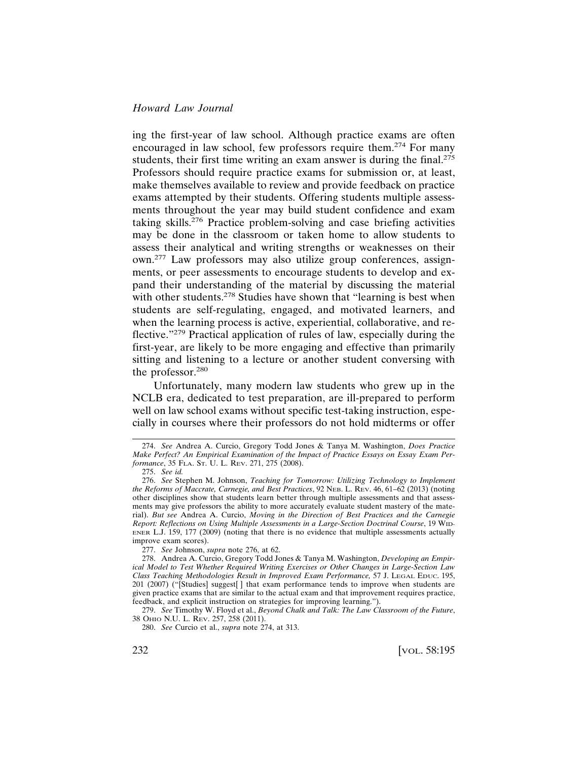ing the first-year of law school. Although practice exams are often encouraged in law school, few professors require them.274 For many students, their first time writing an exam answer is during the final.<sup>275</sup> Professors should require practice exams for submission or, at least, make themselves available to review and provide feedback on practice exams attempted by their students. Offering students multiple assessments throughout the year may build student confidence and exam taking skills.276 Practice problem-solving and case briefing activities may be done in the classroom or taken home to allow students to assess their analytical and writing strengths or weaknesses on their own.277 Law professors may also utilize group conferences, assignments, or peer assessments to encourage students to develop and expand their understanding of the material by discussing the material with other students.<sup>278</sup> Studies have shown that "learning is best when students are self-regulating, engaged, and motivated learners, and when the learning process is active, experiential, collaborative, and reflective."279 Practical application of rules of law, especially during the first-year, are likely to be more engaging and effective than primarily sitting and listening to a lecture or another student conversing with the professor.<sup>280</sup>

Unfortunately, many modern law students who grew up in the NCLB era, dedicated to test preparation, are ill-prepared to perform well on law school exams without specific test-taking instruction, especially in courses where their professors do not hold midterms or offer

277. *See* Johnson, *supra* note 276, at 62.

279. *See* Timothy W. Floyd et al., *Beyond Chalk and Talk: The Law Classroom of the Future*, 38 OHIO N.U. L. REV. 257, 258 (2011).

280. *See* Curcio et al., *supra* note 274, at 313.

<sup>274.</sup> *See* Andrea A. Curcio, Gregory Todd Jones & Tanya M. Washington, *Does Practice Make Perfect? An Empirical Examination of the Impact of Practice Essays on Essay Exam Performance*, 35 FLA. ST. U. L. REV. 271, 275 (2008).

<sup>275.</sup> *See id.*

<sup>276.</sup> *See* Stephen M. Johnson, *Teaching for Tomorrow: Utilizing Technology to Implement the Reforms of Maccrate, Carnegie, and Best Practices*, 92 NEB. L. REV. 46, 61–62 (2013) (noting other disciplines show that students learn better through multiple assessments and that assessments may give professors the ability to more accurately evaluate student mastery of the material). *But see* Andrea A. Curcio, *Moving in the Direction of Best Practices and the Carnegie Report: Reflections on Using Multiple Assessments in a Large-Section Doctrinal Course*, 19 WID-ENER L.J. 159, 177 (2009) (noting that there is no evidence that multiple assessments actually improve exam scores).

<sup>278.</sup> Andrea A. Curcio, Gregory Todd Jones & Tanya M. Washington, *Developing an Empirical Model to Test Whether Required Writing Exercises or Other Changes in Large-Section Law Class Teaching Methodologies Result in Improved Exam Performance,* 57 J. LEGAL EDUC. 195, 201 (2007) ("[Studies] suggest[ ] that exam performance tends to improve when students are given practice exams that are similar to the actual exam and that improvement requires practice, feedback, and explicit instruction on strategies for improving learning.").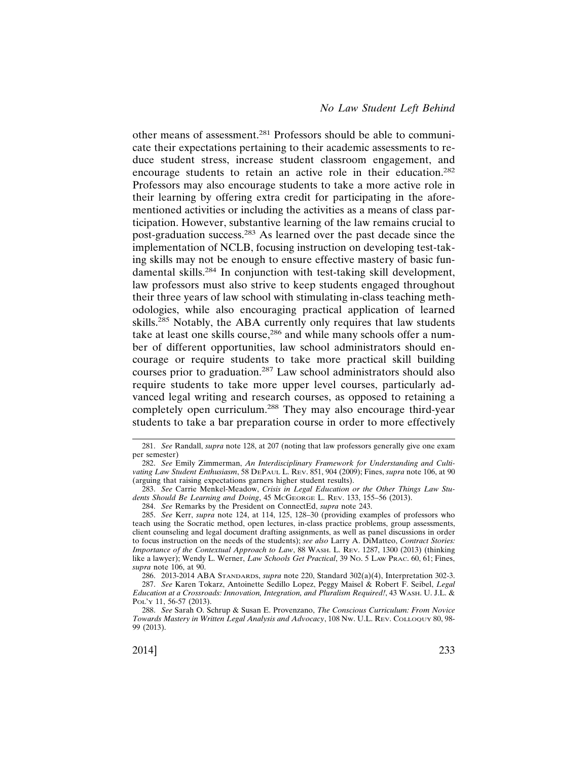other means of assessment.281 Professors should be able to communicate their expectations pertaining to their academic assessments to reduce student stress, increase student classroom engagement, and encourage students to retain an active role in their education.<sup>282</sup> Professors may also encourage students to take a more active role in their learning by offering extra credit for participating in the aforementioned activities or including the activities as a means of class participation. However, substantive learning of the law remains crucial to post-graduation success.283 As learned over the past decade since the implementation of NCLB, focusing instruction on developing test-taking skills may not be enough to ensure effective mastery of basic fundamental skills.284 In conjunction with test-taking skill development, law professors must also strive to keep students engaged throughout their three years of law school with stimulating in-class teaching methodologies, while also encouraging practical application of learned skills.285 Notably, the ABA currently only requires that law students take at least one skills course,<sup>286</sup> and while many schools offer a number of different opportunities, law school administrators should encourage or require students to take more practical skill building courses prior to graduation.287 Law school administrators should also require students to take more upper level courses, particularly advanced legal writing and research courses, as opposed to retaining a completely open curriculum.288 They may also encourage third-year students to take a bar preparation course in order to more effectively

<sup>281.</sup> *See* Randall, *supra* note 128, at 207 (noting that law professors generally give one exam per semester)

<sup>282.</sup> *See* Emily Zimmerman, *An Interdisciplinary Framework for Understanding and Cultivating Law Student Enthusiasm*, 58 DEPAUL L. REV. 851, 904 (2009); Fines, *supra* note 106, at 90 (arguing that raising expectations garners higher student results).

<sup>283.</sup> *See* Carrie Menkel-Meadow, *Crisis in Legal Education or the Other Things Law Students Should Be Learning and Doing*, 45 MCGEORGE L. REV. 133, 155–56 (2013).

<sup>284.</sup> *See* Remarks by the President on ConnectEd, *supra* note 243.

<sup>285.</sup> *See* Kerr, *supra* note 124, at 114, 125, 128–30 (providing examples of professors who teach using the Socratic method, open lectures, in-class practice problems, group assessments, client counseling and legal document drafting assignments, as well as panel discussions in order to focus instruction on the needs of the students); *see also* Larry A. DiMatteo, *Contract Stories: Importance of the Contextual Approach to Law*, 88 WASH. L. REV. 1287, 1300 (2013) (thinking like a lawyer); Wendy L. Werner, *Law Schools Get Practical*, 39 NO. 5 LAW PRAC. 60, 61; Fines, *supra* note 106, at 90.

<sup>286. 2013-2014</sup> ABA STANDARDS, *supra* note 220, Standard 302(a)(4), Interpretation 302-3.

<sup>287.</sup> *See* Karen Tokarz, Antoinette Sedillo Lopez, Peggy Maisel & Robert F. Seibel, *Legal Education at a Crossroads: Innovation, Integration, and Pluralism Required!*, 43 WASH. U. J.L. & POL'Y 11, 56-57 (2013).

<sup>288.</sup> *See* Sarah O. Schrup & Susan E. Provenzano, *The Conscious Curriculum: From Novice Towards Mastery in Written Legal Analysis and Advocacy*, 108 NW. U.L. REV. COLLOQUY 80, 98- 99 (2013).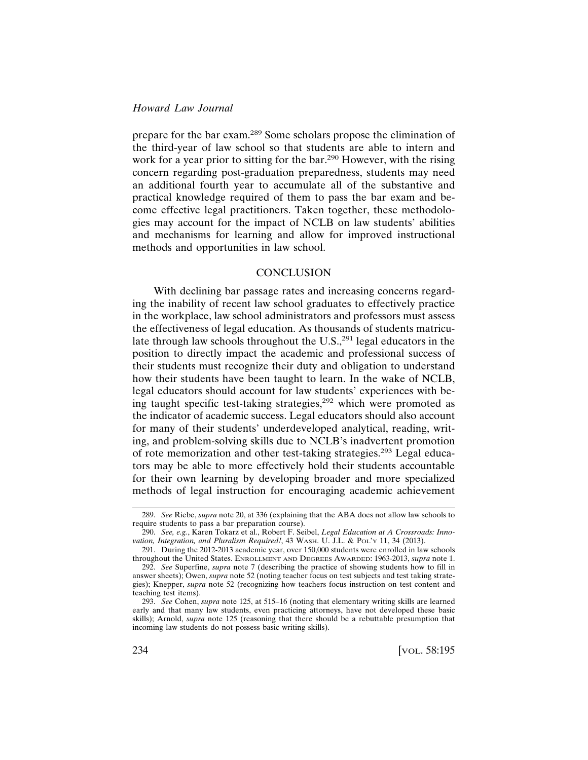prepare for the bar exam.289 Some scholars propose the elimination of the third-year of law school so that students are able to intern and work for a year prior to sitting for the bar.<sup>290</sup> However, with the rising concern regarding post-graduation preparedness, students may need an additional fourth year to accumulate all of the substantive and practical knowledge required of them to pass the bar exam and become effective legal practitioners. Taken together, these methodologies may account for the impact of NCLB on law students' abilities and mechanisms for learning and allow for improved instructional methods and opportunities in law school.

#### **CONCLUSION**

With declining bar passage rates and increasing concerns regarding the inability of recent law school graduates to effectively practice in the workplace, law school administrators and professors must assess the effectiveness of legal education. As thousands of students matriculate through law schools throughout the  $U.S.,<sup>291</sup>$  legal educators in the position to directly impact the academic and professional success of their students must recognize their duty and obligation to understand how their students have been taught to learn. In the wake of NCLB, legal educators should account for law students' experiences with being taught specific test-taking strategies, $292$  which were promoted as the indicator of academic success. Legal educators should also account for many of their students' underdeveloped analytical, reading, writing, and problem-solving skills due to NCLB's inadvertent promotion of rote memorization and other test-taking strategies.<sup>293</sup> Legal educators may be able to more effectively hold their students accountable for their own learning by developing broader and more specialized methods of legal instruction for encouraging academic achievement

<sup>289.</sup> *See* Riebe, *supra* note 20, at 336 (explaining that the ABA does not allow law schools to require students to pass a bar preparation course).

<sup>290.</sup> *See, e.g.*, Karen Tokarz et al., Robert F. Seibel, *Legal Education at A Crossroads: Innovation, Integration, and Pluralism Required!*, 43 WASH. U. J.L. & POL'Y 11, 34 (2013).

<sup>291.</sup> During the 2012-2013 academic year, over 150,000 students were enrolled in law schools throughout the United States. ENROLLMENT AND DEGREES AWARDED: 1963-2013, *supra* note 1.

<sup>292.</sup> *See* Superfine, *supra* note 7 (describing the practice of showing students how to fill in answer sheets); Owen, *supra* note 52 (noting teacher focus on test subjects and test taking strategies); Knepper, *supra* note 52 (recognizing how teachers focus instruction on test content and teaching test items).

<sup>293.</sup> *See* Cohen, *supra* note 125, at 515–16 (noting that elementary writing skills are learned early and that many law students, even practicing attorneys, have not developed these basic skills); Arnold, *supra* note 125 (reasoning that there should be a rebuttable presumption that incoming law students do not possess basic writing skills).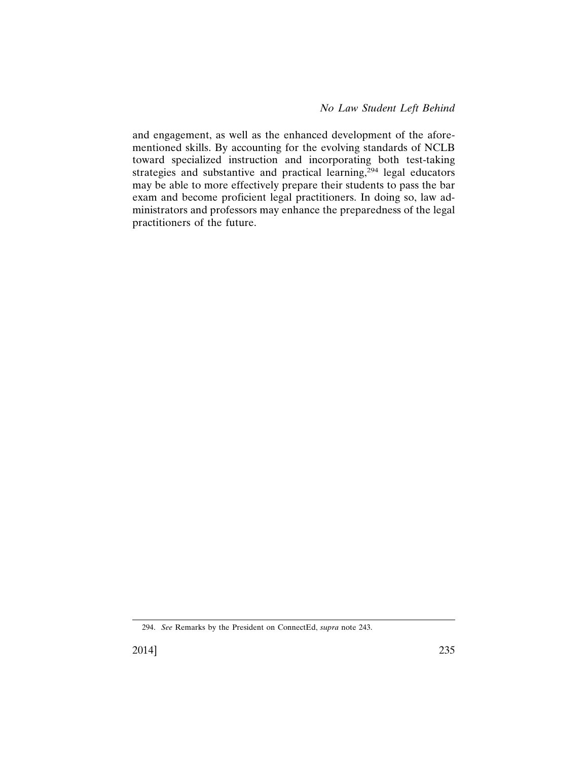## *No Law Student Left Behind*

and engagement, as well as the enhanced development of the aforementioned skills. By accounting for the evolving standards of NCLB toward specialized instruction and incorporating both test-taking strategies and substantive and practical learning,<sup>294</sup> legal educators may be able to more effectively prepare their students to pass the bar exam and become proficient legal practitioners. In doing so, law administrators and professors may enhance the preparedness of the legal practitioners of the future.

<sup>294.</sup> *See* Remarks by the President on ConnectEd, *supra* note 243.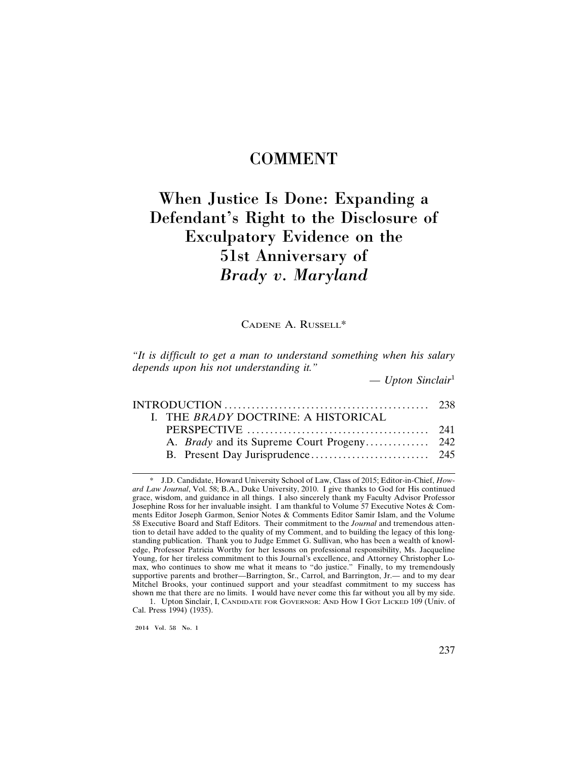## COMMENT

# When Justice Is Done: Expanding a Defendant's Right to the Disclosure of Exculpatory Evidence on the 51st Anniversary of *Brady v. Maryland*

CADENE A. RUSSELL\*

*"It is difficult to get a man to understand something when his salary depends upon his not understanding it."*

| INTRODUCTION $\ldots \ldots \ldots \ldots \ldots \ldots \ldots \ldots \ldots \ldots \ldots \ldots \ldots$ 238 |  |  |  |
|---------------------------------------------------------------------------------------------------------------|--|--|--|
|                                                                                                               |  |  |  |
| I. THE BRADY DOCTRINE: A HISTORICAL                                                                           |  |  |  |
|                                                                                                               |  |  |  |
|                                                                                                               |  |  |  |
|                                                                                                               |  |  |  |

2014 Vol. 58 No. 1

*— Upton Sinclair*<sup>1</sup>

<sup>\*</sup> J.D. Candidate, Howard University School of Law, Class of 2015; Editor-in-Chief, *Howard Law Journal*, Vol. 58; B.A., Duke University, 2010. I give thanks to God for His continued grace, wisdom, and guidance in all things. I also sincerely thank my Faculty Advisor Professor Josephine Ross for her invaluable insight. I am thankful to Volume 57 Executive Notes & Comments Editor Joseph Garmon, Senior Notes & Comments Editor Samir Islam, and the Volume 58 Executive Board and Staff Editors. Their commitment to the *Journal* and tremendous attention to detail have added to the quality of my Comment, and to building the legacy of this longstanding publication. Thank you to Judge Emmet G. Sullivan, who has been a wealth of knowledge, Professor Patricia Worthy for her lessons on professional responsibility, Ms. Jacqueline Young, for her tireless commitment to this Journal's excellence, and Attorney Christopher Lomax, who continues to show me what it means to "do justice." Finally, to my tremendously supportive parents and brother—Barrington, Sr., Carrol, and Barrington, Jr.— and to my dear Mitchel Brooks, your continued support and your steadfast commitment to my success has shown me that there are no limits. I would have never come this far without you all by my side.

<sup>1.</sup> Upton Sinclair, I, CANDIDATE FOR GOVERNOR: AND HOW I GOT LICKED 109 (Univ. of Cal. Press 1994) (1935).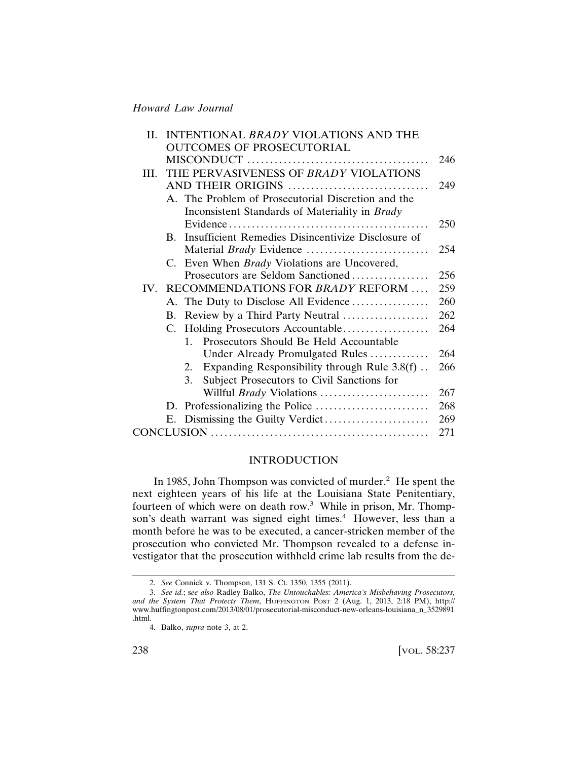| Н.   |             | INTENTIONAL BRADY VIOLATIONS AND THE               |     |
|------|-------------|----------------------------------------------------|-----|
|      |             | <b>OUTCOMES OF PROSECUTORIAL</b>                   |     |
|      |             |                                                    | 246 |
| III. |             | THE PERVASIVENESS OF BRADY VIOLATIONS              |     |
|      |             | AND THEIR ORIGINS                                  | 249 |
|      |             | A. The Problem of Prosecutorial Discretion and the |     |
|      |             | Inconsistent Standards of Materiality in Brady     |     |
|      |             |                                                    | 250 |
|      | $B_{\cdot}$ | Insufficient Remedies Disincentivize Disclosure of |     |
|      |             | Material Brady Evidence                            | 254 |
|      |             | C. Even When Brady Violations are Uncovered,       |     |
|      |             | Prosecutors are Seldom Sanctioned                  | 256 |
| IV.  |             | RECOMMENDATIONS FOR BRADY REFORM                   | 259 |
|      |             | A. The Duty to Disclose All Evidence               | 260 |
|      | <b>B.</b>   | Review by a Third Party Neutral                    | 262 |
|      |             | C. Holding Prosecutors Accountable                 | 264 |
|      |             | Prosecutors Should Be Held Accountable<br>$1_{-}$  |     |
|      |             | Under Already Promulgated Rules                    | 264 |
|      |             | Expanding Responsibility through Rule 3.8(f)<br>2. | 266 |
|      |             | Subject Prosecutors to Civil Sanctions for<br>3.   |     |
|      |             | Willful <i>Brady</i> Violations                    | 267 |
|      |             |                                                    | 268 |
|      |             |                                                    | 269 |
|      |             |                                                    | 271 |
|      |             |                                                    |     |

#### INTRODUCTION

In 1985, John Thompson was convicted of murder.2 He spent the next eighteen years of his life at the Louisiana State Penitentiary, fourteen of which were on death row.3 While in prison, Mr. Thompson's death warrant was signed eight times.<sup>4</sup> However, less than a month before he was to be executed, a cancer-stricken member of the prosecution who convicted Mr. Thompson revealed to a defense investigator that the prosecution withheld crime lab results from the de-

<sup>2.</sup> *See* Connick v. Thompson, 131 S. Ct. 1350, 1355 (2011).

<sup>3.</sup> *See id.*; s*ee also* Radley Balko, *The Untouchables: America's Misbehaving Prosecutors, and the System That Protects Them*, HUFFINGTON POST 2 (Aug. 1, 2013, 2:18 PM), http:// www.huffingtonpost.com/2013/08/01/prosecutorial-misconduct-new-orleans-louisiana\_n\_3529891 .html.

<sup>4.</sup> Balko, *supra* note 3, at 2.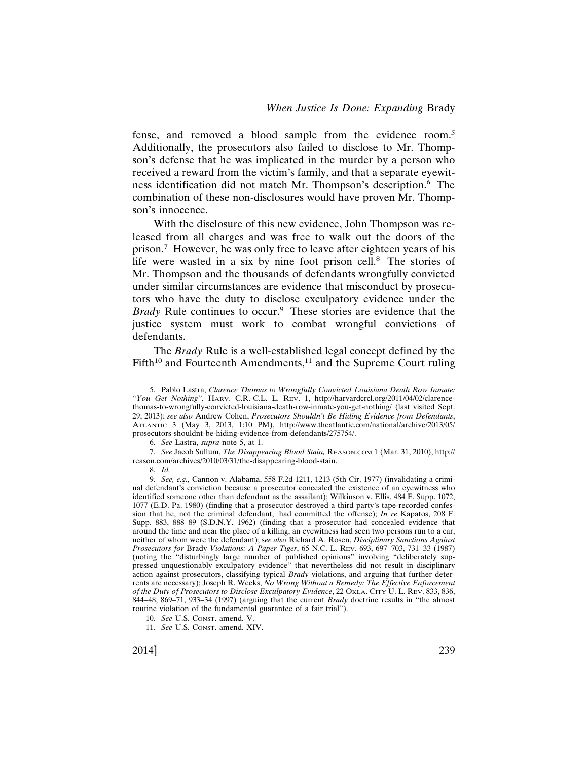fense, and removed a blood sample from the evidence room.<sup>5</sup> Additionally, the prosecutors also failed to disclose to Mr. Thompson's defense that he was implicated in the murder by a person who received a reward from the victim's family, and that a separate eyewitness identification did not match Mr. Thompson's description.6 The combination of these non-disclosures would have proven Mr. Thompson's innocence.

With the disclosure of this new evidence, John Thompson was released from all charges and was free to walk out the doors of the prison.7 However, he was only free to leave after eighteen years of his life were wasted in a six by nine foot prison cell.8 The stories of Mr. Thompson and the thousands of defendants wrongfully convicted under similar circumstances are evidence that misconduct by prosecutors who have the duty to disclose exculpatory evidence under the *Brady* Rule continues to occur.<sup>9</sup> These stories are evidence that the justice system must work to combat wrongful convictions of defendants.

The *Brady* Rule is a well-established legal concept defined by the Fifth<sup>10</sup> and Fourteenth Amendments,<sup>11</sup> and the Supreme Court ruling

2014] 239

<sup>5.</sup> Pablo Lastra, *Clarence Thomas to Wrongfully Convicted Louisiana Death Row Inmate: "You Get Nothing"*, HARV. C.R.-C.L. L. REV. 1, http://harvardcrcl.org/2011/04/02/clarencethomas-to-wrongfully-convicted-louisiana-death-row-inmate-you-get-nothing/ (last visited Sept. 29, 2013); *see also* Andrew Cohen, *Prosecutors Shouldn't Be Hiding Evidence from Defendants*, ATLANTIC 3 (May 3, 2013, 1:10 PM), http://www.theatlantic.com/national/archive/2013/05/ prosecutors-shouldnt-be-hiding-evidence-from-defendants/275754/.

<sup>6.</sup> *See* Lastra, *supra* note 5, at 1.

<sup>7.</sup> *See* Jacob Sullum, *The Disappearing Blood Stain,* REASON.COM 1 (Mar. 31, 2010), http:// reason.com/archives/2010/03/31/the-disappearing-blood-stain.

<sup>8.</sup> *Id.*

<sup>9.</sup> *See, e.g.,* Cannon v. Alabama, 558 F.2d 1211, 1213 (5th Cir. 1977) (invalidating a criminal defendant's conviction because a prosecutor concealed the existence of an eyewitness who identified someone other than defendant as the assailant); Wilkinson v. Ellis, 484 F. Supp. 1072, 1077 (E.D. Pa. 1980) (finding that a prosecutor destroyed a third party's tape-recorded confession that he, not the criminal defendant, had committed the offense); *In re* Kapatos, 208 F. Supp. 883, 888*–*89 (S.D.N.Y. 1962) (finding that a prosecutor had concealed evidence that around the time and near the place of a killing, an eyewitness had seen two persons run to a car, neither of whom were the defendant); s*ee also* Richard A. Rosen, *Disciplinary Sanctions Against Prosecutors for* Brady *Violations: A Paper Tiger*, 65 N.C. L. REV. 693, 697*–*703, 731*–*33 (1987) (noting the "disturbingly large number of published opinions" involving "deliberately suppressed unquestionably exculpatory evidence" that nevertheless did not result in disciplinary action against prosecutors, classifying typical *Brady* violations, and arguing that further deterrents are necessary); Joseph R. Weeks, *No Wrong Without a Remedy: The Effective Enforcement of the Duty of Prosecutors to Disclose Exculpatory Evidence*, 22 OKLA. CITY U. L. REV. 833, 836, 844*–*48, 869*–*71, 933*–*34 (1997) (arguing that the current *Brady* doctrine results in "the almost routine violation of the fundamental guarantee of a fair trial").

<sup>10.</sup> *See* U.S. CONST. amend. V.

<sup>11.</sup> *See* U.S. CONST. amend. XIV.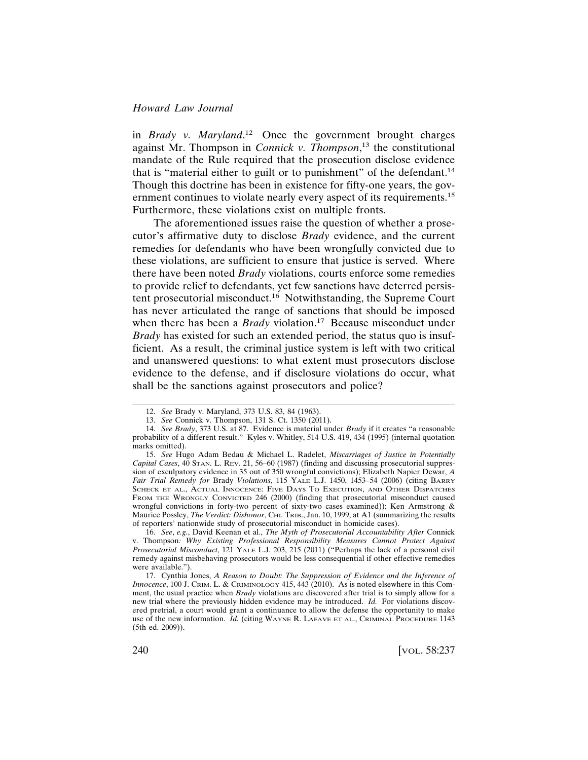in *Brady v. Maryland*. 12 Once the government brought charges against Mr. Thompson in *Connick v. Thompson*, 13 the constitutional mandate of the Rule required that the prosecution disclose evidence that is "material either to guilt or to punishment" of the defendant. $14$ Though this doctrine has been in existence for fifty-one years, the government continues to violate nearly every aspect of its requirements.<sup>15</sup> Furthermore, these violations exist on multiple fronts.

The aforementioned issues raise the question of whether a prosecutor's affirmative duty to disclose *Brady* evidence, and the current remedies for defendants who have been wrongfully convicted due to these violations, are sufficient to ensure that justice is served. Where there have been noted *Brady* violations, courts enforce some remedies to provide relief to defendants, yet few sanctions have deterred persistent prosecutorial misconduct.16 Notwithstanding, the Supreme Court has never articulated the range of sanctions that should be imposed when there has been a *Brady* violation.<sup>17</sup> Because misconduct under *Brady* has existed for such an extended period, the status quo is insufficient. As a result, the criminal justice system is left with two critical and unanswered questions: to what extent must prosecutors disclose evidence to the defense, and if disclosure violations do occur, what shall be the sanctions against prosecutors and police?

<sup>12.</sup> *See* Brady v. Maryland, 373 U.S. 83, 84 (1963).

<sup>13.</sup> *See* Connick v. Thompson, 131 S. Ct. 1350 (2011).

<sup>14.</sup> *See Brady*, 373 U.S. at 87. Evidence is material under *Brady* if it creates "a reasonable probability of a different result." Kyles v. Whitley, 514 U.S. 419, 434 (1995) (internal quotation marks omitted).

<sup>15.</sup> *See* Hugo Adam Bedau & Michael L. Radelet, *Miscarriages of Justice in Potentially Capital Cases*, 40 STAN. L. REV. 21, 56*–*60 (1987) (finding and discussing prosecutorial suppression of exculpatory evidence in 35 out of 350 wrongful convictions); Elizabeth Napier Dewar, *A Fair Trial Remedy for* Brady *Violations*, 115 YALE L.J. 1450, 1453*–*54 (2006) (citing BARRY SCHECK ET AL., ACTUAL INNOCENCE: FIVE DAYS TO EXECUTION, AND OTHER DISPATCHES FROM THE WRONGLY CONVICTED 246 (2000) (finding that prosecutorial misconduct caused wrongful convictions in forty-two percent of sixty-two cases examined)); Ken Armstrong & Maurice Possley, *The Verdict: Dishonor*, C<sub>HI</sub>. TRIB., Jan. 10, 1999, at A1 (summarizing the results of reporters' nationwide study of prosecutorial misconduct in homicide cases).

<sup>16.</sup> *See*, *e.g.*, David Keenan et al., *The Myth of Prosecutorial Accountability After* Connick v. Thompson*: Why Existing Professional Responsibility Measures Cannot Protect Against Prosecutorial Misconduct*, 121 YALE L.J. 203, 215 (2011) ("Perhaps the lack of a personal civil remedy against misbehaving prosecutors would be less consequential if other effective remedies were available.").

<sup>17.</sup> Cynthia Jones, *A Reason to Doubt: The Suppression of Evidence and the Inference of Innocence*, 100 J. CRIM. L. & CRIMINOLOGY 415, 443 (2010). As is noted elsewhere in this Comment, the usual practice when *Brady* violations are discovered after trial is to simply allow for a new trial where the previously hidden evidence may be introduced. *Id.* For violations discovered pretrial, a court would grant a continuance to allow the defense the opportunity to make use of the new information. *Id.* (citing WAYNE R. LAFAVE ET AL., CRIMINAL PROCEDURE 1143 (5th ed. 2009)).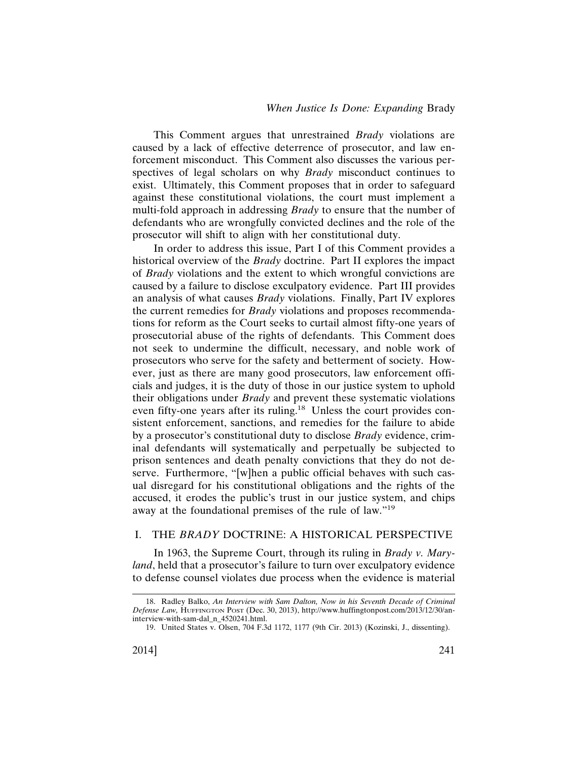This Comment argues that unrestrained *Brady* violations are caused by a lack of effective deterrence of prosecutor, and law enforcement misconduct. This Comment also discusses the various perspectives of legal scholars on why *Brady* misconduct continues to exist. Ultimately, this Comment proposes that in order to safeguard against these constitutional violations, the court must implement a multi-fold approach in addressing *Brady* to ensure that the number of defendants who are wrongfully convicted declines and the role of the prosecutor will shift to align with her constitutional duty.

In order to address this issue, Part I of this Comment provides a historical overview of the *Brady* doctrine. Part II explores the impact of *Brady* violations and the extent to which wrongful convictions are caused by a failure to disclose exculpatory evidence. Part III provides an analysis of what causes *Brady* violations. Finally, Part IV explores the current remedies for *Brady* violations and proposes recommendations for reform as the Court seeks to curtail almost fifty-one years of prosecutorial abuse of the rights of defendants. This Comment does not seek to undermine the difficult, necessary, and noble work of prosecutors who serve for the safety and betterment of society. However, just as there are many good prosecutors, law enforcement officials and judges, it is the duty of those in our justice system to uphold their obligations under *Brady* and prevent these systematic violations even fifty-one years after its ruling.18 Unless the court provides consistent enforcement, sanctions, and remedies for the failure to abide by a prosecutor's constitutional duty to disclose *Brady* evidence, criminal defendants will systematically and perpetually be subjected to prison sentences and death penalty convictions that they do not deserve. Furthermore, "[w]hen a public official behaves with such casual disregard for his constitutional obligations and the rights of the accused, it erodes the public's trust in our justice system, and chips away at the foundational premises of the rule of law."19

#### I. THE *BRADY* DOCTRINE: A HISTORICAL PERSPECTIVE

In 1963, the Supreme Court, through its ruling in *Brady v. Maryland*, held that a prosecutor's failure to turn over exculpatory evidence to defense counsel violates due process when the evidence is material

<sup>18.</sup> Radley Balko, *An Interview with Sam Dalton, Now in his Seventh Decade of Criminal Defense Law,* HUFFINGTON POST (Dec. 30, 2013), http://www.huffingtonpost.com/2013/12/30/aninterview-with-sam-dal\_n\_4520241.html.

<sup>19.</sup> United States v. Olsen, 704 F.3d 1172, 1177 (9th Cir. 2013) (Kozinski, J., dissenting).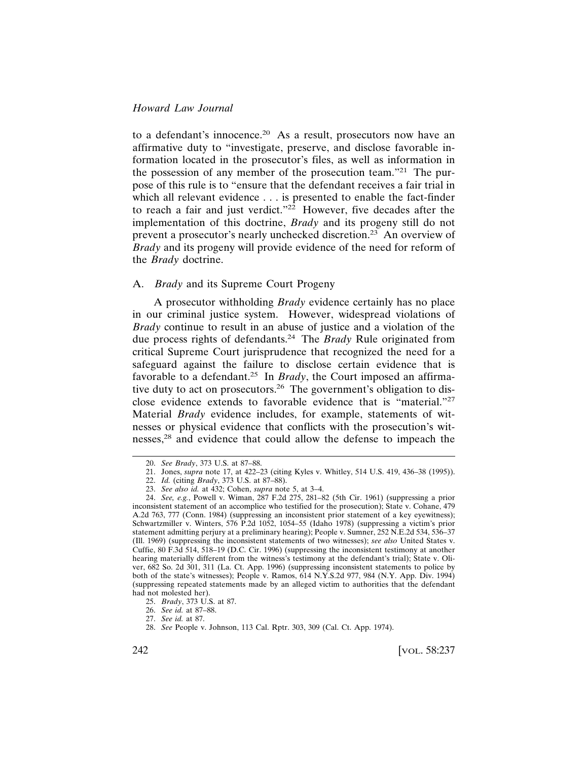to a defendant's innocence.20 As a result, prosecutors now have an affirmative duty to "investigate, preserve, and disclose favorable information located in the prosecutor's files, as well as information in the possession of any member of the prosecution team."21 The purpose of this rule is to "ensure that the defendant receives a fair trial in which all relevant evidence . . . is presented to enable the fact-finder to reach a fair and just verdict." $2^2$  However, five decades after the implementation of this doctrine, *Brady* and its progeny still do not prevent a prosecutor's nearly unchecked discretion.23 An overview of *Brady* and its progeny will provide evidence of the need for reform of the *Brady* doctrine.

#### A. *Brady* and its Supreme Court Progeny

A prosecutor withholding *Brady* evidence certainly has no place in our criminal justice system. However, widespread violations of *Brady* continue to result in an abuse of justice and a violation of the due process rights of defendants.24 The *Brady* Rule originated from critical Supreme Court jurisprudence that recognized the need for a safeguard against the failure to disclose certain evidence that is favorable to a defendant.25 In *Brady*, the Court imposed an affirmative duty to act on prosecutors.<sup>26</sup> The government's obligation to disclose evidence extends to favorable evidence that is "material."<sup>27</sup> Material *Brady* evidence includes, for example, statements of witnesses or physical evidence that conflicts with the prosecution's witnesses,28 and evidence that could allow the defense to impeach the

<sup>20.</sup> *See Brady*, 373 U.S. at 87–88.

<sup>21.</sup> Jones, *supra* note 17, at 422*–*23 (citing Kyles v. Whitley, 514 U.S. 419, 436–38 (1995)).

<sup>22.</sup> *Id.* (citing *Brady*, 373 U.S. at 87*–*88).

<sup>23.</sup> *See also id.* at 432; Cohen, *supra* note 5, at 3–4.

<sup>24.</sup> *See, e.g.*, Powell v. Wiman, 287 F.2d 275, 281*–*82 (5th Cir. 1961) (suppressing a prior inconsistent statement of an accomplice who testified for the prosecution); State v. Cohane, 479 A.2d 763, 777 (Conn. 1984) (suppressing an inconsistent prior statement of a key eyewitness); Schwartzmiller v. Winters, 576 P.2d 1052, 1054*–*55 (Idaho 1978) (suppressing a victim's prior statement admitting perjury at a preliminary hearing); People v. Sumner, 252 N.E.2d 534, 536*–*37 (Ill. 1969) (suppressing the inconsistent statements of two witnesses); *see also* United States v. Cuffie, 80 F.3d 514, 518*–*19 (D.C. Cir. 1996) (suppressing the inconsistent testimony at another hearing materially different from the witness's testimony at the defendant's trial); State v. Oliver, 682 So. 2d 301, 311 (La. Ct. App. 1996) (suppressing inconsistent statements to police by both of the state's witnesses); People v. Ramos, 614 N.Y.S.2d 977, 984 (N.Y. App. Div. 1994) (suppressing repeated statements made by an alleged victim to authorities that the defendant had not molested her).

<sup>25.</sup> *Brady*, 373 U.S. at 87.

<sup>26.</sup> *See id.* at 87–88.

<sup>27.</sup> *See id.* at 87.

<sup>28.</sup> *See* People v. Johnson, 113 Cal. Rptr. 303, 309 (Cal. Ct. App. 1974).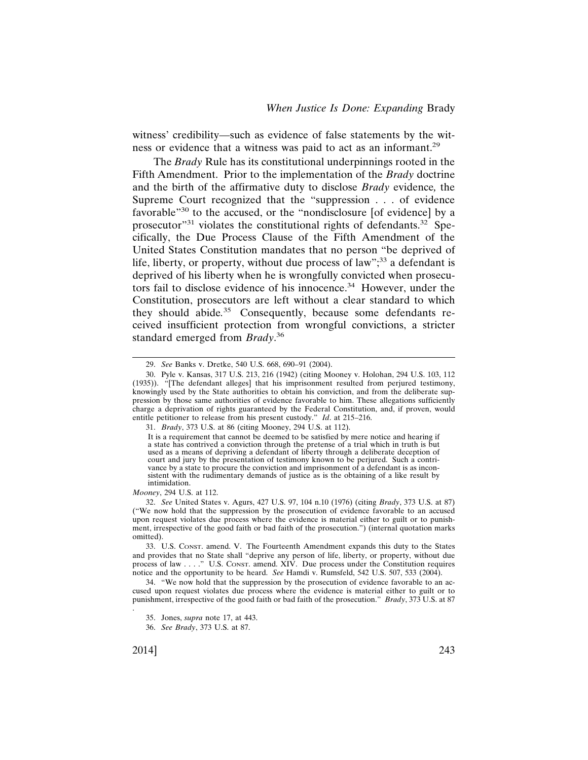witness' credibility—such as evidence of false statements by the witness or evidence that a witness was paid to act as an informant.<sup>29</sup>

The *Brady* Rule has its constitutional underpinnings rooted in the Fifth Amendment. Prior to the implementation of the *Brady* doctrine and the birth of the affirmative duty to disclose *Brady* evidence*,* the Supreme Court recognized that the "suppression . . . of evidence favorable<sup>"30</sup> to the accused, or the "nondisclosure [of evidence] by a prosecutor"31 violates the constitutional rights of defendants.32 Specifically, the Due Process Clause of the Fifth Amendment of the United States Constitution mandates that no person "be deprived of life, liberty, or property, without due process of law"; $^{33}$  a defendant is deprived of his liberty when he is wrongfully convicted when prosecutors fail to disclose evidence of his innocence.<sup>34</sup> However, under the Constitution, prosecutors are left without a clear standard to which they should abide*.* 35 Consequently, because some defendants received insufficient protection from wrongful convictions, a stricter standard emerged from *Brady*. 36

31. *Brady*, 373 U.S. at 86 (citing Mooney, 294 U.S. at 112).

It is a requirement that cannot be deemed to be satisfied by mere notice and hearing if a state has contrived a conviction through the pretense of a trial which in truth is but used as a means of depriving a defendant of liberty through a deliberate deception of court and jury by the presentation of testimony known to be perjured. Such a contrivance by a state to procure the conviction and imprisonment of a defendant is as inconsistent with the rudimentary demands of justice as is the obtaining of a like result by intimidation.

*Mooney*, 294 U.S. at 112.

32. *See* United States v. Agurs, 427 U.S. 97, 104 n.10 (1976) (citing *Brady*, 373 U.S. at 87) ("We now hold that the suppression by the prosecution of evidence favorable to an accused upon request violates due process where the evidence is material either to guilt or to punishment, irrespective of the good faith or bad faith of the prosecution.") (internal quotation marks omitted).

33. U.S. CONST. amend. V. The Fourteenth Amendment expands this duty to the States and provides that no State shall "deprive any person of life, liberty, or property, without due process of law . . . ." U.S. CONST. amend. XIV. Due process under the Constitution requires notice and the opportunity to be heard. *See* Hamdi v. Rumsfeld, 542 U.S. 507, 533 (2004).

34. "We now hold that the suppression by the prosecution of evidence favorable to an accused upon request violates due process where the evidence is material either to guilt or to punishment, irrespective of the good faith or bad faith of the prosecution." *Brady*, 373 U.S. at 87

2014] 243

.

<sup>29.</sup> *See* Banks v. Dretke, 540 U.S. 668, 690*–*91 (2004).

<sup>30.</sup> Pyle v. Kansas, 317 U.S. 213, 216 (1942) (citing Mooney v. Holohan, 294 U.S. 103, 112 (1935)). "[The defendant alleges] that his imprisonment resulted from perjured testimony, knowingly used by the State authorities to obtain his conviction, and from the deliberate suppression by those same authorities of evidence favorable to him. These allegations sufficiently charge a deprivation of rights guaranteed by the Federal Constitution, and, if proven, would entitle petitioner to release from his present custody." *Id*. at 215–216.

<sup>35.</sup> Jones, *supra* note 17, at 443.

<sup>36.</sup> *See Brady*, 373 U.S. at 87.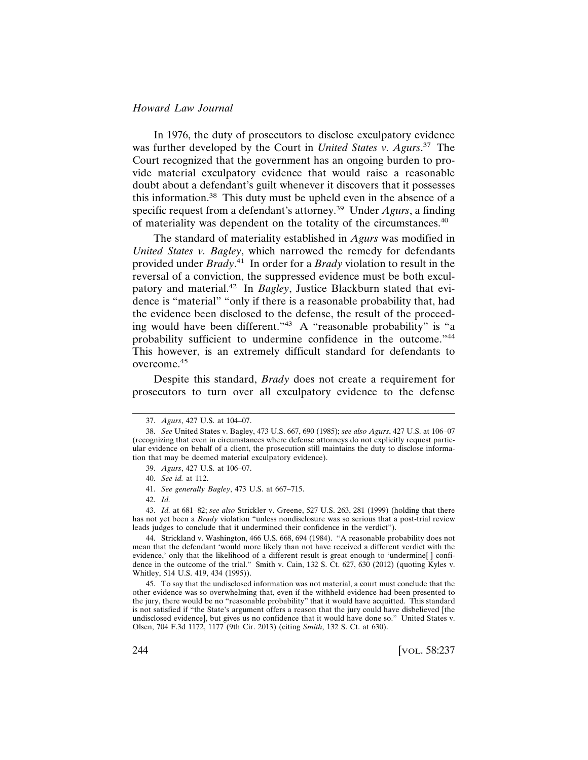In 1976, the duty of prosecutors to disclose exculpatory evidence was further developed by the Court in *United States v. Agurs*. 37 The Court recognized that the government has an ongoing burden to provide material exculpatory evidence that would raise a reasonable doubt about a defendant's guilt whenever it discovers that it possesses this information.38 This duty must be upheld even in the absence of a specific request from a defendant's attorney.39 Under *Agurs*, a finding of materiality was dependent on the totality of the circumstances.<sup>40</sup>

The standard of materiality established in *Agurs* was modified in *United States v. Bagley*, which narrowed the remedy for defendants provided under *Brady*. 41 In order for a *Brady* violation to result in the reversal of a conviction, the suppressed evidence must be both exculpatory and material.42 In *Bagley*, Justice Blackburn stated that evidence is "material" "only if there is a reasonable probability that, had the evidence been disclosed to the defense, the result of the proceeding would have been different."43 A "reasonable probability" is "a probability sufficient to undermine confidence in the outcome."<sup>44</sup> This however, is an extremely difficult standard for defendants to overcome.45

Despite this standard, *Brady* does not create a requirement for prosecutors to turn over all exculpatory evidence to the defense

43. *Id.* at 681–82; *see also* Strickler v. Greene, 527 U.S. 263, 281 (1999) (holding that there has not yet been a *Brady* violation "unless nondisclosure was so serious that a post-trial review leads judges to conclude that it undermined their confidence in the verdict").

44. Strickland v. Washington, 466 U.S. 668, 694 (1984). "A reasonable probability does not mean that the defendant 'would more likely than not have received a different verdict with the evidence,' only that the likelihood of a different result is great enough to 'undermine[ ] confidence in the outcome of the trial." Smith v. Cain, 132 S. Ct. 627, 630 (2012) (quoting Kyles v. Whitley, 514 U.S. 419, 434 (1995)).

<sup>37.</sup> *Agurs*, 427 U.S. at 104*–*07.

<sup>38.</sup> *See* United States v. Bagley, 473 U.S. 667, 690 (1985); *see also Agurs*, 427 U.S. at 106*–*07 (recognizing that even in circumstances where defense attorneys do not explicitly request particular evidence on behalf of a client, the prosecution still maintains the duty to disclose information that may be deemed material exculpatory evidence).

<sup>39.</sup> *Agurs*, 427 U.S. at 106*–*07.

<sup>40.</sup> *See id.* at 112.

<sup>41.</sup> *See generally Bagley*, 473 U.S. at 667–715.

<sup>42.</sup> *Id.*

<sup>45.</sup> To say that the undisclosed information was not material, a court must conclude that the other evidence was so overwhelming that, even if the withheld evidence had been presented to the jury, there would be no "reasonable probability" that it would have acquitted. This standard is not satisfied if "the State's argument offers a reason that the jury could have disbelieved [the undisclosed evidence], but gives us no confidence that it would have done so." United States v. Olsen, 704 F.3d 1172, 1177 (9th Cir. 2013) (citing *Smith*, 132 S. Ct. at 630).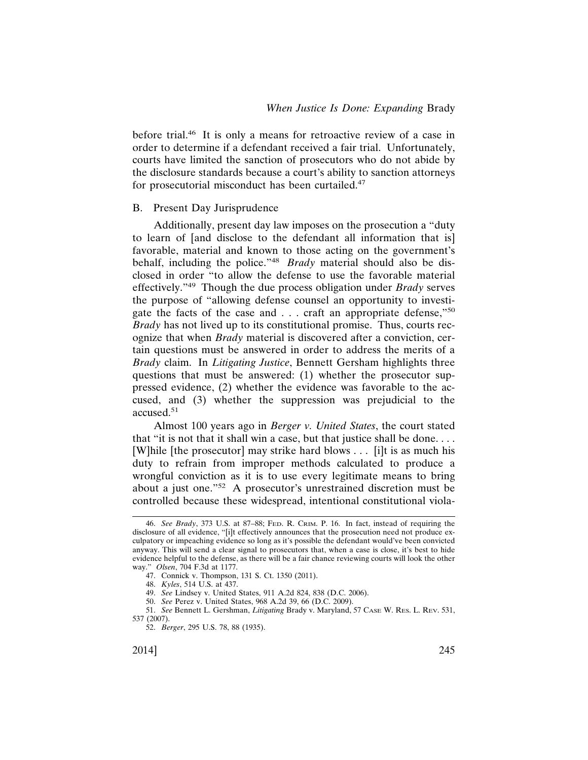before trial.46 It is only a means for retroactive review of a case in order to determine if a defendant received a fair trial. Unfortunately, courts have limited the sanction of prosecutors who do not abide by the disclosure standards because a court's ability to sanction attorneys for prosecutorial misconduct has been curtailed.<sup>47</sup>

#### B. Present Day Jurisprudence

Additionally, present day law imposes on the prosecution a "duty to learn of [and disclose to the defendant all information that is] favorable, material and known to those acting on the government's behalf, including the police."<sup>48</sup> *Brady* material should also be disclosed in order "to allow the defense to use the favorable material effectively."49 Though the due process obligation under *Brady* serves the purpose of "allowing defense counsel an opportunity to investigate the facts of the case and . . . craft an appropriate defense,"<sup>50</sup> *Brady* has not lived up to its constitutional promise. Thus, courts recognize that when *Brady* material is discovered after a conviction, certain questions must be answered in order to address the merits of a *Brady* claim. In *Litigating Justice*, Bennett Gersham highlights three questions that must be answered: (1) whether the prosecutor suppressed evidence, (2) whether the evidence was favorable to the accused, and (3) whether the suppression was prejudicial to the accused.51

Almost 100 years ago in *Berger v. United States*, the court stated that "it is not that it shall win a case, but that justice shall be done. . . . [W]hile [the prosecutor] may strike hard blows . . . [i]t is as much his duty to refrain from improper methods calculated to produce a wrongful conviction as it is to use every legitimate means to bring about a just one."52 A prosecutor's unrestrained discretion must be controlled because these widespread, intentional constitutional viola-

<sup>46.</sup> *See Brady*, 373 U.S. at 87*–*88; FED. R. CRIM. P. 16. In fact, instead of requiring the disclosure of all evidence, "[i]t effectively announces that the prosecution need not produce exculpatory or impeaching evidence so long as it's possible the defendant would've been convicted anyway. This will send a clear signal to prosecutors that, when a case is close, it's best to hide evidence helpful to the defense, as there will be a fair chance reviewing courts will look the other way." *Olsen*, 704 F.3d at 1177.

<sup>47.</sup> Connick v. Thompson, 131 S. Ct. 1350 (2011).

<sup>48.</sup> *Kyles*, 514 U.S. at 437.

<sup>49.</sup> *See* Lindsey v. United States, 911 A.2d 824, 838 (D.C. 2006).

<sup>50.</sup> *See* Perez v. United States, 968 A.2d 39, 66 (D.C. 2009).

<sup>51.</sup> *See* Bennett L. Gershman, *Litigating* Brady v. Maryland, 57 CASE W. RES. L. REV. 531, 537 (2007).

<sup>52.</sup> *Berger*, 295 U.S. 78, 88 (1935).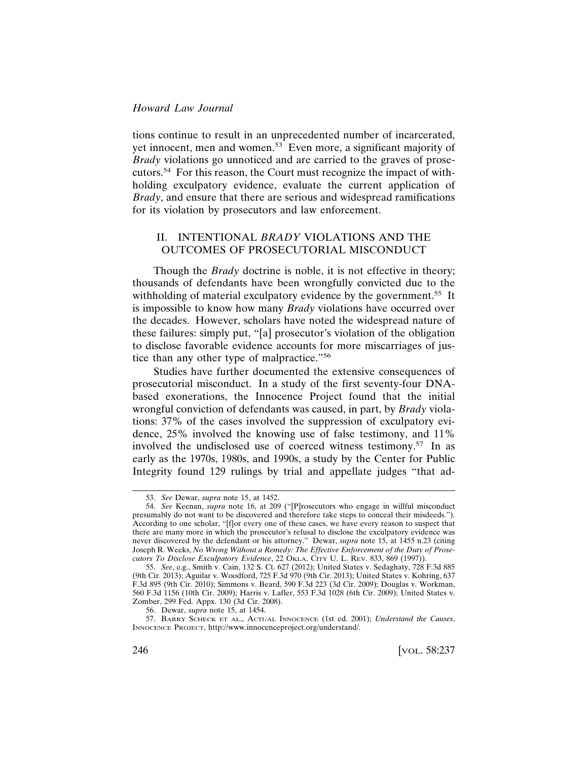tions continue to result in an unprecedented number of incarcerated, yet innocent, men and women.<sup>53</sup> Even more, a significant majority of *Brady* violations go unnoticed and are carried to the graves of prosecutors.54 For this reason, the Court must recognize the impact of withholding exculpatory evidence, evaluate the current application of *Brady*, and ensure that there are serious and widespread ramifications for its violation by prosecutors and law enforcement.

## II. INTENTIONAL *BRADY* VIOLATIONS AND THE OUTCOMES OF PROSECUTORIAL MISCONDUCT

Though the *Brady* doctrine is noble, it is not effective in theory; thousands of defendants have been wrongfully convicted due to the withholding of material exculpatory evidence by the government.<sup>55</sup> It is impossible to know how many *Brady* violations have occurred over the decades. However, scholars have noted the widespread nature of these failures: simply put, "[a] prosecutor's violation of the obligation to disclose favorable evidence accounts for more miscarriages of justice than any other type of malpractice."<sup>56</sup>

Studies have further documented the extensive consequences of prosecutorial misconduct. In a study of the first seventy-four DNAbased exonerations, the Innocence Project found that the initial wrongful conviction of defendants was caused, in part, by *Brady* violations: 37% of the cases involved the suppression of exculpatory evidence, 25% involved the knowing use of false testimony, and 11% involved the undisclosed use of coerced witness testimony.57 In as early as the 1970s, 1980s, and 1990s, a study by the Center for Public Integrity found 129 rulings by trial and appellate judges "that ad-

<sup>53.</sup> *See* Dewar, *supra* note 15, at 1452.

<sup>54.</sup> *See* Keenan, *supra* note 16, at 209 ("[P]rosecutors who engage in willful misconduct presumably do not want to be discovered and therefore take steps to conceal their misdeeds."). According to one scholar, "[f]or every one of these cases, we have every reason to suspect that there are many more in which the prosecutor's refusal to disclose the exculpatory evidence was never discovered by the defendant or his attorney." Dewar, *supra* note 15, at 1455 n.23 (citing Joseph R. Weeks, *No Wrong Without a Remedy: The Effective Enforcement of the Duty of Prosecutors To Disclose Exculpatory Evidence*, 22 OKLA. CITY U. L. REV. 833, 869 (1997)).

<sup>55.</sup> *See*, e.g., Smith v. Cain, 132 S. Ct. 627 (2012); United States v. Sedaghaty, 728 F.3d 885 (9th Cir. 2013); Aguilar v. Woodford, 725 F.3d 970 (9th Cir. 2013); United States v. Kohring, 637 F.3d 895 (9th Cir. 2010); Simmons v. Beard, 590 F.3d 223 (3d Cir. 2009); Douglas v. Workman, 560 F.3d 1156 (10th Cir. 2009); Harris v. Lafler, 553 F.3d 1028 (6th Cir. 2009); United States v. Zomber, 299 Fed. Appx. 130 (3d Cir. 2008).

<sup>56.</sup> Dewar, *supra* note 15, at 1454.

<sup>57.</sup> BARRY SCHECK ET AL., ACTUAL INNOCENCE (1st ed. 2001); *Understand the Causes*, INNOCENCE PROJECT, http://www.innocenceproject.org/understand/.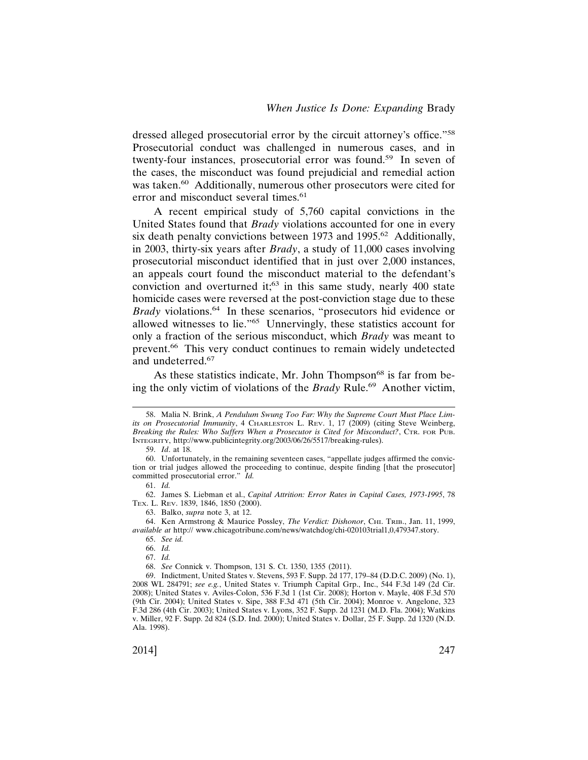dressed alleged prosecutorial error by the circuit attorney's office."<sup>58</sup> Prosecutorial conduct was challenged in numerous cases, and in twenty-four instances, prosecutorial error was found.<sup>59</sup> In seven of the cases, the misconduct was found prejudicial and remedial action was taken.<sup>60</sup> Additionally, numerous other prosecutors were cited for error and misconduct several times.<sup>61</sup>

A recent empirical study of 5,760 capital convictions in the United States found that *Brady* violations accounted for one in every six death penalty convictions between 1973 and 1995.<sup>62</sup> Additionally, in 2003, thirty-six years after *Brady*, a study of 11,000 cases involving prosecutorial misconduct identified that in just over 2,000 instances, an appeals court found the misconduct material to the defendant's conviction and overturned it;<sup>63</sup> in this same study, nearly 400 state homicide cases were reversed at the post-conviction stage due to these *Brady* violations.<sup>64</sup> In these scenarios, "prosecutors hid evidence or allowed witnesses to lie."65 Unnervingly, these statistics account for only a fraction of the serious misconduct, which *Brady* was meant to prevent.66 This very conduct continues to remain widely undetected and undeterred.<sup>67</sup>

As these statistics indicate, Mr. John Thompson<sup>68</sup> is far from being the only victim of violations of the *Brady* Rule.<sup>69</sup> Another victim,

<sup>58.</sup> Malia N. Brink, *A Pendulum Swung Too Far: Why the Supreme Court Must Place Limits on Prosecutorial Immunity*, 4 CHARLESTON L. REV. 1, 17 (2009) (citing Steve Weinberg, *Breaking the Rules: Who Suffers When a Prosecutor is Cited for Misconduct?*, CTR. FOR PUB. INTEGRITY, http://www.publicintegrity.org/2003/06/26/5517/breaking-rules).

<sup>59.</sup> *Id*. at 18.

<sup>60.</sup> Unfortunately, in the remaining seventeen cases, "appellate judges affirmed the conviction or trial judges allowed the proceeding to continue, despite finding [that the prosecutor] committed prosecutorial error." *Id.*

<sup>61.</sup> *Id.*

<sup>62.</sup> James S. Liebman et al., *Capital Attrition: Error Rates in Capital Cases, 1973-1995*, 78 TEX. L. REV. 1839, 1846, 1850 (2000).

<sup>63.</sup> Balko, *supra* note 3, at 12.

<sup>64.</sup> Ken Armstrong & Maurice Possley, *The Verdict: Dishonor*, CHI. TRIB., Jan. 11, 1999, *available at* http:// www.chicagotribune.com/news/watchdog/chi-020103trial1,0,479347.story.

<sup>65.</sup> *See id.*

<sup>66.</sup> *Id.*

<sup>67.</sup> *Id.*

<sup>68.</sup> *See* Connick v. Thompson, 131 S. Ct. 1350, 1355 (2011).

<sup>69.</sup> Indictment, United States v. Stevens, 593 F. Supp. 2d 177, 179–84 (D.D.C. 2009) (No. 1), 2008 WL 284791; *see e.g.*, United States v. Triumph Capital Grp., Inc., 544 F.3d 149 (2d Cir. 2008); United States v. Aviles-Colon, 536 F.3d 1 (1st Cir. 2008); Horton v. Mayle, 408 F.3d 570 (9th Cir. 2004); United States v. Sipe, 388 F.3d 471 (5th Cir. 2004); Monroe v. Angelone, 323 F.3d 286 (4th Cir. 2003); United States v. Lyons, 352 F. Supp. 2d 1231 (M.D. Fla. 2004); Watkins v. Miller, 92 F. Supp. 2d 824 (S.D. Ind. 2000); United States v. Dollar, 25 F. Supp. 2d 1320 (N.D. Ala. 1998).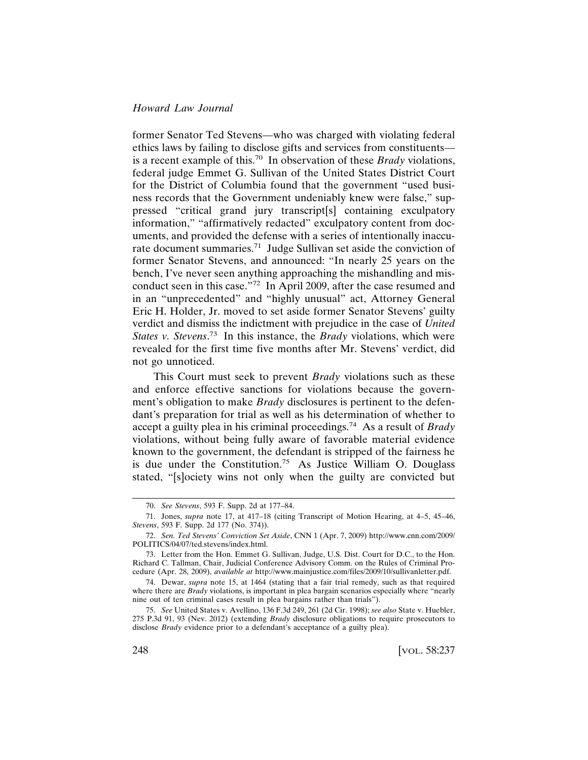former Senator Ted Stevens—who was charged with violating federal ethics laws by failing to disclose gifts and services from constituents is a recent example of this.70 In observation of these *Brady* violations, federal judge Emmet G. Sullivan of the United States District Court for the District of Columbia found that the government "used business records that the Government undeniably knew were false," suppressed "critical grand jury transcript[s] containing exculpatory information," "affirmatively redacted" exculpatory content from documents, and provided the defense with a series of intentionally inaccurate document summaries.71 Judge Sullivan set aside the conviction of former Senator Stevens, and announced: "In nearly 25 years on the bench, I've never seen anything approaching the mishandling and misconduct seen in this case."72 In April 2009, after the case resumed and in an "unprecedented" and "highly unusual" act, Attorney General Eric H. Holder, Jr. moved to set aside former Senator Stevens' guilty verdict and dismiss the indictment with prejudice in the case of *United States v. Stevens*. 73 In this instance, the *Brady* violations, which were revealed for the first time five months after Mr. Stevens' verdict, did not go unnoticed.

This Court must seek to prevent *Brady* violations such as these and enforce effective sanctions for violations because the government's obligation to make *Brady* disclosures is pertinent to the defendant's preparation for trial as well as his determination of whether to accept a guilty plea in his criminal proceedings.74 As a result of *Brady* violations, without being fully aware of favorable material evidence known to the government, the defendant is stripped of the fairness he is due under the Constitution.<sup>75</sup> As Justice William O. Douglass stated, "[s]ociety wins not only when the guilty are convicted but

<sup>70.</sup> *See Stevens*, 593 F. Supp. 2d at 177–84.

<sup>71.</sup> Jones, *supra* note 17, at 417–18 (citing Transcript of Motion Hearing, at 4–5, 45–46, *Stevens*, 593 F. Supp. 2d 177 (No. 374)).

<sup>72.</sup> *Sen. Ted Stevens' Conviction Set Aside*, CNN 1 (Apr. 7, 2009) http://www.cnn.com/2009/ POLITICS/04/07/ted.stevens/index.html.

<sup>73.</sup> Letter from the Hon. Emmet G. Sullivan, Judge, U.S. Dist. Court for D.C., to the Hon. Richard C. Tallman, Chair, Judicial Conference Advisory Comm. on the Rules of Criminal Procedure (Apr. 28, 2009), *available at* http://www.mainjustice.com/files/2009/10/sullivanletter.pdf.

<sup>74.</sup> Dewar, *supra* note 15, at 1464 (stating that a fair trial remedy, such as that required where there are *Brady* violations, is important in plea bargain scenarios especially where "nearly nine out of ten criminal cases result in plea bargains rather than trials").

<sup>75.</sup> *See* United States v. Avellino, 136 F.3d 249, 261 (2d Cir. 1998); *see also* State v. Huebler, 275 P.3d 91, 93 (Nev. 2012) (extending *Brady* disclosure obligations to require prosecutors to disclose *Brady* evidence prior to a defendant's acceptance of a guilty plea).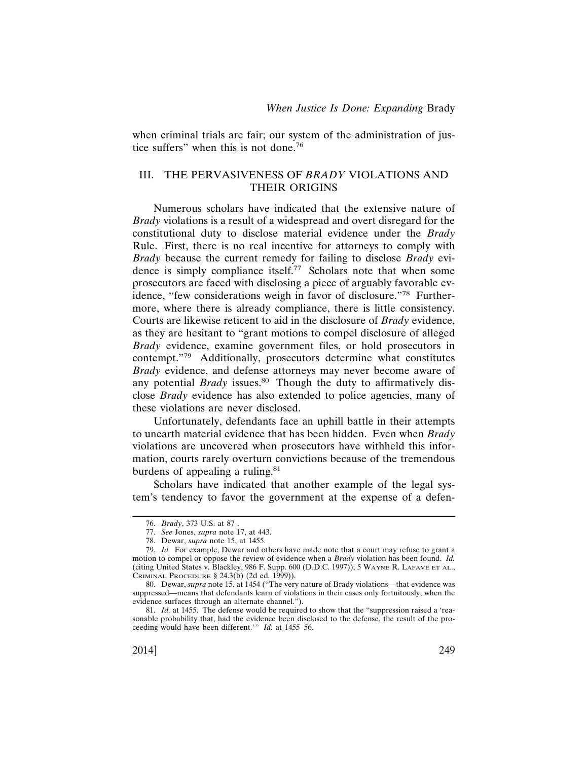when criminal trials are fair; our system of the administration of justice suffers" when this is not done.<sup>76</sup>

## III. THE PERVASIVENESS OF *BRADY* VIOLATIONS AND THEIR ORIGINS

Numerous scholars have indicated that the extensive nature of *Brady* violations is a result of a widespread and overt disregard for the constitutional duty to disclose material evidence under the *Brady* Rule. First, there is no real incentive for attorneys to comply with *Brady* because the current remedy for failing to disclose *Brady* evidence is simply compliance itself.77 Scholars note that when some prosecutors are faced with disclosing a piece of arguably favorable evidence, "few considerations weigh in favor of disclosure."78 Furthermore, where there is already compliance, there is little consistency. Courts are likewise reticent to aid in the disclosure of *Brady* evidence, as they are hesitant to "grant motions to compel disclosure of alleged *Brady* evidence, examine government files, or hold prosecutors in contempt."79 Additionally, prosecutors determine what constitutes *Brady* evidence, and defense attorneys may never become aware of any potential *Brady* issues.<sup>80</sup> Though the duty to affirmatively disclose *Brady* evidence has also extended to police agencies, many of these violations are never disclosed.

Unfortunately, defendants face an uphill battle in their attempts to unearth material evidence that has been hidden. Even when *Brady* violations are uncovered when prosecutors have withheld this information, courts rarely overturn convictions because of the tremendous burdens of appealing a ruling. $81$ 

Scholars have indicated that another example of the legal system's tendency to favor the government at the expense of a defen-

<sup>76.</sup> *Brady*, 373 U.S. at 87 .

<sup>77.</sup> *See* Jones, *supra* note 17, at 443.

<sup>78.</sup> Dewar, *supra* note 15, at 1455.

<sup>79.</sup> *Id.* For example, Dewar and others have made note that a court may refuse to grant a motion to compel or oppose the review of evidence when a *Brady* violation has been found. *Id.* (citing United States v. Blackley, 986 F. Supp. 600 (D.D.C. 1997)); 5 WAYNE R. LAFAVE ET AL., CRIMINAL PROCEDURE  $\S$  24.3(b) (2d ed. 1999)).

<sup>80.</sup> Dewar, *supra* note 15, at 1454 ("The very nature of Brady violations—that evidence was suppressed—means that defendants learn of violations in their cases only fortuitously, when the evidence surfaces through an alternate channel.").

<sup>81.</sup> *Id.* at 1455. The defense would be required to show that the "suppression raised a 'reasonable probability that, had the evidence been disclosed to the defense, the result of the proceeding would have been different.'" *Id.* at 1455*–*56.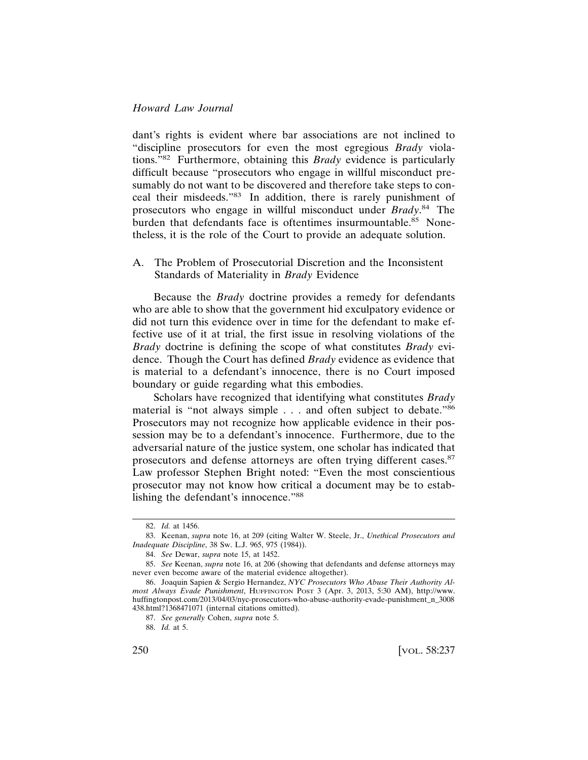dant's rights is evident where bar associations are not inclined to "discipline prosecutors for even the most egregious *Brady* violations."82 Furthermore, obtaining this *Brady* evidence is particularly difficult because "prosecutors who engage in willful misconduct presumably do not want to be discovered and therefore take steps to conceal their misdeeds."83 In addition, there is rarely punishment of prosecutors who engage in willful misconduct under *Brady*. 84 The burden that defendants face is oftentimes insurmountable.<sup>85</sup> Nonetheless, it is the role of the Court to provide an adequate solution.

## A. The Problem of Prosecutorial Discretion and the Inconsistent Standards of Materiality in *Brady* Evidence

Because the *Brady* doctrine provides a remedy for defendants who are able to show that the government hid exculpatory evidence or did not turn this evidence over in time for the defendant to make effective use of it at trial, the first issue in resolving violations of the *Brady* doctrine is defining the scope of what constitutes *Brady* evidence. Though the Court has defined *Brady* evidence as evidence that is material to a defendant's innocence, there is no Court imposed boundary or guide regarding what this embodies.

Scholars have recognized that identifying what constitutes *Brady* material is "not always simple . . . and often subject to debate."<sup>86</sup> Prosecutors may not recognize how applicable evidence in their possession may be to a defendant's innocence. Furthermore, due to the adversarial nature of the justice system, one scholar has indicated that prosecutors and defense attorneys are often trying different cases.87 Law professor Stephen Bright noted: "Even the most conscientious prosecutor may not know how critical a document may be to establishing the defendant's innocence."<sup>88</sup>

<sup>82.</sup> *Id.* at 1456.

<sup>83.</sup> Keenan, *supra* note 16, at 209 (citing Walter W. Steele, Jr., *Unethical Prosecutors and Inadequate Discipline*, 38 SW. L.J. 965, 975 (1984)).

<sup>84.</sup> *See* Dewar, *supra* note 15, at 1452.

<sup>85.</sup> *See* Keenan, *supra* note 16, at 206 (showing that defendants and defense attorneys may never even become aware of the material evidence altogether).

<sup>86.</sup> Joaquin Sapien & Sergio Hernandez, *NYC Prosecutors Who Abuse Their Authority Almost Always Evade Punishment*, HUFFINGTON POST 3 (Apr. 3, 2013, 5:30 AM), http://www. huffingtonpost.com/2013/04/03/nyc-prosecutors-who-abuse-authority-evade-punishment\_n\_3008 438.html?1368471071 (internal citations omitted).

<sup>87.</sup> *See generally* Cohen, *supra* note 5.

<sup>88.</sup> *Id.* at 5.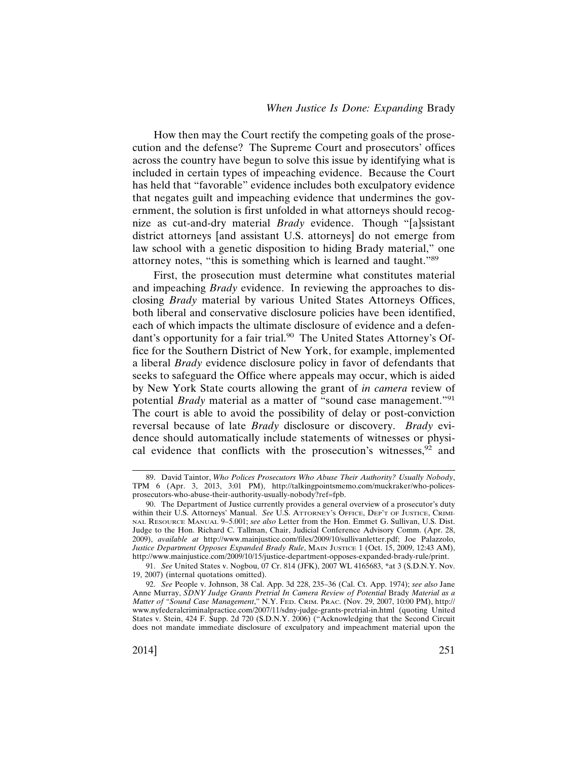How then may the Court rectify the competing goals of the prosecution and the defense? The Supreme Court and prosecutors' offices across the country have begun to solve this issue by identifying what is included in certain types of impeaching evidence. Because the Court has held that "favorable" evidence includes both exculpatory evidence that negates guilt and impeaching evidence that undermines the government, the solution is first unfolded in what attorneys should recognize as cut-and-dry material *Brady* evidence. Though "[a]ssistant district attorneys [and assistant U.S. attorneys] do not emerge from law school with a genetic disposition to hiding Brady material," one attorney notes, "this is something which is learned and taught."<sup>89</sup>

First, the prosecution must determine what constitutes material and impeaching *Brady* evidence. In reviewing the approaches to disclosing *Brady* material by various United States Attorneys Offices, both liberal and conservative disclosure policies have been identified, each of which impacts the ultimate disclosure of evidence and a defendant's opportunity for a fair trial.<sup>90</sup> The United States Attorney's Office for the Southern District of New York, for example, implemented a liberal *Brady* evidence disclosure policy in favor of defendants that seeks to safeguard the Office where appeals may occur, which is aided by New York State courts allowing the grant of *in camera* review of potential *Brady* material as a matter of "sound case management."<sup>91</sup> The court is able to avoid the possibility of delay or post-conviction reversal because of late *Brady* disclosure or discovery. *Brady* evidence should automatically include statements of witnesses or physical evidence that conflicts with the prosecution's witnesses,  $92$  and

91. *See* United States v. Nogbou, 07 Cr. 814 (JFK), 2007 WL 4165683, \*at 3 (S.D.N.Y. Nov. 19, 2007) (internal quotations omitted).

<sup>89.</sup> David Taintor, *Who Polices Prosecutors Who Abuse Their Authority? Usually Nobody*, TPM 6 (Apr. 3, 2013, 3:01 PM), http://talkingpointsmemo.com/muckraker/who-policesprosecutors-who-abuse-their-authority-usually-nobody?ref=fpb.

<sup>90.</sup> The Department of Justice currently provides a general overview of a prosecutor's duty within their U.S. Attorneys' Manual. *See* U.S. ATTORNEY'S OFFICE, DEP'T OF JUSTICE, CRIMI-NAL RESOURCE MANUAL 9–5.001; *see also* Letter from the Hon. Emmet G. Sullivan, U.S. Dist. Judge to the Hon. Richard C. Tallman, Chair, Judicial Conference Advisory Comm. (Apr. 28, 2009), *available at* http://www.mainjustice.com/files/2009/10/sullivanletter.pdf; Joe Palazzolo, *Justice Department Opposes Expanded Brady Rule*, MAIN JUSTICE 1 (Oct. 15, 2009, 12:43 AM), http://www.mainjustice.com/2009/10/15/justice-department-opposes-expanded-brady-rule/print.

<sup>92.</sup> *See* People v. Johnson, 38 Cal. App. 3d 228, 235–36 (Cal. Ct. App. 1974); *see also* Jane Anne Murray, *SDNY Judge Grants Pretrial In Camera Review of Potential* Brady *Material as a Matter of "Sound Case Management*," N.Y. FED. CRIM. PRAC. (Nov. 29, 2007, 10:00 PM), http:// www.nyfederalcriminalpractice.com/2007/11/sdny-judge-grants-pretrial-in.html (quoting United States v. Stein, 424 F. Supp. 2d 720 (S.D.N.Y. 2006) ("Acknowledging that the Second Circuit does not mandate immediate disclosure of exculpatory and impeachment material upon the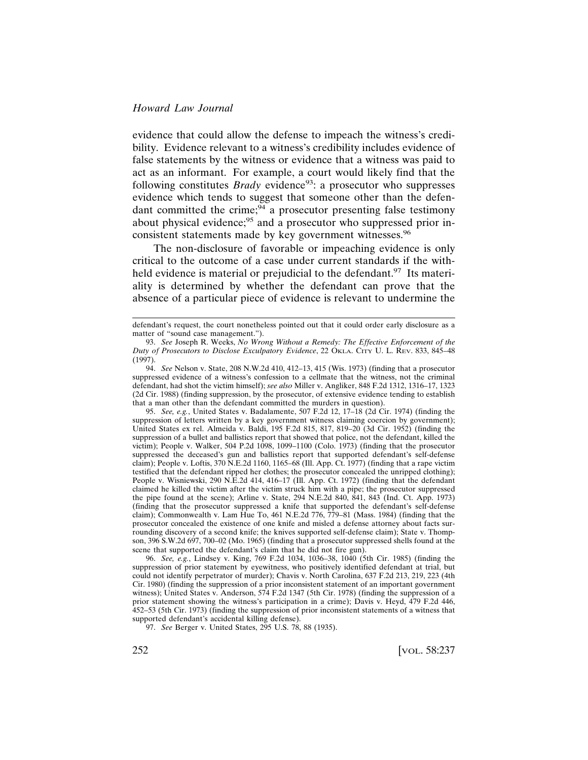evidence that could allow the defense to impeach the witness's credibility. Evidence relevant to a witness's credibility includes evidence of false statements by the witness or evidence that a witness was paid to act as an informant. For example, a court would likely find that the following constitutes *Brady* evidence<sup>93</sup>: a prosecutor who suppresses evidence which tends to suggest that someone other than the defendant committed the crime;  $94$  a prosecutor presenting false testimony about physical evidence;<sup>95</sup> and a prosecutor who suppressed prior inconsistent statements made by key government witnesses.<sup>96</sup>

The non-disclosure of favorable or impeaching evidence is only critical to the outcome of a case under current standards if the withheld evidence is material or prejudicial to the defendant.<sup>97</sup> Its materiality is determined by whether the defendant can prove that the absence of a particular piece of evidence is relevant to undermine the

95. *See, e.g.*, United States v. Badalamente, 507 F.2d 12, 17–18 (2d Cir. 1974) (finding the suppression of letters written by a key government witness claiming coercion by government); United States ex rel. Almeida v. Baldi, 195 F.2d 815, 817, 819–20 (3d Cir. 1952) (finding the suppression of a bullet and ballistics report that showed that police, not the defendant, killed the victim); People v. Walker, 504 P.2d 1098, 1099–1100 (Colo. 1973) (finding that the prosecutor suppressed the deceased's gun and ballistics report that supported defendant's self-defense claim); People v. Loftis, 370 N.E.2d 1160, 1165–68 (Ill. App. Ct. 1977) (finding that a rape victim testified that the defendant ripped her clothes; the prosecutor concealed the unripped clothing); People v. Wisniewski, 290 N.E.2d 414, 416–17 (Ill. App. Ct. 1972) (finding that the defendant claimed he killed the victim after the victim struck him with a pipe; the prosecutor suppressed the pipe found at the scene); Arline v. State, 294 N.E.2d 840, 841, 843 (Ind. Ct. App. 1973) (finding that the prosecutor suppressed a knife that supported the defendant's self-defense claim); Commonwealth v. Lam Hue To, 461 N.E.2d 776, 779–81 (Mass. 1984) (finding that the prosecutor concealed the existence of one knife and misled a defense attorney about facts surrounding discovery of a second knife; the knives supported self-defense claim); State v. Thompson, 396 S.W.2d 697, 700–02 (Mo. 1965) (finding that a prosecutor suppressed shells found at the scene that supported the defendant's claim that he did not fire gun).

96. *See, e.g.*, Lindsey v. King, 769 F.2d 1034, 1036–38, 1040 (5th Cir. 1985) (finding the suppression of prior statement by eyewitness, who positively identified defendant at trial, but could not identify perpetrator of murder); Chavis v. North Carolina, 637 F.2d 213, 219, 223 (4th Cir. 1980) (finding the suppression of a prior inconsistent statement of an important government witness); United States v. Anderson, 574 F.2d 1347 (5th Cir. 1978) (finding the suppression of a prior statement showing the witness's participation in a crime); Davis v. Heyd, 479 F.2d 446, 452–53 (5th Cir. 1973) (finding the suppression of prior inconsistent statements of a witness that supported defendant's accidental killing defense).

97. *See* Berger v. United States, 295 U.S. 78, 88 (1935).

defendant's request, the court nonetheless pointed out that it could order early disclosure as a matter of "sound case management.").

<sup>93.</sup> *See* Joseph R. Weeks, *No Wrong Without a Remedy: The Effective Enforcement of the Duty of Prosecutors to Disclose Exculpatory Evidence*, 22 OKLA. CITY U. L. REV. 833, 845–48 (1997).

<sup>94.</sup> *See* Nelson v. State, 208 N.W.2d 410, 412–13, 415 (Wis. 1973) (finding that a prosecutor suppressed evidence of a witness's confession to a cellmate that the witness, not the criminal defendant, had shot the victim himself); *see also* Miller v. Angliker, 848 F.2d 1312, 1316–17, 1323 (2d Cir. 1988) (finding suppression, by the prosecutor, of extensive evidence tending to establish that a man other than the defendant committed the murders in question).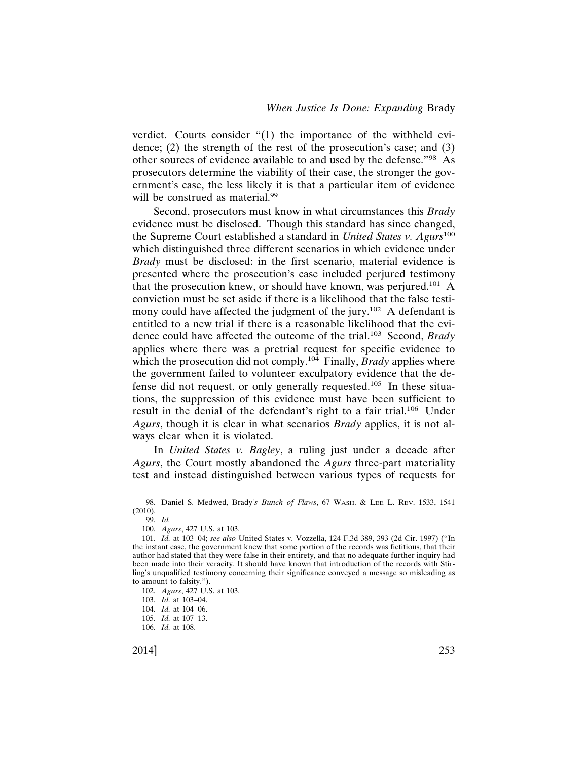verdict. Courts consider "(1) the importance of the withheld evidence; (2) the strength of the rest of the prosecution's case; and (3) other sources of evidence available to and used by the defense."98 As prosecutors determine the viability of their case, the stronger the government's case, the less likely it is that a particular item of evidence will be construed as material.<sup>99</sup>

Second, prosecutors must know in what circumstances this *Brady* evidence must be disclosed. Though this standard has since changed, the Supreme Court established a standard in *United States v. Agurs*<sup>100</sup> which distinguished three different scenarios in which evidence under *Brady* must be disclosed: in the first scenario, material evidence is presented where the prosecution's case included perjured testimony that the prosecution knew, or should have known, was perjured.<sup>101</sup> A conviction must be set aside if there is a likelihood that the false testimony could have affected the judgment of the jury.<sup>102</sup> A defendant is entitled to a new trial if there is a reasonable likelihood that the evidence could have affected the outcome of the trial.103 Second, *Brady* applies where there was a pretrial request for specific evidence to which the prosecution did not comply.<sup>104</sup> Finally, *Brady* applies where the government failed to volunteer exculpatory evidence that the defense did not request, or only generally requested.105 In these situations, the suppression of this evidence must have been sufficient to result in the denial of the defendant's right to a fair trial.106 Under *Agurs*, though it is clear in what scenarios *Brady* applies, it is not always clear when it is violated.

In *United States v. Bagley*, a ruling just under a decade after *Agurs*, the Court mostly abandoned the *Agurs* three-part materiality test and instead distinguished between various types of requests for

99. *Id.*

<sup>98.</sup> Daniel S. Medwed, Brady*'s Bunch of Flaws*, 67 WASH. & LEE L. REV. 1533, 1541 (2010).

<sup>100.</sup> *Agurs*, 427 U.S. at 103.

<sup>101.</sup> *Id.* at 103–04; *see also* United States v. Vozzella, 124 F.3d 389, 393 (2d Cir. 1997) ("In the instant case, the government knew that some portion of the records was fictitious, that their author had stated that they were false in their entirety, and that no adequate further inquiry had been made into their veracity. It should have known that introduction of the records with Stirling's unqualified testimony concerning their significance conveyed a message so misleading as to amount to falsity.").

<sup>102.</sup> *Agurs*, 427 U.S. at 103.

<sup>103.</sup> *Id.* at 103–04.

<sup>104.</sup> *Id.* at 104–06.

<sup>105.</sup> *Id.* at 107–13.

<sup>106.</sup> *Id.* at 108.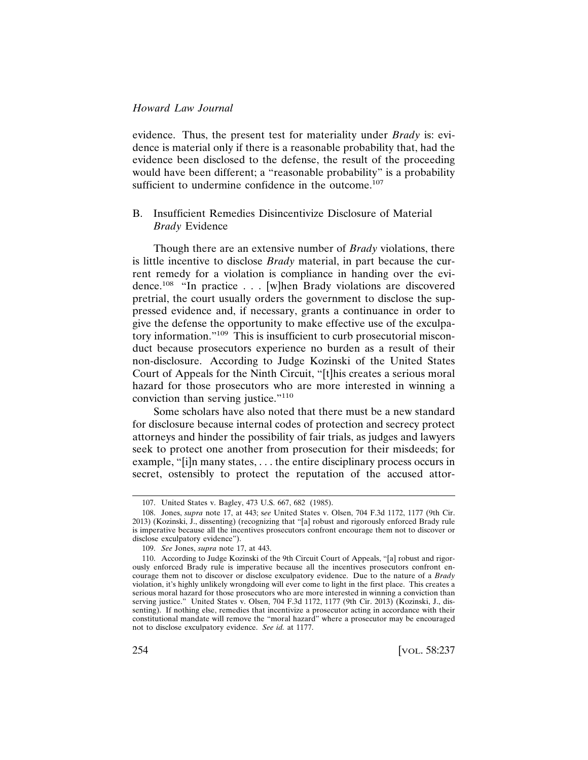evidence. Thus, the present test for materiality under *Brady* is: evidence is material only if there is a reasonable probability that, had the evidence been disclosed to the defense, the result of the proceeding would have been different; a "reasonable probability" is a probability sufficient to undermine confidence in the outcome.<sup>107</sup>

## B. Insufficient Remedies Disincentivize Disclosure of Material *Brady* Evidence

Though there are an extensive number of *Brady* violations, there is little incentive to disclose *Brady* material, in part because the current remedy for a violation is compliance in handing over the evidence.108 "In practice . . . [w]hen Brady violations are discovered pretrial, the court usually orders the government to disclose the suppressed evidence and, if necessary, grants a continuance in order to give the defense the opportunity to make effective use of the exculpatory information."109 This is insufficient to curb prosecutorial misconduct because prosecutors experience no burden as a result of their non-disclosure. According to Judge Kozinski of the United States Court of Appeals for the Ninth Circuit, "[t]his creates a serious moral hazard for those prosecutors who are more interested in winning a conviction than serving justice."<sup>110</sup>

Some scholars have also noted that there must be a new standard for disclosure because internal codes of protection and secrecy protect attorneys and hinder the possibility of fair trials, as judges and lawyers seek to protect one another from prosecution for their misdeeds; for example, "[i]n many states, . . . the entire disciplinary process occurs in secret, ostensibly to protect the reputation of the accused attor-

<sup>107.</sup> United States v. Bagley, 473 U.S. 667, 682 (1985).

<sup>108.</sup> Jones, *supra* note 17, at 443; s*ee* United States v. Olsen, 704 F.3d 1172, 1177 (9th Cir. 2013) (Kozinski, J., dissenting) (recognizing that "[a] robust and rigorously enforced Brady rule is imperative because all the incentives prosecutors confront encourage them not to discover or disclose exculpatory evidence").

<sup>109.</sup> *See* Jones, *supra* note 17, at 443.

<sup>110.</sup> According to Judge Kozinski of the 9th Circuit Court of Appeals, "[a] robust and rigorously enforced Brady rule is imperative because all the incentives prosecutors confront encourage them not to discover or disclose exculpatory evidence. Due to the nature of a *Brady* violation, it's highly unlikely wrongdoing will ever come to light in the first place. This creates a serious moral hazard for those prosecutors who are more interested in winning a conviction than serving justice." United States v. Olsen, 704 F.3d 1172, 1177 (9th Cir. 2013) (Kozinski, J., dissenting). If nothing else, remedies that incentivize a prosecutor acting in accordance with their constitutional mandate will remove the "moral hazard" where a prosecutor may be encouraged not to disclose exculpatory evidence. *See id.* at 1177.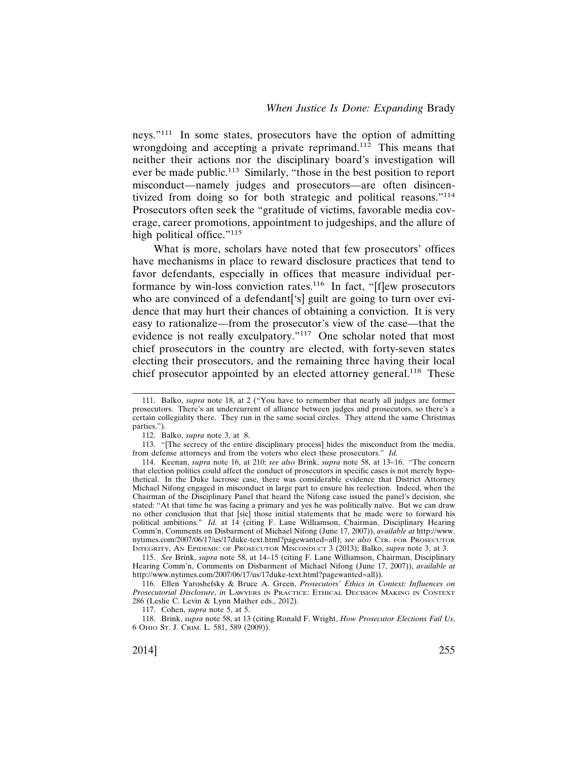neys."111 In some states, prosecutors have the option of admitting wrongdoing and accepting a private reprimand.<sup>112</sup> This means that neither their actions nor the disciplinary board's investigation will ever be made public.<sup>113</sup> Similarly, "those in the best position to report misconduct—namely judges and prosecutors—are often disincentivized from doing so for both strategic and political reasons."<sup>114</sup> Prosecutors often seek the "gratitude of victims, favorable media coverage, career promotions, appointment to judgeships, and the allure of high political office."<sup>115</sup>

What is more, scholars have noted that few prosecutors' offices have mechanisms in place to reward disclosure practices that tend to favor defendants, especially in offices that measure individual performance by win-loss conviction rates.<sup>116</sup> In fact, "[f]ew prosecutors who are convinced of a defendant<sup>['s]</sup> guilt are going to turn over evidence that may hurt their chances of obtaining a conviction. It is very easy to rationalize—from the prosecutor's view of the case—that the evidence is not really exculpatory."117 One scholar noted that most chief prosecutors in the country are elected, with forty-seven states electing their prosecutors, and the remaining three having their local chief prosecutor appointed by an elected attorney general.<sup>118</sup> These

<sup>111.</sup> Balko, *supra* note 18, at 2 ("You have to remember that nearly all judges are former prosecutors. There's an undercurrent of alliance between judges and prosecutors, so there's a certain collegiality there. They run in the same social circles. They attend the same Christmas parties.").

<sup>112.</sup> Balko, *supra* note 3, at 8.

<sup>113. &</sup>quot;[The secrecy of the entire disciplinary process] hides the misconduct from the media, from defense attorneys and from the voters who elect these prosecutors." *Id.*

<sup>114.</sup> Keenan, *supra* note 16, at 210; *see also* Brink, *supra* note 58, at 13–16. "The concern that election politics could affect the conduct of prosecutors in specific cases is not merely hypothetical. In the Duke lacrosse case, there was considerable evidence that District Attorney Michael Nifong engaged in misconduct in large part to ensure his reelection. Indeed, when the Chairman of the Disciplinary Panel that heard the Nifong case issued the panel's decision, she stated: "At that time he was facing a primary and yes he was politically naïve. But we can draw no other conclusion that that [sic] those initial statements that he made were to forward his political ambitions." *Id.* at 14 (citing F. Lane Williamson, Chairman, Disciplinary Hearing Comm'n, Comments on Disbarment of Michael Nifong (June 17, 2007)), *available at* http://www. nytimes.com/2007/06/17/us/17duke-text.html?pagewanted=all); *see also* CTR. FOR PROSECUTOR INTEGRITY, AN EPIDEMIC OF PROSECUTOR MISCONDUCT 3 (2013); Balko, *supra* note 3, at 3.

<sup>115.</sup> *See* Brink, *supra* note 58, at 14–15 (citing F. Lane Williamson, Chairman, Disciplinary Hearing Comm'n, Comments on Disbarment of Michael Nifong (June 17, 2007)), *available at* http://www.nytimes.com/2007/06/17/us/17duke-text.html?pagewanted=all)).

<sup>116.</sup> Ellen Yaroshefsky & Bruce A. Green, *Prosecutors' Ethics in Context: Influences on Prosecutorial Disclosure*, *in* LAWYERS IN PRACTICE: ETHICAL DECISION MAKING IN CONTEXT 286 (Leslie C. Levin & Lynn Mather eds., 2012).

<sup>117.</sup> Cohen, *supra* note 5, at 5.

<sup>118.</sup> Brink, *supra* note 58, at 13 (citing Ronald F. Wright, *How Prosecutor Elections Fail Us*, 6 OHIO ST. J. CRIM. L. 581, 589 (2009)).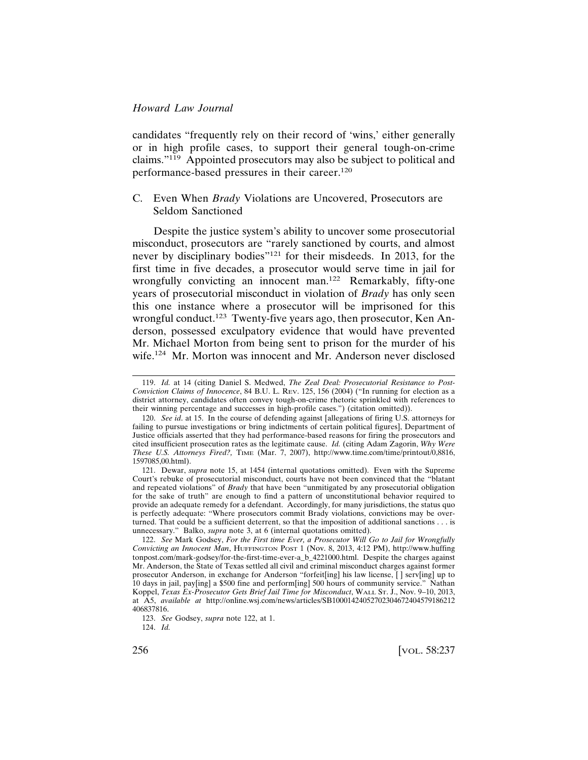candidates "frequently rely on their record of 'wins,' either generally or in high profile cases, to support their general tough-on-crime claims."119 Appointed prosecutors may also be subject to political and performance-based pressures in their career.120

## C. Even When *Brady* Violations are Uncovered, Prosecutors are Seldom Sanctioned

Despite the justice system's ability to uncover some prosecutorial misconduct, prosecutors are "rarely sanctioned by courts, and almost never by disciplinary bodies"121 for their misdeeds. In 2013, for the first time in five decades, a prosecutor would serve time in jail for wrongfully convicting an innocent man.<sup>122</sup> Remarkably, fifty-one years of prosecutorial misconduct in violation of *Brady* has only seen this one instance where a prosecutor will be imprisoned for this wrongful conduct.<sup>123</sup> Twenty-five years ago, then prosecutor, Ken Anderson, possessed exculpatory evidence that would have prevented Mr. Michael Morton from being sent to prison for the murder of his wife.124 Mr. Morton was innocent and Mr. Anderson never disclosed

<sup>119.</sup> *Id.* at 14 (citing Daniel S. Medwed, *The Zeal Deal: Prosecutorial Resistance to Post-Conviction Claims of Innocence*, 84 B.U. L. REV. 125, 156 (2004) ("In running for election as a district attorney, candidates often convey tough-on-crime rhetoric sprinkled with references to their winning percentage and successes in high-profile cases.") (citation omitted)).

<sup>120.</sup> *See id*. at 15. In the course of defending against [allegations of firing U.S. attorneys for failing to pursue investigations or bring indictments of certain political figures], Department of Justice officials asserted that they had performance-based reasons for firing the prosecutors and cited insufficient prosecution rates as the legitimate cause. *Id.* (citing Adam Zagorin, *Why Were These U.S. Attorneys Fired?,* TIME (Mar. 7, 2007), http://www.time.com/time/printout/0,8816, 1597085,00.html).

<sup>121.</sup> Dewar, *supra* note 15, at 1454 (internal quotations omitted). Even with the Supreme Court's rebuke of prosecutorial misconduct, courts have not been convinced that the "blatant and repeated violations" of *Brady* that have been "unmitigated by any prosecutorial obligation for the sake of truth" are enough to find a pattern of unconstitutional behavior required to provide an adequate remedy for a defendant. Accordingly, for many jurisdictions, the status quo is perfectly adequate: "Where prosecutors commit Brady violations, convictions may be overturned. That could be a sufficient deterrent, so that the imposition of additional sanctions . . . is unnecessary." Balko, *supra* note 3, at 6 (internal quotations omitted).

<sup>122.</sup> *See* Mark Godsey, *For the First time Ever, a Prosecutor Will Go to Jail for Wrongfully Convicting an Innocent Man*, HUFFINGTON POST 1 (Nov. 8, 2013, 4:12 PM), http://www.huffing tonpost.com/mark-godsey/for-the-first-time-ever-a\_b\_4221000.html. Despite the charges against Mr. Anderson, the State of Texas settled all civil and criminal misconduct charges against former prosecutor Anderson, in exchange for Anderson "forfeit[ing] his law license, [ ] serv[ing] up to 10 days in jail, pay[ing] a \$500 fine and perform[ing] 500 hours of community service." Nathan Koppel, *Texas Ex-Prosecutor Gets Brief Jail Time for Misconduct*, WALL ST. J., Nov. 9–10, 2013, at A5, *available at* http://online.wsj.com/news/articles/SB10001424052702304672404579186212 406837816.

<sup>123.</sup> *See* Godsey, *supra* note 122, at 1. 124. *Id.*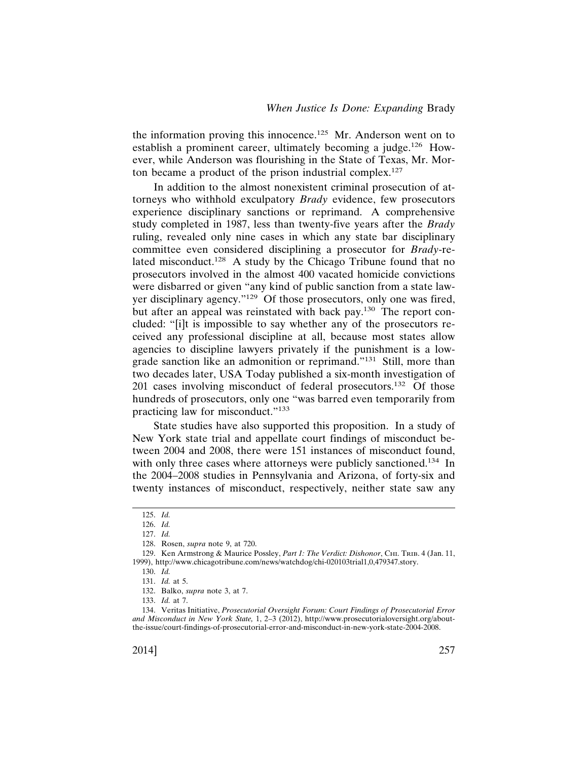the information proving this innocence.125 Mr. Anderson went on to establish a prominent career, ultimately becoming a judge.126 However, while Anderson was flourishing in the State of Texas, Mr. Morton became a product of the prison industrial complex.<sup>127</sup>

In addition to the almost nonexistent criminal prosecution of attorneys who withhold exculpatory *Brady* evidence, few prosecutors experience disciplinary sanctions or reprimand. A comprehensive study completed in 1987, less than twenty-five years after the *Brady* ruling, revealed only nine cases in which any state bar disciplinary committee even considered disciplining a prosecutor for *Brady*-related misconduct.<sup>128</sup> A study by the Chicago Tribune found that no prosecutors involved in the almost 400 vacated homicide convictions were disbarred or given "any kind of public sanction from a state lawyer disciplinary agency."129 Of those prosecutors, only one was fired, but after an appeal was reinstated with back pay.<sup>130</sup> The report concluded: "[i]t is impossible to say whether any of the prosecutors received any professional discipline at all, because most states allow agencies to discipline lawyers privately if the punishment is a lowgrade sanction like an admonition or reprimand."131 Still, more than two decades later, USA Today published a six-month investigation of 201 cases involving misconduct of federal prosecutors.<sup>132</sup> Of those hundreds of prosecutors, only one "was barred even temporarily from practicing law for misconduct."<sup>133</sup>

State studies have also supported this proposition. In a study of New York state trial and appellate court findings of misconduct between 2004 and 2008, there were 151 instances of misconduct found, with only three cases where attorneys were publicly sanctioned.<sup>134</sup> In the 2004–2008 studies in Pennsylvania and Arizona, of forty-six and twenty instances of misconduct, respectively, neither state saw any

<sup>125.</sup> *Id.*

<sup>126.</sup> *Id.*

<sup>127.</sup> *Id.*

<sup>128.</sup> Rosen, *supra* note 9, at 720.

<sup>129.</sup> Ken Armstrong & Maurice Possley, *Part 1: The Verdict: Dishonor*, CHI. TRIB. 4 (Jan. 11, 1999), http://www.chicagotribune.com/news/watchdog/chi-020103trial1,0,479347.story.

<sup>130.</sup> *Id.*

<sup>131.</sup> *Id.* at 5.

<sup>132.</sup> Balko, *supra* note 3, at 7.

<sup>133.</sup> *Id.* at 7.

<sup>134.</sup> Veritas Initiative, *Prosecutorial Oversight Forum: Court Findings of Prosecutorial Error and Misconduct in New York State,* 1, 2–3 (2012), http://www.prosecutorialoversight.org/aboutthe-issue/court-findings-of-prosecutorial-error-and-misconduct-in-new-york-state-2004-2008.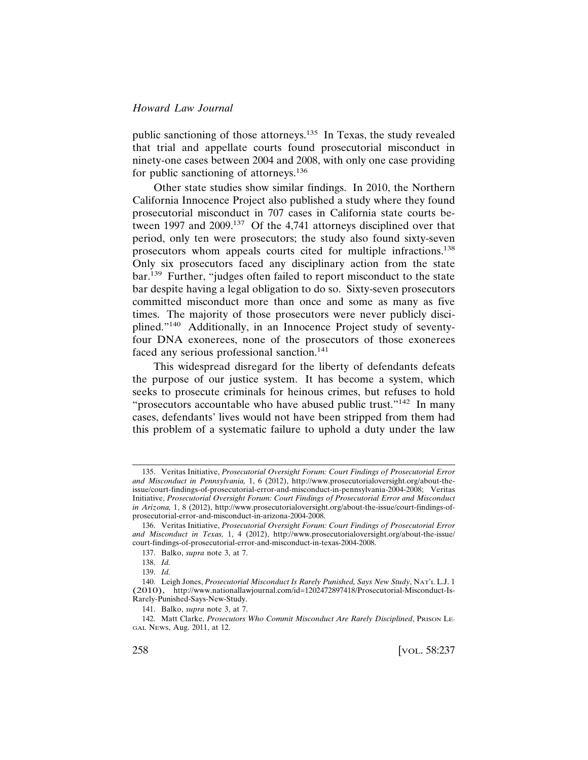public sanctioning of those attorneys.135 In Texas, the study revealed that trial and appellate courts found prosecutorial misconduct in ninety-one cases between 2004 and 2008, with only one case providing for public sanctioning of attorneys.136

Other state studies show similar findings. In 2010, the Northern California Innocence Project also published a study where they found prosecutorial misconduct in 707 cases in California state courts between 1997 and 2009.<sup>137</sup> Of the 4,741 attorneys disciplined over that period, only ten were prosecutors; the study also found sixty-seven prosecutors whom appeals courts cited for multiple infractions.<sup>138</sup> Only six prosecutors faced any disciplinary action from the state bar.139 Further, "judges often failed to report misconduct to the state bar despite having a legal obligation to do so. Sixty-seven prosecutors committed misconduct more than once and some as many as five times. The majority of those prosecutors were never publicly disciplined."140 Additionally, in an Innocence Project study of seventyfour DNA exonerees, none of the prosecutors of those exonerees faced any serious professional sanction.<sup>141</sup>

This widespread disregard for the liberty of defendants defeats the purpose of our justice system. It has become a system, which seeks to prosecute criminals for heinous crimes, but refuses to hold "prosecutors accountable who have abused public trust."<sup>142</sup> In many cases, defendants' lives would not have been stripped from them had this problem of a systematic failure to uphold a duty under the law

<sup>135.</sup> Veritas Initiative, *Prosecutorial Oversight Forum: Court Findings of Prosecutorial Error and Misconduct in Pennsylvania,* 1, 6 (2012), http://www.prosecutorialoversight.org/about-theissue/court-findings-of-prosecutorial-error-and-misconduct-in-pennsylvania-2004-2008; Veritas Initiative, *Prosecutorial Oversight Forum: Court Findings of Prosecutorial Error and Misconduct in Arizona,* 1, 8 (2012), http://www.prosecutorialoversight.org/about-the-issue/court-findings-ofprosecutorial-error-and-misconduct-in-arizona-2004-2008.

<sup>136.</sup> Veritas Initiative, *Prosecutorial Oversight Forum: Court Findings of Prosecutorial Error and Misconduct in Texas,* 1, 4 (2012), http://www.prosecutorialoversight.org/about-the-issue/ court-findings-of-prosecutorial-error-and-misconduct-in-texas-2004-2008.

<sup>137.</sup> Balko, *supra* note 3, at 7.

<sup>138.</sup> *Id.*

<sup>139.</sup> *Id.*

<sup>140.</sup> Leigh Jones, *Prosecutorial Misconduct Is Rarely Punished, Says New Study*, NAT'L L.J. 1 (2010), http://www.nationallawjournal.com/id=1202472897418/Prosecutorial-Misconduct-Is-Rarely-Punished-Says-New-Study.

<sup>141.</sup> Balko, *supra* note 3, at 7.

<sup>142.</sup> Matt Clarke, *Prosecutors Who Commit Misconduct Are Rarely Disciplined*, PRISON LE-GAL NEWS, Aug. 2011, at 12.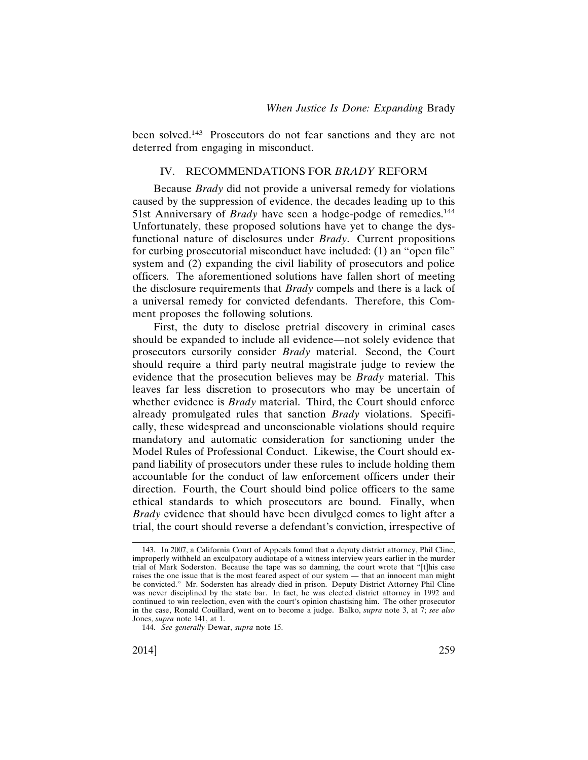been solved.143 Prosecutors do not fear sanctions and they are not deterred from engaging in misconduct.

## IV. RECOMMENDATIONS FOR *BRADY* REFORM

Because *Brady* did not provide a universal remedy for violations caused by the suppression of evidence, the decades leading up to this 51st Anniversary of *Brady* have seen a hodge-podge of remedies.<sup>144</sup> Unfortunately, these proposed solutions have yet to change the dysfunctional nature of disclosures under *Brady*. Current propositions for curbing prosecutorial misconduct have included: (1) an "open file" system and (2) expanding the civil liability of prosecutors and police officers. The aforementioned solutions have fallen short of meeting the disclosure requirements that *Brady* compels and there is a lack of a universal remedy for convicted defendants. Therefore, this Comment proposes the following solutions.

First, the duty to disclose pretrial discovery in criminal cases should be expanded to include all evidence—not solely evidence that prosecutors cursorily consider *Brady* material. Second, the Court should require a third party neutral magistrate judge to review the evidence that the prosecution believes may be *Brady* material. This leaves far less discretion to prosecutors who may be uncertain of whether evidence is *Brady* material. Third, the Court should enforce already promulgated rules that sanction *Brady* violations. Specifically, these widespread and unconscionable violations should require mandatory and automatic consideration for sanctioning under the Model Rules of Professional Conduct. Likewise, the Court should expand liability of prosecutors under these rules to include holding them accountable for the conduct of law enforcement officers under their direction. Fourth, the Court should bind police officers to the same ethical standards to which prosecutors are bound. Finally, when *Brady* evidence that should have been divulged comes to light after a trial, the court should reverse a defendant's conviction, irrespective of

<sup>143.</sup> In 2007, a California Court of Appeals found that a deputy district attorney, Phil Cline, improperly withheld an exculpatory audiotape of a witness interview years earlier in the murder trial of Mark Soderston. Because the tape was so damning, the court wrote that "[t]his case raises the one issue that is the most feared aspect of our system — that an innocent man might be convicted." Mr. Sodersten has already died in prison. Deputy District Attorney Phil Cline was never disciplined by the state bar. In fact, he was elected district attorney in 1992 and continued to win reelection, even with the court's opinion chastising him. The other prosecutor in the case, Ronald Couillard, went on to become a judge. Balko, *supra* note 3, at 7; *see also* Jones, *supra* note 141, at 1.

<sup>144.</sup> *See generally* Dewar, *supra* note 15.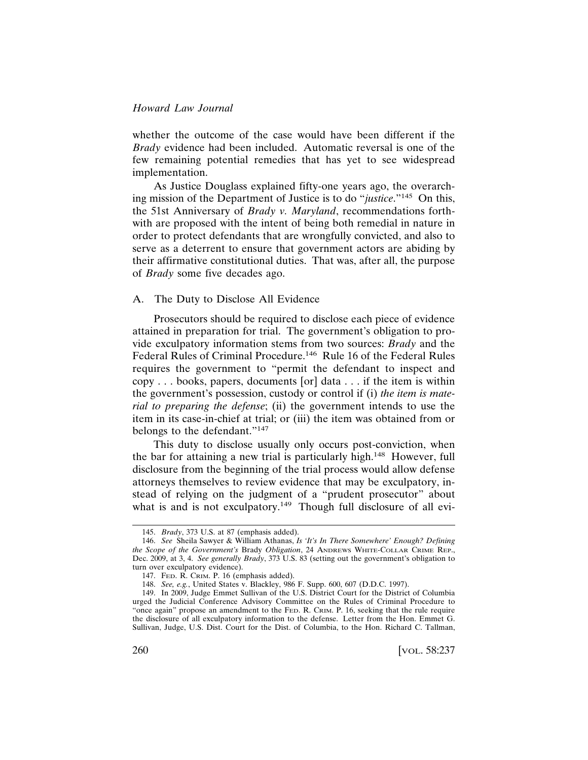whether the outcome of the case would have been different if the *Brady* evidence had been included. Automatic reversal is one of the few remaining potential remedies that has yet to see widespread implementation.

As Justice Douglass explained fifty-one years ago, the overarching mission of the Department of Justice is to do "*justice*."145 On this, the 51st Anniversary of *Brady v. Maryland*, recommendations forthwith are proposed with the intent of being both remedial in nature in order to protect defendants that are wrongfully convicted, and also to serve as a deterrent to ensure that government actors are abiding by their affirmative constitutional duties. That was, after all, the purpose of *Brady* some five decades ago.

#### A. The Duty to Disclose All Evidence

Prosecutors should be required to disclose each piece of evidence attained in preparation for trial. The government's obligation to provide exculpatory information stems from two sources: *Brady* and the Federal Rules of Criminal Procedure.<sup>146</sup> Rule 16 of the Federal Rules requires the government to "permit the defendant to inspect and copy . . . books, papers, documents [or] data . . . if the item is within the government's possession, custody or control if (i) *the item is material to preparing the defense*; (ii) the government intends to use the item in its case-in-chief at trial; or (iii) the item was obtained from or belongs to the defendant."147

This duty to disclose usually only occurs post-conviction, when the bar for attaining a new trial is particularly high.<sup>148</sup> However, full disclosure from the beginning of the trial process would allow defense attorneys themselves to review evidence that may be exculpatory, instead of relying on the judgment of a "prudent prosecutor" about what is and is not exculpatory.<sup>149</sup> Though full disclosure of all evi-

<sup>145.</sup> *Brady*, 373 U.S. at 87 (emphasis added).

<sup>146.</sup> *See* Sheila Sawyer & William Athanas, *Is 'It's In There Somewhere' Enough? Defining the Scope of the Government's* Brady *Obligation*, 24 ANDREWS WHITE-COLLAR CRIME REP., Dec. 2009, at 3, 4. *See generally Brady*, 373 U.S. 83 (setting out the government's obligation to turn over exculpatory evidence).

<sup>147.</sup> FED. R. CRIM. P. 16 (emphasis added).

<sup>148.</sup> *See, e.g.*, United States v. Blackley, 986 F. Supp. 600, 607 (D.D.C. 1997).

<sup>149.</sup> In 2009, Judge Emmet Sullivan of the U.S. District Court for the District of Columbia urged the Judicial Conference Advisory Committee on the Rules of Criminal Procedure to "once again" propose an amendment to the FED. R. CRIM. P. 16, seeking that the rule require the disclosure of all exculpatory information to the defense. Letter from the Hon. Emmet G. Sullivan, Judge, U.S. Dist. Court for the Dist. of Columbia, to the Hon. Richard C. Tallman,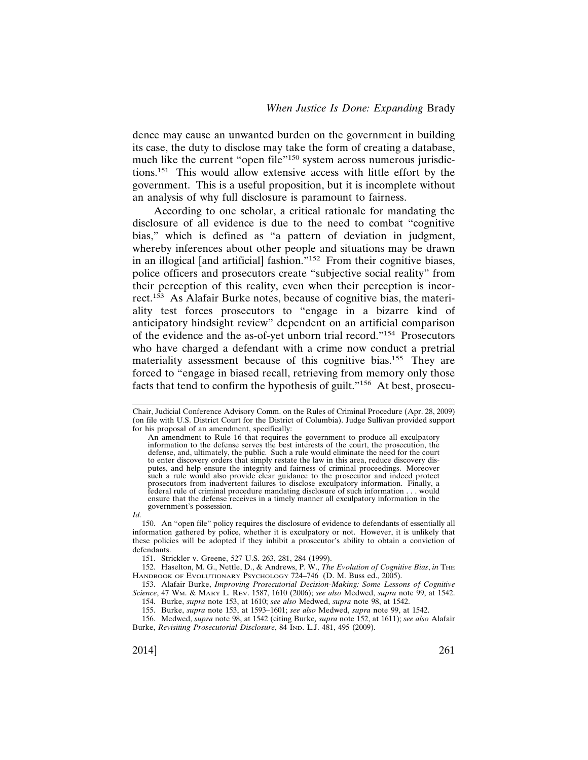dence may cause an unwanted burden on the government in building its case, the duty to disclose may take the form of creating a database, much like the current "open file"<sup>150</sup> system across numerous jurisdictions.151 This would allow extensive access with little effort by the government. This is a useful proposition, but it is incomplete without an analysis of why full disclosure is paramount to fairness.

According to one scholar, a critical rationale for mandating the disclosure of all evidence is due to the need to combat "cognitive bias," which is defined as "a pattern of deviation in judgment, whereby inferences about other people and situations may be drawn in an illogical [and artificial] fashion."152 From their cognitive biases, police officers and prosecutors create "subjective social reality" from their perception of this reality, even when their perception is incorrect.153 As Alafair Burke notes, because of cognitive bias, the materiality test forces prosecutors to "engage in a bizarre kind of anticipatory hindsight review" dependent on an artificial comparison of the evidence and the as-of-yet unborn trial record."154 Prosecutors who have charged a defendant with a crime now conduct a pretrial materiality assessment because of this cognitive bias.<sup>155</sup> They are forced to "engage in biased recall, retrieving from memory only those facts that tend to confirm the hypothesis of guilt."156 At best, prosecu-

*Id.*

Chair, Judicial Conference Advisory Comm. on the Rules of Criminal Procedure (Apr. 28, 2009) (on file with U.S. District Court for the District of Columbia). Judge Sullivan provided support for his proposal of an amendment, specifically:

An amendment to Rule 16 that requires the government to produce all exculpatory information to the defense serves the best interests of the court, the prosecution, the defense, and, ultimately, the public. Such a rule would eliminate the need for the court to enter discovery orders that simply restate the law in this area, reduce discovery disputes, and help ensure the integrity and fairness of criminal proceedings. Moreover such a rule would also provide clear guidance to the prosecutor and indeed protect prosecutors from inadvertent failures to disclose exculpatory information. Finally, a federal rule of criminal procedure mandating disclosure of such information . . . would ensure that the defense receives in a timely manner all exculpatory information in the government's possession.

<sup>150.</sup> An "open file" policy requires the disclosure of evidence to defendants of essentially all information gathered by police, whether it is exculpatory or not. However, it is unlikely that these policies will be adopted if they inhibit a prosecutor's ability to obtain a conviction of defendants.

<sup>151.</sup> Strickler v. Greene, 527 U.S. 263, 281, 284 (1999).

<sup>152.</sup> Haselton, M. G., Nettle, D., & Andrews, P. W., *The Evolution of Cognitive Bias*, *in* The HANDBOOK OF EVOLUTIONARY PSYCHOLOGY 724-746 (D. M. Buss ed., 2005).

<sup>153.</sup> Alafair Burke, *Improving Prosecutorial Decision-Making: Some Lessons of Cognitive Science*, 47 WM. & MARY L. REV. 1587, 1610 (2006); *see also* Medwed, *supra* note 99, at 1542.

<sup>154.</sup> Burke, *supra* note 153, at 1610; *see also* Medwed, *supra* note 98, at 1542.

<sup>155.</sup> Burke, *supra* note 153, at 1593–1601; *see also* Medwed, *supra* note 99, at 1542.

<sup>156.</sup> Medwed, *supra* note 98, at 1542 (citing Burke*, supra* note 152, at 1611); *see also* Alafair Burke, *Revisiting Prosecutorial Disclosure*, 84 IND. L.J. 481, 495 (2009).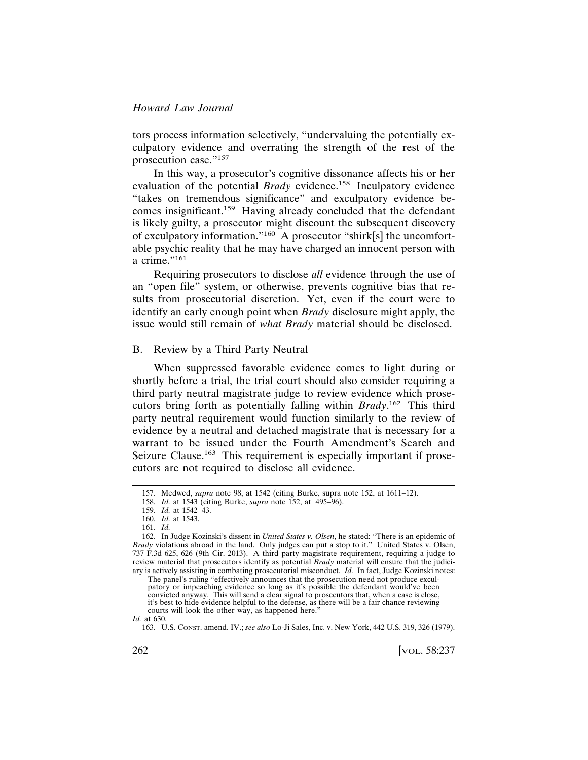tors process information selectively, "undervaluing the potentially exculpatory evidence and overrating the strength of the rest of the prosecution case."<sup>157</sup>

In this way, a prosecutor's cognitive dissonance affects his or her evaluation of the potential *Brady* evidence.<sup>158</sup> Inculpatory evidence "takes on tremendous significance" and exculpatory evidence becomes insignificant.159 Having already concluded that the defendant is likely guilty, a prosecutor might discount the subsequent discovery of exculpatory information."160 A prosecutor "shirk[s] the uncomfortable psychic reality that he may have charged an innocent person with a crime."<sup>161</sup>

Requiring prosecutors to disclose *all* evidence through the use of an "open file" system, or otherwise, prevents cognitive bias that results from prosecutorial discretion. Yet, even if the court were to identify an early enough point when *Brady* disclosure might apply, the issue would still remain of *what Brady* material should be disclosed.

#### B. Review by a Third Party Neutral

When suppressed favorable evidence comes to light during or shortly before a trial, the trial court should also consider requiring a third party neutral magistrate judge to review evidence which prosecutors bring forth as potentially falling within *Brady*. 162 This third party neutral requirement would function similarly to the review of evidence by a neutral and detached magistrate that is necessary for a warrant to be issued under the Fourth Amendment's Search and Seizure Clause.<sup>163</sup> This requirement is especially important if prosecutors are not required to disclose all evidence.

<sup>157.</sup> Medwed, *supra* note 98, at 1542 (citing Burke, supra note 152, at 1611–12).

<sup>158.</sup> *Id.* at 1543 (citing Burke, *supra* note 152, at 495–96).

<sup>159.</sup> *Id.* at 1542–43.

<sup>160.</sup> *Id.* at 1543.

<sup>161.</sup> *Id.*

<sup>162.</sup> In Judge Kozinski's dissent in *United States v. Olsen*, he stated: "There is an epidemic of *Brady* violations abroad in the land. Only judges can put a stop to it." United States v. Olsen, 737 F.3d 625, 626 (9th Cir. 2013). A third party magistrate requirement, requiring a judge to review material that prosecutors identify as potential *Brady* material will ensure that the judiciary is actively assisting in combating prosecutorial misconduct. *Id.* In fact, Judge Kozinski notes:

The panel's ruling "effectively announces that the prosecution need not produce exculpatory or impeaching evidence so long as it's possible the defendant would've been convicted anyway. This will send a clear signal to prosecutors that, when a case is close, it's best to hide evidence helpful to the defense, as there will be a fair chance reviewing courts will look the other way, as happened here."

*Id.* at 630.

<sup>163.</sup> U.S. CONST. amend. IV.; *see also* Lo-Ji Sales, Inc. v. New York, 442 U.S. 319, 326 (1979).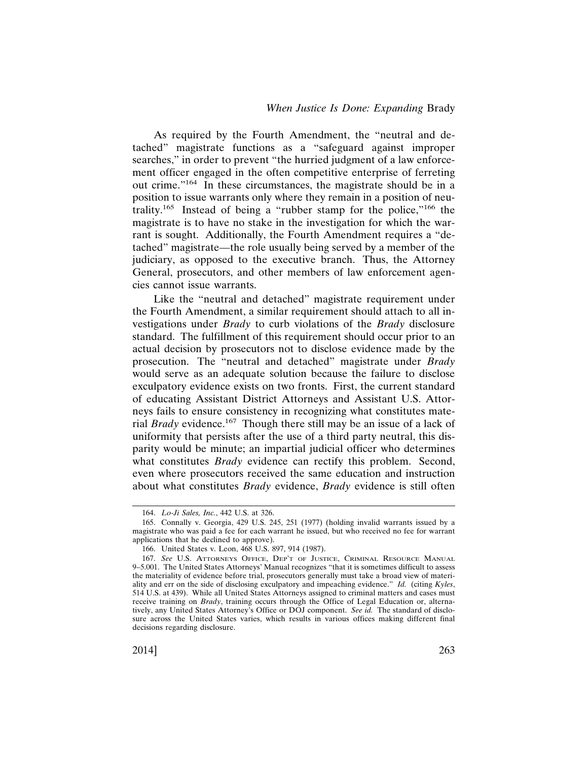As required by the Fourth Amendment, the "neutral and detached" magistrate functions as a "safeguard against improper searches," in order to prevent "the hurried judgment of a law enforcement officer engaged in the often competitive enterprise of ferreting out crime."164 In these circumstances, the magistrate should be in a position to issue warrants only where they remain in a position of neutrality.165 Instead of being a "rubber stamp for the police,"166 the magistrate is to have no stake in the investigation for which the warrant is sought. Additionally, the Fourth Amendment requires a "detached" magistrate—the role usually being served by a member of the judiciary, as opposed to the executive branch. Thus, the Attorney General, prosecutors, and other members of law enforcement agencies cannot issue warrants.

Like the "neutral and detached" magistrate requirement under the Fourth Amendment, a similar requirement should attach to all investigations under *Brady* to curb violations of the *Brady* disclosure standard. The fulfillment of this requirement should occur prior to an actual decision by prosecutors not to disclose evidence made by the prosecution. The "neutral and detached" magistrate under *Brady* would serve as an adequate solution because the failure to disclose exculpatory evidence exists on two fronts. First, the current standard of educating Assistant District Attorneys and Assistant U.S. Attorneys fails to ensure consistency in recognizing what constitutes material *Brady* evidence.167 Though there still may be an issue of a lack of uniformity that persists after the use of a third party neutral, this disparity would be minute; an impartial judicial officer who determines what constitutes *Brady* evidence can rectify this problem. Second, even where prosecutors received the same education and instruction about what constitutes *Brady* evidence, *Brady* evidence is still often

<sup>164.</sup> *Lo-Ji Sales, Inc.*, 442 U.S. at 326.

<sup>165.</sup> Connally v. Georgia, 429 U.S. 245, 251 (1977) (holding invalid warrants issued by a magistrate who was paid a fee for each warrant he issued, but who received no fee for warrant applications that he declined to approve).

<sup>166.</sup> United States v. Leon, 468 U.S. 897, 914 (1987).

<sup>167.</sup> *See* U.S. ATTORNEYS OFFICE, DEP'T OF JUSTICE, CRIMINAL RESOURCE MANUAL 9–5.001. The United States Attorneys' Manual recognizes "that it is sometimes difficult to assess the materiality of evidence before trial, prosecutors generally must take a broad view of materiality and err on the side of disclosing exculpatory and impeaching evidence." *Id.* (citing *Kyles*, 514 U.S. at 439). While all United States Attorneys assigned to criminal matters and cases must receive training on *Brady*, training occurs through the Office of Legal Education or, alternatively, any United States Attorney's Office or DOJ component. *See id.* The standard of disclosure across the United States varies, which results in various offices making different final decisions regarding disclosure.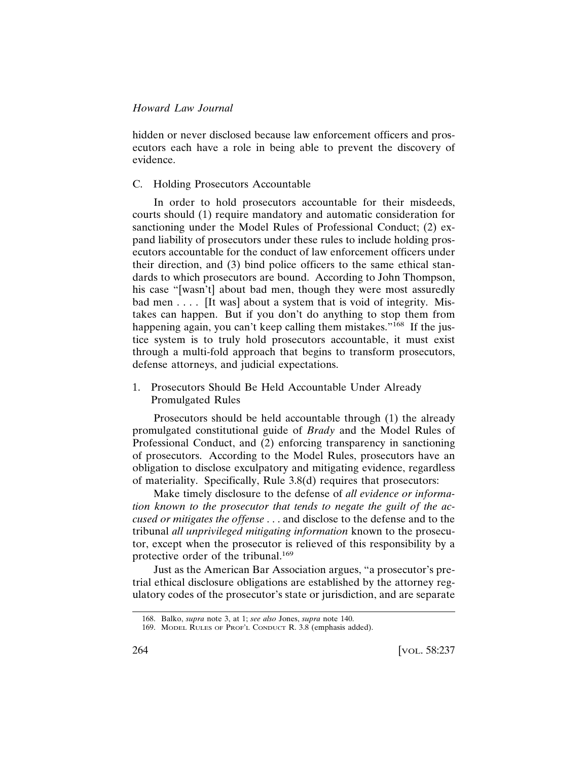hidden or never disclosed because law enforcement officers and prosecutors each have a role in being able to prevent the discovery of evidence.

## C. Holding Prosecutors Accountable

In order to hold prosecutors accountable for their misdeeds, courts should (1) require mandatory and automatic consideration for sanctioning under the Model Rules of Professional Conduct; (2) expand liability of prosecutors under these rules to include holding prosecutors accountable for the conduct of law enforcement officers under their direction, and (3) bind police officers to the same ethical standards to which prosecutors are bound. According to John Thompson, his case "[wasn't] about bad men, though they were most assuredly bad men  $\dots$ . [It was] about a system that is void of integrity. Mistakes can happen. But if you don't do anything to stop them from happening again, you can't keep calling them mistakes."<sup>168</sup> If the justice system is to truly hold prosecutors accountable, it must exist through a multi-fold approach that begins to transform prosecutors, defense attorneys, and judicial expectations.

## 1. Prosecutors Should Be Held Accountable Under Already Promulgated Rules

Prosecutors should be held accountable through (1) the already promulgated constitutional guide of *Brady* and the Model Rules of Professional Conduct, and (2) enforcing transparency in sanctioning of prosecutors. According to the Model Rules, prosecutors have an obligation to disclose exculpatory and mitigating evidence, regardless of materiality. Specifically, Rule 3.8(d) requires that prosecutors:

Make timely disclosure to the defense of *all evidence or information known to the prosecutor that tends to negate the guilt of the accused or mitigates the offense* . . . and disclose to the defense and to the tribunal *all unprivileged mitigating information* known to the prosecutor, except when the prosecutor is relieved of this responsibility by a protective order of the tribunal.<sup>169</sup>

Just as the American Bar Association argues, "a prosecutor's pretrial ethical disclosure obligations are established by the attorney regulatory codes of the prosecutor's state or jurisdiction, and are separate

<sup>168.</sup> Balko, *supra* note 3, at 1; *see also* Jones, *supra* note 140.

<sup>169.</sup> MODEL RULES OF PROF'L CONDUCT R. 3.8 (emphasis added).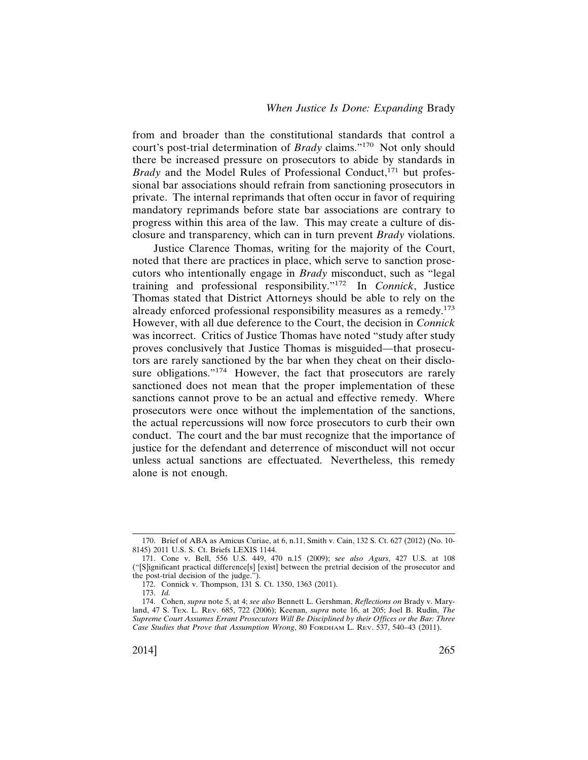from and broader than the constitutional standards that control a court's post-trial determination of *Brady* claims."170 Not only should there be increased pressure on prosecutors to abide by standards in *Brady* and the Model Rules of Professional Conduct,<sup>171</sup> but professional bar associations should refrain from sanctioning prosecutors in private. The internal reprimands that often occur in favor of requiring mandatory reprimands before state bar associations are contrary to progress within this area of the law. This may create a culture of disclosure and transparency, which can in turn prevent *Brady* violations.

Justice Clarence Thomas, writing for the majority of the Court, noted that there are practices in place, which serve to sanction prosecutors who intentionally engage in *Brady* misconduct, such as "legal training and professional responsibility."172 In *Connick*, Justice Thomas stated that District Attorneys should be able to rely on the already enforced professional responsibility measures as a remedy.<sup>173</sup> However, with all due deference to the Court, the decision in *Connick* was incorrect. Critics of Justice Thomas have noted "study after study proves conclusively that Justice Thomas is misguided—that prosecutors are rarely sanctioned by the bar when they cheat on their disclosure obligations."<sup>174</sup> However, the fact that prosecutors are rarely sanctioned does not mean that the proper implementation of these sanctions cannot prove to be an actual and effective remedy. Where prosecutors were once without the implementation of the sanctions, the actual repercussions will now force prosecutors to curb their own conduct. The court and the bar must recognize that the importance of justice for the defendant and deterrence of misconduct will not occur unless actual sanctions are effectuated. Nevertheless, this remedy alone is not enough.

<sup>170.</sup> Brief of ABA as Amicus Curiae, at 6, n.11, Smith v. Cain, 132 S. Ct. 627 (2012) (No. 10- 8145) 2011 U.S. S. Ct. Briefs LEXIS 1144.

<sup>171.</sup> Cone v. Bell, 556 U.S. 449, 470 n.15 (2009); s*ee also Agurs*, 427 U.S. at 108 ("[S]ignificant practical difference[s] [exist] between the pretrial decision of the prosecutor and the post-trial decision of the judge.").

<sup>172.</sup> Connick v. Thompson, 131 S. Ct. 1350, 1363 (2011).

<sup>173.</sup> *Id.*

<sup>174.</sup> Cohen, *supra* note 5, at 4; *see also* Bennett L. Gershman, *Reflections on* Brady v. Maryland, 47 S. TEX. L. REV. 685, 722 (2006); Keenan, *supra* note 16, at 205; Joel B. Rudin, *The Supreme Court Assumes Errant Prosecutors Will Be Disciplined by their Offices or the Bar: Three Case Studies that Prove that Assumption Wrong*, 80 FORDHAM L. REV. 537, 540–43 (2011).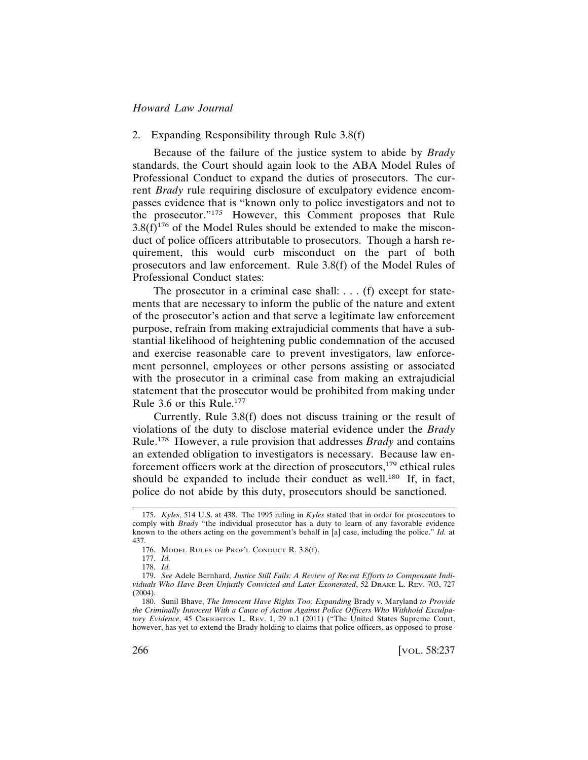#### 2. Expanding Responsibility through Rule 3.8(f)

Because of the failure of the justice system to abide by *Brady* standards, the Court should again look to the ABA Model Rules of Professional Conduct to expand the duties of prosecutors. The current *Brady* rule requiring disclosure of exculpatory evidence encompasses evidence that is "known only to police investigators and not to the prosecutor."175 However, this Comment proposes that Rule  $3.8(f)^{176}$  of the Model Rules should be extended to make the misconduct of police officers attributable to prosecutors. Though a harsh requirement, this would curb misconduct on the part of both prosecutors and law enforcement. Rule 3.8(f) of the Model Rules of Professional Conduct states:

The prosecutor in a criminal case shall: . . . (f) except for statements that are necessary to inform the public of the nature and extent of the prosecutor's action and that serve a legitimate law enforcement purpose, refrain from making extrajudicial comments that have a substantial likelihood of heightening public condemnation of the accused and exercise reasonable care to prevent investigators, law enforcement personnel, employees or other persons assisting or associated with the prosecutor in a criminal case from making an extrajudicial statement that the prosecutor would be prohibited from making under Rule 3.6 or this Rule.<sup>177</sup>

Currently, Rule 3.8(f) does not discuss training or the result of violations of the duty to disclose material evidence under the *Brady* Rule.178 However, a rule provision that addresses *Brady* and contains an extended obligation to investigators is necessary. Because law enforcement officers work at the direction of prosecutors, $179$  ethical rules should be expanded to include their conduct as well.<sup>180</sup> If, in fact, police do not abide by this duty, prosecutors should be sanctioned.

<sup>175.</sup> *Kyles*, 514 U.S. at 438. The 1995 ruling in *Kyles* stated that in order for prosecutors to comply with *Brady* "the individual prosecutor has a duty to learn of any favorable evidence known to the others acting on the government's behalf in [a] case, including the police." *Id.* at 437.

<sup>176.</sup> MODEL RULES OF PROF'L CONDUCT R. 3.8(f).

<sup>177.</sup> *Id.*

<sup>178.</sup> *Id.*

<sup>179.</sup> *See* Adele Bernhard, *Justice Still Fails: A Review of Recent Efforts to Compensate Individuals Who Have Been Unjustly Convicted and Later Exonerated*, 52 DRAKE L. REV. 703, 727 (2004).

<sup>180.</sup> Sunil Bhave, *The Innocent Have Rights Too: Expanding* Brady v. Maryland *to Provide the Criminally Innocent With a Cause of Action Against Police Officers Who Withhold Exculpatory Evidence*, 45 CREIGHTON L. REV. 1, 29 n.1 (2011) ("The United States Supreme Court, however, has yet to extend the Brady holding to claims that police officers, as opposed to prose-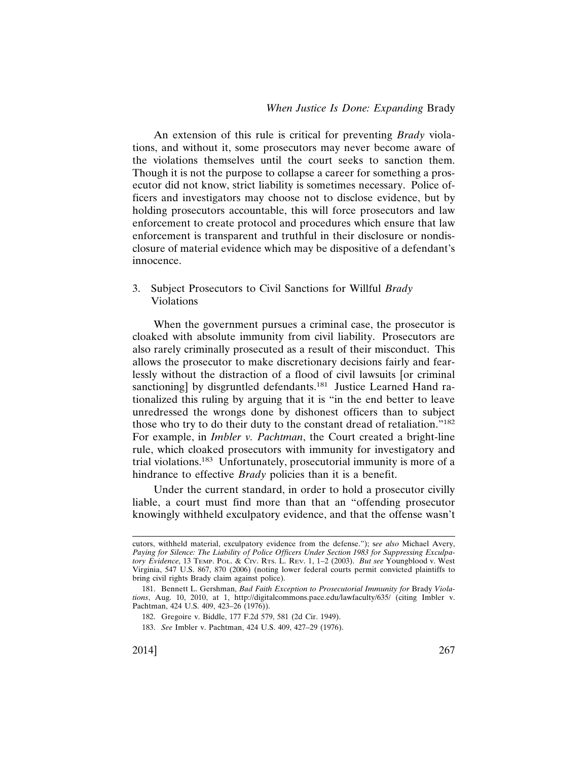An extension of this rule is critical for preventing *Brady* violations, and without it, some prosecutors may never become aware of the violations themselves until the court seeks to sanction them. Though it is not the purpose to collapse a career for something a prosecutor did not know, strict liability is sometimes necessary. Police officers and investigators may choose not to disclose evidence, but by holding prosecutors accountable, this will force prosecutors and law enforcement to create protocol and procedures which ensure that law enforcement is transparent and truthful in their disclosure or nondisclosure of material evidence which may be dispositive of a defendant's innocence.

3. Subject Prosecutors to Civil Sanctions for Willful *Brady* Violations

When the government pursues a criminal case, the prosecutor is cloaked with absolute immunity from civil liability. Prosecutors are also rarely criminally prosecuted as a result of their misconduct. This allows the prosecutor to make discretionary decisions fairly and fearlessly without the distraction of a flood of civil lawsuits [or criminal sanctioning] by disgruntled defendants.<sup>181</sup> Justice Learned Hand rationalized this ruling by arguing that it is "in the end better to leave unredressed the wrongs done by dishonest officers than to subject those who try to do their duty to the constant dread of retaliation."<sup>182</sup> For example, in *Imbler v. Pachtman*, the Court created a bright-line rule, which cloaked prosecutors with immunity for investigatory and trial violations.183 Unfortunately, prosecutorial immunity is more of a hindrance to effective *Brady* policies than it is a benefit.

Under the current standard, in order to hold a prosecutor civilly liable, a court must find more than that an "offending prosecutor knowingly withheld exculpatory evidence, and that the offense wasn't

cutors, withheld material, exculpatory evidence from the defense."); s*ee also* Michael Avery, *Paying for Silence: The Liability of Police Officers Under Section 1983 for Suppressing Exculpatory Evidence*, 13 TEMP. POL. & CIV. RTS. L. REV. 1, 1–2 (2003). *But see* Youngblood v. West Virginia, 547 U.S. 867, 870 (2006) (noting lower federal courts permit convicted plaintiffs to bring civil rights Brady claim against police).

<sup>181.</sup> Bennett L. Gershman, *Bad Faith Exception to Prosecutorial Immunity for* Brady *Violations*, Aug. 10, 2010, at 1, http://digitalcommons.pace.edu/lawfaculty/635/ (citing Imbler v. Pachtman, 424 U.S. 409, 423–26 (1976)).

<sup>182.</sup> Gregoire v. Biddle, 177 F.2d 579, 581 (2d Cir. 1949).

<sup>183.</sup> *See* Imbler v. Pachtman, 424 U.S. 409, 427–29 (1976).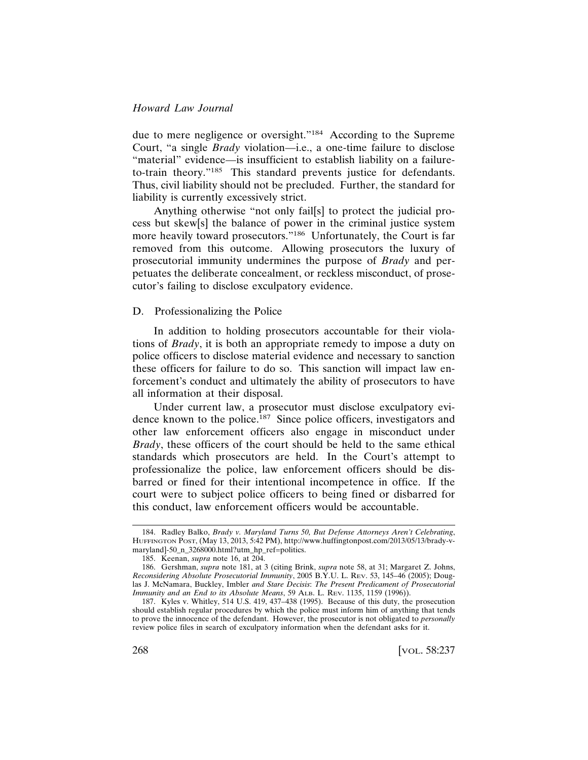due to mere negligence or oversight."184 According to the Supreme Court, "a single *Brady* violation—i.e., a one-time failure to disclose "material" evidence—is insufficient to establish liability on a failureto-train theory."185 This standard prevents justice for defendants. Thus, civil liability should not be precluded. Further, the standard for liability is currently excessively strict.

Anything otherwise "not only fail[s] to protect the judicial process but skew[s] the balance of power in the criminal justice system more heavily toward prosecutors."<sup>186</sup> Unfortunately, the Court is far removed from this outcome. Allowing prosecutors the luxury of prosecutorial immunity undermines the purpose of *Brady* and perpetuates the deliberate concealment, or reckless misconduct, of prosecutor's failing to disclose exculpatory evidence.

#### D. Professionalizing the Police

In addition to holding prosecutors accountable for their violations of *Brady*, it is both an appropriate remedy to impose a duty on police officers to disclose material evidence and necessary to sanction these officers for failure to do so. This sanction will impact law enforcement's conduct and ultimately the ability of prosecutors to have all information at their disposal.

Under current law, a prosecutor must disclose exculpatory evidence known to the police.187 Since police officers, investigators and other law enforcement officers also engage in misconduct under *Brady*, these officers of the court should be held to the same ethical standards which prosecutors are held. In the Court's attempt to professionalize the police, law enforcement officers should be disbarred or fined for their intentional incompetence in office. If the court were to subject police officers to being fined or disbarred for this conduct, law enforcement officers would be accountable.

<sup>184.</sup> Radley Balko, *Brady v. Maryland Turns 50, But Defense Attorneys Aren't Celebrating*, HUFFINGTON POST, (May 13, 2013, 5:42 PM), http://www.huffingtonpost.com/2013/05/13/brady-vmaryland]-50\_n\_3268000.html?utm\_hp\_ref=politics.

<sup>185.</sup> Keenan, *supra* note 16, at 204.

<sup>186.</sup> Gershman, *supra* note 181, at 3 (citing Brink, *supra* note 58, at 31; Margaret Z. Johns, *Reconsidering Absolute Prosecutorial Immunity*, 2005 B.Y.U. L. REV. 53, 145–46 (2005); Douglas J. McNamara, Buckley, Imbler *and Stare Decisis*: *The Present Predicament of Prosecutorial Immunity and an End to its Absolute Means*, 59 ALB. L. REV. 1135, 1159 (1996)).

<sup>187.</sup> Kyles v. Whitley, 514 U.S. 419, 437–438 (1995). Because of this duty, the prosecution should establish regular procedures by which the police must inform him of anything that tends to prove the innocence of the defendant. However, the prosecutor is not obligated to *personally* review police files in search of exculpatory information when the defendant asks for it.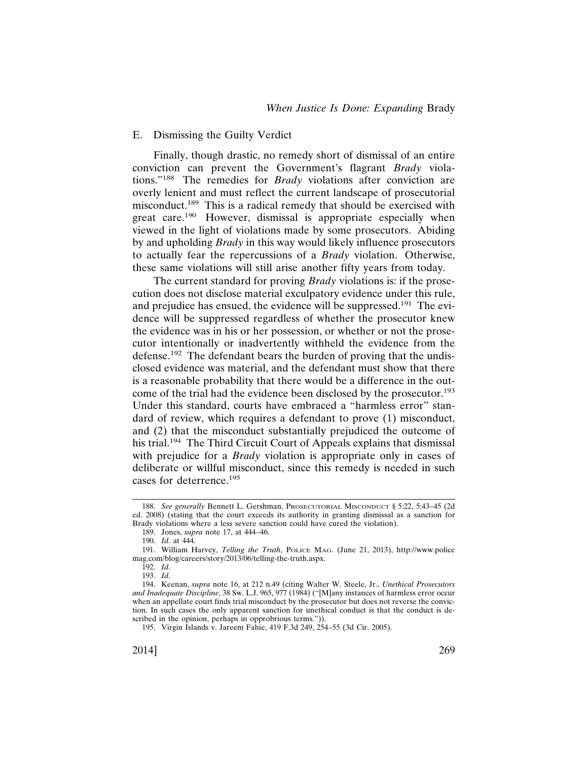#### E. Dismissing the Guilty Verdict

Finally, though drastic, no remedy short of dismissal of an entire conviction can prevent the Government's flagrant *Brady* violations."188 The remedies for *Brady* violations after conviction are overly lenient and must reflect the current landscape of prosecutorial misconduct.189 This is a radical remedy that should be exercised with great care.190 However, dismissal is appropriate especially when viewed in the light of violations made by some prosecutors. Abiding by and upholding *Brady* in this way would likely influence prosecutors to actually fear the repercussions of a *Brady* violation. Otherwise, these same violations will still arise another fifty years from today.

The current standard for proving *Brady* violations is: if the prosecution does not disclose material exculpatory evidence under this rule, and prejudice has ensued, the evidence will be suppressed.191 The evidence will be suppressed regardless of whether the prosecutor knew the evidence was in his or her possession, or whether or not the prosecutor intentionally or inadvertently withheld the evidence from the defense.<sup>192</sup> The defendant bears the burden of proving that the undisclosed evidence was material, and the defendant must show that there is a reasonable probability that there would be a difference in the outcome of the trial had the evidence been disclosed by the prosecutor.<sup>193</sup> Under this standard, courts have embraced a "harmless error" standard of review, which requires a defendant to prove (1) misconduct, and (2) that the misconduct substantially prejudiced the outcome of his trial.<sup>194</sup> The Third Circuit Court of Appeals explains that dismissal with prejudice for a *Brady* violation is appropriate only in cases of deliberate or willful misconduct, since this remedy is needed in such cases for deterrence.<sup>195</sup>

<sup>188.</sup> *See generally* Bennett L. Gershman, PROSECUTORIAL MISCONDUCT § 5:22, 5:43–45 (2d ed. 2008) (stating that the court exceeds its authority in granting dismissal as a sanction for Brady violations where a less severe sanction could have cured the violation).

<sup>189.</sup> Jones, *supra* note 17, at 444–46.

<sup>190.</sup> *Id.* at 444.

<sup>191.</sup> William Harvey, *Telling the Truth*, POLICE MAG. (June 21, 2013), http://www.police mag.com/blog/careers/story/2013/06/telling-the-truth.aspx.

<sup>192.</sup> *Id.* 193. *Id.*

<sup>194.</sup> Keenan, *supra* note 16, at 212 n.49 (citing Walter W. Steele, Jr., *Unethical Prosecutors and Inadequate Discipline*, 38 Sw. L.J. 965, 977 (1984) ("[M]any instances of harmless error occur when an appellate court finds trial misconduct by the prosecutor but does not reverse the conviction. In such cases the only apparent sanction for unethical conduct is that the conduct is described in the opinion, perhaps in opprobrious terms.")).

<sup>195.</sup> Virgin Islands v. Jareem Fahie, 419 F.3d 249, 254–55 (3d Cir. 2005).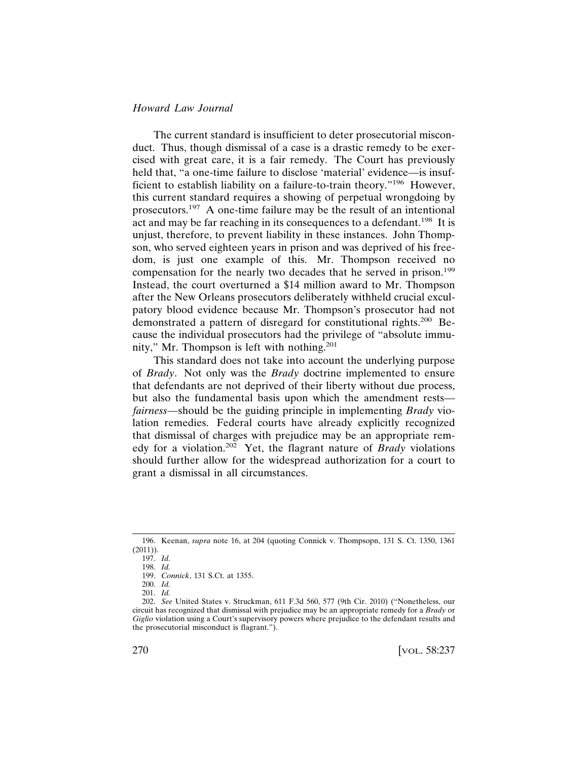The current standard is insufficient to deter prosecutorial misconduct. Thus, though dismissal of a case is a drastic remedy to be exercised with great care, it is a fair remedy. The Court has previously held that, "a one-time failure to disclose 'material' evidence—is insufficient to establish liability on a failure-to-train theory."196 However, this current standard requires a showing of perpetual wrongdoing by prosecutors.197 A one-time failure may be the result of an intentional act and may be far reaching in its consequences to a defendant.<sup>198</sup> It is unjust, therefore, to prevent liability in these instances. John Thompson, who served eighteen years in prison and was deprived of his freedom, is just one example of this. Mr. Thompson received no compensation for the nearly two decades that he served in prison.<sup>199</sup> Instead, the court overturned a \$14 million award to Mr. Thompson after the New Orleans prosecutors deliberately withheld crucial exculpatory blood evidence because Mr. Thompson's prosecutor had not demonstrated a pattern of disregard for constitutional rights.200 Because the individual prosecutors had the privilege of "absolute immunity," Mr. Thompson is left with nothing.201

This standard does not take into account the underlying purpose of *Brady*. Not only was the *Brady* doctrine implemented to ensure that defendants are not deprived of their liberty without due process, but also the fundamental basis upon which the amendment rests *fairness*—should be the guiding principle in implementing *Brady* violation remedies. Federal courts have already explicitly recognized that dismissal of charges with prejudice may be an appropriate remedy for a violation.202 Yet, the flagrant nature of *Brady* violations should further allow for the widespread authorization for a court to grant a dismissal in all circumstances.

<sup>196.</sup> Keenan, *supra* note 16, at 204 (quoting Connick v. Thompsopn, 131 S. Ct. 1350, 1361  $(2011)$ ).

<sup>197.</sup> *Id.*

<sup>198.</sup> *Id.* 199. *Connick*, 131 S.Ct. at 1355.

<sup>200.</sup> *Id.*

<sup>201.</sup> *Id.*

<sup>202.</sup> *See* United States v. Struckman, 611 F.3d 560, 577 (9th Cir. 2010) ("Nonetheless, our circuit has recognized that dismissal with prejudice may be an appropriate remedy for a *Brady* or *Giglio* violation using a Court's supervisory powers where prejudice to the defendant results and the prosecutorial misconduct is flagrant.").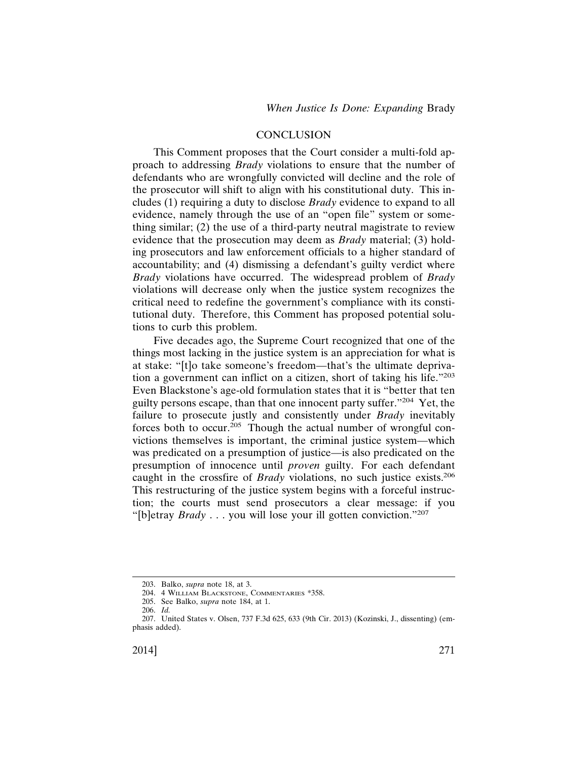#### **CONCLUSION**

This Comment proposes that the Court consider a multi-fold approach to addressing *Brady* violations to ensure that the number of defendants who are wrongfully convicted will decline and the role of the prosecutor will shift to align with his constitutional duty. This includes (1) requiring a duty to disclose *Brady* evidence to expand to all evidence, namely through the use of an "open file" system or something similar; (2) the use of a third-party neutral magistrate to review evidence that the prosecution may deem as *Brady* material; (3) holding prosecutors and law enforcement officials to a higher standard of accountability; and (4) dismissing a defendant's guilty verdict where *Brady* violations have occurred. The widespread problem of *Brady* violations will decrease only when the justice system recognizes the critical need to redefine the government's compliance with its constitutional duty. Therefore, this Comment has proposed potential solutions to curb this problem.

Five decades ago, the Supreme Court recognized that one of the things most lacking in the justice system is an appreciation for what is at stake: "[t]o take someone's freedom—that's the ultimate deprivation a government can inflict on a citizen, short of taking his life."<sup>203</sup> Even Blackstone's age-old formulation states that it is "better that ten guilty persons escape, than that one innocent party suffer."204 Yet, the failure to prosecute justly and consistently under *Brady* inevitably forces both to occur.<sup>205</sup> Though the actual number of wrongful convictions themselves is important, the criminal justice system—which was predicated on a presumption of justice—is also predicated on the presumption of innocence until *proven* guilty. For each defendant caught in the crossfire of *Brady* violations, no such justice exists.206 This restructuring of the justice system begins with a forceful instruction; the courts must send prosecutors a clear message: if you "[b]etray *Brady* . . . you will lose your ill gotten conviction."<sup>207</sup>

<sup>203.</sup> Balko, *supra* note 18, at 3.

<sup>204. 4</sup> WILLIAM BLACKSTONE, COMMENTARIES \*358.

<sup>205.</sup> See Balko, *supra* note 184, at 1.

<sup>206.</sup> *Id.*

<sup>207.</sup> United States v. Olsen, 737 F.3d 625, 633 (9th Cir. 2013) (Kozinski, J., dissenting) (emphasis added).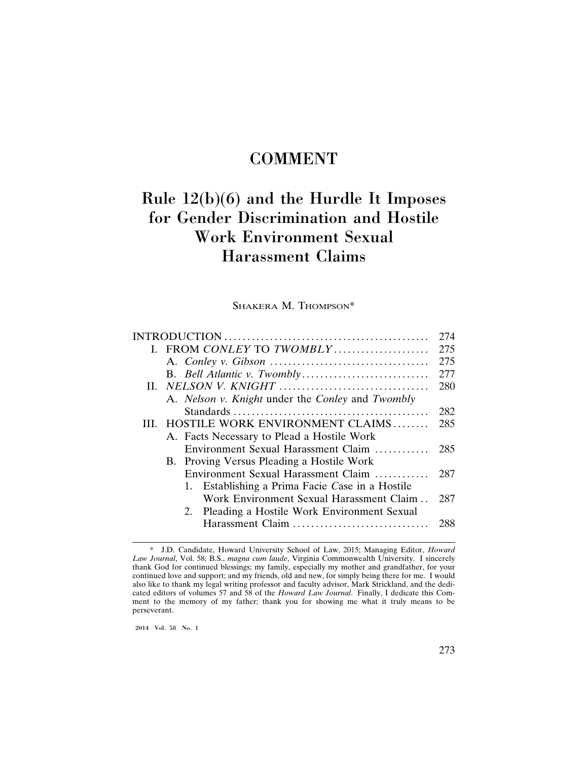## COMMENT

# Rule 12(b)(6) and the Hurdle It Imposes for Gender Discrimination and Hostile Work Environment Sexual Harassment Claims

SHAKERA M. THOMPSON\*

|                                                  | 274 |
|--------------------------------------------------|-----|
| I. FROM CONLEY TO TWOMBLY                        | 275 |
|                                                  | 275 |
|                                                  | 277 |
|                                                  | 280 |
| A. Nelson v. Knight under the Conley and Twombly |     |
|                                                  | 282 |
| III. HOSTILE WORK ENVIRONMENT CLAIMS             | 285 |
| A. Facts Necessary to Plead a Hostile Work       |     |
| Environment Sexual Harassment Claim              | 285 |
| B. Proving Versus Pleading a Hostile Work        |     |
| Environment Sexual Harassment Claim              | 287 |
| 1. Establishing a Prima Facie Case in a Hostile  |     |
| Work Environment Sexual Harassment Claim         | 287 |
| 2. Pleading a Hostile Work Environment Sexual    |     |
| Harassment Claim                                 | 288 |
|                                                  |     |

2014 Vol. 58 No. 1

<sup>\*</sup> J.D. Candidate, Howard University School of Law, 2015; Managing Editor, *Howard Law Journal*, Vol. 58; B.S., *magna cum laude*, Virginia Commonwealth University. I sincerely thank God for continued blessings; my family, especially my mother and grandfather, for your continued love and support; and my friends, old and new, for simply being there for me. I would also like to thank my legal writing professor and faculty advisor, Mark Strickland, and the dedicated editors of volumes 57 and 58 of the *Howard Law Journal*. Finally, I dedicate this Comment to the memory of my father; thank you for showing me what it truly means to be perseverant.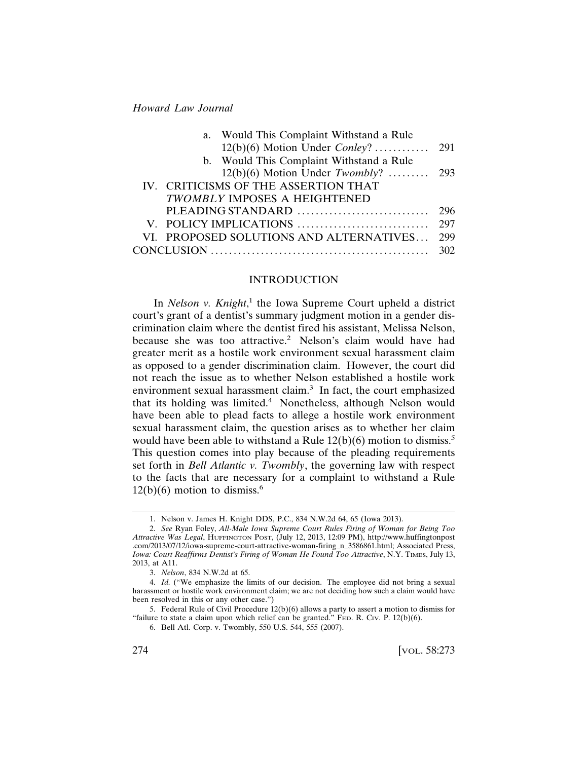| a. Would This Complaint Withstand a Rule |     |
|------------------------------------------|-----|
|                                          |     |
| b. Would This Complaint Withstand a Rule |     |
| $12(b)(6)$ Motion Under Twombly?  293    |     |
| IV. CRITICISMS OF THE ASSERTION THAT     |     |
| TWOMBLY IMPOSES A HEIGHTENED             |     |
| PLEADING STANDARD                        | 296 |
| V. POLICY IMPLICATIONS                   | 297 |
| VI. PROPOSED SOLUTIONS AND ALTERNATIVES  | 299 |
|                                          | 302 |
|                                          |     |

#### INTRODUCTION

In *Nelson v. Knight*,<sup>1</sup> the Iowa Supreme Court upheld a district court's grant of a dentist's summary judgment motion in a gender discrimination claim where the dentist fired his assistant, Melissa Nelson, because she was too attractive.<sup>2</sup> Nelson's claim would have had greater merit as a hostile work environment sexual harassment claim as opposed to a gender discrimination claim. However, the court did not reach the issue as to whether Nelson established a hostile work environment sexual harassment claim.<sup>3</sup> In fact, the court emphasized that its holding was limited.4 Nonetheless, although Nelson would have been able to plead facts to allege a hostile work environment sexual harassment claim, the question arises as to whether her claim would have been able to withstand a Rule  $12(b)(6)$  motion to dismiss.<sup>5</sup> This question comes into play because of the pleading requirements set forth in *Bell Atlantic v. Twombly*, the governing law with respect to the facts that are necessary for a complaint to withstand a Rule  $12(b)(6)$  motion to dismiss.<sup>6</sup>

<sup>1.</sup> Nelson v. James H. Knight DDS, P.C., 834 N.W.2d 64, 65 (Iowa 2013).

<sup>2.</sup> *See* Ryan Foley, *All-Male Iowa Supreme Court Rules Firing of Woman for Being Too Attractive Was Legal*, HUFFINGTON POST, (July 12, 2013, 12:09 PM), http://www.huffingtonpost .com/2013/07/12/iowa-supreme-court-attractive-woman-firing\_n\_3586861.html; Associated Press, *Iowa: Court Reaffirms Dentist's Firing of Woman He Found Too Attractive*, N.Y. TIMES, July 13, 2013, at A11.

<sup>3.</sup> *Nelson*, 834 N.W.2d at 65.

<sup>4.</sup> *Id.* ("We emphasize the limits of our decision. The employee did not bring a sexual harassment or hostile work environment claim; we are not deciding how such a claim would have been resolved in this or any other case.")

<sup>5.</sup> Federal Rule of Civil Procedure 12(b)(6) allows a party to assert a motion to dismiss for "failure to state a claim upon which relief can be granted." FED. R. CIV. P.  $12(b)(6)$ .

<sup>6.</sup> Bell Atl. Corp. v. Twombly, 550 U.S. 544, 555 (2007).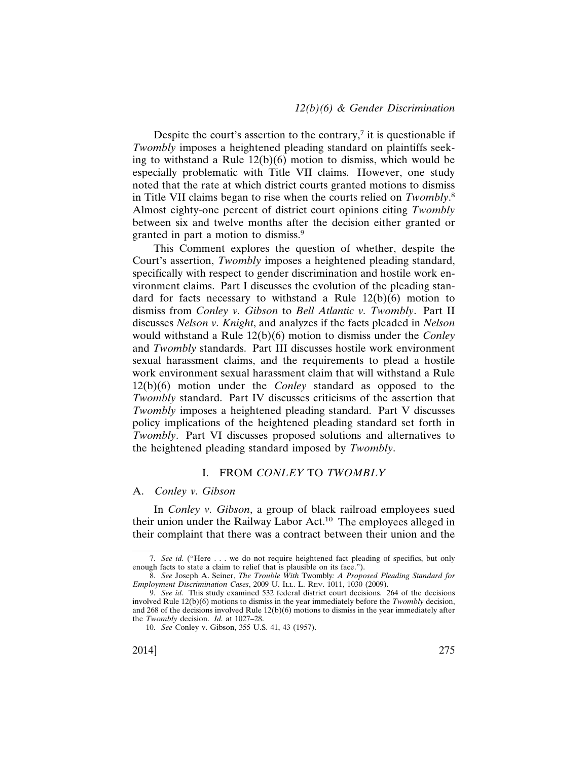Despite the court's assertion to the contrary, $7$  it is questionable if *Twombly* imposes a heightened pleading standard on plaintiffs seeking to withstand a Rule 12(b)(6) motion to dismiss, which would be especially problematic with Title VII claims. However, one study noted that the rate at which district courts granted motions to dismiss in Title VII claims began to rise when the courts relied on *Twombly*. 8 Almost eighty-one percent of district court opinions citing *Twombly* between six and twelve months after the decision either granted or granted in part a motion to dismiss.<sup>9</sup>

This Comment explores the question of whether, despite the Court's assertion, *Twombly* imposes a heightened pleading standard, specifically with respect to gender discrimination and hostile work environment claims. Part I discusses the evolution of the pleading standard for facts necessary to withstand a Rule 12(b)(6) motion to dismiss from *Conley v. Gibson* to *Bell Atlantic v. Twombly*. Part II discusses *Nelson v. Knight*, and analyzes if the facts pleaded in *Nelson* would withstand a Rule 12(b)(6) motion to dismiss under the *Conley* and *Twombly* standards. Part III discusses hostile work environment sexual harassment claims, and the requirements to plead a hostile work environment sexual harassment claim that will withstand a Rule 12(b)(6) motion under the *Conley* standard as opposed to the *Twombly* standard. Part IV discusses criticisms of the assertion that *Twombly* imposes a heightened pleading standard. Part V discusses policy implications of the heightened pleading standard set forth in *Twombly*. Part VI discusses proposed solutions and alternatives to the heightened pleading standard imposed by *Twombly*.

## I. FROM *CONLEY* TO *TWOMBLY*

## A. *Conley v. Gibson*

In *Conley v. Gibson*, a group of black railroad employees sued their union under the Railway Labor Act.<sup>10</sup> The employees alleged in their complaint that there was a contract between their union and the

<sup>7.</sup> *See id.* ("Here . . . we do not require heightened fact pleading of specifics, but only enough facts to state a claim to relief that is plausible on its face.").

<sup>8.</sup> *See* Joseph A. Seiner, *The Trouble With* Twombly*: A Proposed Pleading Standard for Employment Discrimination Cases*, 2009 U. ILL. L. REV. 1011, 1030 (2009).

<sup>9.</sup> *See id.* This study examined 532 federal district court decisions. 264 of the decisions involved Rule 12(b)(6) motions to dismiss in the year immediately before the *Twombly* decision, and 268 of the decisions involved Rule 12(b)(6) motions to dismiss in the year immediately after the *Twombly* decision. *Id.* at 1027–28.

<sup>10.</sup> *See* Conley v. Gibson, 355 U.S. 41, 43 (1957).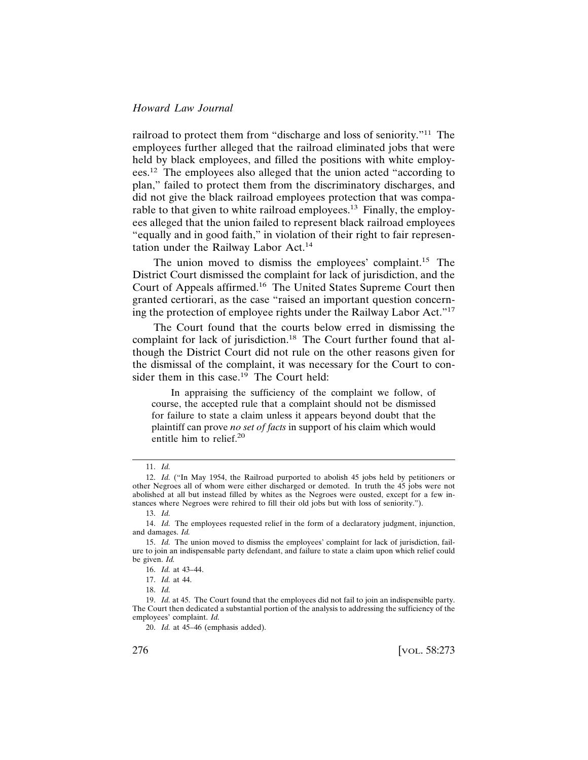railroad to protect them from "discharge and loss of seniority."11 The employees further alleged that the railroad eliminated jobs that were held by black employees, and filled the positions with white employees.12 The employees also alleged that the union acted "according to plan," failed to protect them from the discriminatory discharges, and did not give the black railroad employees protection that was comparable to that given to white railroad employees.<sup>13</sup> Finally, the employees alleged that the union failed to represent black railroad employees "equally and in good faith," in violation of their right to fair representation under the Railway Labor Act.<sup>14</sup>

The union moved to dismiss the employees' complaint.<sup>15</sup> The District Court dismissed the complaint for lack of jurisdiction, and the Court of Appeals affirmed.16 The United States Supreme Court then granted certiorari, as the case "raised an important question concerning the protection of employee rights under the Railway Labor Act."<sup>17</sup>

The Court found that the courts below erred in dismissing the complaint for lack of jurisdiction.<sup>18</sup> The Court further found that although the District Court did not rule on the other reasons given for the dismissal of the complaint, it was necessary for the Court to consider them in this case. $19$  The Court held:

In appraising the sufficiency of the complaint we follow, of course, the accepted rule that a complaint should not be dismissed for failure to state a claim unless it appears beyond doubt that the plaintiff can prove *no set of facts* in support of his claim which would entitle him to relief. $20$ 

<sup>11.</sup> *Id.*

<sup>12.</sup> *Id.* ("In May 1954, the Railroad purported to abolish 45 jobs held by petitioners or other Negroes all of whom were either discharged or demoted. In truth the 45 jobs were not abolished at all but instead filled by whites as the Negroes were ousted, except for a few instances where Negroes were rehired to fill their old jobs but with loss of seniority.").

<sup>13.</sup> *Id.*

<sup>14.</sup> *Id.* The employees requested relief in the form of a declaratory judgment, injunction, and damages. *Id.*

<sup>15.</sup> *Id.* The union moved to dismiss the employees' complaint for lack of jurisdiction, failure to join an indispensable party defendant, and failure to state a claim upon which relief could be given. *Id.*

<sup>16.</sup> *Id.* at 43–44.

<sup>17.</sup> *Id.* at 44.

<sup>18.</sup> *Id.*

<sup>19.</sup> *Id.* at 45. The Court found that the employees did not fail to join an indispensible party. The Court then dedicated a substantial portion of the analysis to addressing the sufficiency of the employees' complaint. *Id.*

<sup>20.</sup> *Id.* at 45–46 (emphasis added).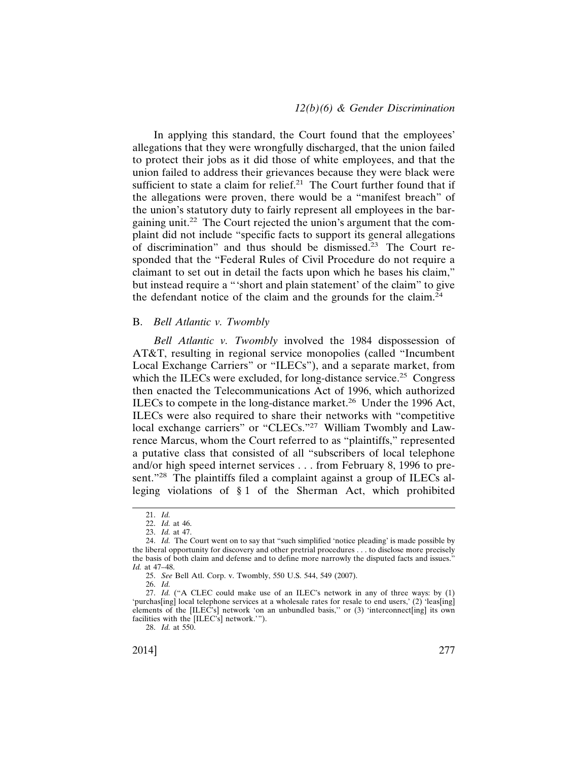In applying this standard, the Court found that the employees' allegations that they were wrongfully discharged, that the union failed to protect their jobs as it did those of white employees, and that the union failed to address their grievances because they were black were sufficient to state a claim for relief.<sup>21</sup> The Court further found that if the allegations were proven, there would be a "manifest breach" of the union's statutory duty to fairly represent all employees in the bargaining unit.22 The Court rejected the union's argument that the complaint did not include "specific facts to support its general allegations of discrimination" and thus should be dismissed.23 The Court responded that the "Federal Rules of Civil Procedure do not require a claimant to set out in detail the facts upon which he bases his claim," but instead require a "'short and plain statement' of the claim" to give the defendant notice of the claim and the grounds for the claim.24

## B. *Bell Atlantic v. Twombly*

*Bell Atlantic v. Twombly* involved the 1984 dispossession of AT&T, resulting in regional service monopolies (called "Incumbent Local Exchange Carriers" or "ILECs"), and a separate market, from which the ILECs were excluded, for long-distance service.<sup>25</sup> Congress then enacted the Telecommunications Act of 1996, which authorized ILECs to compete in the long-distance market.26 Under the 1996 Act, ILECs were also required to share their networks with "competitive local exchange carriers" or "CLECs."<sup>27</sup> William Twombly and Lawrence Marcus, whom the Court referred to as "plaintiffs," represented a putative class that consisted of all "subscribers of local telephone and/or high speed internet services . . . from February 8, 1996 to present."<sup>28</sup> The plaintiffs filed a complaint against a group of ILECs alleging violations of § 1 of the Sherman Act, which prohibited

28. *Id.* at 550.

<sup>21.</sup> *Id.*

<sup>22.</sup> *Id.* at 46.

<sup>23.</sup> *Id.* at 47.

<sup>24.</sup> *Id.* The Court went on to say that "such simplified 'notice pleading' is made possible by the liberal opportunity for discovery and other pretrial procedures . . . to disclose more precisely the basis of both claim and defense and to define more narrowly the disputed facts and issues." *Id.* at 47–48.

<sup>25.</sup> *See* Bell Atl. Corp. v. Twombly, 550 U.S. 544, 549 (2007).

<sup>26.</sup> *Id.*

<sup>27.</sup> *Id.* ("A CLEC could make use of an ILEC's network in any of three ways: by (1) 'purchas[ing] local telephone services at a wholesale rates for resale to end users,' (2) 'leas[ing] elements of the [ILEC's] network 'on an unbundled basis,'' or (3) 'interconnect[ing] its own facilities with the [ILEC's] network.'").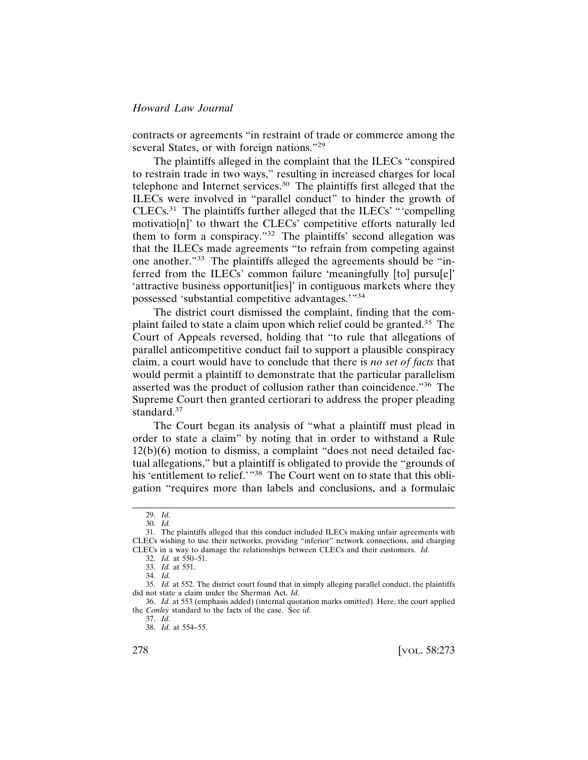contracts or agreements "in restraint of trade or commerce among the several States, or with foreign nations."<sup>29</sup>

The plaintiffs alleged in the complaint that the ILECs "conspired to restrain trade in two ways," resulting in increased charges for local telephone and Internet services.30 The plaintiffs first alleged that the ILECs were involved in "parallel conduct" to hinder the growth of CLECs.31 The plaintiffs further alleged that the ILECs' "'compelling motivatio[n]' to thwart the CLECs' competitive efforts naturally led them to form a conspiracy."32 The plaintiffs' second allegation was that the ILECs made agreements "to refrain from competing against one another."33 The plaintiffs alleged the agreements should be "inferred from the ILECs' common failure 'meaningfully [to] pursu[e]' 'attractive business opportunit[ies]' in contiguous markets where they possessed 'substantial competitive advantages.'"<sup>34</sup>

The district court dismissed the complaint, finding that the complaint failed to state a claim upon which relief could be granted.35 The Court of Appeals reversed, holding that "to rule that allegations of parallel anticompetitive conduct fail to support a plausible conspiracy claim, a court would have to conclude that there is *no set of facts* that would permit a plaintiff to demonstrate that the particular parallelism asserted was the product of collusion rather than coincidence."36 The Supreme Court then granted certiorari to address the proper pleading standard.<sup>37</sup>

The Court began its analysis of "what a plaintiff must plead in order to state a claim" by noting that in order to withstand a Rule 12(b)(6) motion to dismiss, a complaint "does not need detailed factual allegations," but a plaintiff is obligated to provide the "grounds of his 'entitlement to relief.'"38 The Court went on to state that this obligation "requires more than labels and conclusions, and a formulaic

<sup>29.</sup> *Id.*

<sup>30.</sup> *Id.*

<sup>31.</sup> The plaintiffs alleged that this conduct included ILECs making unfair agreements with CLECs wishing to use their networks, providing "inferior" network connections, and charging CLECs in a way to damage the relationships between CLECs and their customers. *Id.*

<sup>32.</sup> *Id.* at 550–51.

<sup>33.</sup> *Id.* at 551.

<sup>34.</sup> *Id.*

<sup>35.</sup> *Id.* at 552. The district court found that in simply alleging parallel conduct, the plaintiffs did not state a claim under the Sherman Act. *Id.*

<sup>36.</sup> *Id.* at 553 (emphasis added) (internal quotation marks omitted). Here, the court applied the *Conley* standard to the facts of the case. See *id.*

<sup>37.</sup> *Id.*

<sup>38.</sup> *Id.* at 554–55.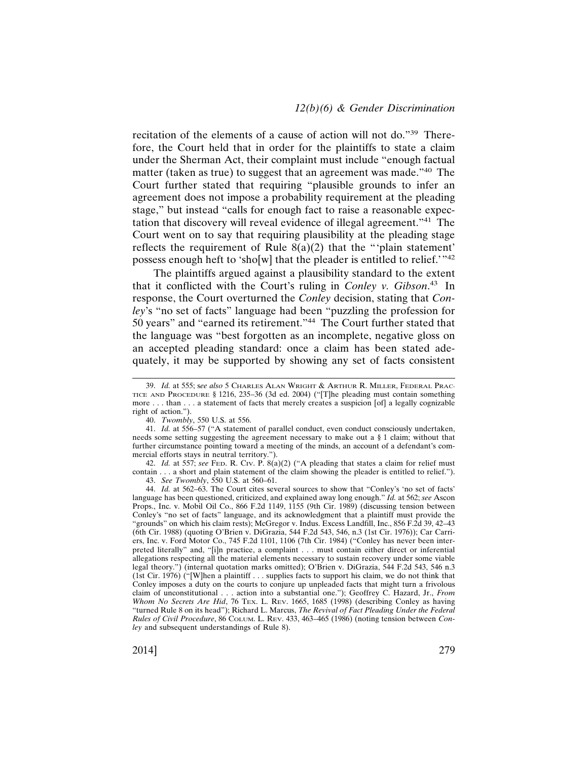recitation of the elements of a cause of action will not do."39 Therefore, the Court held that in order for the plaintiffs to state a claim under the Sherman Act, their complaint must include "enough factual matter (taken as true) to suggest that an agreement was made."40 The Court further stated that requiring "plausible grounds to infer an agreement does not impose a probability requirement at the pleading stage," but instead "calls for enough fact to raise a reasonable expectation that discovery will reveal evidence of illegal agreement."41 The Court went on to say that requiring plausibility at the pleading stage reflects the requirement of Rule  $8(a)(2)$  that the "'plain statement' possess enough heft to 'sho[w] that the pleader is entitled to relief.'"42

The plaintiffs argued against a plausibility standard to the extent that it conflicted with the Court's ruling in *Conley v. Gibson*. 43 In response, the Court overturned the *Conley* decision, stating that *Conley*'s "no set of facts" language had been "puzzling the profession for 50 years" and "earned its retirement."44 The Court further stated that the language was "best forgotten as an incomplete, negative gloss on an accepted pleading standard: once a claim has been stated adequately, it may be supported by showing any set of facts consistent

42. *Id.* at 557; *see* FED. R. CIV. P. 8(a)(2) ("A pleading that states a claim for relief must contain . . . a short and plain statement of the claim showing the pleader is entitled to relief."). 43. *See Twombly*, 550 U.S. at 560–61.

<sup>39.</sup> *Id.* at 555; s*ee also* 5 CHARLES ALAN WRIGHT & ARTHUR R. MILLER, FEDERAL PRAC-TICE AND PROCEDURE § 1216, 235–36 (3d ed. 2004) ("[T]he pleading must contain something more . . . than . . . a statement of facts that merely creates a suspicion [of] a legally cognizable right of action.").

<sup>40.</sup> *Twombly*, 550 U.S. at 556.

<sup>41.</sup> *Id.* at 556–57 ("A statement of parallel conduct, even conduct consciously undertaken, needs some setting suggesting the agreement necessary to make out a § 1 claim; without that further circumstance pointing toward a meeting of the minds, an account of a defendant's commercial efforts stays in neutral territory.").

<sup>44.</sup> *Id.* at 562–63. The Court cites several sources to show that "Conley's 'no set of facts' language has been questioned, criticized, and explained away long enough." *Id.* at 562; *see* Ascon Props., Inc. v. Mobil Oil Co., 866 F.2d 1149, 1155 (9th Cir. 1989) (discussing tension between Conley's "no set of facts" language, and its acknowledgment that a plaintiff must provide the "grounds" on which his claim rests); McGregor v. Indus. Excess Landfill, Inc., 856 F.2d 39, 42–43 (6th Cir. 1988) (quoting O'Brien v. DiGrazia, 544 F.2d 543, 546, n.3 (1st Cir. 1976)); Car Carriers, Inc. v. Ford Motor Co., 745 F.2d 1101, 1106 (7th Cir. 1984) ("Conley has never been interpreted literally" and, "[i]n practice, a complaint . . . must contain either direct or inferential allegations respecting all the material elements necessary to sustain recovery under some viable legal theory.") (internal quotation marks omitted); O'Brien v. DiGrazia, 544 F.2d 543, 546 n.3 (1st Cir. 1976) ("[W]hen a plaintiff . . . supplies facts to support his claim, we do not think that Conley imposes a duty on the courts to conjure up unpleaded facts that might turn a frivolous claim of unconstitutional . . . action into a substantial one."); Geoffrey C. Hazard, Jr., *From Whom No Secrets Are Hid*, 76 TEX. L. REV. 1665, 1685 (1998) (describing Conley as having "turned Rule 8 on its head"); Richard L. Marcus, *The Revival of Fact Pleading Under the Federal Rules of Civil Procedure*, 86 COLUM. L. REV. 433, 463–465 (1986) (noting tension between *Conley* and subsequent understandings of Rule 8).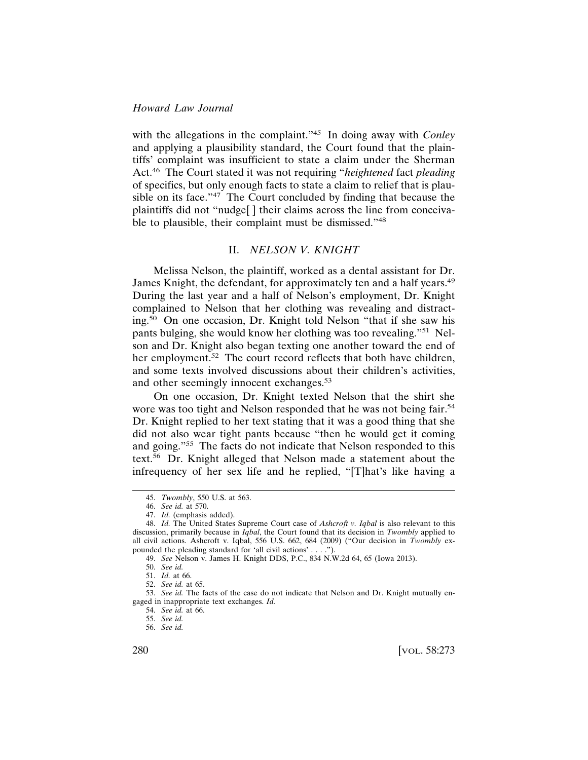with the allegations in the complaint."45 In doing away with *Conley* and applying a plausibility standard, the Court found that the plaintiffs' complaint was insufficient to state a claim under the Sherman Act.46 The Court stated it was not requiring "*heightened* fact *pleading* of specifics, but only enough facts to state a claim to relief that is plausible on its face."<sup>47</sup> The Court concluded by finding that because the plaintiffs did not "nudge[ ] their claims across the line from conceivable to plausible, their complaint must be dismissed."<sup>48</sup>

#### II. *NELSON V. KNIGHT*

Melissa Nelson, the plaintiff, worked as a dental assistant for Dr. James Knight, the defendant, for approximately ten and a half years.<sup>49</sup> During the last year and a half of Nelson's employment, Dr. Knight complained to Nelson that her clothing was revealing and distracting.50 On one occasion, Dr. Knight told Nelson "that if she saw his pants bulging, she would know her clothing was too revealing."51 Nelson and Dr. Knight also began texting one another toward the end of her employment.<sup>52</sup> The court record reflects that both have children, and some texts involved discussions about their children's activities, and other seemingly innocent exchanges.<sup>53</sup>

On one occasion, Dr. Knight texted Nelson that the shirt she wore was too tight and Nelson responded that he was not being fair.<sup>54</sup> Dr. Knight replied to her text stating that it was a good thing that she did not also wear tight pants because "then he would get it coming and going."55 The facts do not indicate that Nelson responded to this text.56 Dr. Knight alleged that Nelson made a statement about the infrequency of her sex life and he replied, "[T]hat's like having a

<sup>45.</sup> *Twombly*, 550 U.S. at 563.

<sup>46.</sup> *See id.* at 570.

<sup>47.</sup> *Id.* (emphasis added).

<sup>48.</sup> *Id.* The United States Supreme Court case of *Ashcroft v. Iqbal* is also relevant to this discussion, primarily because in *Iqbal*, the Court found that its decision in *Twombly* applied to all civil actions. Ashcroft v. Iqbal, 556 U.S. 662, 684 (2009) ("Our decision in *Twombly* expounded the pleading standard for 'all civil actions' . . . .").

<sup>49.</sup> *See* Nelson v. James H. Knight DDS, P.C., 834 N.W.2d 64, 65 (Iowa 2013).

<sup>50.</sup> *See id.*

<sup>51.</sup> *Id.* at 66.

<sup>52.</sup> *See id.* at 65.

<sup>53.</sup> *See id.* The facts of the case do not indicate that Nelson and Dr. Knight mutually engaged in inappropriate text exchanges. *Id.*

<sup>54.</sup> *See id.* at 66.

<sup>55.</sup> *See id.*

<sup>56.</sup> *See id.*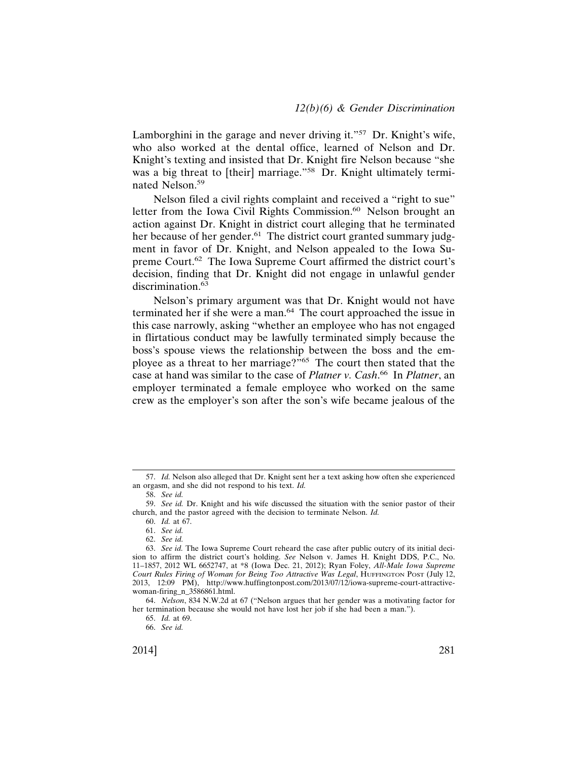Lamborghini in the garage and never driving it."57 Dr. Knight's wife, who also worked at the dental office, learned of Nelson and Dr. Knight's texting and insisted that Dr. Knight fire Nelson because "she was a big threat to [their] marriage."58 Dr. Knight ultimately terminated Nelson.<sup>59</sup>

Nelson filed a civil rights complaint and received a "right to sue" letter from the Iowa Civil Rights Commission.<sup>60</sup> Nelson brought an action against Dr. Knight in district court alleging that he terminated her because of her gender.<sup>61</sup> The district court granted summary judgment in favor of Dr. Knight, and Nelson appealed to the Iowa Supreme Court.62 The Iowa Supreme Court affirmed the district court's decision, finding that Dr. Knight did not engage in unlawful gender discrimination.63

Nelson's primary argument was that Dr. Knight would not have terminated her if she were a man.<sup>64</sup> The court approached the issue in this case narrowly, asking "whether an employee who has not engaged in flirtatious conduct may be lawfully terminated simply because the boss's spouse views the relationship between the boss and the employee as a threat to her marriage?"65 The court then stated that the case at hand was similar to the case of *Platner v. Cash*. 66 In *Platner*, an employer terminated a female employee who worked on the same crew as the employer's son after the son's wife became jealous of the

<sup>57.</sup> *Id.* Nelson also alleged that Dr. Knight sent her a text asking how often she experienced an orgasm, and she did not respond to his text. *Id.*

<sup>58.</sup> *See id.*

<sup>59.</sup> *See id.* Dr. Knight and his wife discussed the situation with the senior pastor of their church, and the pastor agreed with the decision to terminate Nelson. *Id.*

<sup>60.</sup> *Id.* at 67.

<sup>61.</sup> *See id.*

<sup>62.</sup> *See id.*

<sup>63.</sup> *See id.* The Iowa Supreme Court reheard the case after public outcry of its initial decision to affirm the district court's holding. *See* Nelson v. James H. Knight DDS, P.C., No. 11–1857, 2012 WL 6652747, at \*8 (Iowa Dec. 21, 2012); Ryan Foley, *All-Male Iowa Supreme Court Rules Firing of Woman for Being Too Attractive Was Legal*, HUFFINGTON POST (July 12, 2013, 12:09 PM), http://www.huffingtonpost.com/2013/07/12/iowa-supreme-court-attractivewoman-firing\_n\_3586861.html.

<sup>64.</sup> *Nelson*, 834 N.W.2d at 67 ("Nelson argues that her gender was a motivating factor for her termination because she would not have lost her job if she had been a man.").

<sup>65.</sup> *Id.* at 69.

<sup>66.</sup> *See id.*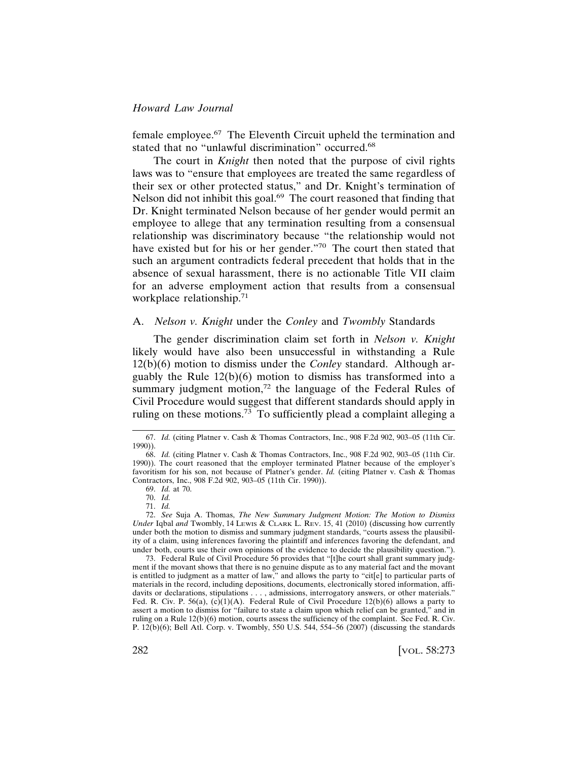female employee.67 The Eleventh Circuit upheld the termination and stated that no "unlawful discrimination" occurred.<sup>68</sup>

The court in *Knight* then noted that the purpose of civil rights laws was to "ensure that employees are treated the same regardless of their sex or other protected status," and Dr. Knight's termination of Nelson did not inhibit this goal.<sup>69</sup> The court reasoned that finding that Dr. Knight terminated Nelson because of her gender would permit an employee to allege that any termination resulting from a consensual relationship was discriminatory because "the relationship would not have existed but for his or her gender."70 The court then stated that such an argument contradicts federal precedent that holds that in the absence of sexual harassment, there is no actionable Title VII claim for an adverse employment action that results from a consensual workplace relationship.<sup>71</sup>

#### A. *Nelson v. Knight* under the *Conley* and *Twombly* Standards

The gender discrimination claim set forth in *Nelson v. Knight* likely would have also been unsuccessful in withstanding a Rule 12(b)(6) motion to dismiss under the *Conley* standard. Although arguably the Rule 12(b)(6) motion to dismiss has transformed into a summary judgment motion, $72$  the language of the Federal Rules of Civil Procedure would suggest that different standards should apply in ruling on these motions.73 To sufficiently plead a complaint alleging a

73. Federal Rule of Civil Procedure 56 provides that "[t]he court shall grant summary judgment if the movant shows that there is no genuine dispute as to any material fact and the movant is entitled to judgment as a matter of law," and allows the party to "cit[e] to particular parts of materials in the record, including depositions, documents, electronically stored information, affidavits or declarations, stipulations . . . , admissions, interrogatory answers, or other materials." Fed. R. Civ. P. 56(a),  $(c)(1)(A)$ . Federal Rule of Civil Procedure 12(b)(6) allows a party to assert a motion to dismiss for "failure to state a claim upon which relief can be granted," and in ruling on a Rule  $12(b)(6)$  motion, courts assess the sufficiency of the complaint. See Fed. R. Civ. P. 12(b)(6); Bell Atl. Corp. v. Twombly, 550 U.S. 544, 554–56 (2007) (discussing the standards

<sup>67.</sup> *Id.* (citing Platner v. Cash & Thomas Contractors, Inc., 908 F.2d 902, 903–05 (11th Cir. 1990)).

<sup>68.</sup> *Id.* (citing Platner v. Cash & Thomas Contractors, Inc., 908 F.2d 902, 903–05 (11th Cir. 1990)). The court reasoned that the employer terminated Platner because of the employer's favoritism for his son, not because of Platner's gender. *Id.* (citing Platner v. Cash & Thomas Contractors, Inc., 908 F.2d 902, 903–05 (11th Cir. 1990)).

<sup>69.</sup> *Id.* at 70.

<sup>70.</sup> *Id.*

<sup>71.</sup> *Id.*

<sup>72.</sup> *See* Suja A. Thomas, *The New Summary Judgment Motion: The Motion to Dismiss Under* Iqbal *and* Twombly, 14 LEWIS & CLARK L. REV. 15, 41 (2010) (discussing how currently under both the motion to dismiss and summary judgment standards, "courts assess the plausibility of a claim, using inferences favoring the plaintiff and inferences favoring the defendant, and under both, courts use their own opinions of the evidence to decide the plausibility question.").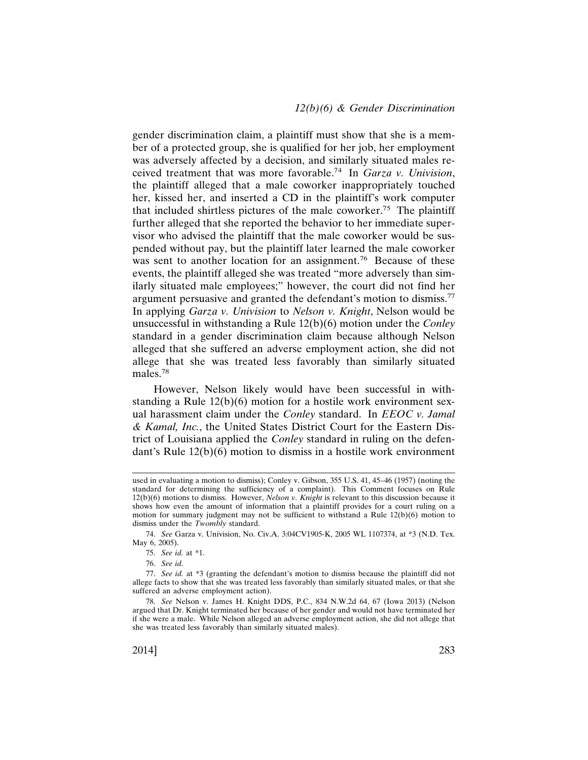gender discrimination claim, a plaintiff must show that she is a member of a protected group, she is qualified for her job, her employment was adversely affected by a decision, and similarly situated males received treatment that was more favorable.74 In *Garza v. Univision*, the plaintiff alleged that a male coworker inappropriately touched her, kissed her, and inserted a CD in the plaintiff's work computer that included shirtless pictures of the male coworker.<sup>75</sup> The plaintiff further alleged that she reported the behavior to her immediate supervisor who advised the plaintiff that the male coworker would be suspended without pay, but the plaintiff later learned the male coworker was sent to another location for an assignment.<sup>76</sup> Because of these events, the plaintiff alleged she was treated "more adversely than similarly situated male employees;" however, the court did not find her argument persuasive and granted the defendant's motion to dismiss.<sup>77</sup> In applying *Garza v. Univision* to *Nelson v. Knight*, Nelson would be unsuccessful in withstanding a Rule 12(b)(6) motion under the *Conley* standard in a gender discrimination claim because although Nelson alleged that she suffered an adverse employment action, she did not allege that she was treated less favorably than similarly situated males.78

However, Nelson likely would have been successful in withstanding a Rule 12(b)(6) motion for a hostile work environment sexual harassment claim under the *Conley* standard. In *EEOC v. Jamal & Kamal, Inc.*, the United States District Court for the Eastern District of Louisiana applied the *Conley* standard in ruling on the defendant's Rule 12(b)(6) motion to dismiss in a hostile work environment

74. *See* Garza v. Univision, No. Civ.A. 3:04CV1905-K, 2005 WL 1107374, at \*3 (N.D. Tex. May 6, 2005).

used in evaluating a motion to dismiss); Conley v. Gibson, 355 U.S. 41, 45–46 (1957) (noting the standard for determining the sufficiency of a complaint). This Comment focuses on Rule 12(b)(6) motions to dismiss. However, *Nelson v. Knight* is relevant to this discussion because it shows how even the amount of information that a plaintiff provides for a court ruling on a motion for summary judgment may not be sufficient to withstand a Rule  $12(b)(6)$  motion to dismiss under the *Twombly* standard.

<sup>75.</sup> *See id.* at \*1.

<sup>76.</sup> *See id.*

<sup>77.</sup> *See id.* at \*3 (granting the defendant's motion to dismiss because the plaintiff did not allege facts to show that she was treated less favorably than similarly situated males, or that she suffered an adverse employment action).

<sup>78.</sup> *See* Nelson v. James H. Knight DDS, P.C., 834 N.W.2d 64, 67 (Iowa 2013) (Nelson argued that Dr. Knight terminated her because of her gender and would not have terminated her if she were a male. While Nelson alleged an adverse employment action, she did not allege that she was treated less favorably than similarly situated males).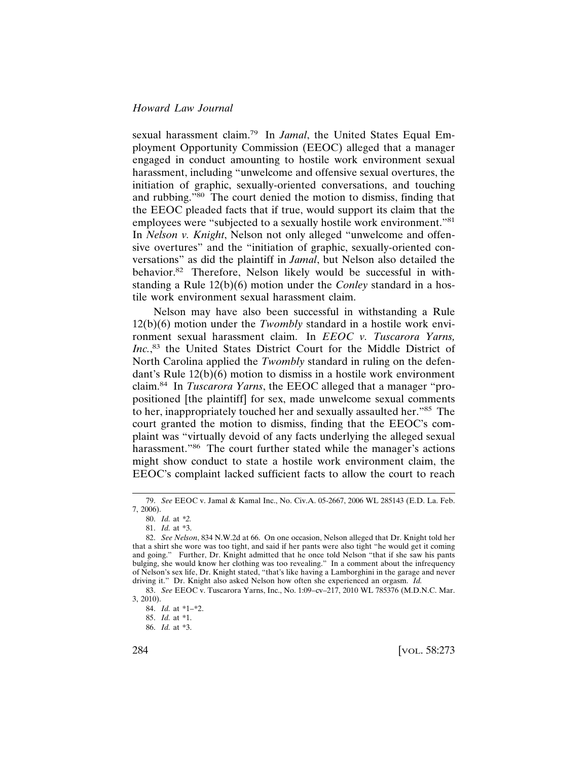sexual harassment claim.79 In *Jamal*, the United States Equal Employment Opportunity Commission (EEOC) alleged that a manager engaged in conduct amounting to hostile work environment sexual harassment, including "unwelcome and offensive sexual overtures, the initiation of graphic, sexually-oriented conversations, and touching and rubbing."80 The court denied the motion to dismiss, finding that the EEOC pleaded facts that if true, would support its claim that the employees were "subjected to a sexually hostile work environment."<sup>81</sup> In *Nelson v. Knight*, Nelson not only alleged "unwelcome and offensive overtures" and the "initiation of graphic, sexually-oriented conversations" as did the plaintiff in *Jamal*, but Nelson also detailed the behavior.<sup>82</sup> Therefore, Nelson likely would be successful in withstanding a Rule 12(b)(6) motion under the *Conley* standard in a hostile work environment sexual harassment claim.

Nelson may have also been successful in withstanding a Rule 12(b)(6) motion under the *Twombly* standard in a hostile work environment sexual harassment claim. In *EEOC v. Tuscarora Yarns, Inc.*, 83 the United States District Court for the Middle District of North Carolina applied the *Twombly* standard in ruling on the defendant's Rule 12(b)(6) motion to dismiss in a hostile work environment claim.84 In *Tuscarora Yarns*, the EEOC alleged that a manager "propositioned [the plaintiff] for sex, made unwelcome sexual comments to her, inappropriately touched her and sexually assaulted her."85 The court granted the motion to dismiss, finding that the EEOC's complaint was "virtually devoid of any facts underlying the alleged sexual harassment."86 The court further stated while the manager's actions might show conduct to state a hostile work environment claim, the EEOC's complaint lacked sufficient facts to allow the court to reach

<sup>79.</sup> *See* EEOC v. Jamal & Kamal Inc., No. Civ.A. 05-2667, 2006 WL 285143 (E.D. La. Feb. 7, 2006).

<sup>80.</sup> *Id.* at *\*2.*

<sup>81.</sup> *Id.* at \*3.

<sup>82.</sup> *See Nelson*, 834 N.W.2d at 66. On one occasion, Nelson alleged that Dr. Knight told her that a shirt she wore was too tight, and said if her pants were also tight "he would get it coming and going." Further, Dr. Knight admitted that he once told Nelson "that if she saw his pants bulging, she would know her clothing was too revealing." In a comment about the infrequency of Nelson's sex life, Dr. Knight stated, "that's like having a Lamborghini in the garage and never driving it." Dr. Knight also asked Nelson how often she experienced an orgasm. *Id.*

<sup>83.</sup> *See* EEOC v. Tuscarora Yarns, Inc., No. 1:09–cv–217, 2010 WL 785376 (M.D.N.C. Mar. 3, 2010).

<sup>84.</sup> *Id.* at \*1–\*2.

<sup>85.</sup> *Id.* at \*1.

<sup>86.</sup> *Id.* at \*3.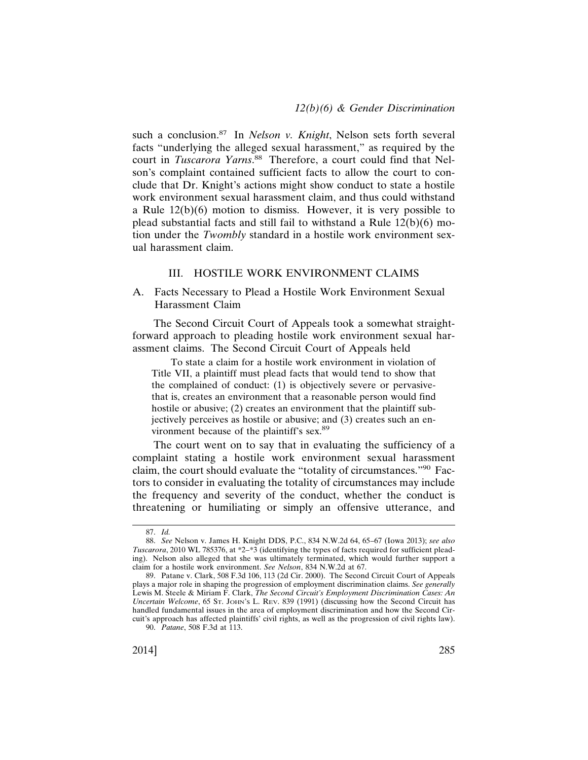such a conclusion.87 In *Nelson v. Knight*, Nelson sets forth several facts "underlying the alleged sexual harassment," as required by the court in *Tuscarora Yarns*. 88 Therefore, a court could find that Nelson's complaint contained sufficient facts to allow the court to conclude that Dr. Knight's actions might show conduct to state a hostile work environment sexual harassment claim, and thus could withstand a Rule 12(b)(6) motion to dismiss. However, it is very possible to plead substantial facts and still fail to withstand a Rule 12(b)(6) motion under the *Twombly* standard in a hostile work environment sexual harassment claim.

#### III. HOSTILE WORK ENVIRONMENT CLAIMS

A. Facts Necessary to Plead a Hostile Work Environment Sexual Harassment Claim

The Second Circuit Court of Appeals took a somewhat straightforward approach to pleading hostile work environment sexual harassment claims. The Second Circuit Court of Appeals held

To state a claim for a hostile work environment in violation of Title VII, a plaintiff must plead facts that would tend to show that the complained of conduct: (1) is objectively severe or pervasivethat is, creates an environment that a reasonable person would find hostile or abusive; (2) creates an environment that the plaintiff subjectively perceives as hostile or abusive; and (3) creates such an environment because of the plaintiff's sex.<sup>89</sup>

The court went on to say that in evaluating the sufficiency of a complaint stating a hostile work environment sexual harassment claim, the court should evaluate the "totality of circumstances."90 Factors to consider in evaluating the totality of circumstances may include the frequency and severity of the conduct, whether the conduct is threatening or humiliating or simply an offensive utterance, and

<sup>87.</sup> *Id.*

<sup>88.</sup> *See* Nelson v. James H. Knight DDS, P.C., 834 N.W.2d 64, 65–67 (Iowa 2013); *see also Tuscarora*, 2010 WL 785376, at  $2-\sqrt[3]{2}$  (identifying the types of facts required for sufficient pleading). Nelson also alleged that she was ultimately terminated, which would further support a claim for a hostile work environment. *See Nelson*, 834 N.W.2d at 67.

<sup>89.</sup> Patane v. Clark, 508 F.3d 106, 113 (2d Cir. 2000). The Second Circuit Court of Appeals plays a major role in shaping the progression of employment discrimination claims. *See generally* Lewis M. Steele & Miriam F. Clark, *The Second Circuit's Employment Discrimination Cases: An Uncertain Welcome*, 65 ST. JOHN'S L. REV. 839 (1991) (discussing how the Second Circuit has handled fundamental issues in the area of employment discrimination and how the Second Circuit's approach has affected plaintiffs' civil rights, as well as the progression of civil rights law).

<sup>90.</sup> *Patane*, 508 F.3d at 113.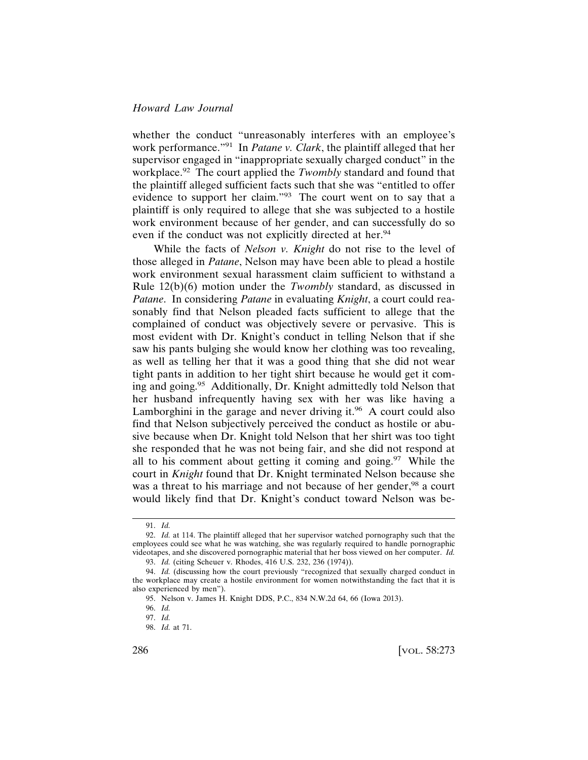whether the conduct "unreasonably interferes with an employee's work performance."91 In *Patane v. Clark*, the plaintiff alleged that her supervisor engaged in "inappropriate sexually charged conduct" in the workplace.92 The court applied the *Twombly* standard and found that the plaintiff alleged sufficient facts such that she was "entitled to offer evidence to support her claim."93 The court went on to say that a plaintiff is only required to allege that she was subjected to a hostile work environment because of her gender, and can successfully do so even if the conduct was not explicitly directed at her.<sup>94</sup>

While the facts of *Nelson v. Knight* do not rise to the level of those alleged in *Patane*, Nelson may have been able to plead a hostile work environment sexual harassment claim sufficient to withstand a Rule 12(b)(6) motion under the *Twombly* standard, as discussed in *Patane*. In considering *Patane* in evaluating *Knight*, a court could reasonably find that Nelson pleaded facts sufficient to allege that the complained of conduct was objectively severe or pervasive. This is most evident with Dr. Knight's conduct in telling Nelson that if she saw his pants bulging she would know her clothing was too revealing, as well as telling her that it was a good thing that she did not wear tight pants in addition to her tight shirt because he would get it coming and going.95 Additionally, Dr. Knight admittedly told Nelson that her husband infrequently having sex with her was like having a Lamborghini in the garage and never driving it. $96$  A court could also find that Nelson subjectively perceived the conduct as hostile or abusive because when Dr. Knight told Nelson that her shirt was too tight she responded that he was not being fair, and she did not respond at all to his comment about getting it coming and going. $97$  While the court in *Knight* found that Dr. Knight terminated Nelson because she was a threat to his marriage and not because of her gender,<sup>98</sup> a court would likely find that Dr. Knight's conduct toward Nelson was be-

<sup>91.</sup> *Id.*

<sup>92.</sup> *Id.* at 114. The plaintiff alleged that her supervisor watched pornography such that the employees could see what he was watching, she was regularly required to handle pornographic videotapes, and she discovered pornographic material that her boss viewed on her computer. *Id.*

<sup>93.</sup> *Id.* (citing Scheuer v. Rhodes, 416 U.S. 232, 236 (1974)).

<sup>94.</sup> *Id.* (discussing how the court previously "recognized that sexually charged conduct in the workplace may create a hostile environment for women notwithstanding the fact that it is also experienced by men").

<sup>95.</sup> Nelson v. James H. Knight DDS, P.C., 834 N.W.2d 64, 66 (Iowa 2013).

<sup>96.</sup> *Id.*

<sup>97.</sup> *Id.*

<sup>98.</sup> *Id.* at 71.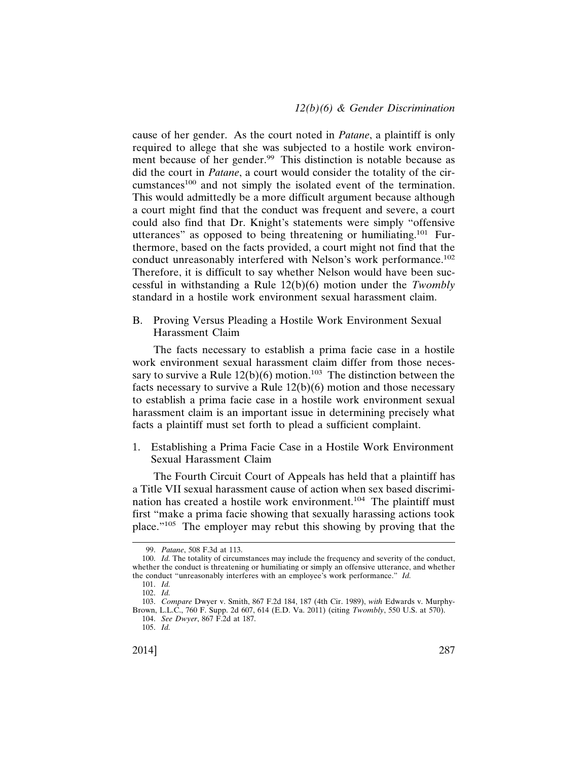cause of her gender. As the court noted in *Patane*, a plaintiff is only required to allege that she was subjected to a hostile work environment because of her gender.<sup>99</sup> This distinction is notable because as did the court in *Patane*, a court would consider the totality of the circumstances<sup>100</sup> and not simply the isolated event of the termination. This would admittedly be a more difficult argument because although a court might find that the conduct was frequent and severe, a court could also find that Dr. Knight's statements were simply "offensive utterances" as opposed to being threatening or humiliating.101 Furthermore, based on the facts provided, a court might not find that the conduct unreasonably interfered with Nelson's work performance.<sup>102</sup> Therefore, it is difficult to say whether Nelson would have been successful in withstanding a Rule 12(b)(6) motion under the *Twombly* standard in a hostile work environment sexual harassment claim.

B. Proving Versus Pleading a Hostile Work Environment Sexual Harassment Claim

The facts necessary to establish a prima facie case in a hostile work environment sexual harassment claim differ from those necessary to survive a Rule  $12(b)(6)$  motion.<sup>103</sup> The distinction between the facts necessary to survive a Rule  $12(b)(6)$  motion and those necessary to establish a prima facie case in a hostile work environment sexual harassment claim is an important issue in determining precisely what facts a plaintiff must set forth to plead a sufficient complaint.

1. Establishing a Prima Facie Case in a Hostile Work Environment Sexual Harassment Claim

The Fourth Circuit Court of Appeals has held that a plaintiff has a Title VII sexual harassment cause of action when sex based discrimination has created a hostile work environment.<sup>104</sup> The plaintiff must first "make a prima facie showing that sexually harassing actions took place."105 The employer may rebut this showing by proving that the

<sup>99.</sup> *Patane*, 508 F.3d at 113.

<sup>100.</sup> *Id.* The totality of circumstances may include the frequency and severity of the conduct, whether the conduct is threatening or humiliating or simply an offensive utterance, and whether the conduct "unreasonably interferes with an employee's work performance." *Id.*

<sup>101.</sup> *Id.*

<sup>102.</sup> *Id.*

<sup>103.</sup> *Compare* Dwyer v. Smith, 867 F.2d 184, 187 (4th Cir. 1989), *with* Edwards v. Murphy-Brown, L.L.C., 760 F. Supp. 2d 607, 614 (E.D. Va. 2011) (citing *Twombly*, 550 U.S. at 570).

<sup>104.</sup> *See Dwyer*, 867 F.2d at 187.

<sup>105.</sup> *Id.*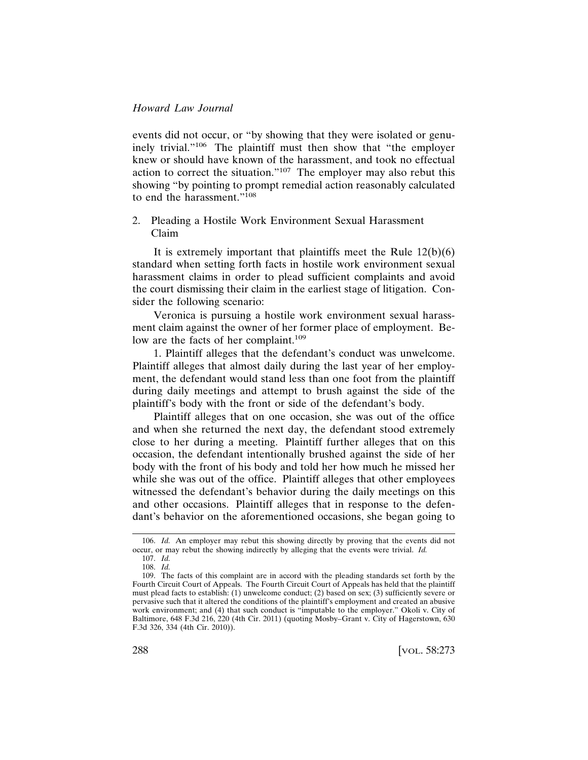events did not occur, or "by showing that they were isolated or genuinely trivial."106 The plaintiff must then show that "the employer knew or should have known of the harassment, and took no effectual action to correct the situation."107 The employer may also rebut this showing "by pointing to prompt remedial action reasonably calculated to end the harassment."<sup>108</sup>

# 2. Pleading a Hostile Work Environment Sexual Harassment Claim

It is extremely important that plaintiffs meet the Rule  $12(b)(6)$ standard when setting forth facts in hostile work environment sexual harassment claims in order to plead sufficient complaints and avoid the court dismissing their claim in the earliest stage of litigation. Consider the following scenario:

Veronica is pursuing a hostile work environment sexual harassment claim against the owner of her former place of employment. Below are the facts of her complaint.<sup>109</sup>

1. Plaintiff alleges that the defendant's conduct was unwelcome. Plaintiff alleges that almost daily during the last year of her employment, the defendant would stand less than one foot from the plaintiff during daily meetings and attempt to brush against the side of the plaintiff's body with the front or side of the defendant's body.

Plaintiff alleges that on one occasion, she was out of the office and when she returned the next day, the defendant stood extremely close to her during a meeting. Plaintiff further alleges that on this occasion, the defendant intentionally brushed against the side of her body with the front of his body and told her how much he missed her while she was out of the office. Plaintiff alleges that other employees witnessed the defendant's behavior during the daily meetings on this and other occasions. Plaintiff alleges that in response to the defendant's behavior on the aforementioned occasions, she began going to

<sup>106.</sup> *Id.* An employer may rebut this showing directly by proving that the events did not occur, or may rebut the showing indirectly by alleging that the events were trivial. *Id.* 107. *Id.*

<sup>108.</sup> *Id.*

<sup>109.</sup> The facts of this complaint are in accord with the pleading standards set forth by the Fourth Circuit Court of Appeals. The Fourth Circuit Court of Appeals has held that the plaintiff must plead facts to establish: (1) unwelcome conduct; (2) based on sex; (3) sufficiently severe or pervasive such that it altered the conditions of the plaintiff's employment and created an abusive work environment; and (4) that such conduct is "imputable to the employer." Okoli v. City of Baltimore, 648 F.3d 216, 220 (4th Cir. 2011) (quoting Mosby–Grant v. City of Hagerstown, 630 F.3d 326, 334 (4th Cir. 2010)).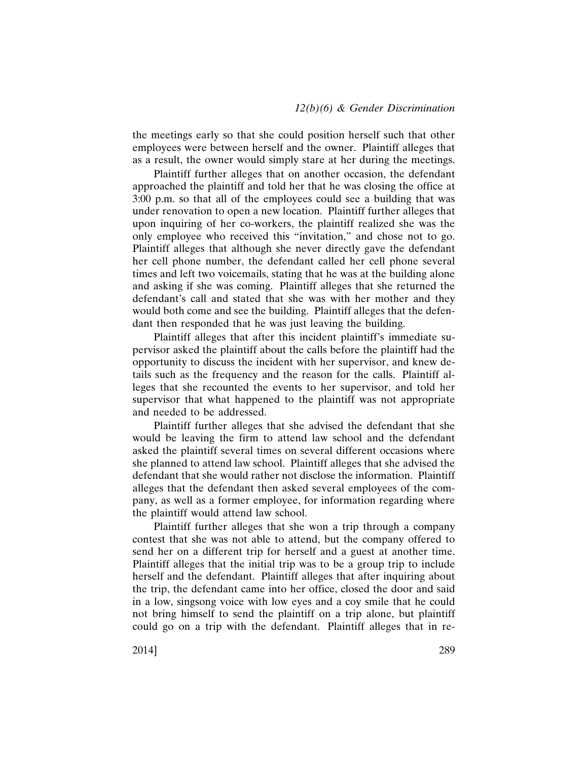the meetings early so that she could position herself such that other employees were between herself and the owner. Plaintiff alleges that as a result, the owner would simply stare at her during the meetings.

Plaintiff further alleges that on another occasion, the defendant approached the plaintiff and told her that he was closing the office at 3:00 p.m. so that all of the employees could see a building that was under renovation to open a new location. Plaintiff further alleges that upon inquiring of her co-workers, the plaintiff realized she was the only employee who received this "invitation," and chose not to go. Plaintiff alleges that although she never directly gave the defendant her cell phone number, the defendant called her cell phone several times and left two voicemails, stating that he was at the building alone and asking if she was coming. Plaintiff alleges that she returned the defendant's call and stated that she was with her mother and they would both come and see the building. Plaintiff alleges that the defendant then responded that he was just leaving the building.

Plaintiff alleges that after this incident plaintiff's immediate supervisor asked the plaintiff about the calls before the plaintiff had the opportunity to discuss the incident with her supervisor, and knew details such as the frequency and the reason for the calls. Plaintiff alleges that she recounted the events to her supervisor, and told her supervisor that what happened to the plaintiff was not appropriate and needed to be addressed.

Plaintiff further alleges that she advised the defendant that she would be leaving the firm to attend law school and the defendant asked the plaintiff several times on several different occasions where she planned to attend law school. Plaintiff alleges that she advised the defendant that she would rather not disclose the information. Plaintiff alleges that the defendant then asked several employees of the company, as well as a former employee, for information regarding where the plaintiff would attend law school.

Plaintiff further alleges that she won a trip through a company contest that she was not able to attend, but the company offered to send her on a different trip for herself and a guest at another time. Plaintiff alleges that the initial trip was to be a group trip to include herself and the defendant. Plaintiff alleges that after inquiring about the trip, the defendant came into her office, closed the door and said in a low, singsong voice with low eyes and a coy smile that he could not bring himself to send the plaintiff on a trip alone, but plaintiff could go on a trip with the defendant. Plaintiff alleges that in re-

2014] 289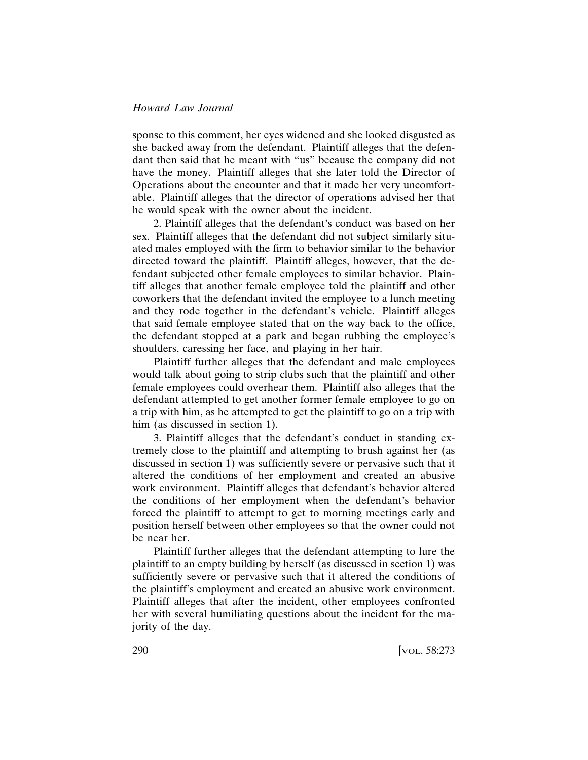sponse to this comment, her eyes widened and she looked disgusted as she backed away from the defendant. Plaintiff alleges that the defendant then said that he meant with "us" because the company did not have the money. Plaintiff alleges that she later told the Director of Operations about the encounter and that it made her very uncomfortable. Plaintiff alleges that the director of operations advised her that he would speak with the owner about the incident.

2. Plaintiff alleges that the defendant's conduct was based on her sex. Plaintiff alleges that the defendant did not subject similarly situated males employed with the firm to behavior similar to the behavior directed toward the plaintiff. Plaintiff alleges, however, that the defendant subjected other female employees to similar behavior. Plaintiff alleges that another female employee told the plaintiff and other coworkers that the defendant invited the employee to a lunch meeting and they rode together in the defendant's vehicle. Plaintiff alleges that said female employee stated that on the way back to the office, the defendant stopped at a park and began rubbing the employee's shoulders, caressing her face, and playing in her hair.

Plaintiff further alleges that the defendant and male employees would talk about going to strip clubs such that the plaintiff and other female employees could overhear them. Plaintiff also alleges that the defendant attempted to get another former female employee to go on a trip with him, as he attempted to get the plaintiff to go on a trip with him (as discussed in section 1).

3. Plaintiff alleges that the defendant's conduct in standing extremely close to the plaintiff and attempting to brush against her (as discussed in section 1) was sufficiently severe or pervasive such that it altered the conditions of her employment and created an abusive work environment. Plaintiff alleges that defendant's behavior altered the conditions of her employment when the defendant's behavior forced the plaintiff to attempt to get to morning meetings early and position herself between other employees so that the owner could not be near her.

Plaintiff further alleges that the defendant attempting to lure the plaintiff to an empty building by herself (as discussed in section 1) was sufficiently severe or pervasive such that it altered the conditions of the plaintiff's employment and created an abusive work environment. Plaintiff alleges that after the incident, other employees confronted her with several humiliating questions about the incident for the majority of the day.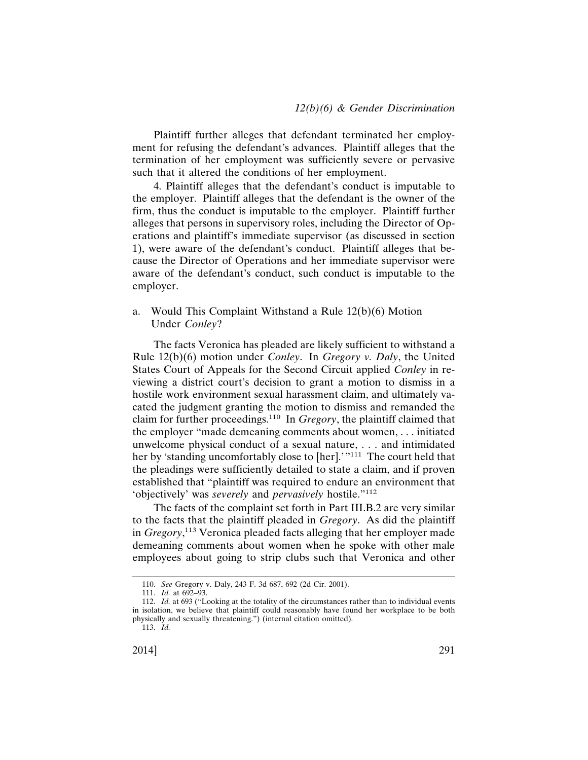Plaintiff further alleges that defendant terminated her employment for refusing the defendant's advances. Plaintiff alleges that the termination of her employment was sufficiently severe or pervasive such that it altered the conditions of her employment.

4. Plaintiff alleges that the defendant's conduct is imputable to the employer. Plaintiff alleges that the defendant is the owner of the firm, thus the conduct is imputable to the employer. Plaintiff further alleges that persons in supervisory roles, including the Director of Operations and plaintiff's immediate supervisor (as discussed in section 1), were aware of the defendant's conduct. Plaintiff alleges that because the Director of Operations and her immediate supervisor were aware of the defendant's conduct, such conduct is imputable to the employer.

### a. Would This Complaint Withstand a Rule 12(b)(6) Motion Under *Conley*?

The facts Veronica has pleaded are likely sufficient to withstand a Rule 12(b)(6) motion under *Conley*. In *Gregory v. Daly*, the United States Court of Appeals for the Second Circuit applied *Conley* in reviewing a district court's decision to grant a motion to dismiss in a hostile work environment sexual harassment claim, and ultimately vacated the judgment granting the motion to dismiss and remanded the claim for further proceedings.110 In *Gregory*, the plaintiff claimed that the employer "made demeaning comments about women, . . . initiated unwelcome physical conduct of a sexual nature, . . . and intimidated her by 'standing uncomfortably close to [her].'"<sup>111</sup> The court held that the pleadings were sufficiently detailed to state a claim, and if proven established that "plaintiff was required to endure an environment that 'objectively' was *severely* and *pervasively* hostile."<sup>112</sup>

The facts of the complaint set forth in Part III.B.2 are very similar to the facts that the plaintiff pleaded in *Gregory*. As did the plaintiff in *Gregory*, 113 Veronica pleaded facts alleging that her employer made demeaning comments about women when he spoke with other male employees about going to strip clubs such that Veronica and other

113. *Id.*

<sup>110.</sup> *See* Gregory v. Daly, 243 F. 3d 687, 692 (2d Cir. 2001).

<sup>111.</sup> *Id.* at 692–93.

<sup>112.</sup> *Id.* at 693 ("Looking at the totality of the circumstances rather than to individual events in isolation, we believe that plaintiff could reasonably have found her workplace to be both physically and sexually threatening.") (internal citation omitted).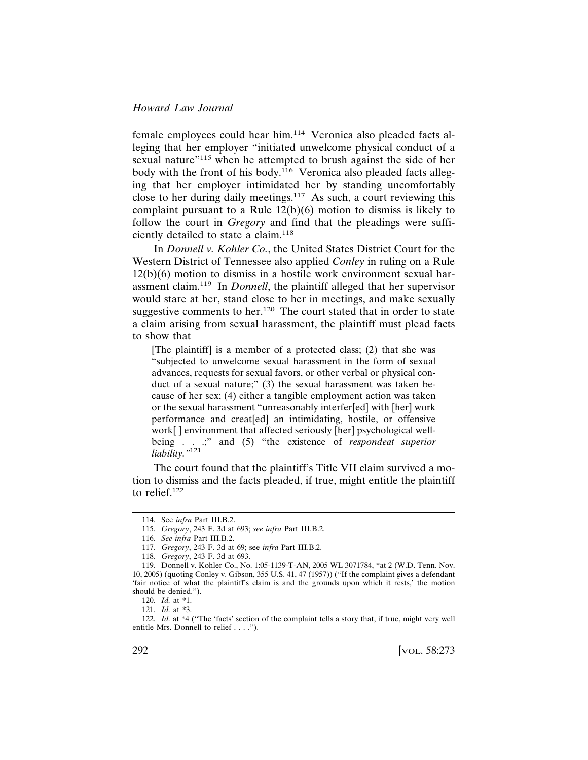female employees could hear him.114 Veronica also pleaded facts alleging that her employer "initiated unwelcome physical conduct of a sexual nature"<sup>115</sup> when he attempted to brush against the side of her body with the front of his body.<sup>116</sup> Veronica also pleaded facts alleging that her employer intimidated her by standing uncomfortably close to her during daily meetings.<sup>117</sup> As such, a court reviewing this complaint pursuant to a Rule 12(b)(6) motion to dismiss is likely to follow the court in *Gregory* and find that the pleadings were sufficiently detailed to state a claim.<sup>118</sup>

In *Donnell v. Kohler Co.*, the United States District Court for the Western District of Tennessee also applied *Conley* in ruling on a Rule 12(b)(6) motion to dismiss in a hostile work environment sexual harassment claim.119 In *Donnell*, the plaintiff alleged that her supervisor would stare at her, stand close to her in meetings, and make sexually suggestive comments to her.<sup>120</sup> The court stated that in order to state a claim arising from sexual harassment, the plaintiff must plead facts to show that

[The plaintiff] is a member of a protected class; (2) that she was "subjected to unwelcome sexual harassment in the form of sexual advances, requests for sexual favors, or other verbal or physical conduct of a sexual nature;" (3) the sexual harassment was taken because of her sex; (4) either a tangible employment action was taken or the sexual harassment "unreasonably interfer[ed] with [her] work performance and creat[ed] an intimidating, hostile, or offensive work[ ] environment that affected seriously [her] psychological wellbeing . . .;" and (5) "the existence of *respondeat superior liability."*<sup>121</sup>

The court found that the plaintiff's Title VII claim survived a motion to dismiss and the facts pleaded, if true, might entitle the plaintiff to relief.<sup>122</sup>

<sup>114.</sup> See *infra* Part III.B.2.

<sup>115.</sup> *Gregory*, 243 F. 3d at 693; *see infra* Part III.B.2.

<sup>116.</sup> *See infra* Part III.B.2.

<sup>117.</sup> *Gregory*, 243 F. 3d at 69; see *infra* Part III.B.2.

<sup>118.</sup> *Gregory*, 243 F. 3d at 693.

<sup>119.</sup> Donnell v. Kohler Co., No. 1:05-1139-T-AN, 2005 WL 3071784, \*at 2 (W.D. Tenn. Nov. 10, 2005) (quoting Conley v. Gibson, 355 U.S. 41, 47 (1957)) ("If the complaint gives a defendant 'fair notice of what the plaintiff's claim is and the grounds upon which it rests,' the motion should be denied.").

<sup>120.</sup> *Id.* at \*1.

<sup>121.</sup> *Id.* at \*3.

<sup>122.</sup> *Id.* at \*4 ("The 'facts' section of the complaint tells a story that, if true, might very well entitle Mrs. Donnell to relief . . . .").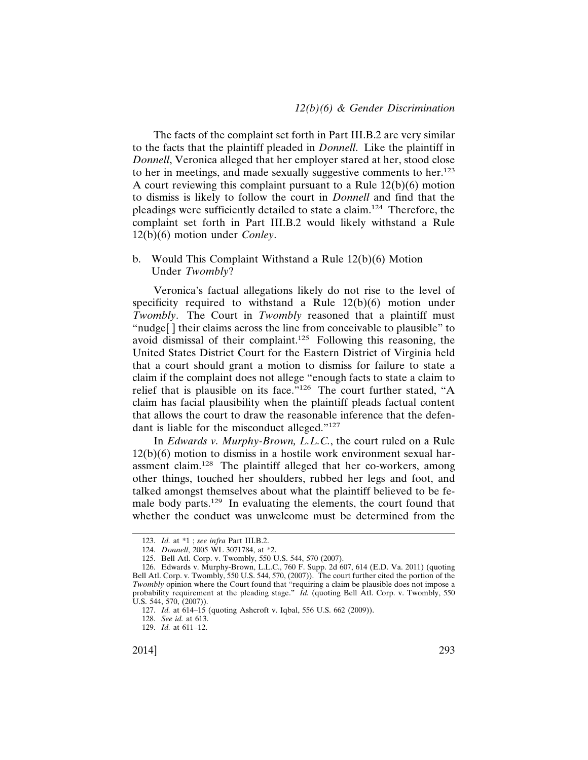The facts of the complaint set forth in Part III.B.2 are very similar to the facts that the plaintiff pleaded in *Donnell*. Like the plaintiff in *Donnell*, Veronica alleged that her employer stared at her, stood close to her in meetings, and made sexually suggestive comments to her.<sup>123</sup> A court reviewing this complaint pursuant to a Rule 12(b)(6) motion to dismiss is likely to follow the court in *Donnell* and find that the pleadings were sufficiently detailed to state a claim.124 Therefore, the complaint set forth in Part III.B.2 would likely withstand a Rule 12(b)(6) motion under *Conley*.

# b. Would This Complaint Withstand a Rule 12(b)(6) Motion Under *Twombly*?

Veronica's factual allegations likely do not rise to the level of specificity required to withstand a Rule 12(b)(6) motion under *Twombly*. The Court in *Twombly* reasoned that a plaintiff must "nudge[ ] their claims across the line from conceivable to plausible" to avoid dismissal of their complaint.<sup>125</sup> Following this reasoning, the United States District Court for the Eastern District of Virginia held that a court should grant a motion to dismiss for failure to state a claim if the complaint does not allege "enough facts to state a claim to relief that is plausible on its face."<sup>126</sup> The court further stated, "A claim has facial plausibility when the plaintiff pleads factual content that allows the court to draw the reasonable inference that the defendant is liable for the misconduct alleged."<sup>127</sup>

In *Edwards v. Murphy-Brown, L.L.C.*, the court ruled on a Rule 12(b)(6) motion to dismiss in a hostile work environment sexual harassment claim.128 The plaintiff alleged that her co-workers, among other things, touched her shoulders, rubbed her legs and foot, and talked amongst themselves about what the plaintiff believed to be female body parts.<sup>129</sup> In evaluating the elements, the court found that whether the conduct was unwelcome must be determined from the

<sup>123.</sup> *Id.* at \*1 ; *see infra* Part III.B.2.

<sup>124.</sup> *Donnell*, 2005 WL 3071784, at \*2.

<sup>125.</sup> Bell Atl. Corp. v. Twombly, 550 U.S. 544, 570 (2007).

<sup>126.</sup> Edwards v. Murphy-Brown, L.L.C., 760 F. Supp. 2d 607, 614 (E.D. Va. 2011) (quoting Bell Atl. Corp. v. Twombly, 550 U.S. 544, 570, (2007)). The court further cited the portion of the *Twombly* opinion where the Court found that "requiring a claim be plausible does not impose a probability requirement at the pleading stage." *Id.* (quoting Bell Atl. Corp. v. Twombly, 550 U.S. 544, 570, (2007)).

<sup>127.</sup> *Id.* at 614–15 (quoting Ashcroft v. Iqbal, 556 U.S. 662 (2009)).

<sup>128.</sup> *See id.* at 613.

<sup>129.</sup> *Id.* at 611–12.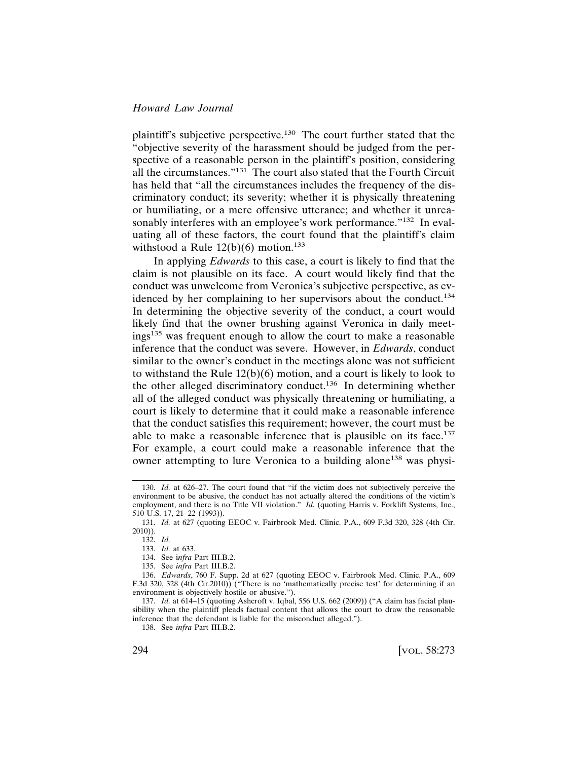plaintiff's subjective perspective.130 The court further stated that the "objective severity of the harassment should be judged from the perspective of a reasonable person in the plaintiff's position, considering all the circumstances."131 The court also stated that the Fourth Circuit has held that "all the circumstances includes the frequency of the discriminatory conduct; its severity; whether it is physically threatening or humiliating, or a mere offensive utterance; and whether it unreasonably interferes with an employee's work performance."<sup>132</sup> In evaluating all of these factors, the court found that the plaintiff's claim withstood a Rule  $12(b)(6)$  motion.<sup>133</sup>

In applying *Edwards* to this case, a court is likely to find that the claim is not plausible on its face. A court would likely find that the conduct was unwelcome from Veronica's subjective perspective, as evidenced by her complaining to her supervisors about the conduct.<sup>134</sup> In determining the objective severity of the conduct, a court would likely find that the owner brushing against Veronica in daily meetings135 was frequent enough to allow the court to make a reasonable inference that the conduct was severe. However, in *Edwards*, conduct similar to the owner's conduct in the meetings alone was not sufficient to withstand the Rule 12(b)(6) motion, and a court is likely to look to the other alleged discriminatory conduct.136 In determining whether all of the alleged conduct was physically threatening or humiliating, a court is likely to determine that it could make a reasonable inference that the conduct satisfies this requirement; however, the court must be able to make a reasonable inference that is plausible on its face.<sup>137</sup> For example, a court could make a reasonable inference that the owner attempting to lure Veronica to a building alone<sup>138</sup> was physi-

138. See *infra* Part III.B.2.

<sup>130.</sup> *Id.* at 626–27. The court found that "if the victim does not subjectively perceive the environment to be abusive, the conduct has not actually altered the conditions of the victim's employment, and there is no Title VII violation." *Id.* (quoting Harris v. Forklift Systems, Inc., 510 U.S. 17, 21–22 (1993)).

<sup>131.</sup> *Id.* at 627 (quoting EEOC v. Fairbrook Med. Clinic. P.A., 609 F.3d 320, 328 (4th Cir. 2010)).

<sup>132.</sup> *Id.*

<sup>133.</sup> *Id.* at 633.

<sup>134.</sup> See i*nfra* Part III.B.2.

<sup>135.</sup> See *infra* Part III.B.2.

<sup>136.</sup> *Edwards*, 760 F. Supp. 2d at 627 (quoting EEOC v. Fairbrook Med. Clinic. P.A., 609 F.3d 320, 328 (4th Cir.2010)) ("There is no 'mathematically precise test' for determining if an environment is objectively hostile or abusive.").

<sup>137.</sup> *Id.* at 614–15 (quoting Ashcroft v. Iqbal, 556 U.S. 662 (2009)) ("A claim has facial plausibility when the plaintiff pleads factual content that allows the court to draw the reasonable inference that the defendant is liable for the misconduct alleged.").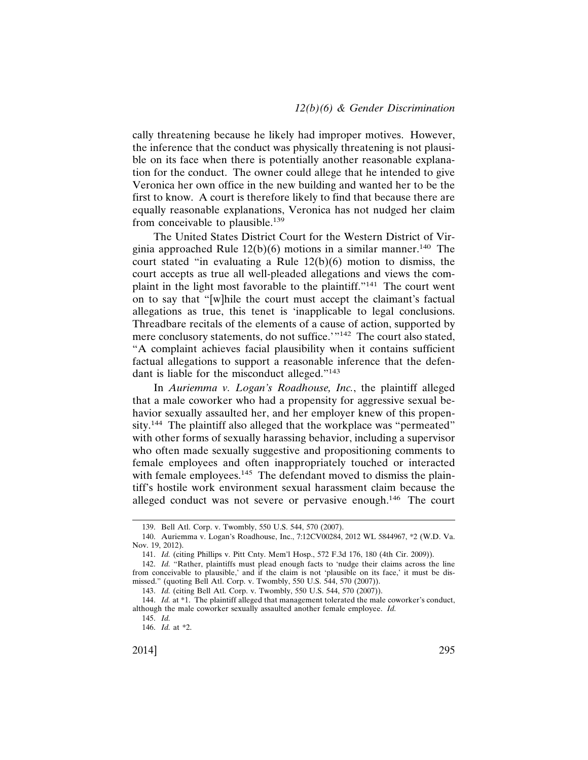cally threatening because he likely had improper motives. However, the inference that the conduct was physically threatening is not plausible on its face when there is potentially another reasonable explanation for the conduct. The owner could allege that he intended to give Veronica her own office in the new building and wanted her to be the first to know. A court is therefore likely to find that because there are equally reasonable explanations, Veronica has not nudged her claim from conceivable to plausible.<sup>139</sup>

The United States District Court for the Western District of Virginia approached Rule  $12(b)(6)$  motions in a similar manner.<sup>140</sup> The court stated "in evaluating a Rule 12(b)(6) motion to dismiss, the court accepts as true all well-pleaded allegations and views the complaint in the light most favorable to the plaintiff."141 The court went on to say that "[w]hile the court must accept the claimant's factual allegations as true, this tenet is 'inapplicable to legal conclusions. Threadbare recitals of the elements of a cause of action, supported by mere conclusory statements, do not suffice.'"<sup>142</sup> The court also stated, "A complaint achieves facial plausibility when it contains sufficient factual allegations to support a reasonable inference that the defendant is liable for the misconduct alleged."<sup>143</sup>

In *Auriemma v. Logan's Roadhouse, Inc.*, the plaintiff alleged that a male coworker who had a propensity for aggressive sexual behavior sexually assaulted her, and her employer knew of this propensity.<sup>144</sup> The plaintiff also alleged that the workplace was "permeated" with other forms of sexually harassing behavior, including a supervisor who often made sexually suggestive and propositioning comments to female employees and often inappropriately touched or interacted with female employees.<sup>145</sup> The defendant moved to dismiss the plaintiff's hostile work environment sexual harassment claim because the alleged conduct was not severe or pervasive enough.146 The court

143. *Id.* (citing Bell Atl. Corp. v. Twombly, 550 U.S. 544, 570 (2007)).

<sup>139.</sup> Bell Atl. Corp. v. Twombly, 550 U.S. 544, 570 (2007).

<sup>140.</sup> Auriemma v. Logan's Roadhouse, Inc., 7:12CV00284, 2012 WL 5844967, \*2 (W.D. Va. Nov. 19, 2012).

<sup>141.</sup> *Id.* (citing Phillips v. Pitt Cnty. Mem'l Hosp., 572 F.3d 176, 180 (4th Cir. 2009)).

<sup>142.</sup> *Id.* "Rather, plaintiffs must plead enough facts to 'nudge their claims across the line from conceivable to plausible,' and if the claim is not 'plausible on its face,' it must be dismissed." (quoting Bell Atl. Corp. v. Twombly, 550 U.S. 544, 570 (2007)).

<sup>144.</sup> *Id.* at \*1. The plaintiff alleged that management tolerated the male coworker's conduct, although the male coworker sexually assaulted another female employee. *Id.*

<sup>145.</sup> *Id.*

<sup>146.</sup> *Id.* at \*2.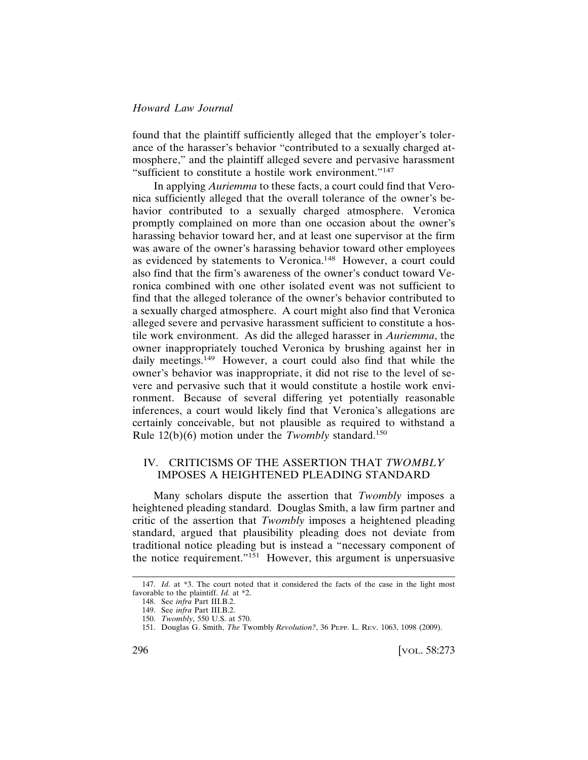found that the plaintiff sufficiently alleged that the employer's tolerance of the harasser's behavior "contributed to a sexually charged atmosphere," and the plaintiff alleged severe and pervasive harassment "sufficient to constitute a hostile work environment."<sup>147</sup>

In applying *Auriemma* to these facts, a court could find that Veronica sufficiently alleged that the overall tolerance of the owner's behavior contributed to a sexually charged atmosphere. Veronica promptly complained on more than one occasion about the owner's harassing behavior toward her, and at least one supervisor at the firm was aware of the owner's harassing behavior toward other employees as evidenced by statements to Veronica.148 However, a court could also find that the firm's awareness of the owner's conduct toward Veronica combined with one other isolated event was not sufficient to find that the alleged tolerance of the owner's behavior contributed to a sexually charged atmosphere. A court might also find that Veronica alleged severe and pervasive harassment sufficient to constitute a hostile work environment. As did the alleged harasser in *Auriemma*, the owner inappropriately touched Veronica by brushing against her in daily meetings.<sup>149</sup> However, a court could also find that while the owner's behavior was inappropriate, it did not rise to the level of severe and pervasive such that it would constitute a hostile work environment. Because of several differing yet potentially reasonable inferences, a court would likely find that Veronica's allegations are certainly conceivable, but not plausible as required to withstand a Rule 12(b)(6) motion under the *Twombly* standard.150

### IV. CRITICISMS OF THE ASSERTION THAT *TWOMBLY* IMPOSES A HEIGHTENED PLEADING STANDARD

Many scholars dispute the assertion that *Twombly* imposes a heightened pleading standard. Douglas Smith, a law firm partner and critic of the assertion that *Twombly* imposes a heightened pleading standard, argued that plausibility pleading does not deviate from traditional notice pleading but is instead a "necessary component of the notice requirement."151 However, this argument is unpersuasive

<sup>147.</sup> *Id.* at \*3. The court noted that it considered the facts of the case in the light most favorable to the plaintiff. *Id.* at \*2.

<sup>148.</sup> See *infra* Part III.B.2.

<sup>149.</sup> See *infra* Part III.B.2.

<sup>150.</sup> *Twombly*, 550 U.S. at 570.

<sup>151.</sup> Douglas G. Smith, *The* Twombly *Revolution?*, 36 PEPP. L. REV. 1063, 1098 (2009).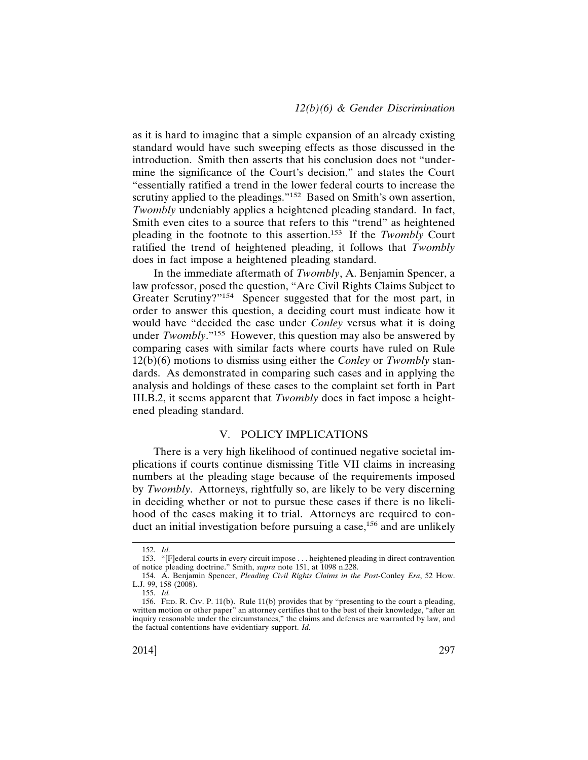as it is hard to imagine that a simple expansion of an already existing standard would have such sweeping effects as those discussed in the introduction. Smith then asserts that his conclusion does not "undermine the significance of the Court's decision," and states the Court "essentially ratified a trend in the lower federal courts to increase the scrutiny applied to the pleadings."<sup>152</sup> Based on Smith's own assertion, *Twombly* undeniably applies a heightened pleading standard. In fact, Smith even cites to a source that refers to this "trend" as heightened pleading in the footnote to this assertion.153 If the *Twombly* Court ratified the trend of heightened pleading, it follows that *Twombly* does in fact impose a heightened pleading standard.

In the immediate aftermath of *Twombly*, A. Benjamin Spencer, a law professor, posed the question, "Are Civil Rights Claims Subject to Greater Scrutiny?"<sup>154</sup> Spencer suggested that for the most part, in order to answer this question, a deciding court must indicate how it would have "decided the case under *Conley* versus what it is doing under *Twombly*."155 However, this question may also be answered by comparing cases with similar facts where courts have ruled on Rule 12(b)(6) motions to dismiss using either the *Conley* or *Twombly* standards. As demonstrated in comparing such cases and in applying the analysis and holdings of these cases to the complaint set forth in Part III.B.2, it seems apparent that *Twombly* does in fact impose a heightened pleading standard.

# V. POLICY IMPLICATIONS

There is a very high likelihood of continued negative societal implications if courts continue dismissing Title VII claims in increasing numbers at the pleading stage because of the requirements imposed by *Twombly*. Attorneys, rightfully so, are likely to be very discerning in deciding whether or not to pursue these cases if there is no likelihood of the cases making it to trial. Attorneys are required to conduct an initial investigation before pursuing a case,<sup>156</sup> and are unlikely

<sup>152.</sup> *Id.*

<sup>153. &</sup>quot;[F]ederal courts in every circuit impose . . . heightened pleading in direct contravention of notice pleading doctrine." Smith, *supra* note 151, at 1098 n.228.

<sup>154.</sup> A. Benjamin Spencer, *Pleading Civil Rights Claims in the Post-*Conley *Era*, 52 HOW. L.J. 99, 158 (2008).

<sup>155.</sup> *Id.*

<sup>156.</sup> FED. R. CIV. P. 11(b). Rule 11(b) provides that by "presenting to the court a pleading, written motion or other paper" an attorney certifies that to the best of their knowledge, "after an inquiry reasonable under the circumstances," the claims and defenses are warranted by law, and the factual contentions have evidentiary support. *Id.*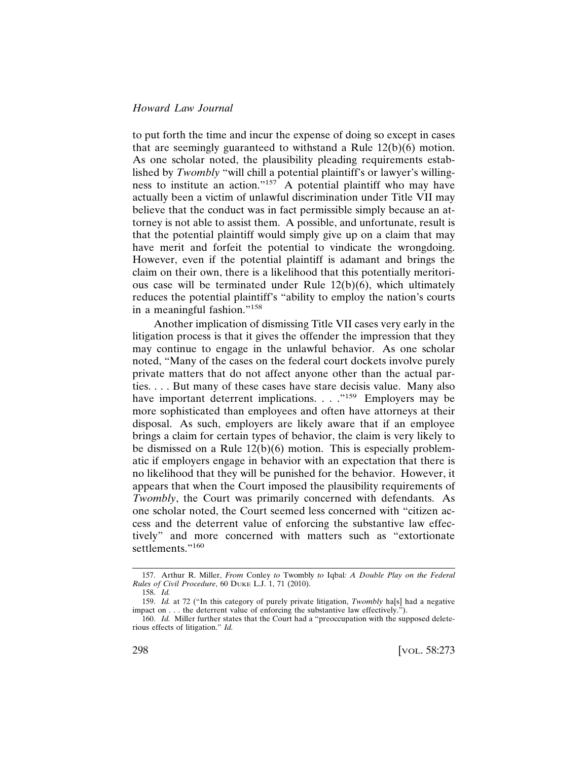to put forth the time and incur the expense of doing so except in cases that are seemingly guaranteed to withstand a Rule 12(b)(6) motion. As one scholar noted, the plausibility pleading requirements established by *Twombly* "will chill a potential plaintiff's or lawyer's willingness to institute an action."157 A potential plaintiff who may have actually been a victim of unlawful discrimination under Title VII may believe that the conduct was in fact permissible simply because an attorney is not able to assist them. A possible, and unfortunate, result is that the potential plaintiff would simply give up on a claim that may have merit and forfeit the potential to vindicate the wrongdoing. However, even if the potential plaintiff is adamant and brings the claim on their own, there is a likelihood that this potentially meritorious case will be terminated under Rule 12(b)(6), which ultimately reduces the potential plaintiff's "ability to employ the nation's courts in a meaningful fashion."<sup>158</sup>

Another implication of dismissing Title VII cases very early in the litigation process is that it gives the offender the impression that they may continue to engage in the unlawful behavior. As one scholar noted, "Many of the cases on the federal court dockets involve purely private matters that do not affect anyone other than the actual parties. . . . But many of these cases have stare decisis value. Many also have important deterrent implications. . . . "<sup>159</sup> Employers may be more sophisticated than employees and often have attorneys at their disposal. As such, employers are likely aware that if an employee brings a claim for certain types of behavior, the claim is very likely to be dismissed on a Rule 12(b)(6) motion. This is especially problematic if employers engage in behavior with an expectation that there is no likelihood that they will be punished for the behavior. However, it appears that when the Court imposed the plausibility requirements of *Twombly*, the Court was primarily concerned with defendants. As one scholar noted, the Court seemed less concerned with "citizen access and the deterrent value of enforcing the substantive law effectively" and more concerned with matters such as "extortionate settlements."<sup>160</sup>

<sup>157.</sup> Arthur R. Miller, *From* Conley *to* Twombly *to* Iqbal*: A Double Play on the Federal Rules of Civil Procedure*, 60 DUKE L.J. 1, 71 (2010).

<sup>158.</sup> *Id.*

<sup>159.</sup> *Id.* at 72 ("In this category of purely private litigation, *Twombly* ha[s] had a negative impact on . . . the deterrent value of enforcing the substantive law effectively.").

<sup>160.</sup> *Id.* Miller further states that the Court had a "preoccupation with the supposed deleterious effects of litigation." *Id.*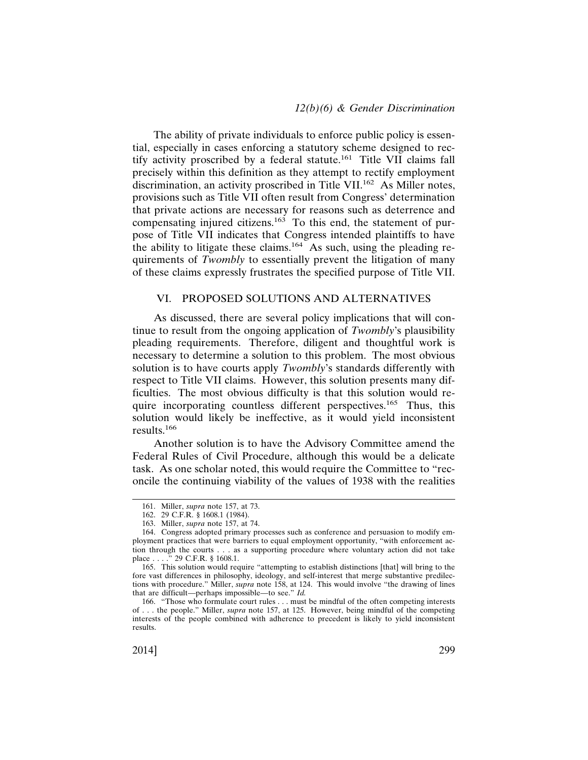The ability of private individuals to enforce public policy is essential, especially in cases enforcing a statutory scheme designed to rectify activity proscribed by a federal statute.<sup>161</sup> Title VII claims fall precisely within this definition as they attempt to rectify employment discrimination, an activity proscribed in Title VII.<sup>162</sup> As Miller notes, provisions such as Title VII often result from Congress' determination that private actions are necessary for reasons such as deterrence and compensating injured citizens.163 To this end, the statement of purpose of Title VII indicates that Congress intended plaintiffs to have the ability to litigate these claims.<sup>164</sup> As such, using the pleading requirements of *Twombly* to essentially prevent the litigation of many of these claims expressly frustrates the specified purpose of Title VII.

#### VI. PROPOSED SOLUTIONS AND ALTERNATIVES

As discussed, there are several policy implications that will continue to result from the ongoing application of *Twombly*'s plausibility pleading requirements. Therefore, diligent and thoughtful work is necessary to determine a solution to this problem. The most obvious solution is to have courts apply *Twombly*'s standards differently with respect to Title VII claims. However, this solution presents many difficulties. The most obvious difficulty is that this solution would require incorporating countless different perspectives.<sup>165</sup> Thus, this solution would likely be ineffective, as it would yield inconsistent results.166

Another solution is to have the Advisory Committee amend the Federal Rules of Civil Procedure, although this would be a delicate task. As one scholar noted, this would require the Committee to "reconcile the continuing viability of the values of 1938 with the realities

<sup>161.</sup> Miller, *supra* note 157, at 73.

<sup>162. 29</sup> C.F.R. § 1608.1 (1984).

<sup>163.</sup> Miller, *supra* note 157, at 74.

<sup>164.</sup> Congress adopted primary processes such as conference and persuasion to modify employment practices that were barriers to equal employment opportunity, "with enforcement action through the courts . . . as a supporting procedure where voluntary action did not take place . . . .<sup>"</sup> 29 C.F.R. § 1608.1.

<sup>165.</sup> This solution would require "attempting to establish distinctions [that] will bring to the fore vast differences in philosophy, ideology, and self-interest that merge substantive predilections with procedure." Miller, *supra* note 158, at 124. This would involve "the drawing of lines that are difficult—perhaps impossible—to see." *Id.*

<sup>166. &</sup>quot;Those who formulate court rules . . . must be mindful of the often competing interests of . . . the people." Miller, *supra* note 157, at 125. However, being mindful of the competing interests of the people combined with adherence to precedent is likely to yield inconsistent results.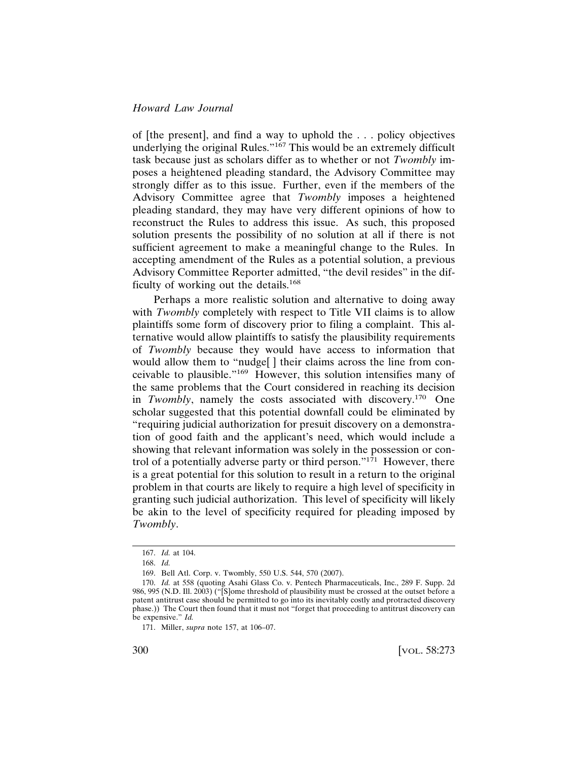of [the present], and find a way to uphold the . . . policy objectives underlying the original Rules."<sup>167</sup> This would be an extremely difficult task because just as scholars differ as to whether or not *Twombly* imposes a heightened pleading standard, the Advisory Committee may strongly differ as to this issue. Further, even if the members of the Advisory Committee agree that *Twombly* imposes a heightened pleading standard, they may have very different opinions of how to reconstruct the Rules to address this issue. As such, this proposed solution presents the possibility of no solution at all if there is not sufficient agreement to make a meaningful change to the Rules. In accepting amendment of the Rules as a potential solution, a previous Advisory Committee Reporter admitted, "the devil resides" in the difficulty of working out the details.<sup>168</sup>

Perhaps a more realistic solution and alternative to doing away with *Twombly* completely with respect to Title VII claims is to allow plaintiffs some form of discovery prior to filing a complaint. This alternative would allow plaintiffs to satisfy the plausibility requirements of *Twombly* because they would have access to information that would allow them to "nudge[ ] their claims across the line from conceivable to plausible."169 However, this solution intensifies many of the same problems that the Court considered in reaching its decision in *Twombly*, namely the costs associated with discovery.<sup>170</sup> One scholar suggested that this potential downfall could be eliminated by "requiring judicial authorization for presuit discovery on a demonstration of good faith and the applicant's need, which would include a showing that relevant information was solely in the possession or control of a potentially adverse party or third person."171 However, there is a great potential for this solution to result in a return to the original problem in that courts are likely to require a high level of specificity in granting such judicial authorization. This level of specificity will likely be akin to the level of specificity required for pleading imposed by *Twombly*.

<sup>167.</sup> *Id.* at 104.

<sup>168.</sup> *Id.*

<sup>169.</sup> Bell Atl. Corp. v. Twombly, 550 U.S. 544, 570 (2007).

<sup>170.</sup> *Id.* at 558 (quoting Asahi Glass Co. v. Pentech Pharmaceuticals, Inc., 289 F. Supp. 2d 986, 995 (N.D. Ill. 2003) ("[S]ome threshold of plausibility must be crossed at the outset before a patent antitrust case should be permitted to go into its inevitably costly and protracted discovery phase.)) The Court then found that it must not "forget that proceeding to antitrust discovery can be expensive." *Id.*

<sup>171.</sup> Miller, *supra* note 157, at 106–07.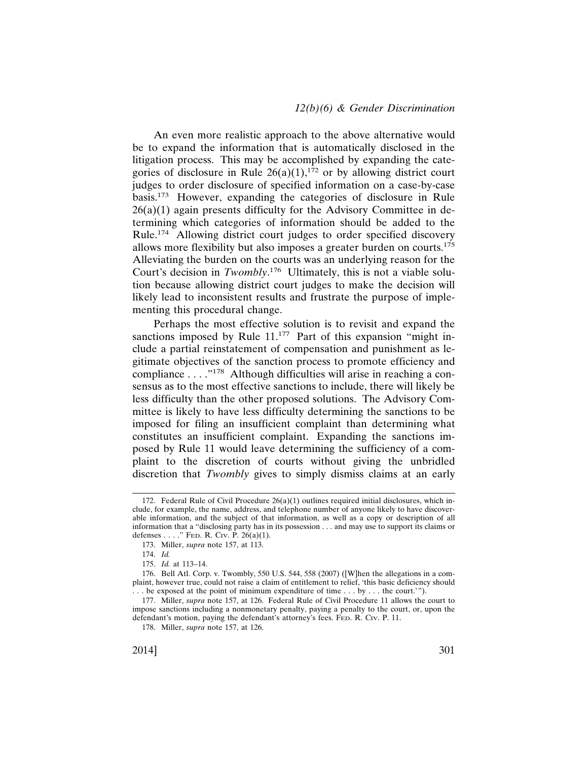An even more realistic approach to the above alternative would be to expand the information that is automatically disclosed in the litigation process. This may be accomplished by expanding the categories of disclosure in Rule  $26(a)(1)$ ,<sup>172</sup> or by allowing district court judges to order disclosure of specified information on a case-by-case basis.173 However, expanding the categories of disclosure in Rule 26(a)(1) again presents difficulty for the Advisory Committee in determining which categories of information should be added to the Rule.174 Allowing district court judges to order specified discovery allows more flexibility but also imposes a greater burden on courts.<sup>175</sup> Alleviating the burden on the courts was an underlying reason for the Court's decision in *Twombly*. 176 Ultimately, this is not a viable solution because allowing district court judges to make the decision will likely lead to inconsistent results and frustrate the purpose of implementing this procedural change.

Perhaps the most effective solution is to revisit and expand the sanctions imposed by Rule  $11<sup>177</sup>$  Part of this expansion "might include a partial reinstatement of compensation and punishment as legitimate objectives of the sanction process to promote efficiency and compliance . . . ."178 Although difficulties will arise in reaching a consensus as to the most effective sanctions to include, there will likely be less difficulty than the other proposed solutions. The Advisory Committee is likely to have less difficulty determining the sanctions to be imposed for filing an insufficient complaint than determining what constitutes an insufficient complaint. Expanding the sanctions imposed by Rule 11 would leave determining the sufficiency of a complaint to the discretion of courts without giving the unbridled discretion that *Twombly* gives to simply dismiss claims at an early

<sup>172.</sup> Federal Rule of Civil Procedure  $26(a)(1)$  outlines required initial disclosures, which include, for example, the name, address, and telephone number of anyone likely to have discoverable information, and the subject of that information, as well as a copy or description of all information that a "disclosing party has in its possession . . . and may use to support its claims or defenses . . . ." FED. R. CIV. P.  $26(a)(1)$ .

<sup>173.</sup> Miller, *supra* note 157, at 113.

<sup>174.</sup> *Id.*

<sup>175.</sup> *Id.* at 113–14.

<sup>176.</sup> Bell Atl. Corp. v. Twombly, 550 U.S. 544, 558 (2007) ([W]hen the allegations in a complaint, however true, could not raise a claim of entitlement to relief, 'this basic deficiency should . . . be exposed at the point of minimum expenditure of time . . . by . . . the court.'").

<sup>177.</sup> Miller, *supra* note 157, at 126. Federal Rule of Civil Procedure 11 allows the court to impose sanctions including a nonmonetary penalty, paying a penalty to the court, or, upon the defendant's motion, paying the defendant's attorney's fees. FED. R. CIV. P. 11.

<sup>178.</sup> Miller, *supra* note 157, at 126.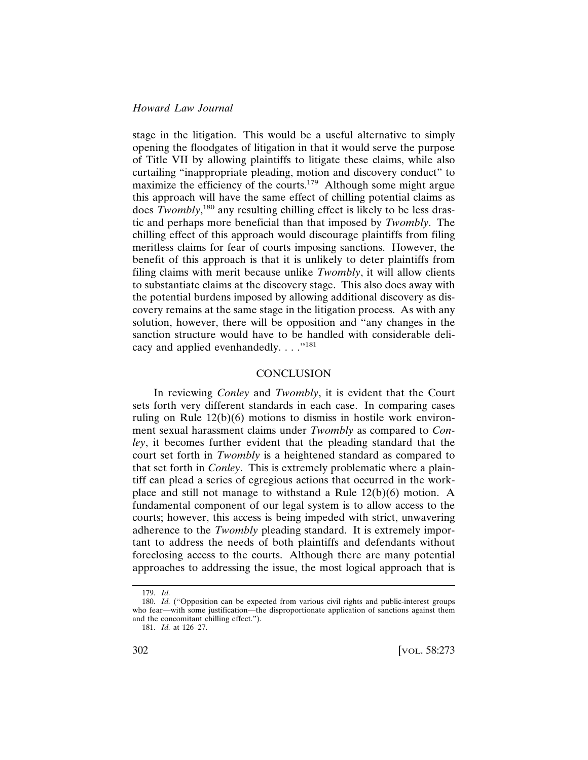stage in the litigation. This would be a useful alternative to simply opening the floodgates of litigation in that it would serve the purpose of Title VII by allowing plaintiffs to litigate these claims, while also curtailing "inappropriate pleading, motion and discovery conduct" to maximize the efficiency of the courts.<sup>179</sup> Although some might argue this approach will have the same effect of chilling potential claims as does *Twombly*, 180 any resulting chilling effect is likely to be less drastic and perhaps more beneficial than that imposed by *Twombly*. The chilling effect of this approach would discourage plaintiffs from filing meritless claims for fear of courts imposing sanctions. However, the benefit of this approach is that it is unlikely to deter plaintiffs from filing claims with merit because unlike *Twombly*, it will allow clients to substantiate claims at the discovery stage. This also does away with the potential burdens imposed by allowing additional discovery as discovery remains at the same stage in the litigation process. As with any solution, however, there will be opposition and "any changes in the sanction structure would have to be handled with considerable delicacy and applied evenhandedly.  $\dots$ <sup>181</sup>

#### **CONCLUSION**

In reviewing *Conley* and *Twombly*, it is evident that the Court sets forth very different standards in each case. In comparing cases ruling on Rule 12(b)(6) motions to dismiss in hostile work environment sexual harassment claims under *Twombly* as compared to *Conley*, it becomes further evident that the pleading standard that the court set forth in *Twombly* is a heightened standard as compared to that set forth in *Conley*. This is extremely problematic where a plaintiff can plead a series of egregious actions that occurred in the workplace and still not manage to withstand a Rule 12(b)(6) motion. A fundamental component of our legal system is to allow access to the courts; however, this access is being impeded with strict, unwavering adherence to the *Twombly* pleading standard. It is extremely important to address the needs of both plaintiffs and defendants without foreclosing access to the courts. Although there are many potential approaches to addressing the issue, the most logical approach that is

<sup>179.</sup> *Id.*

<sup>180.</sup> *Id.* ("Opposition can be expected from various civil rights and public-interest groups who fear—with some justification—the disproportionate application of sanctions against them and the concomitant chilling effect.").

<sup>181.</sup> *Id.* at 126–27.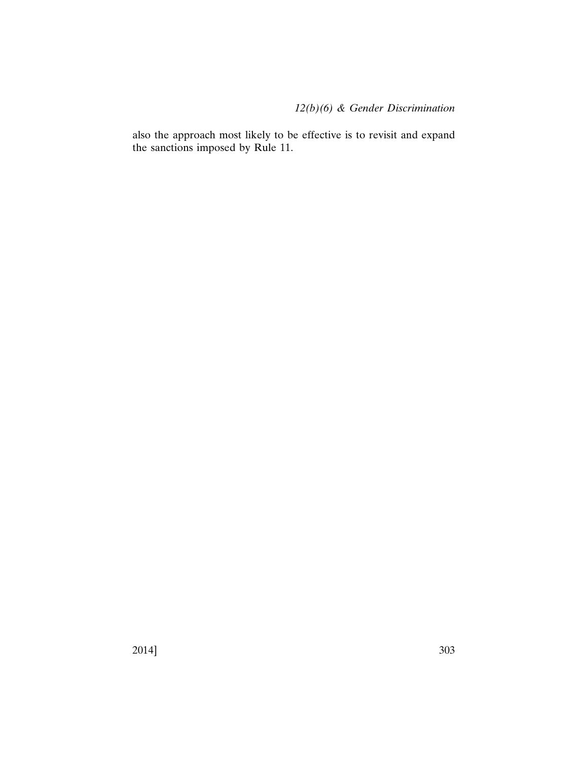*12(b)(6) & Gender Discrimination*

also the approach most likely to be effective is to revisit and expand the sanctions imposed by Rule 11.